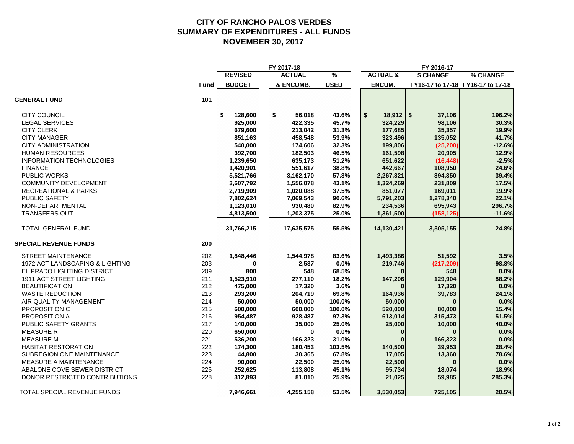#### **CITY OF RANCHO PALOS VERDES SUMMARY OF EXPENDITURES - ALL FUNDS NOVEMBER 30, 2017**

|                                  |             |                | FY 2017-18    |             |                     | FY 2016-17 |                                   |
|----------------------------------|-------------|----------------|---------------|-------------|---------------------|------------|-----------------------------------|
|                                  |             | <b>REVISED</b> | <b>ACTUAL</b> | %           | <b>ACTUAL &amp;</b> | \$ CHANGE  | % CHANGE                          |
|                                  | <b>Fund</b> | <b>BUDGET</b>  | & ENCUMB.     | <b>USED</b> | <b>ENCUM.</b>       |            | FY16-17 to 17-18 FY16-17 to 17-18 |
| <b>GENERAL FUND</b>              | 101         |                |               |             |                     |            |                                   |
| <b>CITY COUNCIL</b>              |             | \$<br>128,600  | \$<br>56,018  | 43.6%       | \$<br>$18,912$ \$   | 37,106     | 196.2%                            |
| <b>LEGAL SERVICES</b>            |             | 925,000        | 422,335       | 45.7%       | 324,229             | 98,106     | 30.3%                             |
| <b>CITY CLERK</b>                |             | 679,600        | 213,042       | 31.3%       | 177,685             | 35,357     | 19.9%                             |
| <b>CITY MANAGER</b>              |             | 851,163        | 458,548       | 53.9%       | 323,496             | 135,052    | 41.7%                             |
| <b>CITY ADMINISTRATION</b>       |             | 540,000        | 174,606       | 32.3%       | 199,806             | (25, 200)  | $-12.6%$                          |
| <b>HUMAN RESOURCES</b>           |             | 392,700        | 182,503       | 46.5%       | 161,598             | 20,905     | 12.9%                             |
| <b>INFORMATION TECHNOLOGIES</b>  |             | 1,239,650      | 635,173       | 51.2%       | 651,622             | (16, 448)  | $-2.5%$                           |
| <b>FINANCE</b>                   |             | 1,420,901      | 551,617       | 38.8%       | 442,667             | 108,950    | 24.6%                             |
| <b>PUBLIC WORKS</b>              |             | 5,521,766      | 3,162,170     | 57.3%       | 2,267,821           | 894,350    | 39.4%                             |
| <b>COMMUNITY DEVELOPMENT</b>     |             | 3,607,792      | 1,556,078     | 43.1%       | 1,324,269           | 231,809    | 17.5%                             |
| <b>RECREATIONAL &amp; PARKS</b>  |             | 2,719,909      | 1,020,088     | 37.5%       | 851,077             | 169,011    | 19.9%                             |
| PUBLIC SAFETY                    |             | 7,802,624      | 7,069,543     | 90.6%       | 5,791,203           | 1,278,340  | 22.1%                             |
| NON-DEPARTMENTAL                 |             | 1,123,010      | 930,480       | 82.9%       | 234,536             | 695,943    | 296.7%                            |
| <b>TRANSFERS OUT</b>             |             | 4,813,500      | 1,203,375     | 25.0%       | 1,361,500           | (158, 125) | $-11.6%$                          |
| TOTAL GENERAL FUND               |             | 31,766,215     | 17,635,575    | 55.5%       | 14,130,421          | 3,505,155  | 24.8%                             |
| <b>SPECIAL REVENUE FUNDS</b>     | 200         |                |               |             |                     |            |                                   |
| <b>STREET MAINTENANCE</b>        | 202         | 1,848,446      | 1,544,978     | 83.6%       | 1,493,386           | 51,592     | 3.5%                              |
| 1972 ACT LANDSCAPING & LIGHTING  | 203         | $\bf{0}$       | 2,537         | 0.0%        | 219,746             | (217, 209) | $-98.8%$                          |
| EL PRADO LIGHTING DISTRICT       | 209         | 800            | 548           | 68.5%       |                     | 548        | 0.0%                              |
| 1911 ACT STREET LIGHTING         | 211         | 1,523,910      | 277,110       | 18.2%       | 147,206             | 129,904    | 88.2%                             |
| <b>BEAUTIFICATION</b>            | 212         | 475,000        | 17,320        | 3.6%        |                     | 17,320     | 0.0%                              |
| <b>WASTE REDUCTION</b>           | 213         | 293,200        | 204,719       | 69.8%       | 164,936             | 39,783     | 24.1%                             |
| AIR QUALITY MANAGEMENT           | 214         | 50,000         | 50,000        | 100.0%      | 50,000              |            | 0.0%                              |
| PROPOSITION C                    | 215         | 600,000        | 600,000       | 100.0%      | 520,000             | 80,000     | 15.4%                             |
| PROPOSITION A                    | 216         | 954,487        | 928,487       | 97.3%       | 613,014             | 315,473    | 51.5%                             |
| PUBLIC SAFETY GRANTS             | 217         | 140,000        | 35,000        | 25.0%       | 25,000              | 10,000     | 40.0%                             |
| <b>MEASURE R</b>                 | 220         | 650,000        | $\Omega$      | 0.0%        | 0                   | $\bf{0}$   | 0.0%                              |
| <b>MEASURE M</b>                 | 221         | 536,200        | 166,323       | 31.0%       |                     | 166,323    | 0.0%                              |
| <b>HABITAT RESTORATION</b>       | 222         | 174,300        | 180,453       | 103.5%      | 140,500             | 39,953     | 28.4%                             |
| <b>SUBREGION ONE MAINTENANCE</b> | 223         | 44,800         | 30,365        | 67.8%       | 17,005              | 13,360     | 78.6%                             |
| MEASURE A MAINTENANCE            | 224         | 90,000         | 22,500        | 25.0%       | 22,500              |            | 0.0%                              |
| ABALONE COVE SEWER DISTRICT      | 225         | 252,625        | 113,808       | 45.1%       | 95,734              | 18,074     | 18.9%                             |
| DONOR RESTRICTED CONTRIBUTIONS   | 228         | 312,893        | 81,010        | 25.9%       | 21,025              | 59,985     | 285.3%                            |
| TOTAL SPECIAL REVENUE FUNDS      |             | 7,946,661      | 4,255,158     | 53.5%       | 3,530,053           | 725,105    | 20.5%                             |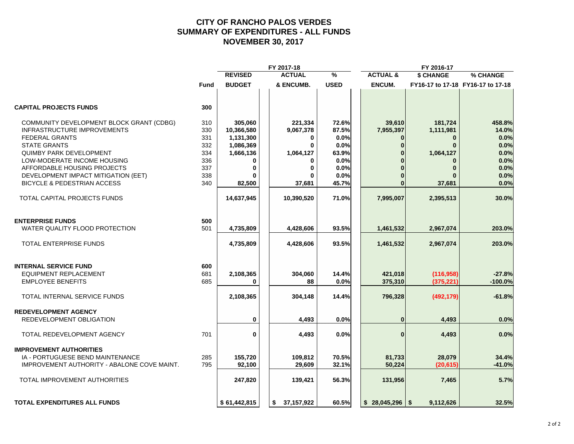#### **CITY OF RANCHO PALOS VERDES SUMMARY OF EXPENDITURES - ALL FUNDS NOVEMBER 30, 2017**

|                                             |      |                | FY 2017-18    |               |                     | FY 2016-17   |                                   |
|---------------------------------------------|------|----------------|---------------|---------------|---------------------|--------------|-----------------------------------|
|                                             |      | <b>REVISED</b> | <b>ACTUAL</b> | $\frac{9}{6}$ | <b>ACTUAL &amp;</b> | \$ CHANGE    | % CHANGE                          |
|                                             | Fund | <b>BUDGET</b>  | & ENCUMB.     | <b>USED</b>   | <b>ENCUM.</b>       |              | FY16-17 to 17-18 FY16-17 to 17-18 |
| <b>CAPITAL PROJECTS FUNDS</b>               | 300  |                |               |               |                     |              |                                   |
| COMMUNITY DEVELOPMENT BLOCK GRANT (CDBG)    | 310  | 305,060        | 221,334       | 72.6%         | 39,610              | 181,724      | 458.8%                            |
| <b>INFRASTRUCTURE IMPROVEMENTS</b>          | 330  | 10,366,580     | 9,067,378     | 87.5%         | 7,955,397           | 1,111,981    | 14.0%                             |
| <b>FEDERAL GRANTS</b>                       | 331  | 1,131,300      | 0             | 0.0%          | 0                   | $\bf{0}$     | 0.0%                              |
| <b>STATE GRANTS</b>                         | 332  | 1,086,369      | $\mathbf{0}$  | 0.0%          | $\Omega$            | $\mathbf{0}$ | 0.0%                              |
| <b>QUIMBY PARK DEVELOPMENT</b>              | 334  | 1,666,136      | 1,064,127     | 63.9%         |                     | 1,064,127    | 0.0%                              |
| LOW-MODERATE INCOME HOUSING                 | 336  | $\bf{0}$       |               | 0.0%          |                     |              | 0.0%                              |
| AFFORDABLE HOUSING PROJECTS                 | 337  | 0              | 0             | 0.0%          |                     | $\bf{0}$     | 0.0%                              |
| DEVELOPMENT IMPACT MITIGATION (EET)         | 338  |                |               | 0.0%          |                     |              | 0.0%                              |
| <b>BICYCLE &amp; PEDESTRIAN ACCESS</b>      | 340  | 82,500         | 37,681        | 45.7%         |                     | 37,681       | 0.0%                              |
| TOTAL CAPITAL PROJECTS FUNDS                |      | 14,637,945     | 10,390,520    | 71.0%         | 7,995,007           | 2,395,513    | 30.0%                             |
| <b>ENTERPRISE FUNDS</b>                     | 500  |                |               |               |                     |              |                                   |
| WATER QUALITY FLOOD PROTECTION              | 501  | 4,735,809      | 4,428,606     | 93.5%         | 1,461,532           | 2,967,074    | 203.0%                            |
| TOTAL ENTERPRISE FUNDS                      |      | 4,735,809      | 4,428,606     | 93.5%         | 1,461,532           | 2,967,074    | 203.0%                            |
| <b>INTERNAL SERVICE FUND</b>                | 600  |                |               |               |                     |              |                                   |
| <b>EQUIPMENT REPLACEMENT</b>                | 681  | 2,108,365      | 304,060       | 14.4%         | 421,018             | (116, 958)   | $-27.8%$                          |
| <b>EMPLOYEE BENEFITS</b>                    | 685  | 0              | 88            | 0.0%          | 375,310             | (375, 221)   | $-100.0\%$                        |
| TOTAL INTERNAL SERVICE FUNDS                |      | 2,108,365      | 304,148       | 14.4%         | 796,328             | (492, 179)   | $-61.8%$                          |
| <b>REDEVELOPMENT AGENCY</b>                 |      |                |               |               |                     |              |                                   |
| REDEVELOPMENT OBLIGATION                    |      | 0              | 4,493         | 0.0%          | $\bf{0}$            | 4,493        | 0.0%                              |
| TOTAL REDEVELOPMENT AGENCY                  | 701  | 0              | 4,493         | 0.0%          | $\mathbf{0}$        | 4,493        | 0.0%                              |
| <b>IMPROVEMENT AUTHORITIES</b>              |      |                |               |               |                     |              |                                   |
| IA - PORTUGUESE BEND MAINTENANCE            | 285  | 155,720        | 109,812       | 70.5%         | 81,733              | 28,079       | 34.4%                             |
| IMPROVEMENT AUTHORITY - ABALONE COVE MAINT. | 795  | 92,100         | 29,609        | 32.1%         | 50,224              | (20, 615)    | $-41.0%$                          |
| TOTAL IMPROVEMENT AUTHORITIES               |      | 247,820        | 139,421       | 56.3%         | 131,956             | 7,465        | 5.7%                              |
| <b>TOTAL EXPENDITURES ALL FUNDS</b>         |      | \$61,442,815   | \$37,157,922  | 60.5%         | $$28,045,296$ \\$   | 9,112,626    | 32.5%                             |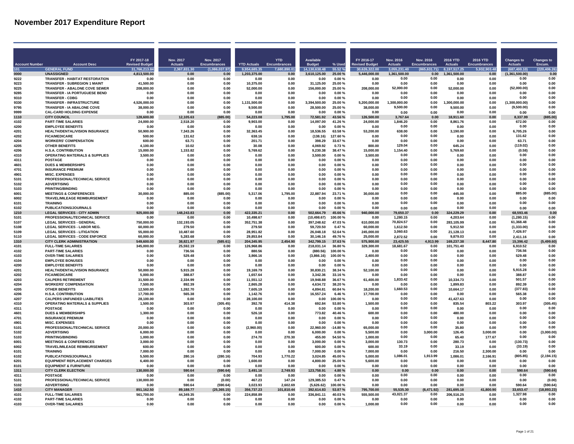|                       |                                                                          | FY 2017-18               | Nov. 2017              | Nov. 2017           |                          | <b>YTD</b>         | <b>Available</b>         |                   | FY 2016-17               | <b>Nov. 2016</b>       | Nov. 2016           | <b>2016 YTD</b>          | 2016 YTD             | Changes to             | <b>Changes to</b>   |
|-----------------------|--------------------------------------------------------------------------|--------------------------|------------------------|---------------------|--------------------------|--------------------|--------------------------|-------------------|--------------------------|------------------------|---------------------|--------------------------|----------------------|------------------------|---------------------|
| <b>Account Number</b> | <b>Account Desc</b>                                                      | <b>Revised Budge</b>     | <b>Actuals</b>         | <b>Encumbrances</b> | <b>YTD Actuals</b>       | Encumbrances       | <b>Budget</b>            | % Used            | <b>Revised Budget</b>    | <b>Actuals</b>         | <b>Encumbrances</b> | Actuals                  | <b>Encumbrances</b>  | <b>Actuals</b>         | Encum.              |
| 101                   | <b>GENERAL FUNI</b>                                                      | 31,766,213.84            | 2.367.831.30           | (1.086.037.97)      | 9.954.685.35             | 7.680.890.01       | 14.130.638.48            | 55.52 %           | 30.626.322.00            | 3.055.231.40           | (865.631.71)        | 8.197.517.25             | 5.932.903.48         | (687,400.10)           | (220.406.26)        |
| 0000                  | <b>UNASSIGNED</b>                                                        | 4,813,500.00<br>0.00     | 0.00<br>0.00           | 0.00<br>0.00        | 1,203,375.00<br>0.00     | 0.00               | 3,610,125.00             | 25.00 %           | 5,446,000.00             | 1,361,500.00<br>0.00   | 0.00<br>0.00        | 1,361,500.00<br>0.00     | 0.00                 | (1,361,500.00)<br>0.00 | 0.00<br>0.00        |
| 9222<br>9223          | TRANSFER - HABITAT RESTORATION<br><b>TRANSFER - SUBREGION 1 MAINT</b>    | 41.500.00                | 0.00                   | 0.00                | 10.375.00                | 0.00<br>0.00       | 0.00<br>31,125.00        | 0.00%<br>25.00%   | 0.00<br>0.00             | 0.00                   | 0.00                | 0.00                     | 0.00<br>0.00         | 0.00                   | 0.00                |
| 9225                  | <b>TRANSFER - ABALONE COVE SEWER</b>                                     | 208.000.00               | 0.00                   | 0.00                | 52.000.00                | 0.00               | 156,000.00               | 25.00%            | 208,000.00               | 52.000.00              | 0.00                | 52.000.00                | 0.00                 | (52,000.00)            | 0.00                |
| 9285                  | <b>TRANSFER - IA PORTUGUESE BEND</b>                                     | 0.00                     | 0.OO                   | 0.00                | 0.00                     | 0.00               | 0.00                     | 0.00 %            | 0.00                     | 0.00                   | 0.00                | 0.OC                     | 0.OC                 | 0.00                   | 0.00                |
| 9310                  | <b>TRANSFER - CDBG</b>                                                   | 0.00                     | 0.00                   | 0.00                | 0.00                     | 0.00               | 0.00                     | 0.00%             | 0.00                     | 0.00                   | 0.00                | 0.00                     | 0.00                 | 0.00                   | 0.00                |
| 9330                  | TRANSFER - INFRASTRUCTURE                                                | 4,526,000.00             | 0.00                   | 0.00                | 1,131,500.00             | 0.00               | 3,394,500.00             | 25.00%            | 5,200,000.00             | 1.300.000.00           | 0.00                | ,300,000.00              | 0.00                 | (1,300,000.00)         | 0.00                |
| 9795                  | <b>TRANSFER - IA ABALONE COVE</b>                                        | 38.000.00                | 0.00                   | 0.00                | 9.500.00                 | 0.00               | 28.500.00                | 25.00 %           | 38,000.00                | 9.500.00               | 0.00                | 9.500.00                 | 0.00                 | (9,500.00)             | 0.00                |
| 9999                  | <b>CAL-CARD HOLDING EXPENSE</b>                                          | 0.00                     | 0.00                   | 0.00                | 0.00                     | 0.00               | 0.00                     | 0.00%             | 0.00                     | 0.00                   | 0.00                | 0.00                     | 0.00                 | 0.00                   | 0.00                |
| 1110<br>4102          | <b>CITY COUNCIL</b><br><b>PART-TIME SALARIES</b>                         | 128.600.00<br>24,000.00  | 12,105.63<br>2,518.20  | 885.00)<br>0.00     | 54.223.08<br>9,903.00    | 1,795.00<br>0.00   | 72,581.92<br>14,097.00   | 13.56 %<br>41.26% | 126,500.00<br>24,000.00  | 3.767.64<br>1.846.20   | 0.00<br>0.00        | 18.911.60<br>8,861.76    | 0.00<br>0.00         | 8,337.99<br>672.00     | 885.00<br>0.00      |
| 4200                  | <b>EMPLOYEE BENEFITS</b>                                                 | 0.00                     | 0.00                   | 0.00                | 0.00                     | 0.00               | 0.00                     | 0.00%             | 0.00                     | 0.00                   | 0.00                | 0.00                     | 0.00                 | 0.00                   | 0.00                |
| 4201                  | HEALTH/DENTAL/VISION INSURANCE                                           | 50.900.00                | 7.343.26               | 0.00                | 32.363.45                | 0.00               | 18,536.55                | 63.58%            | 53.200.00                | 638.00                 | 0.00                | 3.190.00                 | 0.00                 | 6.705.26               | 0.00                |
| 4202                  | <b>FICA/MEDICARE</b>                                                     | 500.00                   | 131.62                 | 0.00                | 638.16                   | 0.00               | (138.16)                 | 127.60%           | 0.00                     | 0.00                   | 0.00                | 0.00                     | 0.00                 | 131.62                 | 0.00                |
| 4204                  | <b>WORKERS' COMPENSATION</b>                                             | 600.00                   | 63.71                  | 0.00                | 201.71                   | 0.00               | 398.29                   | 33.67%            | 0.00                     | 0.00                   | 0.00                | 0.00                     | 0.00                 | 63.71                  | 0.00                |
| 4205                  | <b>OTHER BENEFITS</b>                                                    | 4,100.00                 | 10.02                  | 0.00                | 30.08                    | 0.00               | 4,069.92                 | 0.73%             | 800.00                   | 129.04                 | 0.00                | 645.24                   | 0.00                 | (119.02)               | 0.00                |
| 4206                  | <b>H.S.A. CONTRIBUTION</b>                                               | 15,000.00                | 1,153.82               | 0.00                | 5,769.62                 | 0.00               | 9,230.38                 | 38.47%            | 15,000.00                | 1.154.40               | 0.00                | 5,769.60                 | 0.00                 | (0.58)                 | 0.00                |
| 4310<br>4311          | <b>OPERATING MATERIALS &amp; SUPPLIES</b><br><b>POSTAGE</b>              | 3.500.00<br>0.00         | 0.00<br>0.00           | 0.00<br>0.00        | 0.00<br>0.00             | 0.00<br>0.00       | 3,500.00<br>0.00         | 0.00%<br>0.00%    | 3.500.00<br>0.00         | 0.00<br>0.00           | 0.00<br>0.00        | 0.00<br>0.00             | 0.00<br>0.00         | 0.00<br>0.00           | 0.00<br>0.00        |
| 4601                  | <b>DUES &amp; MEMBERSHIPS</b>                                            | 0.00                     | 0.00                   | 0.00                | 0.00                     | 0.00               | 0.00                     | 0.00%             | 0.00                     | 0.00                   | 0.00                | 0.00                     | 0.00                 | 0.00                   | 0.00                |
| 4701                  | <b>INSURANCE PREMIUM</b>                                                 | 0.00                     | 0.00                   | 0.00                | 0.00                     | 0.00               | 0.00                     | 0.00%             | 0.00                     | 0.00                   | 0.00                | 0.00                     | 0.00                 | 0.00                   | 0.00                |
| 4901                  | <b>MISC EXPENSES</b>                                                     | 0.00                     | 0.00                   | n nn                | 0.00                     | 0.00               | 0.00                     | 0.00%             | 0.00                     | 0.00                   | 0.00                | 0.00                     | 0.00                 | 0.00                   | 0.00                |
| 5101                  | PROFESSIONAL/TECHNICAL SERVICE                                           | 0.00                     | 0.00                   | 0.00                | 0.00                     | 0.00               | 0.00                     | 0.00%             | 0.00                     | 0.00                   | 0.00                | 0.00                     | 0.00                 | 0.00                   | 0.00                |
| 5102                  | <b>ADVERTISING</b>                                                       | 0.00                     | 0.00                   | 0.00                | 0.00                     | 0.00               | 0.00                     | 0.00%             | 0.00                     | 0.00                   | 0.00                | 0.00                     | 0.00                 | 0.00                   | 0.00                |
| 5103                  | <b>PRINTING/BINDING</b>                                                  | 0.00                     | 0.00                   | 0.00                | 0.00                     | 0.00               | 0.00                     | 0.00%             | 0.00                     | 0.00                   | 0.00                | 0.00                     | 0.00                 | 0.00                   | 0.00                |
| 6001                  | <b>MEETINGS &amp; CONFERENCES</b>                                        | 30.000.00                | 885.00                 | (885.00)            | 5.317.06                 | 1,795.00           | 22,887.94                | 23.71%            | 30.000.00                | 0.00                   | 0.00                | 445.00                   | 0.00                 | 885.00                 | (885.00)            |
| 6002<br>6101          | TRAVEL/MILEAGE REIMBURSEMENT<br><b>TRAINING</b>                          | 0.00<br>0.00             | 0.00<br>0.00           | 0.00<br>0.00        | 0.00<br>0.00             | 0.00<br>0.00       | 0.00<br>0.00             | 0.00%<br>0.00%    | 0.00<br>0.00             | 0.00<br>0.00           | 0.00<br>0.00        | 0.00<br>0.00             | 0.00<br>0.00         | 0.00<br>0.00           | 0.00<br>0.00        |
| 6102                  | PUBLICATIONS/JOURNALS                                                    | 0.00                     | 0.00                   | 0.00                | 0.00                     | 0.00               | 0.00                     | 0.00%             | 0.00                     | 0.00                   | 0.00                | 0.00                     | 0.00                 | 0.00                   | 0.00                |
| 1210                  | <b>LEGAL SERVICES - CITY ADMIN</b>                                       | 925.000.00               | 148,243.83             | 0.00                | 422.335.21               | 0.00               | 502,664.79               | 15.66 %           | 940.000.00               | 79.650.37              | 0.00                | 24.229.29                | 0.00                 | 68.593.46              | 0.00                |
| 5101                  | PROFESSIONAL/TECHNICAL SERVICE                                           | 0.00                     | 0.00                   | 0.00                | 10.498.67                | 0.00               | (10.498.67)              | 100.00%           | 0.00                     | 1.280.15               | 0.00                | 4.203.64                 | 0.00                 | (1.280.15)             | 0.00                |
| 5107                  | <b>LEGAL SERVICES - GENERAL</b>                                          | 750,000.00               | 132,193.05             | 0.00                | 352.751.38               | 0.00               | 397,248.62               | 47.03%            | 610,000.00               | 70,824.57              | 0.00                | 283,105.99               | 0.00                 | 61,368.48              | 0.00                |
| 5108                  | <b>LEGAL SERVICES - LABOR NEG.</b>                                       | 60,000.00                | 279.50                 | 0.00                | 279.50                   | 0.00               | 59,720.50                | 0.47%             | 60,000.00                | 1,612.50               | 0.00                | 5,912.50                 | 0.00                 | (1,333.00)             | 0.00                |
| 5109                  | <b>LEGAL SERVICES - LITIGATION</b>                                       | 55,000.00                | 10,487.60              | 0.00                | 28,951.82                | 0.00               | 26,048.18                | 52.64%            | 245,000.00               | 3.060.63               | 0.00                | 21,128.13                | 0.00                 | 7.426.97               | 0.00                |
| 5110<br>1310          | <b>LEGAL SERVICES - CODE ENFORCE</b><br><b>CITY CLERK ADMINISTRATION</b> | 60,000.00<br>549.600.00  | 5,283.68<br>38.821.9   | 0.00<br>585.61)     | 29,853.84<br>204,345.95  | 0.00<br>2,454.90   | 30,146.16<br>342,799.15  | 49.76%<br>37.63%  | 25,000.00<br>575,900.00  | 2,872.52<br>23,425.55  | 0.00<br>4.913.99    | 9,879.03<br>169.237.31   | 0.00<br>8,447.80     | 2,411.16<br>15.396.42  | 0.00<br>(5, 499.60) |
| 4101                  | <b>FULL-TIME SALARIES</b>                                                | 345.000.00               | 25,592.19              | 0.00                | 126,968.86               | 0.00               | 218,031.14               | 36.80%            | 329,300.00               | 18,681.67              | 0.00                | 101,751.40               | 0.00                 | 6,910.52               | 0.00                |
| 4102                  | <b>PART-TIME SALARIES</b>                                                | 0.00                     | 736.56                 | 0.00                | 880.56                   | 0.00               | (880.56)                 | 100.00%           | 0.00                     | 0.00                   | 0.00                | 0.00                     | 0.00                 | 736.56                 | 0.00                |
| 4103                  | <b>OVER-TIME SALARIES</b>                                                | 0.00                     | 529.48                 | 0.00                | 3.866.16                 | 0.00               | (3,866.16)               | 100.00%           | 2.400.00                 | 0.00                   | 0.00                | 0.00                     | 0.00                 | 529.48                 | 0.00                |
| 4104                  | <b>EMPLOYEE BONUSES</b>                                                  | 0.00                     | 0.00                   | n nn                | 0.00                     | 0.00               | 0.00                     | 0.00%             | 0.00                     | 0.00                   | 0.00                | 0.00                     | 0.00                 | 0.00                   | 0.00                |
| 4200                  | <b>EMPLOYEE BENEFITS</b>                                                 | 0.00                     | 0.00                   | 0.00                | 0.00                     | 0.00               | 0.00                     | 0.00%             | 0.00                     | 0.00                   | 0.00                | 0.00                     | 0.00                 | 0.00                   | 0.00                |
| 4201                  | <b>HEALTH/DENTAL/VISION INSURANCE</b>                                    | 50.000.00                | 5.915.28               | 0.00                | 19.169.79                | 0.00               | 30.830.21                | 38.34 %           | 52,100.00                | 0.00                   | 0.00                | 0.00                     | 0.00                 | 5,915.28               | 0.00                |
| 4202<br>4203          | <b>FICA/MEDICARE</b><br><b>CALPERS RETIREMENT</b>                        | 5.000.00<br>31.500.00    | 388.8<br>2,334.99      | 0.00<br>0.00        | 1,657.64<br>11,551.12    | 0.00<br>0.00       | 3.342.36<br>19.948.88    | 33.16%<br>36.67%  | 0.00<br>61,400.00        | 0.00<br>1,833.42       | 0.00<br>0.00        | 0.00<br>10.334.73        | 0.00<br>0.00         | 388.87<br>501.57       | 0.00<br>0.00        |
| 4204                  | <b>WORKERS' COMPENSATION</b>                                             | 7.500.00                 | 892.39                 | 0.00                | 2.865.28                 | 0.00               | 4.634.72                 | 38.20%            | 0.00                     | 0.00                   | 0.00                | 1.899.83                 | 0.00                 | 892.39                 | 0.00                |
| 4205                  | <b>OTHER BENEFITS</b>                                                    | 12,500.00                | 1,282.70               | 0.00                | 7,605.19                 | 0.00               | 4,894.81                 | 60.84%            | 18.200.00                | 1.660.53               | 0.00                | 10,664.17                | 0.00                 | (377.83)               | 0.00                |
| 4206                  | <b>H.S.A. CONTRIBUTION</b>                                               | 17,700.00                | 565.38                 | 0.00                | 1,142.76                 | 0.00               | 16,557.24                | 6.46%             | 17,700.00                | 0.00                   | 0.00                | 0.00                     | 0.00                 | 565.38                 | 0.00                |
| 4207                  | <b>CALPERS UNFUNDED LIABILITIES</b>                                      | 28.100.00                | 0.00                   | 0.00                | 28.100.00                | 0.00               | 0.00                     | 100.00%           | 0.00                     | 0.00                   | 0.00                | 41,427.63                | 0.00                 | 0.00                   | 0.00                |
| 4310                  | <b>OPERATING MATERIALS &amp; SUPPLIES</b>                                | 1.500.00                 | 303.97                 | (305.45)            | 392.78                   | 414.38             | 692.84                   | 53 80 %           | 1.500.00                 | 0.00                   | 0.00                | 835.54                   | 803.22               | 303.97                 | (305.45)            |
| 4311                  | POSTAGE                                                                  | <b>በ በበ</b>              | 0.00                   | n nn                | 0.00                     | 0.00               | 0.00                     | .ስ ሰበ %           | 0.00                     | 0.00<br>0.00           | 0.00<br>0.00        | 0.00                     | 0.00                 | 0.00<br>0.00           | 0.00<br>0.00        |
| 4601<br>4701          | <b>DUES &amp; MEMBERSHIPS</b><br><b>INSURANCE PREMIUM</b>                | 1,300.00<br>0.00         | 0.00<br>0.00           | 0.00<br>0.00        | 526.18<br>0.00           | 0.00<br>0.00       | 773.82<br>0.00           | 40.46%<br>0.00%   | 600.00<br>0.00           | 0.00                   | 0.00                | 480.00<br>0.00           | 0.00<br>0.00         | 0.00                   | 0.00                |
| 4901                  | <b>MISC. EXPENSES</b>                                                    | 0.00                     | 0.00                   | 0.00                | 0.00                     | 0.00               | 0.00                     | 0.00%             | 0.00                     | 0.00                   | 0.00                | 0.00                     | 0.00                 | 0.00                   | 0.00                |
| 5101                  | PROFESSIONAL/TECHNICAL SERVICE                                           | 20.000.00                | 0.00                   | 0.00                | (2,960.00)               | 0.00               | 22.960.00                | $-14.80%$         | 65.000.00                | 0.00                   | 0.00                | 35.80                    | 0.00                 | 0.00                   | 0.00                |
| 5102                  | <b>ADVERTISING</b>                                                       | 6.000.00                 | 0.00                   | 0.00                | 0.00                     | 0.00               | 6.000.00                 | 0.00%             | 5.500.00                 | 0.00                   | 3,000.00            | 126.45                   | 3.000.00             | 0.00                   | (3,000.00)          |
| 5103                  | <b>PRINTING/BINDING</b>                                                  | 1,000.00                 | 0.00                   | 0.00                | 274.70                   | 270.30             | 455.00                   | 54.50 %           | 1.000.00                 | 0.00                   | 0.00                | 65.40                    | 177.67               | 0.00                   | 0.00                |
| 6001                  | <b>MEETINGS &amp; CONFERENCES</b>                                        | 3.000.00                 | 0.00                   | 0.00                | 0.00                     | 0.00               | 3.000.00                 | 0.00%             | 3,000.00                 | 130.73                 | 0.00                | 280.73                   | 0.00                 | (130.73)               | 0.00                |
| 6002                  | TRAVEL/MILEAGE REIMBURSEMENT                                             | 600.00                   | 0.00                   | 0.00                | 0.00                     | 0.00               | 600.00                   | 0.00%             | 600.00                   | 33.19                  | 0.00                | 33.19                    | 0.00                 | (33.19)                | 0.00                |
| 6101<br>6102          | <b>TRAINING</b><br><b>PUBLICATIONS/JOURNALS</b>                          | 7.000.00<br>5.500.00     | 0.00<br>280.16         | 0.00<br>(280.16)    | 0.00<br>704.93           | 0.00               | 7.000.00<br>3.024.85     | 0.00%<br>45.00%   | 7.000.00<br>5.000.00     | 0.00<br>1,086.01       | 0.00<br>1,913.99    | 216.50<br>1.086.01       | 2.300.00<br>2.166.91 | 0.00<br>(805.85)       | 0.00<br>(2, 194.15) |
| 6201                  | <b>EQUIPMENT REPLACEMENT CHARGES</b>                                     | 6,400.00                 | 0.00                   | 0.00                | 1,600.00                 | 1,770.22<br>0.00   | 4,800.00                 | 25.00%            | 5,600.00                 | 0.00                   | 0.00                | 0.00                     | 0.00                 | 0.00                   | 0.00                |
| 8101                  | <b>EQUIPMENT &amp; FURNITURE</b>                                         | 0.00                     | 0.00                   | 0.00                | 0.00                     | 0.00               | 0.00                     | 0.00%             | 0.00                     | 0.00                   | 0.00                | 0.00                     | 0.00                 | 0.00                   | 0.00                |
| 1311                  | <b>CITY CLERK ELECTION</b>                                               | 130,000.00               | 590.64                 | 590.64)             | 3.491.16                 | 2,749.93           | 123,758.91               | 4.80%             | 0.00                     | 0.00                   | 0.00                | 0.00                     | 0.00                 | 590.64                 | 590.64              |
| 4311                  | <b>POSTAGE</b>                                                           | 0.00                     | 0.00                   | 0.00                | 0.00                     | 0.00               | 0.00                     | 0.00%             | 0.00                     | 0.00                   | 0.00                | 0.00                     | 0.00                 | 0.00                   | 0.00                |
| 5101                  | PROFESSIONAL/TECHNICAL SERVICE                                           | 130,000.00               | 0.00                   | (0.00)              | 467.23                   | 147.24             | 129,385.53               | 0.47%             | 0.00                     | 0.00                   | 0.00                | 0.00                     | 0.00                 | 0.00                   | (0.00)              |
| 5102                  | <b>ADVERTISING</b>                                                       | 0.00                     | 590.64                 | (590.64)            | 3,023.93                 | 2.602.69           | (5.626.62)               | 100.00%           | 0.00                     | 0.00                   | 0.00                | 0.00                     | 0.00                 | 590.64                 | (590.64)            |
| 1410<br>4101          | <b>CITY MANAGER</b><br><b>FULL-TIME SALARIES</b>                         | 851.162.50<br>561.700.00 | 89.188.77<br>44.349.35 | (25.365.15)         | 356 737 23<br>224.858.89 | 101.810.44<br>0.00 | 392.614.83<br>336.841.11 | 53 87 %<br>40.03% | 795 700 00<br>555.500.00 | 55.535.30<br>43.021.37 | (6.471.92)          | 281.695.18<br>206.516.25 | 41.800.90            | 33 653 47<br>1.327.98  | (18.893.23)<br>0.00 |
| 4102                  | <b>PART-TIME SALARIES</b>                                                | 0.00                     | 0.00                   | 0.00<br>0.00        | 0.00                     | 0.00               | 0.00                     | 0.00%             | 0.00                     | 0.00                   | 0.00<br>0.00        | 0.00                     | 0.00<br>0.00         | 0.00                   | 0.00                |
| 4103                  | <b>OVER-TIME SALARIES</b>                                                | 0.00                     | 0.00                   | 0.00                | 0.00                     | 0.00               | 0.00                     | 0.00%             | 1.000.00                 | 0.00                   | 0.00                | 0.00                     | 0.00                 | 0.00                   | 0.00                |
|                       |                                                                          |                          |                        |                     |                          |                    |                          |                   |                          |                        |                     |                          |                      |                        |                     |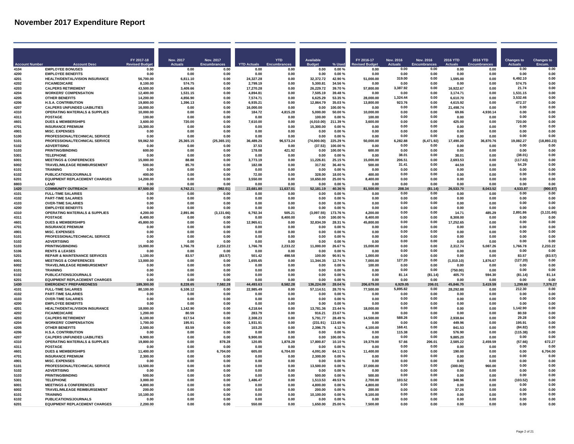|                      |                                                                   | FY 2017-18             | Nov. 2017         | Nov. 2017            |                       | <b>YTD</b>        | <b>Available</b>    |                        | FY 2016-17        | <b>Nov. 2016</b> | Nov. 2016           | 2016 YTD              | 2016 YTD          | Changes to          | <b>Changes to</b> |
|----------------------|-------------------------------------------------------------------|------------------------|-------------------|----------------------|-----------------------|-------------------|---------------------|------------------------|-------------------|------------------|---------------------|-----------------------|-------------------|---------------------|-------------------|
| <b>Account Numbe</b> | <b>Account Desc</b>                                               | <b>Revised Budg</b>    | <b>Actuals</b>    | <b>Encumbrances</b>  | <b>YTD Actuals</b>    |                   |                     | % Used                 | evised Budge      | <b>Actuals</b>   | <b>Encumbrances</b> |                       | Encumbranc        | <b>Actuals</b>      | Encum.            |
| 4104<br>4200         | <b>EMPLOYEE BONUSES</b><br><b>EMPLOYEE BENEFITS</b>               | 0.00<br>0.00           | 0.00<br>0.00      | 0.00<br>0.00         | 0.00<br>0.00          | 0.00<br>0.00      | 0.00<br>0.00        | 0.00%<br>0.00%         | 0.00<br>0.00      | 0.00<br>0.00     | 0.00<br>0.00        | 0.00<br>0.00          | 0.00<br>0.00      | 0.00<br>0.00        | 0.00<br>0.00      |
| 4201                 | HEALTH/DENTAL/VISION INSURANCE                                    | 56,700.00              | 6,811.10          | 0.00                 | 24,327.28             | 0.00              | 32.372.72           | 42.90%                 | 51,000.00         | 319.00           | 0.00                | 1,595.00              | 0.00              | 6.492.10            | 0.00              |
| 4202                 | <b>FICA/MEDICARE</b>                                              | 8 100 00               | 574 75            | n nn                 | 2.799.19              | 0.00              | 5 300 81            | 34.56%                 | 0.00              | 0.00             | 0.00                | n nr                  | <b>0.00</b>       | 57475               | 0.00              |
| 4203                 | <b>CALPERS RETIREMENT</b>                                         | 43.500.00              | 3.409.66          | 0.00                 | 17.270.28             | 0.00              | 26.229.72           | 39.70%                 | 57,800.00         | 3,387.92         | 0.00                | 16.922.67             | 0.00              | 21.74               | 0.00              |
| 4204                 | <b>WORKERS' COMPENSATION</b>                                      | 12.400.00              | 1.531.15          | 0.00                 | 4.894.81              | 0.00              | 7.505.19            | 39.48%                 | 0.00              | 0.00             | 0.00                | 3.174.71              | 0.00              | 1,531.15            | 0.00              |
| 4205                 | <b>OTHER BENEFITS</b>                                             | 14,200.00              | 4,856.90          | 0.00                 | 7,574.71              | 0.00              | 6,625.29            | 53.35%                 | 28,000.00         | 1.324.44         | 0.00                | 6,610.70              | 0.00              | 3.532.46            | 0.00              |
| 4206<br>4207         | <b>H.S.A. CONTRIBUTION</b><br><b>CALPERS UNFUNDED LIABILITIES</b> | 19,800.00<br>16.000.00 | 1,396.13<br>0.00  | 0.00<br>0.00         | 6,935.21<br>16,000.00 | 0.00<br>0.00      | 12,864.79<br>0.00   | 35.03%<br>100.00%      | 13,800.00<br>0.00 | 923.76<br>0.00   | 0.00<br>0.00        | 4,615.92<br>21,498.74 | 0.00<br>0.00      | 472.37<br>0.00      | 0.00<br>0.00      |
| 4310                 | <b>OPERATING MATERIALS &amp; SUPPLIES</b>                         | 10,000.00              | 0.00              | 0.00                 | 184.72                | 4,815.28          | 5,000.00            | 50.00 %                | 10,000.00         | 0.00             | 0.00                | 69.86                 | 4,930.14          | 0.00                | 0.00              |
| 4311                 | POSTAGE                                                           | 100.00                 | 0.00              | 0.00                 | 0.00                  | 0.00              | 100.00              | 0.00%                  | 100.00            | 0.00             | 0.00                | 0.00                  | 0.00              | 0.00                | 0.00              |
| 4601                 | <b>DUES &amp; MEMBERSHIPS</b>                                     | 3.600.00               | 720.00            | 0.00                 | 7.610.00              | 0.00              | (4.010.00)          | 211.39%                | 3.600.00          | 0.00             | 0.00                | 425.00                | 0.00              | 720.00              | 0.00              |
| 4701                 | <b>INSURANCE PREMIUM</b>                                          | 15,300.00              | 0.00              | 0.00                 | 0.00                  | 0.00              | 15.300.00           | $0.00 \%$              | 0.00              | 0.00             | 0.00                | 0.00                  | 0.00              | 0.00                | 0.00              |
| 4901                 | <b>MISC. EXPENSES</b>                                             | 0.00                   | 0.00              | 0.00                 | 0.00                  | 0.00              | 0.00                | 0.00%                  | 0.00              | 0.00<br>0.00     | 0.00<br>0.00        | 0.00                  | 0.00              | 0.00<br>0.00        | 0.00<br>0.00      |
| 5100<br>5101         | PROFESSIONAL/TECHNICAL SERVICE<br>PROFESSIONAL/TECHNICAL SERVICE  | 0.00<br>59,062.50      | 0.00<br>25,365.15 | 0.00<br>(25, 365.15) | 0.00<br>36,489.26     | 0.00<br>96,573.24 | 0.00<br>(74,000.00) | 0.00%<br>225.29%       | 0.00<br>50,000.00 | 6,282.88         | (6,471.92)          | 0.00<br>17,490.20     | 0.00<br>36,870.76 | 19,082.27           | (18, 893.23)      |
| 5102                 | <b>ADVERTISING</b>                                                | 0.00                   | 0.00              | 0.00                 | 37.53                 | 0.00              | (37.53)             | 100.00%                | 0.00              | 0.00             | 0.00                | 0.00                  | 0.00              | 0.00                | 0.00              |
| 5103                 | <b>PRINTING/BINDING</b>                                           | 600.00                 | 0.00              | 0.00                 | 178.08                | 421.92            | 0.00                | 100.00%                | 600.00            | 0.00             | 0.00                | 0.00                  | 0.00              | 0.00                | 0.00              |
| 5301                 | <b>TELEPHONE</b>                                                  | 0.00                   | 0.00              | 0.00                 | 0.00                  | 0.00              | 0.00                | 0.00%                  | 0.00              | 38.01            | 0.00                | 38.01                 | 0.00              | (38.01)             | 0.00              |
| 6001                 | <b>MEETINGS &amp; CONFERENCES</b>                                 | 15,000.00              | 88.88             | 0.00                 | 3.773.19              | 0.00              | 11.226.81           | 25.15%                 | 15,000.00         | 206.51           | 0.00                | 2.693.53              | 0.00              | (117.63)            | 0.00              |
| 6002                 | TRAVEL/MILEAGE REIMBURSEMENT                                      | 500.00                 | 85.70             | 0.00                 | 182.08                | 0.00              | 317.92              | 36.40%                 | 500.00            | 31.41<br>0.00    | 0.00<br>0.00        | 44.59                 | 0.00              | 54.29<br>0.00       | 0.00<br>0.00      |
| 6101<br>6102         | <b>TRAINING</b><br><b>PUBLICATIONS/JOURNALS</b>                   | 0.00<br>400.00         | 0.00<br>0.00      | 0.00<br>0.00         | 0.00<br>72.00         | 0.00<br>0.00      | 0.00<br>328.00      | $0.00 \%$<br>18.00%    | 0.00<br>400.00    | 0.00             | 0.00                | 0.00<br>0.00          | 0.00<br>0.00      | 0.00                | 0.00              |
| 6201                 | <b>EQUIPMENT REPLACEMENT CHARGES</b>                              | 14.200.00              | 0.00              | 0.00                 | 3.550.00              | 0.00              | 10,650.00           | 25.00%                 | 8,400.00          | 0.00             | 0.00                | 0.00                  | 0.00              | 0.00                | 0.00              |
| 8803                 | LAND                                                              | 0.00                   | 0.00              | 0.00                 | 0.00                  | 0.00              | 0.00                | 0.00%                  | 0.00              | 0.00             | 0.00                | 0.00                  | 0.00              | 0.00                | 0.00              |
| 1420                 | <b>COMMUNITY OUTREACH</b>                                         | 87.500.00              | 4.742.21          | 82.01)               | 23.681.80             | 11,637.01         | 52.181.19           | 0.36 %                 | 81.500.00         | 208.34           | (81.14)             | 533.70                | 8,043.52          | 533.87              | 00.87             |
| 4101                 | <b>FULL-TIME SALARIES</b>                                         | 0.00                   | 0.00              | 0.00                 | 0.00                  | 0.00              | 0.00                | 0.00%                  | 0.00              | 0.00             | 0.00                | 0.00                  | 0.00              | 0.00                | 0.00              |
| 4102<br>4103         | <b>PART-TIME SALARIES</b><br><b>OVER-TIME SALARIES</b>            | 0.00                   | 0.00<br>0.00      | 0.00<br>0.00         | 0.00                  | 0.00<br>0.00      | 0.00                | 0.00%<br>$0.00 \%$     | 0.00              | 0.00<br>0.00     | 0.00<br>0.00        | 0.00<br>0.00          | 0.00              | 0.00<br>0.00        | 0.00<br>0.00      |
| 4200                 | <b>EMPLOYEE BENEFITS</b>                                          | 0.00<br>0.00           | 0.00              | 0.00                 | 0.00<br>0.00          | 0.00              | 0.00<br>0.00        | 0.00%                  | 0.00<br>0.00      | 0.00             | 0.00                | 0.00                  | 0.00<br>0.00      | 0.00                | 0.00              |
| 4310                 | <b>OPERATING MATERIALS &amp; SUPPLIES</b>                         | 4.200.00               | 2.891.86          | (3, 131.66)          | 6.792.34              | 505.21            | (3,097.55)          | 173.76%                | 4.200.00          | 0.00             | 0.00                | 14.71                 | 485.29            | 2,891.86            | (3, 131.66)       |
| 4311                 | <b>POSTAGE</b>                                                    | 8,400.00               | 0.00              | 0.00                 | 0.00                  | 8,400.00          | 0.00                | 100.00%                | 8,400.00          | 0.00             | 0.00                | 8,308.00              | 0.00              | 0.00                | 0.00              |
| 4601                 | <b>DUES &amp; MEMBERSHIPS</b>                                     | 45,800.00              | 0.00              | 0.00                 | 12,965.61             | 0.00              | 32,834.39           | 28.31%                 | 45,800.00         | 0.00             | 0.00                | 17,252.65             | 0.00              | 0.00                | 0.00              |
| 4701                 | <b>INSURANCE PREMIUM</b>                                          | 0.00                   | 0.00              | 0.00                 | 0.00                  | 0.00              | 0.00                | 0.00%                  | 0.00              | 0.00             | 0.00                | 0.00                  | 0.00              | 0.00                | 0.00              |
| 4901<br>5101         | <b>MISC. EXPENSES</b>                                             | 0.00                   | 0.00              | 0.00                 | 0.00                  | 0.00              | 0.00                | 0.00%                  | 0.00<br>0.00      | 0.00<br>0.00     | 0.00<br>0.00        | 0.00                  | 0.00              | 0.00<br>0.00        | 0.00<br>0.00      |
| 5102                 | PROFESSIONAL/TECHNICAL SERVICE<br><b>ADVERTISING</b>              | 0.00<br>0.00           | 0.00<br>0.00      | 0.00<br>0.00         | 0.00<br>0.00          | 0.00<br>0.00      | 0.00<br>0.00        | 0.00%<br>$0.00 \%$     | 0.00              | 0.00             | 0.00                | 0.00<br>0.00          | 0.00<br>0.00      | 0.00                | 0.00              |
| 5103                 | <b>PRINTING/BINDING</b>                                           | 15,000.00              | 1,766.78          | 2 233 22             | 1.766.78              | 2.233.22          | 11.000.00           | 26.67%                 | 15,000.00         | 0.00             | 0.00                | 2.312.74              | 5.087.26          | 1.766.78            | 2.233.22          |
| 5106                 | <b>RENTS &amp; LEASES</b>                                         | 0.00                   | 0.00              | 0.00                 | 0.00                  | 0.00              | 0.00                | 0.00%                  | 0.00              | 0.00             | 0.00                | 0.00                  | 0.00              | 0.00                | 0.00              |
| 5201                 | <b>REPAIR &amp; MAINTENANCE SERVICES</b>                          | 1.100.00               | 83.57             | (83.57)              | 501.42                | 498.58            | 100.00              | 90.91%                 | 1.000.00          | 0.00             | 0.00                | 0.00                  | 0.00              | 83.57               | (83.57)           |
| 6001                 | <b>MEETINGS &amp; CONFERENCES</b>                                 | 13,000.00              | 0.00              | 0.00                 | 1,655.65              | 0.00              | 11,344.35           | 12.74%                 | 7,000.00          | 127.20           | 0.00                | (1,010.10)            | 1,876.67          | (127.20)<br>0.00    | 0.00              |
| 6002<br>6101         | TRAVEL/MILEAGE REIMBURSEMENT<br><b>TRAINING</b>                   | 0.00<br>0.00           | 0.00<br>0.00      | 0.00<br>0.00         | 0.00<br>0.00          | 0.00<br>0.00      | 0.00<br>0.00        | 0.00%<br>0.00%         | 100.00<br>0.00    | 0.00<br>0.00     | 0.00<br>0.00        | 0.00<br>(750.00)      | 0.00<br>0.00      | 0.00                | 0.00<br>0.00      |
| 6102                 | PUBLICATIONS/JOURNALS                                             | 0.00                   | 0.00              | 0.00                 | 0.00                  | 0.00              | 0.00                | $0.00 \%$              | 0.00              | 81.14            | (81.14)             | 405.70                | 594.30            | (81.14)             | 81.14             |
| 6201                 | <b>EQUIPMENT REPLACEMENT CHARGES</b>                              | 0.00                   | 0.00              | 0.00                 | 0.00                  | 0.00              | 0.00                | $0.00 \%$              | 0.00              | 0.00             | 0.00                | 0.00                  | 0.00              | 0.00                | 0.00              |
| 1430                 | <b>EMERGENCY PREPAREDNESS</b>                                     | 189.300.00             | 8.228.65          | ,582.28              | 44.493.63             | 8.582.28          | 136.224.09          | 28.04 %                | 206,679.00        | 6.929.05         | 206.01              | 45.846.75             | 3.419.59          | 1.299.60            | 7.376.2           |
| 4101                 | <b>FULL-TIME SALARIES</b>                                         | 80.100.00              | 6.108.12          | 0.00                 | 22.985.49             | 0.00              | 57.114.51           | 28.70%                 | 77.500.00         | 5,895.82         | 0.00                | 28.292.88             | 0.00              | 212.30              | 0.00              |
| 4102<br>4103         | <b>PART-TIME SALARIES</b><br><b>OVER-TIME SALARIES</b>            | 0.00                   | 0.00              | 0.00                 | 0.00                  | 0.00              | 0.00                | 0.00%                  | 0.00              | 0.00             | 0.00                | 0.00<br>0.00          | 0.00              | 0.00<br>0.00        | 0.00              |
| 4200                 | <b>EMPLOYEE BENEFITS</b>                                          | 0.00<br>0.00           | 0.00<br>0.00      | 0.00<br>0.00         | 0.00<br>0.00          | 0.00<br>0.00      | 0.00<br>0.00        | 0.00%<br>0.00%         | 0.00<br>0.00      | 0.00<br>0.00     | 0.00<br>0.00        | 0.00                  | 0.00<br>0.00      | 0.00                | 0.00<br>0.00      |
| 4201                 | HEALTH/DENTAL/VISION INSURANCE                                    | 18.000.00              | 1,142.90          | 0.00                 | 4.218.64              | 0.00              | 13,781.36           | 23.44 %                | 18.000.00         | 0.00             | 0.00                | 0.00                  | 0.00              | 1,142.90            | 0.00              |
| 4202                 | <b>FICA/MEDICARE</b>                                              | 1,200.00               | 80.59             | 0.00                 | 283.79                | 0.00              | 916.21              | 23.67%                 | 0.00              | 0.00             | 0.00                | 0.00                  | 0.00              | 80.59               | 0.00              |
| 4203                 | <b>CALPERS RETIREMENT</b>                                         | 8,100.00               | 617.54            | 0.00                 | 2.308.23              | 0.00              | 5,791.77            | 28.49%                 | 14,500.00         | 588.26           | 0.00                | 2,938.84              | 0.00              | 29.28               | 0.00              |
| 4204                 | <b>WORKERS' COMPENSATION</b>                                      | 1.700.00               | 195.91            | 0.00                 | 1.931.91              | 0.00              | (231.91)            | 113.65%                | 0.00              | 0.00             | 0.00                | 449.96                | 0.00              | 195.91              | 0.00              |
| 4205<br>4206         | <b>OTHER BENEFITS</b><br><b>H.S.A. CONTRIBUTION</b>               | 2.500.00<br>0.00       | 83.59<br>0.00     | 0.00<br>0.00         | 103.25<br>0.00        | 0.00<br>0.00      | 2,396.75<br>0.00    | 4.12%<br>$0.00 \%$     | 4.100.00<br>0.00  | 168.41<br>115.38 | 0.00<br>0.00        | 841.53<br>576.90      | 0.00<br>0.00      | (84.82)<br>(115.38) | 0.00<br>0.00      |
| 4207                 | <b>CALPERS UNFUNDED LIABILITIES</b>                               | 9,900.00               | 0.00              | 0.00                 | 9,900.00              | 0.00              | 0.00                | 100.00%                | 0.00              | 0.00             | 0.00                | 9,885.20              | 0.00              | 0.00                | 0.00              |
| 4310                 | <b>OPERATING MATERIALS &amp; SUPPLIES</b>                         | 19,800.00              | 0.00              | 878.28               | 120.85                | 1.878.28          | 17,800.87           | 10.10%                 | 19,379.00         | 57.66            | 206.01              | 2,585.22              | 2.459.59          | (57.66)             | 672.27            |
| 4311                 | <b>POSTAGE</b>                                                    | 0.00                   | 0.00              | 0.00                 | 0.00                  | 0.00              | 0.00                | 0.00%                  | 0.00              | 0.00             | 0.00                | 0.00                  | 0.00              | 0.00                | 0.00              |
| 4601                 | <b>DUES &amp; MEMBERSHIPS</b>                                     | 11,400.00              | 0.00              | 6,704.00             | 605.00                | 6,704.00          | 4,091.00            | 64.11%                 | 11,400.00         | 0.00             | 0.00                | 190.00                | 0.00              | 0.00                | 6,704.00          |
| 4701                 | <b>INSURANCE PREMIUM</b>                                          | 2,300.00               | 0.00              | 0.00                 | 0.00                  | 0.00              | 2,300.00            | 0.00%                  | 0.00              | 0.00             | 0.00                | 0.00                  | 0.00              | 0.00                | 0.00<br>0.00      |
| 4901<br>5101         | <b>MISC. EXPENSES</b><br>PROFESSIONAL/TECHNICAL SERVICE           | 0.00<br>13.500.00      | 0.00<br>0.00      | 0.00<br>0.00         | 0.00<br>0.00          | 0.00<br>0.00      | 0.00<br>13.500.00   | 0.00%<br>$0.00 \%$     | 0.00<br>37.000.00 | 0.00<br>0.00     | 0.00<br>0.00        | 0.00<br>(300.00)      | 0.00<br>960.00    | 0.00<br>0.00        | 0.00              |
| 5102                 | <b>ADVERTISING</b>                                                | 0.00                   | 0.00              | 0.00                 | 0.00                  | 0.00              | 0.00                | 0.00%                  | 0.00              | 0.00             | 0.00                | 0.00                  | 0.00              | 0.00                | 0.00              |
| 5103                 | PRINTING/BINDING                                                  | 500.00                 | 0.00              | 0.00                 | 0.00                  | 0.00              | 500.00              | 0.00%                  | 500.00            | 0.00             | 0.00                | 0.00                  | 0.00              | 0.00                | 0.00              |
| 5301                 | <b>TELEPHONE</b>                                                  | 3,000.00               | 0.00              | 0.00                 | 1,486.47              | 0.00              | 1,513.53            | 49.53%                 | 2,700.00          | 103.52           | 0.00                | 348.96                | 0.00              | (103.52)            | 0.00              |
| 6001                 | <b>MEETINGS &amp; CONFERENCES</b>                                 | 4.800.00               | 0.00              | 0.00                 | 0.00                  | 0.00              | 4.800.00            | 0.00%                  | 4.800.00          | 0.00             | 0.00                | 0.00                  | 0.00              | 0.00                | 0.00              |
| 6002                 | TRAVEL/MILEAGE REIMBURSEMENT                                      | 200.00                 | 0.00              | 0.00                 | 0.00                  | 0.00              | 200.00              | 0.00%                  | 200.00            | 0.00             | 0.00                | 37.26                 | 0.00              | 0.00                | 0.00              |
| 6101<br>6102         | <b>TRAINING</b><br>PUBLICATIONS/JOURNALS                          | 10.100.00<br>0.00      | 0.00<br>0.00      | 0.00<br>0.00         | 0.00<br>0.00          | 0.00<br>0.00      | 10.100.00<br>0.00   | $0.00 \%$<br>$0.00 \%$ | 9.100.00<br>0.00  | 0.00<br>0.00     | 0.00<br>0.00        | 0.00<br>0.00          | 0.00<br>0.00      | 0.00<br>0.00        | 0.00<br>0.00      |
| 6201                 | <b>EQUIPMENT REPLACEMENT CHARGES</b>                              | 2,200.00               | 0.00              | 0.00                 | 550.00                | 0.00              | 1.650.00            | 25.00%                 | 7.500.00          | 0.00             | 0.00                | 0.00                  | 0.00              | 0.00                | 0.00              |
|                      |                                                                   |                        |                   |                      |                       |                   |                     |                        |                   |                  |                     |                       |                   |                     |                   |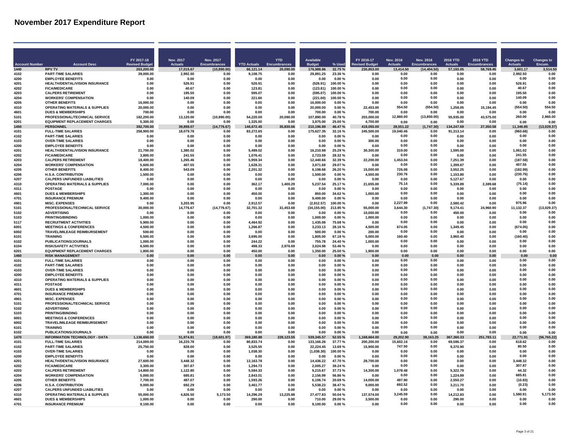| FY 2017-18<br>Nov. 2017<br>Nov. 2017<br><b>YTD</b><br><b>Available</b><br>FY 2016-17<br><b>Nov. 2016</b><br><b>2016 YTD</b><br>2016 YTD<br>Nov. 2016<br>Changes to<br><b>Changes to</b><br><b>Account Number</b><br><b>Account Desc</b><br><b>Revised Budge</b><br><b>Actuals</b><br><b>Encumbrances</b><br><b>YTD Actuals</b><br><b>Budget</b><br>% Used<br><b>Revised Budge</b><br><b>Actuals</b><br><b>Encumbrances</b><br><b>Actuals</b><br><b>Encumbrances</b><br><b>Actuals</b><br>Encum.<br>1440<br>(10, 890.00)<br>176.988.86<br>32.75%<br>230.853.00<br>(14, 404.50)<br>57,193.05<br>58.769.45<br>3,514.50<br><b>RPV TV</b><br>263.200.00<br>17,015.67<br>66.121.14<br>20,090.00<br>13.414.50<br>3,601.17<br>4102<br><b>PART-TIME SALARIES</b><br>39,000.00<br>2,992.50<br>9,108.75<br>0.00<br>29,891.25<br>23.36%<br>0.00<br>0.00<br>0.00<br>2.992.50<br>0.00<br>0.00<br>0.00<br>0.00<br>0.00<br>4200<br><b>EMPLOYEE BENEFITS</b><br>0.00<br>0.00<br>0.00<br>0.00<br>0.00<br>0.00%<br>0.00<br>0.00<br>0.00<br>0.00<br>0.00<br>0.00<br>0.00<br>HEALTH/DENTAL/VISION INSURANCE<br>(526.91)<br>526.91<br>0.00<br>4201<br>0.00<br>526.91<br>0.00<br>526.91<br>0.00<br>100.00%<br>0.00<br>0.00<br>0.00<br>0.00<br>0.00<br>0.00<br>0.00<br>40.67<br>0.00<br>4202<br><b>FICA/MEDICARE</b><br>0.00<br>(123.81)<br>0.00<br>40.67<br>n nn<br>123.81<br>100.00%<br>0.00<br>0.00<br>0.00<br>0.00<br>0.00<br>0.00<br>195.50<br>4203<br>CALPERS RETIREMENT<br>0.00<br>195.50<br>0.00<br>595.07<br>0.00<br>(595.07)<br>0.00<br>0.00<br>100.00%<br>0.00<br>4204<br><b>WORKERS' COMPENSATION</b><br>(221.60)<br>0.00<br>0.00<br>140.09<br>0.00<br>0.00<br>140.09<br>0.00<br>221.60<br>0.00<br>100.00%<br>0.00<br>0.00<br>0.00<br>4205<br><b>OTHER BENEFITS</b><br>16,000.00<br>0.00<br>0.00<br>16,000.00<br>0.00<br>0.00<br>0.00<br>0.00<br>0.00<br>0.00<br>0.00%<br>0.00<br>0.00<br>0.00<br>554.50<br>(554.50)<br>554.50<br>4310<br><b>OPERATING MATERIALS &amp; SUPPLIES</b><br>20.000.00<br>0.00<br>0.00<br>0.00<br>0.00<br>20.000.00<br>0.00%<br>22.453.00<br>1.258.05<br>15,194.45<br>(554.50)<br>0.00<br>0.00<br>0.00<br>0.00<br>4601<br><b>DUES &amp; MEMBERSHIPS</b><br>700.00<br>0.00<br>0.00<br>0.00<br>0.00<br>700.00<br>0.00%<br>700.00<br>0.00<br>0.00<br>PROFESSIONAL/TECHNICAL SERVICE<br>182,200.00<br>13,120.00<br>54,220.00<br>20,090.00<br>107,890.00<br>203,000.00<br>12,860.00<br>(13, 850.00)<br>55,935.00<br>43,575.00<br>260.00<br>2,960.00<br>5101<br>(10.890.00)<br>40.78%<br>6201<br><b>EQUIPMENT REPLACEMENT CHARGES</b><br>5,300.00<br>0.00<br>0.00<br>1.325.00<br>0.00<br>3,975.00<br>25.00 %<br>4.700.00<br>0.00<br>0.00<br>0.00<br>0.00<br>0.00<br>0.00<br>1450<br><b>PERSONNEL</b><br>392,700.00<br>39.898.07<br>(14, 776.67)<br>146.672.45<br>35,830.66<br>210.196.89<br>46.47%<br>419.055.00<br>28.551.22<br>(1,747.30)<br>134.247.69<br>27.350.58<br>11.346.85<br>(13,029.37)<br><b>FULL-TIME SALARIES</b><br>175,627.35<br>245,500.00<br>91,313.14<br>258.900.00<br>18.079.78<br>83.272.65<br>32.16%<br>19.040.46<br>(960.68)<br>0.00<br>4101<br>0.00<br>0.00<br>0.00<br>0.00<br>0.00<br><b>PART-TIME SALARIES</b><br>0.00<br>0.00<br>0.00<br>4102<br>0.00<br>0.00<br>0.00<br>0.00<br>0.00<br>0.00<br>0.00%<br>0.00<br>0.00<br>0.00<br>0.00<br>0.00<br>0.00<br>0.00<br>4103<br><b>OVER-TIME SALARIES</b><br>300.00<br>0.00<br>0.00<br>0.00<br>0.00<br>0.00<br>0.00<br>0.00%<br>0.00<br>0.00<br>4200<br><b>EMPLOYEE BENEFITS</b><br>0.00<br>0.00<br>0.00<br>0.00<br>0.00<br>0.00<br>0.00%<br>0.00<br>0.00<br>0.00<br>0.00<br>0.00<br>0.00<br>0.00<br>319.00<br>1,061.02<br>0.00<br>4201<br>HEALTH/DENTAL/VISION INSURANCE<br>21,700.00<br>1,380.02<br>0.00<br>5,489.02<br>0.00<br>16,210.98<br>25.29%<br>30,300.00<br>0.00<br>1,595.00<br>0.00<br>0.00<br>2,723.59<br>0.00<br>241.55<br>0.00<br>4202<br><b>FICA/MEDICARE</b><br>3.800.00<br>241.55<br>0.00<br>1.076.41<br>28.32 %<br>0.00<br>0.00<br>0.00<br>0.00<br><b>CALPERS RETIREMENT</b><br>1,265.46<br>5,959.34<br>0.00<br>12,440.66<br>22,200.00<br>1,453.04<br>0.00<br>7,251.39<br>0.00<br>(187.58)<br>0.00<br>4203<br>18,400.00<br>0.00<br>32.39 %<br>0.00<br>4204<br><b>WORKERS' COMPENSATION</b><br>5,600.00<br>407.55<br>0.00<br>1,628.31<br>0.00<br>3,971.69<br>29.07%<br>0.00<br>0.00<br>1,399.87<br>0.00<br>407.55<br>0.00<br>726.08<br>0.00<br>0.00<br>3,552.25<br>(182.99)<br>4205<br><b>OTHER BENEFITS</b><br>8.400.00<br>543.09<br>0.00<br>2.201.32<br>0.00<br>6.198.68<br>26.20%<br>15.000.00<br>0.00<br>230.76<br>0.00<br>(230.76)<br>0.00<br><b>H.S.A. CONTRIBUTION</b><br>0.00<br>1.153.80<br>4206<br>1.500.00<br>0.00<br>0.00<br>0.00<br>1.500.00<br>0.00%<br>4.500.00<br>0.00<br><b>CALPERS UNFUNDED LIABILITIES</b><br>0.00<br>0.00<br>4207<br>0.00<br>0.00<br>0.00<br>0.00<br>0.00%<br>5.127.67<br>0.00<br>0.00<br>0.00<br>0.00<br>0.00<br>0.00<br>4310<br><b>OPERATING MATERIALS &amp; SUPPLIES</b><br>7.000.00<br>362.17<br>1.400.29<br>5.237.54<br>21.655.00<br>75.14<br>0.00<br>5.339.89<br>(75.14)<br>0.00<br>0.00<br>0.00<br>25.17%<br>2.389.68<br>4311<br>0.00<br>0.00<br>0.00<br>0.00<br>0.00<br><b>POSTAGE</b><br>0.00<br>0.00<br>0.00<br>0.00%<br>0.00<br>0.00<br>0.00<br>0.00<br>0.00<br>0.00<br>0.00<br>0.00<br>0.00<br>4601<br><b>DUES &amp; MEMBERSHIPS</b><br>1.300.00<br>0.00<br>0.00<br>450.00<br>0.00<br>850.00<br>34.62%<br>1,000.00<br>0.00<br>0.00<br>0.00<br>0.00<br>0.00<br>0.00<br>4701<br><b>INSURANCE PREMIUM</b><br>9.400.00<br>0.00<br>0.00<br>0.00<br>0.00<br>9.400.00<br>0.00%<br>0.00<br>0.00<br>0.00<br>4901<br><b>MISC. EXPENSES</b><br>3,203.95<br>0.00<br>2,912.57<br>0.00<br>(2,912.57)<br>100.00%<br>0.00<br>2,227.99<br>0.00<br>2,580.42<br>0.00<br>975.96<br>0.00<br>0.00<br>(13,029.37)<br>5101<br>PROFESSIONAL/TECHNICAL SERVICE<br>30,000.00<br>14,776.67<br>(14, 776.67)<br>32,701.32<br>31,453.68<br>(34, 155.00)<br>213.85%<br>55.000.00<br>3.644.30<br>(1,747.30)<br>9,174.41<br>24,960.90<br>11,132.37<br>0.00<br>0.00<br>5102<br><b>ADVERTISING</b><br>0.00<br>0.00<br>0.00<br>0.00<br>0.00<br>$0.00 \%$<br>10.000.00<br>0.00<br>450.00<br>0.00<br>0.00<br>0.00<br>0.00<br>0.00<br>0.00<br>0.00<br><b>PRINTING/BINDING</b><br>1.000.00<br>1.000.00<br>1.000.00<br>5103<br>0.00<br>0.00<br>0.00<br>0.00<br>$0.00 \%$<br>0.00<br>0.00<br>0.00<br><b>RECRUITMENT ACTIVITIES</b><br>1,435.08<br>0.00<br>0.00<br>0.00<br>5117<br>5.900.00<br>0.00<br>0.00<br>4.464.92<br>75.68%<br>0.00<br>0.00<br>0.00<br>0.00<br><b>MEETINGS &amp; CONFERENCES</b><br>4,500.00<br>0.00<br>0.00<br>1,266.87<br>3,233.13<br>4,500.00<br>674.05<br>0.00<br>1,349.45<br>(674.05)<br>0.00<br>6001<br>0.00<br>28.16%<br>0.00<br>6002<br>TRAVEL/MILEAGE REIMBURSEMENT<br>0.00<br>0.00<br>0.00<br>500.00<br>0.00%<br>200.00<br>0.00<br>0.00<br>0.00<br>0.00<br>0.00<br>500.00<br>0.00<br>0.00<br>6101<br><b>TRAINING</b><br>5,500.00<br>0.00<br>0.00<br>3,695.00<br>0.00<br>1,805.00<br>67.18%<br>5,000.00<br>160.40<br>0.00<br>3,960.40<br>0.00<br>(160.40)<br>0.00<br>PUBLICATIONS/JOURNALS<br>0.00<br>0.00<br>0.00<br>0.00<br>0.00<br>6102<br>1.000.00<br>0.00<br>0.00<br>244.22<br>755.78<br>24.40 %<br>1.000.00<br>0.00<br>0.00<br><b>RISK/SAFETY ACTIVITIES</b><br>0.00<br>0.00<br>2,976.69<br>3,024.98<br>53.46%<br>0.00<br>0.00<br>0.00<br>0.00<br>0.00<br>6104<br>6.500.00<br>498.33<br>0.00<br>0.00<br>6201<br><b>EQUIPMENT REPLACEMENT CHARGES</b><br>1,800.00<br>0.00<br>0.00<br>450.00<br>0.00<br>1,350.00<br>25.00 %<br>1.900.00<br>0.00<br>0.00<br>0.00<br>0.00<br>0.00<br>0.00<br>1460<br><b>RISK MANAGEMENT</b><br>0.00<br>0.00<br>0.00<br>0.00<br>0.00<br>0.00<br>0.00%<br>0.00<br>0.00<br>0.00<br>0.00<br>0.00<br>0.00<br>0.00<br>0.00<br><b>FULL-TIME SALARIES</b><br>0.00<br>0.00<br>0.00<br>4101<br>0.00<br>0.00<br>0.00<br>0.00<br>0.00<br>0.00<br>0.00%<br>0.00<br>0.00<br>0.00<br><b>PART-TIME SALARIES</b><br>0.00<br>0.00<br>0.00<br>0.00<br>4102<br>0.00<br>0.00<br>0.00<br>0.00<br>0.00<br>0.00<br>0.00<br>0.00<br>0.00%<br>0.00<br><b>OVER-TIME SALARIES</b><br>0.00<br>0.00<br>0.00<br>0.00<br>4103<br>0.00<br>0.00<br>0.00<br>0.00<br>0.00<br>0.00<br>0.00%<br>0.00<br>0.00<br>0.00<br>4200<br><b>EMPLOYEE BENEFITS</b><br>0.00<br>0.00<br>0.00<br>0.00<br>0.00<br>0.00<br>0.00%<br>0.00<br>0.00<br>0.00<br>0.00<br>0.00<br>0.00<br>0.00<br>0.00<br>0.00<br>0.00<br>0.00<br>4310<br><b>OPERATING MATERIALS &amp; SUPPLIES</b><br>0.00<br>0.00<br>0.00<br>0.00<br>0.00<br>0.00<br>0.00%<br>0.00<br>0.00<br>0.00<br>0.00<br>0.00<br>0.00<br>0.00<br>4311<br><b>POSTAGE</b><br>0.00<br>0.00<br>0.00<br>0.00<br>0.00<br>0.00<br>0.00%<br>0.00<br>0.00<br>0.00<br>4601<br><b>DUES &amp; MEMBERSHIPS</b><br>0.00<br>0.00<br>0.00<br>0.00<br>0.00<br>0.00<br>0.00%<br>0.00<br>0.00<br>0.00<br>0.00<br>0.00<br>0.00<br>0.00<br>0.00<br>4701<br><b>INSURANCE PREMIUM</b><br>0.00<br>0.00<br>0.00<br>0.00<br>0.00<br>0.00<br>0.00%<br>0.00<br>0.00<br>0.00<br>0.00<br>0.00<br>0.00<br>0.00<br>0.00<br>0.00<br>0.00<br>4901<br><b>MISC. EXPENSES</b><br>0.00<br>0.00<br>0.00<br>0.00<br>0.00<br>0.00<br>0.00%<br>0.00<br>0.00<br>0.00<br>0.00<br>PROFESSIONAL/TECHNICAL SERVICE<br>0.00<br>0.00<br>0.00<br>5101<br>0.00<br>0.00<br>0.00<br>0.00<br>0.00<br>0.00<br>0.00<br>0.00<br>0.00<br>0.00%<br>0.00<br>0.00<br>0.00<br>0.00<br><b>ADVERTISING</b><br>0.00<br>0.00<br>0.00<br>0.00<br>0.00<br>0.00<br>0.00%<br>0.00<br>0.00<br>0.00<br>5102<br>PRINTING/BINDING<br>0.00<br>0.00<br>0.00<br>0.00<br>0.00<br>0.00<br>0.00<br>0.00<br>0.00<br>5103<br>0.00<br>0.00<br>0.00<br>0.00%<br>0.00<br><b>MEETINGS &amp; CONFERENCES</b><br>0.00<br>0.00<br>0.00<br>0.00<br>0.00<br>0.00<br>0.00%<br>0.00<br>0.00<br>0.00<br>0.00<br>0.00<br>0.00<br>0.00<br>6001<br>TRAVEL/MILEAGE REIMBURSEMENT<br>6002<br>0.00<br>0.00<br>0.00<br>0.00<br>0.00<br>0.00<br>0.00%<br>0.00<br>0.00<br>0.00<br>0.00<br>0.00<br>0.00<br>0.00<br>0.00<br>0.00<br>0.00<br>0.00<br>0.00<br>0.00<br>6101<br><b>TRAINING</b><br>0.00<br>0.00<br>0.00<br>0.00<br>0.00%<br>0.00<br>0.00<br>0.00<br>PUBLICATIONS/JOURNALS<br>0.00<br>0.00<br>0.00<br>0.00<br>0.00<br>0.00<br>0.00<br>0.00<br>0.00<br>0.00<br>6102<br>0.00<br>0.00<br>0.00%<br>0.00<br>(56, 765.22)<br>1470<br><b>INFORMATION TECHNOLOGY - DATA</b><br>1,136,650.00<br>51,974.81<br>(18,601.97)<br>369,180.88<br>228,123.55<br>539,345.57<br>52.55 %<br>1,168,664.00<br>29.202.90<br>38,163.25<br>367,360.33<br>251,783.11<br>22,771.91<br>15.602.16<br>618.62<br>0.00<br>4101<br><b>FULL-TIME SALARIES</b><br>214.000.00<br>16,220.78<br>0.00<br>80.833.74<br>0.00<br>133.166.26<br>37.77%<br>200.200.00<br>0.00<br>69.586.37<br>0.00<br><b>PART-TIME SALARIES</b><br>3.525.55<br>747.50<br>9.370.90<br>80.50<br>0.00<br>4102<br>25.750.00<br>828.00<br>0.00<br>22.224.45<br>13.69%<br>15.900.00<br>0.00<br>0.00<br>0.00<br>0.00<br>0.00<br>0.00<br>0.00<br>4103<br><b>OVER-TIME SALARIES</b><br>0.00<br>1.038.30<br>(1,038.30)<br>0.00<br>0.00<br>0.00<br>100.00%<br>0.00<br>0.00<br>0.00<br>0.00<br>0.00<br>0.00<br>0.00<br>4200<br><b>EMPLOYEE BENEFITS</b><br>0.00<br>0.00<br>0.00%<br>0.00<br>0.00<br>0.00<br>0.00<br>0.00<br>0.00<br>0.00<br>0.00<br>0.00<br>4201<br>HEALTH/DENTAL/VISION INSURANCE<br>27,600.00<br>3,448.32<br>0.00<br>13,163.78<br>0.00<br>14,436.22<br>47.70%<br>28,700.00<br>0.00<br>0.00<br>0.00<br>3.448.32<br>0.00<br>307.87<br>0.00<br>4202<br><b>FICA/MEDICARE</b><br>3.300.00<br>307.87<br>0.00<br>1,294.73<br>0.00<br>2.005.27<br>39.24 %<br>0.00<br>0.00<br>0.00<br>0.00<br>4203<br><b>CALPERS RETIREMENT</b><br>14,800.00<br>1,122.80<br>0.00<br>5,584.33<br>0.00<br>9,215.67<br>37.73%<br>14,300.00<br>1,078.48<br>0.00<br>5,322.79<br>0.00<br>0.00<br>44.32<br>4204<br><b>WORKERS' COMPENSATION</b><br>5,000.00<br>685.81<br>0.00<br>2,843.01<br>0.00<br>2,156.99<br>56.86%<br>0.00<br>0.00<br>1,224.89<br>0.00<br>685.81<br>0.00<br>0.00<br>0.00<br>4205<br><b>OTHER BENEFITS</b><br>7,700.00<br>487.07<br>0.00<br>1,593.26<br>0.00<br>6,106.74<br>20.69%<br>14,000.00<br>497.90<br>0.00<br>2.550.27<br>0.00<br>(10.83)<br>692.52<br>0.00<br>3.461.77<br>0.00<br>(0.23)<br>4206<br><b>H.S.A. CONTRIBUTION</b><br>9,000.00<br>692.29<br>0.00<br>0.00<br>5.538.23<br>38.47%<br>9.000.00<br>3.211.70<br>0.00<br>0.00<br>0.00<br>0.00<br><b>CALPERS UNFUNDED LIABILITIES</b><br>0.00<br>4207<br>0.00<br>0.00<br>0.00<br>0.00<br>0.00<br>0.00<br>0.00 %<br>0.00<br>0.0C<br>0.00<br><b>OPERATING MATERIALS &amp; SUPPLIES</b><br>13.225.88<br>27.477.83<br>137.574.00<br>3.245.59<br>14.212.83<br>1.580.91<br>5.173.50<br>4310<br>55.000.00<br>4.826.50<br>5.173.50<br>14.296.29<br>50.04%<br>0.00<br>0.00<br><b>DUES &amp; MEMBERSHIPS</b><br>29.00%<br>3,500.00<br>0.00<br>0.00<br>0.00<br>0.00<br>0.00<br>4601<br>1.000.00<br>0.00<br>290.00<br>0.00<br>710.00<br>290.00<br>0.00<br>4701<br><b>INSURANCE PREMIUM</b><br>0.00<br>9,100.00<br>0.00%<br>0.00<br>0.00<br>0.00<br>0.00<br>0.00<br>9.100.00<br>0.00<br>0.00<br>0.00<br>0.00<br>0.00 |  |  |  |  |  |  |  |  |
|--------------------------------------------------------------------------------------------------------------------------------------------------------------------------------------------------------------------------------------------------------------------------------------------------------------------------------------------------------------------------------------------------------------------------------------------------------------------------------------------------------------------------------------------------------------------------------------------------------------------------------------------------------------------------------------------------------------------------------------------------------------------------------------------------------------------------------------------------------------------------------------------------------------------------------------------------------------------------------------------------------------------------------------------------------------------------------------------------------------------------------------------------------------------------------------------------------------------------------------------------------------------------------------------------------------------------------------------------------------------------------------------------------------------------------------------------------------------------------------------------------------------------------------------------------------------------------------------------------------------------------------------------------------------------------------------------------------------------------------------------------------------------------------------------------------------------------------------------------------------------------------------------------------------------------------------------------------------------------------------------------------------------------------------------------------------------------------------------------------------------------------------------------------------------------------------------------------------------------------------------------------------------------------------------------------------------------------------------------------------------------------------------------------------------------------------------------------------------------------------------------------------------------------------------------------------------------------------------------------------------------------------------------------------------------------------------------------------------------------------------------------------------------------------------------------------------------------------------------------------------------------------------------------------------------------------------------------------------------------------------------------------------------------------------------------------------------------------------------------------------------------------------------------------------------------------------------------------------------------------------------------------------------------------------------------------------------------------------------------------------------------------------------------------------------------------------------------------------------------------------------------------------------------------------------------------------------------------------------------------------------------------------------------------------------------------------------------------------------------------------------------------------------------------------------------------------------------------------------------------------------------------------------------------------------------------------------------------------------------------------------------------------------------------------------------------------------------------------------------------------------------------------------------------------------------------------------------------------------------------------------------------------------------------------------------------------------------------------------------------------------------------------------------------------------------------------------------------------------------------------------------------------------------------------------------------------------------------------------------------------------------------------------------------------------------------------------------------------------------------------------------------------------------------------------------------------------------------------------------------------------------------------------------------------------------------------------------------------------------------------------------------------------------------------------------------------------------------------------------------------------------------------------------------------------------------------------------------------------------------------------------------------------------------------------------------------------------------------------------------------------------------------------------------------------------------------------------------------------------------------------------------------------------------------------------------------------------------------------------------------------------------------------------------------------------------------------------------------------------------------------------------------------------------------------------------------------------------------------------------------------------------------------------------------------------------------------------------------------------------------------------------------------------------------------------------------------------------------------------------------------------------------------------------------------------------------------------------------------------------------------------------------------------------------------------------------------------------------------------------------------------------------------------------------------------------------------------------------------------------------------------------------------------------------------------------------------------------------------------------------------------------------------------------------------------------------------------------------------------------------------------------------------------------------------------------------------------------------------------------------------------------------------------------------------------------------------------------------------------------------------------------------------------------------------------------------------------------------------------------------------------------------------------------------------------------------------------------------------------------------------------------------------------------------------------------------------------------------------------------------------------------------------------------------------------------------------------------------------------------------------------------------------------------------------------------------------------------------------------------------------------------------------------------------------------------------------------------------------------------------------------------------------------------------------------------------------------------------------------------------------------------------------------------------------------------------------------------------------------------------------------------------------------------------------------------------------------------------------------------------------------------------------------------------------------------------------------------------------------------------------------------------------------------------------------------------------------------------------------------------------------------------------------------------------------------------------------------------------------------------------------------------------------------------------------------------------------------------------------------------------------------------------------------------------------------------------------------------------------------------------------------------------------------------------------------------------------------------------------------------------------------------------------------------------------------------------------------------------------------------------------------------------------------------------------------------------------------------------------------------------------------------------------------------------------------------------------------------------------------------------------------------------------------------------------------------------------------------------------------------------------------------------------------------------------------------------------------------------------------------------------------------------------------------------------------------------------------------------------------------------------------------------------------------------------------------------------------------------------------------------------------------------------------------------------------------------------------------------------------------------------------------------------------------------------------------------------------------------------------------------------------------------------------------------------------------------------------------------------------------------------------------------------------------------------------------------------------------------------------------------------------------------------------------------------------------------------------------------------------------------------------------------------------------------------------------------------------------------------------------------------------------------------------------------------------------------------------------------------------------------------------------------------------------------------------------------------------------------------------------------------------------------------------------------------------------------------------------------------------------------------------------------------------------------------------------------------------------------------------------------------------------------------------------------------------------------------------------------------------------------------------------------------------------------------------------------------------------------------------------------------------------------------------------------------------------------------------------------------------------------------------------------------------------------------------------------------------------------------------------------------------------------------------------------------------------------------------------------------------------------------------------------------------------------------------------------------------------------------------------------------------------------------------------------------------------------------------------------------------------------------------------------------------------------------------------------------------------------------------------------------------------------------------------------------------------------------------------------------------------------------------------------------------------------------------------------------------------------------------------------------------------------------------------------------------------------------------------------------------------------------------------------------------------------------------------------------------------------------------------------------------------------------------------------------------------------------------------------------------------------------------------------------------------------------------------------------------------------------------------------------------------------------------------------------------------------------------------------------------------------------------------------------------------------------------------------------------|--|--|--|--|--|--|--|--|
|                                                                                                                                                                                                                                                                                                                                                                                                                                                                                                                                                                                                                                                                                                                                                                                                                                                                                                                                                                                                                                                                                                                                                                                                                                                                                                                                                                                                                                                                                                                                                                                                                                                                                                                                                                                                                                                                                                                                                                                                                                                                                                                                                                                                                                                                                                                                                                                                                                                                                                                                                                                                                                                                                                                                                                                                                                                                                                                                                                                                                                                                                                                                                                                                                                                                                                                                                                                                                                                                                                                                                                                                                                                                                                                                                                                                                                                                                                                                                                                                                                                                                                                                                                                                                                                                                                                                                                                                                                                                                                                                                                                                                                                                                                                                                                                                                                                                                                                                                                                                                                                                                                                                                                                                                                                                                                                                                                                                                                                                                                                                                                                                                                                                                                                                                                                                                                                                                                                                                                                                                                                                                                                                                                                                                                                                                                                                                                                                                                                                                                                                                                                                                                                                                                                                                                                                                                                                                                                                                                                                                                                                                                                                                                                                                                                                                                                                                                                                                                                                                                                                                                                                                                                                                                                                                                                                                                                                                                                                                                                                                                                                                                                                                                                                                                                                                                                                                                                                                                                                                                                                                                                                                                                                                                                                                                                                                                                                                                                                                                                                                                                                                                                                                                                                                                                                                                                                                                                                                                                                                                                                                                                                                                                                                                                                                                                                                                                                                                                                                                                                                                                                                                                                                                                                                                                                                                                                                                                                                                                                                                                                                                                                                                                                                                                                                                                                                                                                                                                                                                                                                                                                                                                                                                                                                                                                                                                                                                                                                                                                                                                                                                                                                                                                                                                                                                                                                                                                                                                                                                                                                                                                                                                                                                                                                                                                                                                                                                                                                                                                                                                                                                                                                                                                                                                                                                                                                                                                                                                                                                    |  |  |  |  |  |  |  |  |
|                                                                                                                                                                                                                                                                                                                                                                                                                                                                                                                                                                                                                                                                                                                                                                                                                                                                                                                                                                                                                                                                                                                                                                                                                                                                                                                                                                                                                                                                                                                                                                                                                                                                                                                                                                                                                                                                                                                                                                                                                                                                                                                                                                                                                                                                                                                                                                                                                                                                                                                                                                                                                                                                                                                                                                                                                                                                                                                                                                                                                                                                                                                                                                                                                                                                                                                                                                                                                                                                                                                                                                                                                                                                                                                                                                                                                                                                                                                                                                                                                                                                                                                                                                                                                                                                                                                                                                                                                                                                                                                                                                                                                                                                                                                                                                                                                                                                                                                                                                                                                                                                                                                                                                                                                                                                                                                                                                                                                                                                                                                                                                                                                                                                                                                                                                                                                                                                                                                                                                                                                                                                                                                                                                                                                                                                                                                                                                                                                                                                                                                                                                                                                                                                                                                                                                                                                                                                                                                                                                                                                                                                                                                                                                                                                                                                                                                                                                                                                                                                                                                                                                                                                                                                                                                                                                                                                                                                                                                                                                                                                                                                                                                                                                                                                                                                                                                                                                                                                                                                                                                                                                                                                                                                                                                                                                                                                                                                                                                                                                                                                                                                                                                                                                                                                                                                                                                                                                                                                                                                                                                                                                                                                                                                                                                                                                                                                                                                                                                                                                                                                                                                                                                                                                                                                                                                                                                                                                                                                                                                                                                                                                                                                                                                                                                                                                                                                                                                                                                                                                                                                                                                                                                                                                                                                                                                                                                                                                                                                                                                                                                                                                                                                                                                                                                                                                                                                                                                                                                                                                                                                                                                                                                                                                                                                                                                                                                                                                                                                                                                                                                                                                                                                                                                                                                                                                                                                                                                                                                                                                    |  |  |  |  |  |  |  |  |
|                                                                                                                                                                                                                                                                                                                                                                                                                                                                                                                                                                                                                                                                                                                                                                                                                                                                                                                                                                                                                                                                                                                                                                                                                                                                                                                                                                                                                                                                                                                                                                                                                                                                                                                                                                                                                                                                                                                                                                                                                                                                                                                                                                                                                                                                                                                                                                                                                                                                                                                                                                                                                                                                                                                                                                                                                                                                                                                                                                                                                                                                                                                                                                                                                                                                                                                                                                                                                                                                                                                                                                                                                                                                                                                                                                                                                                                                                                                                                                                                                                                                                                                                                                                                                                                                                                                                                                                                                                                                                                                                                                                                                                                                                                                                                                                                                                                                                                                                                                                                                                                                                                                                                                                                                                                                                                                                                                                                                                                                                                                                                                                                                                                                                                                                                                                                                                                                                                                                                                                                                                                                                                                                                                                                                                                                                                                                                                                                                                                                                                                                                                                                                                                                                                                                                                                                                                                                                                                                                                                                                                                                                                                                                                                                                                                                                                                                                                                                                                                                                                                                                                                                                                                                                                                                                                                                                                                                                                                                                                                                                                                                                                                                                                                                                                                                                                                                                                                                                                                                                                                                                                                                                                                                                                                                                                                                                                                                                                                                                                                                                                                                                                                                                                                                                                                                                                                                                                                                                                                                                                                                                                                                                                                                                                                                                                                                                                                                                                                                                                                                                                                                                                                                                                                                                                                                                                                                                                                                                                                                                                                                                                                                                                                                                                                                                                                                                                                                                                                                                                                                                                                                                                                                                                                                                                                                                                                                                                                                                                                                                                                                                                                                                                                                                                                                                                                                                                                                                                                                                                                                                                                                                                                                                                                                                                                                                                                                                                                                                                                                                                                                                                                                                                                                                                                                                                                                                                                                                                                                                                    |  |  |  |  |  |  |  |  |
|                                                                                                                                                                                                                                                                                                                                                                                                                                                                                                                                                                                                                                                                                                                                                                                                                                                                                                                                                                                                                                                                                                                                                                                                                                                                                                                                                                                                                                                                                                                                                                                                                                                                                                                                                                                                                                                                                                                                                                                                                                                                                                                                                                                                                                                                                                                                                                                                                                                                                                                                                                                                                                                                                                                                                                                                                                                                                                                                                                                                                                                                                                                                                                                                                                                                                                                                                                                                                                                                                                                                                                                                                                                                                                                                                                                                                                                                                                                                                                                                                                                                                                                                                                                                                                                                                                                                                                                                                                                                                                                                                                                                                                                                                                                                                                                                                                                                                                                                                                                                                                                                                                                                                                                                                                                                                                                                                                                                                                                                                                                                                                                                                                                                                                                                                                                                                                                                                                                                                                                                                                                                                                                                                                                                                                                                                                                                                                                                                                                                                                                                                                                                                                                                                                                                                                                                                                                                                                                                                                                                                                                                                                                                                                                                                                                                                                                                                                                                                                                                                                                                                                                                                                                                                                                                                                                                                                                                                                                                                                                                                                                                                                                                                                                                                                                                                                                                                                                                                                                                                                                                                                                                                                                                                                                                                                                                                                                                                                                                                                                                                                                                                                                                                                                                                                                                                                                                                                                                                                                                                                                                                                                                                                                                                                                                                                                                                                                                                                                                                                                                                                                                                                                                                                                                                                                                                                                                                                                                                                                                                                                                                                                                                                                                                                                                                                                                                                                                                                                                                                                                                                                                                                                                                                                                                                                                                                                                                                                                                                                                                                                                                                                                                                                                                                                                                                                                                                                                                                                                                                                                                                                                                                                                                                                                                                                                                                                                                                                                                                                                                                                                                                                                                                                                                                                                                                                                                                                                                                                                                                    |  |  |  |  |  |  |  |  |
|                                                                                                                                                                                                                                                                                                                                                                                                                                                                                                                                                                                                                                                                                                                                                                                                                                                                                                                                                                                                                                                                                                                                                                                                                                                                                                                                                                                                                                                                                                                                                                                                                                                                                                                                                                                                                                                                                                                                                                                                                                                                                                                                                                                                                                                                                                                                                                                                                                                                                                                                                                                                                                                                                                                                                                                                                                                                                                                                                                                                                                                                                                                                                                                                                                                                                                                                                                                                                                                                                                                                                                                                                                                                                                                                                                                                                                                                                                                                                                                                                                                                                                                                                                                                                                                                                                                                                                                                                                                                                                                                                                                                                                                                                                                                                                                                                                                                                                                                                                                                                                                                                                                                                                                                                                                                                                                                                                                                                                                                                                                                                                                                                                                                                                                                                                                                                                                                                                                                                                                                                                                                                                                                                                                                                                                                                                                                                                                                                                                                                                                                                                                                                                                                                                                                                                                                                                                                                                                                                                                                                                                                                                                                                                                                                                                                                                                                                                                                                                                                                                                                                                                                                                                                                                                                                                                                                                                                                                                                                                                                                                                                                                                                                                                                                                                                                                                                                                                                                                                                                                                                                                                                                                                                                                                                                                                                                                                                                                                                                                                                                                                                                                                                                                                                                                                                                                                                                                                                                                                                                                                                                                                                                                                                                                                                                                                                                                                                                                                                                                                                                                                                                                                                                                                                                                                                                                                                                                                                                                                                                                                                                                                                                                                                                                                                                                                                                                                                                                                                                                                                                                                                                                                                                                                                                                                                                                                                                                                                                                                                                                                                                                                                                                                                                                                                                                                                                                                                                                                                                                                                                                                                                                                                                                                                                                                                                                                                                                                                                                                                                                                                                                                                                                                                                                                                                                                                                                                                                                                                                                    |  |  |  |  |  |  |  |  |
|                                                                                                                                                                                                                                                                                                                                                                                                                                                                                                                                                                                                                                                                                                                                                                                                                                                                                                                                                                                                                                                                                                                                                                                                                                                                                                                                                                                                                                                                                                                                                                                                                                                                                                                                                                                                                                                                                                                                                                                                                                                                                                                                                                                                                                                                                                                                                                                                                                                                                                                                                                                                                                                                                                                                                                                                                                                                                                                                                                                                                                                                                                                                                                                                                                                                                                                                                                                                                                                                                                                                                                                                                                                                                                                                                                                                                                                                                                                                                                                                                                                                                                                                                                                                                                                                                                                                                                                                                                                                                                                                                                                                                                                                                                                                                                                                                                                                                                                                                                                                                                                                                                                                                                                                                                                                                                                                                                                                                                                                                                                                                                                                                                                                                                                                                                                                                                                                                                                                                                                                                                                                                                                                                                                                                                                                                                                                                                                                                                                                                                                                                                                                                                                                                                                                                                                                                                                                                                                                                                                                                                                                                                                                                                                                                                                                                                                                                                                                                                                                                                                                                                                                                                                                                                                                                                                                                                                                                                                                                                                                                                                                                                                                                                                                                                                                                                                                                                                                                                                                                                                                                                                                                                                                                                                                                                                                                                                                                                                                                                                                                                                                                                                                                                                                                                                                                                                                                                                                                                                                                                                                                                                                                                                                                                                                                                                                                                                                                                                                                                                                                                                                                                                                                                                                                                                                                                                                                                                                                                                                                                                                                                                                                                                                                                                                                                                                                                                                                                                                                                                                                                                                                                                                                                                                                                                                                                                                                                                                                                                                                                                                                                                                                                                                                                                                                                                                                                                                                                                                                                                                                                                                                                                                                                                                                                                                                                                                                                                                                                                                                                                                                                                                                                                                                                                                                                                                                                                                                                                                                                    |  |  |  |  |  |  |  |  |
|                                                                                                                                                                                                                                                                                                                                                                                                                                                                                                                                                                                                                                                                                                                                                                                                                                                                                                                                                                                                                                                                                                                                                                                                                                                                                                                                                                                                                                                                                                                                                                                                                                                                                                                                                                                                                                                                                                                                                                                                                                                                                                                                                                                                                                                                                                                                                                                                                                                                                                                                                                                                                                                                                                                                                                                                                                                                                                                                                                                                                                                                                                                                                                                                                                                                                                                                                                                                                                                                                                                                                                                                                                                                                                                                                                                                                                                                                                                                                                                                                                                                                                                                                                                                                                                                                                                                                                                                                                                                                                                                                                                                                                                                                                                                                                                                                                                                                                                                                                                                                                                                                                                                                                                                                                                                                                                                                                                                                                                                                                                                                                                                                                                                                                                                                                                                                                                                                                                                                                                                                                                                                                                                                                                                                                                                                                                                                                                                                                                                                                                                                                                                                                                                                                                                                                                                                                                                                                                                                                                                                                                                                                                                                                                                                                                                                                                                                                                                                                                                                                                                                                                                                                                                                                                                                                                                                                                                                                                                                                                                                                                                                                                                                                                                                                                                                                                                                                                                                                                                                                                                                                                                                                                                                                                                                                                                                                                                                                                                                                                                                                                                                                                                                                                                                                                                                                                                                                                                                                                                                                                                                                                                                                                                                                                                                                                                                                                                                                                                                                                                                                                                                                                                                                                                                                                                                                                                                                                                                                                                                                                                                                                                                                                                                                                                                                                                                                                                                                                                                                                                                                                                                                                                                                                                                                                                                                                                                                                                                                                                                                                                                                                                                                                                                                                                                                                                                                                                                                                                                                                                                                                                                                                                                                                                                                                                                                                                                                                                                                                                                                                                                                                                                                                                                                                                                                                                                                                                                                                                                                    |  |  |  |  |  |  |  |  |
|                                                                                                                                                                                                                                                                                                                                                                                                                                                                                                                                                                                                                                                                                                                                                                                                                                                                                                                                                                                                                                                                                                                                                                                                                                                                                                                                                                                                                                                                                                                                                                                                                                                                                                                                                                                                                                                                                                                                                                                                                                                                                                                                                                                                                                                                                                                                                                                                                                                                                                                                                                                                                                                                                                                                                                                                                                                                                                                                                                                                                                                                                                                                                                                                                                                                                                                                                                                                                                                                                                                                                                                                                                                                                                                                                                                                                                                                                                                                                                                                                                                                                                                                                                                                                                                                                                                                                                                                                                                                                                                                                                                                                                                                                                                                                                                                                                                                                                                                                                                                                                                                                                                                                                                                                                                                                                                                                                                                                                                                                                                                                                                                                                                                                                                                                                                                                                                                                                                                                                                                                                                                                                                                                                                                                                                                                                                                                                                                                                                                                                                                                                                                                                                                                                                                                                                                                                                                                                                                                                                                                                                                                                                                                                                                                                                                                                                                                                                                                                                                                                                                                                                                                                                                                                                                                                                                                                                                                                                                                                                                                                                                                                                                                                                                                                                                                                                                                                                                                                                                                                                                                                                                                                                                                                                                                                                                                                                                                                                                                                                                                                                                                                                                                                                                                                                                                                                                                                                                                                                                                                                                                                                                                                                                                                                                                                                                                                                                                                                                                                                                                                                                                                                                                                                                                                                                                                                                                                                                                                                                                                                                                                                                                                                                                                                                                                                                                                                                                                                                                                                                                                                                                                                                                                                                                                                                                                                                                                                                                                                                                                                                                                                                                                                                                                                                                                                                                                                                                                                                                                                                                                                                                                                                                                                                                                                                                                                                                                                                                                                                                                                                                                                                                                                                                                                                                                                                                                                                                                                                                                    |  |  |  |  |  |  |  |  |
|                                                                                                                                                                                                                                                                                                                                                                                                                                                                                                                                                                                                                                                                                                                                                                                                                                                                                                                                                                                                                                                                                                                                                                                                                                                                                                                                                                                                                                                                                                                                                                                                                                                                                                                                                                                                                                                                                                                                                                                                                                                                                                                                                                                                                                                                                                                                                                                                                                                                                                                                                                                                                                                                                                                                                                                                                                                                                                                                                                                                                                                                                                                                                                                                                                                                                                                                                                                                                                                                                                                                                                                                                                                                                                                                                                                                                                                                                                                                                                                                                                                                                                                                                                                                                                                                                                                                                                                                                                                                                                                                                                                                                                                                                                                                                                                                                                                                                                                                                                                                                                                                                                                                                                                                                                                                                                                                                                                                                                                                                                                                                                                                                                                                                                                                                                                                                                                                                                                                                                                                                                                                                                                                                                                                                                                                                                                                                                                                                                                                                                                                                                                                                                                                                                                                                                                                                                                                                                                                                                                                                                                                                                                                                                                                                                                                                                                                                                                                                                                                                                                                                                                                                                                                                                                                                                                                                                                                                                                                                                                                                                                                                                                                                                                                                                                                                                                                                                                                                                                                                                                                                                                                                                                                                                                                                                                                                                                                                                                                                                                                                                                                                                                                                                                                                                                                                                                                                                                                                                                                                                                                                                                                                                                                                                                                                                                                                                                                                                                                                                                                                                                                                                                                                                                                                                                                                                                                                                                                                                                                                                                                                                                                                                                                                                                                                                                                                                                                                                                                                                                                                                                                                                                                                                                                                                                                                                                                                                                                                                                                                                                                                                                                                                                                                                                                                                                                                                                                                                                                                                                                                                                                                                                                                                                                                                                                                                                                                                                                                                                                                                                                                                                                                                                                                                                                                                                                                                                                                                                                                                    |  |  |  |  |  |  |  |  |
|                                                                                                                                                                                                                                                                                                                                                                                                                                                                                                                                                                                                                                                                                                                                                                                                                                                                                                                                                                                                                                                                                                                                                                                                                                                                                                                                                                                                                                                                                                                                                                                                                                                                                                                                                                                                                                                                                                                                                                                                                                                                                                                                                                                                                                                                                                                                                                                                                                                                                                                                                                                                                                                                                                                                                                                                                                                                                                                                                                                                                                                                                                                                                                                                                                                                                                                                                                                                                                                                                                                                                                                                                                                                                                                                                                                                                                                                                                                                                                                                                                                                                                                                                                                                                                                                                                                                                                                                                                                                                                                                                                                                                                                                                                                                                                                                                                                                                                                                                                                                                                                                                                                                                                                                                                                                                                                                                                                                                                                                                                                                                                                                                                                                                                                                                                                                                                                                                                                                                                                                                                                                                                                                                                                                                                                                                                                                                                                                                                                                                                                                                                                                                                                                                                                                                                                                                                                                                                                                                                                                                                                                                                                                                                                                                                                                                                                                                                                                                                                                                                                                                                                                                                                                                                                                                                                                                                                                                                                                                                                                                                                                                                                                                                                                                                                                                                                                                                                                                                                                                                                                                                                                                                                                                                                                                                                                                                                                                                                                                                                                                                                                                                                                                                                                                                                                                                                                                                                                                                                                                                                                                                                                                                                                                                                                                                                                                                                                                                                                                                                                                                                                                                                                                                                                                                                                                                                                                                                                                                                                                                                                                                                                                                                                                                                                                                                                                                                                                                                                                                                                                                                                                                                                                                                                                                                                                                                                                                                                                                                                                                                                                                                                                                                                                                                                                                                                                                                                                                                                                                                                                                                                                                                                                                                                                                                                                                                                                                                                                                                                                                                                                                                                                                                                                                                                                                                                                                                                                                                                                                    |  |  |  |  |  |  |  |  |
|                                                                                                                                                                                                                                                                                                                                                                                                                                                                                                                                                                                                                                                                                                                                                                                                                                                                                                                                                                                                                                                                                                                                                                                                                                                                                                                                                                                                                                                                                                                                                                                                                                                                                                                                                                                                                                                                                                                                                                                                                                                                                                                                                                                                                                                                                                                                                                                                                                                                                                                                                                                                                                                                                                                                                                                                                                                                                                                                                                                                                                                                                                                                                                                                                                                                                                                                                                                                                                                                                                                                                                                                                                                                                                                                                                                                                                                                                                                                                                                                                                                                                                                                                                                                                                                                                                                                                                                                                                                                                                                                                                                                                                                                                                                                                                                                                                                                                                                                                                                                                                                                                                                                                                                                                                                                                                                                                                                                                                                                                                                                                                                                                                                                                                                                                                                                                                                                                                                                                                                                                                                                                                                                                                                                                                                                                                                                                                                                                                                                                                                                                                                                                                                                                                                                                                                                                                                                                                                                                                                                                                                                                                                                                                                                                                                                                                                                                                                                                                                                                                                                                                                                                                                                                                                                                                                                                                                                                                                                                                                                                                                                                                                                                                                                                                                                                                                                                                                                                                                                                                                                                                                                                                                                                                                                                                                                                                                                                                                                                                                                                                                                                                                                                                                                                                                                                                                                                                                                                                                                                                                                                                                                                                                                                                                                                                                                                                                                                                                                                                                                                                                                                                                                                                                                                                                                                                                                                                                                                                                                                                                                                                                                                                                                                                                                                                                                                                                                                                                                                                                                                                                                                                                                                                                                                                                                                                                                                                                                                                                                                                                                                                                                                                                                                                                                                                                                                                                                                                                                                                                                                                                                                                                                                                                                                                                                                                                                                                                                                                                                                                                                                                                                                                                                                                                                                                                                                                                                                                                                                                    |  |  |  |  |  |  |  |  |
|                                                                                                                                                                                                                                                                                                                                                                                                                                                                                                                                                                                                                                                                                                                                                                                                                                                                                                                                                                                                                                                                                                                                                                                                                                                                                                                                                                                                                                                                                                                                                                                                                                                                                                                                                                                                                                                                                                                                                                                                                                                                                                                                                                                                                                                                                                                                                                                                                                                                                                                                                                                                                                                                                                                                                                                                                                                                                                                                                                                                                                                                                                                                                                                                                                                                                                                                                                                                                                                                                                                                                                                                                                                                                                                                                                                                                                                                                                                                                                                                                                                                                                                                                                                                                                                                                                                                                                                                                                                                                                                                                                                                                                                                                                                                                                                                                                                                                                                                                                                                                                                                                                                                                                                                                                                                                                                                                                                                                                                                                                                                                                                                                                                                                                                                                                                                                                                                                                                                                                                                                                                                                                                                                                                                                                                                                                                                                                                                                                                                                                                                                                                                                                                                                                                                                                                                                                                                                                                                                                                                                                                                                                                                                                                                                                                                                                                                                                                                                                                                                                                                                                                                                                                                                                                                                                                                                                                                                                                                                                                                                                                                                                                                                                                                                                                                                                                                                                                                                                                                                                                                                                                                                                                                                                                                                                                                                                                                                                                                                                                                                                                                                                                                                                                                                                                                                                                                                                                                                                                                                                                                                                                                                                                                                                                                                                                                                                                                                                                                                                                                                                                                                                                                                                                                                                                                                                                                                                                                                                                                                                                                                                                                                                                                                                                                                                                                                                                                                                                                                                                                                                                                                                                                                                                                                                                                                                                                                                                                                                                                                                                                                                                                                                                                                                                                                                                                                                                                                                                                                                                                                                                                                                                                                                                                                                                                                                                                                                                                                                                                                                                                                                                                                                                                                                                                                                                                                                                                                                                                                                    |  |  |  |  |  |  |  |  |
|                                                                                                                                                                                                                                                                                                                                                                                                                                                                                                                                                                                                                                                                                                                                                                                                                                                                                                                                                                                                                                                                                                                                                                                                                                                                                                                                                                                                                                                                                                                                                                                                                                                                                                                                                                                                                                                                                                                                                                                                                                                                                                                                                                                                                                                                                                                                                                                                                                                                                                                                                                                                                                                                                                                                                                                                                                                                                                                                                                                                                                                                                                                                                                                                                                                                                                                                                                                                                                                                                                                                                                                                                                                                                                                                                                                                                                                                                                                                                                                                                                                                                                                                                                                                                                                                                                                                                                                                                                                                                                                                                                                                                                                                                                                                                                                                                                                                                                                                                                                                                                                                                                                                                                                                                                                                                                                                                                                                                                                                                                                                                                                                                                                                                                                                                                                                                                                                                                                                                                                                                                                                                                                                                                                                                                                                                                                                                                                                                                                                                                                                                                                                                                                                                                                                                                                                                                                                                                                                                                                                                                                                                                                                                                                                                                                                                                                                                                                                                                                                                                                                                                                                                                                                                                                                                                                                                                                                                                                                                                                                                                                                                                                                                                                                                                                                                                                                                                                                                                                                                                                                                                                                                                                                                                                                                                                                                                                                                                                                                                                                                                                                                                                                                                                                                                                                                                                                                                                                                                                                                                                                                                                                                                                                                                                                                                                                                                                                                                                                                                                                                                                                                                                                                                                                                                                                                                                                                                                                                                                                                                                                                                                                                                                                                                                                                                                                                                                                                                                                                                                                                                                                                                                                                                                                                                                                                                                                                                                                                                                                                                                                                                                                                                                                                                                                                                                                                                                                                                                                                                                                                                                                                                                                                                                                                                                                                                                                                                                                                                                                                                                                                                                                                                                                                                                                                                                                                                                                                                                                                                    |  |  |  |  |  |  |  |  |
|                                                                                                                                                                                                                                                                                                                                                                                                                                                                                                                                                                                                                                                                                                                                                                                                                                                                                                                                                                                                                                                                                                                                                                                                                                                                                                                                                                                                                                                                                                                                                                                                                                                                                                                                                                                                                                                                                                                                                                                                                                                                                                                                                                                                                                                                                                                                                                                                                                                                                                                                                                                                                                                                                                                                                                                                                                                                                                                                                                                                                                                                                                                                                                                                                                                                                                                                                                                                                                                                                                                                                                                                                                                                                                                                                                                                                                                                                                                                                                                                                                                                                                                                                                                                                                                                                                                                                                                                                                                                                                                                                                                                                                                                                                                                                                                                                                                                                                                                                                                                                                                                                                                                                                                                                                                                                                                                                                                                                                                                                                                                                                                                                                                                                                                                                                                                                                                                                                                                                                                                                                                                                                                                                                                                                                                                                                                                                                                                                                                                                                                                                                                                                                                                                                                                                                                                                                                                                                                                                                                                                                                                                                                                                                                                                                                                                                                                                                                                                                                                                                                                                                                                                                                                                                                                                                                                                                                                                                                                                                                                                                                                                                                                                                                                                                                                                                                                                                                                                                                                                                                                                                                                                                                                                                                                                                                                                                                                                                                                                                                                                                                                                                                                                                                                                                                                                                                                                                                                                                                                                                                                                                                                                                                                                                                                                                                                                                                                                                                                                                                                                                                                                                                                                                                                                                                                                                                                                                                                                                                                                                                                                                                                                                                                                                                                                                                                                                                                                                                                                                                                                                                                                                                                                                                                                                                                                                                                                                                                                                                                                                                                                                                                                                                                                                                                                                                                                                                                                                                                                                                                                                                                                                                                                                                                                                                                                                                                                                                                                                                                                                                                                                                                                                                                                                                                                                                                                                                                                                                                                                    |  |  |  |  |  |  |  |  |
|                                                                                                                                                                                                                                                                                                                                                                                                                                                                                                                                                                                                                                                                                                                                                                                                                                                                                                                                                                                                                                                                                                                                                                                                                                                                                                                                                                                                                                                                                                                                                                                                                                                                                                                                                                                                                                                                                                                                                                                                                                                                                                                                                                                                                                                                                                                                                                                                                                                                                                                                                                                                                                                                                                                                                                                                                                                                                                                                                                                                                                                                                                                                                                                                                                                                                                                                                                                                                                                                                                                                                                                                                                                                                                                                                                                                                                                                                                                                                                                                                                                                                                                                                                                                                                                                                                                                                                                                                                                                                                                                                                                                                                                                                                                                                                                                                                                                                                                                                                                                                                                                                                                                                                                                                                                                                                                                                                                                                                                                                                                                                                                                                                                                                                                                                                                                                                                                                                                                                                                                                                                                                                                                                                                                                                                                                                                                                                                                                                                                                                                                                                                                                                                                                                                                                                                                                                                                                                                                                                                                                                                                                                                                                                                                                                                                                                                                                                                                                                                                                                                                                                                                                                                                                                                                                                                                                                                                                                                                                                                                                                                                                                                                                                                                                                                                                                                                                                                                                                                                                                                                                                                                                                                                                                                                                                                                                                                                                                                                                                                                                                                                                                                                                                                                                                                                                                                                                                                                                                                                                                                                                                                                                                                                                                                                                                                                                                                                                                                                                                                                                                                                                                                                                                                                                                                                                                                                                                                                                                                                                                                                                                                                                                                                                                                                                                                                                                                                                                                                                                                                                                                                                                                                                                                                                                                                                                                                                                                                                                                                                                                                                                                                                                                                                                                                                                                                                                                                                                                                                                                                                                                                                                                                                                                                                                                                                                                                                                                                                                                                                                                                                                                                                                                                                                                                                                                                                                                                                                                                                                    |  |  |  |  |  |  |  |  |
|                                                                                                                                                                                                                                                                                                                                                                                                                                                                                                                                                                                                                                                                                                                                                                                                                                                                                                                                                                                                                                                                                                                                                                                                                                                                                                                                                                                                                                                                                                                                                                                                                                                                                                                                                                                                                                                                                                                                                                                                                                                                                                                                                                                                                                                                                                                                                                                                                                                                                                                                                                                                                                                                                                                                                                                                                                                                                                                                                                                                                                                                                                                                                                                                                                                                                                                                                                                                                                                                                                                                                                                                                                                                                                                                                                                                                                                                                                                                                                                                                                                                                                                                                                                                                                                                                                                                                                                                                                                                                                                                                                                                                                                                                                                                                                                                                                                                                                                                                                                                                                                                                                                                                                                                                                                                                                                                                                                                                                                                                                                                                                                                                                                                                                                                                                                                                                                                                                                                                                                                                                                                                                                                                                                                                                                                                                                                                                                                                                                                                                                                                                                                                                                                                                                                                                                                                                                                                                                                                                                                                                                                                                                                                                                                                                                                                                                                                                                                                                                                                                                                                                                                                                                                                                                                                                                                                                                                                                                                                                                                                                                                                                                                                                                                                                                                                                                                                                                                                                                                                                                                                                                                                                                                                                                                                                                                                                                                                                                                                                                                                                                                                                                                                                                                                                                                                                                                                                                                                                                                                                                                                                                                                                                                                                                                                                                                                                                                                                                                                                                                                                                                                                                                                                                                                                                                                                                                                                                                                                                                                                                                                                                                                                                                                                                                                                                                                                                                                                                                                                                                                                                                                                                                                                                                                                                                                                                                                                                                                                                                                                                                                                                                                                                                                                                                                                                                                                                                                                                                                                                                                                                                                                                                                                                                                                                                                                                                                                                                                                                                                                                                                                                                                                                                                                                                                                                                                                                                                                                                                                    |  |  |  |  |  |  |  |  |
|                                                                                                                                                                                                                                                                                                                                                                                                                                                                                                                                                                                                                                                                                                                                                                                                                                                                                                                                                                                                                                                                                                                                                                                                                                                                                                                                                                                                                                                                                                                                                                                                                                                                                                                                                                                                                                                                                                                                                                                                                                                                                                                                                                                                                                                                                                                                                                                                                                                                                                                                                                                                                                                                                                                                                                                                                                                                                                                                                                                                                                                                                                                                                                                                                                                                                                                                                                                                                                                                                                                                                                                                                                                                                                                                                                                                                                                                                                                                                                                                                                                                                                                                                                                                                                                                                                                                                                                                                                                                                                                                                                                                                                                                                                                                                                                                                                                                                                                                                                                                                                                                                                                                                                                                                                                                                                                                                                                                                                                                                                                                                                                                                                                                                                                                                                                                                                                                                                                                                                                                                                                                                                                                                                                                                                                                                                                                                                                                                                                                                                                                                                                                                                                                                                                                                                                                                                                                                                                                                                                                                                                                                                                                                                                                                                                                                                                                                                                                                                                                                                                                                                                                                                                                                                                                                                                                                                                                                                                                                                                                                                                                                                                                                                                                                                                                                                                                                                                                                                                                                                                                                                                                                                                                                                                                                                                                                                                                                                                                                                                                                                                                                                                                                                                                                                                                                                                                                                                                                                                                                                                                                                                                                                                                                                                                                                                                                                                                                                                                                                                                                                                                                                                                                                                                                                                                                                                                                                                                                                                                                                                                                                                                                                                                                                                                                                                                                                                                                                                                                                                                                                                                                                                                                                                                                                                                                                                                                                                                                                                                                                                                                                                                                                                                                                                                                                                                                                                                                                                                                                                                                                                                                                                                                                                                                                                                                                                                                                                                                                                                                                                                                                                                                                                                                                                                                                                                                                                                                                                                                                    |  |  |  |  |  |  |  |  |
|                                                                                                                                                                                                                                                                                                                                                                                                                                                                                                                                                                                                                                                                                                                                                                                                                                                                                                                                                                                                                                                                                                                                                                                                                                                                                                                                                                                                                                                                                                                                                                                                                                                                                                                                                                                                                                                                                                                                                                                                                                                                                                                                                                                                                                                                                                                                                                                                                                                                                                                                                                                                                                                                                                                                                                                                                                                                                                                                                                                                                                                                                                                                                                                                                                                                                                                                                                                                                                                                                                                                                                                                                                                                                                                                                                                                                                                                                                                                                                                                                                                                                                                                                                                                                                                                                                                                                                                                                                                                                                                                                                                                                                                                                                                                                                                                                                                                                                                                                                                                                                                                                                                                                                                                                                                                                                                                                                                                                                                                                                                                                                                                                                                                                                                                                                                                                                                                                                                                                                                                                                                                                                                                                                                                                                                                                                                                                                                                                                                                                                                                                                                                                                                                                                                                                                                                                                                                                                                                                                                                                                                                                                                                                                                                                                                                                                                                                                                                                                                                                                                                                                                                                                                                                                                                                                                                                                                                                                                                                                                                                                                                                                                                                                                                                                                                                                                                                                                                                                                                                                                                                                                                                                                                                                                                                                                                                                                                                                                                                                                                                                                                                                                                                                                                                                                                                                                                                                                                                                                                                                                                                                                                                                                                                                                                                                                                                                                                                                                                                                                                                                                                                                                                                                                                                                                                                                                                                                                                                                                                                                                                                                                                                                                                                                                                                                                                                                                                                                                                                                                                                                                                                                                                                                                                                                                                                                                                                                                                                                                                                                                                                                                                                                                                                                                                                                                                                                                                                                                                                                                                                                                                                                                                                                                                                                                                                                                                                                                                                                                                                                                                                                                                                                                                                                                                                                                                                                                                                                                                                                    |  |  |  |  |  |  |  |  |
|                                                                                                                                                                                                                                                                                                                                                                                                                                                                                                                                                                                                                                                                                                                                                                                                                                                                                                                                                                                                                                                                                                                                                                                                                                                                                                                                                                                                                                                                                                                                                                                                                                                                                                                                                                                                                                                                                                                                                                                                                                                                                                                                                                                                                                                                                                                                                                                                                                                                                                                                                                                                                                                                                                                                                                                                                                                                                                                                                                                                                                                                                                                                                                                                                                                                                                                                                                                                                                                                                                                                                                                                                                                                                                                                                                                                                                                                                                                                                                                                                                                                                                                                                                                                                                                                                                                                                                                                                                                                                                                                                                                                                                                                                                                                                                                                                                                                                                                                                                                                                                                                                                                                                                                                                                                                                                                                                                                                                                                                                                                                                                                                                                                                                                                                                                                                                                                                                                                                                                                                                                                                                                                                                                                                                                                                                                                                                                                                                                                                                                                                                                                                                                                                                                                                                                                                                                                                                                                                                                                                                                                                                                                                                                                                                                                                                                                                                                                                                                                                                                                                                                                                                                                                                                                                                                                                                                                                                                                                                                                                                                                                                                                                                                                                                                                                                                                                                                                                                                                                                                                                                                                                                                                                                                                                                                                                                                                                                                                                                                                                                                                                                                                                                                                                                                                                                                                                                                                                                                                                                                                                                                                                                                                                                                                                                                                                                                                                                                                                                                                                                                                                                                                                                                                                                                                                                                                                                                                                                                                                                                                                                                                                                                                                                                                                                                                                                                                                                                                                                                                                                                                                                                                                                                                                                                                                                                                                                                                                                                                                                                                                                                                                                                                                                                                                                                                                                                                                                                                                                                                                                                                                                                                                                                                                                                                                                                                                                                                                                                                                                                                                                                                                                                                                                                                                                                                                                                                                                                                                                                    |  |  |  |  |  |  |  |  |
|                                                                                                                                                                                                                                                                                                                                                                                                                                                                                                                                                                                                                                                                                                                                                                                                                                                                                                                                                                                                                                                                                                                                                                                                                                                                                                                                                                                                                                                                                                                                                                                                                                                                                                                                                                                                                                                                                                                                                                                                                                                                                                                                                                                                                                                                                                                                                                                                                                                                                                                                                                                                                                                                                                                                                                                                                                                                                                                                                                                                                                                                                                                                                                                                                                                                                                                                                                                                                                                                                                                                                                                                                                                                                                                                                                                                                                                                                                                                                                                                                                                                                                                                                                                                                                                                                                                                                                                                                                                                                                                                                                                                                                                                                                                                                                                                                                                                                                                                                                                                                                                                                                                                                                                                                                                                                                                                                                                                                                                                                                                                                                                                                                                                                                                                                                                                                                                                                                                                                                                                                                                                                                                                                                                                                                                                                                                                                                                                                                                                                                                                                                                                                                                                                                                                                                                                                                                                                                                                                                                                                                                                                                                                                                                                                                                                                                                                                                                                                                                                                                                                                                                                                                                                                                                                                                                                                                                                                                                                                                                                                                                                                                                                                                                                                                                                                                                                                                                                                                                                                                                                                                                                                                                                                                                                                                                                                                                                                                                                                                                                                                                                                                                                                                                                                                                                                                                                                                                                                                                                                                                                                                                                                                                                                                                                                                                                                                                                                                                                                                                                                                                                                                                                                                                                                                                                                                                                                                                                                                                                                                                                                                                                                                                                                                                                                                                                                                                                                                                                                                                                                                                                                                                                                                                                                                                                                                                                                                                                                                                                                                                                                                                                                                                                                                                                                                                                                                                                                                                                                                                                                                                                                                                                                                                                                                                                                                                                                                                                                                                                                                                                                                                                                                                                                                                                                                                                                                                                                                                                                                    |  |  |  |  |  |  |  |  |
|                                                                                                                                                                                                                                                                                                                                                                                                                                                                                                                                                                                                                                                                                                                                                                                                                                                                                                                                                                                                                                                                                                                                                                                                                                                                                                                                                                                                                                                                                                                                                                                                                                                                                                                                                                                                                                                                                                                                                                                                                                                                                                                                                                                                                                                                                                                                                                                                                                                                                                                                                                                                                                                                                                                                                                                                                                                                                                                                                                                                                                                                                                                                                                                                                                                                                                                                                                                                                                                                                                                                                                                                                                                                                                                                                                                                                                                                                                                                                                                                                                                                                                                                                                                                                                                                                                                                                                                                                                                                                                                                                                                                                                                                                                                                                                                                                                                                                                                                                                                                                                                                                                                                                                                                                                                                                                                                                                                                                                                                                                                                                                                                                                                                                                                                                                                                                                                                                                                                                                                                                                                                                                                                                                                                                                                                                                                                                                                                                                                                                                                                                                                                                                                                                                                                                                                                                                                                                                                                                                                                                                                                                                                                                                                                                                                                                                                                                                                                                                                                                                                                                                                                                                                                                                                                                                                                                                                                                                                                                                                                                                                                                                                                                                                                                                                                                                                                                                                                                                                                                                                                                                                                                                                                                                                                                                                                                                                                                                                                                                                                                                                                                                                                                                                                                                                                                                                                                                                                                                                                                                                                                                                                                                                                                                                                                                                                                                                                                                                                                                                                                                                                                                                                                                                                                                                                                                                                                                                                                                                                                                                                                                                                                                                                                                                                                                                                                                                                                                                                                                                                                                                                                                                                                                                                                                                                                                                                                                                                                                                                                                                                                                                                                                                                                                                                                                                                                                                                                                                                                                                                                                                                                                                                                                                                                                                                                                                                                                                                                                                                                                                                                                                                                                                                                                                                                                                                                                                                                                                                                                    |  |  |  |  |  |  |  |  |
|                                                                                                                                                                                                                                                                                                                                                                                                                                                                                                                                                                                                                                                                                                                                                                                                                                                                                                                                                                                                                                                                                                                                                                                                                                                                                                                                                                                                                                                                                                                                                                                                                                                                                                                                                                                                                                                                                                                                                                                                                                                                                                                                                                                                                                                                                                                                                                                                                                                                                                                                                                                                                                                                                                                                                                                                                                                                                                                                                                                                                                                                                                                                                                                                                                                                                                                                                                                                                                                                                                                                                                                                                                                                                                                                                                                                                                                                                                                                                                                                                                                                                                                                                                                                                                                                                                                                                                                                                                                                                                                                                                                                                                                                                                                                                                                                                                                                                                                                                                                                                                                                                                                                                                                                                                                                                                                                                                                                                                                                                                                                                                                                                                                                                                                                                                                                                                                                                                                                                                                                                                                                                                                                                                                                                                                                                                                                                                                                                                                                                                                                                                                                                                                                                                                                                                                                                                                                                                                                                                                                                                                                                                                                                                                                                                                                                                                                                                                                                                                                                                                                                                                                                                                                                                                                                                                                                                                                                                                                                                                                                                                                                                                                                                                                                                                                                                                                                                                                                                                                                                                                                                                                                                                                                                                                                                                                                                                                                                                                                                                                                                                                                                                                                                                                                                                                                                                                                                                                                                                                                                                                                                                                                                                                                                                                                                                                                                                                                                                                                                                                                                                                                                                                                                                                                                                                                                                                                                                                                                                                                                                                                                                                                                                                                                                                                                                                                                                                                                                                                                                                                                                                                                                                                                                                                                                                                                                                                                                                                                                                                                                                                                                                                                                                                                                                                                                                                                                                                                                                                                                                                                                                                                                                                                                                                                                                                                                                                                                                                                                                                                                                                                                                                                                                                                                                                                                                                                                                                                                                                                    |  |  |  |  |  |  |  |  |
|                                                                                                                                                                                                                                                                                                                                                                                                                                                                                                                                                                                                                                                                                                                                                                                                                                                                                                                                                                                                                                                                                                                                                                                                                                                                                                                                                                                                                                                                                                                                                                                                                                                                                                                                                                                                                                                                                                                                                                                                                                                                                                                                                                                                                                                                                                                                                                                                                                                                                                                                                                                                                                                                                                                                                                                                                                                                                                                                                                                                                                                                                                                                                                                                                                                                                                                                                                                                                                                                                                                                                                                                                                                                                                                                                                                                                                                                                                                                                                                                                                                                                                                                                                                                                                                                                                                                                                                                                                                                                                                                                                                                                                                                                                                                                                                                                                                                                                                                                                                                                                                                                                                                                                                                                                                                                                                                                                                                                                                                                                                                                                                                                                                                                                                                                                                                                                                                                                                                                                                                                                                                                                                                                                                                                                                                                                                                                                                                                                                                                                                                                                                                                                                                                                                                                                                                                                                                                                                                                                                                                                                                                                                                                                                                                                                                                                                                                                                                                                                                                                                                                                                                                                                                                                                                                                                                                                                                                                                                                                                                                                                                                                                                                                                                                                                                                                                                                                                                                                                                                                                                                                                                                                                                                                                                                                                                                                                                                                                                                                                                                                                                                                                                                                                                                                                                                                                                                                                                                                                                                                                                                                                                                                                                                                                                                                                                                                                                                                                                                                                                                                                                                                                                                                                                                                                                                                                                                                                                                                                                                                                                                                                                                                                                                                                                                                                                                                                                                                                                                                                                                                                                                                                                                                                                                                                                                                                                                                                                                                                                                                                                                                                                                                                                                                                                                                                                                                                                                                                                                                                                                                                                                                                                                                                                                                                                                                                                                                                                                                                                                                                                                                                                                                                                                                                                                                                                                                                                                                                                                                    |  |  |  |  |  |  |  |  |
|                                                                                                                                                                                                                                                                                                                                                                                                                                                                                                                                                                                                                                                                                                                                                                                                                                                                                                                                                                                                                                                                                                                                                                                                                                                                                                                                                                                                                                                                                                                                                                                                                                                                                                                                                                                                                                                                                                                                                                                                                                                                                                                                                                                                                                                                                                                                                                                                                                                                                                                                                                                                                                                                                                                                                                                                                                                                                                                                                                                                                                                                                                                                                                                                                                                                                                                                                                                                                                                                                                                                                                                                                                                                                                                                                                                                                                                                                                                                                                                                                                                                                                                                                                                                                                                                                                                                                                                                                                                                                                                                                                                                                                                                                                                                                                                                                                                                                                                                                                                                                                                                                                                                                                                                                                                                                                                                                                                                                                                                                                                                                                                                                                                                                                                                                                                                                                                                                                                                                                                                                                                                                                                                                                                                                                                                                                                                                                                                                                                                                                                                                                                                                                                                                                                                                                                                                                                                                                                                                                                                                                                                                                                                                                                                                                                                                                                                                                                                                                                                                                                                                                                                                                                                                                                                                                                                                                                                                                                                                                                                                                                                                                                                                                                                                                                                                                                                                                                                                                                                                                                                                                                                                                                                                                                                                                                                                                                                                                                                                                                                                                                                                                                                                                                                                                                                                                                                                                                                                                                                                                                                                                                                                                                                                                                                                                                                                                                                                                                                                                                                                                                                                                                                                                                                                                                                                                                                                                                                                                                                                                                                                                                                                                                                                                                                                                                                                                                                                                                                                                                                                                                                                                                                                                                                                                                                                                                                                                                                                                                                                                                                                                                                                                                                                                                                                                                                                                                                                                                                                                                                                                                                                                                                                                                                                                                                                                                                                                                                                                                                                                                                                                                                                                                                                                                                                                                                                                                                                                                                                                    |  |  |  |  |  |  |  |  |
|                                                                                                                                                                                                                                                                                                                                                                                                                                                                                                                                                                                                                                                                                                                                                                                                                                                                                                                                                                                                                                                                                                                                                                                                                                                                                                                                                                                                                                                                                                                                                                                                                                                                                                                                                                                                                                                                                                                                                                                                                                                                                                                                                                                                                                                                                                                                                                                                                                                                                                                                                                                                                                                                                                                                                                                                                                                                                                                                                                                                                                                                                                                                                                                                                                                                                                                                                                                                                                                                                                                                                                                                                                                                                                                                                                                                                                                                                                                                                                                                                                                                                                                                                                                                                                                                                                                                                                                                                                                                                                                                                                                                                                                                                                                                                                                                                                                                                                                                                                                                                                                                                                                                                                                                                                                                                                                                                                                                                                                                                                                                                                                                                                                                                                                                                                                                                                                                                                                                                                                                                                                                                                                                                                                                                                                                                                                                                                                                                                                                                                                                                                                                                                                                                                                                                                                                                                                                                                                                                                                                                                                                                                                                                                                                                                                                                                                                                                                                                                                                                                                                                                                                                                                                                                                                                                                                                                                                                                                                                                                                                                                                                                                                                                                                                                                                                                                                                                                                                                                                                                                                                                                                                                                                                                                                                                                                                                                                                                                                                                                                                                                                                                                                                                                                                                                                                                                                                                                                                                                                                                                                                                                                                                                                                                                                                                                                                                                                                                                                                                                                                                                                                                                                                                                                                                                                                                                                                                                                                                                                                                                                                                                                                                                                                                                                                                                                                                                                                                                                                                                                                                                                                                                                                                                                                                                                                                                                                                                                                                                                                                                                                                                                                                                                                                                                                                                                                                                                                                                                                                                                                                                                                                                                                                                                                                                                                                                                                                                                                                                                                                                                                                                                                                                                                                                                                                                                                                                                                                                                                                    |  |  |  |  |  |  |  |  |
|                                                                                                                                                                                                                                                                                                                                                                                                                                                                                                                                                                                                                                                                                                                                                                                                                                                                                                                                                                                                                                                                                                                                                                                                                                                                                                                                                                                                                                                                                                                                                                                                                                                                                                                                                                                                                                                                                                                                                                                                                                                                                                                                                                                                                                                                                                                                                                                                                                                                                                                                                                                                                                                                                                                                                                                                                                                                                                                                                                                                                                                                                                                                                                                                                                                                                                                                                                                                                                                                                                                                                                                                                                                                                                                                                                                                                                                                                                                                                                                                                                                                                                                                                                                                                                                                                                                                                                                                                                                                                                                                                                                                                                                                                                                                                                                                                                                                                                                                                                                                                                                                                                                                                                                                                                                                                                                                                                                                                                                                                                                                                                                                                                                                                                                                                                                                                                                                                                                                                                                                                                                                                                                                                                                                                                                                                                                                                                                                                                                                                                                                                                                                                                                                                                                                                                                                                                                                                                                                                                                                                                                                                                                                                                                                                                                                                                                                                                                                                                                                                                                                                                                                                                                                                                                                                                                                                                                                                                                                                                                                                                                                                                                                                                                                                                                                                                                                                                                                                                                                                                                                                                                                                                                                                                                                                                                                                                                                                                                                                                                                                                                                                                                                                                                                                                                                                                                                                                                                                                                                                                                                                                                                                                                                                                                                                                                                                                                                                                                                                                                                                                                                                                                                                                                                                                                                                                                                                                                                                                                                                                                                                                                                                                                                                                                                                                                                                                                                                                                                                                                                                                                                                                                                                                                                                                                                                                                                                                                                                                                                                                                                                                                                                                                                                                                                                                                                                                                                                                                                                                                                                                                                                                                                                                                                                                                                                                                                                                                                                                                                                                                                                                                                                                                                                                                                                                                                                                                                                                                                                                    |  |  |  |  |  |  |  |  |
|                                                                                                                                                                                                                                                                                                                                                                                                                                                                                                                                                                                                                                                                                                                                                                                                                                                                                                                                                                                                                                                                                                                                                                                                                                                                                                                                                                                                                                                                                                                                                                                                                                                                                                                                                                                                                                                                                                                                                                                                                                                                                                                                                                                                                                                                                                                                                                                                                                                                                                                                                                                                                                                                                                                                                                                                                                                                                                                                                                                                                                                                                                                                                                                                                                                                                                                                                                                                                                                                                                                                                                                                                                                                                                                                                                                                                                                                                                                                                                                                                                                                                                                                                                                                                                                                                                                                                                                                                                                                                                                                                                                                                                                                                                                                                                                                                                                                                                                                                                                                                                                                                                                                                                                                                                                                                                                                                                                                                                                                                                                                                                                                                                                                                                                                                                                                                                                                                                                                                                                                                                                                                                                                                                                                                                                                                                                                                                                                                                                                                                                                                                                                                                                                                                                                                                                                                                                                                                                                                                                                                                                                                                                                                                                                                                                                                                                                                                                                                                                                                                                                                                                                                                                                                                                                                                                                                                                                                                                                                                                                                                                                                                                                                                                                                                                                                                                                                                                                                                                                                                                                                                                                                                                                                                                                                                                                                                                                                                                                                                                                                                                                                                                                                                                                                                                                                                                                                                                                                                                                                                                                                                                                                                                                                                                                                                                                                                                                                                                                                                                                                                                                                                                                                                                                                                                                                                                                                                                                                                                                                                                                                                                                                                                                                                                                                                                                                                                                                                                                                                                                                                                                                                                                                                                                                                                                                                                                                                                                                                                                                                                                                                                                                                                                                                                                                                                                                                                                                                                                                                                                                                                                                                                                                                                                                                                                                                                                                                                                                                                                                                                                                                                                                                                                                                                                                                                                                                                                                                                                                                    |  |  |  |  |  |  |  |  |
|                                                                                                                                                                                                                                                                                                                                                                                                                                                                                                                                                                                                                                                                                                                                                                                                                                                                                                                                                                                                                                                                                                                                                                                                                                                                                                                                                                                                                                                                                                                                                                                                                                                                                                                                                                                                                                                                                                                                                                                                                                                                                                                                                                                                                                                                                                                                                                                                                                                                                                                                                                                                                                                                                                                                                                                                                                                                                                                                                                                                                                                                                                                                                                                                                                                                                                                                                                                                                                                                                                                                                                                                                                                                                                                                                                                                                                                                                                                                                                                                                                                                                                                                                                                                                                                                                                                                                                                                                                                                                                                                                                                                                                                                                                                                                                                                                                                                                                                                                                                                                                                                                                                                                                                                                                                                                                                                                                                                                                                                                                                                                                                                                                                                                                                                                                                                                                                                                                                                                                                                                                                                                                                                                                                                                                                                                                                                                                                                                                                                                                                                                                                                                                                                                                                                                                                                                                                                                                                                                                                                                                                                                                                                                                                                                                                                                                                                                                                                                                                                                                                                                                                                                                                                                                                                                                                                                                                                                                                                                                                                                                                                                                                                                                                                                                                                                                                                                                                                                                                                                                                                                                                                                                                                                                                                                                                                                                                                                                                                                                                                                                                                                                                                                                                                                                                                                                                                                                                                                                                                                                                                                                                                                                                                                                                                                                                                                                                                                                                                                                                                                                                                                                                                                                                                                                                                                                                                                                                                                                                                                                                                                                                                                                                                                                                                                                                                                                                                                                                                                                                                                                                                                                                                                                                                                                                                                                                                                                                                                                                                                                                                                                                                                                                                                                                                                                                                                                                                                                                                                                                                                                                                                                                                                                                                                                                                                                                                                                                                                                                                                                                                                                                                                                                                                                                                                                                                                                                                                                                                                                    |  |  |  |  |  |  |  |  |
|                                                                                                                                                                                                                                                                                                                                                                                                                                                                                                                                                                                                                                                                                                                                                                                                                                                                                                                                                                                                                                                                                                                                                                                                                                                                                                                                                                                                                                                                                                                                                                                                                                                                                                                                                                                                                                                                                                                                                                                                                                                                                                                                                                                                                                                                                                                                                                                                                                                                                                                                                                                                                                                                                                                                                                                                                                                                                                                                                                                                                                                                                                                                                                                                                                                                                                                                                                                                                                                                                                                                                                                                                                                                                                                                                                                                                                                                                                                                                                                                                                                                                                                                                                                                                                                                                                                                                                                                                                                                                                                                                                                                                                                                                                                                                                                                                                                                                                                                                                                                                                                                                                                                                                                                                                                                                                                                                                                                                                                                                                                                                                                                                                                                                                                                                                                                                                                                                                                                                                                                                                                                                                                                                                                                                                                                                                                                                                                                                                                                                                                                                                                                                                                                                                                                                                                                                                                                                                                                                                                                                                                                                                                                                                                                                                                                                                                                                                                                                                                                                                                                                                                                                                                                                                                                                                                                                                                                                                                                                                                                                                                                                                                                                                                                                                                                                                                                                                                                                                                                                                                                                                                                                                                                                                                                                                                                                                                                                                                                                                                                                                                                                                                                                                                                                                                                                                                                                                                                                                                                                                                                                                                                                                                                                                                                                                                                                                                                                                                                                                                                                                                                                                                                                                                                                                                                                                                                                                                                                                                                                                                                                                                                                                                                                                                                                                                                                                                                                                                                                                                                                                                                                                                                                                                                                                                                                                                                                                                                                                                                                                                                                                                                                                                                                                                                                                                                                                                                                                                                                                                                                                                                                                                                                                                                                                                                                                                                                                                                                                                                                                                                                                                                                                                                                                                                                                                                                                                                                                                                                                    |  |  |  |  |  |  |  |  |
|                                                                                                                                                                                                                                                                                                                                                                                                                                                                                                                                                                                                                                                                                                                                                                                                                                                                                                                                                                                                                                                                                                                                                                                                                                                                                                                                                                                                                                                                                                                                                                                                                                                                                                                                                                                                                                                                                                                                                                                                                                                                                                                                                                                                                                                                                                                                                                                                                                                                                                                                                                                                                                                                                                                                                                                                                                                                                                                                                                                                                                                                                                                                                                                                                                                                                                                                                                                                                                                                                                                                                                                                                                                                                                                                                                                                                                                                                                                                                                                                                                                                                                                                                                                                                                                                                                                                                                                                                                                                                                                                                                                                                                                                                                                                                                                                                                                                                                                                                                                                                                                                                                                                                                                                                                                                                                                                                                                                                                                                                                                                                                                                                                                                                                                                                                                                                                                                                                                                                                                                                                                                                                                                                                                                                                                                                                                                                                                                                                                                                                                                                                                                                                                                                                                                                                                                                                                                                                                                                                                                                                                                                                                                                                                                                                                                                                                                                                                                                                                                                                                                                                                                                                                                                                                                                                                                                                                                                                                                                                                                                                                                                                                                                                                                                                                                                                                                                                                                                                                                                                                                                                                                                                                                                                                                                                                                                                                                                                                                                                                                                                                                                                                                                                                                                                                                                                                                                                                                                                                                                                                                                                                                                                                                                                                                                                                                                                                                                                                                                                                                                                                                                                                                                                                                                                                                                                                                                                                                                                                                                                                                                                                                                                                                                                                                                                                                                                                                                                                                                                                                                                                                                                                                                                                                                                                                                                                                                                                                                                                                                                                                                                                                                                                                                                                                                                                                                                                                                                                                                                                                                                                                                                                                                                                                                                                                                                                                                                                                                                                                                                                                                                                                                                                                                                                                                                                                                                                                                                                                                                    |  |  |  |  |  |  |  |  |
|                                                                                                                                                                                                                                                                                                                                                                                                                                                                                                                                                                                                                                                                                                                                                                                                                                                                                                                                                                                                                                                                                                                                                                                                                                                                                                                                                                                                                                                                                                                                                                                                                                                                                                                                                                                                                                                                                                                                                                                                                                                                                                                                                                                                                                                                                                                                                                                                                                                                                                                                                                                                                                                                                                                                                                                                                                                                                                                                                                                                                                                                                                                                                                                                                                                                                                                                                                                                                                                                                                                                                                                                                                                                                                                                                                                                                                                                                                                                                                                                                                                                                                                                                                                                                                                                                                                                                                                                                                                                                                                                                                                                                                                                                                                                                                                                                                                                                                                                                                                                                                                                                                                                                                                                                                                                                                                                                                                                                                                                                                                                                                                                                                                                                                                                                                                                                                                                                                                                                                                                                                                                                                                                                                                                                                                                                                                                                                                                                                                                                                                                                                                                                                                                                                                                                                                                                                                                                                                                                                                                                                                                                                                                                                                                                                                                                                                                                                                                                                                                                                                                                                                                                                                                                                                                                                                                                                                                                                                                                                                                                                                                                                                                                                                                                                                                                                                                                                                                                                                                                                                                                                                                                                                                                                                                                                                                                                                                                                                                                                                                                                                                                                                                                                                                                                                                                                                                                                                                                                                                                                                                                                                                                                                                                                                                                                                                                                                                                                                                                                                                                                                                                                                                                                                                                                                                                                                                                                                                                                                                                                                                                                                                                                                                                                                                                                                                                                                                                                                                                                                                                                                                                                                                                                                                                                                                                                                                                                                                                                                                                                                                                                                                                                                                                                                                                                                                                                                                                                                                                                                                                                                                                                                                                                                                                                                                                                                                                                                                                                                                                                                                                                                                                                                                                                                                                                                                                                                                                                                                                                    |  |  |  |  |  |  |  |  |
|                                                                                                                                                                                                                                                                                                                                                                                                                                                                                                                                                                                                                                                                                                                                                                                                                                                                                                                                                                                                                                                                                                                                                                                                                                                                                                                                                                                                                                                                                                                                                                                                                                                                                                                                                                                                                                                                                                                                                                                                                                                                                                                                                                                                                                                                                                                                                                                                                                                                                                                                                                                                                                                                                                                                                                                                                                                                                                                                                                                                                                                                                                                                                                                                                                                                                                                                                                                                                                                                                                                                                                                                                                                                                                                                                                                                                                                                                                                                                                                                                                                                                                                                                                                                                                                                                                                                                                                                                                                                                                                                                                                                                                                                                                                                                                                                                                                                                                                                                                                                                                                                                                                                                                                                                                                                                                                                                                                                                                                                                                                                                                                                                                                                                                                                                                                                                                                                                                                                                                                                                                                                                                                                                                                                                                                                                                                                                                                                                                                                                                                                                                                                                                                                                                                                                                                                                                                                                                                                                                                                                                                                                                                                                                                                                                                                                                                                                                                                                                                                                                                                                                                                                                                                                                                                                                                                                                                                                                                                                                                                                                                                                                                                                                                                                                                                                                                                                                                                                                                                                                                                                                                                                                                                                                                                                                                                                                                                                                                                                                                                                                                                                                                                                                                                                                                                                                                                                                                                                                                                                                                                                                                                                                                                                                                                                                                                                                                                                                                                                                                                                                                                                                                                                                                                                                                                                                                                                                                                                                                                                                                                                                                                                                                                                                                                                                                                                                                                                                                                                                                                                                                                                                                                                                                                                                                                                                                                                                                                                                                                                                                                                                                                                                                                                                                                                                                                                                                                                                                                                                                                                                                                                                                                                                                                                                                                                                                                                                                                                                                                                                                                                                                                                                                                                                                                                                                                                                                                                                                                                                    |  |  |  |  |  |  |  |  |
|                                                                                                                                                                                                                                                                                                                                                                                                                                                                                                                                                                                                                                                                                                                                                                                                                                                                                                                                                                                                                                                                                                                                                                                                                                                                                                                                                                                                                                                                                                                                                                                                                                                                                                                                                                                                                                                                                                                                                                                                                                                                                                                                                                                                                                                                                                                                                                                                                                                                                                                                                                                                                                                                                                                                                                                                                                                                                                                                                                                                                                                                                                                                                                                                                                                                                                                                                                                                                                                                                                                                                                                                                                                                                                                                                                                                                                                                                                                                                                                                                                                                                                                                                                                                                                                                                                                                                                                                                                                                                                                                                                                                                                                                                                                                                                                                                                                                                                                                                                                                                                                                                                                                                                                                                                                                                                                                                                                                                                                                                                                                                                                                                                                                                                                                                                                                                                                                                                                                                                                                                                                                                                                                                                                                                                                                                                                                                                                                                                                                                                                                                                                                                                                                                                                                                                                                                                                                                                                                                                                                                                                                                                                                                                                                                                                                                                                                                                                                                                                                                                                                                                                                                                                                                                                                                                                                                                                                                                                                                                                                                                                                                                                                                                                                                                                                                                                                                                                                                                                                                                                                                                                                                                                                                                                                                                                                                                                                                                                                                                                                                                                                                                                                                                                                                                                                                                                                                                                                                                                                                                                                                                                                                                                                                                                                                                                                                                                                                                                                                                                                                                                                                                                                                                                                                                                                                                                                                                                                                                                                                                                                                                                                                                                                                                                                                                                                                                                                                                                                                                                                                                                                                                                                                                                                                                                                                                                                                                                                                                                                                                                                                                                                                                                                                                                                                                                                                                                                                                                                                                                                                                                                                                                                                                                                                                                                                                                                                                                                                                                                                                                                                                                                                                                                                                                                                                                                                                                                                                                                                                    |  |  |  |  |  |  |  |  |
|                                                                                                                                                                                                                                                                                                                                                                                                                                                                                                                                                                                                                                                                                                                                                                                                                                                                                                                                                                                                                                                                                                                                                                                                                                                                                                                                                                                                                                                                                                                                                                                                                                                                                                                                                                                                                                                                                                                                                                                                                                                                                                                                                                                                                                                                                                                                                                                                                                                                                                                                                                                                                                                                                                                                                                                                                                                                                                                                                                                                                                                                                                                                                                                                                                                                                                                                                                                                                                                                                                                                                                                                                                                                                                                                                                                                                                                                                                                                                                                                                                                                                                                                                                                                                                                                                                                                                                                                                                                                                                                                                                                                                                                                                                                                                                                                                                                                                                                                                                                                                                                                                                                                                                                                                                                                                                                                                                                                                                                                                                                                                                                                                                                                                                                                                                                                                                                                                                                                                                                                                                                                                                                                                                                                                                                                                                                                                                                                                                                                                                                                                                                                                                                                                                                                                                                                                                                                                                                                                                                                                                                                                                                                                                                                                                                                                                                                                                                                                                                                                                                                                                                                                                                                                                                                                                                                                                                                                                                                                                                                                                                                                                                                                                                                                                                                                                                                                                                                                                                                                                                                                                                                                                                                                                                                                                                                                                                                                                                                                                                                                                                                                                                                                                                                                                                                                                                                                                                                                                                                                                                                                                                                                                                                                                                                                                                                                                                                                                                                                                                                                                                                                                                                                                                                                                                                                                                                                                                                                                                                                                                                                                                                                                                                                                                                                                                                                                                                                                                                                                                                                                                                                                                                                                                                                                                                                                                                                                                                                                                                                                                                                                                                                                                                                                                                                                                                                                                                                                                                                                                                                                                                                                                                                                                                                                                                                                                                                                                                                                                                                                                                                                                                                                                                                                                                                                                                                                                                                                                                                                    |  |  |  |  |  |  |  |  |
|                                                                                                                                                                                                                                                                                                                                                                                                                                                                                                                                                                                                                                                                                                                                                                                                                                                                                                                                                                                                                                                                                                                                                                                                                                                                                                                                                                                                                                                                                                                                                                                                                                                                                                                                                                                                                                                                                                                                                                                                                                                                                                                                                                                                                                                                                                                                                                                                                                                                                                                                                                                                                                                                                                                                                                                                                                                                                                                                                                                                                                                                                                                                                                                                                                                                                                                                                                                                                                                                                                                                                                                                                                                                                                                                                                                                                                                                                                                                                                                                                                                                                                                                                                                                                                                                                                                                                                                                                                                                                                                                                                                                                                                                                                                                                                                                                                                                                                                                                                                                                                                                                                                                                                                                                                                                                                                                                                                                                                                                                                                                                                                                                                                                                                                                                                                                                                                                                                                                                                                                                                                                                                                                                                                                                                                                                                                                                                                                                                                                                                                                                                                                                                                                                                                                                                                                                                                                                                                                                                                                                                                                                                                                                                                                                                                                                                                                                                                                                                                                                                                                                                                                                                                                                                                                                                                                                                                                                                                                                                                                                                                                                                                                                                                                                                                                                                                                                                                                                                                                                                                                                                                                                                                                                                                                                                                                                                                                                                                                                                                                                                                                                                                                                                                                                                                                                                                                                                                                                                                                                                                                                                                                                                                                                                                                                                                                                                                                                                                                                                                                                                                                                                                                                                                                                                                                                                                                                                                                                                                                                                                                                                                                                                                                                                                                                                                                                                                                                                                                                                                                                                                                                                                                                                                                                                                                                                                                                                                                                                                                                                                                                                                                                                                                                                                                                                                                                                                                                                                                                                                                                                                                                                                                                                                                                                                                                                                                                                                                                                                                                                                                                                                                                                                                                                                                                                                                                                                                                                                                                                    |  |  |  |  |  |  |  |  |
|                                                                                                                                                                                                                                                                                                                                                                                                                                                                                                                                                                                                                                                                                                                                                                                                                                                                                                                                                                                                                                                                                                                                                                                                                                                                                                                                                                                                                                                                                                                                                                                                                                                                                                                                                                                                                                                                                                                                                                                                                                                                                                                                                                                                                                                                                                                                                                                                                                                                                                                                                                                                                                                                                                                                                                                                                                                                                                                                                                                                                                                                                                                                                                                                                                                                                                                                                                                                                                                                                                                                                                                                                                                                                                                                                                                                                                                                                                                                                                                                                                                                                                                                                                                                                                                                                                                                                                                                                                                                                                                                                                                                                                                                                                                                                                                                                                                                                                                                                                                                                                                                                                                                                                                                                                                                                                                                                                                                                                                                                                                                                                                                                                                                                                                                                                                                                                                                                                                                                                                                                                                                                                                                                                                                                                                                                                                                                                                                                                                                                                                                                                                                                                                                                                                                                                                                                                                                                                                                                                                                                                                                                                                                                                                                                                                                                                                                                                                                                                                                                                                                                                                                                                                                                                                                                                                                                                                                                                                                                                                                                                                                                                                                                                                                                                                                                                                                                                                                                                                                                                                                                                                                                                                                                                                                                                                                                                                                                                                                                                                                                                                                                                                                                                                                                                                                                                                                                                                                                                                                                                                                                                                                                                                                                                                                                                                                                                                                                                                                                                                                                                                                                                                                                                                                                                                                                                                                                                                                                                                                                                                                                                                                                                                                                                                                                                                                                                                                                                                                                                                                                                                                                                                                                                                                                                                                                                                                                                                                                                                                                                                                                                                                                                                                                                                                                                                                                                                                                                                                                                                                                                                                                                                                                                                                                                                                                                                                                                                                                                                                                                                                                                                                                                                                                                                                                                                                                                                                                                                                                                    |  |  |  |  |  |  |  |  |
|                                                                                                                                                                                                                                                                                                                                                                                                                                                                                                                                                                                                                                                                                                                                                                                                                                                                                                                                                                                                                                                                                                                                                                                                                                                                                                                                                                                                                                                                                                                                                                                                                                                                                                                                                                                                                                                                                                                                                                                                                                                                                                                                                                                                                                                                                                                                                                                                                                                                                                                                                                                                                                                                                                                                                                                                                                                                                                                                                                                                                                                                                                                                                                                                                                                                                                                                                                                                                                                                                                                                                                                                                                                                                                                                                                                                                                                                                                                                                                                                                                                                                                                                                                                                                                                                                                                                                                                                                                                                                                                                                                                                                                                                                                                                                                                                                                                                                                                                                                                                                                                                                                                                                                                                                                                                                                                                                                                                                                                                                                                                                                                                                                                                                                                                                                                                                                                                                                                                                                                                                                                                                                                                                                                                                                                                                                                                                                                                                                                                                                                                                                                                                                                                                                                                                                                                                                                                                                                                                                                                                                                                                                                                                                                                                                                                                                                                                                                                                                                                                                                                                                                                                                                                                                                                                                                                                                                                                                                                                                                                                                                                                                                                                                                                                                                                                                                                                                                                                                                                                                                                                                                                                                                                                                                                                                                                                                                                                                                                                                                                                                                                                                                                                                                                                                                                                                                                                                                                                                                                                                                                                                                                                                                                                                                                                                                                                                                                                                                                                                                                                                                                                                                                                                                                                                                                                                                                                                                                                                                                                                                                                                                                                                                                                                                                                                                                                                                                                                                                                                                                                                                                                                                                                                                                                                                                                                                                                                                                                                                                                                                                                                                                                                                                                                                                                                                                                                                                                                                                                                                                                                                                                                                                                                                                                                                                                                                                                                                                                                                                                                                                                                                                                                                                                                                                                                                                                                                                                                                                                                    |  |  |  |  |  |  |  |  |
|                                                                                                                                                                                                                                                                                                                                                                                                                                                                                                                                                                                                                                                                                                                                                                                                                                                                                                                                                                                                                                                                                                                                                                                                                                                                                                                                                                                                                                                                                                                                                                                                                                                                                                                                                                                                                                                                                                                                                                                                                                                                                                                                                                                                                                                                                                                                                                                                                                                                                                                                                                                                                                                                                                                                                                                                                                                                                                                                                                                                                                                                                                                                                                                                                                                                                                                                                                                                                                                                                                                                                                                                                                                                                                                                                                                                                                                                                                                                                                                                                                                                                                                                                                                                                                                                                                                                                                                                                                                                                                                                                                                                                                                                                                                                                                                                                                                                                                                                                                                                                                                                                                                                                                                                                                                                                                                                                                                                                                                                                                                                                                                                                                                                                                                                                                                                                                                                                                                                                                                                                                                                                                                                                                                                                                                                                                                                                                                                                                                                                                                                                                                                                                                                                                                                                                                                                                                                                                                                                                                                                                                                                                                                                                                                                                                                                                                                                                                                                                                                                                                                                                                                                                                                                                                                                                                                                                                                                                                                                                                                                                                                                                                                                                                                                                                                                                                                                                                                                                                                                                                                                                                                                                                                                                                                                                                                                                                                                                                                                                                                                                                                                                                                                                                                                                                                                                                                                                                                                                                                                                                                                                                                                                                                                                                                                                                                                                                                                                                                                                                                                                                                                                                                                                                                                                                                                                                                                                                                                                                                                                                                                                                                                                                                                                                                                                                                                                                                                                                                                                                                                                                                                                                                                                                                                                                                                                                                                                                                                                                                                                                                                                                                                                                                                                                                                                                                                                                                                                                                                                                                                                                                                                                                                                                                                                                                                                                                                                                                                                                                                                                                                                                                                                                                                                                                                                                                                                                                                                                                                                    |  |  |  |  |  |  |  |  |
|                                                                                                                                                                                                                                                                                                                                                                                                                                                                                                                                                                                                                                                                                                                                                                                                                                                                                                                                                                                                                                                                                                                                                                                                                                                                                                                                                                                                                                                                                                                                                                                                                                                                                                                                                                                                                                                                                                                                                                                                                                                                                                                                                                                                                                                                                                                                                                                                                                                                                                                                                                                                                                                                                                                                                                                                                                                                                                                                                                                                                                                                                                                                                                                                                                                                                                                                                                                                                                                                                                                                                                                                                                                                                                                                                                                                                                                                                                                                                                                                                                                                                                                                                                                                                                                                                                                                                                                                                                                                                                                                                                                                                                                                                                                                                                                                                                                                                                                                                                                                                                                                                                                                                                                                                                                                                                                                                                                                                                                                                                                                                                                                                                                                                                                                                                                                                                                                                                                                                                                                                                                                                                                                                                                                                                                                                                                                                                                                                                                                                                                                                                                                                                                                                                                                                                                                                                                                                                                                                                                                                                                                                                                                                                                                                                                                                                                                                                                                                                                                                                                                                                                                                                                                                                                                                                                                                                                                                                                                                                                                                                                                                                                                                                                                                                                                                                                                                                                                                                                                                                                                                                                                                                                                                                                                                                                                                                                                                                                                                                                                                                                                                                                                                                                                                                                                                                                                                                                                                                                                                                                                                                                                                                                                                                                                                                                                                                                                                                                                                                                                                                                                                                                                                                                                                                                                                                                                                                                                                                                                                                                                                                                                                                                                                                                                                                                                                                                                                                                                                                                                                                                                                                                                                                                                                                                                                                                                                                                                                                                                                                                                                                                                                                                                                                                                                                                                                                                                                                                                                                                                                                                                                                                                                                                                                                                                                                                                                                                                                                                                                                                                                                                                                                                                                                                                                                                                                                                                                                                                                                    |  |  |  |  |  |  |  |  |
|                                                                                                                                                                                                                                                                                                                                                                                                                                                                                                                                                                                                                                                                                                                                                                                                                                                                                                                                                                                                                                                                                                                                                                                                                                                                                                                                                                                                                                                                                                                                                                                                                                                                                                                                                                                                                                                                                                                                                                                                                                                                                                                                                                                                                                                                                                                                                                                                                                                                                                                                                                                                                                                                                                                                                                                                                                                                                                                                                                                                                                                                                                                                                                                                                                                                                                                                                                                                                                                                                                                                                                                                                                                                                                                                                                                                                                                                                                                                                                                                                                                                                                                                                                                                                                                                                                                                                                                                                                                                                                                                                                                                                                                                                                                                                                                                                                                                                                                                                                                                                                                                                                                                                                                                                                                                                                                                                                                                                                                                                                                                                                                                                                                                                                                                                                                                                                                                                                                                                                                                                                                                                                                                                                                                                                                                                                                                                                                                                                                                                                                                                                                                                                                                                                                                                                                                                                                                                                                                                                                                                                                                                                                                                                                                                                                                                                                                                                                                                                                                                                                                                                                                                                                                                                                                                                                                                                                                                                                                                                                                                                                                                                                                                                                                                                                                                                                                                                                                                                                                                                                                                                                                                                                                                                                                                                                                                                                                                                                                                                                                                                                                                                                                                                                                                                                                                                                                                                                                                                                                                                                                                                                                                                                                                                                                                                                                                                                                                                                                                                                                                                                                                                                                                                                                                                                                                                                                                                                                                                                                                                                                                                                                                                                                                                                                                                                                                                                                                                                                                                                                                                                                                                                                                                                                                                                                                                                                                                                                                                                                                                                                                                                                                                                                                                                                                                                                                                                                                                                                                                                                                                                                                                                                                                                                                                                                                                                                                                                                                                                                                                                                                                                                                                                                                                                                                                                                                                                                                                                                                                    |  |  |  |  |  |  |  |  |
|                                                                                                                                                                                                                                                                                                                                                                                                                                                                                                                                                                                                                                                                                                                                                                                                                                                                                                                                                                                                                                                                                                                                                                                                                                                                                                                                                                                                                                                                                                                                                                                                                                                                                                                                                                                                                                                                                                                                                                                                                                                                                                                                                                                                                                                                                                                                                                                                                                                                                                                                                                                                                                                                                                                                                                                                                                                                                                                                                                                                                                                                                                                                                                                                                                                                                                                                                                                                                                                                                                                                                                                                                                                                                                                                                                                                                                                                                                                                                                                                                                                                                                                                                                                                                                                                                                                                                                                                                                                                                                                                                                                                                                                                                                                                                                                                                                                                                                                                                                                                                                                                                                                                                                                                                                                                                                                                                                                                                                                                                                                                                                                                                                                                                                                                                                                                                                                                                                                                                                                                                                                                                                                                                                                                                                                                                                                                                                                                                                                                                                                                                                                                                                                                                                                                                                                                                                                                                                                                                                                                                                                                                                                                                                                                                                                                                                                                                                                                                                                                                                                                                                                                                                                                                                                                                                                                                                                                                                                                                                                                                                                                                                                                                                                                                                                                                                                                                                                                                                                                                                                                                                                                                                                                                                                                                                                                                                                                                                                                                                                                                                                                                                                                                                                                                                                                                                                                                                                                                                                                                                                                                                                                                                                                                                                                                                                                                                                                                                                                                                                                                                                                                                                                                                                                                                                                                                                                                                                                                                                                                                                                                                                                                                                                                                                                                                                                                                                                                                                                                                                                                                                                                                                                                                                                                                                                                                                                                                                                                                                                                                                                                                                                                                                                                                                                                                                                                                                                                                                                                                                                                                                                                                                                                                                                                                                                                                                                                                                                                                                                                                                                                                                                                                                                                                                                                                                                                                                                                                                                                                    |  |  |  |  |  |  |  |  |
|                                                                                                                                                                                                                                                                                                                                                                                                                                                                                                                                                                                                                                                                                                                                                                                                                                                                                                                                                                                                                                                                                                                                                                                                                                                                                                                                                                                                                                                                                                                                                                                                                                                                                                                                                                                                                                                                                                                                                                                                                                                                                                                                                                                                                                                                                                                                                                                                                                                                                                                                                                                                                                                                                                                                                                                                                                                                                                                                                                                                                                                                                                                                                                                                                                                                                                                                                                                                                                                                                                                                                                                                                                                                                                                                                                                                                                                                                                                                                                                                                                                                                                                                                                                                                                                                                                                                                                                                                                                                                                                                                                                                                                                                                                                                                                                                                                                                                                                                                                                                                                                                                                                                                                                                                                                                                                                                                                                                                                                                                                                                                                                                                                                                                                                                                                                                                                                                                                                                                                                                                                                                                                                                                                                                                                                                                                                                                                                                                                                                                                                                                                                                                                                                                                                                                                                                                                                                                                                                                                                                                                                                                                                                                                                                                                                                                                                                                                                                                                                                                                                                                                                                                                                                                                                                                                                                                                                                                                                                                                                                                                                                                                                                                                                                                                                                                                                                                                                                                                                                                                                                                                                                                                                                                                                                                                                                                                                                                                                                                                                                                                                                                                                                                                                                                                                                                                                                                                                                                                                                                                                                                                                                                                                                                                                                                                                                                                                                                                                                                                                                                                                                                                                                                                                                                                                                                                                                                                                                                                                                                                                                                                                                                                                                                                                                                                                                                                                                                                                                                                                                                                                                                                                                                                                                                                                                                                                                                                                                                                                                                                                                                                                                                                                                                                                                                                                                                                                                                                                                                                                                                                                                                                                                                                                                                                                                                                                                                                                                                                                                                                                                                                                                                                                                                                                                                                                                                                                                                                                                                                    |  |  |  |  |  |  |  |  |
|                                                                                                                                                                                                                                                                                                                                                                                                                                                                                                                                                                                                                                                                                                                                                                                                                                                                                                                                                                                                                                                                                                                                                                                                                                                                                                                                                                                                                                                                                                                                                                                                                                                                                                                                                                                                                                                                                                                                                                                                                                                                                                                                                                                                                                                                                                                                                                                                                                                                                                                                                                                                                                                                                                                                                                                                                                                                                                                                                                                                                                                                                                                                                                                                                                                                                                                                                                                                                                                                                                                                                                                                                                                                                                                                                                                                                                                                                                                                                                                                                                                                                                                                                                                                                                                                                                                                                                                                                                                                                                                                                                                                                                                                                                                                                                                                                                                                                                                                                                                                                                                                                                                                                                                                                                                                                                                                                                                                                                                                                                                                                                                                                                                                                                                                                                                                                                                                                                                                                                                                                                                                                                                                                                                                                                                                                                                                                                                                                                                                                                                                                                                                                                                                                                                                                                                                                                                                                                                                                                                                                                                                                                                                                                                                                                                                                                                                                                                                                                                                                                                                                                                                                                                                                                                                                                                                                                                                                                                                                                                                                                                                                                                                                                                                                                                                                                                                                                                                                                                                                                                                                                                                                                                                                                                                                                                                                                                                                                                                                                                                                                                                                                                                                                                                                                                                                                                                                                                                                                                                                                                                                                                                                                                                                                                                                                                                                                                                                                                                                                                                                                                                                                                                                                                                                                                                                                                                                                                                                                                                                                                                                                                                                                                                                                                                                                                                                                                                                                                                                                                                                                                                                                                                                                                                                                                                                                                                                                                                                                                                                                                                                                                                                                                                                                                                                                                                                                                                                                                                                                                                                                                                                                                                                                                                                                                                                                                                                                                                                                                                                                                                                                                                                                                                                                                                                                                                                                                                                                                                                                    |  |  |  |  |  |  |  |  |
|                                                                                                                                                                                                                                                                                                                                                                                                                                                                                                                                                                                                                                                                                                                                                                                                                                                                                                                                                                                                                                                                                                                                                                                                                                                                                                                                                                                                                                                                                                                                                                                                                                                                                                                                                                                                                                                                                                                                                                                                                                                                                                                                                                                                                                                                                                                                                                                                                                                                                                                                                                                                                                                                                                                                                                                                                                                                                                                                                                                                                                                                                                                                                                                                                                                                                                                                                                                                                                                                                                                                                                                                                                                                                                                                                                                                                                                                                                                                                                                                                                                                                                                                                                                                                                                                                                                                                                                                                                                                                                                                                                                                                                                                                                                                                                                                                                                                                                                                                                                                                                                                                                                                                                                                                                                                                                                                                                                                                                                                                                                                                                                                                                                                                                                                                                                                                                                                                                                                                                                                                                                                                                                                                                                                                                                                                                                                                                                                                                                                                                                                                                                                                                                                                                                                                                                                                                                                                                                                                                                                                                                                                                                                                                                                                                                                                                                                                                                                                                                                                                                                                                                                                                                                                                                                                                                                                                                                                                                                                                                                                                                                                                                                                                                                                                                                                                                                                                                                                                                                                                                                                                                                                                                                                                                                                                                                                                                                                                                                                                                                                                                                                                                                                                                                                                                                                                                                                                                                                                                                                                                                                                                                                                                                                                                                                                                                                                                                                                                                                                                                                                                                                                                                                                                                                                                                                                                                                                                                                                                                                                                                                                                                                                                                                                                                                                                                                                                                                                                                                                                                                                                                                                                                                                                                                                                                                                                                                                                                                                                                                                                                                                                                                                                                                                                                                                                                                                                                                                                                                                                                                                                                                                                                                                                                                                                                                                                                                                                                                                                                                                                                                                                                                                                                                                                                                                                                                                                                                                                                                                    |  |  |  |  |  |  |  |  |
|                                                                                                                                                                                                                                                                                                                                                                                                                                                                                                                                                                                                                                                                                                                                                                                                                                                                                                                                                                                                                                                                                                                                                                                                                                                                                                                                                                                                                                                                                                                                                                                                                                                                                                                                                                                                                                                                                                                                                                                                                                                                                                                                                                                                                                                                                                                                                                                                                                                                                                                                                                                                                                                                                                                                                                                                                                                                                                                                                                                                                                                                                                                                                                                                                                                                                                                                                                                                                                                                                                                                                                                                                                                                                                                                                                                                                                                                                                                                                                                                                                                                                                                                                                                                                                                                                                                                                                                                                                                                                                                                                                                                                                                                                                                                                                                                                                                                                                                                                                                                                                                                                                                                                                                                                                                                                                                                                                                                                                                                                                                                                                                                                                                                                                                                                                                                                                                                                                                                                                                                                                                                                                                                                                                                                                                                                                                                                                                                                                                                                                                                                                                                                                                                                                                                                                                                                                                                                                                                                                                                                                                                                                                                                                                                                                                                                                                                                                                                                                                                                                                                                                                                                                                                                                                                                                                                                                                                                                                                                                                                                                                                                                                                                                                                                                                                                                                                                                                                                                                                                                                                                                                                                                                                                                                                                                                                                                                                                                                                                                                                                                                                                                                                                                                                                                                                                                                                                                                                                                                                                                                                                                                                                                                                                                                                                                                                                                                                                                                                                                                                                                                                                                                                                                                                                                                                                                                                                                                                                                                                                                                                                                                                                                                                                                                                                                                                                                                                                                                                                                                                                                                                                                                                                                                                                                                                                                                                                                                                                                                                                                                                                                                                                                                                                                                                                                                                                                                                                                                                                                                                                                                                                                                                                                                                                                                                                                                                                                                                                                                                                                                                                                                                                                                                                                                                                                                                                                                                                                                                                                    |  |  |  |  |  |  |  |  |
|                                                                                                                                                                                                                                                                                                                                                                                                                                                                                                                                                                                                                                                                                                                                                                                                                                                                                                                                                                                                                                                                                                                                                                                                                                                                                                                                                                                                                                                                                                                                                                                                                                                                                                                                                                                                                                                                                                                                                                                                                                                                                                                                                                                                                                                                                                                                                                                                                                                                                                                                                                                                                                                                                                                                                                                                                                                                                                                                                                                                                                                                                                                                                                                                                                                                                                                                                                                                                                                                                                                                                                                                                                                                                                                                                                                                                                                                                                                                                                                                                                                                                                                                                                                                                                                                                                                                                                                                                                                                                                                                                                                                                                                                                                                                                                                                                                                                                                                                                                                                                                                                                                                                                                                                                                                                                                                                                                                                                                                                                                                                                                                                                                                                                                                                                                                                                                                                                                                                                                                                                                                                                                                                                                                                                                                                                                                                                                                                                                                                                                                                                                                                                                                                                                                                                                                                                                                                                                                                                                                                                                                                                                                                                                                                                                                                                                                                                                                                                                                                                                                                                                                                                                                                                                                                                                                                                                                                                                                                                                                                                                                                                                                                                                                                                                                                                                                                                                                                                                                                                                                                                                                                                                                                                                                                                                                                                                                                                                                                                                                                                                                                                                                                                                                                                                                                                                                                                                                                                                                                                                                                                                                                                                                                                                                                                                                                                                                                                                                                                                                                                                                                                                                                                                                                                                                                                                                                                                                                                                                                                                                                                                                                                                                                                                                                                                                                                                                                                                                                                                                                                                                                                                                                                                                                                                                                                                                                                                                                                                                                                                                                                                                                                                                                                                                                                                                                                                                                                                                                                                                                                                                                                                                                                                                                                                                                                                                                                                                                                                                                                                                                                                                                                                                                                                                                                                                                                                                                                                                                                                    |  |  |  |  |  |  |  |  |
|                                                                                                                                                                                                                                                                                                                                                                                                                                                                                                                                                                                                                                                                                                                                                                                                                                                                                                                                                                                                                                                                                                                                                                                                                                                                                                                                                                                                                                                                                                                                                                                                                                                                                                                                                                                                                                                                                                                                                                                                                                                                                                                                                                                                                                                                                                                                                                                                                                                                                                                                                                                                                                                                                                                                                                                                                                                                                                                                                                                                                                                                                                                                                                                                                                                                                                                                                                                                                                                                                                                                                                                                                                                                                                                                                                                                                                                                                                                                                                                                                                                                                                                                                                                                                                                                                                                                                                                                                                                                                                                                                                                                                                                                                                                                                                                                                                                                                                                                                                                                                                                                                                                                                                                                                                                                                                                                                                                                                                                                                                                                                                                                                                                                                                                                                                                                                                                                                                                                                                                                                                                                                                                                                                                                                                                                                                                                                                                                                                                                                                                                                                                                                                                                                                                                                                                                                                                                                                                                                                                                                                                                                                                                                                                                                                                                                                                                                                                                                                                                                                                                                                                                                                                                                                                                                                                                                                                                                                                                                                                                                                                                                                                                                                                                                                                                                                                                                                                                                                                                                                                                                                                                                                                                                                                                                                                                                                                                                                                                                                                                                                                                                                                                                                                                                                                                                                                                                                                                                                                                                                                                                                                                                                                                                                                                                                                                                                                                                                                                                                                                                                                                                                                                                                                                                                                                                                                                                                                                                                                                                                                                                                                                                                                                                                                                                                                                                                                                                                                                                                                                                                                                                                                                                                                                                                                                                                                                                                                                                                                                                                                                                                                                                                                                                                                                                                                                                                                                                                                                                                                                                                                                                                                                                                                                                                                                                                                                                                                                                                                                                                                                                                                                                                                                                                                                                                                                                                                                                                                                                                    |  |  |  |  |  |  |  |  |
|                                                                                                                                                                                                                                                                                                                                                                                                                                                                                                                                                                                                                                                                                                                                                                                                                                                                                                                                                                                                                                                                                                                                                                                                                                                                                                                                                                                                                                                                                                                                                                                                                                                                                                                                                                                                                                                                                                                                                                                                                                                                                                                                                                                                                                                                                                                                                                                                                                                                                                                                                                                                                                                                                                                                                                                                                                                                                                                                                                                                                                                                                                                                                                                                                                                                                                                                                                                                                                                                                                                                                                                                                                                                                                                                                                                                                                                                                                                                                                                                                                                                                                                                                                                                                                                                                                                                                                                                                                                                                                                                                                                                                                                                                                                                                                                                                                                                                                                                                                                                                                                                                                                                                                                                                                                                                                                                                                                                                                                                                                                                                                                                                                                                                                                                                                                                                                                                                                                                                                                                                                                                                                                                                                                                                                                                                                                                                                                                                                                                                                                                                                                                                                                                                                                                                                                                                                                                                                                                                                                                                                                                                                                                                                                                                                                                                                                                                                                                                                                                                                                                                                                                                                                                                                                                                                                                                                                                                                                                                                                                                                                                                                                                                                                                                                                                                                                                                                                                                                                                                                                                                                                                                                                                                                                                                                                                                                                                                                                                                                                                                                                                                                                                                                                                                                                                                                                                                                                                                                                                                                                                                                                                                                                                                                                                                                                                                                                                                                                                                                                                                                                                                                                                                                                                                                                                                                                                                                                                                                                                                                                                                                                                                                                                                                                                                                                                                                                                                                                                                                                                                                                                                                                                                                                                                                                                                                                                                                                                                                                                                                                                                                                                                                                                                                                                                                                                                                                                                                                                                                                                                                                                                                                                                                                                                                                                                                                                                                                                                                                                                                                                                                                                                                                                                                                                                                                                                                                                                                                                                                    |  |  |  |  |  |  |  |  |
|                                                                                                                                                                                                                                                                                                                                                                                                                                                                                                                                                                                                                                                                                                                                                                                                                                                                                                                                                                                                                                                                                                                                                                                                                                                                                                                                                                                                                                                                                                                                                                                                                                                                                                                                                                                                                                                                                                                                                                                                                                                                                                                                                                                                                                                                                                                                                                                                                                                                                                                                                                                                                                                                                                                                                                                                                                                                                                                                                                                                                                                                                                                                                                                                                                                                                                                                                                                                                                                                                                                                                                                                                                                                                                                                                                                                                                                                                                                                                                                                                                                                                                                                                                                                                                                                                                                                                                                                                                                                                                                                                                                                                                                                                                                                                                                                                                                                                                                                                                                                                                                                                                                                                                                                                                                                                                                                                                                                                                                                                                                                                                                                                                                                                                                                                                                                                                                                                                                                                                                                                                                                                                                                                                                                                                                                                                                                                                                                                                                                                                                                                                                                                                                                                                                                                                                                                                                                                                                                                                                                                                                                                                                                                                                                                                                                                                                                                                                                                                                                                                                                                                                                                                                                                                                                                                                                                                                                                                                                                                                                                                                                                                                                                                                                                                                                                                                                                                                                                                                                                                                                                                                                                                                                                                                                                                                                                                                                                                                                                                                                                                                                                                                                                                                                                                                                                                                                                                                                                                                                                                                                                                                                                                                                                                                                                                                                                                                                                                                                                                                                                                                                                                                                                                                                                                                                                                                                                                                                                                                                                                                                                                                                                                                                                                                                                                                                                                                                                                                                                                                                                                                                                                                                                                                                                                                                                                                                                                                                                                                                                                                                                                                                                                                                                                                                                                                                                                                                                                                                                                                                                                                                                                                                                                                                                                                                                                                                                                                                                                                                                                                                                                                                                                                                                                                                                                                                                                                                                                                                                                    |  |  |  |  |  |  |  |  |
|                                                                                                                                                                                                                                                                                                                                                                                                                                                                                                                                                                                                                                                                                                                                                                                                                                                                                                                                                                                                                                                                                                                                                                                                                                                                                                                                                                                                                                                                                                                                                                                                                                                                                                                                                                                                                                                                                                                                                                                                                                                                                                                                                                                                                                                                                                                                                                                                                                                                                                                                                                                                                                                                                                                                                                                                                                                                                                                                                                                                                                                                                                                                                                                                                                                                                                                                                                                                                                                                                                                                                                                                                                                                                                                                                                                                                                                                                                                                                                                                                                                                                                                                                                                                                                                                                                                                                                                                                                                                                                                                                                                                                                                                                                                                                                                                                                                                                                                                                                                                                                                                                                                                                                                                                                                                                                                                                                                                                                                                                                                                                                                                                                                                                                                                                                                                                                                                                                                                                                                                                                                                                                                                                                                                                                                                                                                                                                                                                                                                                                                                                                                                                                                                                                                                                                                                                                                                                                                                                                                                                                                                                                                                                                                                                                                                                                                                                                                                                                                                                                                                                                                                                                                                                                                                                                                                                                                                                                                                                                                                                                                                                                                                                                                                                                                                                                                                                                                                                                                                                                                                                                                                                                                                                                                                                                                                                                                                                                                                                                                                                                                                                                                                                                                                                                                                                                                                                                                                                                                                                                                                                                                                                                                                                                                                                                                                                                                                                                                                                                                                                                                                                                                                                                                                                                                                                                                                                                                                                                                                                                                                                                                                                                                                                                                                                                                                                                                                                                                                                                                                                                                                                                                                                                                                                                                                                                                                                                                                                                                                                                                                                                                                                                                                                                                                                                                                                                                                                                                                                                                                                                                                                                                                                                                                                                                                                                                                                                                                                                                                                                                                                                                                                                                                                                                                                                                                                                                                                                                                                                    |  |  |  |  |  |  |  |  |
|                                                                                                                                                                                                                                                                                                                                                                                                                                                                                                                                                                                                                                                                                                                                                                                                                                                                                                                                                                                                                                                                                                                                                                                                                                                                                                                                                                                                                                                                                                                                                                                                                                                                                                                                                                                                                                                                                                                                                                                                                                                                                                                                                                                                                                                                                                                                                                                                                                                                                                                                                                                                                                                                                                                                                                                                                                                                                                                                                                                                                                                                                                                                                                                                                                                                                                                                                                                                                                                                                                                                                                                                                                                                                                                                                                                                                                                                                                                                                                                                                                                                                                                                                                                                                                                                                                                                                                                                                                                                                                                                                                                                                                                                                                                                                                                                                                                                                                                                                                                                                                                                                                                                                                                                                                                                                                                                                                                                                                                                                                                                                                                                                                                                                                                                                                                                                                                                                                                                                                                                                                                                                                                                                                                                                                                                                                                                                                                                                                                                                                                                                                                                                                                                                                                                                                                                                                                                                                                                                                                                                                                                                                                                                                                                                                                                                                                                                                                                                                                                                                                                                                                                                                                                                                                                                                                                                                                                                                                                                                                                                                                                                                                                                                                                                                                                                                                                                                                                                                                                                                                                                                                                                                                                                                                                                                                                                                                                                                                                                                                                                                                                                                                                                                                                                                                                                                                                                                                                                                                                                                                                                                                                                                                                                                                                                                                                                                                                                                                                                                                                                                                                                                                                                                                                                                                                                                                                                                                                                                                                                                                                                                                                                                                                                                                                                                                                                                                                                                                                                                                                                                                                                                                                                                                                                                                                                                                                                                                                                                                                                                                                                                                                                                                                                                                                                                                                                                                                                                                                                                                                                                                                                                                                                                                                                                                                                                                                                                                                                                                                                                                                                                                                                                                                                                                                                                                                                                                                                                                                                                    |  |  |  |  |  |  |  |  |
|                                                                                                                                                                                                                                                                                                                                                                                                                                                                                                                                                                                                                                                                                                                                                                                                                                                                                                                                                                                                                                                                                                                                                                                                                                                                                                                                                                                                                                                                                                                                                                                                                                                                                                                                                                                                                                                                                                                                                                                                                                                                                                                                                                                                                                                                                                                                                                                                                                                                                                                                                                                                                                                                                                                                                                                                                                                                                                                                                                                                                                                                                                                                                                                                                                                                                                                                                                                                                                                                                                                                                                                                                                                                                                                                                                                                                                                                                                                                                                                                                                                                                                                                                                                                                                                                                                                                                                                                                                                                                                                                                                                                                                                                                                                                                                                                                                                                                                                                                                                                                                                                                                                                                                                                                                                                                                                                                                                                                                                                                                                                                                                                                                                                                                                                                                                                                                                                                                                                                                                                                                                                                                                                                                                                                                                                                                                                                                                                                                                                                                                                                                                                                                                                                                                                                                                                                                                                                                                                                                                                                                                                                                                                                                                                                                                                                                                                                                                                                                                                                                                                                                                                                                                                                                                                                                                                                                                                                                                                                                                                                                                                                                                                                                                                                                                                                                                                                                                                                                                                                                                                                                                                                                                                                                                                                                                                                                                                                                                                                                                                                                                                                                                                                                                                                                                                                                                                                                                                                                                                                                                                                                                                                                                                                                                                                                                                                                                                                                                                                                                                                                                                                                                                                                                                                                                                                                                                                                                                                                                                                                                                                                                                                                                                                                                                                                                                                                                                                                                                                                                                                                                                                                                                                                                                                                                                                                                                                                                                                                                                                                                                                                                                                                                                                                                                                                                                                                                                                                                                                                                                                                                                                                                                                                                                                                                                                                                                                                                                                                                                                                                                                                                                                                                                                                                                                                                                                                                                                                                                                                    |  |  |  |  |  |  |  |  |
|                                                                                                                                                                                                                                                                                                                                                                                                                                                                                                                                                                                                                                                                                                                                                                                                                                                                                                                                                                                                                                                                                                                                                                                                                                                                                                                                                                                                                                                                                                                                                                                                                                                                                                                                                                                                                                                                                                                                                                                                                                                                                                                                                                                                                                                                                                                                                                                                                                                                                                                                                                                                                                                                                                                                                                                                                                                                                                                                                                                                                                                                                                                                                                                                                                                                                                                                                                                                                                                                                                                                                                                                                                                                                                                                                                                                                                                                                                                                                                                                                                                                                                                                                                                                                                                                                                                                                                                                                                                                                                                                                                                                                                                                                                                                                                                                                                                                                                                                                                                                                                                                                                                                                                                                                                                                                                                                                                                                                                                                                                                                                                                                                                                                                                                                                                                                                                                                                                                                                                                                                                                                                                                                                                                                                                                                                                                                                                                                                                                                                                                                                                                                                                                                                                                                                                                                                                                                                                                                                                                                                                                                                                                                                                                                                                                                                                                                                                                                                                                                                                                                                                                                                                                                                                                                                                                                                                                                                                                                                                                                                                                                                                                                                                                                                                                                                                                                                                                                                                                                                                                                                                                                                                                                                                                                                                                                                                                                                                                                                                                                                                                                                                                                                                                                                                                                                                                                                                                                                                                                                                                                                                                                                                                                                                                                                                                                                                                                                                                                                                                                                                                                                                                                                                                                                                                                                                                                                                                                                                                                                                                                                                                                                                                                                                                                                                                                                                                                                                                                                                                                                                                                                                                                                                                                                                                                                                                                                                                                                                                                                                                                                                                                                                                                                                                                                                                                                                                                                                                                                                                                                                                                                                                                                                                                                                                                                                                                                                                                                                                                                                                                                                                                                                                                                                                                                                                                                                                                                                                                                                    |  |  |  |  |  |  |  |  |
|                                                                                                                                                                                                                                                                                                                                                                                                                                                                                                                                                                                                                                                                                                                                                                                                                                                                                                                                                                                                                                                                                                                                                                                                                                                                                                                                                                                                                                                                                                                                                                                                                                                                                                                                                                                                                                                                                                                                                                                                                                                                                                                                                                                                                                                                                                                                                                                                                                                                                                                                                                                                                                                                                                                                                                                                                                                                                                                                                                                                                                                                                                                                                                                                                                                                                                                                                                                                                                                                                                                                                                                                                                                                                                                                                                                                                                                                                                                                                                                                                                                                                                                                                                                                                                                                                                                                                                                                                                                                                                                                                                                                                                                                                                                                                                                                                                                                                                                                                                                                                                                                                                                                                                                                                                                                                                                                                                                                                                                                                                                                                                                                                                                                                                                                                                                                                                                                                                                                                                                                                                                                                                                                                                                                                                                                                                                                                                                                                                                                                                                                                                                                                                                                                                                                                                                                                                                                                                                                                                                                                                                                                                                                                                                                                                                                                                                                                                                                                                                                                                                                                                                                                                                                                                                                                                                                                                                                                                                                                                                                                                                                                                                                                                                                                                                                                                                                                                                                                                                                                                                                                                                                                                                                                                                                                                                                                                                                                                                                                                                                                                                                                                                                                                                                                                                                                                                                                                                                                                                                                                                                                                                                                                                                                                                                                                                                                                                                                                                                                                                                                                                                                                                                                                                                                                                                                                                                                                                                                                                                                                                                                                                                                                                                                                                                                                                                                                                                                                                                                                                                                                                                                                                                                                                                                                                                                                                                                                                                                                                                                                                                                                                                                                                                                                                                                                                                                                                                                                                                                                                                                                                                                                                                                                                                                                                                                                                                                                                                                                                                                                                                                                                                                                                                                                                                                                                                                                                                                                                                                                    |  |  |  |  |  |  |  |  |
|                                                                                                                                                                                                                                                                                                                                                                                                                                                                                                                                                                                                                                                                                                                                                                                                                                                                                                                                                                                                                                                                                                                                                                                                                                                                                                                                                                                                                                                                                                                                                                                                                                                                                                                                                                                                                                                                                                                                                                                                                                                                                                                                                                                                                                                                                                                                                                                                                                                                                                                                                                                                                                                                                                                                                                                                                                                                                                                                                                                                                                                                                                                                                                                                                                                                                                                                                                                                                                                                                                                                                                                                                                                                                                                                                                                                                                                                                                                                                                                                                                                                                                                                                                                                                                                                                                                                                                                                                                                                                                                                                                                                                                                                                                                                                                                                                                                                                                                                                                                                                                                                                                                                                                                                                                                                                                                                                                                                                                                                                                                                                                                                                                                                                                                                                                                                                                                                                                                                                                                                                                                                                                                                                                                                                                                                                                                                                                                                                                                                                                                                                                                                                                                                                                                                                                                                                                                                                                                                                                                                                                                                                                                                                                                                                                                                                                                                                                                                                                                                                                                                                                                                                                                                                                                                                                                                                                                                                                                                                                                                                                                                                                                                                                                                                                                                                                                                                                                                                                                                                                                                                                                                                                                                                                                                                                                                                                                                                                                                                                                                                                                                                                                                                                                                                                                                                                                                                                                                                                                                                                                                                                                                                                                                                                                                                                                                                                                                                                                                                                                                                                                                                                                                                                                                                                                                                                                                                                                                                                                                                                                                                                                                                                                                                                                                                                                                                                                                                                                                                                                                                                                                                                                                                                                                                                                                                                                                                                                                                                                                                                                                                                                                                                                                                                                                                                                                                                                                                                                                                                                                                                                                                                                                                                                                                                                                                                                                                                                                                                                                                                                                                                                                                                                                                                                                                                                                                                                                                                                                                                    |  |  |  |  |  |  |  |  |
|                                                                                                                                                                                                                                                                                                                                                                                                                                                                                                                                                                                                                                                                                                                                                                                                                                                                                                                                                                                                                                                                                                                                                                                                                                                                                                                                                                                                                                                                                                                                                                                                                                                                                                                                                                                                                                                                                                                                                                                                                                                                                                                                                                                                                                                                                                                                                                                                                                                                                                                                                                                                                                                                                                                                                                                                                                                                                                                                                                                                                                                                                                                                                                                                                                                                                                                                                                                                                                                                                                                                                                                                                                                                                                                                                                                                                                                                                                                                                                                                                                                                                                                                                                                                                                                                                                                                                                                                                                                                                                                                                                                                                                                                                                                                                                                                                                                                                                                                                                                                                                                                                                                                                                                                                                                                                                                                                                                                                                                                                                                                                                                                                                                                                                                                                                                                                                                                                                                                                                                                                                                                                                                                                                                                                                                                                                                                                                                                                                                                                                                                                                                                                                                                                                                                                                                                                                                                                                                                                                                                                                                                                                                                                                                                                                                                                                                                                                                                                                                                                                                                                                                                                                                                                                                                                                                                                                                                                                                                                                                                                                                                                                                                                                                                                                                                                                                                                                                                                                                                                                                                                                                                                                                                                                                                                                                                                                                                                                                                                                                                                                                                                                                                                                                                                                                                                                                                                                                                                                                                                                                                                                                                                                                                                                                                                                                                                                                                                                                                                                                                                                                                                                                                                                                                                                                                                                                                                                                                                                                                                                                                                                                                                                                                                                                                                                                                                                                                                                                                                                                                                                                                                                                                                                                                                                                                                                                                                                                                                                                                                                                                                                                                                                                                                                                                                                                                                                                                                                                                                                                                                                                                                                                                                                                                                                                                                                                                                                                                                                                                                                                                                                                                                                                                                                                                                                                                                                                                                                                                                                    |  |  |  |  |  |  |  |  |
|                                                                                                                                                                                                                                                                                                                                                                                                                                                                                                                                                                                                                                                                                                                                                                                                                                                                                                                                                                                                                                                                                                                                                                                                                                                                                                                                                                                                                                                                                                                                                                                                                                                                                                                                                                                                                                                                                                                                                                                                                                                                                                                                                                                                                                                                                                                                                                                                                                                                                                                                                                                                                                                                                                                                                                                                                                                                                                                                                                                                                                                                                                                                                                                                                                                                                                                                                                                                                                                                                                                                                                                                                                                                                                                                                                                                                                                                                                                                                                                                                                                                                                                                                                                                                                                                                                                                                                                                                                                                                                                                                                                                                                                                                                                                                                                                                                                                                                                                                                                                                                                                                                                                                                                                                                                                                                                                                                                                                                                                                                                                                                                                                                                                                                                                                                                                                                                                                                                                                                                                                                                                                                                                                                                                                                                                                                                                                                                                                                                                                                                                                                                                                                                                                                                                                                                                                                                                                                                                                                                                                                                                                                                                                                                                                                                                                                                                                                                                                                                                                                                                                                                                                                                                                                                                                                                                                                                                                                                                                                                                                                                                                                                                                                                                                                                                                                                                                                                                                                                                                                                                                                                                                                                                                                                                                                                                                                                                                                                                                                                                                                                                                                                                                                                                                                                                                                                                                                                                                                                                                                                                                                                                                                                                                                                                                                                                                                                                                                                                                                                                                                                                                                                                                                                                                                                                                                                                                                                                                                                                                                                                                                                                                                                                                                                                                                                                                                                                                                                                                                                                                                                                                                                                                                                                                                                                                                                                                                                                                                                                                                                                                                                                                                                                                                                                                                                                                                                                                                                                                                                                                                                                                                                                                                                                                                                                                                                                                                                                                                                                                                                                                                                                                                                                                                                                                                                                                                                                                                                                                                    |  |  |  |  |  |  |  |  |
|                                                                                                                                                                                                                                                                                                                                                                                                                                                                                                                                                                                                                                                                                                                                                                                                                                                                                                                                                                                                                                                                                                                                                                                                                                                                                                                                                                                                                                                                                                                                                                                                                                                                                                                                                                                                                                                                                                                                                                                                                                                                                                                                                                                                                                                                                                                                                                                                                                                                                                                                                                                                                                                                                                                                                                                                                                                                                                                                                                                                                                                                                                                                                                                                                                                                                                                                                                                                                                                                                                                                                                                                                                                                                                                                                                                                                                                                                                                                                                                                                                                                                                                                                                                                                                                                                                                                                                                                                                                                                                                                                                                                                                                                                                                                                                                                                                                                                                                                                                                                                                                                                                                                                                                                                                                                                                                                                                                                                                                                                                                                                                                                                                                                                                                                                                                                                                                                                                                                                                                                                                                                                                                                                                                                                                                                                                                                                                                                                                                                                                                                                                                                                                                                                                                                                                                                                                                                                                                                                                                                                                                                                                                                                                                                                                                                                                                                                                                                                                                                                                                                                                                                                                                                                                                                                                                                                                                                                                                                                                                                                                                                                                                                                                                                                                                                                                                                                                                                                                                                                                                                                                                                                                                                                                                                                                                                                                                                                                                                                                                                                                                                                                                                                                                                                                                                                                                                                                                                                                                                                                                                                                                                                                                                                                                                                                                                                                                                                                                                                                                                                                                                                                                                                                                                                                                                                                                                                                                                                                                                                                                                                                                                                                                                                                                                                                                                                                                                                                                                                                                                                                                                                                                                                                                                                                                                                                                                                                                                                                                                                                                                                                                                                                                                                                                                                                                                                                                                                                                                                                                                                                                                                                                                                                                                                                                                                                                                                                                                                                                                                                                                                                                                                                                                                                                                                                                                                                                                                                                                                                    |  |  |  |  |  |  |  |  |
|                                                                                                                                                                                                                                                                                                                                                                                                                                                                                                                                                                                                                                                                                                                                                                                                                                                                                                                                                                                                                                                                                                                                                                                                                                                                                                                                                                                                                                                                                                                                                                                                                                                                                                                                                                                                                                                                                                                                                                                                                                                                                                                                                                                                                                                                                                                                                                                                                                                                                                                                                                                                                                                                                                                                                                                                                                                                                                                                                                                                                                                                                                                                                                                                                                                                                                                                                                                                                                                                                                                                                                                                                                                                                                                                                                                                                                                                                                                                                                                                                                                                                                                                                                                                                                                                                                                                                                                                                                                                                                                                                                                                                                                                                                                                                                                                                                                                                                                                                                                                                                                                                                                                                                                                                                                                                                                                                                                                                                                                                                                                                                                                                                                                                                                                                                                                                                                                                                                                                                                                                                                                                                                                                                                                                                                                                                                                                                                                                                                                                                                                                                                                                                                                                                                                                                                                                                                                                                                                                                                                                                                                                                                                                                                                                                                                                                                                                                                                                                                                                                                                                                                                                                                                                                                                                                                                                                                                                                                                                                                                                                                                                                                                                                                                                                                                                                                                                                                                                                                                                                                                                                                                                                                                                                                                                                                                                                                                                                                                                                                                                                                                                                                                                                                                                                                                                                                                                                                                                                                                                                                                                                                                                                                                                                                                                                                                                                                                                                                                                                                                                                                                                                                                                                                                                                                                                                                                                                                                                                                                                                                                                                                                                                                                                                                                                                                                                                                                                                                                                                                                                                                                                                                                                                                                                                                                                                                                                                                                                                                                                                                                                                                                                                                                                                                                                                                                                                                                                                                                                                                                                                                                                                                                                                                                                                                                                                                                                                                                                                                                                                                                                                                                                                                                                                                                                                                                                                                                                                                                                                    |  |  |  |  |  |  |  |  |
|                                                                                                                                                                                                                                                                                                                                                                                                                                                                                                                                                                                                                                                                                                                                                                                                                                                                                                                                                                                                                                                                                                                                                                                                                                                                                                                                                                                                                                                                                                                                                                                                                                                                                                                                                                                                                                                                                                                                                                                                                                                                                                                                                                                                                                                                                                                                                                                                                                                                                                                                                                                                                                                                                                                                                                                                                                                                                                                                                                                                                                                                                                                                                                                                                                                                                                                                                                                                                                                                                                                                                                                                                                                                                                                                                                                                                                                                                                                                                                                                                                                                                                                                                                                                                                                                                                                                                                                                                                                                                                                                                                                                                                                                                                                                                                                                                                                                                                                                                                                                                                                                                                                                                                                                                                                                                                                                                                                                                                                                                                                                                                                                                                                                                                                                                                                                                                                                                                                                                                                                                                                                                                                                                                                                                                                                                                                                                                                                                                                                                                                                                                                                                                                                                                                                                                                                                                                                                                                                                                                                                                                                                                                                                                                                                                                                                                                                                                                                                                                                                                                                                                                                                                                                                                                                                                                                                                                                                                                                                                                                                                                                                                                                                                                                                                                                                                                                                                                                                                                                                                                                                                                                                                                                                                                                                                                                                                                                                                                                                                                                                                                                                                                                                                                                                                                                                                                                                                                                                                                                                                                                                                                                                                                                                                                                                                                                                                                                                                                                                                                                                                                                                                                                                                                                                                                                                                                                                                                                                                                                                                                                                                                                                                                                                                                                                                                                                                                                                                                                                                                                                                                                                                                                                                                                                                                                                                                                                                                                                                                                                                                                                                                                                                                                                                                                                                                                                                                                                                                                                                                                                                                                                                                                                                                                                                                                                                                                                                                                                                                                                                                                                                                                                                                                                                                                                                                                                                                                                                                                                                    |  |  |  |  |  |  |  |  |
|                                                                                                                                                                                                                                                                                                                                                                                                                                                                                                                                                                                                                                                                                                                                                                                                                                                                                                                                                                                                                                                                                                                                                                                                                                                                                                                                                                                                                                                                                                                                                                                                                                                                                                                                                                                                                                                                                                                                                                                                                                                                                                                                                                                                                                                                                                                                                                                                                                                                                                                                                                                                                                                                                                                                                                                                                                                                                                                                                                                                                                                                                                                                                                                                                                                                                                                                                                                                                                                                                                                                                                                                                                                                                                                                                                                                                                                                                                                                                                                                                                                                                                                                                                                                                                                                                                                                                                                                                                                                                                                                                                                                                                                                                                                                                                                                                                                                                                                                                                                                                                                                                                                                                                                                                                                                                                                                                                                                                                                                                                                                                                                                                                                                                                                                                                                                                                                                                                                                                                                                                                                                                                                                                                                                                                                                                                                                                                                                                                                                                                                                                                                                                                                                                                                                                                                                                                                                                                                                                                                                                                                                                                                                                                                                                                                                                                                                                                                                                                                                                                                                                                                                                                                                                                                                                                                                                                                                                                                                                                                                                                                                                                                                                                                                                                                                                                                                                                                                                                                                                                                                                                                                                                                                                                                                                                                                                                                                                                                                                                                                                                                                                                                                                                                                                                                                                                                                                                                                                                                                                                                                                                                                                                                                                                                                                                                                                                                                                                                                                                                                                                                                                                                                                                                                                                                                                                                                                                                                                                                                                                                                                                                                                                                                                                                                                                                                                                                                                                                                                                                                                                                                                                                                                                                                                                                                                                                                                                                                                                                                                                                                                                                                                                                                                                                                                                                                                                                                                                                                                                                                                                                                                                                                                                                                                                                                                                                                                                                                                                                                                                                                                                                                                                                                                                                                                                                                                                                                                                                                                                    |  |  |  |  |  |  |  |  |
|                                                                                                                                                                                                                                                                                                                                                                                                                                                                                                                                                                                                                                                                                                                                                                                                                                                                                                                                                                                                                                                                                                                                                                                                                                                                                                                                                                                                                                                                                                                                                                                                                                                                                                                                                                                                                                                                                                                                                                                                                                                                                                                                                                                                                                                                                                                                                                                                                                                                                                                                                                                                                                                                                                                                                                                                                                                                                                                                                                                                                                                                                                                                                                                                                                                                                                                                                                                                                                                                                                                                                                                                                                                                                                                                                                                                                                                                                                                                                                                                                                                                                                                                                                                                                                                                                                                                                                                                                                                                                                                                                                                                                                                                                                                                                                                                                                                                                                                                                                                                                                                                                                                                                                                                                                                                                                                                                                                                                                                                                                                                                                                                                                                                                                                                                                                                                                                                                                                                                                                                                                                                                                                                                                                                                                                                                                                                                                                                                                                                                                                                                                                                                                                                                                                                                                                                                                                                                                                                                                                                                                                                                                                                                                                                                                                                                                                                                                                                                                                                                                                                                                                                                                                                                                                                                                                                                                                                                                                                                                                                                                                                                                                                                                                                                                                                                                                                                                                                                                                                                                                                                                                                                                                                                                                                                                                                                                                                                                                                                                                                                                                                                                                                                                                                                                                                                                                                                                                                                                                                                                                                                                                                                                                                                                                                                                                                                                                                                                                                                                                                                                                                                                                                                                                                                                                                                                                                                                                                                                                                                                                                                                                                                                                                                                                                                                                                                                                                                                                                                                                                                                                                                                                                                                                                                                                                                                                                                                                                                                                                                                                                                                                                                                                                                                                                                                                                                                                                                                                                                                                                                                                                                                                                                                                                                                                                                                                                                                                                                                                                                                                                                                                                                                                                                                                                                                                                                                                                                                                                                                    |  |  |  |  |  |  |  |  |
|                                                                                                                                                                                                                                                                                                                                                                                                                                                                                                                                                                                                                                                                                                                                                                                                                                                                                                                                                                                                                                                                                                                                                                                                                                                                                                                                                                                                                                                                                                                                                                                                                                                                                                                                                                                                                                                                                                                                                                                                                                                                                                                                                                                                                                                                                                                                                                                                                                                                                                                                                                                                                                                                                                                                                                                                                                                                                                                                                                                                                                                                                                                                                                                                                                                                                                                                                                                                                                                                                                                                                                                                                                                                                                                                                                                                                                                                                                                                                                                                                                                                                                                                                                                                                                                                                                                                                                                                                                                                                                                                                                                                                                                                                                                                                                                                                                                                                                                                                                                                                                                                                                                                                                                                                                                                                                                                                                                                                                                                                                                                                                                                                                                                                                                                                                                                                                                                                                                                                                                                                                                                                                                                                                                                                                                                                                                                                                                                                                                                                                                                                                                                                                                                                                                                                                                                                                                                                                                                                                                                                                                                                                                                                                                                                                                                                                                                                                                                                                                                                                                                                                                                                                                                                                                                                                                                                                                                                                                                                                                                                                                                                                                                                                                                                                                                                                                                                                                                                                                                                                                                                                                                                                                                                                                                                                                                                                                                                                                                                                                                                                                                                                                                                                                                                                                                                                                                                                                                                                                                                                                                                                                                                                                                                                                                                                                                                                                                                                                                                                                                                                                                                                                                                                                                                                                                                                                                                                                                                                                                                                                                                                                                                                                                                                                                                                                                                                                                                                                                                                                                                                                                                                                                                                                                                                                                                                                                                                                                                                                                                                                                                                                                                                                                                                                                                                                                                                                                                                                                                                                                                                                                                                                                                                                                                                                                                                                                                                                                                                                                                                                                                                                                                                                                                                                                                                                                                                                                                                                                                                    |  |  |  |  |  |  |  |  |
|                                                                                                                                                                                                                                                                                                                                                                                                                                                                                                                                                                                                                                                                                                                                                                                                                                                                                                                                                                                                                                                                                                                                                                                                                                                                                                                                                                                                                                                                                                                                                                                                                                                                                                                                                                                                                                                                                                                                                                                                                                                                                                                                                                                                                                                                                                                                                                                                                                                                                                                                                                                                                                                                                                                                                                                                                                                                                                                                                                                                                                                                                                                                                                                                                                                                                                                                                                                                                                                                                                                                                                                                                                                                                                                                                                                                                                                                                                                                                                                                                                                                                                                                                                                                                                                                                                                                                                                                                                                                                                                                                                                                                                                                                                                                                                                                                                                                                                                                                                                                                                                                                                                                                                                                                                                                                                                                                                                                                                                                                                                                                                                                                                                                                                                                                                                                                                                                                                                                                                                                                                                                                                                                                                                                                                                                                                                                                                                                                                                                                                                                                                                                                                                                                                                                                                                                                                                                                                                                                                                                                                                                                                                                                                                                                                                                                                                                                                                                                                                                                                                                                                                                                                                                                                                                                                                                                                                                                                                                                                                                                                                                                                                                                                                                                                                                                                                                                                                                                                                                                                                                                                                                                                                                                                                                                                                                                                                                                                                                                                                                                                                                                                                                                                                                                                                                                                                                                                                                                                                                                                                                                                                                                                                                                                                                                                                                                                                                                                                                                                                                                                                                                                                                                                                                                                                                                                                                                                                                                                                                                                                                                                                                                                                                                                                                                                                                                                                                                                                                                                                                                                                                                                                                                                                                                                                                                                                                                                                                                                                                                                                                                                                                                                                                                                                                                                                                                                                                                                                                                                                                                                                                                                                                                                                                                                                                                                                                                                                                                                                                                                                                                                                                                                                                                                                                                                                                                                                                                                                                                                    |  |  |  |  |  |  |  |  |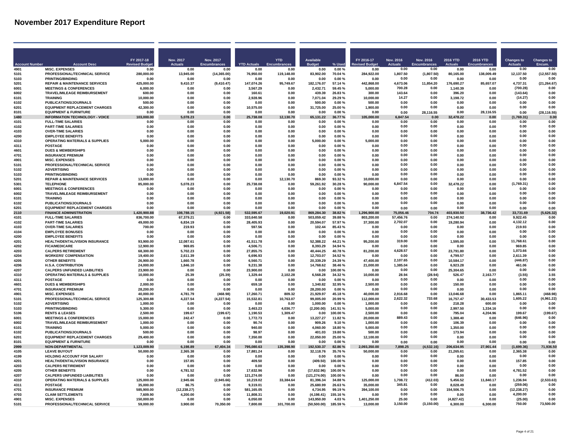| FY 2017-18<br><b>Nov. 2017</b><br>Nov. 2017<br><b>YTD</b><br><b>Available</b><br>FY 2016-17<br><b>Nov. 2016</b><br><b>2016 YTD</b><br>2016 YTD<br>Nov. 2016<br><b>Changes to</b><br><b>Changes to</b><br><b>Revised Budd</b><br><b>Actuals</b><br><b>Encumbrances</b><br><b>YTD Actuals</b><br><b>Budge</b><br>% Used<br><b>Actuals</b><br>Encumbrances<br><b>Actuals</b><br>Encum<br><b>Account Numbe</b><br><b>Account Desc</b><br><b>MISC. EXPENSES</b><br>0.00<br>0.00<br>4901<br>0.00<br>0.00<br>0.00<br>0.00<br>0.00<br>0.00<br>0.00%<br>0.00<br>0.00<br>0.00<br>0.00<br>0.00<br>12,137.50<br>(12, 557.50)<br>5101<br>PROFESSIONAL/TECHNICAL SERVICE<br>280,000.00<br>13,945.00<br>(14, 365.00)<br>76,950.00<br>119,148.00<br>83,902.00<br>70.04%<br>284,922.00<br>1.807.50<br>(1.807.50)<br>80,165.00<br>138,009.49<br>5103<br>PRINTING/BINDING<br>0.00<br>0.00%<br>0.00<br>0.00<br>0.00<br>0.00<br>0.00<br>0.00<br>0.00<br>0.00<br>0.00<br>0.00<br>0.00<br>0.00<br><b>REPAIR &amp; MAINTENANCE SERVICES</b><br>147,074.26<br>182,176.07<br>442,868.00<br>4.673.06<br>176,690.27<br>85,657.07<br>4,737.31<br>(21, 264.67)<br>5201<br>425,000.00<br>9,410.37<br>(9,410.47)<br>95,749.67<br>57.14 %<br>11,854.20<br>700.28<br>(700.28)<br>6001<br><b>MEETINGS &amp; CONFERENCES</b><br>2.432.71<br>5.000.00<br>0.00<br>0.00<br>6,000.00<br>0.00<br>0.00<br>3.567.29<br>n nn<br>59 45 %<br>1.140.39<br>0.00<br>0.00<br>TRAVEL/MILEAGE REIMBURSEMENT<br>143.64<br>0.00<br>(143.64)<br>6002<br>439.39<br>396.20<br>600.00<br>n nn<br>n nn<br>160.61<br>n nn<br>26.83%<br>300.00<br>n nn<br>6101<br>2,928.96<br>7,071.04<br>10,000.00<br>14.27<br>0.00<br>(14.27)<br>0.00<br><b>TRAINING</b><br>10.000.00<br>0.00<br>0.00<br>29.29 %<br>3.198.72<br>0.00<br>0.00<br>6102<br>PUBLICATIONS/JOURNALS<br>0.00<br>0.00<br>500.00<br>0.00%<br>0.00<br>0.00<br>0.00<br>0.00<br>0.00<br>500.00<br>0.00<br>0.00<br>500.00<br>0.00<br><b>EQUIPMENT REPLACEMENT CHARGES</b><br>0.00<br>6201<br>42.300.00<br>0.00<br>0.00<br>10.575.00<br>0.00<br>31.725.00<br>25.00 %<br>1.900.00<br>0.00<br>0.00<br>0.00<br>0.00<br>0.00<br>8101<br><b>EQUIPMENT &amp; FURNITURE</b><br>0.00<br>0.00<br>0.00<br>0.00<br>0.00%<br>28,116.55<br>(28,116.55<br>0.00<br>0.00<br>0.00<br>0.00<br>28.116.55<br>0.00<br>0.00<br><b>INFORMATION TECHNOLOGY - VOICE</b><br>5,078.23<br>0.00<br>25,738.08<br>12,130.70<br>65,131.22<br>105,000.00<br>847.54<br>32,478.22<br>(1,769.31)<br>0.00<br>1480<br>103.000.00<br>6.77 %<br>0.00<br>0.00<br>4101<br><b>FULL-TIME SALARIES</b><br>0.00<br>0.00<br>0.00<br>0.00<br>0.00<br>0.00<br>0.00%<br>0.00<br>0.00<br>0.00<br>0.00<br>0.00<br>0.00<br>0.00<br>0.00<br>0.00<br>0.00<br>0.00<br>4102<br><b>PART-TIME SALARIES</b><br>0.00<br>0.00<br>0.00<br>0.00<br>0.00<br>0.00<br>0.00%<br>0.00<br>0.00<br>0.00<br><b>OVER-TIME SALARIES</b><br>0.00<br>4103<br>0.00<br>0.00<br>0.00<br>0.00<br>0.00<br>0.00%<br>0.00<br>0.00<br>0.00<br>0.00<br>0.00<br>0.00<br>0.00<br>0.00<br>0.00<br>0.00<br>0.00<br>4200<br><b>EMPLOYEE BENEFITS</b><br>0.00<br>0.00<br>0.00<br>0.00%<br>0.00<br>0.00<br>0.00<br>0.00<br>0.00<br>0.00<br><b>OPERATING MATERIALS &amp; SUPPLIES</b><br>0.00<br>0.00<br>0.00<br>0.00<br>4310<br>5.000.00<br>0.00<br>0.00<br>0.00<br>0.00<br>5.000.00<br>0.00%<br>5.000.00<br>0.00<br>0.00<br>0.00<br>4311<br><b>POSTAGE</b><br>0.00<br>0.00<br>0.00<br>0.00<br>0.00<br>0.00<br>0.00%<br>0.00<br>0.00<br>0.00<br>0.00<br>0.00<br>0.00<br>0.00<br>0.00<br>0.00<br>0.00<br>4601<br><b>DUES &amp; MEMBERSHIPS</b><br>0.00<br>0.00<br>0.00<br>0.00<br>0.00<br>0.00<br>0.00%<br>0.00<br>0.00<br>0.00<br>4701<br><b>INSURANCE PREMIUM</b><br>0.00<br>0.00<br>0.00<br>0.00<br>0.00<br>0.00%<br>0.00<br>0.00<br>0.00<br>0.00<br>0.00<br>0.00<br>0.00<br>0.00<br>0.00<br>4901<br><b>MISC. EXPENSES</b><br>0.00<br>0.00<br>0.00<br>0.00<br>0.00<br>0.00%<br>0.00<br>0.00<br>0.00<br>0.00<br>0.00<br>0.00<br>0.00<br>0.00<br>5101<br>PROFESSIONAL/TECHNICAL SERVICE<br>0.00<br>0.00<br>0.00<br>0.00<br>0.00<br>0.00<br>0.00%<br>0.00<br>0.00<br>0.00<br>0.00<br>0.00<br>0.00<br>0.00<br>0.00<br>0.00<br>0.00<br>5102<br><b>ADVERTISING</b><br>0.00<br>0.00<br>0.00<br>0.00<br>n nn<br>0.00<br>0.00%<br>0.00<br>0.00<br>0.00<br>0.00<br>0.00<br>0.00<br>0.00<br>5103<br><b>PRINTING/RINDING</b><br>0.00<br>0.00<br>0.00<br>0.00%<br>0.00<br>0.00<br>n nn<br>0.00<br>n nn<br>. በ በበ<br>5201<br><b>REPAIR &amp; MAINTENANCE SERVICES</b><br>0.00<br>869.30<br>93.32%<br>10,000.00<br>0.00<br>0.00<br>13.000.00<br>0.00<br>0.00<br>12.130.70<br>0.00<br>0.00<br>0.00<br>0.00<br>5301<br>5,078.23<br>0.00<br>59,261.92<br>30.28%<br>90,000.00<br>6.847.54<br>0.00<br>32,478.22<br>0.00<br>(1,769.31)<br>0.00<br><b>TELEPHONE</b><br>85.000.00<br>25.738.08<br>0.00<br>0.00<br>6001<br><b>MEETINGS &amp; CONFERENCES</b><br>0.00<br>0.00<br>0.00%<br>0.00<br>0.00<br>0.00<br>0.00<br>0.00<br>0.00<br>0.00<br>0.00<br>0.00<br>0.00<br>TRAVEL/MILEAGE REIMBURSEMENT<br>0.00<br>0.00%<br>0.00<br>0.00<br>0.00<br>0.00<br>6002<br>0.00<br>0.00<br>0.00<br>0.00<br>0.00<br>0.00<br>0.00<br>0.00<br>0.00<br>0.00%<br>0.00<br>0.00<br>0.00<br>0.00<br>6101<br><b>TRAINING</b><br>0.00<br>0.00<br>0.00<br>0.00<br>0.00<br>0.00<br>0.00<br>0.00<br>6102<br><b>PUBLICATIONS/JOURNALS</b><br>0.00<br>0.00<br>0.00<br>0.00<br>0.00<br>0.00<br>0.00%<br>0.00<br>0.00<br>0.00<br>0.00<br>0.00<br>0.00<br>0.00<br><b>EQUIPMENT REPLACEMENT CHARGES</b><br>0.00<br>6201<br>0.00<br>0.00<br>0.00<br>0.00<br>0.00<br>0.00<br>0.00%<br>0.00<br>0.00<br>0.00<br>0.00<br>0.00<br>0.00<br><b>FINANCE ADMINISTRATION</b><br>869,284.30<br>(5,626.32)<br>2110<br>1.420.900.88<br>108.788.15<br>(4.921.58)<br>532.595.67<br>19.020.91<br>8.82%<br>1.296.900.00<br>75.056.46<br>704.74<br>403.930.50<br>38.736.42<br>33.731.69<br>57,456.76<br>0.00<br><b>FULL-TIME SALARIES</b><br>333.640.58<br>503.059.42<br>39.88%<br>803.200.00<br>0.00<br>274.140.92<br>9.922.45<br>4101<br>836,700.00<br>67.379.21<br>0.00<br>0.00<br>0.00<br><b>PART-TIME SALARIES</b><br>57.97%<br>37.300.00<br>2,702.07<br>0.00<br>4,132.12<br>0.00<br>4102<br>49.000.00<br>6.834.19<br>0.00<br>28,405.93<br>20.594.07<br>19.280.94<br>0.00<br>0.00<br>4103<br><b>OVER-TIME SALARIES</b><br>700.00<br>219.93<br>0.00<br>597.56<br>0.00<br>102.44<br>85.43%<br>0.00<br>0.00<br>0.00<br>0.00<br>219.93<br>0.00<br>0.00<br>0.00<br>4104<br><b>EMPLOYEE BONUSES</b><br>0.00<br>0.00<br>0.00<br>0.00<br>0.00<br>0.00<br>0.00%<br>0.00<br>0.00<br>0.00<br>0.00<br>0.00<br>0.00<br>0.00<br>0.00<br>4200<br><b>EMPLOYEE BENEFITS</b><br>0.00<br>0.00<br>0.00<br>0.00<br>0.00<br>0.00<br>0.00%<br>0.00<br>0.00<br>0.00<br>0.00<br>0.00<br>4201<br>HEALTH/DENTAL/VISION INSURANCE<br>93,900.00<br>12,087.61<br>0.00<br>41,511.78<br>0.00<br>52,388.22<br>44.21%<br>95,200.00<br>319.00<br>0.00<br>1,595.00<br>0.00<br>11.768.61<br>0.00<br>0.00<br>4202<br><b>FICA/MEDICARE</b><br>12,900.00<br>969.85<br>0.00<br>4,506.71<br>0.00<br>8,393.29<br>34.94 %<br>0.00<br>0.00<br>0.00<br>969.85<br>0.00<br>0.00<br><b>CALPERS RETIREMENT</b><br>5,702.23<br>27.855.75<br>40.444.25<br>81,200.00<br>4,628.57<br>23,791.80<br>0.00<br>4203<br>68,300.00<br>0.00<br>0.00<br>40.78%<br>0.00<br>0.00<br>1.073.66<br>0.00<br><b>WORKERS' COMPENSATION</b><br>12,703.07<br>0.00<br>4204<br>19,400.00<br>6,696.93<br>34 52 %<br>0.00<br>4.799.57<br>2.611.39<br>2.611.39<br>0.00<br>n nn<br>. በ በበ<br>n nn<br>2,107.65<br>0.00<br>0.00<br>4205<br><b>OTHER BENEFITS</b><br>47,400.00<br>(446.87)<br>26,900.00<br>1.660.78<br>0.00<br>6.560.71<br>0.00<br>20.339.29<br>24.39%<br>10.584.17<br>0.00<br>4206<br><b>H.S.A. CONTRIBUTION</b><br>1,846.10<br>0.00<br>14,768.62<br>21,000.00<br>1.385.04<br>0.00<br>6,923.28<br>0.00<br>461.06<br>0.00<br>24.000.00<br>9.231.38<br>0.00<br>38.46%<br>0.00<br>4207<br><b>CALPERS UNFUNDED LIABILITIES</b><br>23,900.00<br>0.00<br>23,900.00<br>0.00<br>0.00<br>100.00%<br>0.00<br>0.00<br>25,304.65<br>0.00<br>0.00<br>0.00<br>0.00<br><b>OPERATING MATERIALS &amp; SUPPLIES</b><br>6,568.28<br>10,000.00<br>28.94<br>(28.94)<br>3.55<br>4310<br>10.000.00<br>25.39<br>(25.39)<br>1.329.44<br>2.102.28<br>34.32 %<br>526.47<br>2.163.77<br>(3.55)<br>4311<br>0.00%<br>0.00<br>0.00<br>0.00<br>0.00<br><b>POSTAGE</b><br>0.00<br>0.00<br>0.00<br>0.00<br>0.00<br>0.00<br>0.00<br>0.00<br>0.00<br><b>DUES &amp; MEMBERSHIPS</b><br>2,000.00<br>659.18<br>1,340.82<br>32.95%<br>2,500.00<br>0.00<br>0.00<br>150.00<br>0.00<br>0.00<br>4601<br>0.00<br>0.00<br>0.00<br>0.00<br>0.00<br>0.00<br>0.00<br>0.00<br>4701<br><b>INSURANCE PREMIUM</b><br>28.200.00<br>0.00<br>0.00<br>0.00<br>0.00<br>28.200.00<br>0.00%<br>0.00<br>0.00<br>0.00<br>2.916.68<br>1.865.11<br>(468.98)<br>0.00<br>4901<br><b>MISC. EXPENSES</b><br>40.000.00<br>4.781.79<br>(468.98)<br>17.260.71<br>809.32<br>21.929.97<br>45.18%<br>40.000.00<br>13.046.68<br>0.00<br>(4,961.22)<br>PROFESSIONAL/TECHNICAL SERVICE<br>4.227.54<br>(4, 227.54)<br>15,532.81<br>10,763.07<br>99.005.00<br>112,000.00<br>2.622.32<br>733.68<br>16.757.47<br>30.433.53<br>1,605.22<br>5101<br>125,300.88<br>20.99%<br>0.00<br>0.00<br>0.00<br>0.00<br>5102<br><b>ADVERTISING</b><br>1.000.00<br>0.00%<br>1.000.00<br>218.28<br>600.00<br>1.000.00<br>0.00<br>0.00<br>0.00<br>0.00<br><b>PRINTING/BINDING</b><br>(2, 200.00)<br>5.000.00<br>0.00<br>0.00<br>2.997.50<br>1.334.16<br>0.00<br>0.00<br>5103<br>5.300.00<br>0.00<br>0.00<br>3.463.23<br>4.036.77<br>141.51%<br>199.67<br>(199.67)<br>5106<br><b>RENTS &amp; LEASES</b><br>2,500.00<br>199.67<br>(199.67)<br>1,190.53<br>1,309.47<br>0.00<br>100.00%<br>2.500.00<br>0.00<br>0.00<br>795.04<br>4,204.96<br>889.43<br>0.00<br>(646.96)<br>0.00<br>6001<br><b>MEETINGS &amp; CONFERENCES</b><br>15.000.00<br>242.47<br>0.00<br>1,772.73<br>0.00<br>13,227.27<br>11.82%<br>20,000.00<br>1,388.40<br>0.00<br>6002<br>TRAVEL/MILEAGE REIMBURSEMENT<br>0.00<br>909.26<br>1,000.00<br>0.00<br>0.00<br>106.39<br>0.00<br>0.00<br>1.000.00<br>0.00<br>90.74<br>0.00<br>9.10%<br>0.00<br>0.00<br>6101<br><b>TRAINING</b><br>5,000.00<br>0.00<br>0.00<br>940.00<br>0.00<br>4,060.00<br>18.80%<br>5,000.00<br>0.00<br>0.00<br>1,350.00<br>0.00<br>0.00<br>0.00<br>0.00<br>6102<br>PUBLICATIONS/JOURNALS<br>500.00<br>0.00<br>0.00<br>98.97<br>0.00<br>401.03<br>19.80%<br>500.00<br>0.00<br>173.94<br>0.00<br>0.00<br>0.00<br><b>EQUIPMENT REPLACEMENT CHARGES</b><br>0.00<br>0.00<br>0.00<br>6201<br>29,400.00<br>0.00<br>0.00<br>7,350.00<br>0.00<br>22,050.00<br>25.00%<br>12,100.00<br>0.00<br>0.00<br><b>EQUIPMENT &amp; FURNITURE</b><br>0.00<br>8101<br>0.00<br>0.00<br>0.00<br>0.00<br>0.00<br>0.00%<br>0.00<br>0.00<br>0.00<br>0.00<br>0.00<br>0.00<br>0.00<br>NON-DEPARTMENTAL<br>6,198.89<br>67,404.34<br>135,398.90<br>192,530.37<br>7,898.25<br>(4,532.16)<br>206,634.95<br>(1,699.36)<br>71,936.50<br>2999<br>1.123.009.90<br>795.080.63<br>82.86%<br>2.093.350.00<br>27.901.44<br>4105<br><b>LEAVE BUYOUT</b><br>50,000.00<br>2,365.38<br>0.00<br>17,881.24<br>32,118.76<br>0.00<br>0.00<br>21,265.61<br>2.365.38<br>0.00<br>0.00<br>35.76%<br>50.000.00<br>0.00<br>0.00<br>4199<br>HOLDING ACCOUNT FOR SALARY<br>0.00<br>0.00<br>0.00%<br>0.00<br>0.00<br>0.00<br>0.00<br>0.00<br>0.00<br>0.00<br>0.00<br>0.00<br>0.00<br>HEALTH/DENTAL/VISION INSURANCE<br>157.85<br>(409.50)<br>0.00<br>0.00<br>157.85<br>0.00<br>4201<br>0.00<br>0.00<br>409.50<br>0.00<br>00.00 %<br>0.00<br>0.00<br>0.00<br><b>CALPERS RETIREMENT</b><br>0.00<br>0.00<br>0.00<br>0.00<br>0.00<br>4203<br>0.00<br>0.00<br>0.00<br>0.00<br>0.00<br>0.00%<br>0.00<br>0.00<br>0.00<br>(17, 632.96)<br>4205<br><b>OTHER BENEFITS</b><br>0.00<br>4.781.52<br>0.00<br>17.632.96<br>0.00<br>100.00%<br>0.00<br>0.00<br>0.00<br>0.00<br>0.00<br>4.781.52<br>0.00<br>0.00<br><b>CALPERS UNFUNDED LIABILITIES</b><br>121,274.00<br>0.00<br>0.00<br>4207<br>0.00<br>0.00<br>0.00<br>0.00<br>(121.274.00)<br>100.00%<br>0.00<br>86.00<br>0.00<br>0.00<br>(2,533.63)<br>1.708.72<br>(412.03)<br>1.236.94<br><b>OPERATING MATERIALS &amp; SUPPLIES</b><br>10.219.02<br>81.396.34<br>4310<br>125,000.00<br>2.945.66<br>(2.945.66)<br>33.384.64<br>34.88%<br>125,000.00<br>5.456.52<br>11.840.17<br>345.81<br>0.00<br>(259.06)<br>0.00<br>4311<br><b>POSTAGE</b><br>25.680.99<br>26.63%<br>8.028.49<br>35,000.00<br>9.319.01<br>35,000.00<br>0.00<br>86.75<br>0.00<br>0.00<br>0.00<br>0.00<br>154.506.75<br>(12, 238.27)<br>0.00<br>4701<br><b>INSURANCE PREMIUM</b><br>585,900.00<br>(12.238.27)<br>581.165.05<br>4.734.95<br>99.19%<br>394.100.00<br>0.00<br>0.00<br>0.00<br>4703<br><b>CLAIM SETTLEMENTS</b><br>7,609.90<br>4,200.00<br>0.00<br>11,808.31<br>0.00<br>(4, 198.41)<br>155.16%<br>0.00<br>0.00<br>0.00<br>4.200.00<br>0.00<br>0.00<br>0.00<br>25.00<br>0.00<br>4901<br><b>MISC. EXPENSES</b><br>150,000.00<br>0.00<br>6.050.00<br>0.00<br>143.950.00<br>4.03%<br>1,401,250.00<br>0.00<br>(4,827.42)<br>0.00<br>(25.00)<br>0.00<br>3,150.00<br>(3, 150.00)<br>750.00<br>73,500.00<br>5101<br>PROFESSIONAL/TECHNICAL SERVICE<br>59.000.00<br>3.900.00<br>70.350.00<br>7,800.00<br>101.700.00<br>(50, 500.00)<br>185.59%<br>13.000.00<br>6.300.00<br>6.300.00 |  |  |  |  |  |  |  |  |
|--------------------------------------------------------------------------------------------------------------------------------------------------------------------------------------------------------------------------------------------------------------------------------------------------------------------------------------------------------------------------------------------------------------------------------------------------------------------------------------------------------------------------------------------------------------------------------------------------------------------------------------------------------------------------------------------------------------------------------------------------------------------------------------------------------------------------------------------------------------------------------------------------------------------------------------------------------------------------------------------------------------------------------------------------------------------------------------------------------------------------------------------------------------------------------------------------------------------------------------------------------------------------------------------------------------------------------------------------------------------------------------------------------------------------------------------------------------------------------------------------------------------------------------------------------------------------------------------------------------------------------------------------------------------------------------------------------------------------------------------------------------------------------------------------------------------------------------------------------------------------------------------------------------------------------------------------------------------------------------------------------------------------------------------------------------------------------------------------------------------------------------------------------------------------------------------------------------------------------------------------------------------------------------------------------------------------------------------------------------------------------------------------------------------------------------------------------------------------------------------------------------------------------------------------------------------------------------------------------------------------------------------------------------------------------------------------------------------------------------------------------------------------------------------------------------------------------------------------------------------------------------------------------------------------------------------------------------------------------------------------------------------------------------------------------------------------------------------------------------------------------------------------------------------------------------------------------------------------------------------------------------------------------------------------------------------------------------------------------------------------------------------------------------------------------------------------------------------------------------------------------------------------------------------------------------------------------------------------------------------------------------------------------------------------------------------------------------------------------------------------------------------------------------------------------------------------------------------------------------------------------------------------------------------------------------------------------------------------------------------------------------------------------------------------------------------------------------------------------------------------------------------------------------------------------------------------------------------------------------------------------------------------------------------------------------------------------------------------------------------------------------------------------------------------------------------------------------------------------------------------------------------------------------------------------------------------------------------------------------------------------------------------------------------------------------------------------------------------------------------------------------------------------------------------------------------------------------------------------------------------------------------------------------------------------------------------------------------------------------------------------------------------------------------------------------------------------------------------------------------------------------------------------------------------------------------------------------------------------------------------------------------------------------------------------------------------------------------------------------------------------------------------------------------------------------------------------------------------------------------------------------------------------------------------------------------------------------------------------------------------------------------------------------------------------------------------------------------------------------------------------------------------------------------------------------------------------------------------------------------------------------------------------------------------------------------------------------------------------------------------------------------------------------------------------------------------------------------------------------------------------------------------------------------------------------------------------------------------------------------------------------------------------------------------------------------------------------------------------------------------------------------------------------------------------------------------------------------------------------------------------------------------------------------------------------------------------------------------------------------------------------------------------------------------------------------------------------------------------------------------------------------------------------------------------------------------------------------------------------------------------------------------------------------------------------------------------------------------------------------------------------------------------------------------------------------------------------------------------------------------------------------------------------------------------------------------------------------------------------------------------------------------------------------------------------------------------------------------------------------------------------------------------------------------------------------------------------------------------------------------------------------------------------------------------------------------------------------------------------------------------------------------------------------------------------------------------------------------------------------------------------------------------------------------------------------------------------------------------------------------------------------------------------------------------------------------------------------------------------------------------------------------------------------------------------------------------------------------------------------------------------------------------------------------------------------------------------------------------------------------------------------------------------------------------------------------------------------------------------------------------------------------------------------------------------------------------------------------------------------------------------------------------------------------------------------------------------------------------------------------------------------------------------------------------------------------------------------------------------------------------------------------------------------------------------------------------------------------------------------------------------------------------------------------------------------------------------------------------------------------------------------------------------------------------------------------------------------------------------------------------------------------------------------------------------------------------------------------------------------------------------------------------------------------------------------------------------------------------------------------------------------------------------------------------------------------------------------------------------------------------------------------------------------------------------------------------------------------------------------------------------------------------------------------------------------------------------------------------------------------------------------------------------------------------------------------------------------------------------------------------------------------------------------------------------------------------------------------------------------------------------------------------------------------------------------------------------------------------------------------------------------------------------------------------------------------------------------------------------------------------------------------------------------------------------------------------------------------------------------------------------------------------------------------------------------------------------------------------------------------------------------------------------------------------------------------------------------------------------------------------------------------------------------------------------------------------------------------------------------------------------------------------------------------------------------------------------------------------------------------------------------------------------------------------------------------------------------------------------------------------------------------------------------------------------------------------------------------------------------------------------------------------------------------------------------------------------------------------------------------------------------------------------------------------------------------------------------------------------------------------------------------------------------------------------------------------------------------------------------------------------------------------------------------------------------------------------------------------------------------------------------------------------------------------------------------------------------------------------------------------------------------------------------------------------------------------------------------------------------------------------------------------------------------------------------------------------------------------------------------------------------------------------------------------------------------------------------------------------------------------------------------------------------------------------------------------------------------------------------------------------------------------------------------------------------------------------------------------------------------------------------------------------------------------------------------------------------------------------------------------------------------------------------------------------------------------------------------------------------------------------------------------------------------------------------------------------------------------------------------------------------------------------------------------------------------------------------------------------------------------------------------------------------------------------------------------------------------------------------------------------------------------------------------------------------------------------------------------------------------------------------------------------------------------------------------------------------------|--|--|--|--|--|--|--|--|
|                                                                                                                                                                                                                                                                                                                                                                                                                                                                                                                                                                                                                                                                                                                                                                                                                                                                                                                                                                                                                                                                                                                                                                                                                                                                                                                                                                                                                                                                                                                                                                                                                                                                                                                                                                                                                                                                                                                                                                                                                                                                                                                                                                                                                                                                                                                                                                                                                                                                                                                                                                                                                                                                                                                                                                                                                                                                                                                                                                                                                                                                                                                                                                                                                                                                                                                                                                                                                                                                                                                                                                                                                                                                                                                                                                                                                                                                                                                                                                                                                                                                                                                                                                                                                                                                                                                                                                                                                                                                                                                                                                                                                                                                                                                                                                                                                                                                                                                                                                                                                                                                                                                                                                                                                                                                                                                                                                                                                                                                                                                                                                                                                                                                                                                                                                                                                                                                                                                                                                                                                                                                                                                                                                                                                                                                                                                                                                                                                                                                                                                                                                                                                                                                                                                                                                                                                                                                                                                                                                                                                                                                                                                                                                                                                                                                                                                                                                                                                                                                                                                                                                                                                                                                                                                                                                                                                                                                                                                                                                                                                                                                                                                                                                                                                                                                                                                                                                                                                                                                                                                                                                                                                                                                                                                                                                                                                                                                                                                                                                                                                                                                                                                                                                                                                                                                                                                                                                                                                                                                                                                                                                                                                                                                                                                                                                                                                                                                                                                                                                                                                                                                                                                                                                                                                                                                                                                                                                                                                                                                                                                                                                                                                                                                                                                                                                                                                                                                                                                                                                                                                                                                                                                                                                                                                                                                                                                                                                                                                                                                                                                                                                                                                                                                                                                                                                                                                                                                                                                                                                                                                                                                                                                                                                                                                                                                                                                                                                                                                                                                                                                                                                                                                                                                                                                                                                                                                                                                                                                                                                                                                                                                                                                                                                                                                          |  |  |  |  |  |  |  |  |
|                                                                                                                                                                                                                                                                                                                                                                                                                                                                                                                                                                                                                                                                                                                                                                                                                                                                                                                                                                                                                                                                                                                                                                                                                                                                                                                                                                                                                                                                                                                                                                                                                                                                                                                                                                                                                                                                                                                                                                                                                                                                                                                                                                                                                                                                                                                                                                                                                                                                                                                                                                                                                                                                                                                                                                                                                                                                                                                                                                                                                                                                                                                                                                                                                                                                                                                                                                                                                                                                                                                                                                                                                                                                                                                                                                                                                                                                                                                                                                                                                                                                                                                                                                                                                                                                                                                                                                                                                                                                                                                                                                                                                                                                                                                                                                                                                                                                                                                                                                                                                                                                                                                                                                                                                                                                                                                                                                                                                                                                                                                                                                                                                                                                                                                                                                                                                                                                                                                                                                                                                                                                                                                                                                                                                                                                                                                                                                                                                                                                                                                                                                                                                                                                                                                                                                                                                                                                                                                                                                                                                                                                                                                                                                                                                                                                                                                                                                                                                                                                                                                                                                                                                                                                                                                                                                                                                                                                                                                                                                                                                                                                                                                                                                                                                                                                                                                                                                                                                                                                                                                                                                                                                                                                                                                                                                                                                                                                                                                                                                                                                                                                                                                                                                                                                                                                                                                                                                                                                                                                                                                                                                                                                                                                                                                                                                                                                                                                                                                                                                                                                                                                                                                                                                                                                                                                                                                                                                                                                                                                                                                                                                                                                                                                                                                                                                                                                                                                                                                                                                                                                                                                                                                                                                                                                                                                                                                                                                                                                                                                                                                                                                                                                                                                                                                                                                                                                                                                                                                                                                                                                                                                                                                                                                                                                                                                                                                                                                                                                                                                                                                                                                                                                                                                                                                                                                                                                                                                                                                                                                                                                                                                                                                                                                                                                          |  |  |  |  |  |  |  |  |
|                                                                                                                                                                                                                                                                                                                                                                                                                                                                                                                                                                                                                                                                                                                                                                                                                                                                                                                                                                                                                                                                                                                                                                                                                                                                                                                                                                                                                                                                                                                                                                                                                                                                                                                                                                                                                                                                                                                                                                                                                                                                                                                                                                                                                                                                                                                                                                                                                                                                                                                                                                                                                                                                                                                                                                                                                                                                                                                                                                                                                                                                                                                                                                                                                                                                                                                                                                                                                                                                                                                                                                                                                                                                                                                                                                                                                                                                                                                                                                                                                                                                                                                                                                                                                                                                                                                                                                                                                                                                                                                                                                                                                                                                                                                                                                                                                                                                                                                                                                                                                                                                                                                                                                                                                                                                                                                                                                                                                                                                                                                                                                                                                                                                                                                                                                                                                                                                                                                                                                                                                                                                                                                                                                                                                                                                                                                                                                                                                                                                                                                                                                                                                                                                                                                                                                                                                                                                                                                                                                                                                                                                                                                                                                                                                                                                                                                                                                                                                                                                                                                                                                                                                                                                                                                                                                                                                                                                                                                                                                                                                                                                                                                                                                                                                                                                                                                                                                                                                                                                                                                                                                                                                                                                                                                                                                                                                                                                                                                                                                                                                                                                                                                                                                                                                                                                                                                                                                                                                                                                                                                                                                                                                                                                                                                                                                                                                                                                                                                                                                                                                                                                                                                                                                                                                                                                                                                                                                                                                                                                                                                                                                                                                                                                                                                                                                                                                                                                                                                                                                                                                                                                                                                                                                                                                                                                                                                                                                                                                                                                                                                                                                                                                                                                                                                                                                                                                                                                                                                                                                                                                                                                                                                                                                                                                                                                                                                                                                                                                                                                                                                                                                                                                                                                                                                                                                                                                                                                                                                                                                                                                                                                                                                                                                                                                          |  |  |  |  |  |  |  |  |
|                                                                                                                                                                                                                                                                                                                                                                                                                                                                                                                                                                                                                                                                                                                                                                                                                                                                                                                                                                                                                                                                                                                                                                                                                                                                                                                                                                                                                                                                                                                                                                                                                                                                                                                                                                                                                                                                                                                                                                                                                                                                                                                                                                                                                                                                                                                                                                                                                                                                                                                                                                                                                                                                                                                                                                                                                                                                                                                                                                                                                                                                                                                                                                                                                                                                                                                                                                                                                                                                                                                                                                                                                                                                                                                                                                                                                                                                                                                                                                                                                                                                                                                                                                                                                                                                                                                                                                                                                                                                                                                                                                                                                                                                                                                                                                                                                                                                                                                                                                                                                                                                                                                                                                                                                                                                                                                                                                                                                                                                                                                                                                                                                                                                                                                                                                                                                                                                                                                                                                                                                                                                                                                                                                                                                                                                                                                                                                                                                                                                                                                                                                                                                                                                                                                                                                                                                                                                                                                                                                                                                                                                                                                                                                                                                                                                                                                                                                                                                                                                                                                                                                                                                                                                                                                                                                                                                                                                                                                                                                                                                                                                                                                                                                                                                                                                                                                                                                                                                                                                                                                                                                                                                                                                                                                                                                                                                                                                                                                                                                                                                                                                                                                                                                                                                                                                                                                                                                                                                                                                                                                                                                                                                                                                                                                                                                                                                                                                                                                                                                                                                                                                                                                                                                                                                                                                                                                                                                                                                                                                                                                                                                                                                                                                                                                                                                                                                                                                                                                                                                                                                                                                                                                                                                                                                                                                                                                                                                                                                                                                                                                                                                                                                                                                                                                                                                                                                                                                                                                                                                                                                                                                                                                                                                                                                                                                                                                                                                                                                                                                                                                                                                                                                                                                                                                                                                                                                                                                                                                                                                                                                                                                                                                                                                                                                          |  |  |  |  |  |  |  |  |
|                                                                                                                                                                                                                                                                                                                                                                                                                                                                                                                                                                                                                                                                                                                                                                                                                                                                                                                                                                                                                                                                                                                                                                                                                                                                                                                                                                                                                                                                                                                                                                                                                                                                                                                                                                                                                                                                                                                                                                                                                                                                                                                                                                                                                                                                                                                                                                                                                                                                                                                                                                                                                                                                                                                                                                                                                                                                                                                                                                                                                                                                                                                                                                                                                                                                                                                                                                                                                                                                                                                                                                                                                                                                                                                                                                                                                                                                                                                                                                                                                                                                                                                                                                                                                                                                                                                                                                                                                                                                                                                                                                                                                                                                                                                                                                                                                                                                                                                                                                                                                                                                                                                                                                                                                                                                                                                                                                                                                                                                                                                                                                                                                                                                                                                                                                                                                                                                                                                                                                                                                                                                                                                                                                                                                                                                                                                                                                                                                                                                                                                                                                                                                                                                                                                                                                                                                                                                                                                                                                                                                                                                                                                                                                                                                                                                                                                                                                                                                                                                                                                                                                                                                                                                                                                                                                                                                                                                                                                                                                                                                                                                                                                                                                                                                                                                                                                                                                                                                                                                                                                                                                                                                                                                                                                                                                                                                                                                                                                                                                                                                                                                                                                                                                                                                                                                                                                                                                                                                                                                                                                                                                                                                                                                                                                                                                                                                                                                                                                                                                                                                                                                                                                                                                                                                                                                                                                                                                                                                                                                                                                                                                                                                                                                                                                                                                                                                                                                                                                                                                                                                                                                                                                                                                                                                                                                                                                                                                                                                                                                                                                                                                                                                                                                                                                                                                                                                                                                                                                                                                                                                                                                                                                                                                                                                                                                                                                                                                                                                                                                                                                                                                                                                                                                                                                                                                                                                                                                                                                                                                                                                                                                                                                                                                                                                          |  |  |  |  |  |  |  |  |
|                                                                                                                                                                                                                                                                                                                                                                                                                                                                                                                                                                                                                                                                                                                                                                                                                                                                                                                                                                                                                                                                                                                                                                                                                                                                                                                                                                                                                                                                                                                                                                                                                                                                                                                                                                                                                                                                                                                                                                                                                                                                                                                                                                                                                                                                                                                                                                                                                                                                                                                                                                                                                                                                                                                                                                                                                                                                                                                                                                                                                                                                                                                                                                                                                                                                                                                                                                                                                                                                                                                                                                                                                                                                                                                                                                                                                                                                                                                                                                                                                                                                                                                                                                                                                                                                                                                                                                                                                                                                                                                                                                                                                                                                                                                                                                                                                                                                                                                                                                                                                                                                                                                                                                                                                                                                                                                                                                                                                                                                                                                                                                                                                                                                                                                                                                                                                                                                                                                                                                                                                                                                                                                                                                                                                                                                                                                                                                                                                                                                                                                                                                                                                                                                                                                                                                                                                                                                                                                                                                                                                                                                                                                                                                                                                                                                                                                                                                                                                                                                                                                                                                                                                                                                                                                                                                                                                                                                                                                                                                                                                                                                                                                                                                                                                                                                                                                                                                                                                                                                                                                                                                                                                                                                                                                                                                                                                                                                                                                                                                                                                                                                                                                                                                                                                                                                                                                                                                                                                                                                                                                                                                                                                                                                                                                                                                                                                                                                                                                                                                                                                                                                                                                                                                                                                                                                                                                                                                                                                                                                                                                                                                                                                                                                                                                                                                                                                                                                                                                                                                                                                                                                                                                                                                                                                                                                                                                                                                                                                                                                                                                                                                                                                                                                                                                                                                                                                                                                                                                                                                                                                                                                                                                                                                                                                                                                                                                                                                                                                                                                                                                                                                                                                                                                                                                                                                                                                                                                                                                                                                                                                                                                                                                                                                                                                          |  |  |  |  |  |  |  |  |
|                                                                                                                                                                                                                                                                                                                                                                                                                                                                                                                                                                                                                                                                                                                                                                                                                                                                                                                                                                                                                                                                                                                                                                                                                                                                                                                                                                                                                                                                                                                                                                                                                                                                                                                                                                                                                                                                                                                                                                                                                                                                                                                                                                                                                                                                                                                                                                                                                                                                                                                                                                                                                                                                                                                                                                                                                                                                                                                                                                                                                                                                                                                                                                                                                                                                                                                                                                                                                                                                                                                                                                                                                                                                                                                                                                                                                                                                                                                                                                                                                                                                                                                                                                                                                                                                                                                                                                                                                                                                                                                                                                                                                                                                                                                                                                                                                                                                                                                                                                                                                                                                                                                                                                                                                                                                                                                                                                                                                                                                                                                                                                                                                                                                                                                                                                                                                                                                                                                                                                                                                                                                                                                                                                                                                                                                                                                                                                                                                                                                                                                                                                                                                                                                                                                                                                                                                                                                                                                                                                                                                                                                                                                                                                                                                                                                                                                                                                                                                                                                                                                                                                                                                                                                                                                                                                                                                                                                                                                                                                                                                                                                                                                                                                                                                                                                                                                                                                                                                                                                                                                                                                                                                                                                                                                                                                                                                                                                                                                                                                                                                                                                                                                                                                                                                                                                                                                                                                                                                                                                                                                                                                                                                                                                                                                                                                                                                                                                                                                                                                                                                                                                                                                                                                                                                                                                                                                                                                                                                                                                                                                                                                                                                                                                                                                                                                                                                                                                                                                                                                                                                                                                                                                                                                                                                                                                                                                                                                                                                                                                                                                                                                                                                                                                                                                                                                                                                                                                                                                                                                                                                                                                                                                                                                                                                                                                                                                                                                                                                                                                                                                                                                                                                                                                                                                                                                                                                                                                                                                                                                                                                                                                                                                                                                                                                          |  |  |  |  |  |  |  |  |
|                                                                                                                                                                                                                                                                                                                                                                                                                                                                                                                                                                                                                                                                                                                                                                                                                                                                                                                                                                                                                                                                                                                                                                                                                                                                                                                                                                                                                                                                                                                                                                                                                                                                                                                                                                                                                                                                                                                                                                                                                                                                                                                                                                                                                                                                                                                                                                                                                                                                                                                                                                                                                                                                                                                                                                                                                                                                                                                                                                                                                                                                                                                                                                                                                                                                                                                                                                                                                                                                                                                                                                                                                                                                                                                                                                                                                                                                                                                                                                                                                                                                                                                                                                                                                                                                                                                                                                                                                                                                                                                                                                                                                                                                                                                                                                                                                                                                                                                                                                                                                                                                                                                                                                                                                                                                                                                                                                                                                                                                                                                                                                                                                                                                                                                                                                                                                                                                                                                                                                                                                                                                                                                                                                                                                                                                                                                                                                                                                                                                                                                                                                                                                                                                                                                                                                                                                                                                                                                                                                                                                                                                                                                                                                                                                                                                                                                                                                                                                                                                                                                                                                                                                                                                                                                                                                                                                                                                                                                                                                                                                                                                                                                                                                                                                                                                                                                                                                                                                                                                                                                                                                                                                                                                                                                                                                                                                                                                                                                                                                                                                                                                                                                                                                                                                                                                                                                                                                                                                                                                                                                                                                                                                                                                                                                                                                                                                                                                                                                                                                                                                                                                                                                                                                                                                                                                                                                                                                                                                                                                                                                                                                                                                                                                                                                                                                                                                                                                                                                                                                                                                                                                                                                                                                                                                                                                                                                                                                                                                                                                                                                                                                                                                                                                                                                                                                                                                                                                                                                                                                                                                                                                                                                                                                                                                                                                                                                                                                                                                                                                                                                                                                                                                                                                                                                                                                                                                                                                                                                                                                                                                                                                                                                                                                                                                          |  |  |  |  |  |  |  |  |
|                                                                                                                                                                                                                                                                                                                                                                                                                                                                                                                                                                                                                                                                                                                                                                                                                                                                                                                                                                                                                                                                                                                                                                                                                                                                                                                                                                                                                                                                                                                                                                                                                                                                                                                                                                                                                                                                                                                                                                                                                                                                                                                                                                                                                                                                                                                                                                                                                                                                                                                                                                                                                                                                                                                                                                                                                                                                                                                                                                                                                                                                                                                                                                                                                                                                                                                                                                                                                                                                                                                                                                                                                                                                                                                                                                                                                                                                                                                                                                                                                                                                                                                                                                                                                                                                                                                                                                                                                                                                                                                                                                                                                                                                                                                                                                                                                                                                                                                                                                                                                                                                                                                                                                                                                                                                                                                                                                                                                                                                                                                                                                                                                                                                                                                                                                                                                                                                                                                                                                                                                                                                                                                                                                                                                                                                                                                                                                                                                                                                                                                                                                                                                                                                                                                                                                                                                                                                                                                                                                                                                                                                                                                                                                                                                                                                                                                                                                                                                                                                                                                                                                                                                                                                                                                                                                                                                                                                                                                                                                                                                                                                                                                                                                                                                                                                                                                                                                                                                                                                                                                                                                                                                                                                                                                                                                                                                                                                                                                                                                                                                                                                                                                                                                                                                                                                                                                                                                                                                                                                                                                                                                                                                                                                                                                                                                                                                                                                                                                                                                                                                                                                                                                                                                                                                                                                                                                                                                                                                                                                                                                                                                                                                                                                                                                                                                                                                                                                                                                                                                                                                                                                                                                                                                                                                                                                                                                                                                                                                                                                                                                                                                                                                                                                                                                                                                                                                                                                                                                                                                                                                                                                                                                                                                                                                                                                                                                                                                                                                                                                                                                                                                                                                                                                                                                                                                                                                                                                                                                                                                                                                                                                                                                                                                                                                          |  |  |  |  |  |  |  |  |
|                                                                                                                                                                                                                                                                                                                                                                                                                                                                                                                                                                                                                                                                                                                                                                                                                                                                                                                                                                                                                                                                                                                                                                                                                                                                                                                                                                                                                                                                                                                                                                                                                                                                                                                                                                                                                                                                                                                                                                                                                                                                                                                                                                                                                                                                                                                                                                                                                                                                                                                                                                                                                                                                                                                                                                                                                                                                                                                                                                                                                                                                                                                                                                                                                                                                                                                                                                                                                                                                                                                                                                                                                                                                                                                                                                                                                                                                                                                                                                                                                                                                                                                                                                                                                                                                                                                                                                                                                                                                                                                                                                                                                                                                                                                                                                                                                                                                                                                                                                                                                                                                                                                                                                                                                                                                                                                                                                                                                                                                                                                                                                                                                                                                                                                                                                                                                                                                                                                                                                                                                                                                                                                                                                                                                                                                                                                                                                                                                                                                                                                                                                                                                                                                                                                                                                                                                                                                                                                                                                                                                                                                                                                                                                                                                                                                                                                                                                                                                                                                                                                                                                                                                                                                                                                                                                                                                                                                                                                                                                                                                                                                                                                                                                                                                                                                                                                                                                                                                                                                                                                                                                                                                                                                                                                                                                                                                                                                                                                                                                                                                                                                                                                                                                                                                                                                                                                                                                                                                                                                                                                                                                                                                                                                                                                                                                                                                                                                                                                                                                                                                                                                                                                                                                                                                                                                                                                                                                                                                                                                                                                                                                                                                                                                                                                                                                                                                                                                                                                                                                                                                                                                                                                                                                                                                                                                                                                                                                                                                                                                                                                                                                                                                                                                                                                                                                                                                                                                                                                                                                                                                                                                                                                                                                                                                                                                                                                                                                                                                                                                                                                                                                                                                                                                                                                                                                                                                                                                                                                                                                                                                                                                                                                                                                                                                          |  |  |  |  |  |  |  |  |
|                                                                                                                                                                                                                                                                                                                                                                                                                                                                                                                                                                                                                                                                                                                                                                                                                                                                                                                                                                                                                                                                                                                                                                                                                                                                                                                                                                                                                                                                                                                                                                                                                                                                                                                                                                                                                                                                                                                                                                                                                                                                                                                                                                                                                                                                                                                                                                                                                                                                                                                                                                                                                                                                                                                                                                                                                                                                                                                                                                                                                                                                                                                                                                                                                                                                                                                                                                                                                                                                                                                                                                                                                                                                                                                                                                                                                                                                                                                                                                                                                                                                                                                                                                                                                                                                                                                                                                                                                                                                                                                                                                                                                                                                                                                                                                                                                                                                                                                                                                                                                                                                                                                                                                                                                                                                                                                                                                                                                                                                                                                                                                                                                                                                                                                                                                                                                                                                                                                                                                                                                                                                                                                                                                                                                                                                                                                                                                                                                                                                                                                                                                                                                                                                                                                                                                                                                                                                                                                                                                                                                                                                                                                                                                                                                                                                                                                                                                                                                                                                                                                                                                                                                                                                                                                                                                                                                                                                                                                                                                                                                                                                                                                                                                                                                                                                                                                                                                                                                                                                                                                                                                                                                                                                                                                                                                                                                                                                                                                                                                                                                                                                                                                                                                                                                                                                                                                                                                                                                                                                                                                                                                                                                                                                                                                                                                                                                                                                                                                                                                                                                                                                                                                                                                                                                                                                                                                                                                                                                                                                                                                                                                                                                                                                                                                                                                                                                                                                                                                                                                                                                                                                                                                                                                                                                                                                                                                                                                                                                                                                                                                                                                                                                                                                                                                                                                                                                                                                                                                                                                                                                                                                                                                                                                                                                                                                                                                                                                                                                                                                                                                                                                                                                                                                                                                                                                                                                                                                                                                                                                                                                                                                                                                                                                                                                          |  |  |  |  |  |  |  |  |
|                                                                                                                                                                                                                                                                                                                                                                                                                                                                                                                                                                                                                                                                                                                                                                                                                                                                                                                                                                                                                                                                                                                                                                                                                                                                                                                                                                                                                                                                                                                                                                                                                                                                                                                                                                                                                                                                                                                                                                                                                                                                                                                                                                                                                                                                                                                                                                                                                                                                                                                                                                                                                                                                                                                                                                                                                                                                                                                                                                                                                                                                                                                                                                                                                                                                                                                                                                                                                                                                                                                                                                                                                                                                                                                                                                                                                                                                                                                                                                                                                                                                                                                                                                                                                                                                                                                                                                                                                                                                                                                                                                                                                                                                                                                                                                                                                                                                                                                                                                                                                                                                                                                                                                                                                                                                                                                                                                                                                                                                                                                                                                                                                                                                                                                                                                                                                                                                                                                                                                                                                                                                                                                                                                                                                                                                                                                                                                                                                                                                                                                                                                                                                                                                                                                                                                                                                                                                                                                                                                                                                                                                                                                                                                                                                                                                                                                                                                                                                                                                                                                                                                                                                                                                                                                                                                                                                                                                                                                                                                                                                                                                                                                                                                                                                                                                                                                                                                                                                                                                                                                                                                                                                                                                                                                                                                                                                                                                                                                                                                                                                                                                                                                                                                                                                                                                                                                                                                                                                                                                                                                                                                                                                                                                                                                                                                                                                                                                                                                                                                                                                                                                                                                                                                                                                                                                                                                                                                                                                                                                                                                                                                                                                                                                                                                                                                                                                                                                                                                                                                                                                                                                                                                                                                                                                                                                                                                                                                                                                                                                                                                                                                                                                                                                                                                                                                                                                                                                                                                                                                                                                                                                                                                                                                                                                                                                                                                                                                                                                                                                                                                                                                                                                                                                                                                                                                                                                                                                                                                                                                                                                                                                                                                                                                                                                          |  |  |  |  |  |  |  |  |
|                                                                                                                                                                                                                                                                                                                                                                                                                                                                                                                                                                                                                                                                                                                                                                                                                                                                                                                                                                                                                                                                                                                                                                                                                                                                                                                                                                                                                                                                                                                                                                                                                                                                                                                                                                                                                                                                                                                                                                                                                                                                                                                                                                                                                                                                                                                                                                                                                                                                                                                                                                                                                                                                                                                                                                                                                                                                                                                                                                                                                                                                                                                                                                                                                                                                                                                                                                                                                                                                                                                                                                                                                                                                                                                                                                                                                                                                                                                                                                                                                                                                                                                                                                                                                                                                                                                                                                                                                                                                                                                                                                                                                                                                                                                                                                                                                                                                                                                                                                                                                                                                                                                                                                                                                                                                                                                                                                                                                                                                                                                                                                                                                                                                                                                                                                                                                                                                                                                                                                                                                                                                                                                                                                                                                                                                                                                                                                                                                                                                                                                                                                                                                                                                                                                                                                                                                                                                                                                                                                                                                                                                                                                                                                                                                                                                                                                                                                                                                                                                                                                                                                                                                                                                                                                                                                                                                                                                                                                                                                                                                                                                                                                                                                                                                                                                                                                                                                                                                                                                                                                                                                                                                                                                                                                                                                                                                                                                                                                                                                                                                                                                                                                                                                                                                                                                                                                                                                                                                                                                                                                                                                                                                                                                                                                                                                                                                                                                                                                                                                                                                                                                                                                                                                                                                                                                                                                                                                                                                                                                                                                                                                                                                                                                                                                                                                                                                                                                                                                                                                                                                                                                                                                                                                                                                                                                                                                                                                                                                                                                                                                                                                                                                                                                                                                                                                                                                                                                                                                                                                                                                                                                                                                                                                                                                                                                                                                                                                                                                                                                                                                                                                                                                                                                                                                                                                                                                                                                                                                                                                                                                                                                                                                                                                                                                          |  |  |  |  |  |  |  |  |
|                                                                                                                                                                                                                                                                                                                                                                                                                                                                                                                                                                                                                                                                                                                                                                                                                                                                                                                                                                                                                                                                                                                                                                                                                                                                                                                                                                                                                                                                                                                                                                                                                                                                                                                                                                                                                                                                                                                                                                                                                                                                                                                                                                                                                                                                                                                                                                                                                                                                                                                                                                                                                                                                                                                                                                                                                                                                                                                                                                                                                                                                                                                                                                                                                                                                                                                                                                                                                                                                                                                                                                                                                                                                                                                                                                                                                                                                                                                                                                                                                                                                                                                                                                                                                                                                                                                                                                                                                                                                                                                                                                                                                                                                                                                                                                                                                                                                                                                                                                                                                                                                                                                                                                                                                                                                                                                                                                                                                                                                                                                                                                                                                                                                                                                                                                                                                                                                                                                                                                                                                                                                                                                                                                                                                                                                                                                                                                                                                                                                                                                                                                                                                                                                                                                                                                                                                                                                                                                                                                                                                                                                                                                                                                                                                                                                                                                                                                                                                                                                                                                                                                                                                                                                                                                                                                                                                                                                                                                                                                                                                                                                                                                                                                                                                                                                                                                                                                                                                                                                                                                                                                                                                                                                                                                                                                                                                                                                                                                                                                                                                                                                                                                                                                                                                                                                                                                                                                                                                                                                                                                                                                                                                                                                                                                                                                                                                                                                                                                                                                                                                                                                                                                                                                                                                                                                                                                                                                                                                                                                                                                                                                                                                                                                                                                                                                                                                                                                                                                                                                                                                                                                                                                                                                                                                                                                                                                                                                                                                                                                                                                                                                                                                                                                                                                                                                                                                                                                                                                                                                                                                                                                                                                                                                                                                                                                                                                                                                                                                                                                                                                                                                                                                                                                                                                                                                                                                                                                                                                                                                                                                                                                                                                                                                                                                          |  |  |  |  |  |  |  |  |
|                                                                                                                                                                                                                                                                                                                                                                                                                                                                                                                                                                                                                                                                                                                                                                                                                                                                                                                                                                                                                                                                                                                                                                                                                                                                                                                                                                                                                                                                                                                                                                                                                                                                                                                                                                                                                                                                                                                                                                                                                                                                                                                                                                                                                                                                                                                                                                                                                                                                                                                                                                                                                                                                                                                                                                                                                                                                                                                                                                                                                                                                                                                                                                                                                                                                                                                                                                                                                                                                                                                                                                                                                                                                                                                                                                                                                                                                                                                                                                                                                                                                                                                                                                                                                                                                                                                                                                                                                                                                                                                                                                                                                                                                                                                                                                                                                                                                                                                                                                                                                                                                                                                                                                                                                                                                                                                                                                                                                                                                                                                                                                                                                                                                                                                                                                                                                                                                                                                                                                                                                                                                                                                                                                                                                                                                                                                                                                                                                                                                                                                                                                                                                                                                                                                                                                                                                                                                                                                                                                                                                                                                                                                                                                                                                                                                                                                                                                                                                                                                                                                                                                                                                                                                                                                                                                                                                                                                                                                                                                                                                                                                                                                                                                                                                                                                                                                                                                                                                                                                                                                                                                                                                                                                                                                                                                                                                                                                                                                                                                                                                                                                                                                                                                                                                                                                                                                                                                                                                                                                                                                                                                                                                                                                                                                                                                                                                                                                                                                                                                                                                                                                                                                                                                                                                                                                                                                                                                                                                                                                                                                                                                                                                                                                                                                                                                                                                                                                                                                                                                                                                                                                                                                                                                                                                                                                                                                                                                                                                                                                                                                                                                                                                                                                                                                                                                                                                                                                                                                                                                                                                                                                                                                                                                                                                                                                                                                                                                                                                                                                                                                                                                                                                                                                                                                                                                                                                                                                                                                                                                                                                                                                                                                                                                                                                          |  |  |  |  |  |  |  |  |
|                                                                                                                                                                                                                                                                                                                                                                                                                                                                                                                                                                                                                                                                                                                                                                                                                                                                                                                                                                                                                                                                                                                                                                                                                                                                                                                                                                                                                                                                                                                                                                                                                                                                                                                                                                                                                                                                                                                                                                                                                                                                                                                                                                                                                                                                                                                                                                                                                                                                                                                                                                                                                                                                                                                                                                                                                                                                                                                                                                                                                                                                                                                                                                                                                                                                                                                                                                                                                                                                                                                                                                                                                                                                                                                                                                                                                                                                                                                                                                                                                                                                                                                                                                                                                                                                                                                                                                                                                                                                                                                                                                                                                                                                                                                                                                                                                                                                                                                                                                                                                                                                                                                                                                                                                                                                                                                                                                                                                                                                                                                                                                                                                                                                                                                                                                                                                                                                                                                                                                                                                                                                                                                                                                                                                                                                                                                                                                                                                                                                                                                                                                                                                                                                                                                                                                                                                                                                                                                                                                                                                                                                                                                                                                                                                                                                                                                                                                                                                                                                                                                                                                                                                                                                                                                                                                                                                                                                                                                                                                                                                                                                                                                                                                                                                                                                                                                                                                                                                                                                                                                                                                                                                                                                                                                                                                                                                                                                                                                                                                                                                                                                                                                                                                                                                                                                                                                                                                                                                                                                                                                                                                                                                                                                                                                                                                                                                                                                                                                                                                                                                                                                                                                                                                                                                                                                                                                                                                                                                                                                                                                                                                                                                                                                                                                                                                                                                                                                                                                                                                                                                                                                                                                                                                                                                                                                                                                                                                                                                                                                                                                                                                                                                                                                                                                                                                                                                                                                                                                                                                                                                                                                                                                                                                                                                                                                                                                                                                                                                                                                                                                                                                                                                                                                                                                                                                                                                                                                                                                                                                                                                                                                                                                                                                                                                          |  |  |  |  |  |  |  |  |
|                                                                                                                                                                                                                                                                                                                                                                                                                                                                                                                                                                                                                                                                                                                                                                                                                                                                                                                                                                                                                                                                                                                                                                                                                                                                                                                                                                                                                                                                                                                                                                                                                                                                                                                                                                                                                                                                                                                                                                                                                                                                                                                                                                                                                                                                                                                                                                                                                                                                                                                                                                                                                                                                                                                                                                                                                                                                                                                                                                                                                                                                                                                                                                                                                                                                                                                                                                                                                                                                                                                                                                                                                                                                                                                                                                                                                                                                                                                                                                                                                                                                                                                                                                                                                                                                                                                                                                                                                                                                                                                                                                                                                                                                                                                                                                                                                                                                                                                                                                                                                                                                                                                                                                                                                                                                                                                                                                                                                                                                                                                                                                                                                                                                                                                                                                                                                                                                                                                                                                                                                                                                                                                                                                                                                                                                                                                                                                                                                                                                                                                                                                                                                                                                                                                                                                                                                                                                                                                                                                                                                                                                                                                                                                                                                                                                                                                                                                                                                                                                                                                                                                                                                                                                                                                                                                                                                                                                                                                                                                                                                                                                                                                                                                                                                                                                                                                                                                                                                                                                                                                                                                                                                                                                                                                                                                                                                                                                                                                                                                                                                                                                                                                                                                                                                                                                                                                                                                                                                                                                                                                                                                                                                                                                                                                                                                                                                                                                                                                                                                                                                                                                                                                                                                                                                                                                                                                                                                                                                                                                                                                                                                                                                                                                                                                                                                                                                                                                                                                                                                                                                                                                                                                                                                                                                                                                                                                                                                                                                                                                                                                                                                                                                                                                                                                                                                                                                                                                                                                                                                                                                                                                                                                                                                                                                                                                                                                                                                                                                                                                                                                                                                                                                                                                                                                                                                                                                                                                                                                                                                                                                                                                                                                                                                                                                          |  |  |  |  |  |  |  |  |
|                                                                                                                                                                                                                                                                                                                                                                                                                                                                                                                                                                                                                                                                                                                                                                                                                                                                                                                                                                                                                                                                                                                                                                                                                                                                                                                                                                                                                                                                                                                                                                                                                                                                                                                                                                                                                                                                                                                                                                                                                                                                                                                                                                                                                                                                                                                                                                                                                                                                                                                                                                                                                                                                                                                                                                                                                                                                                                                                                                                                                                                                                                                                                                                                                                                                                                                                                                                                                                                                                                                                                                                                                                                                                                                                                                                                                                                                                                                                                                                                                                                                                                                                                                                                                                                                                                                                                                                                                                                                                                                                                                                                                                                                                                                                                                                                                                                                                                                                                                                                                                                                                                                                                                                                                                                                                                                                                                                                                                                                                                                                                                                                                                                                                                                                                                                                                                                                                                                                                                                                                                                                                                                                                                                                                                                                                                                                                                                                                                                                                                                                                                                                                                                                                                                                                                                                                                                                                                                                                                                                                                                                                                                                                                                                                                                                                                                                                                                                                                                                                                                                                                                                                                                                                                                                                                                                                                                                                                                                                                                                                                                                                                                                                                                                                                                                                                                                                                                                                                                                                                                                                                                                                                                                                                                                                                                                                                                                                                                                                                                                                                                                                                                                                                                                                                                                                                                                                                                                                                                                                                                                                                                                                                                                                                                                                                                                                                                                                                                                                                                                                                                                                                                                                                                                                                                                                                                                                                                                                                                                                                                                                                                                                                                                                                                                                                                                                                                                                                                                                                                                                                                                                                                                                                                                                                                                                                                                                                                                                                                                                                                                                                                                                                                                                                                                                                                                                                                                                                                                                                                                                                                                                                                                                                                                                                                                                                                                                                                                                                                                                                                                                                                                                                                                                                                                                                                                                                                                                                                                                                                                                                                                                                                                                                                                                          |  |  |  |  |  |  |  |  |
|                                                                                                                                                                                                                                                                                                                                                                                                                                                                                                                                                                                                                                                                                                                                                                                                                                                                                                                                                                                                                                                                                                                                                                                                                                                                                                                                                                                                                                                                                                                                                                                                                                                                                                                                                                                                                                                                                                                                                                                                                                                                                                                                                                                                                                                                                                                                                                                                                                                                                                                                                                                                                                                                                                                                                                                                                                                                                                                                                                                                                                                                                                                                                                                                                                                                                                                                                                                                                                                                                                                                                                                                                                                                                                                                                                                                                                                                                                                                                                                                                                                                                                                                                                                                                                                                                                                                                                                                                                                                                                                                                                                                                                                                                                                                                                                                                                                                                                                                                                                                                                                                                                                                                                                                                                                                                                                                                                                                                                                                                                                                                                                                                                                                                                                                                                                                                                                                                                                                                                                                                                                                                                                                                                                                                                                                                                                                                                                                                                                                                                                                                                                                                                                                                                                                                                                                                                                                                                                                                                                                                                                                                                                                                                                                                                                                                                                                                                                                                                                                                                                                                                                                                                                                                                                                                                                                                                                                                                                                                                                                                                                                                                                                                                                                                                                                                                                                                                                                                                                                                                                                                                                                                                                                                                                                                                                                                                                                                                                                                                                                                                                                                                                                                                                                                                                                                                                                                                                                                                                                                                                                                                                                                                                                                                                                                                                                                                                                                                                                                                                                                                                                                                                                                                                                                                                                                                                                                                                                                                                                                                                                                                                                                                                                                                                                                                                                                                                                                                                                                                                                                                                                                                                                                                                                                                                                                                                                                                                                                                                                                                                                                                                                                                                                                                                                                                                                                                                                                                                                                                                                                                                                                                                                                                                                                                                                                                                                                                                                                                                                                                                                                                                                                                                                                                                                                                                                                                                                                                                                                                                                                                                                                                                                                                                                                          |  |  |  |  |  |  |  |  |
|                                                                                                                                                                                                                                                                                                                                                                                                                                                                                                                                                                                                                                                                                                                                                                                                                                                                                                                                                                                                                                                                                                                                                                                                                                                                                                                                                                                                                                                                                                                                                                                                                                                                                                                                                                                                                                                                                                                                                                                                                                                                                                                                                                                                                                                                                                                                                                                                                                                                                                                                                                                                                                                                                                                                                                                                                                                                                                                                                                                                                                                                                                                                                                                                                                                                                                                                                                                                                                                                                                                                                                                                                                                                                                                                                                                                                                                                                                                                                                                                                                                                                                                                                                                                                                                                                                                                                                                                                                                                                                                                                                                                                                                                                                                                                                                                                                                                                                                                                                                                                                                                                                                                                                                                                                                                                                                                                                                                                                                                                                                                                                                                                                                                                                                                                                                                                                                                                                                                                                                                                                                                                                                                                                                                                                                                                                                                                                                                                                                                                                                                                                                                                                                                                                                                                                                                                                                                                                                                                                                                                                                                                                                                                                                                                                                                                                                                                                                                                                                                                                                                                                                                                                                                                                                                                                                                                                                                                                                                                                                                                                                                                                                                                                                                                                                                                                                                                                                                                                                                                                                                                                                                                                                                                                                                                                                                                                                                                                                                                                                                                                                                                                                                                                                                                                                                                                                                                                                                                                                                                                                                                                                                                                                                                                                                                                                                                                                                                                                                                                                                                                                                                                                                                                                                                                                                                                                                                                                                                                                                                                                                                                                                                                                                                                                                                                                                                                                                                                                                                                                                                                                                                                                                                                                                                                                                                                                                                                                                                                                                                                                                                                                                                                                                                                                                                                                                                                                                                                                                                                                                                                                                                                                                                                                                                                                                                                                                                                                                                                                                                                                                                                                                                                                                                                                                                                                                                                                                                                                                                                                                                                                                                                                                                                                                                          |  |  |  |  |  |  |  |  |
|                                                                                                                                                                                                                                                                                                                                                                                                                                                                                                                                                                                                                                                                                                                                                                                                                                                                                                                                                                                                                                                                                                                                                                                                                                                                                                                                                                                                                                                                                                                                                                                                                                                                                                                                                                                                                                                                                                                                                                                                                                                                                                                                                                                                                                                                                                                                                                                                                                                                                                                                                                                                                                                                                                                                                                                                                                                                                                                                                                                                                                                                                                                                                                                                                                                                                                                                                                                                                                                                                                                                                                                                                                                                                                                                                                                                                                                                                                                                                                                                                                                                                                                                                                                                                                                                                                                                                                                                                                                                                                                                                                                                                                                                                                                                                                                                                                                                                                                                                                                                                                                                                                                                                                                                                                                                                                                                                                                                                                                                                                                                                                                                                                                                                                                                                                                                                                                                                                                                                                                                                                                                                                                                                                                                                                                                                                                                                                                                                                                                                                                                                                                                                                                                                                                                                                                                                                                                                                                                                                                                                                                                                                                                                                                                                                                                                                                                                                                                                                                                                                                                                                                                                                                                                                                                                                                                                                                                                                                                                                                                                                                                                                                                                                                                                                                                                                                                                                                                                                                                                                                                                                                                                                                                                                                                                                                                                                                                                                                                                                                                                                                                                                                                                                                                                                                                                                                                                                                                                                                                                                                                                                                                                                                                                                                                                                                                                                                                                                                                                                                                                                                                                                                                                                                                                                                                                                                                                                                                                                                                                                                                                                                                                                                                                                                                                                                                                                                                                                                                                                                                                                                                                                                                                                                                                                                                                                                                                                                                                                                                                                                                                                                                                                                                                                                                                                                                                                                                                                                                                                                                                                                                                                                                                                                                                                                                                                                                                                                                                                                                                                                                                                                                                                                                                                                                                                                                                                                                                                                                                                                                                                                                                                                                                                                                                          |  |  |  |  |  |  |  |  |
|                                                                                                                                                                                                                                                                                                                                                                                                                                                                                                                                                                                                                                                                                                                                                                                                                                                                                                                                                                                                                                                                                                                                                                                                                                                                                                                                                                                                                                                                                                                                                                                                                                                                                                                                                                                                                                                                                                                                                                                                                                                                                                                                                                                                                                                                                                                                                                                                                                                                                                                                                                                                                                                                                                                                                                                                                                                                                                                                                                                                                                                                                                                                                                                                                                                                                                                                                                                                                                                                                                                                                                                                                                                                                                                                                                                                                                                                                                                                                                                                                                                                                                                                                                                                                                                                                                                                                                                                                                                                                                                                                                                                                                                                                                                                                                                                                                                                                                                                                                                                                                                                                                                                                                                                                                                                                                                                                                                                                                                                                                                                                                                                                                                                                                                                                                                                                                                                                                                                                                                                                                                                                                                                                                                                                                                                                                                                                                                                                                                                                                                                                                                                                                                                                                                                                                                                                                                                                                                                                                                                                                                                                                                                                                                                                                                                                                                                                                                                                                                                                                                                                                                                                                                                                                                                                                                                                                                                                                                                                                                                                                                                                                                                                                                                                                                                                                                                                                                                                                                                                                                                                                                                                                                                                                                                                                                                                                                                                                                                                                                                                                                                                                                                                                                                                                                                                                                                                                                                                                                                                                                                                                                                                                                                                                                                                                                                                                                                                                                                                                                                                                                                                                                                                                                                                                                                                                                                                                                                                                                                                                                                                                                                                                                                                                                                                                                                                                                                                                                                                                                                                                                                                                                                                                                                                                                                                                                                                                                                                                                                                                                                                                                                                                                                                                                                                                                                                                                                                                                                                                                                                                                                                                                                                                                                                                                                                                                                                                                                                                                                                                                                                                                                                                                                                                                                                                                                                                                                                                                                                                                                                                                                                                                                                                                                                          |  |  |  |  |  |  |  |  |
|                                                                                                                                                                                                                                                                                                                                                                                                                                                                                                                                                                                                                                                                                                                                                                                                                                                                                                                                                                                                                                                                                                                                                                                                                                                                                                                                                                                                                                                                                                                                                                                                                                                                                                                                                                                                                                                                                                                                                                                                                                                                                                                                                                                                                                                                                                                                                                                                                                                                                                                                                                                                                                                                                                                                                                                                                                                                                                                                                                                                                                                                                                                                                                                                                                                                                                                                                                                                                                                                                                                                                                                                                                                                                                                                                                                                                                                                                                                                                                                                                                                                                                                                                                                                                                                                                                                                                                                                                                                                                                                                                                                                                                                                                                                                                                                                                                                                                                                                                                                                                                                                                                                                                                                                                                                                                                                                                                                                                                                                                                                                                                                                                                                                                                                                                                                                                                                                                                                                                                                                                                                                                                                                                                                                                                                                                                                                                                                                                                                                                                                                                                                                                                                                                                                                                                                                                                                                                                                                                                                                                                                                                                                                                                                                                                                                                                                                                                                                                                                                                                                                                                                                                                                                                                                                                                                                                                                                                                                                                                                                                                                                                                                                                                                                                                                                                                                                                                                                                                                                                                                                                                                                                                                                                                                                                                                                                                                                                                                                                                                                                                                                                                                                                                                                                                                                                                                                                                                                                                                                                                                                                                                                                                                                                                                                                                                                                                                                                                                                                                                                                                                                                                                                                                                                                                                                                                                                                                                                                                                                                                                                                                                                                                                                                                                                                                                                                                                                                                                                                                                                                                                                                                                                                                                                                                                                                                                                                                                                                                                                                                                                                                                                                                                                                                                                                                                                                                                                                                                                                                                                                                                                                                                                                                                                                                                                                                                                                                                                                                                                                                                                                                                                                                                                                                                                                                                                                                                                                                                                                                                                                                                                                                                                                                                                                          |  |  |  |  |  |  |  |  |
|                                                                                                                                                                                                                                                                                                                                                                                                                                                                                                                                                                                                                                                                                                                                                                                                                                                                                                                                                                                                                                                                                                                                                                                                                                                                                                                                                                                                                                                                                                                                                                                                                                                                                                                                                                                                                                                                                                                                                                                                                                                                                                                                                                                                                                                                                                                                                                                                                                                                                                                                                                                                                                                                                                                                                                                                                                                                                                                                                                                                                                                                                                                                                                                                                                                                                                                                                                                                                                                                                                                                                                                                                                                                                                                                                                                                                                                                                                                                                                                                                                                                                                                                                                                                                                                                                                                                                                                                                                                                                                                                                                                                                                                                                                                                                                                                                                                                                                                                                                                                                                                                                                                                                                                                                                                                                                                                                                                                                                                                                                                                                                                                                                                                                                                                                                                                                                                                                                                                                                                                                                                                                                                                                                                                                                                                                                                                                                                                                                                                                                                                                                                                                                                                                                                                                                                                                                                                                                                                                                                                                                                                                                                                                                                                                                                                                                                                                                                                                                                                                                                                                                                                                                                                                                                                                                                                                                                                                                                                                                                                                                                                                                                                                                                                                                                                                                                                                                                                                                                                                                                                                                                                                                                                                                                                                                                                                                                                                                                                                                                                                                                                                                                                                                                                                                                                                                                                                                                                                                                                                                                                                                                                                                                                                                                                                                                                                                                                                                                                                                                                                                                                                                                                                                                                                                                                                                                                                                                                                                                                                                                                                                                                                                                                                                                                                                                                                                                                                                                                                                                                                                                                                                                                                                                                                                                                                                                                                                                                                                                                                                                                                                                                                                                                                                                                                                                                                                                                                                                                                                                                                                                                                                                                                                                                                                                                                                                                                                                                                                                                                                                                                                                                                                                                                                                                                                                                                                                                                                                                                                                                                                                                                                                                                                                                                          |  |  |  |  |  |  |  |  |
|                                                                                                                                                                                                                                                                                                                                                                                                                                                                                                                                                                                                                                                                                                                                                                                                                                                                                                                                                                                                                                                                                                                                                                                                                                                                                                                                                                                                                                                                                                                                                                                                                                                                                                                                                                                                                                                                                                                                                                                                                                                                                                                                                                                                                                                                                                                                                                                                                                                                                                                                                                                                                                                                                                                                                                                                                                                                                                                                                                                                                                                                                                                                                                                                                                                                                                                                                                                                                                                                                                                                                                                                                                                                                                                                                                                                                                                                                                                                                                                                                                                                                                                                                                                                                                                                                                                                                                                                                                                                                                                                                                                                                                                                                                                                                                                                                                                                                                                                                                                                                                                                                                                                                                                                                                                                                                                                                                                                                                                                                                                                                                                                                                                                                                                                                                                                                                                                                                                                                                                                                                                                                                                                                                                                                                                                                                                                                                                                                                                                                                                                                                                                                                                                                                                                                                                                                                                                                                                                                                                                                                                                                                                                                                                                                                                                                                                                                                                                                                                                                                                                                                                                                                                                                                                                                                                                                                                                                                                                                                                                                                                                                                                                                                                                                                                                                                                                                                                                                                                                                                                                                                                                                                                                                                                                                                                                                                                                                                                                                                                                                                                                                                                                                                                                                                                                                                                                                                                                                                                                                                                                                                                                                                                                                                                                                                                                                                                                                                                                                                                                                                                                                                                                                                                                                                                                                                                                                                                                                                                                                                                                                                                                                                                                                                                                                                                                                                                                                                                                                                                                                                                                                                                                                                                                                                                                                                                                                                                                                                                                                                                                                                                                                                                                                                                                                                                                                                                                                                                                                                                                                                                                                                                                                                                                                                                                                                                                                                                                                                                                                                                                                                                                                                                                                                                                                                                                                                                                                                                                                                                                                                                                                                                                                                                                                          |  |  |  |  |  |  |  |  |
|                                                                                                                                                                                                                                                                                                                                                                                                                                                                                                                                                                                                                                                                                                                                                                                                                                                                                                                                                                                                                                                                                                                                                                                                                                                                                                                                                                                                                                                                                                                                                                                                                                                                                                                                                                                                                                                                                                                                                                                                                                                                                                                                                                                                                                                                                                                                                                                                                                                                                                                                                                                                                                                                                                                                                                                                                                                                                                                                                                                                                                                                                                                                                                                                                                                                                                                                                                                                                                                                                                                                                                                                                                                                                                                                                                                                                                                                                                                                                                                                                                                                                                                                                                                                                                                                                                                                                                                                                                                                                                                                                                                                                                                                                                                                                                                                                                                                                                                                                                                                                                                                                                                                                                                                                                                                                                                                                                                                                                                                                                                                                                                                                                                                                                                                                                                                                                                                                                                                                                                                                                                                                                                                                                                                                                                                                                                                                                                                                                                                                                                                                                                                                                                                                                                                                                                                                                                                                                                                                                                                                                                                                                                                                                                                                                                                                                                                                                                                                                                                                                                                                                                                                                                                                                                                                                                                                                                                                                                                                                                                                                                                                                                                                                                                                                                                                                                                                                                                                                                                                                                                                                                                                                                                                                                                                                                                                                                                                                                                                                                                                                                                                                                                                                                                                                                                                                                                                                                                                                                                                                                                                                                                                                                                                                                                                                                                                                                                                                                                                                                                                                                                                                                                                                                                                                                                                                                                                                                                                                                                                                                                                                                                                                                                                                                                                                                                                                                                                                                                                                                                                                                                                                                                                                                                                                                                                                                                                                                                                                                                                                                                                                                                                                                                                                                                                                                                                                                                                                                                                                                                                                                                                                                                                                                                                                                                                                                                                                                                                                                                                                                                                                                                                                                                                                                                                                                                                                                                                                                                                                                                                                                                                                                                                                                                                          |  |  |  |  |  |  |  |  |
|                                                                                                                                                                                                                                                                                                                                                                                                                                                                                                                                                                                                                                                                                                                                                                                                                                                                                                                                                                                                                                                                                                                                                                                                                                                                                                                                                                                                                                                                                                                                                                                                                                                                                                                                                                                                                                                                                                                                                                                                                                                                                                                                                                                                                                                                                                                                                                                                                                                                                                                                                                                                                                                                                                                                                                                                                                                                                                                                                                                                                                                                                                                                                                                                                                                                                                                                                                                                                                                                                                                                                                                                                                                                                                                                                                                                                                                                                                                                                                                                                                                                                                                                                                                                                                                                                                                                                                                                                                                                                                                                                                                                                                                                                                                                                                                                                                                                                                                                                                                                                                                                                                                                                                                                                                                                                                                                                                                                                                                                                                                                                                                                                                                                                                                                                                                                                                                                                                                                                                                                                                                                                                                                                                                                                                                                                                                                                                                                                                                                                                                                                                                                                                                                                                                                                                                                                                                                                                                                                                                                                                                                                                                                                                                                                                                                                                                                                                                                                                                                                                                                                                                                                                                                                                                                                                                                                                                                                                                                                                                                                                                                                                                                                                                                                                                                                                                                                                                                                                                                                                                                                                                                                                                                                                                                                                                                                                                                                                                                                                                                                                                                                                                                                                                                                                                                                                                                                                                                                                                                                                                                                                                                                                                                                                                                                                                                                                                                                                                                                                                                                                                                                                                                                                                                                                                                                                                                                                                                                                                                                                                                                                                                                                                                                                                                                                                                                                                                                                                                                                                                                                                                                                                                                                                                                                                                                                                                                                                                                                                                                                                                                                                                                                                                                                                                                                                                                                                                                                                                                                                                                                                                                                                                                                                                                                                                                                                                                                                                                                                                                                                                                                                                                                                                                                                                                                                                                                                                                                                                                                                                                                                                                                                                                                                                                          |  |  |  |  |  |  |  |  |
|                                                                                                                                                                                                                                                                                                                                                                                                                                                                                                                                                                                                                                                                                                                                                                                                                                                                                                                                                                                                                                                                                                                                                                                                                                                                                                                                                                                                                                                                                                                                                                                                                                                                                                                                                                                                                                                                                                                                                                                                                                                                                                                                                                                                                                                                                                                                                                                                                                                                                                                                                                                                                                                                                                                                                                                                                                                                                                                                                                                                                                                                                                                                                                                                                                                                                                                                                                                                                                                                                                                                                                                                                                                                                                                                                                                                                                                                                                                                                                                                                                                                                                                                                                                                                                                                                                                                                                                                                                                                                                                                                                                                                                                                                                                                                                                                                                                                                                                                                                                                                                                                                                                                                                                                                                                                                                                                                                                                                                                                                                                                                                                                                                                                                                                                                                                                                                                                                                                                                                                                                                                                                                                                                                                                                                                                                                                                                                                                                                                                                                                                                                                                                                                                                                                                                                                                                                                                                                                                                                                                                                                                                                                                                                                                                                                                                                                                                                                                                                                                                                                                                                                                                                                                                                                                                                                                                                                                                                                                                                                                                                                                                                                                                                                                                                                                                                                                                                                                                                                                                                                                                                                                                                                                                                                                                                                                                                                                                                                                                                                                                                                                                                                                                                                                                                                                                                                                                                                                                                                                                                                                                                                                                                                                                                                                                                                                                                                                                                                                                                                                                                                                                                                                                                                                                                                                                                                                                                                                                                                                                                                                                                                                                                                                                                                                                                                                                                                                                                                                                                                                                                                                                                                                                                                                                                                                                                                                                                                                                                                                                                                                                                                                                                                                                                                                                                                                                                                                                                                                                                                                                                                                                                                                                                                                                                                                                                                                                                                                                                                                                                                                                                                                                                                                                                                                                                                                                                                                                                                                                                                                                                                                                                                                                                                                                          |  |  |  |  |  |  |  |  |
|                                                                                                                                                                                                                                                                                                                                                                                                                                                                                                                                                                                                                                                                                                                                                                                                                                                                                                                                                                                                                                                                                                                                                                                                                                                                                                                                                                                                                                                                                                                                                                                                                                                                                                                                                                                                                                                                                                                                                                                                                                                                                                                                                                                                                                                                                                                                                                                                                                                                                                                                                                                                                                                                                                                                                                                                                                                                                                                                                                                                                                                                                                                                                                                                                                                                                                                                                                                                                                                                                                                                                                                                                                                                                                                                                                                                                                                                                                                                                                                                                                                                                                                                                                                                                                                                                                                                                                                                                                                                                                                                                                                                                                                                                                                                                                                                                                                                                                                                                                                                                                                                                                                                                                                                                                                                                                                                                                                                                                                                                                                                                                                                                                                                                                                                                                                                                                                                                                                                                                                                                                                                                                                                                                                                                                                                                                                                                                                                                                                                                                                                                                                                                                                                                                                                                                                                                                                                                                                                                                                                                                                                                                                                                                                                                                                                                                                                                                                                                                                                                                                                                                                                                                                                                                                                                                                                                                                                                                                                                                                                                                                                                                                                                                                                                                                                                                                                                                                                                                                                                                                                                                                                                                                                                                                                                                                                                                                                                                                                                                                                                                                                                                                                                                                                                                                                                                                                                                                                                                                                                                                                                                                                                                                                                                                                                                                                                                                                                                                                                                                                                                                                                                                                                                                                                                                                                                                                                                                                                                                                                                                                                                                                                                                                                                                                                                                                                                                                                                                                                                                                                                                                                                                                                                                                                                                                                                                                                                                                                                                                                                                                                                                                                                                                                                                                                                                                                                                                                                                                                                                                                                                                                                                                                                                                                                                                                                                                                                                                                                                                                                                                                                                                                                                                                                                                                                                                                                                                                                                                                                                                                                                                                                                                                                                                                          |  |  |  |  |  |  |  |  |
|                                                                                                                                                                                                                                                                                                                                                                                                                                                                                                                                                                                                                                                                                                                                                                                                                                                                                                                                                                                                                                                                                                                                                                                                                                                                                                                                                                                                                                                                                                                                                                                                                                                                                                                                                                                                                                                                                                                                                                                                                                                                                                                                                                                                                                                                                                                                                                                                                                                                                                                                                                                                                                                                                                                                                                                                                                                                                                                                                                                                                                                                                                                                                                                                                                                                                                                                                                                                                                                                                                                                                                                                                                                                                                                                                                                                                                                                                                                                                                                                                                                                                                                                                                                                                                                                                                                                                                                                                                                                                                                                                                                                                                                                                                                                                                                                                                                                                                                                                                                                                                                                                                                                                                                                                                                                                                                                                                                                                                                                                                                                                                                                                                                                                                                                                                                                                                                                                                                                                                                                                                                                                                                                                                                                                                                                                                                                                                                                                                                                                                                                                                                                                                                                                                                                                                                                                                                                                                                                                                                                                                                                                                                                                                                                                                                                                                                                                                                                                                                                                                                                                                                                                                                                                                                                                                                                                                                                                                                                                                                                                                                                                                                                                                                                                                                                                                                                                                                                                                                                                                                                                                                                                                                                                                                                                                                                                                                                                                                                                                                                                                                                                                                                                                                                                                                                                                                                                                                                                                                                                                                                                                                                                                                                                                                                                                                                                                                                                                                                                                                                                                                                                                                                                                                                                                                                                                                                                                                                                                                                                                                                                                                                                                                                                                                                                                                                                                                                                                                                                                                                                                                                                                                                                                                                                                                                                                                                                                                                                                                                                                                                                                                                                                                                                                                                                                                                                                                                                                                                                                                                                                                                                                                                                                                                                                                                                                                                                                                                                                                                                                                                                                                                                                                                                                                                                                                                                                                                                                                                                                                                                                                                                                                                                                                                                          |  |  |  |  |  |  |  |  |
|                                                                                                                                                                                                                                                                                                                                                                                                                                                                                                                                                                                                                                                                                                                                                                                                                                                                                                                                                                                                                                                                                                                                                                                                                                                                                                                                                                                                                                                                                                                                                                                                                                                                                                                                                                                                                                                                                                                                                                                                                                                                                                                                                                                                                                                                                                                                                                                                                                                                                                                                                                                                                                                                                                                                                                                                                                                                                                                                                                                                                                                                                                                                                                                                                                                                                                                                                                                                                                                                                                                                                                                                                                                                                                                                                                                                                                                                                                                                                                                                                                                                                                                                                                                                                                                                                                                                                                                                                                                                                                                                                                                                                                                                                                                                                                                                                                                                                                                                                                                                                                                                                                                                                                                                                                                                                                                                                                                                                                                                                                                                                                                                                                                                                                                                                                                                                                                                                                                                                                                                                                                                                                                                                                                                                                                                                                                                                                                                                                                                                                                                                                                                                                                                                                                                                                                                                                                                                                                                                                                                                                                                                                                                                                                                                                                                                                                                                                                                                                                                                                                                                                                                                                                                                                                                                                                                                                                                                                                                                                                                                                                                                                                                                                                                                                                                                                                                                                                                                                                                                                                                                                                                                                                                                                                                                                                                                                                                                                                                                                                                                                                                                                                                                                                                                                                                                                                                                                                                                                                                                                                                                                                                                                                                                                                                                                                                                                                                                                                                                                                                                                                                                                                                                                                                                                                                                                                                                                                                                                                                                                                                                                                                                                                                                                                                                                                                                                                                                                                                                                                                                                                                                                                                                                                                                                                                                                                                                                                                                                                                                                                                                                                                                                                                                                                                                                                                                                                                                                                                                                                                                                                                                                                                                                                                                                                                                                                                                                                                                                                                                                                                                                                                                                                                                                                                                                                                                                                                                                                                                                                                                                                                                                                                                                                                                          |  |  |  |  |  |  |  |  |
|                                                                                                                                                                                                                                                                                                                                                                                                                                                                                                                                                                                                                                                                                                                                                                                                                                                                                                                                                                                                                                                                                                                                                                                                                                                                                                                                                                                                                                                                                                                                                                                                                                                                                                                                                                                                                                                                                                                                                                                                                                                                                                                                                                                                                                                                                                                                                                                                                                                                                                                                                                                                                                                                                                                                                                                                                                                                                                                                                                                                                                                                                                                                                                                                                                                                                                                                                                                                                                                                                                                                                                                                                                                                                                                                                                                                                                                                                                                                                                                                                                                                                                                                                                                                                                                                                                                                                                                                                                                                                                                                                                                                                                                                                                                                                                                                                                                                                                                                                                                                                                                                                                                                                                                                                                                                                                                                                                                                                                                                                                                                                                                                                                                                                                                                                                                                                                                                                                                                                                                                                                                                                                                                                                                                                                                                                                                                                                                                                                                                                                                                                                                                                                                                                                                                                                                                                                                                                                                                                                                                                                                                                                                                                                                                                                                                                                                                                                                                                                                                                                                                                                                                                                                                                                                                                                                                                                                                                                                                                                                                                                                                                                                                                                                                                                                                                                                                                                                                                                                                                                                                                                                                                                                                                                                                                                                                                                                                                                                                                                                                                                                                                                                                                                                                                                                                                                                                                                                                                                                                                                                                                                                                                                                                                                                                                                                                                                                                                                                                                                                                                                                                                                                                                                                                                                                                                                                                                                                                                                                                                                                                                                                                                                                                                                                                                                                                                                                                                                                                                                                                                                                                                                                                                                                                                                                                                                                                                                                                                                                                                                                                                                                                                                                                                                                                                                                                                                                                                                                                                                                                                                                                                                                                                                                                                                                                                                                                                                                                                                                                                                                                                                                                                                                                                                                                                                                                                                                                                                                                                                                                                                                                                                                                                                                                                          |  |  |  |  |  |  |  |  |
|                                                                                                                                                                                                                                                                                                                                                                                                                                                                                                                                                                                                                                                                                                                                                                                                                                                                                                                                                                                                                                                                                                                                                                                                                                                                                                                                                                                                                                                                                                                                                                                                                                                                                                                                                                                                                                                                                                                                                                                                                                                                                                                                                                                                                                                                                                                                                                                                                                                                                                                                                                                                                                                                                                                                                                                                                                                                                                                                                                                                                                                                                                                                                                                                                                                                                                                                                                                                                                                                                                                                                                                                                                                                                                                                                                                                                                                                                                                                                                                                                                                                                                                                                                                                                                                                                                                                                                                                                                                                                                                                                                                                                                                                                                                                                                                                                                                                                                                                                                                                                                                                                                                                                                                                                                                                                                                                                                                                                                                                                                                                                                                                                                                                                                                                                                                                                                                                                                                                                                                                                                                                                                                                                                                                                                                                                                                                                                                                                                                                                                                                                                                                                                                                                                                                                                                                                                                                                                                                                                                                                                                                                                                                                                                                                                                                                                                                                                                                                                                                                                                                                                                                                                                                                                                                                                                                                                                                                                                                                                                                                                                                                                                                                                                                                                                                                                                                                                                                                                                                                                                                                                                                                                                                                                                                                                                                                                                                                                                                                                                                                                                                                                                                                                                                                                                                                                                                                                                                                                                                                                                                                                                                                                                                                                                                                                                                                                                                                                                                                                                                                                                                                                                                                                                                                                                                                                                                                                                                                                                                                                                                                                                                                                                                                                                                                                                                                                                                                                                                                                                                                                                                                                                                                                                                                                                                                                                                                                                                                                                                                                                                                                                                                                                                                                                                                                                                                                                                                                                                                                                                                                                                                                                                                                                                                                                                                                                                                                                                                                                                                                                                                                                                                                                                                                                                                                                                                                                                                                                                                                                                                                                                                                                                                                                                                          |  |  |  |  |  |  |  |  |
|                                                                                                                                                                                                                                                                                                                                                                                                                                                                                                                                                                                                                                                                                                                                                                                                                                                                                                                                                                                                                                                                                                                                                                                                                                                                                                                                                                                                                                                                                                                                                                                                                                                                                                                                                                                                                                                                                                                                                                                                                                                                                                                                                                                                                                                                                                                                                                                                                                                                                                                                                                                                                                                                                                                                                                                                                                                                                                                                                                                                                                                                                                                                                                                                                                                                                                                                                                                                                                                                                                                                                                                                                                                                                                                                                                                                                                                                                                                                                                                                                                                                                                                                                                                                                                                                                                                                                                                                                                                                                                                                                                                                                                                                                                                                                                                                                                                                                                                                                                                                                                                                                                                                                                                                                                                                                                                                                                                                                                                                                                                                                                                                                                                                                                                                                                                                                                                                                                                                                                                                                                                                                                                                                                                                                                                                                                                                                                                                                                                                                                                                                                                                                                                                                                                                                                                                                                                                                                                                                                                                                                                                                                                                                                                                                                                                                                                                                                                                                                                                                                                                                                                                                                                                                                                                                                                                                                                                                                                                                                                                                                                                                                                                                                                                                                                                                                                                                                                                                                                                                                                                                                                                                                                                                                                                                                                                                                                                                                                                                                                                                                                                                                                                                                                                                                                                                                                                                                                                                                                                                                                                                                                                                                                                                                                                                                                                                                                                                                                                                                                                                                                                                                                                                                                                                                                                                                                                                                                                                                                                                                                                                                                                                                                                                                                                                                                                                                                                                                                                                                                                                                                                                                                                                                                                                                                                                                                                                                                                                                                                                                                                                                                                                                                                                                                                                                                                                                                                                                                                                                                                                                                                                                                                                                                                                                                                                                                                                                                                                                                                                                                                                                                                                                                                                                                                                                                                                                                                                                                                                                                                                                                                                                                                                                                                                          |  |  |  |  |  |  |  |  |
|                                                                                                                                                                                                                                                                                                                                                                                                                                                                                                                                                                                                                                                                                                                                                                                                                                                                                                                                                                                                                                                                                                                                                                                                                                                                                                                                                                                                                                                                                                                                                                                                                                                                                                                                                                                                                                                                                                                                                                                                                                                                                                                                                                                                                                                                                                                                                                                                                                                                                                                                                                                                                                                                                                                                                                                                                                                                                                                                                                                                                                                                                                                                                                                                                                                                                                                                                                                                                                                                                                                                                                                                                                                                                                                                                                                                                                                                                                                                                                                                                                                                                                                                                                                                                                                                                                                                                                                                                                                                                                                                                                                                                                                                                                                                                                                                                                                                                                                                                                                                                                                                                                                                                                                                                                                                                                                                                                                                                                                                                                                                                                                                                                                                                                                                                                                                                                                                                                                                                                                                                                                                                                                                                                                                                                                                                                                                                                                                                                                                                                                                                                                                                                                                                                                                                                                                                                                                                                                                                                                                                                                                                                                                                                                                                                                                                                                                                                                                                                                                                                                                                                                                                                                                                                                                                                                                                                                                                                                                                                                                                                                                                                                                                                                                                                                                                                                                                                                                                                                                                                                                                                                                                                                                                                                                                                                                                                                                                                                                                                                                                                                                                                                                                                                                                                                                                                                                                                                                                                                                                                                                                                                                                                                                                                                                                                                                                                                                                                                                                                                                                                                                                                                                                                                                                                                                                                                                                                                                                                                                                                                                                                                                                                                                                                                                                                                                                                                                                                                                                                                                                                                                                                                                                                                                                                                                                                                                                                                                                                                                                                                                                                                                                                                                                                                                                                                                                                                                                                                                                                                                                                                                                                                                                                                                                                                                                                                                                                                                                                                                                                                                                                                                                                                                                                                                                                                                                                                                                                                                                                                                                                                                                                                                                                                                                          |  |  |  |  |  |  |  |  |
|                                                                                                                                                                                                                                                                                                                                                                                                                                                                                                                                                                                                                                                                                                                                                                                                                                                                                                                                                                                                                                                                                                                                                                                                                                                                                                                                                                                                                                                                                                                                                                                                                                                                                                                                                                                                                                                                                                                                                                                                                                                                                                                                                                                                                                                                                                                                                                                                                                                                                                                                                                                                                                                                                                                                                                                                                                                                                                                                                                                                                                                                                                                                                                                                                                                                                                                                                                                                                                                                                                                                                                                                                                                                                                                                                                                                                                                                                                                                                                                                                                                                                                                                                                                                                                                                                                                                                                                                                                                                                                                                                                                                                                                                                                                                                                                                                                                                                                                                                                                                                                                                                                                                                                                                                                                                                                                                                                                                                                                                                                                                                                                                                                                                                                                                                                                                                                                                                                                                                                                                                                                                                                                                                                                                                                                                                                                                                                                                                                                                                                                                                                                                                                                                                                                                                                                                                                                                                                                                                                                                                                                                                                                                                                                                                                                                                                                                                                                                                                                                                                                                                                                                                                                                                                                                                                                                                                                                                                                                                                                                                                                                                                                                                                                                                                                                                                                                                                                                                                                                                                                                                                                                                                                                                                                                                                                                                                                                                                                                                                                                                                                                                                                                                                                                                                                                                                                                                                                                                                                                                                                                                                                                                                                                                                                                                                                                                                                                                                                                                                                                                                                                                                                                                                                                                                                                                                                                                                                                                                                                                                                                                                                                                                                                                                                                                                                                                                                                                                                                                                                                                                                                                                                                                                                                                                                                                                                                                                                                                                                                                                                                                                                                                                                                                                                                                                                                                                                                                                                                                                                                                                                                                                                                                                                                                                                                                                                                                                                                                                                                                                                                                                                                                                                                                                                                                                                                                                                                                                                                                                                                                                                                                                                                                                                                                          |  |  |  |  |  |  |  |  |
|                                                                                                                                                                                                                                                                                                                                                                                                                                                                                                                                                                                                                                                                                                                                                                                                                                                                                                                                                                                                                                                                                                                                                                                                                                                                                                                                                                                                                                                                                                                                                                                                                                                                                                                                                                                                                                                                                                                                                                                                                                                                                                                                                                                                                                                                                                                                                                                                                                                                                                                                                                                                                                                                                                                                                                                                                                                                                                                                                                                                                                                                                                                                                                                                                                                                                                                                                                                                                                                                                                                                                                                                                                                                                                                                                                                                                                                                                                                                                                                                                                                                                                                                                                                                                                                                                                                                                                                                                                                                                                                                                                                                                                                                                                                                                                                                                                                                                                                                                                                                                                                                                                                                                                                                                                                                                                                                                                                                                                                                                                                                                                                                                                                                                                                                                                                                                                                                                                                                                                                                                                                                                                                                                                                                                                                                                                                                                                                                                                                                                                                                                                                                                                                                                                                                                                                                                                                                                                                                                                                                                                                                                                                                                                                                                                                                                                                                                                                                                                                                                                                                                                                                                                                                                                                                                                                                                                                                                                                                                                                                                                                                                                                                                                                                                                                                                                                                                                                                                                                                                                                                                                                                                                                                                                                                                                                                                                                                                                                                                                                                                                                                                                                                                                                                                                                                                                                                                                                                                                                                                                                                                                                                                                                                                                                                                                                                                                                                                                                                                                                                                                                                                                                                                                                                                                                                                                                                                                                                                                                                                                                                                                                                                                                                                                                                                                                                                                                                                                                                                                                                                                                                                                                                                                                                                                                                                                                                                                                                                                                                                                                                                                                                                                                                                                                                                                                                                                                                                                                                                                                                                                                                                                                                                                                                                                                                                                                                                                                                                                                                                                                                                                                                                                                                                                                                                                                                                                                                                                                                                                                                                                                                                                                                                                                                                          |  |  |  |  |  |  |  |  |
|                                                                                                                                                                                                                                                                                                                                                                                                                                                                                                                                                                                                                                                                                                                                                                                                                                                                                                                                                                                                                                                                                                                                                                                                                                                                                                                                                                                                                                                                                                                                                                                                                                                                                                                                                                                                                                                                                                                                                                                                                                                                                                                                                                                                                                                                                                                                                                                                                                                                                                                                                                                                                                                                                                                                                                                                                                                                                                                                                                                                                                                                                                                                                                                                                                                                                                                                                                                                                                                                                                                                                                                                                                                                                                                                                                                                                                                                                                                                                                                                                                                                                                                                                                                                                                                                                                                                                                                                                                                                                                                                                                                                                                                                                                                                                                                                                                                                                                                                                                                                                                                                                                                                                                                                                                                                                                                                                                                                                                                                                                                                                                                                                                                                                                                                                                                                                                                                                                                                                                                                                                                                                                                                                                                                                                                                                                                                                                                                                                                                                                                                                                                                                                                                                                                                                                                                                                                                                                                                                                                                                                                                                                                                                                                                                                                                                                                                                                                                                                                                                                                                                                                                                                                                                                                                                                                                                                                                                                                                                                                                                                                                                                                                                                                                                                                                                                                                                                                                                                                                                                                                                                                                                                                                                                                                                                                                                                                                                                                                                                                                                                                                                                                                                                                                                                                                                                                                                                                                                                                                                                                                                                                                                                                                                                                                                                                                                                                                                                                                                                                                                                                                                                                                                                                                                                                                                                                                                                                                                                                                                                                                                                                                                                                                                                                                                                                                                                                                                                                                                                                                                                                                                                                                                                                                                                                                                                                                                                                                                                                                                                                                                                                                                                                                                                                                                                                                                                                                                                                                                                                                                                                                                                                                                                                                                                                                                                                                                                                                                                                                                                                                                                                                                                                                                                                                                                                                                                                                                                                                                                                                                                                                                                                                                                                                                          |  |  |  |  |  |  |  |  |
|                                                                                                                                                                                                                                                                                                                                                                                                                                                                                                                                                                                                                                                                                                                                                                                                                                                                                                                                                                                                                                                                                                                                                                                                                                                                                                                                                                                                                                                                                                                                                                                                                                                                                                                                                                                                                                                                                                                                                                                                                                                                                                                                                                                                                                                                                                                                                                                                                                                                                                                                                                                                                                                                                                                                                                                                                                                                                                                                                                                                                                                                                                                                                                                                                                                                                                                                                                                                                                                                                                                                                                                                                                                                                                                                                                                                                                                                                                                                                                                                                                                                                                                                                                                                                                                                                                                                                                                                                                                                                                                                                                                                                                                                                                                                                                                                                                                                                                                                                                                                                                                                                                                                                                                                                                                                                                                                                                                                                                                                                                                                                                                                                                                                                                                                                                                                                                                                                                                                                                                                                                                                                                                                                                                                                                                                                                                                                                                                                                                                                                                                                                                                                                                                                                                                                                                                                                                                                                                                                                                                                                                                                                                                                                                                                                                                                                                                                                                                                                                                                                                                                                                                                                                                                                                                                                                                                                                                                                                                                                                                                                                                                                                                                                                                                                                                                                                                                                                                                                                                                                                                                                                                                                                                                                                                                                                                                                                                                                                                                                                                                                                                                                                                                                                                                                                                                                                                                                                                                                                                                                                                                                                                                                                                                                                                                                                                                                                                                                                                                                                                                                                                                                                                                                                                                                                                                                                                                                                                                                                                                                                                                                                                                                                                                                                                                                                                                                                                                                                                                                                                                                                                                                                                                                                                                                                                                                                                                                                                                                                                                                                                                                                                                                                                                                                                                                                                                                                                                                                                                                                                                                                                                                                                                                                                                                                                                                                                                                                                                                                                                                                                                                                                                                                                                                                                                                                                                                                                                                                                                                                                                                                                                                                                                                                                                          |  |  |  |  |  |  |  |  |
|                                                                                                                                                                                                                                                                                                                                                                                                                                                                                                                                                                                                                                                                                                                                                                                                                                                                                                                                                                                                                                                                                                                                                                                                                                                                                                                                                                                                                                                                                                                                                                                                                                                                                                                                                                                                                                                                                                                                                                                                                                                                                                                                                                                                                                                                                                                                                                                                                                                                                                                                                                                                                                                                                                                                                                                                                                                                                                                                                                                                                                                                                                                                                                                                                                                                                                                                                                                                                                                                                                                                                                                                                                                                                                                                                                                                                                                                                                                                                                                                                                                                                                                                                                                                                                                                                                                                                                                                                                                                                                                                                                                                                                                                                                                                                                                                                                                                                                                                                                                                                                                                                                                                                                                                                                                                                                                                                                                                                                                                                                                                                                                                                                                                                                                                                                                                                                                                                                                                                                                                                                                                                                                                                                                                                                                                                                                                                                                                                                                                                                                                                                                                                                                                                                                                                                                                                                                                                                                                                                                                                                                                                                                                                                                                                                                                                                                                                                                                                                                                                                                                                                                                                                                                                                                                                                                                                                                                                                                                                                                                                                                                                                                                                                                                                                                                                                                                                                                                                                                                                                                                                                                                                                                                                                                                                                                                                                                                                                                                                                                                                                                                                                                                                                                                                                                                                                                                                                                                                                                                                                                                                                                                                                                                                                                                                                                                                                                                                                                                                                                                                                                                                                                                                                                                                                                                                                                                                                                                                                                                                                                                                                                                                                                                                                                                                                                                                                                                                                                                                                                                                                                                                                                                                                                                                                                                                                                                                                                                                                                                                                                                                                                                                                                                                                                                                                                                                                                                                                                                                                                                                                                                                                                                                                                                                                                                                                                                                                                                                                                                                                                                                                                                                                                                                                                                                                                                                                                                                                                                                                                                                                                                                                                                                                                                                          |  |  |  |  |  |  |  |  |
|                                                                                                                                                                                                                                                                                                                                                                                                                                                                                                                                                                                                                                                                                                                                                                                                                                                                                                                                                                                                                                                                                                                                                                                                                                                                                                                                                                                                                                                                                                                                                                                                                                                                                                                                                                                                                                                                                                                                                                                                                                                                                                                                                                                                                                                                                                                                                                                                                                                                                                                                                                                                                                                                                                                                                                                                                                                                                                                                                                                                                                                                                                                                                                                                                                                                                                                                                                                                                                                                                                                                                                                                                                                                                                                                                                                                                                                                                                                                                                                                                                                                                                                                                                                                                                                                                                                                                                                                                                                                                                                                                                                                                                                                                                                                                                                                                                                                                                                                                                                                                                                                                                                                                                                                                                                                                                                                                                                                                                                                                                                                                                                                                                                                                                                                                                                                                                                                                                                                                                                                                                                                                                                                                                                                                                                                                                                                                                                                                                                                                                                                                                                                                                                                                                                                                                                                                                                                                                                                                                                                                                                                                                                                                                                                                                                                                                                                                                                                                                                                                                                                                                                                                                                                                                                                                                                                                                                                                                                                                                                                                                                                                                                                                                                                                                                                                                                                                                                                                                                                                                                                                                                                                                                                                                                                                                                                                                                                                                                                                                                                                                                                                                                                                                                                                                                                                                                                                                                                                                                                                                                                                                                                                                                                                                                                                                                                                                                                                                                                                                                                                                                                                                                                                                                                                                                                                                                                                                                                                                                                                                                                                                                                                                                                                                                                                                                                                                                                                                                                                                                                                                                                                                                                                                                                                                                                                                                                                                                                                                                                                                                                                                                                                                                                                                                                                                                                                                                                                                                                                                                                                                                                                                                                                                                                                                                                                                                                                                                                                                                                                                                                                                                                                                                                                                                                                                                                                                                                                                                                                                                                                                                                                                                                                                                                                          |  |  |  |  |  |  |  |  |
|                                                                                                                                                                                                                                                                                                                                                                                                                                                                                                                                                                                                                                                                                                                                                                                                                                                                                                                                                                                                                                                                                                                                                                                                                                                                                                                                                                                                                                                                                                                                                                                                                                                                                                                                                                                                                                                                                                                                                                                                                                                                                                                                                                                                                                                                                                                                                                                                                                                                                                                                                                                                                                                                                                                                                                                                                                                                                                                                                                                                                                                                                                                                                                                                                                                                                                                                                                                                                                                                                                                                                                                                                                                                                                                                                                                                                                                                                                                                                                                                                                                                                                                                                                                                                                                                                                                                                                                                                                                                                                                                                                                                                                                                                                                                                                                                                                                                                                                                                                                                                                                                                                                                                                                                                                                                                                                                                                                                                                                                                                                                                                                                                                                                                                                                                                                                                                                                                                                                                                                                                                                                                                                                                                                                                                                                                                                                                                                                                                                                                                                                                                                                                                                                                                                                                                                                                                                                                                                                                                                                                                                                                                                                                                                                                                                                                                                                                                                                                                                                                                                                                                                                                                                                                                                                                                                                                                                                                                                                                                                                                                                                                                                                                                                                                                                                                                                                                                                                                                                                                                                                                                                                                                                                                                                                                                                                                                                                                                                                                                                                                                                                                                                                                                                                                                                                                                                                                                                                                                                                                                                                                                                                                                                                                                                                                                                                                                                                                                                                                                                                                                                                                                                                                                                                                                                                                                                                                                                                                                                                                                                                                                                                                                                                                                                                                                                                                                                                                                                                                                                                                                                                                                                                                                                                                                                                                                                                                                                                                                                                                                                                                                                                                                                                                                                                                                                                                                                                                                                                                                                                                                                                                                                                                                                                                                                                                                                                                                                                                                                                                                                                                                                                                                                                                                                                                                                                                                                                                                                                                                                                                                                                                                                                                                                                                          |  |  |  |  |  |  |  |  |
|                                                                                                                                                                                                                                                                                                                                                                                                                                                                                                                                                                                                                                                                                                                                                                                                                                                                                                                                                                                                                                                                                                                                                                                                                                                                                                                                                                                                                                                                                                                                                                                                                                                                                                                                                                                                                                                                                                                                                                                                                                                                                                                                                                                                                                                                                                                                                                                                                                                                                                                                                                                                                                                                                                                                                                                                                                                                                                                                                                                                                                                                                                                                                                                                                                                                                                                                                                                                                                                                                                                                                                                                                                                                                                                                                                                                                                                                                                                                                                                                                                                                                                                                                                                                                                                                                                                                                                                                                                                                                                                                                                                                                                                                                                                                                                                                                                                                                                                                                                                                                                                                                                                                                                                                                                                                                                                                                                                                                                                                                                                                                                                                                                                                                                                                                                                                                                                                                                                                                                                                                                                                                                                                                                                                                                                                                                                                                                                                                                                                                                                                                                                                                                                                                                                                                                                                                                                                                                                                                                                                                                                                                                                                                                                                                                                                                                                                                                                                                                                                                                                                                                                                                                                                                                                                                                                                                                                                                                                                                                                                                                                                                                                                                                                                                                                                                                                                                                                                                                                                                                                                                                                                                                                                                                                                                                                                                                                                                                                                                                                                                                                                                                                                                                                                                                                                                                                                                                                                                                                                                                                                                                                                                                                                                                                                                                                                                                                                                                                                                                                                                                                                                                                                                                                                                                                                                                                                                                                                                                                                                                                                                                                                                                                                                                                                                                                                                                                                                                                                                                                                                                                                                                                                                                                                                                                                                                                                                                                                                                                                                                                                                                                                                                                                                                                                                                                                                                                                                                                                                                                                                                                                                                                                                                                                                                                                                                                                                                                                                                                                                                                                                                                                                                                                                                                                                                                                                                                                                                                                                                                                                                                                                                                                                                                                                          |  |  |  |  |  |  |  |  |
|                                                                                                                                                                                                                                                                                                                                                                                                                                                                                                                                                                                                                                                                                                                                                                                                                                                                                                                                                                                                                                                                                                                                                                                                                                                                                                                                                                                                                                                                                                                                                                                                                                                                                                                                                                                                                                                                                                                                                                                                                                                                                                                                                                                                                                                                                                                                                                                                                                                                                                                                                                                                                                                                                                                                                                                                                                                                                                                                                                                                                                                                                                                                                                                                                                                                                                                                                                                                                                                                                                                                                                                                                                                                                                                                                                                                                                                                                                                                                                                                                                                                                                                                                                                                                                                                                                                                                                                                                                                                                                                                                                                                                                                                                                                                                                                                                                                                                                                                                                                                                                                                                                                                                                                                                                                                                                                                                                                                                                                                                                                                                                                                                                                                                                                                                                                                                                                                                                                                                                                                                                                                                                                                                                                                                                                                                                                                                                                                                                                                                                                                                                                                                                                                                                                                                                                                                                                                                                                                                                                                                                                                                                                                                                                                                                                                                                                                                                                                                                                                                                                                                                                                                                                                                                                                                                                                                                                                                                                                                                                                                                                                                                                                                                                                                                                                                                                                                                                                                                                                                                                                                                                                                                                                                                                                                                                                                                                                                                                                                                                                                                                                                                                                                                                                                                                                                                                                                                                                                                                                                                                                                                                                                                                                                                                                                                                                                                                                                                                                                                                                                                                                                                                                                                                                                                                                                                                                                                                                                                                                                                                                                                                                                                                                                                                                                                                                                                                                                                                                                                                                                                                                                                                                                                                                                                                                                                                                                                                                                                                                                                                                                                                                                                                                                                                                                                                                                                                                                                                                                                                                                                                                                                                                                                                                                                                                                                                                                                                                                                                                                                                                                                                                                                                                                                                                                                                                                                                                                                                                                                                                                                                                                                                                                                                                                          |  |  |  |  |  |  |  |  |
|                                                                                                                                                                                                                                                                                                                                                                                                                                                                                                                                                                                                                                                                                                                                                                                                                                                                                                                                                                                                                                                                                                                                                                                                                                                                                                                                                                                                                                                                                                                                                                                                                                                                                                                                                                                                                                                                                                                                                                                                                                                                                                                                                                                                                                                                                                                                                                                                                                                                                                                                                                                                                                                                                                                                                                                                                                                                                                                                                                                                                                                                                                                                                                                                                                                                                                                                                                                                                                                                                                                                                                                                                                                                                                                                                                                                                                                                                                                                                                                                                                                                                                                                                                                                                                                                                                                                                                                                                                                                                                                                                                                                                                                                                                                                                                                                                                                                                                                                                                                                                                                                                                                                                                                                                                                                                                                                                                                                                                                                                                                                                                                                                                                                                                                                                                                                                                                                                                                                                                                                                                                                                                                                                                                                                                                                                                                                                                                                                                                                                                                                                                                                                                                                                                                                                                                                                                                                                                                                                                                                                                                                                                                                                                                                                                                                                                                                                                                                                                                                                                                                                                                                                                                                                                                                                                                                                                                                                                                                                                                                                                                                                                                                                                                                                                                                                                                                                                                                                                                                                                                                                                                                                                                                                                                                                                                                                                                                                                                                                                                                                                                                                                                                                                                                                                                                                                                                                                                                                                                                                                                                                                                                                                                                                                                                                                                                                                                                                                                                                                                                                                                                                                                                                                                                                                                                                                                                                                                                                                                                                                                                                                                                                                                                                                                                                                                                                                                                                                                                                                                                                                                                                                                                                                                                                                                                                                                                                                                                                                                                                                                                                                                                                                                                                                                                                                                                                                                                                                                                                                                                                                                                                                                                                                                                                                                                                                                                                                                                                                                                                                                                                                                                                                                                                                                                                                                                                                                                                                                                                                                                                                                                                                                                                                                                                          |  |  |  |  |  |  |  |  |
|                                                                                                                                                                                                                                                                                                                                                                                                                                                                                                                                                                                                                                                                                                                                                                                                                                                                                                                                                                                                                                                                                                                                                                                                                                                                                                                                                                                                                                                                                                                                                                                                                                                                                                                                                                                                                                                                                                                                                                                                                                                                                                                                                                                                                                                                                                                                                                                                                                                                                                                                                                                                                                                                                                                                                                                                                                                                                                                                                                                                                                                                                                                                                                                                                                                                                                                                                                                                                                                                                                                                                                                                                                                                                                                                                                                                                                                                                                                                                                                                                                                                                                                                                                                                                                                                                                                                                                                                                                                                                                                                                                                                                                                                                                                                                                                                                                                                                                                                                                                                                                                                                                                                                                                                                                                                                                                                                                                                                                                                                                                                                                                                                                                                                                                                                                                                                                                                                                                                                                                                                                                                                                                                                                                                                                                                                                                                                                                                                                                                                                                                                                                                                                                                                                                                                                                                                                                                                                                                                                                                                                                                                                                                                                                                                                                                                                                                                                                                                                                                                                                                                                                                                                                                                                                                                                                                                                                                                                                                                                                                                                                                                                                                                                                                                                                                                                                                                                                                                                                                                                                                                                                                                                                                                                                                                                                                                                                                                                                                                                                                                                                                                                                                                                                                                                                                                                                                                                                                                                                                                                                                                                                                                                                                                                                                                                                                                                                                                                                                                                                                                                                                                                                                                                                                                                                                                                                                                                                                                                                                                                                                                                                                                                                                                                                                                                                                                                                                                                                                                                                                                                                                                                                                                                                                                                                                                                                                                                                                                                                                                                                                                                                                                                                                                                                                                                                                                                                                                                                                                                                                                                                                                                                                                                                                                                                                                                                                                                                                                                                                                                                                                                                                                                                                                                                                                                                                                                                                                                                                                                                                                                                                                                                                                                                                                          |  |  |  |  |  |  |  |  |
|                                                                                                                                                                                                                                                                                                                                                                                                                                                                                                                                                                                                                                                                                                                                                                                                                                                                                                                                                                                                                                                                                                                                                                                                                                                                                                                                                                                                                                                                                                                                                                                                                                                                                                                                                                                                                                                                                                                                                                                                                                                                                                                                                                                                                                                                                                                                                                                                                                                                                                                                                                                                                                                                                                                                                                                                                                                                                                                                                                                                                                                                                                                                                                                                                                                                                                                                                                                                                                                                                                                                                                                                                                                                                                                                                                                                                                                                                                                                                                                                                                                                                                                                                                                                                                                                                                                                                                                                                                                                                                                                                                                                                                                                                                                                                                                                                                                                                                                                                                                                                                                                                                                                                                                                                                                                                                                                                                                                                                                                                                                                                                                                                                                                                                                                                                                                                                                                                                                                                                                                                                                                                                                                                                                                                                                                                                                                                                                                                                                                                                                                                                                                                                                                                                                                                                                                                                                                                                                                                                                                                                                                                                                                                                                                                                                                                                                                                                                                                                                                                                                                                                                                                                                                                                                                                                                                                                                                                                                                                                                                                                                                                                                                                                                                                                                                                                                                                                                                                                                                                                                                                                                                                                                                                                                                                                                                                                                                                                                                                                                                                                                                                                                                                                                                                                                                                                                                                                                                                                                                                                                                                                                                                                                                                                                                                                                                                                                                                                                                                                                                                                                                                                                                                                                                                                                                                                                                                                                                                                                                                                                                                                                                                                                                                                                                                                                                                                                                                                                                                                                                                                                                                                                                                                                                                                                                                                                                                                                                                                                                                                                                                                                                                                                                                                                                                                                                                                                                                                                                                                                                                                                                                                                                                                                                                                                                                                                                                                                                                                                                                                                                                                                                                                                                                                                                                                                                                                                                                                                                                                                                                                                                                                                                                                                                                          |  |  |  |  |  |  |  |  |
|                                                                                                                                                                                                                                                                                                                                                                                                                                                                                                                                                                                                                                                                                                                                                                                                                                                                                                                                                                                                                                                                                                                                                                                                                                                                                                                                                                                                                                                                                                                                                                                                                                                                                                                                                                                                                                                                                                                                                                                                                                                                                                                                                                                                                                                                                                                                                                                                                                                                                                                                                                                                                                                                                                                                                                                                                                                                                                                                                                                                                                                                                                                                                                                                                                                                                                                                                                                                                                                                                                                                                                                                                                                                                                                                                                                                                                                                                                                                                                                                                                                                                                                                                                                                                                                                                                                                                                                                                                                                                                                                                                                                                                                                                                                                                                                                                                                                                                                                                                                                                                                                                                                                                                                                                                                                                                                                                                                                                                                                                                                                                                                                                                                                                                                                                                                                                                                                                                                                                                                                                                                                                                                                                                                                                                                                                                                                                                                                                                                                                                                                                                                                                                                                                                                                                                                                                                                                                                                                                                                                                                                                                                                                                                                                                                                                                                                                                                                                                                                                                                                                                                                                                                                                                                                                                                                                                                                                                                                                                                                                                                                                                                                                                                                                                                                                                                                                                                                                                                                                                                                                                                                                                                                                                                                                                                                                                                                                                                                                                                                                                                                                                                                                                                                                                                                                                                                                                                                                                                                                                                                                                                                                                                                                                                                                                                                                                                                                                                                                                                                                                                                                                                                                                                                                                                                                                                                                                                                                                                                                                                                                                                                                                                                                                                                                                                                                                                                                                                                                                                                                                                                                                                                                                                                                                                                                                                                                                                                                                                                                                                                                                                                                                                                                                                                                                                                                                                                                                                                                                                                                                                                                                                                                                                                                                                                                                                                                                                                                                                                                                                                                                                                                                                                                                                                                                                                                                                                                                                                                                                                                                                                                                                                                                                                                                          |  |  |  |  |  |  |  |  |
|                                                                                                                                                                                                                                                                                                                                                                                                                                                                                                                                                                                                                                                                                                                                                                                                                                                                                                                                                                                                                                                                                                                                                                                                                                                                                                                                                                                                                                                                                                                                                                                                                                                                                                                                                                                                                                                                                                                                                                                                                                                                                                                                                                                                                                                                                                                                                                                                                                                                                                                                                                                                                                                                                                                                                                                                                                                                                                                                                                                                                                                                                                                                                                                                                                                                                                                                                                                                                                                                                                                                                                                                                                                                                                                                                                                                                                                                                                                                                                                                                                                                                                                                                                                                                                                                                                                                                                                                                                                                                                                                                                                                                                                                                                                                                                                                                                                                                                                                                                                                                                                                                                                                                                                                                                                                                                                                                                                                                                                                                                                                                                                                                                                                                                                                                                                                                                                                                                                                                                                                                                                                                                                                                                                                                                                                                                                                                                                                                                                                                                                                                                                                                                                                                                                                                                                                                                                                                                                                                                                                                                                                                                                                                                                                                                                                                                                                                                                                                                                                                                                                                                                                                                                                                                                                                                                                                                                                                                                                                                                                                                                                                                                                                                                                                                                                                                                                                                                                                                                                                                                                                                                                                                                                                                                                                                                                                                                                                                                                                                                                                                                                                                                                                                                                                                                                                                                                                                                                                                                                                                                                                                                                                                                                                                                                                                                                                                                                                                                                                                                                                                                                                                                                                                                                                                                                                                                                                                                                                                                                                                                                                                                                                                                                                                                                                                                                                                                                                                                                                                                                                                                                                                                                                                                                                                                                                                                                                                                                                                                                                                                                                                                                                                                                                                                                                                                                                                                                                                                                                                                                                                                                                                                                                                                                                                                                                                                                                                                                                                                                                                                                                                                                                                                                                                                                                                                                                                                                                                                                                                                                                                                                                                                                                                                                                          |  |  |  |  |  |  |  |  |
|                                                                                                                                                                                                                                                                                                                                                                                                                                                                                                                                                                                                                                                                                                                                                                                                                                                                                                                                                                                                                                                                                                                                                                                                                                                                                                                                                                                                                                                                                                                                                                                                                                                                                                                                                                                                                                                                                                                                                                                                                                                                                                                                                                                                                                                                                                                                                                                                                                                                                                                                                                                                                                                                                                                                                                                                                                                                                                                                                                                                                                                                                                                                                                                                                                                                                                                                                                                                                                                                                                                                                                                                                                                                                                                                                                                                                                                                                                                                                                                                                                                                                                                                                                                                                                                                                                                                                                                                                                                                                                                                                                                                                                                                                                                                                                                                                                                                                                                                                                                                                                                                                                                                                                                                                                                                                                                                                                                                                                                                                                                                                                                                                                                                                                                                                                                                                                                                                                                                                                                                                                                                                                                                                                                                                                                                                                                                                                                                                                                                                                                                                                                                                                                                                                                                                                                                                                                                                                                                                                                                                                                                                                                                                                                                                                                                                                                                                                                                                                                                                                                                                                                                                                                                                                                                                                                                                                                                                                                                                                                                                                                                                                                                                                                                                                                                                                                                                                                                                                                                                                                                                                                                                                                                                                                                                                                                                                                                                                                                                                                                                                                                                                                                                                                                                                                                                                                                                                                                                                                                                                                                                                                                                                                                                                                                                                                                                                                                                                                                                                                                                                                                                                                                                                                                                                                                                                                                                                                                                                                                                                                                                                                                                                                                                                                                                                                                                                                                                                                                                                                                                                                                                                                                                                                                                                                                                                                                                                                                                                                                                                                                                                                                                                                                                                                                                                                                                                                                                                                                                                                                                                                                                                                                                                                                                                                                                                                                                                                                                                                                                                                                                                                                                                                                                                                                                                                                                                                                                                                                                                                                                                                                                                                                                                                                                          |  |  |  |  |  |  |  |  |
|                                                                                                                                                                                                                                                                                                                                                                                                                                                                                                                                                                                                                                                                                                                                                                                                                                                                                                                                                                                                                                                                                                                                                                                                                                                                                                                                                                                                                                                                                                                                                                                                                                                                                                                                                                                                                                                                                                                                                                                                                                                                                                                                                                                                                                                                                                                                                                                                                                                                                                                                                                                                                                                                                                                                                                                                                                                                                                                                                                                                                                                                                                                                                                                                                                                                                                                                                                                                                                                                                                                                                                                                                                                                                                                                                                                                                                                                                                                                                                                                                                                                                                                                                                                                                                                                                                                                                                                                                                                                                                                                                                                                                                                                                                                                                                                                                                                                                                                                                                                                                                                                                                                                                                                                                                                                                                                                                                                                                                                                                                                                                                                                                                                                                                                                                                                                                                                                                                                                                                                                                                                                                                                                                                                                                                                                                                                                                                                                                                                                                                                                                                                                                                                                                                                                                                                                                                                                                                                                                                                                                                                                                                                                                                                                                                                                                                                                                                                                                                                                                                                                                                                                                                                                                                                                                                                                                                                                                                                                                                                                                                                                                                                                                                                                                                                                                                                                                                                                                                                                                                                                                                                                                                                                                                                                                                                                                                                                                                                                                                                                                                                                                                                                                                                                                                                                                                                                                                                                                                                                                                                                                                                                                                                                                                                                                                                                                                                                                                                                                                                                                                                                                                                                                                                                                                                                                                                                                                                                                                                                                                                                                                                                                                                                                                                                                                                                                                                                                                                                                                                                                                                                                                                                                                                                                                                                                                                                                                                                                                                                                                                                                                                                                                                                                                                                                                                                                                                                                                                                                                                                                                                                                                                                                                                                                                                                                                                                                                                                                                                                                                                                                                                                                                                                                                                                                                                                                                                                                                                                                                                                                                                                                                                                                                                                                          |  |  |  |  |  |  |  |  |
|                                                                                                                                                                                                                                                                                                                                                                                                                                                                                                                                                                                                                                                                                                                                                                                                                                                                                                                                                                                                                                                                                                                                                                                                                                                                                                                                                                                                                                                                                                                                                                                                                                                                                                                                                                                                                                                                                                                                                                                                                                                                                                                                                                                                                                                                                                                                                                                                                                                                                                                                                                                                                                                                                                                                                                                                                                                                                                                                                                                                                                                                                                                                                                                                                                                                                                                                                                                                                                                                                                                                                                                                                                                                                                                                                                                                                                                                                                                                                                                                                                                                                                                                                                                                                                                                                                                                                                                                                                                                                                                                                                                                                                                                                                                                                                                                                                                                                                                                                                                                                                                                                                                                                                                                                                                                                                                                                                                                                                                                                                                                                                                                                                                                                                                                                                                                                                                                                                                                                                                                                                                                                                                                                                                                                                                                                                                                                                                                                                                                                                                                                                                                                                                                                                                                                                                                                                                                                                                                                                                                                                                                                                                                                                                                                                                                                                                                                                                                                                                                                                                                                                                                                                                                                                                                                                                                                                                                                                                                                                                                                                                                                                                                                                                                                                                                                                                                                                                                                                                                                                                                                                                                                                                                                                                                                                                                                                                                                                                                                                                                                                                                                                                                                                                                                                                                                                                                                                                                                                                                                                                                                                                                                                                                                                                                                                                                                                                                                                                                                                                                                                                                                                                                                                                                                                                                                                                                                                                                                                                                                                                                                                                                                                                                                                                                                                                                                                                                                                                                                                                                                                                                                                                                                                                                                                                                                                                                                                                                                                                                                                                                                                                                                                                                                                                                                                                                                                                                                                                                                                                                                                                                                                                                                                                                                                                                                                                                                                                                                                                                                                                                                                                                                                                                                                                                                                                                                                                                                                                                                                                                                                                                                                                                                                                                                          |  |  |  |  |  |  |  |  |
|                                                                                                                                                                                                                                                                                                                                                                                                                                                                                                                                                                                                                                                                                                                                                                                                                                                                                                                                                                                                                                                                                                                                                                                                                                                                                                                                                                                                                                                                                                                                                                                                                                                                                                                                                                                                                                                                                                                                                                                                                                                                                                                                                                                                                                                                                                                                                                                                                                                                                                                                                                                                                                                                                                                                                                                                                                                                                                                                                                                                                                                                                                                                                                                                                                                                                                                                                                                                                                                                                                                                                                                                                                                                                                                                                                                                                                                                                                                                                                                                                                                                                                                                                                                                                                                                                                                                                                                                                                                                                                                                                                                                                                                                                                                                                                                                                                                                                                                                                                                                                                                                                                                                                                                                                                                                                                                                                                                                                                                                                                                                                                                                                                                                                                                                                                                                                                                                                                                                                                                                                                                                                                                                                                                                                                                                                                                                                                                                                                                                                                                                                                                                                                                                                                                                                                                                                                                                                                                                                                                                                                                                                                                                                                                                                                                                                                                                                                                                                                                                                                                                                                                                                                                                                                                                                                                                                                                                                                                                                                                                                                                                                                                                                                                                                                                                                                                                                                                                                                                                                                                                                                                                                                                                                                                                                                                                                                                                                                                                                                                                                                                                                                                                                                                                                                                                                                                                                                                                                                                                                                                                                                                                                                                                                                                                                                                                                                                                                                                                                                                                                                                                                                                                                                                                                                                                                                                                                                                                                                                                                                                                                                                                                                                                                                                                                                                                                                                                                                                                                                                                                                                                                                                                                                                                                                                                                                                                                                                                                                                                                                                                                                                                                                                                                                                                                                                                                                                                                                                                                                                                                                                                                                                                                                                                                                                                                                                                                                                                                                                                                                                                                                                                                                                                                                                                                                                                                                                                                                                                                                                                                                                                                                                                                                                                                          |  |  |  |  |  |  |  |  |
|                                                                                                                                                                                                                                                                                                                                                                                                                                                                                                                                                                                                                                                                                                                                                                                                                                                                                                                                                                                                                                                                                                                                                                                                                                                                                                                                                                                                                                                                                                                                                                                                                                                                                                                                                                                                                                                                                                                                                                                                                                                                                                                                                                                                                                                                                                                                                                                                                                                                                                                                                                                                                                                                                                                                                                                                                                                                                                                                                                                                                                                                                                                                                                                                                                                                                                                                                                                                                                                                                                                                                                                                                                                                                                                                                                                                                                                                                                                                                                                                                                                                                                                                                                                                                                                                                                                                                                                                                                                                                                                                                                                                                                                                                                                                                                                                                                                                                                                                                                                                                                                                                                                                                                                                                                                                                                                                                                                                                                                                                                                                                                                                                                                                                                                                                                                                                                                                                                                                                                                                                                                                                                                                                                                                                                                                                                                                                                                                                                                                                                                                                                                                                                                                                                                                                                                                                                                                                                                                                                                                                                                                                                                                                                                                                                                                                                                                                                                                                                                                                                                                                                                                                                                                                                                                                                                                                                                                                                                                                                                                                                                                                                                                                                                                                                                                                                                                                                                                                                                                                                                                                                                                                                                                                                                                                                                                                                                                                                                                                                                                                                                                                                                                                                                                                                                                                                                                                                                                                                                                                                                                                                                                                                                                                                                                                                                                                                                                                                                                                                                                                                                                                                                                                                                                                                                                                                                                                                                                                                                                                                                                                                                                                                                                                                                                                                                                                                                                                                                                                                                                                                                                                                                                                                                                                                                                                                                                                                                                                                                                                                                                                                                                                                                                                                                                                                                                                                                                                                                                                                                                                                                                                                                                                                                                                                                                                                                                                                                                                                                                                                                                                                                                                                                                                                                                                                                                                                                                                                                                                                                                                                                                                                                                                                                                                          |  |  |  |  |  |  |  |  |
|                                                                                                                                                                                                                                                                                                                                                                                                                                                                                                                                                                                                                                                                                                                                                                                                                                                                                                                                                                                                                                                                                                                                                                                                                                                                                                                                                                                                                                                                                                                                                                                                                                                                                                                                                                                                                                                                                                                                                                                                                                                                                                                                                                                                                                                                                                                                                                                                                                                                                                                                                                                                                                                                                                                                                                                                                                                                                                                                                                                                                                                                                                                                                                                                                                                                                                                                                                                                                                                                                                                                                                                                                                                                                                                                                                                                                                                                                                                                                                                                                                                                                                                                                                                                                                                                                                                                                                                                                                                                                                                                                                                                                                                                                                                                                                                                                                                                                                                                                                                                                                                                                                                                                                                                                                                                                                                                                                                                                                                                                                                                                                                                                                                                                                                                                                                                                                                                                                                                                                                                                                                                                                                                                                                                                                                                                                                                                                                                                                                                                                                                                                                                                                                                                                                                                                                                                                                                                                                                                                                                                                                                                                                                                                                                                                                                                                                                                                                                                                                                                                                                                                                                                                                                                                                                                                                                                                                                                                                                                                                                                                                                                                                                                                                                                                                                                                                                                                                                                                                                                                                                                                                                                                                                                                                                                                                                                                                                                                                                                                                                                                                                                                                                                                                                                                                                                                                                                                                                                                                                                                                                                                                                                                                                                                                                                                                                                                                                                                                                                                                                                                                                                                                                                                                                                                                                                                                                                                                                                                                                                                                                                                                                                                                                                                                                                                                                                                                                                                                                                                                                                                                                                                                                                                                                                                                                                                                                                                                                                                                                                                                                                                                                                                                                                                                                                                                                                                                                                                                                                                                                                                                                                                                                                                                                                                                                                                                                                                                                                                                                                                                                                                                                                                                                                                                                                                                                                                                                                                                                                                                                                                                                                                                                                                                                                          |  |  |  |  |  |  |  |  |
|                                                                                                                                                                                                                                                                                                                                                                                                                                                                                                                                                                                                                                                                                                                                                                                                                                                                                                                                                                                                                                                                                                                                                                                                                                                                                                                                                                                                                                                                                                                                                                                                                                                                                                                                                                                                                                                                                                                                                                                                                                                                                                                                                                                                                                                                                                                                                                                                                                                                                                                                                                                                                                                                                                                                                                                                                                                                                                                                                                                                                                                                                                                                                                                                                                                                                                                                                                                                                                                                                                                                                                                                                                                                                                                                                                                                                                                                                                                                                                                                                                                                                                                                                                                                                                                                                                                                                                                                                                                                                                                                                                                                                                                                                                                                                                                                                                                                                                                                                                                                                                                                                                                                                                                                                                                                                                                                                                                                                                                                                                                                                                                                                                                                                                                                                                                                                                                                                                                                                                                                                                                                                                                                                                                                                                                                                                                                                                                                                                                                                                                                                                                                                                                                                                                                                                                                                                                                                                                                                                                                                                                                                                                                                                                                                                                                                                                                                                                                                                                                                                                                                                                                                                                                                                                                                                                                                                                                                                                                                                                                                                                                                                                                                                                                                                                                                                                                                                                                                                                                                                                                                                                                                                                                                                                                                                                                                                                                                                                                                                                                                                                                                                                                                                                                                                                                                                                                                                                                                                                                                                                                                                                                                                                                                                                                                                                                                                                                                                                                                                                                                                                                                                                                                                                                                                                                                                                                                                                                                                                                                                                                                                                                                                                                                                                                                                                                                                                                                                                                                                                                                                                                                                                                                                                                                                                                                                                                                                                                                                                                                                                                                                                                                                                                                                                                                                                                                                                                                                                                                                                                                                                                                                                                                                                                                                                                                                                                                                                                                                                                                                                                                                                                                                                                                                                                                                                                                                                                                                                                                                                                                                                                                                                                                                                                                          |  |  |  |  |  |  |  |  |
|                                                                                                                                                                                                                                                                                                                                                                                                                                                                                                                                                                                                                                                                                                                                                                                                                                                                                                                                                                                                                                                                                                                                                                                                                                                                                                                                                                                                                                                                                                                                                                                                                                                                                                                                                                                                                                                                                                                                                                                                                                                                                                                                                                                                                                                                                                                                                                                                                                                                                                                                                                                                                                                                                                                                                                                                                                                                                                                                                                                                                                                                                                                                                                                                                                                                                                                                                                                                                                                                                                                                                                                                                                                                                                                                                                                                                                                                                                                                                                                                                                                                                                                                                                                                                                                                                                                                                                                                                                                                                                                                                                                                                                                                                                                                                                                                                                                                                                                                                                                                                                                                                                                                                                                                                                                                                                                                                                                                                                                                                                                                                                                                                                                                                                                                                                                                                                                                                                                                                                                                                                                                                                                                                                                                                                                                                                                                                                                                                                                                                                                                                                                                                                                                                                                                                                                                                                                                                                                                                                                                                                                                                                                                                                                                                                                                                                                                                                                                                                                                                                                                                                                                                                                                                                                                                                                                                                                                                                                                                                                                                                                                                                                                                                                                                                                                                                                                                                                                                                                                                                                                                                                                                                                                                                                                                                                                                                                                                                                                                                                                                                                                                                                                                                                                                                                                                                                                                                                                                                                                                                                                                                                                                                                                                                                                                                                                                                                                                                                                                                                                                                                                                                                                                                                                                                                                                                                                                                                                                                                                                                                                                                                                                                                                                                                                                                                                                                                                                                                                                                                                                                                                                                                                                                                                                                                                                                                                                                                                                                                                                                                                                                                                                                                                                                                                                                                                                                                                                                                                                                                                                                                                                                                                                                                                                                                                                                                                                                                                                                                                                                                                                                                                                                                                                                                                                                                                                                                                                                                                                                                                                                                                                                                                                                                                                          |  |  |  |  |  |  |  |  |
|                                                                                                                                                                                                                                                                                                                                                                                                                                                                                                                                                                                                                                                                                                                                                                                                                                                                                                                                                                                                                                                                                                                                                                                                                                                                                                                                                                                                                                                                                                                                                                                                                                                                                                                                                                                                                                                                                                                                                                                                                                                                                                                                                                                                                                                                                                                                                                                                                                                                                                                                                                                                                                                                                                                                                                                                                                                                                                                                                                                                                                                                                                                                                                                                                                                                                                                                                                                                                                                                                                                                                                                                                                                                                                                                                                                                                                                                                                                                                                                                                                                                                                                                                                                                                                                                                                                                                                                                                                                                                                                                                                                                                                                                                                                                                                                                                                                                                                                                                                                                                                                                                                                                                                                                                                                                                                                                                                                                                                                                                                                                                                                                                                                                                                                                                                                                                                                                                                                                                                                                                                                                                                                                                                                                                                                                                                                                                                                                                                                                                                                                                                                                                                                                                                                                                                                                                                                                                                                                                                                                                                                                                                                                                                                                                                                                                                                                                                                                                                                                                                                                                                                                                                                                                                                                                                                                                                                                                                                                                                                                                                                                                                                                                                                                                                                                                                                                                                                                                                                                                                                                                                                                                                                                                                                                                                                                                                                                                                                                                                                                                                                                                                                                                                                                                                                                                                                                                                                                                                                                                                                                                                                                                                                                                                                                                                                                                                                                                                                                                                                                                                                                                                                                                                                                                                                                                                                                                                                                                                                                                                                                                                                                                                                                                                                                                                                                                                                                                                                                                                                                                                                                                                                                                                                                                                                                                                                                                                                                                                                                                                                                                                                                                                                                                                                                                                                                                                                                                                                                                                                                                                                                                                                                                                                                                                                                                                                                                                                                                                                                                                                                                                                                                                                                                                                                                                                                                                                                                                                                                                                                                                                                                                                                                                                                                          |  |  |  |  |  |  |  |  |
|                                                                                                                                                                                                                                                                                                                                                                                                                                                                                                                                                                                                                                                                                                                                                                                                                                                                                                                                                                                                                                                                                                                                                                                                                                                                                                                                                                                                                                                                                                                                                                                                                                                                                                                                                                                                                                                                                                                                                                                                                                                                                                                                                                                                                                                                                                                                                                                                                                                                                                                                                                                                                                                                                                                                                                                                                                                                                                                                                                                                                                                                                                                                                                                                                                                                                                                                                                                                                                                                                                                                                                                                                                                                                                                                                                                                                                                                                                                                                                                                                                                                                                                                                                                                                                                                                                                                                                                                                                                                                                                                                                                                                                                                                                                                                                                                                                                                                                                                                                                                                                                                                                                                                                                                                                                                                                                                                                                                                                                                                                                                                                                                                                                                                                                                                                                                                                                                                                                                                                                                                                                                                                                                                                                                                                                                                                                                                                                                                                                                                                                                                                                                                                                                                                                                                                                                                                                                                                                                                                                                                                                                                                                                                                                                                                                                                                                                                                                                                                                                                                                                                                                                                                                                                                                                                                                                                                                                                                                                                                                                                                                                                                                                                                                                                                                                                                                                                                                                                                                                                                                                                                                                                                                                                                                                                                                                                                                                                                                                                                                                                                                                                                                                                                                                                                                                                                                                                                                                                                                                                                                                                                                                                                                                                                                                                                                                                                                                                                                                                                                                                                                                                                                                                                                                                                                                                                                                                                                                                                                                                                                                                                                                                                                                                                                                                                                                                                                                                                                                                                                                                                                                                                                                                                                                                                                                                                                                                                                                                                                                                                                                                                                                                                                                                                                                                                                                                                                                                                                                                                                                                                                                                                                                                                                                                                                                                                                                                                                                                                                                                                                                                                                                                                                                                                                                                                                                                                                                                                                                                                                                                                                                                                                                                                                                                          |  |  |  |  |  |  |  |  |
|                                                                                                                                                                                                                                                                                                                                                                                                                                                                                                                                                                                                                                                                                                                                                                                                                                                                                                                                                                                                                                                                                                                                                                                                                                                                                                                                                                                                                                                                                                                                                                                                                                                                                                                                                                                                                                                                                                                                                                                                                                                                                                                                                                                                                                                                                                                                                                                                                                                                                                                                                                                                                                                                                                                                                                                                                                                                                                                                                                                                                                                                                                                                                                                                                                                                                                                                                                                                                                                                                                                                                                                                                                                                                                                                                                                                                                                                                                                                                                                                                                                                                                                                                                                                                                                                                                                                                                                                                                                                                                                                                                                                                                                                                                                                                                                                                                                                                                                                                                                                                                                                                                                                                                                                                                                                                                                                                                                                                                                                                                                                                                                                                                                                                                                                                                                                                                                                                                                                                                                                                                                                                                                                                                                                                                                                                                                                                                                                                                                                                                                                                                                                                                                                                                                                                                                                                                                                                                                                                                                                                                                                                                                                                                                                                                                                                                                                                                                                                                                                                                                                                                                                                                                                                                                                                                                                                                                                                                                                                                                                                                                                                                                                                                                                                                                                                                                                                                                                                                                                                                                                                                                                                                                                                                                                                                                                                                                                                                                                                                                                                                                                                                                                                                                                                                                                                                                                                                                                                                                                                                                                                                                                                                                                                                                                                                                                                                                                                                                                                                                                                                                                                                                                                                                                                                                                                                                                                                                                                                                                                                                                                                                                                                                                                                                                                                                                                                                                                                                                                                                                                                                                                                                                                                                                                                                                                                                                                                                                                                                                                                                                                                                                                                                                                                                                                                                                                                                                                                                                                                                                                                                                                                                                                                                                                                                                                                                                                                                                                                                                                                                                                                                                                                                                                                                                                                                                                                                                                                                                                                                                                                                                                                                                                                                                                          |  |  |  |  |  |  |  |  |
|                                                                                                                                                                                                                                                                                                                                                                                                                                                                                                                                                                                                                                                                                                                                                                                                                                                                                                                                                                                                                                                                                                                                                                                                                                                                                                                                                                                                                                                                                                                                                                                                                                                                                                                                                                                                                                                                                                                                                                                                                                                                                                                                                                                                                                                                                                                                                                                                                                                                                                                                                                                                                                                                                                                                                                                                                                                                                                                                                                                                                                                                                                                                                                                                                                                                                                                                                                                                                                                                                                                                                                                                                                                                                                                                                                                                                                                                                                                                                                                                                                                                                                                                                                                                                                                                                                                                                                                                                                                                                                                                                                                                                                                                                                                                                                                                                                                                                                                                                                                                                                                                                                                                                                                                                                                                                                                                                                                                                                                                                                                                                                                                                                                                                                                                                                                                                                                                                                                                                                                                                                                                                                                                                                                                                                                                                                                                                                                                                                                                                                                                                                                                                                                                                                                                                                                                                                                                                                                                                                                                                                                                                                                                                                                                                                                                                                                                                                                                                                                                                                                                                                                                                                                                                                                                                                                                                                                                                                                                                                                                                                                                                                                                                                                                                                                                                                                                                                                                                                                                                                                                                                                                                                                                                                                                                                                                                                                                                                                                                                                                                                                                                                                                                                                                                                                                                                                                                                                                                                                                                                                                                                                                                                                                                                                                                                                                                                                                                                                                                                                                                                                                                                                                                                                                                                                                                                                                                                                                                                                                                                                                                                                                                                                                                                                                                                                                                                                                                                                                                                                                                                                                                                                                                                                                                                                                                                                                                                                                                                                                                                                                                                                                                                                                                                                                                                                                                                                                                                                                                                                                                                                                                                                                                                                                                                                                                                                                                                                                                                                                                                                                                                                                                                                                                                                                                                                                                                                                                                                                                                                                                                                                                                                                                                                                                          |  |  |  |  |  |  |  |  |
|                                                                                                                                                                                                                                                                                                                                                                                                                                                                                                                                                                                                                                                                                                                                                                                                                                                                                                                                                                                                                                                                                                                                                                                                                                                                                                                                                                                                                                                                                                                                                                                                                                                                                                                                                                                                                                                                                                                                                                                                                                                                                                                                                                                                                                                                                                                                                                                                                                                                                                                                                                                                                                                                                                                                                                                                                                                                                                                                                                                                                                                                                                                                                                                                                                                                                                                                                                                                                                                                                                                                                                                                                                                                                                                                                                                                                                                                                                                                                                                                                                                                                                                                                                                                                                                                                                                                                                                                                                                                                                                                                                                                                                                                                                                                                                                                                                                                                                                                                                                                                                                                                                                                                                                                                                                                                                                                                                                                                                                                                                                                                                                                                                                                                                                                                                                                                                                                                                                                                                                                                                                                                                                                                                                                                                                                                                                                                                                                                                                                                                                                                                                                                                                                                                                                                                                                                                                                                                                                                                                                                                                                                                                                                                                                                                                                                                                                                                                                                                                                                                                                                                                                                                                                                                                                                                                                                                                                                                                                                                                                                                                                                                                                                                                                                                                                                                                                                                                                                                                                                                                                                                                                                                                                                                                                                                                                                                                                                                                                                                                                                                                                                                                                                                                                                                                                                                                                                                                                                                                                                                                                                                                                                                                                                                                                                                                                                                                                                                                                                                                                                                                                                                                                                                                                                                                                                                                                                                                                                                                                                                                                                                                                                                                                                                                                                                                                                                                                                                                                                                                                                                                                                                                                                                                                                                                                                                                                                                                                                                                                                                                                                                                                                                                                                                                                                                                                                                                                                                                                                                                                                                                                                                                                                                                                                                                                                                                                                                                                                                                                                                                                                                                                                                                                                                                                                                                                                                                                                                                                                                                                                                                                                                                                                                                                                          |  |  |  |  |  |  |  |  |
|                                                                                                                                                                                                                                                                                                                                                                                                                                                                                                                                                                                                                                                                                                                                                                                                                                                                                                                                                                                                                                                                                                                                                                                                                                                                                                                                                                                                                                                                                                                                                                                                                                                                                                                                                                                                                                                                                                                                                                                                                                                                                                                                                                                                                                                                                                                                                                                                                                                                                                                                                                                                                                                                                                                                                                                                                                                                                                                                                                                                                                                                                                                                                                                                                                                                                                                                                                                                                                                                                                                                                                                                                                                                                                                                                                                                                                                                                                                                                                                                                                                                                                                                                                                                                                                                                                                                                                                                                                                                                                                                                                                                                                                                                                                                                                                                                                                                                                                                                                                                                                                                                                                                                                                                                                                                                                                                                                                                                                                                                                                                                                                                                                                                                                                                                                                                                                                                                                                                                                                                                                                                                                                                                                                                                                                                                                                                                                                                                                                                                                                                                                                                                                                                                                                                                                                                                                                                                                                                                                                                                                                                                                                                                                                                                                                                                                                                                                                                                                                                                                                                                                                                                                                                                                                                                                                                                                                                                                                                                                                                                                                                                                                                                                                                                                                                                                                                                                                                                                                                                                                                                                                                                                                                                                                                                                                                                                                                                                                                                                                                                                                                                                                                                                                                                                                                                                                                                                                                                                                                                                                                                                                                                                                                                                                                                                                                                                                                                                                                                                                                                                                                                                                                                                                                                                                                                                                                                                                                                                                                                                                                                                                                                                                                                                                                                                                                                                                                                                                                                                                                                                                                                                                                                                                                                                                                                                                                                                                                                                                                                                                                                                                                                                                                                                                                                                                                                                                                                                                                                                                                                                                                                                                                                                                                                                                                                                                                                                                                                                                                                                                                                                                                                                                                                                                                                                                                                                                                                                                                                                                                                                                                                                                                                                                                                          |  |  |  |  |  |  |  |  |
|                                                                                                                                                                                                                                                                                                                                                                                                                                                                                                                                                                                                                                                                                                                                                                                                                                                                                                                                                                                                                                                                                                                                                                                                                                                                                                                                                                                                                                                                                                                                                                                                                                                                                                                                                                                                                                                                                                                                                                                                                                                                                                                                                                                                                                                                                                                                                                                                                                                                                                                                                                                                                                                                                                                                                                                                                                                                                                                                                                                                                                                                                                                                                                                                                                                                                                                                                                                                                                                                                                                                                                                                                                                                                                                                                                                                                                                                                                                                                                                                                                                                                                                                                                                                                                                                                                                                                                                                                                                                                                                                                                                                                                                                                                                                                                                                                                                                                                                                                                                                                                                                                                                                                                                                                                                                                                                                                                                                                                                                                                                                                                                                                                                                                                                                                                                                                                                                                                                                                                                                                                                                                                                                                                                                                                                                                                                                                                                                                                                                                                                                                                                                                                                                                                                                                                                                                                                                                                                                                                                                                                                                                                                                                                                                                                                                                                                                                                                                                                                                                                                                                                                                                                                                                                                                                                                                                                                                                                                                                                                                                                                                                                                                                                                                                                                                                                                                                                                                                                                                                                                                                                                                                                                                                                                                                                                                                                                                                                                                                                                                                                                                                                                                                                                                                                                                                                                                                                                                                                                                                                                                                                                                                                                                                                                                                                                                                                                                                                                                                                                                                                                                                                                                                                                                                                                                                                                                                                                                                                                                                                                                                                                                                                                                                                                                                                                                                                                                                                                                                                                                                                                                                                                                                                                                                                                                                                                                                                                                                                                                                                                                                                                                                                                                                                                                                                                                                                                                                                                                                                                                                                                                                                                                                                                                                                                                                                                                                                                                                                                                                                                                                                                                                                                                                                                                                                                                                                                                                                                                                                                                                                                                                                                                                                                                                          |  |  |  |  |  |  |  |  |
|                                                                                                                                                                                                                                                                                                                                                                                                                                                                                                                                                                                                                                                                                                                                                                                                                                                                                                                                                                                                                                                                                                                                                                                                                                                                                                                                                                                                                                                                                                                                                                                                                                                                                                                                                                                                                                                                                                                                                                                                                                                                                                                                                                                                                                                                                                                                                                                                                                                                                                                                                                                                                                                                                                                                                                                                                                                                                                                                                                                                                                                                                                                                                                                                                                                                                                                                                                                                                                                                                                                                                                                                                                                                                                                                                                                                                                                                                                                                                                                                                                                                                                                                                                                                                                                                                                                                                                                                                                                                                                                                                                                                                                                                                                                                                                                                                                                                                                                                                                                                                                                                                                                                                                                                                                                                                                                                                                                                                                                                                                                                                                                                                                                                                                                                                                                                                                                                                                                                                                                                                                                                                                                                                                                                                                                                                                                                                                                                                                                                                                                                                                                                                                                                                                                                                                                                                                                                                                                                                                                                                                                                                                                                                                                                                                                                                                                                                                                                                                                                                                                                                                                                                                                                                                                                                                                                                                                                                                                                                                                                                                                                                                                                                                                                                                                                                                                                                                                                                                                                                                                                                                                                                                                                                                                                                                                                                                                                                                                                                                                                                                                                                                                                                                                                                                                                                                                                                                                                                                                                                                                                                                                                                                                                                                                                                                                                                                                                                                                                                                                                                                                                                                                                                                                                                                                                                                                                                                                                                                                                                                                                                                                                                                                                                                                                                                                                                                                                                                                                                                                                                                                                                                                                                                                                                                                                                                                                                                                                                                                                                                                                                                                                                                                                                                                                                                                                                                                                                                                                                                                                                                                                                                                                                                                                                                                                                                                                                                                                                                                                                                                                                                                                                                                                                                                                                                                                                                                                                                                                                                                                                                                                                                                                                                                                                          |  |  |  |  |  |  |  |  |
|                                                                                                                                                                                                                                                                                                                                                                                                                                                                                                                                                                                                                                                                                                                                                                                                                                                                                                                                                                                                                                                                                                                                                                                                                                                                                                                                                                                                                                                                                                                                                                                                                                                                                                                                                                                                                                                                                                                                                                                                                                                                                                                                                                                                                                                                                                                                                                                                                                                                                                                                                                                                                                                                                                                                                                                                                                                                                                                                                                                                                                                                                                                                                                                                                                                                                                                                                                                                                                                                                                                                                                                                                                                                                                                                                                                                                                                                                                                                                                                                                                                                                                                                                                                                                                                                                                                                                                                                                                                                                                                                                                                                                                                                                                                                                                                                                                                                                                                                                                                                                                                                                                                                                                                                                                                                                                                                                                                                                                                                                                                                                                                                                                                                                                                                                                                                                                                                                                                                                                                                                                                                                                                                                                                                                                                                                                                                                                                                                                                                                                                                                                                                                                                                                                                                                                                                                                                                                                                                                                                                                                                                                                                                                                                                                                                                                                                                                                                                                                                                                                                                                                                                                                                                                                                                                                                                                                                                                                                                                                                                                                                                                                                                                                                                                                                                                                                                                                                                                                                                                                                                                                                                                                                                                                                                                                                                                                                                                                                                                                                                                                                                                                                                                                                                                                                                                                                                                                                                                                                                                                                                                                                                                                                                                                                                                                                                                                                                                                                                                                                                                                                                                                                                                                                                                                                                                                                                                                                                                                                                                                                                                                                                                                                                                                                                                                                                                                                                                                                                                                                                                                                                                                                                                                                                                                                                                                                                                                                                                                                                                                                                                                                                                                                                                                                                                                                                                                                                                                                                                                                                                                                                                                                                                                                                                                                                                                                                                                                                                                                                                                                                                                                                                                                                                                                                                                                                                                                                                                                                                                                                                                                                                                                                                                                                                          |  |  |  |  |  |  |  |  |
|                                                                                                                                                                                                                                                                                                                                                                                                                                                                                                                                                                                                                                                                                                                                                                                                                                                                                                                                                                                                                                                                                                                                                                                                                                                                                                                                                                                                                                                                                                                                                                                                                                                                                                                                                                                                                                                                                                                                                                                                                                                                                                                                                                                                                                                                                                                                                                                                                                                                                                                                                                                                                                                                                                                                                                                                                                                                                                                                                                                                                                                                                                                                                                                                                                                                                                                                                                                                                                                                                                                                                                                                                                                                                                                                                                                                                                                                                                                                                                                                                                                                                                                                                                                                                                                                                                                                                                                                                                                                                                                                                                                                                                                                                                                                                                                                                                                                                                                                                                                                                                                                                                                                                                                                                                                                                                                                                                                                                                                                                                                                                                                                                                                                                                                                                                                                                                                                                                                                                                                                                                                                                                                                                                                                                                                                                                                                                                                                                                                                                                                                                                                                                                                                                                                                                                                                                                                                                                                                                                                                                                                                                                                                                                                                                                                                                                                                                                                                                                                                                                                                                                                                                                                                                                                                                                                                                                                                                                                                                                                                                                                                                                                                                                                                                                                                                                                                                                                                                                                                                                                                                                                                                                                                                                                                                                                                                                                                                                                                                                                                                                                                                                                                                                                                                                                                                                                                                                                                                                                                                                                                                                                                                                                                                                                                                                                                                                                                                                                                                                                                                                                                                                                                                                                                                                                                                                                                                                                                                                                                                                                                                                                                                                                                                                                                                                                                                                                                                                                                                                                                                                                                                                                                                                                                                                                                                                                                                                                                                                                                                                                                                                                                                                                                                                                                                                                                                                                                                                                                                                                                                                                                                                                                                                                                                                                                                                                                                                                                                                                                                                                                                                                                                                                                                                                                                                                                                                                                                                                                                                                                                                                                                                                                                                                                                          |  |  |  |  |  |  |  |  |
|                                                                                                                                                                                                                                                                                                                                                                                                                                                                                                                                                                                                                                                                                                                                                                                                                                                                                                                                                                                                                                                                                                                                                                                                                                                                                                                                                                                                                                                                                                                                                                                                                                                                                                                                                                                                                                                                                                                                                                                                                                                                                                                                                                                                                                                                                                                                                                                                                                                                                                                                                                                                                                                                                                                                                                                                                                                                                                                                                                                                                                                                                                                                                                                                                                                                                                                                                                                                                                                                                                                                                                                                                                                                                                                                                                                                                                                                                                                                                                                                                                                                                                                                                                                                                                                                                                                                                                                                                                                                                                                                                                                                                                                                                                                                                                                                                                                                                                                                                                                                                                                                                                                                                                                                                                                                                                                                                                                                                                                                                                                                                                                                                                                                                                                                                                                                                                                                                                                                                                                                                                                                                                                                                                                                                                                                                                                                                                                                                                                                                                                                                                                                                                                                                                                                                                                                                                                                                                                                                                                                                                                                                                                                                                                                                                                                                                                                                                                                                                                                                                                                                                                                                                                                                                                                                                                                                                                                                                                                                                                                                                                                                                                                                                                                                                                                                                                                                                                                                                                                                                                                                                                                                                                                                                                                                                                                                                                                                                                                                                                                                                                                                                                                                                                                                                                                                                                                                                                                                                                                                                                                                                                                                                                                                                                                                                                                                                                                                                                                                                                                                                                                                                                                                                                                                                                                                                                                                                                                                                                                                                                                                                                                                                                                                                                                                                                                                                                                                                                                                                                                                                                                                                                                                                                                                                                                                                                                                                                                                                                                                                                                                                                                                                                                                                                                                                                                                                                                                                                                                                                                                                                                                                                                                                                                                                                                                                                                                                                                                                                                                                                                                                                                                                                                                                                                                                                                                                                                                                                                                                                                                                                                                                                                                                                                                          |  |  |  |  |  |  |  |  |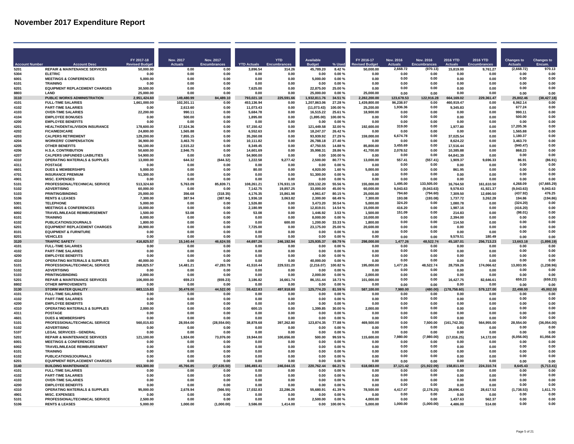|                      |                                                                          | FY 2017-18              | Nov. 2017            | Nov. 2017           |                         | <b>YTD</b>             | <b>Available</b>         |                    | FY 2016-17                | <b>Nov. 2016</b>      | <b>Nov. 2016</b>       | <b>2016 YTD</b>        | 2016 YTD               | <b>Changes to</b>      | <b>Changes to</b>        |
|----------------------|--------------------------------------------------------------------------|-------------------------|----------------------|---------------------|-------------------------|------------------------|--------------------------|--------------------|---------------------------|-----------------------|------------------------|------------------------|------------------------|------------------------|--------------------------|
| <b>Account Numbe</b> | <b>Account Desc</b>                                                      | <b>Revised Budg</b>     | <b>Actuals</b>       | <b>Encumbrances</b> | <b>YTD Actuals</b>      |                        | <b>Budge</b>             | % Used             | <b>Budge</b>              | <b>Actuals</b>        | Encumbrances           |                        |                        | <b>Actuals</b>         | Encum.                   |
| 5201<br>5304         | <b>REPAIR &amp; MAINTENANCE SERVICES</b><br><b>ELETRIC</b>               | 50.000.00<br>0.00       | 0.00<br>0.00         | 0.00<br>0.00        | 3.896.54<br>0.00        | 314.26<br>0.00         | 45,789.20<br>0.00        | 8.42%<br>0.00%     | 50.000.00<br>0.00         | 2,668.72<br>0.00      | (970.13)<br>0.00       | 15,819.00<br>0.00      | 9,761.27<br>0.00       | (2,668.72)<br>0.00     | 970.13<br>0.00           |
| 6001                 | <b>MEETINGS &amp; CONFERENCES</b>                                        | 5,000.00                | 0.00                 | 0.00                | 0.00                    | 0.00                   | 5,000.00                 | $0.00 \%$          | 0.00                      | 0.00                  | 0.00                   | 0.00                   | 0.00                   | 0.00                   | 0.00                     |
| 6101                 | <b>TRAINING</b>                                                          | 0.00                    | 0.00                 | 0.00                | 0.00                    | 0.00                   | 0.00                     | 0.00%              | 0.00                      | 0.00                  | 0.00                   | 0.00                   | 0.00                   | 0.00                   | 0.00                     |
| 6201                 | <b>EQUIPMENT REPLACEMENT CHARGES</b>                                     | 30.500.00               | 0.00                 | 0.00                | 7.625.00                | n nn                   | 22.875.00                | 25.00%             | 0.00                      | 0.00                  | 0.00                   | 0.00                   | 0.00                   | 0.00                   | 0.00                     |
| 8803                 | <b>I AND</b>                                                             | 25,000.00               | 0.00                 | 0.00                | 0.00                    | 0.00                   | 25,000,00                | 0.00%              | 25,000,00                 | 0.00                  | 0.00                   | 0.00                   | 0.00                   | 0.00                   | 0.00                     |
| 3110                 | PUBLIC WORKS ADMINISTRATION                                              | 2.951.424.60            | 149,480.99           | 84,489.10           | 793.021.18              | 225.591.66             | 1,932,811.76             | 34.51%             | 2.282.200.00              | 123,678.53            | 122.916.28             | 664,169.02             | 229.361.47             | 25,802.46              | (38, 427.18)             |
| 4101<br>4102         | <b>FULL-TIME SALARIES</b><br><b>PART-TIME SALARIES</b>                   | 1,661,000.00<br>0.00    | 102.301.11           | 0.00<br>0.00        | 453,136.94<br>11.073.43 | 0.00<br>0.00           | 1,207,863.06             | 27.28%<br>100.00%  | 1,439,800.00<br>25.200.00 | 96.238.97<br>1.936.36 | 0.00<br>0.00           | 460,919.47<br>9.345.83 | 0.00<br>0.00           | 6,062.14<br>677.24     | 0.00<br>0.00             |
| 4103                 | <b>OVER-TIME SALARIES</b>                                                | 22.200.00               | 2,613.60<br>990.11   | 0.00                | 5.684.78                | 0.00                   | (11,073.43)<br>16.515.22 | 25.61%             | 18.900.00                 | 0.00                  | 0.00                   | 0.00                   | 0.00                   | 990.11                 | 0.00                     |
| 4104                 | <b>EMPLOYEE BONUSES</b>                                                  | 0.00                    | 500.00               | 0.00                | 1.895.00                | 0.00                   | (1,895.00)               | 100.00%            | 0.00                      | 0.00                  | 0.00                   | 0.00                   | 0.00                   | 500.00                 | 0.00                     |
| 4200                 | <b>EMPLOYEE BENEFITS</b>                                                 | 0.00                    | 0.00                 | 0.00                | 0.00                    | 0.00                   | 0.00                     | 0.00%              | 0.00                      | 0.00                  | 0.00                   | 0.00                   | 0.00                   | <b>0.00</b>            | 0.00                     |
| 4201                 | HEALTH/DENTAL/VISION INSURANCE                                           | 178.600.00              | 17,524.36            | 0.00                | 57.150.42               | 0.00                   | 121,449.58               | 32.00%             | 192,600.00                | 319.00                | 0.00                   | 1,977.80               | 0.00                   | 17.205.36              | 0.00                     |
| 4202                 | <b>FICA/MEDICARE</b>                                                     | 24,800.00               | 1,565.88             | 0.00                | 6.552.63                | 0.00                   | 18,247.37                | 26.42%             | 0.00                      | 0.00                  | 0.00                   | 0.00                   | 0.00                   | 1.565.88               | 0.00                     |
| 4203                 | <b>CALPERS RETIREMENT</b>                                                | 129.200.00              | 7.855.15             | 0.00                | 35,260.08               | 0.00                   | 93.939.92                | 27.29%             | 159,000.00                | 6,674.78              | 0.00                   | 37.025.54              | 0.00                   | 1,180.37               | 0.00                     |
| 4204                 | <b>WORKERS' COMPENSATION</b>                                             | 36,900.00               | 3.463.70             | 0.00                | 10.111.82               | 0.00                   | 26.788.18                | 27.40%             | 0.00                      | 0.00<br>3.455.69      | 0.00<br>0.00           | 8.624.22               | 0.00                   | 3,463.70<br>(940.47)   | 0.00<br>0.00             |
| 4205<br>4206         | <b>OTHER BENEFITS</b><br><b>H.S.A. CONTRIBUTION</b>                      | 56,100.00<br>50.600.00  | 2,515.22<br>2,946.75 | 0.00<br>0.00        | 8,349.45<br>14,601.69   | 0.00<br>0.00           | 47,750.55<br>35,998.31   | 14.88%<br>28.86%   | 85,800.00<br>41,700.00    | 2,078.52              | 0.00                   | 17,516.44<br>10,385.88 | 0.00<br>0.00           | 868.23                 | 0.00                     |
| 4207                 | <b>CALPERS UNFUNDED LIABILITIES</b>                                      | 54.900.00               | 0.00                 | 0.00                | 54,900.00               | 0.00                   | 0.00                     | 100.00%            | 0.00                      | 0.00                  | 0.00                   | 64,841.39              | 0.00                   | 0.00                   | 0.00                     |
| 4310                 | <b>OPERATING MATERIALS &amp; SUPPLIES</b>                                | 13,000.00               | 644.32               | (644.32)            | 1,222.58                | 9,277.42               | 2,500.00                 | 80.77%             | 13,000.00                 | 557.41                | (557.41)               | 1,909.37               | 9,696.33               | 86.91                  | (86.91)                  |
| 4311                 | <b>POSTAGE</b>                                                           | 0.00                    | 0.00                 | 0.00                | 0.00                    | 0.00                   | 0.00                     | 0.00%              | 0.00                      | 0.00                  | 0.00                   | 0.00                   | 0.00                   | 0.00                   | 0.00                     |
| 4601                 | <b>DUES &amp; MEMBERSHIPS</b>                                            | 5.000.00                | 0.00                 | 0.00                | 80.00                   | 0.00                   | 4.920.00                 | 1.60%              | 5.000.00                  | 0.00                  | 0.00                   | 861.95                 | 0.00                   | 0.00                   | 0.00                     |
| 4701                 | <b>INSURANCE PREMIUM</b>                                                 | 51.300.00               | 0.00                 | 0.00                | 0.00                    | 0.00                   | 51,300.00                | 0.00%              | 0.00                      | 0.00                  | 0.00                   | 0.00                   | 0.00                   | 0.00                   | 0.00                     |
| 4901                 | <b>MISC. EXPENSES</b>                                                    | 0.00                    | 0.00                 | 0.00                | 0.00                    | 0.00                   | 0.00                     | 0.00%              | 0.00                      | 0.00                  | 0.00                   | 0.00                   | 0.00                   | 0.00                   | 0.00                     |
| 5101                 | PROFESSIONAL/TECHNICAL SERVICE                                           | 513.324.60<br>60.000.00 | 5.763.09<br>0.00     | 85.839.71<br>0.00   | 108.261.21              | 176,931.19             | 228.132.20               | 55.56%             | 155,000.00                | 1,495.00<br>9.043.63  | 133,505.00             | 16.764.50              | 161.610.50             | 4,268.09               | (47, 665.29)<br>9.043.63 |
| 5102<br>5103         | <b>ADVERTISING</b><br><b>PRINTING/BINDING</b>                            | 25.000.00               | 356.68               | (318.35)            | 7,142.75<br>4,176.35    | 19,857.25<br>15,861.98 | 33,000.00<br>4,961.67    | 45.00%<br>80.15%   | 60,000.00<br>25.000.00    | 794.60                | (9,043.63)<br>(794.60) | 9,578.63<br>7.309.50   | 41,921.37<br>12.690.50 | (9,043.63)<br>(437.92) | 476.25                   |
| 5106                 | <b>RENTS &amp; LEASES</b>                                                | 7.300.00                | 387.94               | (387.94)            | 1.936.18                | 3.063.82               | 2.300.00                 | 68.49%             | 7.300.00                  | 193.08                | (193.08)               | 1,737.72               | 3.262.28               | 194.86                 | (194.86)                 |
| 5301                 | <b>TELEPHONE</b>                                                         | 5,000.00                | 0.00                 | 0.00                | 1,526.80                | 0.00                   | 3,473.20                 | 30.54 %            | 5,000.00                  | 324.20                | 0.00                   | 1,080.78               | 0.00                   | (324.20)               | 0.00                     |
| 6001                 | <b>MEETINGS &amp; CONFERENCES</b>                                        | 15.000.00               | 0.00                 | 0.00                | 2,180.99                | 0.00                   | 12,819.01                | 14.54%             | 15.000.00                 | 416.20                | 0.00                   | 1.987.16               | 0.00                   | (416.20)               | 0.00                     |
| 6002                 | TRAVEL/MILEAGE REIMBURSEMENT                                             | 1.500.00                | 53.08                | 0.00                | 53.08                   | 0.00                   | 1,446.92                 | 3.53 %             | 1.500.00                  | 151.09                | 0.00                   | 214.83                 | 0.00                   | (98.01)                | 0.00                     |
| 6101                 | <b>TRAINING</b>                                                          | 8.000.00                | 0.00                 | 0.00                | 0.00                    | 0.00                   | 8.000.00                 | 0.00%              | 10.000.00                 | 0.00                  | 0.00                   | 2.394.00               | 0.00                   | 0.00                   | 0.00                     |
| 6102                 | <b>PUBLICATIONS/JOURNALS</b>                                             | 1.800.00                | 0.00                 | 0.00                | 0.00                    | 600.00                 | 1.200.00                 | 33.33 %            | 1,800.00                  | 0.00                  | 0.00                   | 114.50                 | 0.00                   | 0.00                   | 0.00                     |
| 6201<br>8101         | <b>EQUIPMENT REPLACEMENT CHARGES</b><br><b>EQUIPMENT &amp; FURNITURE</b> | 30,900.00<br>0.00       | 0.00<br>0.00         | 0.00<br>0.00        | 7,725.00<br>0.00        | 0.00<br>0.00           | 23,175.00<br>0.00        | 25.00%<br>0.00%    | 20,600.00<br>0.00         | 0.00<br>0.00          | 0.00<br>0.00           | 0.00<br>0.00           | 0.00<br>0.00           | 0.00<br>0.00           | 0.00<br>0.00             |
| 8201                 | <b>VEHICLES</b>                                                          | 0.00                    | 0.00                 | 0.00                | 0.00                    | 0.00                   | 0.00                     | 0.00%              | 0.00                      | 0.00                  | 0.00                   | 9,579.51               | 180.49                 | 0.00                   | 0.00                     |
| 3120                 | <b>TRAFFIC SAFETY</b>                                                    | 416.825.57              | 15,140.44            | 46,624.55           | 44,697.26               | 246,192.94             | 125,935.37               | 39.79%             | 298,000.00                | 1,477.26              | 48,522.74              | 45,187.01              | 256,713.23             | 13,663.18              | (1,898.19)               |
| 4101                 | <b>FULL-TIME SALARIES</b>                                                | 0.00                    | 0.00                 | 0.00                | 0.00                    | 0.00                   | 0.00                     | 0.00%              | 0.00                      | 0.00                  | 0.00                   | 0.00                   | 0.00                   | 0.00                   | 0.00                     |
| 4102                 | <b>PART-TIME SALARIES</b>                                                | 0.00                    | 0.00                 | 0.00                | 0.00                    | 0.00                   | 0.00                     | 0.00%              | 0.00                      | 0.00                  | 0.00                   | 0.00                   | 0.00                   | 0.00                   | 0.00                     |
| 4200                 | <b>EMPLOYEE BENEFITS</b>                                                 | 0.00                    | 0.00                 | 0.00                | 0.00                    | 0.00                   | 0.00                     | 0.00%              | 0.00                      | 0.00                  | 0.00                   | 0.00                   | 0.00                   | 0.00                   | 0.00                     |
| 4310<br>5101         | <b>OPERATING MATERIALS &amp; SUPPLIES</b>                                | 40.000.00<br>268.825.57 | 0.00                 | 0.00<br>47.283.78   | 0.00                    | 0.00                   | 40.000.00                | 0.00%<br>100.82%   | 0.00                      | 0.00<br>1,477.26      | 0.00<br>48,522.74      | 0.00<br>28.759.26      | 0.00<br>174.066.62     | 0.00<br>13,003.95      | 0.00<br>(1, 238.96)      |
| 5102                 | PROFESSIONAL/TECHNICAL SERVICE<br><b>ADVERTISING</b>                     | 0.00                    | 14.481.21<br>0.00    | 0.00                | 41,510.44<br>0.00       | 229,531.20<br>0.00     | (2, 216.07)<br>0.00      | 0.00%              | 195,000.00<br>0.00        | 0.00                  | 0.00                   | 0.00                   | 0.00                   | 0.00                   | 0.00                     |
| 5103                 | PRINTING/BINDING                                                         | 2,000.00                | 0.00                 | 0.00                | 0.00                    | 0.00                   | 2,000.00                 | 0.00%              | 2.000.00                  | 0.00                  | 0.00                   | 0.00                   | 0.00                   | 0.00                   | 0.00                     |
| 5201                 | <b>REPAIR &amp; MAINTENANCE SERVICES</b>                                 | 106,000.00              | 659.23               | (659.23)            | 3,186.82                | 16,661.74              | 86,151.44                | 18.73%             | 101,000.00                | 0.00                  | 0.00                   | 16,427.75              | 82,646.61              | 659.23                 | (659.23)                 |
| 8802                 | <b>OTHER IMPROVEMENTS</b>                                                | 0.00                    | 0.00                 | 0.00                | 0.00                    | 0.00                   | 0.00                     | 0.00%              | 0.00                      | 0.00                  | 0.00                   | 0.00                   | 0.00                   | 0.00                   | 0.00                     |
| 3130                 | <b>STORM WATER QUALITY</b>                                               | 683,115.83              | 30,478.00            | 44,522.00           | 59,422.83               | 497,918.80             | 125,774.20               | 81.59%             | 587,100.00                | ,980.00               | (480.00)               | 758.60)                | 579,127.00             | 22,498.00              | 45.002.00                |
| 4101                 | <b>FULL-TIME SALARIES</b>                                                | 0.00                    | 0.00                 | 0.00                | 0.00                    | 0.00                   | 0.00                     | $0.00 \%$          | 0.00                      | 0.00                  | 0.00                   | 0.00                   | 0.00                   | 0.00                   | 0.00                     |
| 4102                 | <b>PART-TIME SALARIES</b>                                                | 0.00                    | 0.00                 | 0.00                | 0.00                    | 0.00                   | 0.00                     | 0.00%              | 0.00                      | 0.00                  | 0.00                   | 0.00                   | 0.00                   | 0.00                   | 0.00                     |
| 4200                 | <b>EMPLOYEE BENEFITS</b>                                                 | 0.00<br>2.000.00        | 0.00<br>0.00         | 0.00<br>0.00        | 0.00<br>600 15          | 0.00                   | 0.00                     | 0.00%              | 0.00                      | 0.00<br>0.00          | 0.00<br>0.00           | 0.00<br>0.00           | 0.00<br>0.00           | 0.00<br>0.00           | 0.00<br>0.00             |
| 4310<br>4311         | <b>OPERATING MATERIALS &amp; SUPPLIES</b><br><b>POSTAGE</b>              | 0.00                    | 0.00                 | 0.00                | 0.00                    | n nn<br>0.00           | 1.399.85<br>0.00         | 30.00 $%$<br>0.00% | 2,000.00<br>0.00          | 0.00                  | 0.00                   | 0.00                   | 0.00                   | 0.00                   | 0.00                     |
| 4601                 | <b>DUES &amp; MEMBERSHIPS</b>                                            | 0.00                    | 0.00                 | 0.00                | 0.00                    | 0.00                   | 0.00                     | 0.00%              | 0.00                      | 0.00                  | 0.00                   | 0.00                   | 0.00                   | 0.00                   | 0.00                     |
| 5101                 | PROFESSIONAL/TECHNICAL SERVICE                                           | 560.015.83              | 28.554.00            | (28.554.00)         | 38.878.68               | 397.262.80             | 123,874.35               | 77.88%             | 469.500.00                | 0.00                  | 7.500.00               | (161, 742.35)          | 564,955.00             | 28,554.00              | (36,054.00               |
| 5102                 | <b>ADVERTISING</b>                                                       | 0.00                    | 0.00                 | 0.00                | 0.00                    | 0.00                   | 0.00                     | 0.00%              | 0.00                      | 0.00                  | 0.00                   | 0.00                   | 0.00                   | 0.00                   | 0.00                     |
| 5107                 | <b>LEGAL SERVICES - GENERAL</b>                                          | 0.00                    | 0.00                 | 0.00                | 0.00                    | 0.00                   | 0.00                     | 0.00%              | 0.00                      | 0.00                  | 0.00                   | 0.00                   | 0.00                   | 0.00                   | 0.00                     |
| 5201                 | <b>REPAIR &amp; MAINTENANCE SERVICES</b>                                 | 121.100.00              | 1,924.00             | 73,076.00           | 19,944.00               | 100,656.00             | 500.00                   | 99.59%             | 115,600.00                | 7.980.00              | (7.980.00)             | (17,016.25)            | 14,172.00              | (6,056.00)             | 81,056.00                |
| 6001                 | <b>MEETINGS &amp; CONFERENCES</b>                                        | 0.00                    | 0.00                 | 0.00                | 0.00                    | 0.00                   | 0.00                     | 0.00%              | 0.00                      | 0.00                  | 0.00                   | 0.00                   | 0.00                   | 0.00                   | 0.00                     |
| 6002<br>6101         | <b>TRAVEL/MILEAGE REIMBURSEMENT</b><br><b>TRAINING</b>                   | 0.00<br>0.00            | 0.00<br>0.00         | 0.00<br>0.00        | 0.00<br>0.00            | 0.00<br>0.00           | 0.00<br>0.00             | 0.00%<br>0.00%     | 0.00<br>0.00              | 0.00<br>0.00          | 0.00<br>0.00           | 0.00<br>0.00           | 0.00<br>0.00           | 0.00<br>0.00           | 0.00<br>0.00             |
| 6102                 | <b>PUBLICATIONS/JOURNALS</b>                                             | 0.00                    | 0.00                 | 0.00                | 0.00                    | 0.00                   | 0.00                     | 0.00%              | 0.00                      | 0.00                  | 0.00                   | 0.00                   | 0.00                   | 0.00                   | 0.00                     |
| 6201                 | <b>EQUIPMENT REPLACEMENT CHARGES</b>                                     | 0.00                    | 0.00                 | 0.00                | 0.00                    | 0.00                   | 0.00                     | 0.00%              | 0.00                      | 0.00                  | 0.00                   | 0.00                   | 0.00                   | 0.00                   | 0.00                     |
| 3140                 | <b>BUILDING MAINTENANCE</b>                                              | 300.00                  | 45.766.85            | 635.50)<br>(27.0)   | 186,493.41              | 246,044.15             | 220.762.44               | 6.21 %             | 618.083.00                | 37,121.42             | (21, 922.09)           | .811.69                | 224.310.74             | 8.645.43               | (5,713.41)               |
| 4101                 | <b>FULL-TIME SALARIES</b>                                                | 0.00                    | 0.00                 | 0.00                | 0.00                    | 0.00                   | 0.00                     | 0.00%              | 0.00                      | 0.00                  | 0.00                   | 0.00                   | 0.00                   | 0.00                   | 0.00                     |
| 4102                 | <b>PART-TIME SALARIES</b>                                                | 0.00                    | 0.00                 | 0.00                | 0.00                    | 0.00                   | 0.00                     | 0.00%              | 0.00                      | 0.00                  | 0.00                   | 0.00                   | 0.00                   | 0.00                   | 0.00                     |
| 4103                 | <b>OVER-TIME SALARIES</b>                                                | 0.00                    | 0.00                 | 0.00                | 0.00                    | 0.00                   | 0.00                     | $0.00 \%$          | 0.00                      | 0.00                  | 0.00                   | 0.00                   | 0.00                   | 0.00                   | 0.00                     |
| 4200                 | <b>EMPLOYEE BENEFITS</b>                                                 | 0.00                    | 0.00                 | 0.00                | 0.00                    | 0.00                   | 0.00                     | 0.00%              | 0.00                      | 0.00<br>4.417.47      | 0.00                   | 0.00                   | 0.00                   | 0.00<br>(1.738.53)     | 0.00<br>1.611.70         |
| 4310<br>4901         | <b>OPERATING MATERIALS &amp; SUPPLIES</b><br><b>MISC. EXPENSES</b>       | 95.000.00<br>0.00       | 2.678.94<br>0.00     | (566.55)<br>0.00    | 17.032.83<br>0.00       | 22.286.26<br>0.00      | 55.680.91<br>0.00        | 41.39%<br>0.00%    | 78.500.00<br>0.00         | 0.00                  | (2, 178.25)<br>0.00    | 28.696.43<br>0.00      | 28.617.52<br>0.00      | 0.00                   | 0.00                     |
| 5101                 | PROFESSIONAL/TECHNICAL SERVICE                                           | 2.500.00                | 0.00                 | 0.00                | 0.00                    | 0.00                   | 2,500.00                 | 0.00%              | 4,000.00                  | 0.00                  | 0.00                   | 1,437.63               | 562.37                 | 0.00                   | 0.00                     |
| 5106                 | <b>RENTS &amp; LEASES</b>                                                | 5.000.00                | 1.000.00             | (1.000.00)          | 3,586.00                | 1.414.00               | 0.00                     | 100.00%            | 5,000.00                  | 1.000.00              | (1,000.00)             | 4,486.00               | 514.00                 | 0.00                   | 0.00                     |
|                      |                                                                          |                         |                      |                     |                         |                        |                          |                    |                           |                       |                        |                        |                        |                        |                          |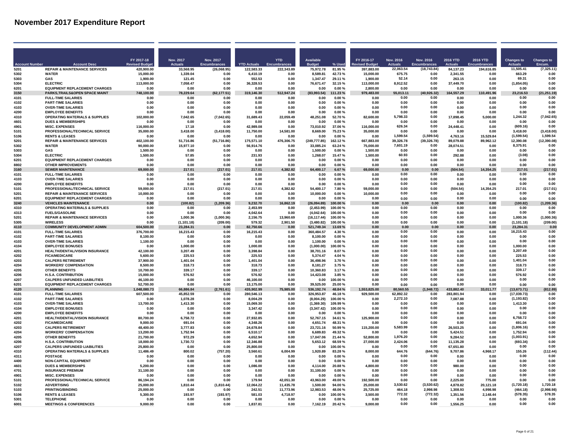|                     |                                                                            | FY 2017-18                | Nov. 2017              |                                  |                         | <b>YTD</b>          | <b>Available</b>           |                    | FY 2016-17              | Nov. 2016             | Nov. 2016            | <b>2016 YTD</b>        | 2016 YTD          |                                     |                             |
|---------------------|----------------------------------------------------------------------------|---------------------------|------------------------|----------------------------------|-------------------------|---------------------|----------------------------|--------------------|-------------------------|-----------------------|----------------------|------------------------|-------------------|-------------------------------------|-----------------------------|
| <b>Account Numi</b> |                                                                            | <b>Revised Budge</b>      | Actuals                | Nov. 2017<br><b>Encumbrances</b> |                         |                     |                            |                    | sed Budge               | <b>Actuals</b>        | Encumbrances         |                        |                   | <b>Changes to</b><br><b>Actuals</b> | <b>Changes to</b><br>Encum. |
| 5201                | <b>REPAIR &amp; MAINTENANCE SERVICES</b>                                   | 420,900.00                | 33.568.95              | (26,068.95)                      | 122.583.33              | 222,343.89          | 75,972.78                  | 81.95%             | 397,883.00              | 22.063.54             | (18.743.84           | 84.137.23              | 194,616.85        | 11.505.41                           | (7.325.11)                  |
| 5302<br>5303        | <b>WATER</b><br><b>GAS</b>                                                 | 15.000.00<br>1.900.00     | 1.339.04<br>121.45     | 0.00<br>0.00                     | 6.410.19<br>552.53      | 0.00<br>0.00        | 8.589.81<br>1.347.47       | 42.73%<br>29.11%   | 15.000.00<br>1,900.00   | 675.75<br>52.14       | 0.00<br>0.00         | 2.341.55<br>263.15     | 0.00<br>0.00      | 663.29<br>69.31                     | 0.00<br>0.00                |
| 5304                | <b>ELECTRIC</b>                                                            | 113,000.00                | 7,058.47               | 0.00                             | 36.328.53               | 0.00                | 76,671.47                  | 32.15%             | 113,000.00              | 8,912.52              | 0.00                 | 37,449.70              | 0.00              | (1,854.05)                          | 0.00                        |
| 6201                | <b>EQUIPMENT REPLACEMENT CHARGES</b>                                       | 0.00                      | 0.00                   | 0.00                             | 0.00                    | 0.00                | 0.00                       | 0.00%              | 2,800.00                | 0.00                  | 0.00                 | 0.00                   | 0.00              | 0.00                                | 0.00                        |
| 3150                | PARKS, TRAILS& OPEN SPACE MAINT                                            | 748,100.00                | 78,229.64              | (62, 177.51)                     | 319,146.30              | 512,947.24          | (83,993.54)                | 1.23 %             | 979,483.00              | 55,013.11             | (40, 926.32)         | 164,557.29             | 110,491.96        | 23,216.53                           | (21, 251.19)                |
| 4101<br>4102        | <b>FULL-TIME SALARIES</b><br><b>PART-TIME SALARIES</b>                     | 0.00<br>0.00              | 0.00<br>0.00           | 0.00<br>0.00                     | 0.00<br>0.00            | 0.00<br>0.00        | 0.00<br>0.00               | 0.00%<br>0.00%     | 0.00<br>0.00            | 0.00<br>0.00          | 0.00<br>0.00         | 0.00<br>0.00           | 0.00<br>0.00      | 0.00<br>0.00                        | 0.00<br>0.00                |
| 4103                | <b>OVER-TIME SALARIES</b>                                                  | 0.00                      | 0.00                   | 0.00                             | 0.00                    | 0.00                | 0.00                       | 0.00%              | 0.00                    | 0.00                  | 0.00                 | 0.00                   | 0.00              | 0.00                                | 0.00                        |
| 4200                | <b>EMPLOYEE BENEFITS</b>                                                   | 0.00                      | 0.00                   | 0.00                             | 0.00                    | 0.00                | 0.00                       | 0.00%              | 0.00                    | 0.00                  | 0.00                 | 0.00                   | 0.00              | 0.00                                | 0.00                        |
| 4310<br>4601        | <b>OPERATING MATERIALS &amp; SUPPLIES</b><br><b>DUES &amp; MEMBERSHIPS</b> | 102.000.00                | 7.042.65               | (7,042.65)<br>0.00               | 31.689.43<br>0.00       | 22.059.49           | 48.251.08<br>0.00          | 52.70%<br>0.00%    | 82.600.00<br>0.00       | 5,798.33<br>0.00      | 0.00<br>0.00         | 17.898.45              | 5.000.00<br>0.00  | 1,244.32<br>0.00                    | (7,042.65)<br>0.00          |
| 4901                | <b>MISC. EXPENSES</b>                                                      | 0.00<br>116,000.00        | 0.00<br>17.18          | 0.00                             | 42,989.08               | 0.00<br>0.00        | 73,010.92                  | 37.06%             | 116,000.00              | 626.34                | 0.00                 | 0.00<br>24,448.41      | 0.00              | (609.16)                            | 0.00                        |
| 5101                | PROFESSIONAL/TECHNICAL SERVICE                                             | 35,000.00                 | 3,418.00               | (3, 418.00)                      | 11.750.00               | 14.581.00           | 8.669.00                   | 75.23%             | 35,000.00               | 0.00                  | 0.00                 | 0.00                   | 0.00              | 3.418.00                            | (3, 418.00)                 |
| 5106                | <b>RENTS &amp; LEASES</b>                                                  | 0.00                      | 0.00                   | 0.00                             | 0.00                    | 0.00                | 0.00                       | 0.00%              | 0.00                    | 1,599.54              | (1,599.54)           | 4,763.16               | 15.529.84         | (1,599.54)                          | 1,599.54                    |
| 5201<br>5302        | <b>REPAIR &amp; MAINTENANCE SERVICES</b><br><b>WATER</b>                   | 402,100.00<br>90.000.00   | 51,716.86<br>15,977.10 | (51, 716.86)<br>0.00             | 175,571.10<br>56.914.76 | 476,306.75<br>0.00  | (249, 777.85)<br>33,085.24 | 162.12%<br>63.24%  | 667,883.00<br>75,000.00 | 39,326.78<br>7,601.19 | (39, 326.78)<br>0.00 | 89,079.88<br>28,074.51 | 89,962.12<br>0.00 | 12,390.08<br>8.375.91               | (12,390.08<br>0.00          |
| 5303                | GAS                                                                        | 1.500.00                  | 0.00                   | 0.00                             | 0.00                    | 0.00                | 1,500.00                   | 0.00%              | 1.500.00                | 0.00                  | 0.00                 | 0.00                   | 0.00              | 0.00                                | 0.00                        |
| 5304                | <b>ELECTRIC</b>                                                            | 1,500.00                  | 57.85                  | 0.00                             | 231.93                  | 0.00                | 1,268.07                   | 15.47%             | 1,500.00                | 60.93                 | 0.00                 | 292.88                 | 0.00              | (3.08)                              | 0.00                        |
| 6201                | <b>EQUIPMENT REPLACEMENT CHARGES</b>                                       | 0.00                      | 0.00                   | 0.00                             | 0.00                    | 0.00                | 0.00                       | 0.00%              | 0.00                    | 0.00                  | 0.00                 | 0.00                   | 0.00              | 0.00                                | 0.00                        |
| 8802<br>3160        | <b>OTHER IMPROVEMENTS</b><br><b>SEWER MAINTENANCE</b>                      | 0.00<br>69.000.00         | 0.00<br>217.01         | 0.00<br>(217.01)                 | 0.00<br>217.01          | 0.00<br>4.382.82    | 0.00<br>64,400.17          | 0.00%              | 0.00<br>69,000.00       | 0.00<br>n nr          | 0.00<br>n nn         | 0.00<br>(504.54)       | 0.00              | 0.00<br>217.01                      | 0.00<br>(217.01)            |
| 4101                | <b>FULL-TIME SALARIES</b>                                                  | 0.00                      | 0.00                   | 0.00                             | 0.00                    | 0.00                | 0.00                       | 6.67%<br>0.00%     | 0.00                    | 0.00                  | 0.00                 | 0.00                   | 14,354.25<br>n no | 0.00                                | 0.00                        |
| 4103                | <b>OVER-TIME SALARIES</b>                                                  | 0.00                      | 0.00                   | 0.00                             | 0.00                    | 0.00                | 0.00                       | 0.00%              | 0.00                    | 0.00                  | 0.00                 | 0.00                   | 0.00              | 0.00                                | 0.00                        |
| 4200                | <b>EMPLOYEE BENEFITS</b>                                                   | 0.00                      | 0.00                   | 0.00                             | 0.00                    | 0.00                | 0.00                       | 0.00%              | 0.00                    | 0.00                  | 0.00                 | 0.00                   | 0.00              | 0.00                                | 0.00                        |
| 5101<br>5201        | PROFESSIONAL/TECHNICAL SERVICE<br><b>REPAIR &amp; MAINTENANCE SERVICES</b> | 59,000.00<br>10,000.00    | 217.01<br>0.00         | (217.01)<br>0.00                 | 217.01<br>0.00          | 4.382.82<br>0.00    | 54,400.17<br>10,000.00     | 7.80%<br>0.00%     | 59,000.00<br>10,000.00  | 0.00<br>0.00          | 0.00<br>0.00         | (504.54)<br>0.00       | 14.354.25<br>0.00 | 217.01<br>0.00                      | (217.01)<br>0.00            |
| 6201                | <b>EQUIPMENT REPLACEMENT CHARGES</b>                                       | 0.00                      | 0.00                   | 0.00                             | 0.00                    | 0.00                | 0.00                       | 0.00%              | 0.00                    | 0.00                  | 0.00                 | 0.00                   | 0.00              | 0.00                                | 0.00                        |
| 3240                | <b>VEHICLES MAINTENANCE</b>                                                | 0.00                      | (100.82)               | (1, 209.36)                      | 9,232.70                | 16,862.19           | (26,094.89)                | 00.00 %            | 0.00                    | 0.00                  | 0.00                 | 0.00                   | 0.00              | (100.82)                            | (1, 209.36)                 |
| 4310                | <b>OPERATING MATERIALS &amp; SUPPLIES</b>                                  | 0.00                      | 0.00                   | 0.00                             | 2,453.99                | 0.00                | (2,453.99)                 | 100.00%            | 0.00                    | 0.00                  | 0.00                 | 0.00                   | 0.00              | 0.00                                | 0.00                        |
| 4313<br>5201        | <b>FUELS/GASOLINE</b><br><b>REPAIR &amp; MAINTENANCE SERVICES</b>          | 0.00<br>0.00              | 0.00<br>1,000.36       | 0.00<br>(1,000.36)               | 4,042.64<br>2,156.75    | 0.00<br>13.960.69   | (4,042.64)<br>(16, 117.44) | 100.00%<br>100.00% | 0.00<br>0.00            | 0.00<br>0.00          | 0.00<br>0.00         | 0.00<br>0.00           | 0.00<br>0.00      | 0.00<br>1.000.36                    | 0.00<br>(1,000.36)          |
| 5305                | <b>WIRELESS</b>                                                            | 0.00                      | (1, 101.18)            | (209.00)                         | 579.32                  | 2,901.50            | (3,480.82)                 | 100.00%            | 0.00                    | 0.00                  | 0.00                 | 0.00                   | 0.00              | (1, 101.18)                         | (209.00)                    |
| 4110                | <b>COMMUNITY DEVELOPMENT ADMIN</b>                                         | 604,500.00                | 23 284 31              | 0.00                             | 82.750.66               | 0.00                | 521,749.34                 | 13.69%             | 0.00                    | 0.00                  | 0.00                 | 0.00                   | 0.00              | 23.284.31                           | 0.00                        |
| 4101                | <b>FULL-TIME SALARIES</b>                                                  | 376,700.00                | 16.215.43              | 0.00                             | 16.215.43               | 0.00                | 360,484.57                 | 4.30%              | 0.00                    | 0.00<br>0.00          | 0.00<br>0.00         | 0.00                   | 0.00              | 16,215.43<br>0.00                   | 0.00<br>0.00                |
| 4102<br>4103        | <b>PART-TIME SALARIES</b><br><b>OVER-TIME SALARIES</b>                     | 8.100.00<br>1.100.00      | 0.00<br>0.00           | 0.00<br>0.00                     | 0.00<br>0.00            | 0.00<br>0.00        | 8,100.00<br>1.100.00       | 0.00%<br>0.00%     | 0.00<br>0.00            | 0.00                  | 0.00                 | 0.00<br>0.00           | 0.00<br>0.00      | 0.00                                | 0.00                        |
| 4104                | <b>EMPLOYEE BONUSES</b>                                                    | 0.00                      | 1.000.00               | 0.00                             | 1.000.00                | 0.00                | (1.000.00)                 | 100.00%            | 0.00                    | 0.00                  | 0.00                 | 0.00                   | 0.00              | 1,000.00                            | 0.00                        |
| 4201                | HEALTH/DENTAL/VISION INSURANCE                                             | 42,100.00                 | 3,207.49               | 0.00                             | 3,398.84                | 0.00                | 38,701.16                  | 8.07%              | 0.00                    | 0.00                  | 0.00                 | 0.00                   | 0.00              | 3,207.49                            | 0.00                        |
| 4202                | <b>FICA/MEDICARE</b>                                                       | 5,600.00                  | 225.53                 | 0.00                             | 225.53                  | 0.00                | 5,374.47                   | 4.04%              | 0.00                    | 0.00<br>0.00          | 0.00<br>0.00         | 0.00                   | 0.00              | 225.53<br>1.401.04                  | 0.00<br>0.00                |
| 4203<br>4204        | <b>CALPERS RETIREMENT</b><br><b>WORKERS' COMPENSATION</b>                  | 37,900.00<br>8.500.00     | 1,401.04<br>318.73     | 0.00<br>0.00                     | 1,401.04<br>318.73      | 0.00<br>0.00        | 36,498.96<br>8.181.27      | 3.70%<br>3.75%     | 0.00<br>0.00            | 0.00                  | 0.00                 | 0.00<br>0.00           | 0.00<br>0.00      | 318.73                              | 0.00                        |
| 4205                | <b>OTHER BENEFITS</b>                                                      | 10.700.00                 | 339.17                 | 0.00                             | 339.17                  | 0.00                | 10.360.83                  | 3.17%              | 0.00                    | 0.00                  | 0.00                 | 0.00                   | 0.00              | 339.17                              | 0.00                        |
| 4206                | H.S.A. CONTRIBUTION                                                        | 15,000.00                 | 576.92                 | 0.00                             | 576.92                  | 0.00                | 14,423.08                  | 3.85%              | 0.00                    | 0.00                  | 0.00                 | 0.00                   | 0.00              | 576.92                              | 0.00                        |
| 4207                | <b>CALPERS UNFUNDED LIABILITIES</b>                                        | 46.100.00                 | 0.00                   | 0.00                             | 46,100.00               | 0.00                | 0.00                       | 100.00%            | 0.00                    | 0.00                  | 0.00                 | 0.00                   | 0.00              | 0.00                                | 0.00                        |
| 6201<br>4120        | <b>EQUIPMENT REPLACEMENT CHARGES</b><br><b>PLANNING</b>                    | 52,700.00<br>1,048,080.73 | 0.00<br>66.886.84      | 0.00<br>(2,761.61)               | 13,175.00<br>435,902.99 | 0.00<br>75,985.00   | 39,525.00<br>536,192.74    | 25.00%<br>48.84 %  | 0.00<br>1,553,825.00    | 0.00<br>80.560.55     | 0.00<br>(1,948.72)   | 0.00<br>433.882.40     | 0.00<br>33,011.77 | 0.00<br>(13, 673.71)                | 0.00<br>(812.89             |
| 4101                | <b>FULL-TIME SALARIES</b>                                                  | 607,500.00                | 45.852.59              | 0.00                             | 280.546.13              | 0.00                | 326.953.87                 | 46.18%             | 929.500.00              | 62.892.32             | 0.00                 | 283,801.94             | 0.00              | (17,039.73)                         | 0.00                        |
| 4102                | <b>PART-TIME SALARIES</b>                                                  | 0.00                      | 1.078.28               | 0.00                             | 8.004.29                | 0.00                | (8.004.29)                 | 100.00%            | 0.00                    | 2.272.10              | 0.00                 | 7.087.88               | 0.00              | (1.193.82)                          | 0.00                        |
| 4103<br>4104        | <b>OVER-TIME SALARIES</b><br><b>EMPLOYEE BONUSES</b>                       | 13.700.00<br>n nn         | 1.413.30<br>n nn       | 0.00<br>0.00                     | 15.069.30<br>3.347.42   | 0.00<br><b>0.00</b> | (1.369.30)<br>(3, 347.42)  | 109.99%<br>100.00% | 0.00<br>0.00            | 0.00<br>0.00          | 0.00<br>0.00         | 0.00<br>0.00           | 0.00<br>0.OO      | 1,413.30<br>0.00                    | 0.00<br>0.00                |
| 4200                | <b>EMPLOYEE BENEFITS</b>                                                   | 0.00                      | 0.00                   | 0.00                             | 0.00                    | 0.00                | 0.00                       | 0.00%              | 0.00                    | 0.00                  | 0.00                 | 0.00                   | 0.00              | 0.00                                | 0.00                        |
| 4201                | <b>HEALTH/DENTAL/VISION INSURANCE</b>                                      | 80.700.00                 | 6.758.72               | 0.00                             | 27.932.85               | 0.00                | 52.767.15                  | 34.61%             | 125.900.00              | 0.00                  | 0.00                 | 0.00                   | 0.00              | 6.758.72                            | 0.00                        |
| 4202                | <b>FICA/MEDICARE</b>                                                       | 9.000.00                  | 691.04                 | 0.00                             | 4,348.26                | 0.00                | 4,651.74                   | 48.31%             | 0.00                    | 0.00                  | 0.00                 | 0.00                   | 0.00              | 691.04                              | 0.00                        |
| 4203<br>4204        | <b>CALPERS RETIREMENT</b><br><b>WORKERS' COMPENSATION</b>                  | 48.400.00<br>13.200.00    | 3,777.83<br>1,752.94   | 0.00<br>0.00                     | 24,678.84<br>6,510.17   | 0.00<br>0.00        | 23,721.16<br>6.689.83      | 50.99%<br>49.32%   | 115,200.00<br>0.00      | 5,583.99<br>0.00      | 0.00<br>0.00         | 26,503.25<br>5.424.5'  | 0.00<br>0.00      | (1.806.16)<br>1.752.94              | 0.00<br>0.00                |
| 4205                | <b>OTHER BENEFITS</b>                                                      | 21,700.00                 | 972.29                 | 0.00                             | 4,652.94                | 0.00                | 17,047.06                  | 21.44 %            | 52,800.00               | 1.976.20              | 0.00                 | 9,284.52               | 0.00              | (1,003.91)                          | 0.00                        |
| 4206                | H.S.A. CONTRIBUTION                                                        | 18.000.00                 | 1.730.72               | 0.00                             | 12,346.88               | 0.00                | 5,653.12                   | 68.59%             | 27,000.00               | 2.424.06              | 0.00                 | 11,135.28              | 0.00              | (693.34)                            | 0.00                        |
| 4207                | <b>CALPERS UNFUNDED LIABILITIES</b>                                        | 25,800.00                 | 0.00                   | 0.00                             | 25,800.00               | 0.00                | 0.00                       | 100.00%            | 0.00                    | 0.00                  | 0.00<br>(644 76)     | 67.651.80              | 0.00              | 0.00                                | 0.00                        |
| 4310<br>4311        | <b>OPERATING MATERIALS &amp; SUPPLIES</b><br><b>POSTAGE</b>                | 11,486.49<br>0.00         | 800.02<br>0.00         | (757.20)<br>0.00                 | 3,560.61<br>0.00        | 6.004.99<br>0.00    | 1.920.89<br>0.00           | 83.28%<br>0.00%    | 8.000.00<br>0.00        | 644.76<br>0.00        | 0.00                 | 9.707.86<br>0.00       | 4.968.17<br>0.00  | 155.26<br>0.00                      | (112.44)<br>0.00            |
| 4400                | <b>NON-CAPITAL EQUIPMENT</b>                                               | 0.00                      | 0.00                   | 0.00                             | 0.00                    | 0.00                | 0.00                       | 0.00%              | 0.00                    | 0.00                  | 0.00                 | 0.00                   | 0.00              | 0.00                                | 0.00                        |
| 4601                | DUES & MEMBERSHIPS                                                         | 5.200.00                  | 0.00                   | 0.00                             | 1.086.00                | 0.00                | 4.114.00                   | 20.88%             | 4.800.00                | 0.00                  | 0.00                 | 980.00                 | 0.00              | 0.00                                | 0.00                        |
| 4701                | <b>INSURANCE PREMIUM</b>                                                   | 31.100.00                 | 0.00                   | 0.00                             | 0.00                    | 0.00                | 31.100.00                  | 0.00%              | 0.00                    | 0.00                  | 0.00                 | 0.00                   | 0.00              | 0.00                                | 0.00                        |
| 4901<br>5101        | <b>MISC. EXPENSES</b><br>PROFESSIONAL/TECHNICAL SERVICE                    | 0.00<br>86.194.24         | 0.00<br>0.00           | 0.00<br>0.00                     | 0.00<br>179.94          | 0.00<br>42.051.30   | 0.00<br>43.963.00          | 0.00%<br>49.00%    | 0.00<br>192.500.00      | 0.00<br>0.00          | 0.00<br>0.00         | 0.00<br>2.225.00       | 0.00<br>775.00    | 0.00<br>0.00                        | 0.00<br>0.00                |
| 5102                | <b>ADVERTISING</b>                                                         | 25,000.00                 | 1,810.44               | (1,810.44)                       | 12,064.22               | 11,435.78           | 1,500.00                   | 94.00%             | 25,000.00               | 3,530.62              | (3.530.62)           | 4,878.82               | 20,121.18         | (1.720.18)                          | 1,720.18                    |
| 5103                | <b>PRINTING/BINDING</b>                                                    | 25,000.00                 | 0.00                   | 0.00                             | 242.51                  | 11,773.96           | 12,983.53                  | 48.06%             | 25,725.00               | 464.18                | 2.998.98             | 1,308.93               | 4,998.98          | (464.18)                            | (2.998.98                   |
| 5106                | <b>RENTS &amp; LEASES</b>                                                  | 5.300.00                  | 193.97                 | (193.97)                         | 581.03                  | 4.718.97            | 0.00                       | 100.00%            | 3.500.00                | 772.32                | (772.32)             | 1,351.56               | 2.148.44          | (578.35)                            | 578.35                      |
| 5301<br>6001        | <b>TELEPHONE</b><br><b>MEETINGS &amp; CONFERENCES</b>                      | 0.00<br>9.000.00          | 0.00<br>0.00           | 0.00<br>0.00                     | 0.00<br>1.837.81        | 0.00<br>0.00        | 0.00<br>7.162.19           | 0.00%<br>20.42%    | 0.00<br>9.000.00        | 0.00<br>0.00          | 0.00<br>0.00         | 0.00<br>1,556.25       | 0.00<br>0.00      | 0.00<br>0.00                        | 0.00<br>0.00                |
|                     |                                                                            |                           |                        |                                  |                         |                     |                            |                    |                         |                       |                      |                        |                   |                                     |                             |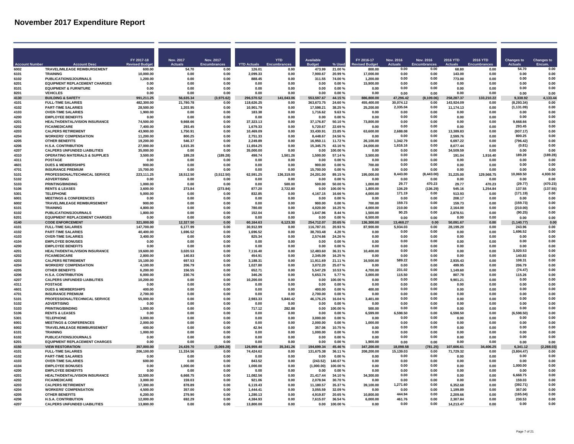| FY 2017-18<br>Nov. 2017<br>Nov. 2017<br><b>YTD</b><br><b>Available</b><br>FY 2016-17<br><b>Nov. 2016</b><br>Nov. 2016<br><b>2016 YTD</b><br>2016 YTD<br><b>Changes to</b><br><b>Changes to</b><br><b>Revised Buda</b><br><b>Actuals</b><br><b>Encumbrances</b><br><b>YTD Actuals</b><br><b>Budget</b><br>% Used<br><b>Actuals</b><br>Encumbrances<br><b>Actuals</b><br>Encum.<br><b>Account Numbe</b><br><b>Account Desc</b><br>TRAVEL/MILEAGE REIMBURSEMENT<br>0.00<br>0.00<br>54.70<br>0.00<br>6002<br>600.00<br>54.70<br>0.00<br>126.01<br>0.00<br>473.99<br>21.00%<br>800.00<br>68.80<br>0.00<br>0.00<br>6101<br><b>TRAINING</b><br>10,000.00<br>0.00<br>0.00<br>2,099.33<br>0.00<br>7,900.67<br>20.99%<br>17,000.00<br>0.00<br>0.00<br>143.00<br>0.00<br>0.00<br>0.00<br>0.00<br>6102<br>PUBLICATIONS/JOURNALS<br>1,200.00<br>0.00<br>0.00<br>888.45<br>0.00<br>311.55<br>74.00%<br>1,200.00<br>0.00<br>773.00<br>0.00<br>0.00<br><b>EQUIPMENT REPLACEMENT CHARGES</b><br>15,900.00<br>0.00<br>0 <sub>0</sub><br>6201<br>0.00<br>0.00<br>0.00<br>0.00<br>0.00<br>0.00<br>0.00%<br>0.00<br>0.00<br>0.00<br>0.00<br>0.00<br>0.00<br>0.00<br>0.00<br>8101<br><b>EQUIPMENT &amp; FURNITURE</b><br>0.00<br>0.00<br>0.00<br>0.00%<br>0.00<br>0.00<br>0.00<br>n nn<br>0.00<br>0.00<br>0.00<br>0.00<br>0.00<br>8201<br><b>VEHICLES</b><br>0.00<br>0.00<br>0.00<br>0.00<br>0.00<br>0.00%<br>0.00<br>0.00<br>0.00<br>0.00<br>0.00<br>4130<br><b>BUILDING &amp; SAFETY</b><br>56,635.34<br>(3,975.62)<br>141,043.06<br>553,597.67<br>47,296.42<br>133,210.22<br>9,338.92<br>4,133.44<br>991.211.25<br>296.570.52<br>44.15%<br>886.800.00<br>(8.109.06)<br>258.287.37<br>4101<br><b>FULL-TIME SALARIES</b><br>482,300.00<br>21,780.78<br>118,626.25<br>363,673.75<br>455,400.00<br>30.074.12<br>0.00<br>143,924.09<br>0.00<br>(8.293.34)<br>0.00<br>0.00<br>0.00<br>24.60%<br><b>PART-TIME SALARIES</b><br>17,598.21<br>2,335.04<br>0.00<br>4102<br>28.500.00<br>1.203.95<br>0.00<br>10.901.79<br>0.00<br>38.25%<br>25.200.00<br>0.00<br>11.174.13<br>0.00<br>(1, 131.09)<br>4103<br>1,716.62<br>9.63%<br>0.00<br>0.00<br>0.00<br>0.00<br><b>OVER-TIME SALARIES</b><br>1.900.00<br>0.00<br>0.00<br>183.38<br>0.00<br>0.00<br>0.00<br>0.00<br>4200<br><b>EMPLOYEE BENEFITS</b><br>0.00<br>0.00<br>0.00<br>0.00%<br>0.00<br>0.00<br>0.00<br>0.00<br>0.00<br>0.00<br>0.00<br>0.00<br>0.00<br>0.00<br>9.668.66<br>0.00<br>0.00<br>4201<br>HEALTH/DENTAL/VISION INSURANCE<br>74.500.00<br>9.668.66<br>0.00<br>37.323.13<br>0.00<br>37.176.87<br>50.10%<br>73,800.00<br>0.00<br>0.00<br>0.00<br>293.45<br>0.00<br>1,679.33<br>0.00<br>0.00<br>4202<br><b>FICA/MEDICARE</b><br>7.400.00<br>293.45<br>0.00<br>0.00<br>5.720.67<br>22.69%<br>0.00<br>0.00<br>0.00<br><b>CALPERS RETIREMENT</b><br>43.900.00<br>10.469.09<br>33.430.91<br>63,600.00<br>2.688.08<br>13.389.83<br>(937.17)<br>0.00<br>4203<br>1.750.91<br>0.00<br>0.00<br>23.85%<br>0.00<br>0.00<br><b>WORKERS' COMPENSATION</b><br>8.448.67<br>0.00<br>0.00<br>800.25<br>0.00<br>4204<br>11.200.00<br>800.25<br>0.00<br>2.751.33<br>0.00<br>24.56%<br>2.599.76<br>0.00<br>0.00<br><b>OTHER BENEFITS</b><br>19.200.00<br>2.249.89<br>16.950.11<br>1,342.79<br>0.00<br>6.697.22<br>0.00<br>(796.42)<br>0.00<br>4205<br>546.37<br>0.00<br>0.00<br>11.72%<br>26.100.00<br>0.00<br>0.00<br>4206<br><b>H.S.A. CONTRIBUTION</b><br>27,000.00<br>1,615.35<br>0.00<br>11,654.25<br>0.00<br>15,345.75<br>43.16%<br>24,000.00<br>1.616.16<br>8,077.44<br>0.00<br>(0.81)<br>0.00<br>0.00<br>0.00<br>4207<br><b>CALPERS UNFUNDED LIABILITIES</b><br>35.000.00<br>0.00<br>0.00<br>35,000.00<br>0.00<br>0.00<br>100.00%<br>0.00<br>34.509.59<br>0.00<br>0.00<br>4310<br><b>OPERATING MATERIALS &amp; SUPPLIES</b><br>3,500.00<br>189.28<br>(189.28)<br>498.74<br>1,501.26<br>1,500.00<br>3,500.00<br>0.00<br>0.00<br>191.04<br>1,916.40<br>189.28<br>(189.28)<br>57.14 %<br>4311<br><b>POSTAGE</b><br>0.00<br>0.00<br>0.00<br>0.00<br>$0.00 \%$<br>0.00<br>0.00<br>0.00<br>0.00<br>0.00<br>0.00<br>0.00<br>0.00<br>0.00<br>0.00<br>0.00<br>4601<br><b>DUES &amp; MEMBERSHIPS</b><br>900.00<br>0.00<br>0.00<br>0.00<br>0.00<br>900.00<br>$0.00 \%$<br>700.00<br>0.00<br>0.00<br>0.00<br>0.00<br>0.00<br>0.00<br>0.00<br>0.00<br>4701<br><b>INSURANCE PREMIUM</b><br>15.700.00<br>0.00<br>0.00<br>0.00<br>0.00<br>15,700.00<br>0.00%<br>0.00<br>0.00<br>0.00<br>8,443.00<br>10,069.50<br>4,930.50<br>PROFESSIONAL/TECHNICAL SERVICE<br>(8.443.00)<br>129,568.75<br>5101<br>223.111.25<br>18,512.50<br>(3, 512.50)<br>136,319.00<br>24.201.00<br>89 15 %<br>195,000.00<br>31.225.00<br>62,591.25<br>5102<br>0.00%<br>0.00<br>0.00<br><b>ADVERTISING</b><br>0.00<br>0.00<br>0.00<br>0.00<br>0.00<br>0.00<br>0.00<br>0.00<br>0.00<br>0.00<br>0.00<br>5103<br>PRINTING/BINDING<br>0.00<br>500.00<br>50.00%<br>1,000.00<br>29.77<br>470.23<br>29.77<br>(29.77)<br>(470.23)<br>1.000.00<br>0.00<br>0.00<br>500.00<br>470.23<br>(137.55)<br>5106<br><b>RENTS &amp; LEASES</b><br>3,600.00<br>273.84<br>(273.84)<br>877.20<br>2,722.80<br>0.00<br>100.00%<br>1,800.00<br>136.29<br>(136.29)<br>545.16<br>1,254.84<br>137.55<br>5301<br><b>TELEPHONE</b><br>171.19<br>0.00<br>(171.19)<br>0.00<br>5.000.00<br>0.00<br>0.00<br>832.85<br>0.00<br>4.167.15<br>16.66%<br>4.000.00<br>513.93<br>0.00<br>6001<br><b>MEETINGS &amp; CONFERENCES</b><br>0.00<br>0.00%<br>0.00<br>0.00<br>208.17<br>0.00<br>0.00<br>0.00<br>0.00<br>0.00<br>0.00<br>0.00<br>0.00<br>0.00<br>TRAVEL/MILEAGE REIMBURSEMENT<br>6002<br>900.00<br>0.00<br>0.00<br>0.00<br>0.00<br>900.00<br>0.00%<br>700.00<br>159.73<br>0.00<br>159.73<br>0.00<br>(159.73)<br>0.00<br>210.00<br>0.00<br>(210.00)<br>0.00<br>6101<br><b>TRAINING</b><br>4.800.00<br>0.00<br>0.00<br>780.00<br>0.00<br>4.020.00<br>16.25%<br>4.000.00<br>2.164.00<br>0.00<br>0.00<br>0.00<br>PUBLICATIONS/JOURNALS<br>1,647.96<br>1.500.00<br>90.25<br>2,878.51<br>(90.25)<br>6102<br>1.800.00<br>0.00<br>0.00<br>152.04<br>0.00<br>8.44 %<br>0.00<br><b>EQUIPMENT REPLACEMENT CHARGES</b><br>6.500.00<br>6201<br>0.00<br>0.00<br>0.00<br>0.00%<br>0.00<br>0.00<br>0.00<br>0.00<br>0.00<br>0.00<br>0.00<br>0.00<br>0.00<br><b>CODE ENFORCEMENT</b><br>12.327.50<br>0.00<br>6.123.30<br>254.712.07<br>0.00<br>4140<br>60.164.63<br>20.65%<br>36.300.00<br>13.468.27<br>50.091.67<br>(1.140.77)<br>0.00<br>321.000.00<br>0.00<br>4101<br><b>FULL-TIME SALARIES</b><br>147,700.00<br>6,177.99<br>0.00<br>30,912.99<br>0.00<br>116,787.01<br>20.93%<br>87,900.00<br>5,934.03<br>0.00<br>28,199.20<br>0.00<br>243.96<br>0.00<br>0.00<br>1,696.52<br>0.00<br>4102<br><b>PART-TIME SALARIES</b><br>40,400.00<br>1,696.52<br>0.00<br>1,696.52<br>0.00<br>38,703.48<br>4.20%<br>0.00<br>0.00<br>0.00<br>0.00<br><b>OVER-TIME SALARIES</b><br>0.00<br>0.00<br>0.00<br>4103<br>3,400.00<br>0.00<br>0.00<br>825.34<br>0.00<br>2,574.66<br>24.26%<br>0.00<br>0.00<br>0.00<br>0.00<br>0.00<br>4104<br><b>EMPLOYEE BONUSES</b><br>0.00<br>0.00<br>0.00<br>0.00%<br>0.00<br>0.00<br>0.00<br>0.00<br>0.00<br>0.00<br>0.00<br>0.00<br>0.00<br>0.00<br>4200<br><b>EMPLOYEE BENEFITS</b><br>0.00<br>0.00<br>0.00<br>0.00<br>0.00<br>0.00%<br>0.00<br>0.00<br>0.00<br>0.00<br>0.00<br>0.00<br>0.00<br>HEALTH/DENTAL/VISION INSURANCE<br>12,483.60<br>4201<br>19,600.00<br>3.020.53<br>10.400.00<br>0.00<br>3 020 53<br>0.00<br>0.00<br>7.116.40<br>n nn<br>36.31 %<br>0.00<br>0.00<br>0.00<br>0.00<br>0.00<br>0.00<br>140.83<br>4202<br><b>FICA/MEDICARE</b><br>0.00<br>0.00<br>2.345.09<br>0.00<br>2.800.00<br>140.83<br>454.91<br>16 25 %<br>. በ በበ<br><b>በ በበ</b><br>589.22<br>0.00<br>108.31<br>0.00<br><b>CALPERS RETIREMENT</b><br>11,911.69<br>16,500.00<br>4203<br>15.100.00<br>697.53<br>0.00<br>3.188.31<br>0.00<br>21.11%<br>2.935.43<br>0.00<br>4204<br><b>WORKERS' COMPENSATION</b><br>206.79<br>0.00<br>1,027.80<br>3,072.20<br>0.00<br>0.00<br>499.95<br>0.00<br>206.79<br>0.00<br>4.100.00<br>0.00<br>25.07%<br>0.00<br>0.00<br>4205<br><b>OTHER BENEFITS</b><br>6,200.00<br>156.55<br>0.00<br>652.71<br>0.00<br>5,547.29<br>10.53%<br>4,700.00<br>231.02<br>0.00<br>1,149.60<br>0.00<br>(74.47)<br>230.76<br>5,653.74<br>0.00<br>4206<br><b>H.S.A. CONTRIBUTION</b><br>6.000.00<br>0.00<br>346.26<br>0.00<br>5.77%<br>3.000.00<br>115.50<br>0.00<br>807.78<br>0.00<br>115.26<br>4207<br><b>CALPERS UNFUNDED LIABILITIES</b><br>0.00<br>10,200.00<br>0.00<br>0.00<br>0.00<br>0.00<br>0.00<br>0.00<br>0.00<br>10.200.00<br>0.00<br>00.00 %<br>0.00<br>9.901.21<br>4311<br><b>POSTAGE</b><br>0.00<br>0.00<br>0.00<br>0.00<br>0.00<br>0.00<br>0.00<br>0.00<br>0.00<br>0.00<br>0.00<br>0.00%<br>0.00<br>0.00<br>0.00<br>0.00<br>0.00<br>0.00<br>4601<br><b>DUES &amp; MEMBERSHIPS</b><br>400.00<br>0.00<br>0.00<br>0.00<br>0.00<br>400.00<br>0.00%<br>400.00<br>0.00<br>0.00<br>0.00<br><b>INSURANCE PREMIUM</b><br>0.00<br>0.00<br>0.00<br>4701<br>2.700.00<br>0.00<br>0.00<br>0.00<br>0.00<br>2.700.00<br>0.00%<br>0.00<br>0.00<br>0.00<br>PROFESSIONAL/TECHNICAL SERVICE<br>5101<br>55.000.00<br>2.983.33<br>5.840.42<br>46.176.25<br>3.401.00<br>0.00<br>0.00<br>0.00<br>0.00<br>0.00<br>0.00<br>0.00<br>16.04%<br>0.00<br><b>ADVERTISING</b><br>0.00<br>0.00<br>0.00<br>0.00<br>5102<br>0.00<br>0.00<br>0.00<br>0.00%<br>0.00<br>0.00<br>0.00<br>0.00<br>0.00<br>0.00<br><b>PRINTING/BINDING</b><br>717.12<br>0.00<br>0.00<br>0.00<br>0.00<br>5103<br>1.000.00<br>0.00<br>0.00<br>282.88<br>0.00<br>100.00%<br>500.00<br>0.00<br>0.00<br>6,598.50<br>0.00<br>(6,598.50)<br>0.00<br>5106<br><b>RENTS &amp; LEASES</b><br>0.00<br>0.00<br>0.00<br>0.00<br>0.00<br>0.00<br>0.00%<br>6,599.00<br>6,598.50<br>0.00<br>0.00<br>0.00<br>0.00<br>5301<br><b>TELEPHONE</b><br>3.000.00<br>0.00<br>0.00<br>0.00<br>0.00<br>3,000.00<br>0.00%<br>0.00<br>0.00<br>0.00<br>0.00<br>6001<br><b>MEETINGS &amp; CONFERENCES</b><br>2,000.00<br>0.00<br>0.00<br>0.00<br>0.00<br>2,000.00<br>$0.00 \%$<br>1,000.00<br>0.00<br>0.00<br>0.00<br>0.00<br>0.00<br>0.00<br>0.00<br>6002<br>TRAVEL/MILEAGE REIMBURSEMENT<br>400.00<br>0.00<br>0.00<br>42.94<br>0.00<br>357.06<br>10.75%<br>0.00<br>0.00<br>0.00<br>0.00<br>0.00<br>0.00<br>0.00<br>0.00<br>0.00<br>6101<br><b>TRAINING</b><br>1,000.00<br>0.00<br>0.00<br>0.00<br>0.00<br>1,000.00<br>0.00%<br>0.00<br>0.00<br>0.00<br>0.00<br>0.00<br>0.00<br>0.00<br>0.00<br><b>PUBLICATIONS/JOURNALS</b><br>0.00<br>0.00<br>6102<br>0.00<br>0.00<br>0.00<br>n nn<br>0.00<br>0.00 %<br>0.00<br>0.00<br><b>EQUIPMENT REPLACEMENT CHARGES</b><br>0.00<br>0.00<br>1.900.00<br>0.00<br>0.00<br>0.00<br>6201<br>0.00<br>0.00<br>0.00<br>0.00<br>0.00%<br>0.00<br>0.00<br>0.00<br>4150<br><b>VIEW RESTORATION</b><br>24,439.70<br>(3,069.28)<br>126,959.40<br>35,341.26<br>194,699.34<br>45.46%<br>347,200.00<br>18,098.58<br>(781.25)<br>107,606.61<br>34,406.25<br>6,341.12<br>(2,288.03<br>357.000.00<br>4101<br><b>FULL-TIME SALARIES</b><br>206,100.00<br>11,334.56<br>0.00<br>74,424.62<br>131,675.38<br>208,200.00<br>15.139.03<br>0.00<br>71,729.32<br>0.00<br>(3,804.47)<br>0.00<br>0.00<br>36.11%<br>0.00<br>4102<br><b>PART-TIME SALARIES</b><br>0.00<br>0.00<br>0.00<br>0.00%<br>0.00<br>0.00<br>0.00<br>0.00<br>0.00<br>0.00<br>0.00<br>0.00<br>0.00<br>(243.52)<br>0.00<br>0.00<br>0.00<br>4103<br><b>OVER-TIME SALARIES</b><br>600.00<br>0.00<br>0.00<br>843.52<br>0.00<br>140.67%<br>0.00<br>0.00<br>0.00<br>0.00<br>4104<br><b>EMPLOYEE BONUSES</b><br>1,000.00<br>0.00<br>0.00<br>(1,000.00)<br>0.00<br>0.00<br>0.00<br>0.00<br>1.000.00<br>0.00<br>0.00<br>1.000.00<br>100.00%<br>0.00<br>4200<br><b>EMPLOYEE BENEFITS</b><br>0.00<br>0.00<br>0.00<br>0.00<br>0.00<br>0.00<br>0.00%<br>0.00<br>0.00<br>0.00<br>0.00<br>0.00<br>0.00<br>0.00<br>6.668.75<br>0.00<br>0.00<br>0.00<br>4201<br><b>HEALTH/DENTAL/VISION INSURANCE</b><br>32.500.00<br>6.668.75<br>0.00<br>11.082.56<br>0.00<br>21.417.44<br>34.10%<br>34,300.00<br>0.00<br>0.00<br>0.00<br><b>FICA/MEDICARE</b><br>2,078.94<br>0.00<br>0.00<br>159.03<br>4202<br>3.000.00<br>159.03<br>0.00<br>921.06<br>0.00<br>30.70%<br>0.00<br>0.00<br>0.00<br><b>CALPERS RETIREMENT</b><br>1,271.60<br>0.00<br>(392.71)<br>0.00<br>4203<br>17.300.00<br>878.89<br>11.180.57<br>35.37%<br>39.100.00<br>6.352.68<br>0.00<br>0.00<br>6.119.43<br>0.00<br>4204<br><b>WORKERS' COMPENSATION</b><br>3.055.59<br>0.00<br>0.00<br>357.00<br>0.00<br>4.500.00<br>357.00<br>0.00<br>1.444.41<br>0.00<br>32.09%<br>1.199.89<br>0.00<br>0.00<br>4205<br><b>OTHER BENEFITS</b><br>6,200.00<br>279.90<br>0.00<br>1,280.13<br>0.00<br>4,919.87<br>20.65%<br>10.800.00<br>444.94<br>0.00<br>2,209.66<br>0.00<br>(165.04)<br>0.00<br>461.76<br>0.00<br>230.53<br>0.00<br>4206<br><b>H.S.A. CONTRIBUTION</b><br>12.000.00<br>692.29<br>0.00<br>4.384.93<br>0.00<br>7.615.07<br>36.54 %<br>6.000.00<br>2,307.84<br>0.00<br><b>CALPERS UNFUNDED LIABILITIES</b><br>0.00<br>0.00<br>0.00<br>4207<br>13,800.00<br>0.00<br>0.00<br>13.800.00<br>0.00<br>0.00<br>100.00%<br>0.00<br>14.213.47<br>0.00<br>0.00 |  |  |  |  |  |  |  |  |
|---------------------------------------------------------------------------------------------------------------------------------------------------------------------------------------------------------------------------------------------------------------------------------------------------------------------------------------------------------------------------------------------------------------------------------------------------------------------------------------------------------------------------------------------------------------------------------------------------------------------------------------------------------------------------------------------------------------------------------------------------------------------------------------------------------------------------------------------------------------------------------------------------------------------------------------------------------------------------------------------------------------------------------------------------------------------------------------------------------------------------------------------------------------------------------------------------------------------------------------------------------------------------------------------------------------------------------------------------------------------------------------------------------------------------------------------------------------------------------------------------------------------------------------------------------------------------------------------------------------------------------------------------------------------------------------------------------------------------------------------------------------------------------------------------------------------------------------------------------------------------------------------------------------------------------------------------------------------------------------------------------------------------------------------------------------------------------------------------------------------------------------------------------------------------------------------------------------------------------------------------------------------------------------------------------------------------------------------------------------------------------------------------------------------------------------------------------------------------------------------------------------------------------------------------------------------------------------------------------------------------------------------------------------------------------------------------------------------------------------------------------------------------------------------------------------------------------------------------------------------------------------------------------------------------------------------------------------------------------------------------------------------------------------------------------------------------------------------------------------------------------------------------------------------------------------------------------------------------------------------------------------------------------------------------------------------------------------------------------------------------------------------------------------------------------------------------------------------------------------------------------------------------------------------------------------------------------------------------------------------------------------------------------------------------------------------------------------------------------------------------------------------------------------------------------------------------------------------------------------------------------------------------------------------------------------------------------------------------------------------------------------------------------------------------------------------------------------------------------------------------------------------------------------------------------------------------------------------------------------------------------------------------------------------------------------------------------------------------------------------------------------------------------------------------------------------------------------------------------------------------------------------------------------------------------------------------------------------------------------------------------------------------------------------------------------------------------------------------------------------------------------------------------------------------------------------------------------------------------------------------------------------------------------------------------------------------------------------------------------------------------------------------------------------------------------------------------------------------------------------------------------------------------------------------------------------------------------------------------------------------------------------------------------------------------------------------------------------------------------------------------------------------------------------------------------------------------------------------------------------------------------------------------------------------------------------------------------------------------------------------------------------------------------------------------------------------------------------------------------------------------------------------------------------------------------------------------------------------------------------------------------------------------------------------------------------------------------------------------------------------------------------------------------------------------------------------------------------------------------------------------------------------------------------------------------------------------------------------------------------------------------------------------------------------------------------------------------------------------------------------------------------------------------------------------------------------------------------------------------------------------------------------------------------------------------------------------------------------------------------------------------------------------------------------------------------------------------------------------------------------------------------------------------------------------------------------------------------------------------------------------------------------------------------------------------------------------------------------------------------------------------------------------------------------------------------------------------------------------------------------------------------------------------------------------------------------------------------------------------------------------------------------------------------------------------------------------------------------------------------------------------------------------------------------------------------------------------------------------------------------------------------------------------------------------------------------------------------------------------------------------------------------------------------------------------------------------------------------------------------------------------------------------------------------------------------------------------------------------------------------------------------------------------------------------------------------------------------------------------------------------------------------------------------------------------------------------------------------------------------------------------------------------------------------------------------------------------------------------------------------------------------------------------------------------------------------------------------------------------------------------------------------------------------------------------------------------------------------------------------------------------------------------------------------------------------------------------------------------------------------------------------------------------------------------------------------------------------------------------------------------------------------------------------------------------------------------------------------------------------------------------------------------------------------------------------------------------------------------------------------------------------------------------------------------------------------------------------------------------------------------------------------------------------------------------------------------------------------------------------------------------------------------------------------------------------------------------------------------------------------------------------------------------------------------------------------------------------------------------------------------------------------------------------------------------------------------------------------------------------------------------------------------------------------------------------------------------------------------------------------------------------------------------------------------------------------------------------------------------------------------------------------------------------------------------------------------------------------------------------------------------------------------------------------------------------------------------------------------------------------------------------------------------------------------------------------------------------------------------------------------------------------------------------------------------------------------------------------------------------------------------------------------------------------------------------------------------------------------------------------------------------------------------------------------------------------------------------------------------------------------------------------------------------------------------------------------------------------------------------------------------------------------------------------------------------------------------------------------------------------------------------------------------------------------------------------------------------------------------------------------------------------------------------------------------------------------------------------------------------------------------------------------------------------------------------------------------------------------------------------------------------------------------------------------------------------------------------------------------------------------------------------------------------------------------------------------------------------------------------------------------------------------------------------------------------------------------------------------------------------------------------------------------------------------------------------------------------------------------------------------------------------------------------------------------------------------------------------------------------------------------------------------------------------------------------------------------------------------------------------------------------------------------------------------------------------------------------------------------------------------------------------------------------------------------------------------------------------------------------------------------------------------------------------------------------------------------------------------------------------------------------------------------------------------------------------------------------------------------------------------------------------------------------------------------------------------------------------------------------------------------------------------------------------------------------------------------------------------------------------------------------------------------------------------------------------------------------------------------------------------------------------------------------------------------------------------------------------------------------------------------------------------|--|--|--|--|--|--|--|--|
|                                                                                                                                                                                                                                                                                                                                                                                                                                                                                                                                                                                                                                                                                                                                                                                                                                                                                                                                                                                                                                                                                                                                                                                                                                                                                                                                                                                                                                                                                                                                                                                                                                                                                                                                                                                                                                                                                                                                                                                                                                                                                                                                                                                                                                                                                                                                                                                                                                                                                                                                                                                                                                                                                                                                                                                                                                                                                                                                                                                                                                                                                                                                                                                                                                                                                                                                                                                                                                                                                                                                                                                                                                                                                                                                                                                                                                                                                                                                                                                                                                                                                                                                                                                                                                                                                                                                                                                                                                                                                                                                                                                                                                                                                                                                                                                                                                                                                                                                                                                                                                                                                                                                                                                                                                                                                                                                                                                                                                                                                                                                                                                                                                                                                                                                                                                                                                                                                                                                                                                                                                                                                                                                                                                                                                                                                                                                                                                                                                                                                                                                                                                                                                                                                                                                                                                                                                                                                                                                                                                                                                                                                                                                                                                                                                                                                                                                                                                                                                                                                                                                                                                                                                                                                                                                                                                                                                                                                                                                                                                                                                                                                                                                                                                                                                                                                                                                                                                                                                                                                                                                                                                                                                                                                                                                                                                                                                                                                                                                                                                                                                                                                                                                                                                                                                                                                                                                                                                                                                                                                                                                                                                                                                                                                                                                                                                                                                                                                                                                                                                                                                                                                                                                                                                                                                                                                                                                                                                                                                                                                                                                                                                                                                                                                                                                                                                                                                                                                                                                                                                                                                                                                                                                                                                                                                                                                                                                                                                                                                                                                                                                                                                                                                                                                                                                                                                                                                                                                                                                                                                                                                                                                                                                                                                                                                                                                                                                                                                                                                                                                                                                                                                                                                                                                                                                                                                                                                                                                                                                                                                                                                 |  |  |  |  |  |  |  |  |
|                                                                                                                                                                                                                                                                                                                                                                                                                                                                                                                                                                                                                                                                                                                                                                                                                                                                                                                                                                                                                                                                                                                                                                                                                                                                                                                                                                                                                                                                                                                                                                                                                                                                                                                                                                                                                                                                                                                                                                                                                                                                                                                                                                                                                                                                                                                                                                                                                                                                                                                                                                                                                                                                                                                                                                                                                                                                                                                                                                                                                                                                                                                                                                                                                                                                                                                                                                                                                                                                                                                                                                                                                                                                                                                                                                                                                                                                                                                                                                                                                                                                                                                                                                                                                                                                                                                                                                                                                                                                                                                                                                                                                                                                                                                                                                                                                                                                                                                                                                                                                                                                                                                                                                                                                                                                                                                                                                                                                                                                                                                                                                                                                                                                                                                                                                                                                                                                                                                                                                                                                                                                                                                                                                                                                                                                                                                                                                                                                                                                                                                                                                                                                                                                                                                                                                                                                                                                                                                                                                                                                                                                                                                                                                                                                                                                                                                                                                                                                                                                                                                                                                                                                                                                                                                                                                                                                                                                                                                                                                                                                                                                                                                                                                                                                                                                                                                                                                                                                                                                                                                                                                                                                                                                                                                                                                                                                                                                                                                                                                                                                                                                                                                                                                                                                                                                                                                                                                                                                                                                                                                                                                                                                                                                                                                                                                                                                                                                                                                                                                                                                                                                                                                                                                                                                                                                                                                                                                                                                                                                                                                                                                                                                                                                                                                                                                                                                                                                                                                                                                                                                                                                                                                                                                                                                                                                                                                                                                                                                                                                                                                                                                                                                                                                                                                                                                                                                                                                                                                                                                                                                                                                                                                                                                                                                                                                                                                                                                                                                                                                                                                                                                                                                                                                                                                                                                                                                                                                                                                                                                                                                                 |  |  |  |  |  |  |  |  |
|                                                                                                                                                                                                                                                                                                                                                                                                                                                                                                                                                                                                                                                                                                                                                                                                                                                                                                                                                                                                                                                                                                                                                                                                                                                                                                                                                                                                                                                                                                                                                                                                                                                                                                                                                                                                                                                                                                                                                                                                                                                                                                                                                                                                                                                                                                                                                                                                                                                                                                                                                                                                                                                                                                                                                                                                                                                                                                                                                                                                                                                                                                                                                                                                                                                                                                                                                                                                                                                                                                                                                                                                                                                                                                                                                                                                                                                                                                                                                                                                                                                                                                                                                                                                                                                                                                                                                                                                                                                                                                                                                                                                                                                                                                                                                                                                                                                                                                                                                                                                                                                                                                                                                                                                                                                                                                                                                                                                                                                                                                                                                                                                                                                                                                                                                                                                                                                                                                                                                                                                                                                                                                                                                                                                                                                                                                                                                                                                                                                                                                                                                                                                                                                                                                                                                                                                                                                                                                                                                                                                                                                                                                                                                                                                                                                                                                                                                                                                                                                                                                                                                                                                                                                                                                                                                                                                                                                                                                                                                                                                                                                                                                                                                                                                                                                                                                                                                                                                                                                                                                                                                                                                                                                                                                                                                                                                                                                                                                                                                                                                                                                                                                                                                                                                                                                                                                                                                                                                                                                                                                                                                                                                                                                                                                                                                                                                                                                                                                                                                                                                                                                                                                                                                                                                                                                                                                                                                                                                                                                                                                                                                                                                                                                                                                                                                                                                                                                                                                                                                                                                                                                                                                                                                                                                                                                                                                                                                                                                                                                                                                                                                                                                                                                                                                                                                                                                                                                                                                                                                                                                                                                                                                                                                                                                                                                                                                                                                                                                                                                                                                                                                                                                                                                                                                                                                                                                                                                                                                                                                                                                                                 |  |  |  |  |  |  |  |  |
|                                                                                                                                                                                                                                                                                                                                                                                                                                                                                                                                                                                                                                                                                                                                                                                                                                                                                                                                                                                                                                                                                                                                                                                                                                                                                                                                                                                                                                                                                                                                                                                                                                                                                                                                                                                                                                                                                                                                                                                                                                                                                                                                                                                                                                                                                                                                                                                                                                                                                                                                                                                                                                                                                                                                                                                                                                                                                                                                                                                                                                                                                                                                                                                                                                                                                                                                                                                                                                                                                                                                                                                                                                                                                                                                                                                                                                                                                                                                                                                                                                                                                                                                                                                                                                                                                                                                                                                                                                                                                                                                                                                                                                                                                                                                                                                                                                                                                                                                                                                                                                                                                                                                                                                                                                                                                                                                                                                                                                                                                                                                                                                                                                                                                                                                                                                                                                                                                                                                                                                                                                                                                                                                                                                                                                                                                                                                                                                                                                                                                                                                                                                                                                                                                                                                                                                                                                                                                                                                                                                                                                                                                                                                                                                                                                                                                                                                                                                                                                                                                                                                                                                                                                                                                                                                                                                                                                                                                                                                                                                                                                                                                                                                                                                                                                                                                                                                                                                                                                                                                                                                                                                                                                                                                                                                                                                                                                                                                                                                                                                                                                                                                                                                                                                                                                                                                                                                                                                                                                                                                                                                                                                                                                                                                                                                                                                                                                                                                                                                                                                                                                                                                                                                                                                                                                                                                                                                                                                                                                                                                                                                                                                                                                                                                                                                                                                                                                                                                                                                                                                                                                                                                                                                                                                                                                                                                                                                                                                                                                                                                                                                                                                                                                                                                                                                                                                                                                                                                                                                                                                                                                                                                                                                                                                                                                                                                                                                                                                                                                                                                                                                                                                                                                                                                                                                                                                                                                                                                                                                                                                                                                 |  |  |  |  |  |  |  |  |
|                                                                                                                                                                                                                                                                                                                                                                                                                                                                                                                                                                                                                                                                                                                                                                                                                                                                                                                                                                                                                                                                                                                                                                                                                                                                                                                                                                                                                                                                                                                                                                                                                                                                                                                                                                                                                                                                                                                                                                                                                                                                                                                                                                                                                                                                                                                                                                                                                                                                                                                                                                                                                                                                                                                                                                                                                                                                                                                                                                                                                                                                                                                                                                                                                                                                                                                                                                                                                                                                                                                                                                                                                                                                                                                                                                                                                                                                                                                                                                                                                                                                                                                                                                                                                                                                                                                                                                                                                                                                                                                                                                                                                                                                                                                                                                                                                                                                                                                                                                                                                                                                                                                                                                                                                                                                                                                                                                                                                                                                                                                                                                                                                                                                                                                                                                                                                                                                                                                                                                                                                                                                                                                                                                                                                                                                                                                                                                                                                                                                                                                                                                                                                                                                                                                                                                                                                                                                                                                                                                                                                                                                                                                                                                                                                                                                                                                                                                                                                                                                                                                                                                                                                                                                                                                                                                                                                                                                                                                                                                                                                                                                                                                                                                                                                                                                                                                                                                                                                                                                                                                                                                                                                                                                                                                                                                                                                                                                                                                                                                                                                                                                                                                                                                                                                                                                                                                                                                                                                                                                                                                                                                                                                                                                                                                                                                                                                                                                                                                                                                                                                                                                                                                                                                                                                                                                                                                                                                                                                                                                                                                                                                                                                                                                                                                                                                                                                                                                                                                                                                                                                                                                                                                                                                                                                                                                                                                                                                                                                                                                                                                                                                                                                                                                                                                                                                                                                                                                                                                                                                                                                                                                                                                                                                                                                                                                                                                                                                                                                                                                                                                                                                                                                                                                                                                                                                                                                                                                                                                                                                                                                                 |  |  |  |  |  |  |  |  |
|                                                                                                                                                                                                                                                                                                                                                                                                                                                                                                                                                                                                                                                                                                                                                                                                                                                                                                                                                                                                                                                                                                                                                                                                                                                                                                                                                                                                                                                                                                                                                                                                                                                                                                                                                                                                                                                                                                                                                                                                                                                                                                                                                                                                                                                                                                                                                                                                                                                                                                                                                                                                                                                                                                                                                                                                                                                                                                                                                                                                                                                                                                                                                                                                                                                                                                                                                                                                                                                                                                                                                                                                                                                                                                                                                                                                                                                                                                                                                                                                                                                                                                                                                                                                                                                                                                                                                                                                                                                                                                                                                                                                                                                                                                                                                                                                                                                                                                                                                                                                                                                                                                                                                                                                                                                                                                                                                                                                                                                                                                                                                                                                                                                                                                                                                                                                                                                                                                                                                                                                                                                                                                                                                                                                                                                                                                                                                                                                                                                                                                                                                                                                                                                                                                                                                                                                                                                                                                                                                                                                                                                                                                                                                                                                                                                                                                                                                                                                                                                                                                                                                                                                                                                                                                                                                                                                                                                                                                                                                                                                                                                                                                                                                                                                                                                                                                                                                                                                                                                                                                                                                                                                                                                                                                                                                                                                                                                                                                                                                                                                                                                                                                                                                                                                                                                                                                                                                                                                                                                                                                                                                                                                                                                                                                                                                                                                                                                                                                                                                                                                                                                                                                                                                                                                                                                                                                                                                                                                                                                                                                                                                                                                                                                                                                                                                                                                                                                                                                                                                                                                                                                                                                                                                                                                                                                                                                                                                                                                                                                                                                                                                                                                                                                                                                                                                                                                                                                                                                                                                                                                                                                                                                                                                                                                                                                                                                                                                                                                                                                                                                                                                                                                                                                                                                                                                                                                                                                                                                                                                                                                                                 |  |  |  |  |  |  |  |  |
|                                                                                                                                                                                                                                                                                                                                                                                                                                                                                                                                                                                                                                                                                                                                                                                                                                                                                                                                                                                                                                                                                                                                                                                                                                                                                                                                                                                                                                                                                                                                                                                                                                                                                                                                                                                                                                                                                                                                                                                                                                                                                                                                                                                                                                                                                                                                                                                                                                                                                                                                                                                                                                                                                                                                                                                                                                                                                                                                                                                                                                                                                                                                                                                                                                                                                                                                                                                                                                                                                                                                                                                                                                                                                                                                                                                                                                                                                                                                                                                                                                                                                                                                                                                                                                                                                                                                                                                                                                                                                                                                                                                                                                                                                                                                                                                                                                                                                                                                                                                                                                                                                                                                                                                                                                                                                                                                                                                                                                                                                                                                                                                                                                                                                                                                                                                                                                                                                                                                                                                                                                                                                                                                                                                                                                                                                                                                                                                                                                                                                                                                                                                                                                                                                                                                                                                                                                                                                                                                                                                                                                                                                                                                                                                                                                                                                                                                                                                                                                                                                                                                                                                                                                                                                                                                                                                                                                                                                                                                                                                                                                                                                                                                                                                                                                                                                                                                                                                                                                                                                                                                                                                                                                                                                                                                                                                                                                                                                                                                                                                                                                                                                                                                                                                                                                                                                                                                                                                                                                                                                                                                                                                                                                                                                                                                                                                                                                                                                                                                                                                                                                                                                                                                                                                                                                                                                                                                                                                                                                                                                                                                                                                                                                                                                                                                                                                                                                                                                                                                                                                                                                                                                                                                                                                                                                                                                                                                                                                                                                                                                                                                                                                                                                                                                                                                                                                                                                                                                                                                                                                                                                                                                                                                                                                                                                                                                                                                                                                                                                                                                                                                                                                                                                                                                                                                                                                                                                                                                                                                                                                                                                 |  |  |  |  |  |  |  |  |
|                                                                                                                                                                                                                                                                                                                                                                                                                                                                                                                                                                                                                                                                                                                                                                                                                                                                                                                                                                                                                                                                                                                                                                                                                                                                                                                                                                                                                                                                                                                                                                                                                                                                                                                                                                                                                                                                                                                                                                                                                                                                                                                                                                                                                                                                                                                                                                                                                                                                                                                                                                                                                                                                                                                                                                                                                                                                                                                                                                                                                                                                                                                                                                                                                                                                                                                                                                                                                                                                                                                                                                                                                                                                                                                                                                                                                                                                                                                                                                                                                                                                                                                                                                                                                                                                                                                                                                                                                                                                                                                                                                                                                                                                                                                                                                                                                                                                                                                                                                                                                                                                                                                                                                                                                                                                                                                                                                                                                                                                                                                                                                                                                                                                                                                                                                                                                                                                                                                                                                                                                                                                                                                                                                                                                                                                                                                                                                                                                                                                                                                                                                                                                                                                                                                                                                                                                                                                                                                                                                                                                                                                                                                                                                                                                                                                                                                                                                                                                                                                                                                                                                                                                                                                                                                                                                                                                                                                                                                                                                                                                                                                                                                                                                                                                                                                                                                                                                                                                                                                                                                                                                                                                                                                                                                                                                                                                                                                                                                                                                                                                                                                                                                                                                                                                                                                                                                                                                                                                                                                                                                                                                                                                                                                                                                                                                                                                                                                                                                                                                                                                                                                                                                                                                                                                                                                                                                                                                                                                                                                                                                                                                                                                                                                                                                                                                                                                                                                                                                                                                                                                                                                                                                                                                                                                                                                                                                                                                                                                                                                                                                                                                                                                                                                                                                                                                                                                                                                                                                                                                                                                                                                                                                                                                                                                                                                                                                                                                                                                                                                                                                                                                                                                                                                                                                                                                                                                                                                                                                                                                                                                                 |  |  |  |  |  |  |  |  |
|                                                                                                                                                                                                                                                                                                                                                                                                                                                                                                                                                                                                                                                                                                                                                                                                                                                                                                                                                                                                                                                                                                                                                                                                                                                                                                                                                                                                                                                                                                                                                                                                                                                                                                                                                                                                                                                                                                                                                                                                                                                                                                                                                                                                                                                                                                                                                                                                                                                                                                                                                                                                                                                                                                                                                                                                                                                                                                                                                                                                                                                                                                                                                                                                                                                                                                                                                                                                                                                                                                                                                                                                                                                                                                                                                                                                                                                                                                                                                                                                                                                                                                                                                                                                                                                                                                                                                                                                                                                                                                                                                                                                                                                                                                                                                                                                                                                                                                                                                                                                                                                                                                                                                                                                                                                                                                                                                                                                                                                                                                                                                                                                                                                                                                                                                                                                                                                                                                                                                                                                                                                                                                                                                                                                                                                                                                                                                                                                                                                                                                                                                                                                                                                                                                                                                                                                                                                                                                                                                                                                                                                                                                                                                                                                                                                                                                                                                                                                                                                                                                                                                                                                                                                                                                                                                                                                                                                                                                                                                                                                                                                                                                                                                                                                                                                                                                                                                                                                                                                                                                                                                                                                                                                                                                                                                                                                                                                                                                                                                                                                                                                                                                                                                                                                                                                                                                                                                                                                                                                                                                                                                                                                                                                                                                                                                                                                                                                                                                                                                                                                                                                                                                                                                                                                                                                                                                                                                                                                                                                                                                                                                                                                                                                                                                                                                                                                                                                                                                                                                                                                                                                                                                                                                                                                                                                                                                                                                                                                                                                                                                                                                                                                                                                                                                                                                                                                                                                                                                                                                                                                                                                                                                                                                                                                                                                                                                                                                                                                                                                                                                                                                                                                                                                                                                                                                                                                                                                                                                                                                                                                                                 |  |  |  |  |  |  |  |  |
|                                                                                                                                                                                                                                                                                                                                                                                                                                                                                                                                                                                                                                                                                                                                                                                                                                                                                                                                                                                                                                                                                                                                                                                                                                                                                                                                                                                                                                                                                                                                                                                                                                                                                                                                                                                                                                                                                                                                                                                                                                                                                                                                                                                                                                                                                                                                                                                                                                                                                                                                                                                                                                                                                                                                                                                                                                                                                                                                                                                                                                                                                                                                                                                                                                                                                                                                                                                                                                                                                                                                                                                                                                                                                                                                                                                                                                                                                                                                                                                                                                                                                                                                                                                                                                                                                                                                                                                                                                                                                                                                                                                                                                                                                                                                                                                                                                                                                                                                                                                                                                                                                                                                                                                                                                                                                                                                                                                                                                                                                                                                                                                                                                                                                                                                                                                                                                                                                                                                                                                                                                                                                                                                                                                                                                                                                                                                                                                                                                                                                                                                                                                                                                                                                                                                                                                                                                                                                                                                                                                                                                                                                                                                                                                                                                                                                                                                                                                                                                                                                                                                                                                                                                                                                                                                                                                                                                                                                                                                                                                                                                                                                                                                                                                                                                                                                                                                                                                                                                                                                                                                                                                                                                                                                                                                                                                                                                                                                                                                                                                                                                                                                                                                                                                                                                                                                                                                                                                                                                                                                                                                                                                                                                                                                                                                                                                                                                                                                                                                                                                                                                                                                                                                                                                                                                                                                                                                                                                                                                                                                                                                                                                                                                                                                                                                                                                                                                                                                                                                                                                                                                                                                                                                                                                                                                                                                                                                                                                                                                                                                                                                                                                                                                                                                                                                                                                                                                                                                                                                                                                                                                                                                                                                                                                                                                                                                                                                                                                                                                                                                                                                                                                                                                                                                                                                                                                                                                                                                                                                                                                                                                 |  |  |  |  |  |  |  |  |
|                                                                                                                                                                                                                                                                                                                                                                                                                                                                                                                                                                                                                                                                                                                                                                                                                                                                                                                                                                                                                                                                                                                                                                                                                                                                                                                                                                                                                                                                                                                                                                                                                                                                                                                                                                                                                                                                                                                                                                                                                                                                                                                                                                                                                                                                                                                                                                                                                                                                                                                                                                                                                                                                                                                                                                                                                                                                                                                                                                                                                                                                                                                                                                                                                                                                                                                                                                                                                                                                                                                                                                                                                                                                                                                                                                                                                                                                                                                                                                                                                                                                                                                                                                                                                                                                                                                                                                                                                                                                                                                                                                                                                                                                                                                                                                                                                                                                                                                                                                                                                                                                                                                                                                                                                                                                                                                                                                                                                                                                                                                                                                                                                                                                                                                                                                                                                                                                                                                                                                                                                                                                                                                                                                                                                                                                                                                                                                                                                                                                                                                                                                                                                                                                                                                                                                                                                                                                                                                                                                                                                                                                                                                                                                                                                                                                                                                                                                                                                                                                                                                                                                                                                                                                                                                                                                                                                                                                                                                                                                                                                                                                                                                                                                                                                                                                                                                                                                                                                                                                                                                                                                                                                                                                                                                                                                                                                                                                                                                                                                                                                                                                                                                                                                                                                                                                                                                                                                                                                                                                                                                                                                                                                                                                                                                                                                                                                                                                                                                                                                                                                                                                                                                                                                                                                                                                                                                                                                                                                                                                                                                                                                                                                                                                                                                                                                                                                                                                                                                                                                                                                                                                                                                                                                                                                                                                                                                                                                                                                                                                                                                                                                                                                                                                                                                                                                                                                                                                                                                                                                                                                                                                                                                                                                                                                                                                                                                                                                                                                                                                                                                                                                                                                                                                                                                                                                                                                                                                                                                                                                                                                                 |  |  |  |  |  |  |  |  |
|                                                                                                                                                                                                                                                                                                                                                                                                                                                                                                                                                                                                                                                                                                                                                                                                                                                                                                                                                                                                                                                                                                                                                                                                                                                                                                                                                                                                                                                                                                                                                                                                                                                                                                                                                                                                                                                                                                                                                                                                                                                                                                                                                                                                                                                                                                                                                                                                                                                                                                                                                                                                                                                                                                                                                                                                                                                                                                                                                                                                                                                                                                                                                                                                                                                                                                                                                                                                                                                                                                                                                                                                                                                                                                                                                                                                                                                                                                                                                                                                                                                                                                                                                                                                                                                                                                                                                                                                                                                                                                                                                                                                                                                                                                                                                                                                                                                                                                                                                                                                                                                                                                                                                                                                                                                                                                                                                                                                                                                                                                                                                                                                                                                                                                                                                                                                                                                                                                                                                                                                                                                                                                                                                                                                                                                                                                                                                                                                                                                                                                                                                                                                                                                                                                                                                                                                                                                                                                                                                                                                                                                                                                                                                                                                                                                                                                                                                                                                                                                                                                                                                                                                                                                                                                                                                                                                                                                                                                                                                                                                                                                                                                                                                                                                                                                                                                                                                                                                                                                                                                                                                                                                                                                                                                                                                                                                                                                                                                                                                                                                                                                                                                                                                                                                                                                                                                                                                                                                                                                                                                                                                                                                                                                                                                                                                                                                                                                                                                                                                                                                                                                                                                                                                                                                                                                                                                                                                                                                                                                                                                                                                                                                                                                                                                                                                                                                                                                                                                                                                                                                                                                                                                                                                                                                                                                                                                                                                                                                                                                                                                                                                                                                                                                                                                                                                                                                                                                                                                                                                                                                                                                                                                                                                                                                                                                                                                                                                                                                                                                                                                                                                                                                                                                                                                                                                                                                                                                                                                                                                                                                                                 |  |  |  |  |  |  |  |  |
|                                                                                                                                                                                                                                                                                                                                                                                                                                                                                                                                                                                                                                                                                                                                                                                                                                                                                                                                                                                                                                                                                                                                                                                                                                                                                                                                                                                                                                                                                                                                                                                                                                                                                                                                                                                                                                                                                                                                                                                                                                                                                                                                                                                                                                                                                                                                                                                                                                                                                                                                                                                                                                                                                                                                                                                                                                                                                                                                                                                                                                                                                                                                                                                                                                                                                                                                                                                                                                                                                                                                                                                                                                                                                                                                                                                                                                                                                                                                                                                                                                                                                                                                                                                                                                                                                                                                                                                                                                                                                                                                                                                                                                                                                                                                                                                                                                                                                                                                                                                                                                                                                                                                                                                                                                                                                                                                                                                                                                                                                                                                                                                                                                                                                                                                                                                                                                                                                                                                                                                                                                                                                                                                                                                                                                                                                                                                                                                                                                                                                                                                                                                                                                                                                                                                                                                                                                                                                                                                                                                                                                                                                                                                                                                                                                                                                                                                                                                                                                                                                                                                                                                                                                                                                                                                                                                                                                                                                                                                                                                                                                                                                                                                                                                                                                                                                                                                                                                                                                                                                                                                                                                                                                                                                                                                                                                                                                                                                                                                                                                                                                                                                                                                                                                                                                                                                                                                                                                                                                                                                                                                                                                                                                                                                                                                                                                                                                                                                                                                                                                                                                                                                                                                                                                                                                                                                                                                                                                                                                                                                                                                                                                                                                                                                                                                                                                                                                                                                                                                                                                                                                                                                                                                                                                                                                                                                                                                                                                                                                                                                                                                                                                                                                                                                                                                                                                                                                                                                                                                                                                                                                                                                                                                                                                                                                                                                                                                                                                                                                                                                                                                                                                                                                                                                                                                                                                                                                                                                                                                                                                                                                 |  |  |  |  |  |  |  |  |
|                                                                                                                                                                                                                                                                                                                                                                                                                                                                                                                                                                                                                                                                                                                                                                                                                                                                                                                                                                                                                                                                                                                                                                                                                                                                                                                                                                                                                                                                                                                                                                                                                                                                                                                                                                                                                                                                                                                                                                                                                                                                                                                                                                                                                                                                                                                                                                                                                                                                                                                                                                                                                                                                                                                                                                                                                                                                                                                                                                                                                                                                                                                                                                                                                                                                                                                                                                                                                                                                                                                                                                                                                                                                                                                                                                                                                                                                                                                                                                                                                                                                                                                                                                                                                                                                                                                                                                                                                                                                                                                                                                                                                                                                                                                                                                                                                                                                                                                                                                                                                                                                                                                                                                                                                                                                                                                                                                                                                                                                                                                                                                                                                                                                                                                                                                                                                                                                                                                                                                                                                                                                                                                                                                                                                                                                                                                                                                                                                                                                                                                                                                                                                                                                                                                                                                                                                                                                                                                                                                                                                                                                                                                                                                                                                                                                                                                                                                                                                                                                                                                                                                                                                                                                                                                                                                                                                                                                                                                                                                                                                                                                                                                                                                                                                                                                                                                                                                                                                                                                                                                                                                                                                                                                                                                                                                                                                                                                                                                                                                                                                                                                                                                                                                                                                                                                                                                                                                                                                                                                                                                                                                                                                                                                                                                                                                                                                                                                                                                                                                                                                                                                                                                                                                                                                                                                                                                                                                                                                                                                                                                                                                                                                                                                                                                                                                                                                                                                                                                                                                                                                                                                                                                                                                                                                                                                                                                                                                                                                                                                                                                                                                                                                                                                                                                                                                                                                                                                                                                                                                                                                                                                                                                                                                                                                                                                                                                                                                                                                                                                                                                                                                                                                                                                                                                                                                                                                                                                                                                                                                                                                                 |  |  |  |  |  |  |  |  |
|                                                                                                                                                                                                                                                                                                                                                                                                                                                                                                                                                                                                                                                                                                                                                                                                                                                                                                                                                                                                                                                                                                                                                                                                                                                                                                                                                                                                                                                                                                                                                                                                                                                                                                                                                                                                                                                                                                                                                                                                                                                                                                                                                                                                                                                                                                                                                                                                                                                                                                                                                                                                                                                                                                                                                                                                                                                                                                                                                                                                                                                                                                                                                                                                                                                                                                                                                                                                                                                                                                                                                                                                                                                                                                                                                                                                                                                                                                                                                                                                                                                                                                                                                                                                                                                                                                                                                                                                                                                                                                                                                                                                                                                                                                                                                                                                                                                                                                                                                                                                                                                                                                                                                                                                                                                                                                                                                                                                                                                                                                                                                                                                                                                                                                                                                                                                                                                                                                                                                                                                                                                                                                                                                                                                                                                                                                                                                                                                                                                                                                                                                                                                                                                                                                                                                                                                                                                                                                                                                                                                                                                                                                                                                                                                                                                                                                                                                                                                                                                                                                                                                                                                                                                                                                                                                                                                                                                                                                                                                                                                                                                                                                                                                                                                                                                                                                                                                                                                                                                                                                                                                                                                                                                                                                                                                                                                                                                                                                                                                                                                                                                                                                                                                                                                                                                                                                                                                                                                                                                                                                                                                                                                                                                                                                                                                                                                                                                                                                                                                                                                                                                                                                                                                                                                                                                                                                                                                                                                                                                                                                                                                                                                                                                                                                                                                                                                                                                                                                                                                                                                                                                                                                                                                                                                                                                                                                                                                                                                                                                                                                                                                                                                                                                                                                                                                                                                                                                                                                                                                                                                                                                                                                                                                                                                                                                                                                                                                                                                                                                                                                                                                                                                                                                                                                                                                                                                                                                                                                                                                                                                                                 |  |  |  |  |  |  |  |  |
|                                                                                                                                                                                                                                                                                                                                                                                                                                                                                                                                                                                                                                                                                                                                                                                                                                                                                                                                                                                                                                                                                                                                                                                                                                                                                                                                                                                                                                                                                                                                                                                                                                                                                                                                                                                                                                                                                                                                                                                                                                                                                                                                                                                                                                                                                                                                                                                                                                                                                                                                                                                                                                                                                                                                                                                                                                                                                                                                                                                                                                                                                                                                                                                                                                                                                                                                                                                                                                                                                                                                                                                                                                                                                                                                                                                                                                                                                                                                                                                                                                                                                                                                                                                                                                                                                                                                                                                                                                                                                                                                                                                                                                                                                                                                                                                                                                                                                                                                                                                                                                                                                                                                                                                                                                                                                                                                                                                                                                                                                                                                                                                                                                                                                                                                                                                                                                                                                                                                                                                                                                                                                                                                                                                                                                                                                                                                                                                                                                                                                                                                                                                                                                                                                                                                                                                                                                                                                                                                                                                                                                                                                                                                                                                                                                                                                                                                                                                                                                                                                                                                                                                                                                                                                                                                                                                                                                                                                                                                                                                                                                                                                                                                                                                                                                                                                                                                                                                                                                                                                                                                                                                                                                                                                                                                                                                                                                                                                                                                                                                                                                                                                                                                                                                                                                                                                                                                                                                                                                                                                                                                                                                                                                                                                                                                                                                                                                                                                                                                                                                                                                                                                                                                                                                                                                                                                                                                                                                                                                                                                                                                                                                                                                                                                                                                                                                                                                                                                                                                                                                                                                                                                                                                                                                                                                                                                                                                                                                                                                                                                                                                                                                                                                                                                                                                                                                                                                                                                                                                                                                                                                                                                                                                                                                                                                                                                                                                                                                                                                                                                                                                                                                                                                                                                                                                                                                                                                                                                                                                                                                                                                 |  |  |  |  |  |  |  |  |
|                                                                                                                                                                                                                                                                                                                                                                                                                                                                                                                                                                                                                                                                                                                                                                                                                                                                                                                                                                                                                                                                                                                                                                                                                                                                                                                                                                                                                                                                                                                                                                                                                                                                                                                                                                                                                                                                                                                                                                                                                                                                                                                                                                                                                                                                                                                                                                                                                                                                                                                                                                                                                                                                                                                                                                                                                                                                                                                                                                                                                                                                                                                                                                                                                                                                                                                                                                                                                                                                                                                                                                                                                                                                                                                                                                                                                                                                                                                                                                                                                                                                                                                                                                                                                                                                                                                                                                                                                                                                                                                                                                                                                                                                                                                                                                                                                                                                                                                                                                                                                                                                                                                                                                                                                                                                                                                                                                                                                                                                                                                                                                                                                                                                                                                                                                                                                                                                                                                                                                                                                                                                                                                                                                                                                                                                                                                                                                                                                                                                                                                                                                                                                                                                                                                                                                                                                                                                                                                                                                                                                                                                                                                                                                                                                                                                                                                                                                                                                                                                                                                                                                                                                                                                                                                                                                                                                                                                                                                                                                                                                                                                                                                                                                                                                                                                                                                                                                                                                                                                                                                                                                                                                                                                                                                                                                                                                                                                                                                                                                                                                                                                                                                                                                                                                                                                                                                                                                                                                                                                                                                                                                                                                                                                                                                                                                                                                                                                                                                                                                                                                                                                                                                                                                                                                                                                                                                                                                                                                                                                                                                                                                                                                                                                                                                                                                                                                                                                                                                                                                                                                                                                                                                                                                                                                                                                                                                                                                                                                                                                                                                                                                                                                                                                                                                                                                                                                                                                                                                                                                                                                                                                                                                                                                                                                                                                                                                                                                                                                                                                                                                                                                                                                                                                                                                                                                                                                                                                                                                                                                                                                                 |  |  |  |  |  |  |  |  |
|                                                                                                                                                                                                                                                                                                                                                                                                                                                                                                                                                                                                                                                                                                                                                                                                                                                                                                                                                                                                                                                                                                                                                                                                                                                                                                                                                                                                                                                                                                                                                                                                                                                                                                                                                                                                                                                                                                                                                                                                                                                                                                                                                                                                                                                                                                                                                                                                                                                                                                                                                                                                                                                                                                                                                                                                                                                                                                                                                                                                                                                                                                                                                                                                                                                                                                                                                                                                                                                                                                                                                                                                                                                                                                                                                                                                                                                                                                                                                                                                                                                                                                                                                                                                                                                                                                                                                                                                                                                                                                                                                                                                                                                                                                                                                                                                                                                                                                                                                                                                                                                                                                                                                                                                                                                                                                                                                                                                                                                                                                                                                                                                                                                                                                                                                                                                                                                                                                                                                                                                                                                                                                                                                                                                                                                                                                                                                                                                                                                                                                                                                                                                                                                                                                                                                                                                                                                                                                                                                                                                                                                                                                                                                                                                                                                                                                                                                                                                                                                                                                                                                                                                                                                                                                                                                                                                                                                                                                                                                                                                                                                                                                                                                                                                                                                                                                                                                                                                                                                                                                                                                                                                                                                                                                                                                                                                                                                                                                                                                                                                                                                                                                                                                                                                                                                                                                                                                                                                                                                                                                                                                                                                                                                                                                                                                                                                                                                                                                                                                                                                                                                                                                                                                                                                                                                                                                                                                                                                                                                                                                                                                                                                                                                                                                                                                                                                                                                                                                                                                                                                                                                                                                                                                                                                                                                                                                                                                                                                                                                                                                                                                                                                                                                                                                                                                                                                                                                                                                                                                                                                                                                                                                                                                                                                                                                                                                                                                                                                                                                                                                                                                                                                                                                                                                                                                                                                                                                                                                                                                                                                                                 |  |  |  |  |  |  |  |  |
|                                                                                                                                                                                                                                                                                                                                                                                                                                                                                                                                                                                                                                                                                                                                                                                                                                                                                                                                                                                                                                                                                                                                                                                                                                                                                                                                                                                                                                                                                                                                                                                                                                                                                                                                                                                                                                                                                                                                                                                                                                                                                                                                                                                                                                                                                                                                                                                                                                                                                                                                                                                                                                                                                                                                                                                                                                                                                                                                                                                                                                                                                                                                                                                                                                                                                                                                                                                                                                                                                                                                                                                                                                                                                                                                                                                                                                                                                                                                                                                                                                                                                                                                                                                                                                                                                                                                                                                                                                                                                                                                                                                                                                                                                                                                                                                                                                                                                                                                                                                                                                                                                                                                                                                                                                                                                                                                                                                                                                                                                                                                                                                                                                                                                                                                                                                                                                                                                                                                                                                                                                                                                                                                                                                                                                                                                                                                                                                                                                                                                                                                                                                                                                                                                                                                                                                                                                                                                                                                                                                                                                                                                                                                                                                                                                                                                                                                                                                                                                                                                                                                                                                                                                                                                                                                                                                                                                                                                                                                                                                                                                                                                                                                                                                                                                                                                                                                                                                                                                                                                                                                                                                                                                                                                                                                                                                                                                                                                                                                                                                                                                                                                                                                                                                                                                                                                                                                                                                                                                                                                                                                                                                                                                                                                                                                                                                                                                                                                                                                                                                                                                                                                                                                                                                                                                                                                                                                                                                                                                                                                                                                                                                                                                                                                                                                                                                                                                                                                                                                                                                                                                                                                                                                                                                                                                                                                                                                                                                                                                                                                                                                                                                                                                                                                                                                                                                                                                                                                                                                                                                                                                                                                                                                                                                                                                                                                                                                                                                                                                                                                                                                                                                                                                                                                                                                                                                                                                                                                                                                                                                                                                 |  |  |  |  |  |  |  |  |
|                                                                                                                                                                                                                                                                                                                                                                                                                                                                                                                                                                                                                                                                                                                                                                                                                                                                                                                                                                                                                                                                                                                                                                                                                                                                                                                                                                                                                                                                                                                                                                                                                                                                                                                                                                                                                                                                                                                                                                                                                                                                                                                                                                                                                                                                                                                                                                                                                                                                                                                                                                                                                                                                                                                                                                                                                                                                                                                                                                                                                                                                                                                                                                                                                                                                                                                                                                                                                                                                                                                                                                                                                                                                                                                                                                                                                                                                                                                                                                                                                                                                                                                                                                                                                                                                                                                                                                                                                                                                                                                                                                                                                                                                                                                                                                                                                                                                                                                                                                                                                                                                                                                                                                                                                                                                                                                                                                                                                                                                                                                                                                                                                                                                                                                                                                                                                                                                                                                                                                                                                                                                                                                                                                                                                                                                                                                                                                                                                                                                                                                                                                                                                                                                                                                                                                                                                                                                                                                                                                                                                                                                                                                                                                                                                                                                                                                                                                                                                                                                                                                                                                                                                                                                                                                                                                                                                                                                                                                                                                                                                                                                                                                                                                                                                                                                                                                                                                                                                                                                                                                                                                                                                                                                                                                                                                                                                                                                                                                                                                                                                                                                                                                                                                                                                                                                                                                                                                                                                                                                                                                                                                                                                                                                                                                                                                                                                                                                                                                                                                                                                                                                                                                                                                                                                                                                                                                                                                                                                                                                                                                                                                                                                                                                                                                                                                                                                                                                                                                                                                                                                                                                                                                                                                                                                                                                                                                                                                                                                                                                                                                                                                                                                                                                                                                                                                                                                                                                                                                                                                                                                                                                                                                                                                                                                                                                                                                                                                                                                                                                                                                                                                                                                                                                                                                                                                                                                                                                                                                                                                                                                                 |  |  |  |  |  |  |  |  |
|                                                                                                                                                                                                                                                                                                                                                                                                                                                                                                                                                                                                                                                                                                                                                                                                                                                                                                                                                                                                                                                                                                                                                                                                                                                                                                                                                                                                                                                                                                                                                                                                                                                                                                                                                                                                                                                                                                                                                                                                                                                                                                                                                                                                                                                                                                                                                                                                                                                                                                                                                                                                                                                                                                                                                                                                                                                                                                                                                                                                                                                                                                                                                                                                                                                                                                                                                                                                                                                                                                                                                                                                                                                                                                                                                                                                                                                                                                                                                                                                                                                                                                                                                                                                                                                                                                                                                                                                                                                                                                                                                                                                                                                                                                                                                                                                                                                                                                                                                                                                                                                                                                                                                                                                                                                                                                                                                                                                                                                                                                                                                                                                                                                                                                                                                                                                                                                                                                                                                                                                                                                                                                                                                                                                                                                                                                                                                                                                                                                                                                                                                                                                                                                                                                                                                                                                                                                                                                                                                                                                                                                                                                                                                                                                                                                                                                                                                                                                                                                                                                                                                                                                                                                                                                                                                                                                                                                                                                                                                                                                                                                                                                                                                                                                                                                                                                                                                                                                                                                                                                                                                                                                                                                                                                                                                                                                                                                                                                                                                                                                                                                                                                                                                                                                                                                                                                                                                                                                                                                                                                                                                                                                                                                                                                                                                                                                                                                                                                                                                                                                                                                                                                                                                                                                                                                                                                                                                                                                                                                                                                                                                                                                                                                                                                                                                                                                                                                                                                                                                                                                                                                                                                                                                                                                                                                                                                                                                                                                                                                                                                                                                                                                                                                                                                                                                                                                                                                                                                                                                                                                                                                                                                                                                                                                                                                                                                                                                                                                                                                                                                                                                                                                                                                                                                                                                                                                                                                                                                                                                                                                                                 |  |  |  |  |  |  |  |  |
|                                                                                                                                                                                                                                                                                                                                                                                                                                                                                                                                                                                                                                                                                                                                                                                                                                                                                                                                                                                                                                                                                                                                                                                                                                                                                                                                                                                                                                                                                                                                                                                                                                                                                                                                                                                                                                                                                                                                                                                                                                                                                                                                                                                                                                                                                                                                                                                                                                                                                                                                                                                                                                                                                                                                                                                                                                                                                                                                                                                                                                                                                                                                                                                                                                                                                                                                                                                                                                                                                                                                                                                                                                                                                                                                                                                                                                                                                                                                                                                                                                                                                                                                                                                                                                                                                                                                                                                                                                                                                                                                                                                                                                                                                                                                                                                                                                                                                                                                                                                                                                                                                                                                                                                                                                                                                                                                                                                                                                                                                                                                                                                                                                                                                                                                                                                                                                                                                                                                                                                                                                                                                                                                                                                                                                                                                                                                                                                                                                                                                                                                                                                                                                                                                                                                                                                                                                                                                                                                                                                                                                                                                                                                                                                                                                                                                                                                                                                                                                                                                                                                                                                                                                                                                                                                                                                                                                                                                                                                                                                                                                                                                                                                                                                                                                                                                                                                                                                                                                                                                                                                                                                                                                                                                                                                                                                                                                                                                                                                                                                                                                                                                                                                                                                                                                                                                                                                                                                                                                                                                                                                                                                                                                                                                                                                                                                                                                                                                                                                                                                                                                                                                                                                                                                                                                                                                                                                                                                                                                                                                                                                                                                                                                                                                                                                                                                                                                                                                                                                                                                                                                                                                                                                                                                                                                                                                                                                                                                                                                                                                                                                                                                                                                                                                                                                                                                                                                                                                                                                                                                                                                                                                                                                                                                                                                                                                                                                                                                                                                                                                                                                                                                                                                                                                                                                                                                                                                                                                                                                                                                                                                 |  |  |  |  |  |  |  |  |
|                                                                                                                                                                                                                                                                                                                                                                                                                                                                                                                                                                                                                                                                                                                                                                                                                                                                                                                                                                                                                                                                                                                                                                                                                                                                                                                                                                                                                                                                                                                                                                                                                                                                                                                                                                                                                                                                                                                                                                                                                                                                                                                                                                                                                                                                                                                                                                                                                                                                                                                                                                                                                                                                                                                                                                                                                                                                                                                                                                                                                                                                                                                                                                                                                                                                                                                                                                                                                                                                                                                                                                                                                                                                                                                                                                                                                                                                                                                                                                                                                                                                                                                                                                                                                                                                                                                                                                                                                                                                                                                                                                                                                                                                                                                                                                                                                                                                                                                                                                                                                                                                                                                                                                                                                                                                                                                                                                                                                                                                                                                                                                                                                                                                                                                                                                                                                                                                                                                                                                                                                                                                                                                                                                                                                                                                                                                                                                                                                                                                                                                                                                                                                                                                                                                                                                                                                                                                                                                                                                                                                                                                                                                                                                                                                                                                                                                                                                                                                                                                                                                                                                                                                                                                                                                                                                                                                                                                                                                                                                                                                                                                                                                                                                                                                                                                                                                                                                                                                                                                                                                                                                                                                                                                                                                                                                                                                                                                                                                                                                                                                                                                                                                                                                                                                                                                                                                                                                                                                                                                                                                                                                                                                                                                                                                                                                                                                                                                                                                                                                                                                                                                                                                                                                                                                                                                                                                                                                                                                                                                                                                                                                                                                                                                                                                                                                                                                                                                                                                                                                                                                                                                                                                                                                                                                                                                                                                                                                                                                                                                                                                                                                                                                                                                                                                                                                                                                                                                                                                                                                                                                                                                                                                                                                                                                                                                                                                                                                                                                                                                                                                                                                                                                                                                                                                                                                                                                                                                                                                                                                                                                                 |  |  |  |  |  |  |  |  |
|                                                                                                                                                                                                                                                                                                                                                                                                                                                                                                                                                                                                                                                                                                                                                                                                                                                                                                                                                                                                                                                                                                                                                                                                                                                                                                                                                                                                                                                                                                                                                                                                                                                                                                                                                                                                                                                                                                                                                                                                                                                                                                                                                                                                                                                                                                                                                                                                                                                                                                                                                                                                                                                                                                                                                                                                                                                                                                                                                                                                                                                                                                                                                                                                                                                                                                                                                                                                                                                                                                                                                                                                                                                                                                                                                                                                                                                                                                                                                                                                                                                                                                                                                                                                                                                                                                                                                                                                                                                                                                                                                                                                                                                                                                                                                                                                                                                                                                                                                                                                                                                                                                                                                                                                                                                                                                                                                                                                                                                                                                                                                                                                                                                                                                                                                                                                                                                                                                                                                                                                                                                                                                                                                                                                                                                                                                                                                                                                                                                                                                                                                                                                                                                                                                                                                                                                                                                                                                                                                                                                                                                                                                                                                                                                                                                                                                                                                                                                                                                                                                                                                                                                                                                                                                                                                                                                                                                                                                                                                                                                                                                                                                                                                                                                                                                                                                                                                                                                                                                                                                                                                                                                                                                                                                                                                                                                                                                                                                                                                                                                                                                                                                                                                                                                                                                                                                                                                                                                                                                                                                                                                                                                                                                                                                                                                                                                                                                                                                                                                                                                                                                                                                                                                                                                                                                                                                                                                                                                                                                                                                                                                                                                                                                                                                                                                                                                                                                                                                                                                                                                                                                                                                                                                                                                                                                                                                                                                                                                                                                                                                                                                                                                                                                                                                                                                                                                                                                                                                                                                                                                                                                                                                                                                                                                                                                                                                                                                                                                                                                                                                                                                                                                                                                                                                                                                                                                                                                                                                                                                                                                                                 |  |  |  |  |  |  |  |  |
|                                                                                                                                                                                                                                                                                                                                                                                                                                                                                                                                                                                                                                                                                                                                                                                                                                                                                                                                                                                                                                                                                                                                                                                                                                                                                                                                                                                                                                                                                                                                                                                                                                                                                                                                                                                                                                                                                                                                                                                                                                                                                                                                                                                                                                                                                                                                                                                                                                                                                                                                                                                                                                                                                                                                                                                                                                                                                                                                                                                                                                                                                                                                                                                                                                                                                                                                                                                                                                                                                                                                                                                                                                                                                                                                                                                                                                                                                                                                                                                                                                                                                                                                                                                                                                                                                                                                                                                                                                                                                                                                                                                                                                                                                                                                                                                                                                                                                                                                                                                                                                                                                                                                                                                                                                                                                                                                                                                                                                                                                                                                                                                                                                                                                                                                                                                                                                                                                                                                                                                                                                                                                                                                                                                                                                                                                                                                                                                                                                                                                                                                                                                                                                                                                                                                                                                                                                                                                                                                                                                                                                                                                                                                                                                                                                                                                                                                                                                                                                                                                                                                                                                                                                                                                                                                                                                                                                                                                                                                                                                                                                                                                                                                                                                                                                                                                                                                                                                                                                                                                                                                                                                                                                                                                                                                                                                                                                                                                                                                                                                                                                                                                                                                                                                                                                                                                                                                                                                                                                                                                                                                                                                                                                                                                                                                                                                                                                                                                                                                                                                                                                                                                                                                                                                                                                                                                                                                                                                                                                                                                                                                                                                                                                                                                                                                                                                                                                                                                                                                                                                                                                                                                                                                                                                                                                                                                                                                                                                                                                                                                                                                                                                                                                                                                                                                                                                                                                                                                                                                                                                                                                                                                                                                                                                                                                                                                                                                                                                                                                                                                                                                                                                                                                                                                                                                                                                                                                                                                                                                                                                                                                 |  |  |  |  |  |  |  |  |
|                                                                                                                                                                                                                                                                                                                                                                                                                                                                                                                                                                                                                                                                                                                                                                                                                                                                                                                                                                                                                                                                                                                                                                                                                                                                                                                                                                                                                                                                                                                                                                                                                                                                                                                                                                                                                                                                                                                                                                                                                                                                                                                                                                                                                                                                                                                                                                                                                                                                                                                                                                                                                                                                                                                                                                                                                                                                                                                                                                                                                                                                                                                                                                                                                                                                                                                                                                                                                                                                                                                                                                                                                                                                                                                                                                                                                                                                                                                                                                                                                                                                                                                                                                                                                                                                                                                                                                                                                                                                                                                                                                                                                                                                                                                                                                                                                                                                                                                                                                                                                                                                                                                                                                                                                                                                                                                                                                                                                                                                                                                                                                                                                                                                                                                                                                                                                                                                                                                                                                                                                                                                                                                                                                                                                                                                                                                                                                                                                                                                                                                                                                                                                                                                                                                                                                                                                                                                                                                                                                                                                                                                                                                                                                                                                                                                                                                                                                                                                                                                                                                                                                                                                                                                                                                                                                                                                                                                                                                                                                                                                                                                                                                                                                                                                                                                                                                                                                                                                                                                                                                                                                                                                                                                                                                                                                                                                                                                                                                                                                                                                                                                                                                                                                                                                                                                                                                                                                                                                                                                                                                                                                                                                                                                                                                                                                                                                                                                                                                                                                                                                                                                                                                                                                                                                                                                                                                                                                                                                                                                                                                                                                                                                                                                                                                                                                                                                                                                                                                                                                                                                                                                                                                                                                                                                                                                                                                                                                                                                                                                                                                                                                                                                                                                                                                                                                                                                                                                                                                                                                                                                                                                                                                                                                                                                                                                                                                                                                                                                                                                                                                                                                                                                                                                                                                                                                                                                                                                                                                                                                                                                                 |  |  |  |  |  |  |  |  |
|                                                                                                                                                                                                                                                                                                                                                                                                                                                                                                                                                                                                                                                                                                                                                                                                                                                                                                                                                                                                                                                                                                                                                                                                                                                                                                                                                                                                                                                                                                                                                                                                                                                                                                                                                                                                                                                                                                                                                                                                                                                                                                                                                                                                                                                                                                                                                                                                                                                                                                                                                                                                                                                                                                                                                                                                                                                                                                                                                                                                                                                                                                                                                                                                                                                                                                                                                                                                                                                                                                                                                                                                                                                                                                                                                                                                                                                                                                                                                                                                                                                                                                                                                                                                                                                                                                                                                                                                                                                                                                                                                                                                                                                                                                                                                                                                                                                                                                                                                                                                                                                                                                                                                                                                                                                                                                                                                                                                                                                                                                                                                                                                                                                                                                                                                                                                                                                                                                                                                                                                                                                                                                                                                                                                                                                                                                                                                                                                                                                                                                                                                                                                                                                                                                                                                                                                                                                                                                                                                                                                                                                                                                                                                                                                                                                                                                                                                                                                                                                                                                                                                                                                                                                                                                                                                                                                                                                                                                                                                                                                                                                                                                                                                                                                                                                                                                                                                                                                                                                                                                                                                                                                                                                                                                                                                                                                                                                                                                                                                                                                                                                                                                                                                                                                                                                                                                                                                                                                                                                                                                                                                                                                                                                                                                                                                                                                                                                                                                                                                                                                                                                                                                                                                                                                                                                                                                                                                                                                                                                                                                                                                                                                                                                                                                                                                                                                                                                                                                                                                                                                                                                                                                                                                                                                                                                                                                                                                                                                                                                                                                                                                                                                                                                                                                                                                                                                                                                                                                                                                                                                                                                                                                                                                                                                                                                                                                                                                                                                                                                                                                                                                                                                                                                                                                                                                                                                                                                                                                                                                                                                                                 |  |  |  |  |  |  |  |  |
|                                                                                                                                                                                                                                                                                                                                                                                                                                                                                                                                                                                                                                                                                                                                                                                                                                                                                                                                                                                                                                                                                                                                                                                                                                                                                                                                                                                                                                                                                                                                                                                                                                                                                                                                                                                                                                                                                                                                                                                                                                                                                                                                                                                                                                                                                                                                                                                                                                                                                                                                                                                                                                                                                                                                                                                                                                                                                                                                                                                                                                                                                                                                                                                                                                                                                                                                                                                                                                                                                                                                                                                                                                                                                                                                                                                                                                                                                                                                                                                                                                                                                                                                                                                                                                                                                                                                                                                                                                                                                                                                                                                                                                                                                                                                                                                                                                                                                                                                                                                                                                                                                                                                                                                                                                                                                                                                                                                                                                                                                                                                                                                                                                                                                                                                                                                                                                                                                                                                                                                                                                                                                                                                                                                                                                                                                                                                                                                                                                                                                                                                                                                                                                                                                                                                                                                                                                                                                                                                                                                                                                                                                                                                                                                                                                                                                                                                                                                                                                                                                                                                                                                                                                                                                                                                                                                                                                                                                                                                                                                                                                                                                                                                                                                                                                                                                                                                                                                                                                                                                                                                                                                                                                                                                                                                                                                                                                                                                                                                                                                                                                                                                                                                                                                                                                                                                                                                                                                                                                                                                                                                                                                                                                                                                                                                                                                                                                                                                                                                                                                                                                                                                                                                                                                                                                                                                                                                                                                                                                                                                                                                                                                                                                                                                                                                                                                                                                                                                                                                                                                                                                                                                                                                                                                                                                                                                                                                                                                                                                                                                                                                                                                                                                                                                                                                                                                                                                                                                                                                                                                                                                                                                                                                                                                                                                                                                                                                                                                                                                                                                                                                                                                                                                                                                                                                                                                                                                                                                                                                                                                                                                 |  |  |  |  |  |  |  |  |
|                                                                                                                                                                                                                                                                                                                                                                                                                                                                                                                                                                                                                                                                                                                                                                                                                                                                                                                                                                                                                                                                                                                                                                                                                                                                                                                                                                                                                                                                                                                                                                                                                                                                                                                                                                                                                                                                                                                                                                                                                                                                                                                                                                                                                                                                                                                                                                                                                                                                                                                                                                                                                                                                                                                                                                                                                                                                                                                                                                                                                                                                                                                                                                                                                                                                                                                                                                                                                                                                                                                                                                                                                                                                                                                                                                                                                                                                                                                                                                                                                                                                                                                                                                                                                                                                                                                                                                                                                                                                                                                                                                                                                                                                                                                                                                                                                                                                                                                                                                                                                                                                                                                                                                                                                                                                                                                                                                                                                                                                                                                                                                                                                                                                                                                                                                                                                                                                                                                                                                                                                                                                                                                                                                                                                                                                                                                                                                                                                                                                                                                                                                                                                                                                                                                                                                                                                                                                                                                                                                                                                                                                                                                                                                                                                                                                                                                                                                                                                                                                                                                                                                                                                                                                                                                                                                                                                                                                                                                                                                                                                                                                                                                                                                                                                                                                                                                                                                                                                                                                                                                                                                                                                                                                                                                                                                                                                                                                                                                                                                                                                                                                                                                                                                                                                                                                                                                                                                                                                                                                                                                                                                                                                                                                                                                                                                                                                                                                                                                                                                                                                                                                                                                                                                                                                                                                                                                                                                                                                                                                                                                                                                                                                                                                                                                                                                                                                                                                                                                                                                                                                                                                                                                                                                                                                                                                                                                                                                                                                                                                                                                                                                                                                                                                                                                                                                                                                                                                                                                                                                                                                                                                                                                                                                                                                                                                                                                                                                                                                                                                                                                                                                                                                                                                                                                                                                                                                                                                                                                                                                                                                                 |  |  |  |  |  |  |  |  |
|                                                                                                                                                                                                                                                                                                                                                                                                                                                                                                                                                                                                                                                                                                                                                                                                                                                                                                                                                                                                                                                                                                                                                                                                                                                                                                                                                                                                                                                                                                                                                                                                                                                                                                                                                                                                                                                                                                                                                                                                                                                                                                                                                                                                                                                                                                                                                                                                                                                                                                                                                                                                                                                                                                                                                                                                                                                                                                                                                                                                                                                                                                                                                                                                                                                                                                                                                                                                                                                                                                                                                                                                                                                                                                                                                                                                                                                                                                                                                                                                                                                                                                                                                                                                                                                                                                                                                                                                                                                                                                                                                                                                                                                                                                                                                                                                                                                                                                                                                                                                                                                                                                                                                                                                                                                                                                                                                                                                                                                                                                                                                                                                                                                                                                                                                                                                                                                                                                                                                                                                                                                                                                                                                                                                                                                                                                                                                                                                                                                                                                                                                                                                                                                                                                                                                                                                                                                                                                                                                                                                                                                                                                                                                                                                                                                                                                                                                                                                                                                                                                                                                                                                                                                                                                                                                                                                                                                                                                                                                                                                                                                                                                                                                                                                                                                                                                                                                                                                                                                                                                                                                                                                                                                                                                                                                                                                                                                                                                                                                                                                                                                                                                                                                                                                                                                                                                                                                                                                                                                                                                                                                                                                                                                                                                                                                                                                                                                                                                                                                                                                                                                                                                                                                                                                                                                                                                                                                                                                                                                                                                                                                                                                                                                                                                                                                                                                                                                                                                                                                                                                                                                                                                                                                                                                                                                                                                                                                                                                                                                                                                                                                                                                                                                                                                                                                                                                                                                                                                                                                                                                                                                                                                                                                                                                                                                                                                                                                                                                                                                                                                                                                                                                                                                                                                                                                                                                                                                                                                                                                                                                                                 |  |  |  |  |  |  |  |  |
|                                                                                                                                                                                                                                                                                                                                                                                                                                                                                                                                                                                                                                                                                                                                                                                                                                                                                                                                                                                                                                                                                                                                                                                                                                                                                                                                                                                                                                                                                                                                                                                                                                                                                                                                                                                                                                                                                                                                                                                                                                                                                                                                                                                                                                                                                                                                                                                                                                                                                                                                                                                                                                                                                                                                                                                                                                                                                                                                                                                                                                                                                                                                                                                                                                                                                                                                                                                                                                                                                                                                                                                                                                                                                                                                                                                                                                                                                                                                                                                                                                                                                                                                                                                                                                                                                                                                                                                                                                                                                                                                                                                                                                                                                                                                                                                                                                                                                                                                                                                                                                                                                                                                                                                                                                                                                                                                                                                                                                                                                                                                                                                                                                                                                                                                                                                                                                                                                                                                                                                                                                                                                                                                                                                                                                                                                                                                                                                                                                                                                                                                                                                                                                                                                                                                                                                                                                                                                                                                                                                                                                                                                                                                                                                                                                                                                                                                                                                                                                                                                                                                                                                                                                                                                                                                                                                                                                                                                                                                                                                                                                                                                                                                                                                                                                                                                                                                                                                                                                                                                                                                                                                                                                                                                                                                                                                                                                                                                                                                                                                                                                                                                                                                                                                                                                                                                                                                                                                                                                                                                                                                                                                                                                                                                                                                                                                                                                                                                                                                                                                                                                                                                                                                                                                                                                                                                                                                                                                                                                                                                                                                                                                                                                                                                                                                                                                                                                                                                                                                                                                                                                                                                                                                                                                                                                                                                                                                                                                                                                                                                                                                                                                                                                                                                                                                                                                                                                                                                                                                                                                                                                                                                                                                                                                                                                                                                                                                                                                                                                                                                                                                                                                                                                                                                                                                                                                                                                                                                                                                                                                                                                 |  |  |  |  |  |  |  |  |
|                                                                                                                                                                                                                                                                                                                                                                                                                                                                                                                                                                                                                                                                                                                                                                                                                                                                                                                                                                                                                                                                                                                                                                                                                                                                                                                                                                                                                                                                                                                                                                                                                                                                                                                                                                                                                                                                                                                                                                                                                                                                                                                                                                                                                                                                                                                                                                                                                                                                                                                                                                                                                                                                                                                                                                                                                                                                                                                                                                                                                                                                                                                                                                                                                                                                                                                                                                                                                                                                                                                                                                                                                                                                                                                                                                                                                                                                                                                                                                                                                                                                                                                                                                                                                                                                                                                                                                                                                                                                                                                                                                                                                                                                                                                                                                                                                                                                                                                                                                                                                                                                                                                                                                                                                                                                                                                                                                                                                                                                                                                                                                                                                                                                                                                                                                                                                                                                                                                                                                                                                                                                                                                                                                                                                                                                                                                                                                                                                                                                                                                                                                                                                                                                                                                                                                                                                                                                                                                                                                                                                                                                                                                                                                                                                                                                                                                                                                                                                                                                                                                                                                                                                                                                                                                                                                                                                                                                                                                                                                                                                                                                                                                                                                                                                                                                                                                                                                                                                                                                                                                                                                                                                                                                                                                                                                                                                                                                                                                                                                                                                                                                                                                                                                                                                                                                                                                                                                                                                                                                                                                                                                                                                                                                                                                                                                                                                                                                                                                                                                                                                                                                                                                                                                                                                                                                                                                                                                                                                                                                                                                                                                                                                                                                                                                                                                                                                                                                                                                                                                                                                                                                                                                                                                                                                                                                                                                                                                                                                                                                                                                                                                                                                                                                                                                                                                                                                                                                                                                                                                                                                                                                                                                                                                                                                                                                                                                                                                                                                                                                                                                                                                                                                                                                                                                                                                                                                                                                                                                                                                                                                                 |  |  |  |  |  |  |  |  |
|                                                                                                                                                                                                                                                                                                                                                                                                                                                                                                                                                                                                                                                                                                                                                                                                                                                                                                                                                                                                                                                                                                                                                                                                                                                                                                                                                                                                                                                                                                                                                                                                                                                                                                                                                                                                                                                                                                                                                                                                                                                                                                                                                                                                                                                                                                                                                                                                                                                                                                                                                                                                                                                                                                                                                                                                                                                                                                                                                                                                                                                                                                                                                                                                                                                                                                                                                                                                                                                                                                                                                                                                                                                                                                                                                                                                                                                                                                                                                                                                                                                                                                                                                                                                                                                                                                                                                                                                                                                                                                                                                                                                                                                                                                                                                                                                                                                                                                                                                                                                                                                                                                                                                                                                                                                                                                                                                                                                                                                                                                                                                                                                                                                                                                                                                                                                                                                                                                                                                                                                                                                                                                                                                                                                                                                                                                                                                                                                                                                                                                                                                                                                                                                                                                                                                                                                                                                                                                                                                                                                                                                                                                                                                                                                                                                                                                                                                                                                                                                                                                                                                                                                                                                                                                                                                                                                                                                                                                                                                                                                                                                                                                                                                                                                                                                                                                                                                                                                                                                                                                                                                                                                                                                                                                                                                                                                                                                                                                                                                                                                                                                                                                                                                                                                                                                                                                                                                                                                                                                                                                                                                                                                                                                                                                                                                                                                                                                                                                                                                                                                                                                                                                                                                                                                                                                                                                                                                                                                                                                                                                                                                                                                                                                                                                                                                                                                                                                                                                                                                                                                                                                                                                                                                                                                                                                                                                                                                                                                                                                                                                                                                                                                                                                                                                                                                                                                                                                                                                                                                                                                                                                                                                                                                                                                                                                                                                                                                                                                                                                                                                                                                                                                                                                                                                                                                                                                                                                                                                                                                                                                                                 |  |  |  |  |  |  |  |  |
|                                                                                                                                                                                                                                                                                                                                                                                                                                                                                                                                                                                                                                                                                                                                                                                                                                                                                                                                                                                                                                                                                                                                                                                                                                                                                                                                                                                                                                                                                                                                                                                                                                                                                                                                                                                                                                                                                                                                                                                                                                                                                                                                                                                                                                                                                                                                                                                                                                                                                                                                                                                                                                                                                                                                                                                                                                                                                                                                                                                                                                                                                                                                                                                                                                                                                                                                                                                                                                                                                                                                                                                                                                                                                                                                                                                                                                                                                                                                                                                                                                                                                                                                                                                                                                                                                                                                                                                                                                                                                                                                                                                                                                                                                                                                                                                                                                                                                                                                                                                                                                                                                                                                                                                                                                                                                                                                                                                                                                                                                                                                                                                                                                                                                                                                                                                                                                                                                                                                                                                                                                                                                                                                                                                                                                                                                                                                                                                                                                                                                                                                                                                                                                                                                                                                                                                                                                                                                                                                                                                                                                                                                                                                                                                                                                                                                                                                                                                                                                                                                                                                                                                                                                                                                                                                                                                                                                                                                                                                                                                                                                                                                                                                                                                                                                                                                                                                                                                                                                                                                                                                                                                                                                                                                                                                                                                                                                                                                                                                                                                                                                                                                                                                                                                                                                                                                                                                                                                                                                                                                                                                                                                                                                                                                                                                                                                                                                                                                                                                                                                                                                                                                                                                                                                                                                                                                                                                                                                                                                                                                                                                                                                                                                                                                                                                                                                                                                                                                                                                                                                                                                                                                                                                                                                                                                                                                                                                                                                                                                                                                                                                                                                                                                                                                                                                                                                                                                                                                                                                                                                                                                                                                                                                                                                                                                                                                                                                                                                                                                                                                                                                                                                                                                                                                                                                                                                                                                                                                                                                                                                                                                 |  |  |  |  |  |  |  |  |
|                                                                                                                                                                                                                                                                                                                                                                                                                                                                                                                                                                                                                                                                                                                                                                                                                                                                                                                                                                                                                                                                                                                                                                                                                                                                                                                                                                                                                                                                                                                                                                                                                                                                                                                                                                                                                                                                                                                                                                                                                                                                                                                                                                                                                                                                                                                                                                                                                                                                                                                                                                                                                                                                                                                                                                                                                                                                                                                                                                                                                                                                                                                                                                                                                                                                                                                                                                                                                                                                                                                                                                                                                                                                                                                                                                                                                                                                                                                                                                                                                                                                                                                                                                                                                                                                                                                                                                                                                                                                                                                                                                                                                                                                                                                                                                                                                                                                                                                                                                                                                                                                                                                                                                                                                                                                                                                                                                                                                                                                                                                                                                                                                                                                                                                                                                                                                                                                                                                                                                                                                                                                                                                                                                                                                                                                                                                                                                                                                                                                                                                                                                                                                                                                                                                                                                                                                                                                                                                                                                                                                                                                                                                                                                                                                                                                                                                                                                                                                                                                                                                                                                                                                                                                                                                                                                                                                                                                                                                                                                                                                                                                                                                                                                                                                                                                                                                                                                                                                                                                                                                                                                                                                                                                                                                                                                                                                                                                                                                                                                                                                                                                                                                                                                                                                                                                                                                                                                                                                                                                                                                                                                                                                                                                                                                                                                                                                                                                                                                                                                                                                                                                                                                                                                                                                                                                                                                                                                                                                                                                                                                                                                                                                                                                                                                                                                                                                                                                                                                                                                                                                                                                                                                                                                                                                                                                                                                                                                                                                                                                                                                                                                                                                                                                                                                                                                                                                                                                                                                                                                                                                                                                                                                                                                                                                                                                                                                                                                                                                                                                                                                                                                                                                                                                                                                                                                                                                                                                                                                                                                                                                                 |  |  |  |  |  |  |  |  |
|                                                                                                                                                                                                                                                                                                                                                                                                                                                                                                                                                                                                                                                                                                                                                                                                                                                                                                                                                                                                                                                                                                                                                                                                                                                                                                                                                                                                                                                                                                                                                                                                                                                                                                                                                                                                                                                                                                                                                                                                                                                                                                                                                                                                                                                                                                                                                                                                                                                                                                                                                                                                                                                                                                                                                                                                                                                                                                                                                                                                                                                                                                                                                                                                                                                                                                                                                                                                                                                                                                                                                                                                                                                                                                                                                                                                                                                                                                                                                                                                                                                                                                                                                                                                                                                                                                                                                                                                                                                                                                                                                                                                                                                                                                                                                                                                                                                                                                                                                                                                                                                                                                                                                                                                                                                                                                                                                                                                                                                                                                                                                                                                                                                                                                                                                                                                                                                                                                                                                                                                                                                                                                                                                                                                                                                                                                                                                                                                                                                                                                                                                                                                                                                                                                                                                                                                                                                                                                                                                                                                                                                                                                                                                                                                                                                                                                                                                                                                                                                                                                                                                                                                                                                                                                                                                                                                                                                                                                                                                                                                                                                                                                                                                                                                                                                                                                                                                                                                                                                                                                                                                                                                                                                                                                                                                                                                                                                                                                                                                                                                                                                                                                                                                                                                                                                                                                                                                                                                                                                                                                                                                                                                                                                                                                                                                                                                                                                                                                                                                                                                                                                                                                                                                                                                                                                                                                                                                                                                                                                                                                                                                                                                                                                                                                                                                                                                                                                                                                                                                                                                                                                                                                                                                                                                                                                                                                                                                                                                                                                                                                                                                                                                                                                                                                                                                                                                                                                                                                                                                                                                                                                                                                                                                                                                                                                                                                                                                                                                                                                                                                                                                                                                                                                                                                                                                                                                                                                                                                                                                                                                                                 |  |  |  |  |  |  |  |  |
|                                                                                                                                                                                                                                                                                                                                                                                                                                                                                                                                                                                                                                                                                                                                                                                                                                                                                                                                                                                                                                                                                                                                                                                                                                                                                                                                                                                                                                                                                                                                                                                                                                                                                                                                                                                                                                                                                                                                                                                                                                                                                                                                                                                                                                                                                                                                                                                                                                                                                                                                                                                                                                                                                                                                                                                                                                                                                                                                                                                                                                                                                                                                                                                                                                                                                                                                                                                                                                                                                                                                                                                                                                                                                                                                                                                                                                                                                                                                                                                                                                                                                                                                                                                                                                                                                                                                                                                                                                                                                                                                                                                                                                                                                                                                                                                                                                                                                                                                                                                                                                                                                                                                                                                                                                                                                                                                                                                                                                                                                                                                                                                                                                                                                                                                                                                                                                                                                                                                                                                                                                                                                                                                                                                                                                                                                                                                                                                                                                                                                                                                                                                                                                                                                                                                                                                                                                                                                                                                                                                                                                                                                                                                                                                                                                                                                                                                                                                                                                                                                                                                                                                                                                                                                                                                                                                                                                                                                                                                                                                                                                                                                                                                                                                                                                                                                                                                                                                                                                                                                                                                                                                                                                                                                                                                                                                                                                                                                                                                                                                                                                                                                                                                                                                                                                                                                                                                                                                                                                                                                                                                                                                                                                                                                                                                                                                                                                                                                                                                                                                                                                                                                                                                                                                                                                                                                                                                                                                                                                                                                                                                                                                                                                                                                                                                                                                                                                                                                                                                                                                                                                                                                                                                                                                                                                                                                                                                                                                                                                                                                                                                                                                                                                                                                                                                                                                                                                                                                                                                                                                                                                                                                                                                                                                                                                                                                                                                                                                                                                                                                                                                                                                                                                                                                                                                                                                                                                                                                                                                                                                                                                 |  |  |  |  |  |  |  |  |
|                                                                                                                                                                                                                                                                                                                                                                                                                                                                                                                                                                                                                                                                                                                                                                                                                                                                                                                                                                                                                                                                                                                                                                                                                                                                                                                                                                                                                                                                                                                                                                                                                                                                                                                                                                                                                                                                                                                                                                                                                                                                                                                                                                                                                                                                                                                                                                                                                                                                                                                                                                                                                                                                                                                                                                                                                                                                                                                                                                                                                                                                                                                                                                                                                                                                                                                                                                                                                                                                                                                                                                                                                                                                                                                                                                                                                                                                                                                                                                                                                                                                                                                                                                                                                                                                                                                                                                                                                                                                                                                                                                                                                                                                                                                                                                                                                                                                                                                                                                                                                                                                                                                                                                                                                                                                                                                                                                                                                                                                                                                                                                                                                                                                                                                                                                                                                                                                                                                                                                                                                                                                                                                                                                                                                                                                                                                                                                                                                                                                                                                                                                                                                                                                                                                                                                                                                                                                                                                                                                                                                                                                                                                                                                                                                                                                                                                                                                                                                                                                                                                                                                                                                                                                                                                                                                                                                                                                                                                                                                                                                                                                                                                                                                                                                                                                                                                                                                                                                                                                                                                                                                                                                                                                                                                                                                                                                                                                                                                                                                                                                                                                                                                                                                                                                                                                                                                                                                                                                                                                                                                                                                                                                                                                                                                                                                                                                                                                                                                                                                                                                                                                                                                                                                                                                                                                                                                                                                                                                                                                                                                                                                                                                                                                                                                                                                                                                                                                                                                                                                                                                                                                                                                                                                                                                                                                                                                                                                                                                                                                                                                                                                                                                                                                                                                                                                                                                                                                                                                                                                                                                                                                                                                                                                                                                                                                                                                                                                                                                                                                                                                                                                                                                                                                                                                                                                                                                                                                                                                                                                                                                                 |  |  |  |  |  |  |  |  |
|                                                                                                                                                                                                                                                                                                                                                                                                                                                                                                                                                                                                                                                                                                                                                                                                                                                                                                                                                                                                                                                                                                                                                                                                                                                                                                                                                                                                                                                                                                                                                                                                                                                                                                                                                                                                                                                                                                                                                                                                                                                                                                                                                                                                                                                                                                                                                                                                                                                                                                                                                                                                                                                                                                                                                                                                                                                                                                                                                                                                                                                                                                                                                                                                                                                                                                                                                                                                                                                                                                                                                                                                                                                                                                                                                                                                                                                                                                                                                                                                                                                                                                                                                                                                                                                                                                                                                                                                                                                                                                                                                                                                                                                                                                                                                                                                                                                                                                                                                                                                                                                                                                                                                                                                                                                                                                                                                                                                                                                                                                                                                                                                                                                                                                                                                                                                                                                                                                                                                                                                                                                                                                                                                                                                                                                                                                                                                                                                                                                                                                                                                                                                                                                                                                                                                                                                                                                                                                                                                                                                                                                                                                                                                                                                                                                                                                                                                                                                                                                                                                                                                                                                                                                                                                                                                                                                                                                                                                                                                                                                                                                                                                                                                                                                                                                                                                                                                                                                                                                                                                                                                                                                                                                                                                                                                                                                                                                                                                                                                                                                                                                                                                                                                                                                                                                                                                                                                                                                                                                                                                                                                                                                                                                                                                                                                                                                                                                                                                                                                                                                                                                                                                                                                                                                                                                                                                                                                                                                                                                                                                                                                                                                                                                                                                                                                                                                                                                                                                                                                                                                                                                                                                                                                                                                                                                                                                                                                                                                                                                                                                                                                                                                                                                                                                                                                                                                                                                                                                                                                                                                                                                                                                                                                                                                                                                                                                                                                                                                                                                                                                                                                                                                                                                                                                                                                                                                                                                                                                                                                                                                                                 |  |  |  |  |  |  |  |  |
|                                                                                                                                                                                                                                                                                                                                                                                                                                                                                                                                                                                                                                                                                                                                                                                                                                                                                                                                                                                                                                                                                                                                                                                                                                                                                                                                                                                                                                                                                                                                                                                                                                                                                                                                                                                                                                                                                                                                                                                                                                                                                                                                                                                                                                                                                                                                                                                                                                                                                                                                                                                                                                                                                                                                                                                                                                                                                                                                                                                                                                                                                                                                                                                                                                                                                                                                                                                                                                                                                                                                                                                                                                                                                                                                                                                                                                                                                                                                                                                                                                                                                                                                                                                                                                                                                                                                                                                                                                                                                                                                                                                                                                                                                                                                                                                                                                                                                                                                                                                                                                                                                                                                                                                                                                                                                                                                                                                                                                                                                                                                                                                                                                                                                                                                                                                                                                                                                                                                                                                                                                                                                                                                                                                                                                                                                                                                                                                                                                                                                                                                                                                                                                                                                                                                                                                                                                                                                                                                                                                                                                                                                                                                                                                                                                                                                                                                                                                                                                                                                                                                                                                                                                                                                                                                                                                                                                                                                                                                                                                                                                                                                                                                                                                                                                                                                                                                                                                                                                                                                                                                                                                                                                                                                                                                                                                                                                                                                                                                                                                                                                                                                                                                                                                                                                                                                                                                                                                                                                                                                                                                                                                                                                                                                                                                                                                                                                                                                                                                                                                                                                                                                                                                                                                                                                                                                                                                                                                                                                                                                                                                                                                                                                                                                                                                                                                                                                                                                                                                                                                                                                                                                                                                                                                                                                                                                                                                                                                                                                                                                                                                                                                                                                                                                                                                                                                                                                                                                                                                                                                                                                                                                                                                                                                                                                                                                                                                                                                                                                                                                                                                                                                                                                                                                                                                                                                                                                                                                                                                                                                                                                 |  |  |  |  |  |  |  |  |
|                                                                                                                                                                                                                                                                                                                                                                                                                                                                                                                                                                                                                                                                                                                                                                                                                                                                                                                                                                                                                                                                                                                                                                                                                                                                                                                                                                                                                                                                                                                                                                                                                                                                                                                                                                                                                                                                                                                                                                                                                                                                                                                                                                                                                                                                                                                                                                                                                                                                                                                                                                                                                                                                                                                                                                                                                                                                                                                                                                                                                                                                                                                                                                                                                                                                                                                                                                                                                                                                                                                                                                                                                                                                                                                                                                                                                                                                                                                                                                                                                                                                                                                                                                                                                                                                                                                                                                                                                                                                                                                                                                                                                                                                                                                                                                                                                                                                                                                                                                                                                                                                                                                                                                                                                                                                                                                                                                                                                                                                                                                                                                                                                                                                                                                                                                                                                                                                                                                                                                                                                                                                                                                                                                                                                                                                                                                                                                                                                                                                                                                                                                                                                                                                                                                                                                                                                                                                                                                                                                                                                                                                                                                                                                                                                                                                                                                                                                                                                                                                                                                                                                                                                                                                                                                                                                                                                                                                                                                                                                                                                                                                                                                                                                                                                                                                                                                                                                                                                                                                                                                                                                                                                                                                                                                                                                                                                                                                                                                                                                                                                                                                                                                                                                                                                                                                                                                                                                                                                                                                                                                                                                                                                                                                                                                                                                                                                                                                                                                                                                                                                                                                                                                                                                                                                                                                                                                                                                                                                                                                                                                                                                                                                                                                                                                                                                                                                                                                                                                                                                                                                                                                                                                                                                                                                                                                                                                                                                                                                                                                                                                                                                                                                                                                                                                                                                                                                                                                                                                                                                                                                                                                                                                                                                                                                                                                                                                                                                                                                                                                                                                                                                                                                                                                                                                                                                                                                                                                                                                                                                                                                                 |  |  |  |  |  |  |  |  |
|                                                                                                                                                                                                                                                                                                                                                                                                                                                                                                                                                                                                                                                                                                                                                                                                                                                                                                                                                                                                                                                                                                                                                                                                                                                                                                                                                                                                                                                                                                                                                                                                                                                                                                                                                                                                                                                                                                                                                                                                                                                                                                                                                                                                                                                                                                                                                                                                                                                                                                                                                                                                                                                                                                                                                                                                                                                                                                                                                                                                                                                                                                                                                                                                                                                                                                                                                                                                                                                                                                                                                                                                                                                                                                                                                                                                                                                                                                                                                                                                                                                                                                                                                                                                                                                                                                                                                                                                                                                                                                                                                                                                                                                                                                                                                                                                                                                                                                                                                                                                                                                                                                                                                                                                                                                                                                                                                                                                                                                                                                                                                                                                                                                                                                                                                                                                                                                                                                                                                                                                                                                                                                                                                                                                                                                                                                                                                                                                                                                                                                                                                                                                                                                                                                                                                                                                                                                                                                                                                                                                                                                                                                                                                                                                                                                                                                                                                                                                                                                                                                                                                                                                                                                                                                                                                                                                                                                                                                                                                                                                                                                                                                                                                                                                                                                                                                                                                                                                                                                                                                                                                                                                                                                                                                                                                                                                                                                                                                                                                                                                                                                                                                                                                                                                                                                                                                                                                                                                                                                                                                                                                                                                                                                                                                                                                                                                                                                                                                                                                                                                                                                                                                                                                                                                                                                                                                                                                                                                                                                                                                                                                                                                                                                                                                                                                                                                                                                                                                                                                                                                                                                                                                                                                                                                                                                                                                                                                                                                                                                                                                                                                                                                                                                                                                                                                                                                                                                                                                                                                                                                                                                                                                                                                                                                                                                                                                                                                                                                                                                                                                                                                                                                                                                                                                                                                                                                                                                                                                                                                                                                                                 |  |  |  |  |  |  |  |  |
|                                                                                                                                                                                                                                                                                                                                                                                                                                                                                                                                                                                                                                                                                                                                                                                                                                                                                                                                                                                                                                                                                                                                                                                                                                                                                                                                                                                                                                                                                                                                                                                                                                                                                                                                                                                                                                                                                                                                                                                                                                                                                                                                                                                                                                                                                                                                                                                                                                                                                                                                                                                                                                                                                                                                                                                                                                                                                                                                                                                                                                                                                                                                                                                                                                                                                                                                                                                                                                                                                                                                                                                                                                                                                                                                                                                                                                                                                                                                                                                                                                                                                                                                                                                                                                                                                                                                                                                                                                                                                                                                                                                                                                                                                                                                                                                                                                                                                                                                                                                                                                                                                                                                                                                                                                                                                                                                                                                                                                                                                                                                                                                                                                                                                                                                                                                                                                                                                                                                                                                                                                                                                                                                                                                                                                                                                                                                                                                                                                                                                                                                                                                                                                                                                                                                                                                                                                                                                                                                                                                                                                                                                                                                                                                                                                                                                                                                                                                                                                                                                                                                                                                                                                                                                                                                                                                                                                                                                                                                                                                                                                                                                                                                                                                                                                                                                                                                                                                                                                                                                                                                                                                                                                                                                                                                                                                                                                                                                                                                                                                                                                                                                                                                                                                                                                                                                                                                                                                                                                                                                                                                                                                                                                                                                                                                                                                                                                                                                                                                                                                                                                                                                                                                                                                                                                                                                                                                                                                                                                                                                                                                                                                                                                                                                                                                                                                                                                                                                                                                                                                                                                                                                                                                                                                                                                                                                                                                                                                                                                                                                                                                                                                                                                                                                                                                                                                                                                                                                                                                                                                                                                                                                                                                                                                                                                                                                                                                                                                                                                                                                                                                                                                                                                                                                                                                                                                                                                                                                                                                                                                                                                 |  |  |  |  |  |  |  |  |
|                                                                                                                                                                                                                                                                                                                                                                                                                                                                                                                                                                                                                                                                                                                                                                                                                                                                                                                                                                                                                                                                                                                                                                                                                                                                                                                                                                                                                                                                                                                                                                                                                                                                                                                                                                                                                                                                                                                                                                                                                                                                                                                                                                                                                                                                                                                                                                                                                                                                                                                                                                                                                                                                                                                                                                                                                                                                                                                                                                                                                                                                                                                                                                                                                                                                                                                                                                                                                                                                                                                                                                                                                                                                                                                                                                                                                                                                                                                                                                                                                                                                                                                                                                                                                                                                                                                                                                                                                                                                                                                                                                                                                                                                                                                                                                                                                                                                                                                                                                                                                                                                                                                                                                                                                                                                                                                                                                                                                                                                                                                                                                                                                                                                                                                                                                                                                                                                                                                                                                                                                                                                                                                                                                                                                                                                                                                                                                                                                                                                                                                                                                                                                                                                                                                                                                                                                                                                                                                                                                                                                                                                                                                                                                                                                                                                                                                                                                                                                                                                                                                                                                                                                                                                                                                                                                                                                                                                                                                                                                                                                                                                                                                                                                                                                                                                                                                                                                                                                                                                                                                                                                                                                                                                                                                                                                                                                                                                                                                                                                                                                                                                                                                                                                                                                                                                                                                                                                                                                                                                                                                                                                                                                                                                                                                                                                                                                                                                                                                                                                                                                                                                                                                                                                                                                                                                                                                                                                                                                                                                                                                                                                                                                                                                                                                                                                                                                                                                                                                                                                                                                                                                                                                                                                                                                                                                                                                                                                                                                                                                                                                                                                                                                                                                                                                                                                                                                                                                                                                                                                                                                                                                                                                                                                                                                                                                                                                                                                                                                                                                                                                                                                                                                                                                                                                                                                                                                                                                                                                                                                                                                                 |  |  |  |  |  |  |  |  |
|                                                                                                                                                                                                                                                                                                                                                                                                                                                                                                                                                                                                                                                                                                                                                                                                                                                                                                                                                                                                                                                                                                                                                                                                                                                                                                                                                                                                                                                                                                                                                                                                                                                                                                                                                                                                                                                                                                                                                                                                                                                                                                                                                                                                                                                                                                                                                                                                                                                                                                                                                                                                                                                                                                                                                                                                                                                                                                                                                                                                                                                                                                                                                                                                                                                                                                                                                                                                                                                                                                                                                                                                                                                                                                                                                                                                                                                                                                                                                                                                                                                                                                                                                                                                                                                                                                                                                                                                                                                                                                                                                                                                                                                                                                                                                                                                                                                                                                                                                                                                                                                                                                                                                                                                                                                                                                                                                                                                                                                                                                                                                                                                                                                                                                                                                                                                                                                                                                                                                                                                                                                                                                                                                                                                                                                                                                                                                                                                                                                                                                                                                                                                                                                                                                                                                                                                                                                                                                                                                                                                                                                                                                                                                                                                                                                                                                                                                                                                                                                                                                                                                                                                                                                                                                                                                                                                                                                                                                                                                                                                                                                                                                                                                                                                                                                                                                                                                                                                                                                                                                                                                                                                                                                                                                                                                                                                                                                                                                                                                                                                                                                                                                                                                                                                                                                                                                                                                                                                                                                                                                                                                                                                                                                                                                                                                                                                                                                                                                                                                                                                                                                                                                                                                                                                                                                                                                                                                                                                                                                                                                                                                                                                                                                                                                                                                                                                                                                                                                                                                                                                                                                                                                                                                                                                                                                                                                                                                                                                                                                                                                                                                                                                                                                                                                                                                                                                                                                                                                                                                                                                                                                                                                                                                                                                                                                                                                                                                                                                                                                                                                                                                                                                                                                                                                                                                                                                                                                                                                                                                                                                                                 |  |  |  |  |  |  |  |  |
|                                                                                                                                                                                                                                                                                                                                                                                                                                                                                                                                                                                                                                                                                                                                                                                                                                                                                                                                                                                                                                                                                                                                                                                                                                                                                                                                                                                                                                                                                                                                                                                                                                                                                                                                                                                                                                                                                                                                                                                                                                                                                                                                                                                                                                                                                                                                                                                                                                                                                                                                                                                                                                                                                                                                                                                                                                                                                                                                                                                                                                                                                                                                                                                                                                                                                                                                                                                                                                                                                                                                                                                                                                                                                                                                                                                                                                                                                                                                                                                                                                                                                                                                                                                                                                                                                                                                                                                                                                                                                                                                                                                                                                                                                                                                                                                                                                                                                                                                                                                                                                                                                                                                                                                                                                                                                                                                                                                                                                                                                                                                                                                                                                                                                                                                                                                                                                                                                                                                                                                                                                                                                                                                                                                                                                                                                                                                                                                                                                                                                                                                                                                                                                                                                                                                                                                                                                                                                                                                                                                                                                                                                                                                                                                                                                                                                                                                                                                                                                                                                                                                                                                                                                                                                                                                                                                                                                                                                                                                                                                                                                                                                                                                                                                                                                                                                                                                                                                                                                                                                                                                                                                                                                                                                                                                                                                                                                                                                                                                                                                                                                                                                                                                                                                                                                                                                                                                                                                                                                                                                                                                                                                                                                                                                                                                                                                                                                                                                                                                                                                                                                                                                                                                                                                                                                                                                                                                                                                                                                                                                                                                                                                                                                                                                                                                                                                                                                                                                                                                                                                                                                                                                                                                                                                                                                                                                                                                                                                                                                                                                                                                                                                                                                                                                                                                                                                                                                                                                                                                                                                                                                                                                                                                                                                                                                                                                                                                                                                                                                                                                                                                                                                                                                                                                                                                                                                                                                                                                                                                                                                                                                 |  |  |  |  |  |  |  |  |
|                                                                                                                                                                                                                                                                                                                                                                                                                                                                                                                                                                                                                                                                                                                                                                                                                                                                                                                                                                                                                                                                                                                                                                                                                                                                                                                                                                                                                                                                                                                                                                                                                                                                                                                                                                                                                                                                                                                                                                                                                                                                                                                                                                                                                                                                                                                                                                                                                                                                                                                                                                                                                                                                                                                                                                                                                                                                                                                                                                                                                                                                                                                                                                                                                                                                                                                                                                                                                                                                                                                                                                                                                                                                                                                                                                                                                                                                                                                                                                                                                                                                                                                                                                                                                                                                                                                                                                                                                                                                                                                                                                                                                                                                                                                                                                                                                                                                                                                                                                                                                                                                                                                                                                                                                                                                                                                                                                                                                                                                                                                                                                                                                                                                                                                                                                                                                                                                                                                                                                                                                                                                                                                                                                                                                                                                                                                                                                                                                                                                                                                                                                                                                                                                                                                                                                                                                                                                                                                                                                                                                                                                                                                                                                                                                                                                                                                                                                                                                                                                                                                                                                                                                                                                                                                                                                                                                                                                                                                                                                                                                                                                                                                                                                                                                                                                                                                                                                                                                                                                                                                                                                                                                                                                                                                                                                                                                                                                                                                                                                                                                                                                                                                                                                                                                                                                                                                                                                                                                                                                                                                                                                                                                                                                                                                                                                                                                                                                                                                                                                                                                                                                                                                                                                                                                                                                                                                                                                                                                                                                                                                                                                                                                                                                                                                                                                                                                                                                                                                                                                                                                                                                                                                                                                                                                                                                                                                                                                                                                                                                                                                                                                                                                                                                                                                                                                                                                                                                                                                                                                                                                                                                                                                                                                                                                                                                                                                                                                                                                                                                                                                                                                                                                                                                                                                                                                                                                                                                                                                                                                                                                                 |  |  |  |  |  |  |  |  |
|                                                                                                                                                                                                                                                                                                                                                                                                                                                                                                                                                                                                                                                                                                                                                                                                                                                                                                                                                                                                                                                                                                                                                                                                                                                                                                                                                                                                                                                                                                                                                                                                                                                                                                                                                                                                                                                                                                                                                                                                                                                                                                                                                                                                                                                                                                                                                                                                                                                                                                                                                                                                                                                                                                                                                                                                                                                                                                                                                                                                                                                                                                                                                                                                                                                                                                                                                                                                                                                                                                                                                                                                                                                                                                                                                                                                                                                                                                                                                                                                                                                                                                                                                                                                                                                                                                                                                                                                                                                                                                                                                                                                                                                                                                                                                                                                                                                                                                                                                                                                                                                                                                                                                                                                                                                                                                                                                                                                                                                                                                                                                                                                                                                                                                                                                                                                                                                                                                                                                                                                                                                                                                                                                                                                                                                                                                                                                                                                                                                                                                                                                                                                                                                                                                                                                                                                                                                                                                                                                                                                                                                                                                                                                                                                                                                                                                                                                                                                                                                                                                                                                                                                                                                                                                                                                                                                                                                                                                                                                                                                                                                                                                                                                                                                                                                                                                                                                                                                                                                                                                                                                                                                                                                                                                                                                                                                                                                                                                                                                                                                                                                                                                                                                                                                                                                                                                                                                                                                                                                                                                                                                                                                                                                                                                                                                                                                                                                                                                                                                                                                                                                                                                                                                                                                                                                                                                                                                                                                                                                                                                                                                                                                                                                                                                                                                                                                                                                                                                                                                                                                                                                                                                                                                                                                                                                                                                                                                                                                                                                                                                                                                                                                                                                                                                                                                                                                                                                                                                                                                                                                                                                                                                                                                                                                                                                                                                                                                                                                                                                                                                                                                                                                                                                                                                                                                                                                                                                                                                                                                                                                                                 |  |  |  |  |  |  |  |  |
|                                                                                                                                                                                                                                                                                                                                                                                                                                                                                                                                                                                                                                                                                                                                                                                                                                                                                                                                                                                                                                                                                                                                                                                                                                                                                                                                                                                                                                                                                                                                                                                                                                                                                                                                                                                                                                                                                                                                                                                                                                                                                                                                                                                                                                                                                                                                                                                                                                                                                                                                                                                                                                                                                                                                                                                                                                                                                                                                                                                                                                                                                                                                                                                                                                                                                                                                                                                                                                                                                                                                                                                                                                                                                                                                                                                                                                                                                                                                                                                                                                                                                                                                                                                                                                                                                                                                                                                                                                                                                                                                                                                                                                                                                                                                                                                                                                                                                                                                                                                                                                                                                                                                                                                                                                                                                                                                                                                                                                                                                                                                                                                                                                                                                                                                                                                                                                                                                                                                                                                                                                                                                                                                                                                                                                                                                                                                                                                                                                                                                                                                                                                                                                                                                                                                                                                                                                                                                                                                                                                                                                                                                                                                                                                                                                                                                                                                                                                                                                                                                                                                                                                                                                                                                                                                                                                                                                                                                                                                                                                                                                                                                                                                                                                                                                                                                                                                                                                                                                                                                                                                                                                                                                                                                                                                                                                                                                                                                                                                                                                                                                                                                                                                                                                                                                                                                                                                                                                                                                                                                                                                                                                                                                                                                                                                                                                                                                                                                                                                                                                                                                                                                                                                                                                                                                                                                                                                                                                                                                                                                                                                                                                                                                                                                                                                                                                                                                                                                                                                                                                                                                                                                                                                                                                                                                                                                                                                                                                                                                                                                                                                                                                                                                                                                                                                                                                                                                                                                                                                                                                                                                                                                                                                                                                                                                                                                                                                                                                                                                                                                                                                                                                                                                                                                                                                                                                                                                                                                                                                                                                                                                 |  |  |  |  |  |  |  |  |
|                                                                                                                                                                                                                                                                                                                                                                                                                                                                                                                                                                                                                                                                                                                                                                                                                                                                                                                                                                                                                                                                                                                                                                                                                                                                                                                                                                                                                                                                                                                                                                                                                                                                                                                                                                                                                                                                                                                                                                                                                                                                                                                                                                                                                                                                                                                                                                                                                                                                                                                                                                                                                                                                                                                                                                                                                                                                                                                                                                                                                                                                                                                                                                                                                                                                                                                                                                                                                                                                                                                                                                                                                                                                                                                                                                                                                                                                                                                                                                                                                                                                                                                                                                                                                                                                                                                                                                                                                                                                                                                                                                                                                                                                                                                                                                                                                                                                                                                                                                                                                                                                                                                                                                                                                                                                                                                                                                                                                                                                                                                                                                                                                                                                                                                                                                                                                                                                                                                                                                                                                                                                                                                                                                                                                                                                                                                                                                                                                                                                                                                                                                                                                                                                                                                                                                                                                                                                                                                                                                                                                                                                                                                                                                                                                                                                                                                                                                                                                                                                                                                                                                                                                                                                                                                                                                                                                                                                                                                                                                                                                                                                                                                                                                                                                                                                                                                                                                                                                                                                                                                                                                                                                                                                                                                                                                                                                                                                                                                                                                                                                                                                                                                                                                                                                                                                                                                                                                                                                                                                                                                                                                                                                                                                                                                                                                                                                                                                                                                                                                                                                                                                                                                                                                                                                                                                                                                                                                                                                                                                                                                                                                                                                                                                                                                                                                                                                                                                                                                                                                                                                                                                                                                                                                                                                                                                                                                                                                                                                                                                                                                                                                                                                                                                                                                                                                                                                                                                                                                                                                                                                                                                                                                                                                                                                                                                                                                                                                                                                                                                                                                                                                                                                                                                                                                                                                                                                                                                                                                                                                                                                                 |  |  |  |  |  |  |  |  |
|                                                                                                                                                                                                                                                                                                                                                                                                                                                                                                                                                                                                                                                                                                                                                                                                                                                                                                                                                                                                                                                                                                                                                                                                                                                                                                                                                                                                                                                                                                                                                                                                                                                                                                                                                                                                                                                                                                                                                                                                                                                                                                                                                                                                                                                                                                                                                                                                                                                                                                                                                                                                                                                                                                                                                                                                                                                                                                                                                                                                                                                                                                                                                                                                                                                                                                                                                                                                                                                                                                                                                                                                                                                                                                                                                                                                                                                                                                                                                                                                                                                                                                                                                                                                                                                                                                                                                                                                                                                                                                                                                                                                                                                                                                                                                                                                                                                                                                                                                                                                                                                                                                                                                                                                                                                                                                                                                                                                                                                                                                                                                                                                                                                                                                                                                                                                                                                                                                                                                                                                                                                                                                                                                                                                                                                                                                                                                                                                                                                                                                                                                                                                                                                                                                                                                                                                                                                                                                                                                                                                                                                                                                                                                                                                                                                                                                                                                                                                                                                                                                                                                                                                                                                                                                                                                                                                                                                                                                                                                                                                                                                                                                                                                                                                                                                                                                                                                                                                                                                                                                                                                                                                                                                                                                                                                                                                                                                                                                                                                                                                                                                                                                                                                                                                                                                                                                                                                                                                                                                                                                                                                                                                                                                                                                                                                                                                                                                                                                                                                                                                                                                                                                                                                                                                                                                                                                                                                                                                                                                                                                                                                                                                                                                                                                                                                                                                                                                                                                                                                                                                                                                                                                                                                                                                                                                                                                                                                                                                                                                                                                                                                                                                                                                                                                                                                                                                                                                                                                                                                                                                                                                                                                                                                                                                                                                                                                                                                                                                                                                                                                                                                                                                                                                                                                                                                                                                                                                                                                                                                                                                                                 |  |  |  |  |  |  |  |  |
|                                                                                                                                                                                                                                                                                                                                                                                                                                                                                                                                                                                                                                                                                                                                                                                                                                                                                                                                                                                                                                                                                                                                                                                                                                                                                                                                                                                                                                                                                                                                                                                                                                                                                                                                                                                                                                                                                                                                                                                                                                                                                                                                                                                                                                                                                                                                                                                                                                                                                                                                                                                                                                                                                                                                                                                                                                                                                                                                                                                                                                                                                                                                                                                                                                                                                                                                                                                                                                                                                                                                                                                                                                                                                                                                                                                                                                                                                                                                                                                                                                                                                                                                                                                                                                                                                                                                                                                                                                                                                                                                                                                                                                                                                                                                                                                                                                                                                                                                                                                                                                                                                                                                                                                                                                                                                                                                                                                                                                                                                                                                                                                                                                                                                                                                                                                                                                                                                                                                                                                                                                                                                                                                                                                                                                                                                                                                                                                                                                                                                                                                                                                                                                                                                                                                                                                                                                                                                                                                                                                                                                                                                                                                                                                                                                                                                                                                                                                                                                                                                                                                                                                                                                                                                                                                                                                                                                                                                                                                                                                                                                                                                                                                                                                                                                                                                                                                                                                                                                                                                                                                                                                                                                                                                                                                                                                                                                                                                                                                                                                                                                                                                                                                                                                                                                                                                                                                                                                                                                                                                                                                                                                                                                                                                                                                                                                                                                                                                                                                                                                                                                                                                                                                                                                                                                                                                                                                                                                                                                                                                                                                                                                                                                                                                                                                                                                                                                                                                                                                                                                                                                                                                                                                                                                                                                                                                                                                                                                                                                                                                                                                                                                                                                                                                                                                                                                                                                                                                                                                                                                                                                                                                                                                                                                                                                                                                                                                                                                                                                                                                                                                                                                                                                                                                                                                                                                                                                                                                                                                                                                                                                 |  |  |  |  |  |  |  |  |
|                                                                                                                                                                                                                                                                                                                                                                                                                                                                                                                                                                                                                                                                                                                                                                                                                                                                                                                                                                                                                                                                                                                                                                                                                                                                                                                                                                                                                                                                                                                                                                                                                                                                                                                                                                                                                                                                                                                                                                                                                                                                                                                                                                                                                                                                                                                                                                                                                                                                                                                                                                                                                                                                                                                                                                                                                                                                                                                                                                                                                                                                                                                                                                                                                                                                                                                                                                                                                                                                                                                                                                                                                                                                                                                                                                                                                                                                                                                                                                                                                                                                                                                                                                                                                                                                                                                                                                                                                                                                                                                                                                                                                                                                                                                                                                                                                                                                                                                                                                                                                                                                                                                                                                                                                                                                                                                                                                                                                                                                                                                                                                                                                                                                                                                                                                                                                                                                                                                                                                                                                                                                                                                                                                                                                                                                                                                                                                                                                                                                                                                                                                                                                                                                                                                                                                                                                                                                                                                                                                                                                                                                                                                                                                                                                                                                                                                                                                                                                                                                                                                                                                                                                                                                                                                                                                                                                                                                                                                                                                                                                                                                                                                                                                                                                                                                                                                                                                                                                                                                                                                                                                                                                                                                                                                                                                                                                                                                                                                                                                                                                                                                                                                                                                                                                                                                                                                                                                                                                                                                                                                                                                                                                                                                                                                                                                                                                                                                                                                                                                                                                                                                                                                                                                                                                                                                                                                                                                                                                                                                                                                                                                                                                                                                                                                                                                                                                                                                                                                                                                                                                                                                                                                                                                                                                                                                                                                                                                                                                                                                                                                                                                                                                                                                                                                                                                                                                                                                                                                                                                                                                                                                                                                                                                                                                                                                                                                                                                                                                                                                                                                                                                                                                                                                                                                                                                                                                                                                                                                                                                                                                                 |  |  |  |  |  |  |  |  |
|                                                                                                                                                                                                                                                                                                                                                                                                                                                                                                                                                                                                                                                                                                                                                                                                                                                                                                                                                                                                                                                                                                                                                                                                                                                                                                                                                                                                                                                                                                                                                                                                                                                                                                                                                                                                                                                                                                                                                                                                                                                                                                                                                                                                                                                                                                                                                                                                                                                                                                                                                                                                                                                                                                                                                                                                                                                                                                                                                                                                                                                                                                                                                                                                                                                                                                                                                                                                                                                                                                                                                                                                                                                                                                                                                                                                                                                                                                                                                                                                                                                                                                                                                                                                                                                                                                                                                                                                                                                                                                                                                                                                                                                                                                                                                                                                                                                                                                                                                                                                                                                                                                                                                                                                                                                                                                                                                                                                                                                                                                                                                                                                                                                                                                                                                                                                                                                                                                                                                                                                                                                                                                                                                                                                                                                                                                                                                                                                                                                                                                                                                                                                                                                                                                                                                                                                                                                                                                                                                                                                                                                                                                                                                                                                                                                                                                                                                                                                                                                                                                                                                                                                                                                                                                                                                                                                                                                                                                                                                                                                                                                                                                                                                                                                                                                                                                                                                                                                                                                                                                                                                                                                                                                                                                                                                                                                                                                                                                                                                                                                                                                                                                                                                                                                                                                                                                                                                                                                                                                                                                                                                                                                                                                                                                                                                                                                                                                                                                                                                                                                                                                                                                                                                                                                                                                                                                                                                                                                                                                                                                                                                                                                                                                                                                                                                                                                                                                                                                                                                                                                                                                                                                                                                                                                                                                                                                                                                                                                                                                                                                                                                                                                                                                                                                                                                                                                                                                                                                                                                                                                                                                                                                                                                                                                                                                                                                                                                                                                                                                                                                                                                                                                                                                                                                                                                                                                                                                                                                                                                                                                                                 |  |  |  |  |  |  |  |  |
|                                                                                                                                                                                                                                                                                                                                                                                                                                                                                                                                                                                                                                                                                                                                                                                                                                                                                                                                                                                                                                                                                                                                                                                                                                                                                                                                                                                                                                                                                                                                                                                                                                                                                                                                                                                                                                                                                                                                                                                                                                                                                                                                                                                                                                                                                                                                                                                                                                                                                                                                                                                                                                                                                                                                                                                                                                                                                                                                                                                                                                                                                                                                                                                                                                                                                                                                                                                                                                                                                                                                                                                                                                                                                                                                                                                                                                                                                                                                                                                                                                                                                                                                                                                                                                                                                                                                                                                                                                                                                                                                                                                                                                                                                                                                                                                                                                                                                                                                                                                                                                                                                                                                                                                                                                                                                                                                                                                                                                                                                                                                                                                                                                                                                                                                                                                                                                                                                                                                                                                                                                                                                                                                                                                                                                                                                                                                                                                                                                                                                                                                                                                                                                                                                                                                                                                                                                                                                                                                                                                                                                                                                                                                                                                                                                                                                                                                                                                                                                                                                                                                                                                                                                                                                                                                                                                                                                                                                                                                                                                                                                                                                                                                                                                                                                                                                                                                                                                                                                                                                                                                                                                                                                                                                                                                                                                                                                                                                                                                                                                                                                                                                                                                                                                                                                                                                                                                                                                                                                                                                                                                                                                                                                                                                                                                                                                                                                                                                                                                                                                                                                                                                                                                                                                                                                                                                                                                                                                                                                                                                                                                                                                                                                                                                                                                                                                                                                                                                                                                                                                                                                                                                                                                                                                                                                                                                                                                                                                                                                                                                                                                                                                                                                                                                                                                                                                                                                                                                                                                                                                                                                                                                                                                                                                                                                                                                                                                                                                                                                                                                                                                                                                                                                                                                                                                                                                                                                                                                                                                                                                                                                 |  |  |  |  |  |  |  |  |
|                                                                                                                                                                                                                                                                                                                                                                                                                                                                                                                                                                                                                                                                                                                                                                                                                                                                                                                                                                                                                                                                                                                                                                                                                                                                                                                                                                                                                                                                                                                                                                                                                                                                                                                                                                                                                                                                                                                                                                                                                                                                                                                                                                                                                                                                                                                                                                                                                                                                                                                                                                                                                                                                                                                                                                                                                                                                                                                                                                                                                                                                                                                                                                                                                                                                                                                                                                                                                                                                                                                                                                                                                                                                                                                                                                                                                                                                                                                                                                                                                                                                                                                                                                                                                                                                                                                                                                                                                                                                                                                                                                                                                                                                                                                                                                                                                                                                                                                                                                                                                                                                                                                                                                                                                                                                                                                                                                                                                                                                                                                                                                                                                                                                                                                                                                                                                                                                                                                                                                                                                                                                                                                                                                                                                                                                                                                                                                                                                                                                                                                                                                                                                                                                                                                                                                                                                                                                                                                                                                                                                                                                                                                                                                                                                                                                                                                                                                                                                                                                                                                                                                                                                                                                                                                                                                                                                                                                                                                                                                                                                                                                                                                                                                                                                                                                                                                                                                                                                                                                                                                                                                                                                                                                                                                                                                                                                                                                                                                                                                                                                                                                                                                                                                                                                                                                                                                                                                                                                                                                                                                                                                                                                                                                                                                                                                                                                                                                                                                                                                                                                                                                                                                                                                                                                                                                                                                                                                                                                                                                                                                                                                                                                                                                                                                                                                                                                                                                                                                                                                                                                                                                                                                                                                                                                                                                                                                                                                                                                                                                                                                                                                                                                                                                                                                                                                                                                                                                                                                                                                                                                                                                                                                                                                                                                                                                                                                                                                                                                                                                                                                                                                                                                                                                                                                                                                                                                                                                                                                                                                                                                                 |  |  |  |  |  |  |  |  |
|                                                                                                                                                                                                                                                                                                                                                                                                                                                                                                                                                                                                                                                                                                                                                                                                                                                                                                                                                                                                                                                                                                                                                                                                                                                                                                                                                                                                                                                                                                                                                                                                                                                                                                                                                                                                                                                                                                                                                                                                                                                                                                                                                                                                                                                                                                                                                                                                                                                                                                                                                                                                                                                                                                                                                                                                                                                                                                                                                                                                                                                                                                                                                                                                                                                                                                                                                                                                                                                                                                                                                                                                                                                                                                                                                                                                                                                                                                                                                                                                                                                                                                                                                                                                                                                                                                                                                                                                                                                                                                                                                                                                                                                                                                                                                                                                                                                                                                                                                                                                                                                                                                                                                                                                                                                                                                                                                                                                                                                                                                                                                                                                                                                                                                                                                                                                                                                                                                                                                                                                                                                                                                                                                                                                                                                                                                                                                                                                                                                                                                                                                                                                                                                                                                                                                                                                                                                                                                                                                                                                                                                                                                                                                                                                                                                                                                                                                                                                                                                                                                                                                                                                                                                                                                                                                                                                                                                                                                                                                                                                                                                                                                                                                                                                                                                                                                                                                                                                                                                                                                                                                                                                                                                                                                                                                                                                                                                                                                                                                                                                                                                                                                                                                                                                                                                                                                                                                                                                                                                                                                                                                                                                                                                                                                                                                                                                                                                                                                                                                                                                                                                                                                                                                                                                                                                                                                                                                                                                                                                                                                                                                                                                                                                                                                                                                                                                                                                                                                                                                                                                                                                                                                                                                                                                                                                                                                                                                                                                                                                                                                                                                                                                                                                                                                                                                                                                                                                                                                                                                                                                                                                                                                                                                                                                                                                                                                                                                                                                                                                                                                                                                                                                                                                                                                                                                                                                                                                                                                                                                                                                                                 |  |  |  |  |  |  |  |  |
|                                                                                                                                                                                                                                                                                                                                                                                                                                                                                                                                                                                                                                                                                                                                                                                                                                                                                                                                                                                                                                                                                                                                                                                                                                                                                                                                                                                                                                                                                                                                                                                                                                                                                                                                                                                                                                                                                                                                                                                                                                                                                                                                                                                                                                                                                                                                                                                                                                                                                                                                                                                                                                                                                                                                                                                                                                                                                                                                                                                                                                                                                                                                                                                                                                                                                                                                                                                                                                                                                                                                                                                                                                                                                                                                                                                                                                                                                                                                                                                                                                                                                                                                                                                                                                                                                                                                                                                                                                                                                                                                                                                                                                                                                                                                                                                                                                                                                                                                                                                                                                                                                                                                                                                                                                                                                                                                                                                                                                                                                                                                                                                                                                                                                                                                                                                                                                                                                                                                                                                                                                                                                                                                                                                                                                                                                                                                                                                                                                                                                                                                                                                                                                                                                                                                                                                                                                                                                                                                                                                                                                                                                                                                                                                                                                                                                                                                                                                                                                                                                                                                                                                                                                                                                                                                                                                                                                                                                                                                                                                                                                                                                                                                                                                                                                                                                                                                                                                                                                                                                                                                                                                                                                                                                                                                                                                                                                                                                                                                                                                                                                                                                                                                                                                                                                                                                                                                                                                                                                                                                                                                                                                                                                                                                                                                                                                                                                                                                                                                                                                                                                                                                                                                                                                                                                                                                                                                                                                                                                                                                                                                                                                                                                                                                                                                                                                                                                                                                                                                                                                                                                                                                                                                                                                                                                                                                                                                                                                                                                                                                                                                                                                                                                                                                                                                                                                                                                                                                                                                                                                                                                                                                                                                                                                                                                                                                                                                                                                                                                                                                                                                                                                                                                                                                                                                                                                                                                                                                                                                                                                                                                 |  |  |  |  |  |  |  |  |
|                                                                                                                                                                                                                                                                                                                                                                                                                                                                                                                                                                                                                                                                                                                                                                                                                                                                                                                                                                                                                                                                                                                                                                                                                                                                                                                                                                                                                                                                                                                                                                                                                                                                                                                                                                                                                                                                                                                                                                                                                                                                                                                                                                                                                                                                                                                                                                                                                                                                                                                                                                                                                                                                                                                                                                                                                                                                                                                                                                                                                                                                                                                                                                                                                                                                                                                                                                                                                                                                                                                                                                                                                                                                                                                                                                                                                                                                                                                                                                                                                                                                                                                                                                                                                                                                                                                                                                                                                                                                                                                                                                                                                                                                                                                                                                                                                                                                                                                                                                                                                                                                                                                                                                                                                                                                                                                                                                                                                                                                                                                                                                                                                                                                                                                                                                                                                                                                                                                                                                                                                                                                                                                                                                                                                                                                                                                                                                                                                                                                                                                                                                                                                                                                                                                                                                                                                                                                                                                                                                                                                                                                                                                                                                                                                                                                                                                                                                                                                                                                                                                                                                                                                                                                                                                                                                                                                                                                                                                                                                                                                                                                                                                                                                                                                                                                                                                                                                                                                                                                                                                                                                                                                                                                                                                                                                                                                                                                                                                                                                                                                                                                                                                                                                                                                                                                                                                                                                                                                                                                                                                                                                                                                                                                                                                                                                                                                                                                                                                                                                                                                                                                                                                                                                                                                                                                                                                                                                                                                                                                                                                                                                                                                                                                                                                                                                                                                                                                                                                                                                                                                                                                                                                                                                                                                                                                                                                                                                                                                                                                                                                                                                                                                                                                                                                                                                                                                                                                                                                                                                                                                                                                                                                                                                                                                                                                                                                                                                                                                                                                                                                                                                                                                                                                                                                                                                                                                                                                                                                                                                                                                                 |  |  |  |  |  |  |  |  |
|                                                                                                                                                                                                                                                                                                                                                                                                                                                                                                                                                                                                                                                                                                                                                                                                                                                                                                                                                                                                                                                                                                                                                                                                                                                                                                                                                                                                                                                                                                                                                                                                                                                                                                                                                                                                                                                                                                                                                                                                                                                                                                                                                                                                                                                                                                                                                                                                                                                                                                                                                                                                                                                                                                                                                                                                                                                                                                                                                                                                                                                                                                                                                                                                                                                                                                                                                                                                                                                                                                                                                                                                                                                                                                                                                                                                                                                                                                                                                                                                                                                                                                                                                                                                                                                                                                                                                                                                                                                                                                                                                                                                                                                                                                                                                                                                                                                                                                                                                                                                                                                                                                                                                                                                                                                                                                                                                                                                                                                                                                                                                                                                                                                                                                                                                                                                                                                                                                                                                                                                                                                                                                                                                                                                                                                                                                                                                                                                                                                                                                                                                                                                                                                                                                                                                                                                                                                                                                                                                                                                                                                                                                                                                                                                                                                                                                                                                                                                                                                                                                                                                                                                                                                                                                                                                                                                                                                                                                                                                                                                                                                                                                                                                                                                                                                                                                                                                                                                                                                                                                                                                                                                                                                                                                                                                                                                                                                                                                                                                                                                                                                                                                                                                                                                                                                                                                                                                                                                                                                                                                                                                                                                                                                                                                                                                                                                                                                                                                                                                                                                                                                                                                                                                                                                                                                                                                                                                                                                                                                                                                                                                                                                                                                                                                                                                                                                                                                                                                                                                                                                                                                                                                                                                                                                                                                                                                                                                                                                                                                                                                                                                                                                                                                                                                                                                                                                                                                                                                                                                                                                                                                                                                                                                                                                                                                                                                                                                                                                                                                                                                                                                                                                                                                                                                                                                                                                                                                                                                                                                                                                                                 |  |  |  |  |  |  |  |  |
|                                                                                                                                                                                                                                                                                                                                                                                                                                                                                                                                                                                                                                                                                                                                                                                                                                                                                                                                                                                                                                                                                                                                                                                                                                                                                                                                                                                                                                                                                                                                                                                                                                                                                                                                                                                                                                                                                                                                                                                                                                                                                                                                                                                                                                                                                                                                                                                                                                                                                                                                                                                                                                                                                                                                                                                                                                                                                                                                                                                                                                                                                                                                                                                                                                                                                                                                                                                                                                                                                                                                                                                                                                                                                                                                                                                                                                                                                                                                                                                                                                                                                                                                                                                                                                                                                                                                                                                                                                                                                                                                                                                                                                                                                                                                                                                                                                                                                                                                                                                                                                                                                                                                                                                                                                                                                                                                                                                                                                                                                                                                                                                                                                                                                                                                                                                                                                                                                                                                                                                                                                                                                                                                                                                                                                                                                                                                                                                                                                                                                                                                                                                                                                                                                                                                                                                                                                                                                                                                                                                                                                                                                                                                                                                                                                                                                                                                                                                                                                                                                                                                                                                                                                                                                                                                                                                                                                                                                                                                                                                                                                                                                                                                                                                                                                                                                                                                                                                                                                                                                                                                                                                                                                                                                                                                                                                                                                                                                                                                                                                                                                                                                                                                                                                                                                                                                                                                                                                                                                                                                                                                                                                                                                                                                                                                                                                                                                                                                                                                                                                                                                                                                                                                                                                                                                                                                                                                                                                                                                                                                                                                                                                                                                                                                                                                                                                                                                                                                                                                                                                                                                                                                                                                                                                                                                                                                                                                                                                                                                                                                                                                                                                                                                                                                                                                                                                                                                                                                                                                                                                                                                                                                                                                                                                                                                                                                                                                                                                                                                                                                                                                                                                                                                                                                                                                                                                                                                                                                                                                                                                                                                 |  |  |  |  |  |  |  |  |
|                                                                                                                                                                                                                                                                                                                                                                                                                                                                                                                                                                                                                                                                                                                                                                                                                                                                                                                                                                                                                                                                                                                                                                                                                                                                                                                                                                                                                                                                                                                                                                                                                                                                                                                                                                                                                                                                                                                                                                                                                                                                                                                                                                                                                                                                                                                                                                                                                                                                                                                                                                                                                                                                                                                                                                                                                                                                                                                                                                                                                                                                                                                                                                                                                                                                                                                                                                                                                                                                                                                                                                                                                                                                                                                                                                                                                                                                                                                                                                                                                                                                                                                                                                                                                                                                                                                                                                                                                                                                                                                                                                                                                                                                                                                                                                                                                                                                                                                                                                                                                                                                                                                                                                                                                                                                                                                                                                                                                                                                                                                                                                                                                                                                                                                                                                                                                                                                                                                                                                                                                                                                                                                                                                                                                                                                                                                                                                                                                                                                                                                                                                                                                                                                                                                                                                                                                                                                                                                                                                                                                                                                                                                                                                                                                                                                                                                                                                                                                                                                                                                                                                                                                                                                                                                                                                                                                                                                                                                                                                                                                                                                                                                                                                                                                                                                                                                                                                                                                                                                                                                                                                                                                                                                                                                                                                                                                                                                                                                                                                                                                                                                                                                                                                                                                                                                                                                                                                                                                                                                                                                                                                                                                                                                                                                                                                                                                                                                                                                                                                                                                                                                                                                                                                                                                                                                                                                                                                                                                                                                                                                                                                                                                                                                                                                                                                                                                                                                                                                                                                                                                                                                                                                                                                                                                                                                                                                                                                                                                                                                                                                                                                                                                                                                                                                                                                                                                                                                                                                                                                                                                                                                                                                                                                                                                                                                                                                                                                                                                                                                                                                                                                                                                                                                                                                                                                                                                                                                                                                                                                                                                                 |  |  |  |  |  |  |  |  |
|                                                                                                                                                                                                                                                                                                                                                                                                                                                                                                                                                                                                                                                                                                                                                                                                                                                                                                                                                                                                                                                                                                                                                                                                                                                                                                                                                                                                                                                                                                                                                                                                                                                                                                                                                                                                                                                                                                                                                                                                                                                                                                                                                                                                                                                                                                                                                                                                                                                                                                                                                                                                                                                                                                                                                                                                                                                                                                                                                                                                                                                                                                                                                                                                                                                                                                                                                                                                                                                                                                                                                                                                                                                                                                                                                                                                                                                                                                                                                                                                                                                                                                                                                                                                                                                                                                                                                                                                                                                                                                                                                                                                                                                                                                                                                                                                                                                                                                                                                                                                                                                                                                                                                                                                                                                                                                                                                                                                                                                                                                                                                                                                                                                                                                                                                                                                                                                                                                                                                                                                                                                                                                                                                                                                                                                                                                                                                                                                                                                                                                                                                                                                                                                                                                                                                                                                                                                                                                                                                                                                                                                                                                                                                                                                                                                                                                                                                                                                                                                                                                                                                                                                                                                                                                                                                                                                                                                                                                                                                                                                                                                                                                                                                                                                                                                                                                                                                                                                                                                                                                                                                                                                                                                                                                                                                                                                                                                                                                                                                                                                                                                                                                                                                                                                                                                                                                                                                                                                                                                                                                                                                                                                                                                                                                                                                                                                                                                                                                                                                                                                                                                                                                                                                                                                                                                                                                                                                                                                                                                                                                                                                                                                                                                                                                                                                                                                                                                                                                                                                                                                                                                                                                                                                                                                                                                                                                                                                                                                                                                                                                                                                                                                                                                                                                                                                                                                                                                                                                                                                                                                                                                                                                                                                                                                                                                                                                                                                                                                                                                                                                                                                                                                                                                                                                                                                                                                                                                                                                                                                                                                                                 |  |  |  |  |  |  |  |  |
|                                                                                                                                                                                                                                                                                                                                                                                                                                                                                                                                                                                                                                                                                                                                                                                                                                                                                                                                                                                                                                                                                                                                                                                                                                                                                                                                                                                                                                                                                                                                                                                                                                                                                                                                                                                                                                                                                                                                                                                                                                                                                                                                                                                                                                                                                                                                                                                                                                                                                                                                                                                                                                                                                                                                                                                                                                                                                                                                                                                                                                                                                                                                                                                                                                                                                                                                                                                                                                                                                                                                                                                                                                                                                                                                                                                                                                                                                                                                                                                                                                                                                                                                                                                                                                                                                                                                                                                                                                                                                                                                                                                                                                                                                                                                                                                                                                                                                                                                                                                                                                                                                                                                                                                                                                                                                                                                                                                                                                                                                                                                                                                                                                                                                                                                                                                                                                                                                                                                                                                                                                                                                                                                                                                                                                                                                                                                                                                                                                                                                                                                                                                                                                                                                                                                                                                                                                                                                                                                                                                                                                                                                                                                                                                                                                                                                                                                                                                                                                                                                                                                                                                                                                                                                                                                                                                                                                                                                                                                                                                                                                                                                                                                                                                                                                                                                                                                                                                                                                                                                                                                                                                                                                                                                                                                                                                                                                                                                                                                                                                                                                                                                                                                                                                                                                                                                                                                                                                                                                                                                                                                                                                                                                                                                                                                                                                                                                                                                                                                                                                                                                                                                                                                                                                                                                                                                                                                                                                                                                                                                                                                                                                                                                                                                                                                                                                                                                                                                                                                                                                                                                                                                                                                                                                                                                                                                                                                                                                                                                                                                                                                                                                                                                                                                                                                                                                                                                                                                                                                                                                                                                                                                                                                                                                                                                                                                                                                                                                                                                                                                                                                                                                                                                                                                                                                                                                                                                                                                                                                                                                                                                 |  |  |  |  |  |  |  |  |
|                                                                                                                                                                                                                                                                                                                                                                                                                                                                                                                                                                                                                                                                                                                                                                                                                                                                                                                                                                                                                                                                                                                                                                                                                                                                                                                                                                                                                                                                                                                                                                                                                                                                                                                                                                                                                                                                                                                                                                                                                                                                                                                                                                                                                                                                                                                                                                                                                                                                                                                                                                                                                                                                                                                                                                                                                                                                                                                                                                                                                                                                                                                                                                                                                                                                                                                                                                                                                                                                                                                                                                                                                                                                                                                                                                                                                                                                                                                                                                                                                                                                                                                                                                                                                                                                                                                                                                                                                                                                                                                                                                                                                                                                                                                                                                                                                                                                                                                                                                                                                                                                                                                                                                                                                                                                                                                                                                                                                                                                                                                                                                                                                                                                                                                                                                                                                                                                                                                                                                                                                                                                                                                                                                                                                                                                                                                                                                                                                                                                                                                                                                                                                                                                                                                                                                                                                                                                                                                                                                                                                                                                                                                                                                                                                                                                                                                                                                                                                                                                                                                                                                                                                                                                                                                                                                                                                                                                                                                                                                                                                                                                                                                                                                                                                                                                                                                                                                                                                                                                                                                                                                                                                                                                                                                                                                                                                                                                                                                                                                                                                                                                                                                                                                                                                                                                                                                                                                                                                                                                                                                                                                                                                                                                                                                                                                                                                                                                                                                                                                                                                                                                                                                                                                                                                                                                                                                                                                                                                                                                                                                                                                                                                                                                                                                                                                                                                                                                                                                                                                                                                                                                                                                                                                                                                                                                                                                                                                                                                                                                                                                                                                                                                                                                                                                                                                                                                                                                                                                                                                                                                                                                                                                                                                                                                                                                                                                                                                                                                                                                                                                                                                                                                                                                                                                                                                                                                                                                                                                                                                                                                                 |  |  |  |  |  |  |  |  |
|                                                                                                                                                                                                                                                                                                                                                                                                                                                                                                                                                                                                                                                                                                                                                                                                                                                                                                                                                                                                                                                                                                                                                                                                                                                                                                                                                                                                                                                                                                                                                                                                                                                                                                                                                                                                                                                                                                                                                                                                                                                                                                                                                                                                                                                                                                                                                                                                                                                                                                                                                                                                                                                                                                                                                                                                                                                                                                                                                                                                                                                                                                                                                                                                                                                                                                                                                                                                                                                                                                                                                                                                                                                                                                                                                                                                                                                                                                                                                                                                                                                                                                                                                                                                                                                                                                                                                                                                                                                                                                                                                                                                                                                                                                                                                                                                                                                                                                                                                                                                                                                                                                                                                                                                                                                                                                                                                                                                                                                                                                                                                                                                                                                                                                                                                                                                                                                                                                                                                                                                                                                                                                                                                                                                                                                                                                                                                                                                                                                                                                                                                                                                                                                                                                                                                                                                                                                                                                                                                                                                                                                                                                                                                                                                                                                                                                                                                                                                                                                                                                                                                                                                                                                                                                                                                                                                                                                                                                                                                                                                                                                                                                                                                                                                                                                                                                                                                                                                                                                                                                                                                                                                                                                                                                                                                                                                                                                                                                                                                                                                                                                                                                                                                                                                                                                                                                                                                                                                                                                                                                                                                                                                                                                                                                                                                                                                                                                                                                                                                                                                                                                                                                                                                                                                                                                                                                                                                                                                                                                                                                                                                                                                                                                                                                                                                                                                                                                                                                                                                                                                                                                                                                                                                                                                                                                                                                                                                                                                                                                                                                                                                                                                                                                                                                                                                                                                                                                                                                                                                                                                                                                                                                                                                                                                                                                                                                                                                                                                                                                                                                                                                                                                                                                                                                                                                                                                                                                                                                                                                                                                                                 |  |  |  |  |  |  |  |  |
|                                                                                                                                                                                                                                                                                                                                                                                                                                                                                                                                                                                                                                                                                                                                                                                                                                                                                                                                                                                                                                                                                                                                                                                                                                                                                                                                                                                                                                                                                                                                                                                                                                                                                                                                                                                                                                                                                                                                                                                                                                                                                                                                                                                                                                                                                                                                                                                                                                                                                                                                                                                                                                                                                                                                                                                                                                                                                                                                                                                                                                                                                                                                                                                                                                                                                                                                                                                                                                                                                                                                                                                                                                                                                                                                                                                                                                                                                                                                                                                                                                                                                                                                                                                                                                                                                                                                                                                                                                                                                                                                                                                                                                                                                                                                                                                                                                                                                                                                                                                                                                                                                                                                                                                                                                                                                                                                                                                                                                                                                                                                                                                                                                                                                                                                                                                                                                                                                                                                                                                                                                                                                                                                                                                                                                                                                                                                                                                                                                                                                                                                                                                                                                                                                                                                                                                                                                                                                                                                                                                                                                                                                                                                                                                                                                                                                                                                                                                                                                                                                                                                                                                                                                                                                                                                                                                                                                                                                                                                                                                                                                                                                                                                                                                                                                                                                                                                                                                                                                                                                                                                                                                                                                                                                                                                                                                                                                                                                                                                                                                                                                                                                                                                                                                                                                                                                                                                                                                                                                                                                                                                                                                                                                                                                                                                                                                                                                                                                                                                                                                                                                                                                                                                                                                                                                                                                                                                                                                                                                                                                                                                                                                                                                                                                                                                                                                                                                                                                                                                                                                                                                                                                                                                                                                                                                                                                                                                                                                                                                                                                                                                                                                                                                                                                                                                                                                                                                                                                                                                                                                                                                                                                                                                                                                                                                                                                                                                                                                                                                                                                                                                                                                                                                                                                                                                                                                                                                                                                                                                                                                                                                 |  |  |  |  |  |  |  |  |
|                                                                                                                                                                                                                                                                                                                                                                                                                                                                                                                                                                                                                                                                                                                                                                                                                                                                                                                                                                                                                                                                                                                                                                                                                                                                                                                                                                                                                                                                                                                                                                                                                                                                                                                                                                                                                                                                                                                                                                                                                                                                                                                                                                                                                                                                                                                                                                                                                                                                                                                                                                                                                                                                                                                                                                                                                                                                                                                                                                                                                                                                                                                                                                                                                                                                                                                                                                                                                                                                                                                                                                                                                                                                                                                                                                                                                                                                                                                                                                                                                                                                                                                                                                                                                                                                                                                                                                                                                                                                                                                                                                                                                                                                                                                                                                                                                                                                                                                                                                                                                                                                                                                                                                                                                                                                                                                                                                                                                                                                                                                                                                                                                                                                                                                                                                                                                                                                                                                                                                                                                                                                                                                                                                                                                                                                                                                                                                                                                                                                                                                                                                                                                                                                                                                                                                                                                                                                                                                                                                                                                                                                                                                                                                                                                                                                                                                                                                                                                                                                                                                                                                                                                                                                                                                                                                                                                                                                                                                                                                                                                                                                                                                                                                                                                                                                                                                                                                                                                                                                                                                                                                                                                                                                                                                                                                                                                                                                                                                                                                                                                                                                                                                                                                                                                                                                                                                                                                                                                                                                                                                                                                                                                                                                                                                                                                                                                                                                                                                                                                                                                                                                                                                                                                                                                                                                                                                                                                                                                                                                                                                                                                                                                                                                                                                                                                                                                                                                                                                                                                                                                                                                                                                                                                                                                                                                                                                                                                                                                                                                                                                                                                                                                                                                                                                                                                                                                                                                                                                                                                                                                                                                                                                                                                                                                                                                                                                                                                                                                                                                                                                                                                                                                                                                                                                                                                                                                                                                                                                                                                                                                                 |  |  |  |  |  |  |  |  |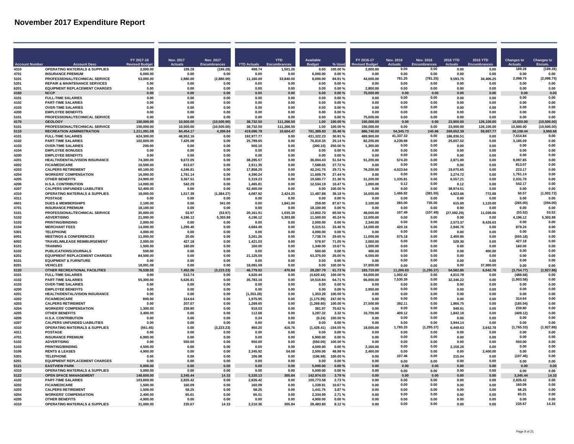|                              |                                                                   | FY 2017-18                      | <b>Nov. 2017</b>         | Nov. 2017                       |                              | <b>YTD</b>               | <b>Available</b>         |                    | FY 2016-17               | <b>Nov. 2016</b>       | Nov. 2016                   | 2016 YTD               | 2016 YTD                 | <b>Changes to</b>        | <b>Changes to</b>           |
|------------------------------|-------------------------------------------------------------------|---------------------------------|--------------------------|---------------------------------|------------------------------|--------------------------|--------------------------|--------------------|--------------------------|------------------------|-----------------------------|------------------------|--------------------------|--------------------------|-----------------------------|
| <b>Account Numbe</b><br>4310 | <b>Account Desc</b><br><b>OPERATING MATERIALS &amp; SUPPLIES</b>  | <b>Revised Budg</b><br>2.000.00 | <b>Actuals</b><br>189.28 | <b>Encumbrances</b><br>(189.28) | <b>YTD Actuals</b><br>498.74 | 1.501.26                 | <b>Budge</b><br>0.00     | % Used<br>100.00%  | <b>Budge</b><br>2.000.00 | <b>Actuals</b><br>0.00 | <b>Encumbrances</b><br>0.00 | 0.00                   | 0.00                     | <b>Actuals</b><br>189.28 | Encum<br>(189.28)           |
| 4701                         | <b>INSURANCE PREMIUM</b>                                          | 6,000.00                        | 0.00                     | 0.00                            | 0.00                         | 0.00                     | 6,000.00                 | 0.00%              | 0.00                     | 0.00                   | 0.00                        | 0.00                   | 0.00                     | 0.00                     | 0.00                        |
| 5101                         | PROFESSIONAL/TECHNICAL SERVICE                                    | 53,000.00                       | 2,880.00                 | (2,880.00)                      | 11,160.00                    | 33,840.00                | 8,000.00                 | 84.91%             | 44,000.00                | 781.25                 | (781.25)                    | 9,593.75               | 34,406.25                | 2,098.75                 | (2,098.75)                  |
| 5201                         | <b>REPAIR &amp; MAINTENANCE SERVICES</b>                          | . በ በበ                          | 0.00                     | n nr                            | n nn                         | n nn                     | 0.00                     | .ስ ሰበ %            | . በ በበ                   | 0.00                   | . በ በበ                      | n nn                   | <b>በ በበ</b>              | n nn                     | n nr                        |
| 6201                         | <b>EQUIPMENT REPLACEMENT CHARGES</b>                              | 0.00                            | 0.00                     | 0.00                            | 0.00                         | 0.00                     | 0.00                     | 0.00%              | 2,800.00                 | 0.00                   | 0.00                        | 0.00                   | 0.00                     | 0.00                     | 0.00                        |
| 4160<br>4101                 | <b>NCCP</b><br><b>FULL-TIME SALARIES</b>                          | 0.00<br>0.00                    | 0.00<br>0.00             | 0.00<br>0.00                    | 0.00<br>0.00                 | 0.00<br>0.00             | 0.00<br>0.00             | 0.00%<br>0.00%     | 75,000.00<br>0.00        | 0.00<br>0.00           | 0.00<br>0.00                | 0.00<br>0.00           | 0.00<br>0.00             | 0.00<br>0.00             | 0.00<br>0.00                |
| 4102                         | <b>PART-TIME SALARIES</b>                                         | 0.00                            | 0.00                     | 0.00                            | 0.00                         | 0.00                     | 0.00                     | 0.00%              | 0.00                     | 0.00                   | 0.00                        | 0.00                   | 0.00                     | 0.00                     | 0.00                        |
| 4103                         | <b>OVER-TIME SALARIES</b>                                         | 0.00                            | 0.00                     | 0.00                            | 0.00                         | 0.00                     | 0.00                     | 0.00%              | 0.00                     | 0.00                   | 0.00                        | 0.00                   | 0.00                     | 0.00                     | 0.00                        |
| 4200                         | <b>EMPLOYEE BENEFITS</b>                                          | 0.00                            | 0.00                     | 0.00                            | 0.00                         | 0.00                     | 0.00                     | 0.00%              | 0.00                     | 0.00                   | 0.00                        | 0.00                   | 0.00                     | 0.00                     | 0.00                        |
| 5101                         | PROFESSIONAL/TECHNICAL SERVICE                                    | 0.00                            | 0.00                     | 0.00                            | 0.00                         | 0.00                     | 0.00                     | 0.00%              | 75,000.00                | 0.00                   | 0.00                        | 0.00                   | 0.00                     | 0.00                     | 0.00                        |
| 4170<br>5101                 | <b>GEOLOGY</b><br>PROFESSIONAL/TECHNICAL SERVICE                  | 150.000.00<br>150.000.00        | 10.500.00<br>10.500.00   | (10,500.00)<br>(10, 500.00)     | 38.732.50<br>38,732.50       | 111.266.50<br>111.266.50 | 1.00<br>1.00             | 100.00%<br>100.00% | 150,000.00<br>150,000.00 | 0.00<br>0.00           | 0.00<br>0.00                | 23.900.00<br>23.900.00 | 126.100.00<br>126,100.00 | 10,500.00<br>10.500.00   | (10, 500.00)<br>(10.500.00) |
| 5110                         | <b>RECREATION ADMINISTRATION</b>                                  | 1,211,091.08                    | 84,454.17                | 4,206.64                        | 419.096.78                   | 10,604.47                | 781,389.83               | 35.48%             | 886,740.00               | 54,345.73              | 245.96                      | 269,652.39             | 59,657.77                | 30,108.44                | 3,960.68                    |
| 4101                         | <b>FULL-TIME SALARIES</b>                                         | 624,300.00                      | 48,952.16                | 0.00                            | 192,977.77                   | 0.00                     | 431,322.23               | 30.91%             | 489,900.00               | 41,337.32              | 0.00                        | 186,836.51             | 0.00                     | 7,614.84                 | 0.00                        |
| 4102                         | <b>PART-TIME SALARIES</b>                                         | 102,600.00                      | 7,425.08                 | 0.00                            | 25,789.65                    | 0.00                     | 76,810.35                | 25.14%             | 82,200.00                | 4,239.99               | 0.00                        | 25,657.52              | 0.00                     | 3,185.09                 | 0.00                        |
| 4103                         | <b>OVER-TIME SALARIES</b>                                         | 200.00                          | 0.00                     | 0.00                            | 500.10                       | 0.00                     | (300.10)                 | 250.00%            | 1.300.00                 | 0.00                   | 0.00                        | 0.00                   | 0.00                     | 0.00                     | 0.00                        |
| 4104<br>4200                 | <b>EMPLOYEE BONUSES</b><br><b>EMPLOYEE BENEFITS</b>               | 0.00<br>0.00                    | 0.00<br>0.00             | 0.00<br>0.00                    | 0.00<br>0.00                 | 0.00<br>0.00             | 0.00<br>0.00             | 0.00%<br>0.00%     | 0.00<br>0.00             | 0.00<br>0.00           | 0.00<br>0.00                | 0.00<br>0.00           | 0.00<br>0.00             | 0.00<br>0.00             | 0.00<br>0.00                |
| 4201                         | HEALTH/DENTAL/VISION INSURANCE                                    | 74.300.00                       | 9,672.05                 | 0.00                            | 38.295.57                    | 0.00                     | 36.004.43                | 51.54 %            | 51,200.00                | 574.20                 | 0.00                        | 2.871.00               | 0.00                     | 9.097.85                 | 0.00                        |
| 4202                         | <b>FICA/MEDICARE</b>                                              | 10.500.00                       | 813.07                   | 0.00                            | 2.911.35                     | 0.00                     | 7.588.65                 | 27.72%             | 0.00                     | 0.00                   | 0.00                        | 0.00                   | 0.00                     | 813.07                   | 0.00                        |
| 4203                         | <b>CALPERS RETIREMENT</b>                                         | 60.100.00                       | 4.246.81                 | 0.00                            | 17.858.25                    | 0.00                     | 42.241.75                | 29.71%             | 76,200.00                | 4,023.64               | 0.00                        | 19.075.65              | 0.00                     | 223.17                   | 0.00                        |
| 4204                         | <b>WORKERS' COMPENSATION</b>                                      | 16,000.00                       | 1.761.14                 | 0.00                            | 4.390.24                     | 0.00                     | 11.609.76                | 27.44 %            | 0.00                     | 0.00                   | 0.00                        | 3.274.72               | 0.00                     | 1,761.14                 | 0.00                        |
| 4205<br>4206                 | <b>OTHER BENEFITS</b><br><b>H.S.A. CONTRIBUTION</b>               | 24,900.00<br>14.000.00          | 3,367.51<br>542.29       | 0.00<br>0.00                    | 5,319.23<br>1,465.81         | 0.00<br>0.00             | 19.580.77<br>12.534.19   | 21.36%<br>10.47%   | 31,200.00<br>1,000.00    | 1,335.81<br>0.12       | 0.00<br>0.00                | 6,557.21<br>0.12       | 0.00<br>0.00             | 2.031.70<br>542.17       | 0.00<br>0.00                |
| 4207                         | <b>CALPERS UNFUNDED LIABILITIES</b>                               | 52.400.00                       | 0.00                     | 0.00                            | 52.400.00                    | 0.00                     | 0.00                     | 100.00%            | 0.00                     | 0.00                   | 0.00                        | 38,974.51              | 0.00                     | 0.00                     | 0.00                        |
| 4310                         | <b>OPERATING MATERIALS &amp; SUPPLIES</b>                         | 18,000.00                       | 1,517.39                 | (1, 384.27)                     | 4,087.92                     | 2,424.20                 | 11,487.88                | 36.18%             | 16.000.00                | 1.466.82               | (381.55)                    | 4,923.06               | 772.08                   | 50.57                    | (1,002.72)                  |
| 4311                         | <b>POSTAGE</b>                                                    | 0.00                            | 0.00                     | 0.00                            | 0.00                         | 0.00                     | 0.00                     | 0.00%              | 0.00                     | 0.00                   | 0.00                        | 0.00                   | 0.00                     | 0.00                     | 0.00                        |
| 4601                         | <b>DUES &amp; MEMBERSHIPS</b>                                     | 2.100.00                        | 0.00                     | 341.00                          | 0.00                         | 1.841.00                 | 259.00                   | 87.67%             | 2.100.00                 | 265.00                 | 735.00                      | 615.00                 | 1.120.00                 | (265.00)                 | (394.00)                    |
| 4701<br>5101                 | <b>INSURANCE PREMIUM</b><br>PROFESSIONAL/TECHNICAL SERVICE        | 18.100.00<br>35.000.00          | 0.00<br>53.97            | 0.00<br>(53.97)                 | 0.00<br>20.161.91            | 0.00<br>1.035.39         | 18.100.00<br>13.802.70   | 0.00%<br>60.56%    | 0.00<br>48.000.00        | 0.00<br>107.49         | 0.00<br>(107.49)            | 0.00<br>(27, 592.29)   | 0.00<br>11.039.06        | 0.00<br>(53.52)          | 0.00<br>53.52               |
| 5102                         | <b>ADVERTISING</b>                                                | 21,000.00                       | 4,196.12                 | 5,303.88                        | 4,196.12                     | 5,303.88                 | 11,500.00                | 45.24 %            | 12,000.00                | 0.00                   | 0.00                        | 0.00                   | 0.00                     | 4,196.12                 | 5,303.88                    |
| 5103                         | <b>PRINTING/BINDING</b>                                           | 2,000.00                        | 0.00                     | 0.00                            | 0.00                         | 0.00                     | 2,000.00                 | 0.00%              | 2.340.00                 | 0.00                   | 0.00                        | 2,573.37               | 8,426.63                 | 0.00                     | 0.00                        |
| 5104                         | <b>MERCHANT FEES</b>                                              | 14,000.00                       | 1.299.40                 | 0.00                            | 4,684.49                     | 0.00                     | 9,315.51                 | 33.46 %            | 14,000.00                | 420.16                 | 0.00                        | 2,946.76               | 0.00                     | 879.24                   | 0.00                        |
| 5301                         | <b>TELEPHONE</b>                                                  | 4.000.00                        | 0.00                     | 0.00                            | 0.00                         | 0.00                     | 4,000.00                 | 0.00%              | 0.00                     | 0.00                   | 0.00                        | 0.00                   | 0.00                     | 0.00                     | 0.00                        |
| 6001<br>6002                 | <b>MEETINGS &amp; CONFERENCES</b><br>TRAVEL/MILEAGE REIMBURSEMENT | 11,000.00<br>2.000.00           | 20.00<br>427.18          | 0.00<br>0.00                    | 3,261.26<br>1.421.03         | 0.00<br>0.00             | 7,738.74<br>578.97       | 29.65%<br>71.05%   | 11,000.00<br>2.000.00    | 575.18<br>0.00         | 0.00<br>0.00                | 2,409.95<br>529.30     | 0.00<br>0.00             | (555.18)<br>427.18       | 0.00<br>0.00                |
| 6101                         | <b>TRAINING</b>                                                   | 1,500.00                        | 160.00                   | 0.00                            | 160.00                       | n nn                     | 1.340.00                 | 10.67%             | 1.500.00                 | 0.00                   | 0.00                        | 0.00                   | 0.00                     | 160.00                   | 0.00                        |
| 6102                         | PUBLICATIONS/JOURNALS                                             | 500.00                          | 0.00                     | 0.00                            | 0.00                         | 0.00                     | 500.00                   | 0.00%              | 400.00                   | 0.00                   | 0.00                        | 0.00                   | 400.00                   | 0.00                     | 0.00                        |
| 6201                         | <b>EQUIPMENT REPLACEMENT CHARGES</b>                              | 84,500.00                       | 0.00                     | 0.00                            | 21,125.00                    | 0.00                     | 63,375.00                | 25.00%             | 6,500.00                 | 0.00                   | 0.00                        | 0.00                   | 0.00                     | 0.00                     | 0.00                        |
| 8101                         | <b>EQUIPMENT &amp; FURNITURE</b>                                  | 0.00                            | 0.00                     | 0.00                            | 0.00                         | 0.00                     | 0.00                     | 0.00%              | 0.00                     | 0.00                   | 0.00                        | 0.00                   | 0.00                     | 0.00                     | 0.00                        |
| 8201<br>5120                 | <b>VEHICLES</b><br>OTHER RECREATIONAL FACILITIES                  | 18.091.08<br>76,538.55          | 0.00<br>7,452.06         | 0.00<br>(3, 223.23)             | 18,091.08<br>46,779.92       | 0.00<br>470.84           | 0.00<br>29,287.79        | 100.00%<br>61.73%  | 37,900.00<br>183,710.00  | 0.00<br>11,206.83      | 0.00<br>(1.295.37)          | 0.00<br>54,582.85      | 37.900.00<br>6,042.78    | 0.00<br>(3,754.77)       | 0.00<br>(1,927.86)          |
| 4101                         | <b>FULL-TIME SALARIES</b>                                         | 0.00                            | 513.74                   | 0.00                            | 4.620.44                     | 0.00                     | (4.620.44)               | 100.00%            | 54.000.00                | 1.002.42               | 0.00                        | 4.810.78               | 0.00                     | (488.68)                 | 0.00                        |
| 4102                         | <b>PART-TIME SALARIES</b>                                         | 55.300.00                       | 5,626.81                 | 0.00                            | 35,783.16                    | 0.00                     | 19,516.84                | 64.71%             | 66,000.00                | 7.530.39               | 0.00                        | 32.346.22              | 0.00                     | (1,903.58)               | 0.00                        |
| 4103                         | <b>OVER-TIME SALARIES</b>                                         | 0.00                            | 0.00                     | 0.00                            | 0.00                         | 0.00                     | 0.00                     | 0.00%              | 0.00                     | 0.00                   | 0.00                        | 0.00                   | 0.00                     | 0.00                     | 0.00                        |
| 4200                         | <b>EMPLOYEE BENEFITS</b>                                          | 0.00                            | 0.00                     | 0.00                            | 0.00                         | 0.00                     | 0.00                     | 0.00%              | 2.950.00                 | 0.00                   | 0.00                        | 0.00                   | 0.00                     | 0.00                     | 0.00                        |
| 4201<br>4202                 | <b>HEALTH/DENTAL/VISION INSURANCE</b><br><b>FICA/MEDICARE</b>     | 0.00<br>800.00                  | 0.00<br>314.64           | 0.00<br>0.00                    | (1.353.28)<br>1,975.95       | 0.00<br>0.00             | 1.353.28<br>(1, 175.95)  | 100.00%<br>247.00% | 0.00<br>0.00             | 0.00<br>0.00           | 0.00<br>0.00                | 0.00<br>0.00           | 0.00<br>0.00             | 0.00<br>314.64           | 0.00<br>0.00                |
| 4203                         | <b>CALPERS RETIREMENT</b>                                         | 0.00                            | 207.07                   | 0.00                            | 1,269.60                     | 0.00                     | (1, 269.60)              | 100.00%            | 27,500.00                | 392.11                 | 0.00                        | 1,866.75               | 0.00                     | (185.04)                 | 0.00                        |
| 4204                         | <b>WORKERS' COMPENSATION</b>                                      | 1.300.00                        | 239.80                   | 0.00                            | 918.03                       | 0.00                     | 381.97                   | 70.62%             | 0.00                     | 0.00                   | 0.00                        | 949.9                  | 0.00                     | 239.80                   | 0.00                        |
| 4205                         | <b>OTHER BENEFITS</b>                                             | 3,400.00                        | 0.00                     | 0.00                            | 112.68                       | 0.00                     | 3,287.32                 | 3.32%              | 10,700.00                | 409.12                 | 0.00                        | 1,842.18               | 0.00                     | (409.12)                 | 0.00                        |
| 4206<br>4207                 | <b>H.S.A. CONTRIBUTION</b><br><b>CALPERS UNFUNDED LIABILITIES</b> | 0.00<br>0.00                    | 0.00<br>0.00             | 0.00<br>0.00                    | 0.24<br>0.00                 | 0.00<br>0.00             | (0.24)<br>0.00           | 100.00%<br>0.00%   | 0.00<br>0.00             | 0.00<br>0.00           | 0.00<br>0.00                | 0.00<br>3.944.14       | 0.00<br>0.00             | n nn<br>0.00             | 0 <sub>0</sub><br>0.00      |
| 4310                         | <b>OPERATING MATERIALS &amp; SUPPLIES</b>                         | (561.45)                        | 0.00                     | (3.223.23)                      | 450.20                       | 416.76                   | (1,428.41)               | $-154.55%$         | 18,000.00                | 1,765.33               | (1, 295.37)                 | 6,449.63               | 3.642.78                 | (1,765.33)               | (1,927.86)                  |
| 4311                         | <b>POSTAGE</b>                                                    | 0.00                            | 0.00                     | 0.00                            | 0.00                         | 0.00                     | 0.00                     | 0.00%              | 0.00                     | 0.00                   | 0.00                        | 0.00                   | 0.00                     | 0.00                     | 0.00                        |
| 4701                         | <b>INSURANCE PREMIUM</b>                                          | 6,900.00                        | 0.00                     | 0.00                            | 0.00                         | 0.00                     | 6,900.00                 | 0.00%              | 0.00                     | 0.00                   | 0.00                        | 0.00                   | 0.00                     | 0.00                     | 0.00                        |
| 5102                         | <b>ADVERTISING</b>                                                | 0.00                            | 550.00                   | 0.00                            | 550.00                       | 0.00                     | (550.00)                 | 100.00%            | 0.00                     | 0.00                   | 0.00                        | 0.00                   | 0.00                     | 550.00                   | 0.00                        |
| 5103<br>5106                 | <b>PRINTING/BINDING</b><br><b>RENTS &amp; LEASES</b>              | 4,500.00<br>4,900.00            | 0.00<br>0.00             | 0.00<br>0.00                    | 0.00<br>2,345.92             | 0.00<br>54.08            | 4,500.00<br>2,500.00     | 0.00%<br>48.98%    | 2,160.00<br>2,400.00     | 0.00<br>0.00           | 0.00<br>0.00                | 2,158.20<br>0.00       | 0.00<br>2,400.00         | 0.00<br>0.00             | 0.00<br>0.00                |
| 5301                         | <b>TELEPHONE</b>                                                  | 0.00                            | 0.00                     | 0.00                            | 106.98                       | 0.00                     | (106.98)                 | 100.00%            | 0.00                     | 107.46                 | 0.00                        | 215.04                 | 0.00                     | (107.46)                 | 0.00                        |
| 6201                         | <b>EQUIPMENT REPLACEMENT CHARGES</b>                              | 0.00                            | 0.00                     | 0.00                            | 0.00                         | 0.00                     | 0.00                     | 0.00%              | 0.00                     | 0.00                   | 0.00                        | 0.00                   | 0.00                     | 0.00                     | 0.00                        |
| 5121                         | <b>FASTVIEW PARK</b>                                              | 5.000.00                        | 0.00                     | 0.00                            | 0.00                         | 0.00                     | 5.000.00                 | 0.00%              | 0.00                     | 0.00                   | 0.00                        | 0.00                   | 0.00                     | 0.00                     | 0.00                        |
| 4310                         | <b>OPERATING MATERIALS &amp; SUPPLIES</b>                         | 5,000.00                        | 0.00                     | 0.00                            | 0.00                         | 0.00                     | 5,000.00                 | 0.00%              | 0.00                     | 0.00                   | 0.00                        | 0.00                   | 0.00                     | 0.00                     | 0.00                        |
| 5122<br>4102                 | <b>OPEN SPACE MANAGEMENT</b><br><b>PART-TIME SALARIES</b>         | 148,600.00<br>103,600.00        | 3,345.44<br>2,826.42     | 14.33<br>0.00                   | 5,320.13<br>2,826.42         | 305.84<br>0.00           | 142,974.03<br>100,773.58 | 3.79%<br>2.73%     | 0.00<br>0.00             | 0.00<br>0.00           | 0.00<br>0.00                | 0.00<br>0.00           | 0.00<br>0.00             | 3.345.44<br>2.826.42     | 14.33<br>0.00               |
| 4202                         | <b>FICA/MEDICARE</b>                                              | 1.500.00                        | 160.09                   | 0.00                            | 160.09                       | 0.00                     | 1.339.91                 | 10.67%             | 0.00                     | 0.00                   | 0.00                        | 0.00                   | 0.00                     | 160.09                   | 0.00                        |
| 4203                         | <b>CALPERS RETIREMENT</b>                                         | 1.500.00                        | 58.25                    | 0.00                            | 58.25                        | 0.00                     | 1,441.75                 | 3.87%              | 0.00                     | 0.00                   | 0.00                        | 0.00                   | 0.00                     | 58.25                    | 0.00                        |
| 4204                         | <b>WORKERS' COMPENSATION</b>                                      | 2.400.00                        | 65.0                     | 0.00                            | 65.01                        | 0.00                     | 2.334.99                 | 2.71 %             | 0.00                     | 0.00                   | 0.00                        | 0.00                   | 0.00                     | 65.01                    | 0.00                        |
| 4205                         | <b>OTHER BENEFITS</b>                                             | 4.900.00                        | 0.00                     | 0.00                            | 0.00                         | 0.00                     | 4.900.00                 | 0.00%              | 0.00                     | 0.00                   | 0.00                        | 0.00                   | 0.00                     | 0.00                     | 0.00                        |
| 4310                         | <b>OPERATING MATERIALS &amp; SUPPLIES</b>                         | 31.000.00                       | 235.67                   | 14.33                           | 2,210.36                     | 305.84                   | 28.483.80                | 8.12%              | 0.00                     | 0.00                   | 0.00                        | 0.00                   | 0.00                     | 235.67                   | 14.33                       |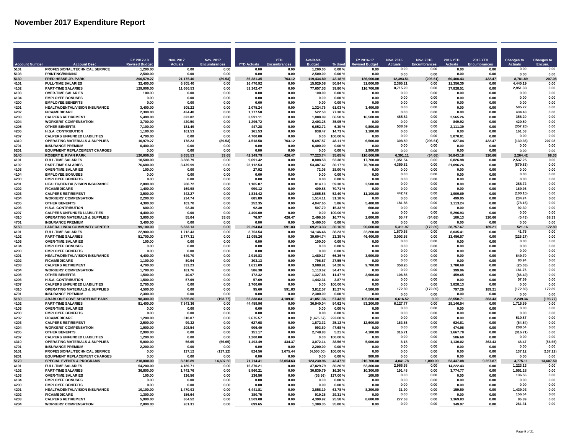| FY 2017-18<br><b>Nov. 2017</b><br>Nov. 2017<br><b>YTD</b><br><b>Available</b><br>FY 2016-17<br><b>Nov. 2016</b><br>Nov. 2016<br><b>2016 YTD</b><br>2016 YTD<br><b>Changes to</b><br><b>Changes to</b><br><b>Revised Budg</b><br><b>Actuals</b><br><b>Encumbrances</b><br><b>YTD Actuals</b><br><b>Budge</b><br>% Used<br>evised Budge<br><b>Actuals</b><br><b>Encumbrances</b><br><b>Actuals</b><br>Encum.<br><b>Account Numbe</b><br><b>Account Desc</b><br>Encumbran<br>PROFESSIONAL/TECHNICAL SERVICE<br>0.00<br>0.00<br>0.00<br>0.00<br>5101<br>1.200.00<br>0.00<br>0.00<br>0.00<br>0.00<br>1.200.00<br>0.00%<br>0.00<br>0.00<br>0.00<br>5103<br>PRINTING/BINDING<br>2,500.00<br>0.00<br>0.00<br>0.00<br>0.00<br>2,500.00<br>0.00%<br>0.00<br>0.00<br>0.00<br>0.00<br>0.00<br>0.00<br>0.00<br>5130<br>FRED HESSE JR. PARK<br>206,579.27<br>21,175.40<br>(89.53)<br>86,381.35<br>763.12<br>119,434.80<br>42.18%<br>186,900.00<br>12,393.51<br>(296.61)<br>60,408.43<br>422.47<br>8,781.89<br>207.08<br><b>FULL-TIME SALARIES</b><br>6,805.40<br>16,470.92<br>15,929.08<br>31.000.00<br>4101<br>32.400.00<br>0.00<br>0.00<br>50.84 %<br>2.365.21<br>. በ በበ<br>11.356.30<br>n nn<br>4 440 19<br><b>0.00</b><br>8,715.20<br>2,951.33<br>0.00<br><b>PART-TIME SALARIES</b><br>11,666.53<br>51,342.47<br>0.00<br>77,657.53<br>116,700.00<br>0.00<br>4102<br>129.000.00<br>0.00<br>39.80%<br>37.828.51<br>0.00<br>0.00<br>0.00<br>0.00<br><b>OVER-TIME SALARIES</b><br>100.00<br>0.00<br>4103<br>100.00<br>0.00<br>0.00<br>0.00<br>0.00<br>0.00%<br>0.00<br>0.00<br>0.00<br>0.00<br>4104<br><b>EMPLOYEE BONUSES</b><br>0.00<br>0.00<br>0.00<br>0.00<br>0.00<br>0.00<br>0.00%<br>0.00<br>0.00<br>0.00<br>0.00<br>0.00<br>0.00<br>0.00<br>4200<br><b>EMPLOYEE BENEFITS</b><br>0.00<br>0.00<br>0.00<br>0.00<br>0.00<br>0.00<br>0.00%<br>0.00<br>0.00<br>0.00<br>0.00<br>0.00<br>0.00<br>4201<br>HEALTH/DENTAL/VISION INSURANCE<br>505.22<br>0.00<br>2,075.24<br>0.00<br>1,324.76<br>3,400.00<br>0.00<br>0.00<br>0.00<br>0.00<br>505.22<br>0.00<br>3.400.00<br>61.03%<br>4202<br><b>FICA/MEDICARE</b><br>2,300.00<br>434.48<br>0.00<br>1,777.50<br>0.00<br>522.50<br>77.30%<br>0.00<br>0.00<br>0.00<br>0.00<br>434.48<br>0.00<br>0.00<br>465.82<br>0.00<br>4203<br><b>CALPERS RETIREMENT</b><br>5,400.00<br>822.02<br>0.00<br>3,591.11<br>0.00<br>1,808.89<br>66.50%<br>16,500.00<br>0.00<br>2,565.26<br>0.00<br>356.20<br>0.00<br>420.50<br>0.00<br><b>WORKERS' COMPENSATION</b><br>1.296.72<br>2.403.28<br>0.00<br>4204<br>3.700.00<br>420.50<br>0.00<br>0.00<br>35.05%<br>0.00<br>849.92<br>0.00<br>0.00<br>(357.20)<br>0.00<br>538.69<br><b>OTHER BENEFITS</b><br>7.100.00<br>0.00<br>447.28<br>6.652.72<br>9.800.00<br>2,111.39<br>0.00<br>4205<br>181.49<br>0.00<br>6.30%<br><b>H.S.A. CONTRIBUTION</b><br>0.00<br>938.47<br>1,100.00<br>0.00<br>161.53<br>0.00<br>4206<br>1.100.00<br>161.53<br>161.53<br>0.00<br>14.73%<br>0.00<br>0.00<br>0.00<br>4207<br><b>CALPERS UNFUNDED LIABILITIES</b><br>4,700.00<br>0.00<br>4,700.00<br>0.00<br>0.00<br>0.00<br>5,070.01<br>0.00<br>0.00<br>0.00<br>0.00<br>0.00<br>100.00%<br>0.00<br>308.59<br>207.08<br>4310<br><b>OPERATING MATERIALS &amp; SUPPLIES</b><br>10,979.27<br>178.23<br>(89.53)<br>4,518.58<br>763.12<br>5,697.57<br>48.11%<br>6,500.00<br>(296.61)<br>627.04<br>422.47<br>(130.36)<br>0.00<br>0.00<br>0.00<br>0.00<br>4701<br><b>INSURANCE PREMIUM</b><br>6,400.00<br>0.00<br>0.00<br>0.00<br>0.00<br>6,400.00<br>0.00%<br>0.00<br>0.00<br>0.00<br><b>EQUIPMENT REPLACEMENT CHARGES</b><br>0.00<br>0.00%<br>1,900.00<br>0.00<br>0.00<br>6201<br>0.00<br>0.00<br>0.00<br>0.00<br>0.00<br>0.00<br>0.00<br>0.00<br>0.00<br>8,655.53<br>68.33<br>5140<br><b>ROBERT E. RYAN PARK</b><br>120,000.00<br>33.65<br>42,349.79<br>426.47<br>77,223.74<br>35.65 %<br>110,600.00<br>6,391.11<br>(34.68)<br>36,843.18<br>320.66<br>2.264.42<br>8,808.58<br>1.351.54<br>2.537.25<br>0.00<br>4101<br><b>FULL-TIME SALARIES</b><br>18,500.00<br>3.888.79<br>0.00<br>9.691.42<br>0.00<br>52.38%<br>17.700.00<br>0.00<br>6.826.98<br>0.00<br>0.00<br>4,359.82<br>(879.83)<br>0.00<br>23,112.53<br>53,487.47<br>0.00<br>4102<br><b>PART-TIME SALARIES</b><br>76,600.00<br>3.479.99<br>0.00<br>30.17%<br>70.700.00<br>21.096.26<br>0.00<br>0.00<br>0.00<br><b>OVER-TIME SALARIES</b><br>0.00<br>27.92<br>72.08<br>0.00<br>0.00<br>0.00<br>4103<br>100.00<br>0.00<br>0.00<br>28.00%<br>0.00<br>0.00<br>0.00<br>0.00%<br>0.00<br>0.00<br>0.00<br>0.00<br>0.00<br>4104<br><b>EMPLOYEE BONUSES</b><br>0.00<br>0.00<br>0.00<br>0.00<br>0.00<br>0.00<br>0.00<br>4200<br><b>EMPLOYEE BENEFITS</b><br>0.00<br>0.00<br>0.00<br>0.00<br>0.00<br>0.00<br>0.00%<br>0.00<br>0.00<br>0.00<br>0.00<br>0.00<br>0.00<br>0.00<br>HEALTH/DENTAL/VISION INSURANCE<br>0.00<br>0.00<br>288.72<br>0.00<br>4201<br>2,000.00<br>288.72<br>0.00<br>1.185.87<br>0.00<br>814.13<br>59.30%<br>2.500.00<br>0.00<br>0.00<br>0.00<br>0.00<br>169.98<br>0.00<br>4202<br><b>FICA/MEDICARE</b><br>1.400.00<br>169.98<br>0.00<br>990.12<br>0.00<br>409.88<br>70.71%<br>0.00<br>0.00<br>0.00<br>442.42<br>0.00<br>4203<br><b>CALPERS RETIREMENT</b><br>3,500.00<br>342.27<br>0.00<br>1,834.42<br>0.00<br>1,665.58<br>52.40%<br>11,100.00<br>0.00<br>1,909.69<br>0.00<br>(100.15)<br>0.00<br>4204<br><b>WORKERS' COMPENSATION</b><br>2.200.00<br>234.74<br>0.00<br>685.89<br>0.00<br>1.514.11<br>31.18%<br>0.00<br>0.00<br>0.00<br>499.95<br>0.00<br>234 74<br>4,047.65<br>181.86<br>0.00<br>4205<br><b>OTHER BENEFITS</b><br>4.300.00<br>103.70<br>0.00<br>252.35<br>5.400.00<br>0.00<br>1,113.24<br>0.00<br>(78.16)<br>0.00<br>5.86%<br>0.00<br>0.00<br><b>H.S.A. CONTRIBUTION</b><br>507.70<br>0.00<br>92.30<br>4206<br>600.00<br>92.30<br>0.00<br>92.30<br>0.00<br>15.33%<br>600.00<br>0.00<br>0.00<br><b>CALPERS UNFUNDED LIABILITIES</b><br>0.00<br>0.00<br>0.00<br>0.00<br>4207<br>4.400.00<br>0.00<br>4.400.00<br>0.00<br>5.296.93<br>0.00<br>0.00<br>0.00<br>100.00%<br>0.00<br>55.47<br>(34.68)<br>68.33<br>4310<br><b>OPERATING MATERIALS &amp; SUPPLIES</b><br>3,000.00<br>55.04<br>33.65<br>76.97<br>426.47<br>2,496.56<br>16.77%<br>2,600.00<br>100.13<br>320.66<br>(0.43)<br>4701<br><b>INSURANCE PREMIUM</b><br>3,400.00<br>0.00<br>0.00<br>0.00<br>0.00<br>3,400.00<br>0.00%<br>0.00<br>0.00<br>0.00<br>0.00<br>0.00<br>0.00<br>0.00<br>5150<br><b>LADERA LINDA COMMUNITY CENTER</b><br>5,833.13<br>0.00<br>29,294.84<br>591.83<br>69,213.33<br>90,600.00<br>5,311.97<br>(172.89)<br>28,757.67<br>189.21<br>521.16<br>172.89<br>99.100.00<br>30.16%<br>4101<br><b>FULL-TIME SALARIES</b><br>22,900.00<br>1,712.43<br>0.00<br>8,753.54<br>0.00<br>14,146.46<br>22,200.00<br>1.670.68<br>0.00<br>8,035.41<br>41.75<br>0.00<br>38.23%<br>0.00<br>0.00<br>4102<br><b>PART-TIME SALARIES</b><br>51,700.00<br>2,777.31<br>0.00<br>12,095.26<br>0.00<br>39,604.74<br>23.39%<br>46,400.00<br>3.003.58<br>0.00<br>13,456.57<br>0.00<br>(226.27)<br>0.00<br>0.00<br>0.00<br>0.00<br>4103<br><b>OVER-TIME SALARIES</b><br>100.00<br>0.00<br>0.00<br>0.00<br>0.00<br>100.00<br>0.00%<br>0.00<br>0.00<br>0.00<br>0.00<br>0.00<br>0.00<br>0.00<br><b>EMPLOYEE RONUSES</b><br>0.00<br>0.00<br>0.00<br>0.00%<br>4104<br>0.00<br>0.00<br>0.00<br>0.00<br>0.00<br>0.00<br>4200<br><b>EMPLOYEE BENEFITS</b><br>0.00<br>0.00%<br>0.00<br>0.00<br>0.00<br>0.00<br>0.00<br>0.00<br>0.00<br>0.00<br>0.00<br>0.00<br>0.00<br>0.00<br>4201<br>HEALTH/DENTAL/VISION INSURANCE<br>4,400.00<br>649.70<br>0.00<br>2,919.83<br>0.00<br>1,480.17<br>3,900.00<br>0.00<br>0.00<br>0.00<br>0.00<br>649.70<br>0.00<br>66.36%<br>0.00<br>4202<br><b>FICA/MEDICARE</b><br>80.94<br>0.00<br>303.13<br>0.00<br>796.87<br>27.55%<br>0.00<br>0.00<br>0.00<br>0.00<br>80.94<br>1.100.00<br>0.00<br><b>CALPERS RETIREMENT</b><br>0.00<br>3,088.91<br>9,700.00<br>358.26<br>0.00<br>(25.03)<br>0.00<br>4203<br>4.700.00<br>333.23<br>0.00<br>1.611.09<br>34.28%<br>1.780.69<br>0.00<br>4204<br><b>WORKERS' COMPENSATION</b><br>181.76<br>0.00<br>586.38<br>0.00<br>1,113.62<br>0.00<br>0.00<br>399.96<br>0.00<br>181.76<br>0.00<br>1.700.00<br>34.47%<br>0.00<br>4205<br><b>OTHER BENEFITS</b><br>1.500.00<br>40.07<br>0.00<br>172.32<br>0.00<br>1.327.68<br>11.47%<br>3.900.00<br>106.56<br>0.00<br>459.65<br>0.00<br>(66.49)<br>0.00<br>0.00<br>0.00<br>0.00<br>57.69<br>4206<br><b>H.S.A. CONTRIBUTION</b><br>1.500.00<br>57.69<br>0.00<br>57.69<br>0.00<br>1.442.31<br>3.87%<br>0.00<br>0.00<br>0.00<br>0.00<br>0.00<br>0.00<br><b>CALPERS UNFUNDED LIABILITIES</b><br>2,700.00<br>2.700.00<br>3.828.13<br>0.00<br>4207<br>0.00<br>0.00<br>0.00<br>0.00<br>100.00%<br>0.00<br>0.00<br>172.89<br>(172.89)<br>797.26<br>(172.89)<br>172.89<br>4310<br><b>OPERATING MATERIALS &amp; SUPPLIES</b><br>4.500.00<br>0.00<br>0.00<br>95.60<br>591.83<br>3.812.57<br>15.27%<br>4.500.00<br>189.21<br>4701<br><b>INSURANCE PREMIUM</b><br>0.00<br>2.300.00<br>2.300.00<br>0.00<br>0.00<br>0.00<br>0.00%<br>0.00<br>0.00<br>0.00<br>0.00<br>0.00<br>0.00<br>0.00<br>5160<br><b>ABABLONE COVE SHORELINE PARK</b><br>98,300.00<br>8,855.86<br>(193.77)<br>52,338.83<br>4,109.81<br>41,851.36<br>57.43%<br>105,800.00<br>6,616.52<br>0.00<br>32,550.71<br>363.43<br>2,239.34<br>(193.77)<br>6,127.77<br>0.00<br>1,715.59<br>4102<br><b>PART-TIME SALARIES</b><br>81,400.00<br>7,843.36<br>0.00<br>44,459.96<br>0.00<br>36,940.04<br>54.62%<br>83.200.00<br>28,146.54<br>0.00<br>0.00<br>0.00<br>0.00<br>0.00<br>0.00<br>4103<br><b>OVER-TIME SALARIES</b><br>0.00<br>0.00<br>0.00<br>0.00<br>0.00<br>0.00<br>0.00%<br>0.00<br>0.00<br>0.00<br>0.00<br>4200<br><b>EMPLOYEE BENEFITS</b><br>0.00<br>0.00<br>0.00<br>0.00<br>0.00<br>0.00<br>0.00%<br>0.00<br>0.00<br>0.00<br>0.00<br>0.00<br>0.00<br>0.00<br>0.00<br>510.87<br>4202<br><b>FICA/MEDICARE</b><br>1,200.00<br>510.87<br>0.00<br>2,675.57<br>0.00<br>(1,475.57)<br>223.00%<br>0.00<br>. በ በበ<br>0.00<br>0.00<br>624.81<br>0.00<br>4203<br><b>CALPERS RETIREMENT</b><br>2.500.00<br>0.00<br>627.68<br>0.00<br>1.872.32<br>12.600.00<br>163.86<br>0.00<br>0.00<br>(64.54)<br>99.32<br>25.12%<br>0.00<br>208.54<br>0.00<br>4204<br>208.54<br>0.00<br>474.96<br>0.00<br><b>WORKERS' COMPENSATION</b><br>1.900.00<br>0.00<br>906.40<br>0.00<br>993.60<br>47.68%<br>0.00<br>316.71<br>0.00<br>(316.71)<br>0.00<br>4205<br><b>OTHER BENEFITS</b><br>2.900.00<br>151.17<br>0.00<br>2.748.83<br>4.100.00<br>1.667.78<br>0.00<br>0.00<br>0.00<br>5.21%<br>0.00<br>4207<br><b>CALPERS UNFUNDED LIABILITIES</b><br>1,200.00<br>0.00<br>0.00<br>1,200.00<br>0.00<br>0.00<br>100.00%<br>0.00<br>0.00<br>506.60<br>0.00<br>0.00<br>0.00<br>0.00<br>(56.65)<br>4310<br><b>OPERATING MATERIALS &amp; SUPPLIES</b><br>5,000.00<br>56.65<br>(56.65)<br>1,493.49<br>434.37<br>3,072.14<br>38.56%<br>5.000.00<br>8.18<br>1,130.02<br>363.43<br>48.47<br>4701<br><b>INSURANCE PREMIUM</b><br>2,200.00<br>0.00<br>2,200.00<br>0.00%<br>0.00<br>0.00<br>0.00<br>0.00<br>0.00<br>0.00<br>0.00<br>0.00<br>0.00<br>0.00<br>(137.12)<br>5101<br>PROFESSIONAL/TECHNICAL SERVICE<br>137.12<br>(137.12)<br>824.56<br>3,675.44<br>(4,500.00)<br>100.00%<br>0.00<br>0.00<br>0.00<br>0.00<br>137.12<br>0.00<br>0.00<br>6201<br><b>EQUIPMENT REPLACEMENT CHARGES</b><br>0.00<br>0.00<br>0.00<br>0.00<br>0.00<br>0.00<br>0.00%<br>900.00<br>0.00<br>0.00<br>0.00<br>0.00<br>0.00<br>0.00<br>123,230.96<br><b>SPECIAL EVENTS &amp; PROGRAMS</b><br>8.816.89<br>14.607.50<br>23,054.63<br>216,700.00<br>4.041.78<br>.000.00<br>9.257.87<br>4.775.11<br>5170<br>218,000.00<br>71.714.41<br>43.47%<br>53,437.08<br><b>FULL-TIME SALARIES</b><br>16,370.21<br>2.966.58<br>1.223.13<br>0.00<br>4101<br>54.200.00<br>4.189.71<br>37.829.79<br>52.300.00<br>0.00<br>14.222.43<br>0.00<br>0.00<br>30.20%<br>0.00<br>4102<br><b>PART-TIME SALARIES</b><br>1,742.76<br>5,960.21<br>30,839.79<br>10,300.00<br>191.48<br>3,774.77<br>1,551.28<br>0.00<br>36.800.00<br>0.00<br>0.00<br>16.20%<br>0.00<br>0.00<br>4103<br><b>OVER-TIME SALARIES</b><br>136.56<br>0.00<br>136.56<br>(36.56)<br>137.00%<br>100.00<br>0.00<br>0.00<br>0.00<br>136.56<br>0.00<br>100.00<br>0.00<br>0.00<br>4104<br><b>EMPLOYEE BONUSES</b><br>0.00<br>0.00<br>0.00<br>0.00<br>0.00<br>0.00%<br>0.00<br>0.00<br>0.00<br>0.00<br>0.00<br>0.00<br>0.00<br>0.00<br><b>EMPLOYEE BENEFITS</b><br>0.00<br>0.00<br>0.00<br>0.00<br>4200<br>0.00<br>0.00<br>0.00<br>0.00<br>0.00<br>0.00<br>0.00%<br>0.00<br>0.00<br>0.00<br>4201<br>HEALTH/DENTAL/VISION INSURANCE<br>0.00<br>3,658.19<br>8,200.00<br>31.90<br>0.00<br>159.50<br>0.00<br>1.439.03<br>0.00<br>10.100.00<br>1.470.93<br>0.00<br>6.441.81<br>63.78%<br>4202<br><b>FICA/MEDICARE</b><br>1.300.00<br>156.64<br>0.00<br>380.75<br>0.00<br>919.25<br>29.31 %<br>0.00<br>0.00<br>0.00<br>0.00<br>0.00<br>156.64<br>0.00<br>277.63<br>0.00<br>4203<br><b>CALPERS RETIREMENT</b><br>0.00<br>86.89<br>5.900.00<br>364.52<br>0.00<br>1.509.08<br>0.00<br>4.390.92<br>25.58%<br>8.600.00<br>1.369.83<br>0.00<br>261.31<br>0.00<br>0.00<br>0.00<br><b>WORKERS' COMPENSATION</b><br>4204<br>2.000.00<br>261.31<br>0.00<br>699.65<br>0.00<br>1.300.35<br>35.00%<br>0.00<br>349.97<br>0.00 |  |  |  |  |  |  |  |           |
|---------------------------------------------------------------------------------------------------------------------------------------------------------------------------------------------------------------------------------------------------------------------------------------------------------------------------------------------------------------------------------------------------------------------------------------------------------------------------------------------------------------------------------------------------------------------------------------------------------------------------------------------------------------------------------------------------------------------------------------------------------------------------------------------------------------------------------------------------------------------------------------------------------------------------------------------------------------------------------------------------------------------------------------------------------------------------------------------------------------------------------------------------------------------------------------------------------------------------------------------------------------------------------------------------------------------------------------------------------------------------------------------------------------------------------------------------------------------------------------------------------------------------------------------------------------------------------------------------------------------------------------------------------------------------------------------------------------------------------------------------------------------------------------------------------------------------------------------------------------------------------------------------------------------------------------------------------------------------------------------------------------------------------------------------------------------------------------------------------------------------------------------------------------------------------------------------------------------------------------------------------------------------------------------------------------------------------------------------------------------------------------------------------------------------------------------------------------------------------------------------------------------------------------------------------------------------------------------------------------------------------------------------------------------------------------------------------------------------------------------------------------------------------------------------------------------------------------------------------------------------------------------------------------------------------------------------------------------------------------------------------------------------------------------------------------------------------------------------------------------------------------------------------------------------------------------------------------------------------------------------------------------------------------------------------------------------------------------------------------------------------------------------------------------------------------------------------------------------------------------------------------------------------------------------------------------------------------------------------------------------------------------------------------------------------------------------------------------------------------------------------------------------------------------------------------------------------------------------------------------------------------------------------------------------------------------------------------------------------------------------------------------------------------------------------------------------------------------------------------------------------------------------------------------------------------------------------------------------------------------------------------------------------------------------------------------------------------------------------------------------------------------------------------------------------------------------------------------------------------------------------------------------------------------------------------------------------------------------------------------------------------------------------------------------------------------------------------------------------------------------------------------------------------------------------------------------------------------------------------------------------------------------------------------------------------------------------------------------------------------------------------------------------------------------------------------------------------------------------------------------------------------------------------------------------------------------------------------------------------------------------------------------------------------------------------------------------------------------------------------------------------------------------------------------------------------------------------------------------------------------------------------------------------------------------------------------------------------------------------------------------------------------------------------------------------------------------------------------------------------------------------------------------------------------------------------------------------------------------------------------------------------------------------------------------------------------------------------------------------------------------------------------------------------------------------------------------------------------------------------------------------------------------------------------------------------------------------------------------------------------------------------------------------------------------------------------------------------------------------------------------------------------------------------------------------------------------------------------------------------------------------------------------------------------------------------------------------------------------------------------------------------------------------------------------------------------------------------------------------------------------------------------------------------------------------------------------------------------------------------------------------------------------------------------------------------------------------------------------------------------------------------------------------------------------------------------------------------------------------------------------------------------------------------------------------------------------------------------------------------------------------------------------------------------------------------------------------------------------------------------------------------------------------------------------------------------------------------------------------------------------------------------------------------------------------------------------------------------------------------------------------------------------------------------------------------------------------------------------------------------------------------------------------------------------------------------------------------------------------------------------------------------------------------------------------------------------------------------------------------------------------------------------------------------------------------------------------------------------------------------------------------------------------------------------------------------------------------------------------------------------------------------------------------------------------------------------------------------------------------------------------------------------------------------------------------------------------------------------------------------------------------------------------------------------------------------------------------------------------------------------------------------------------------------------------------------------------------------------------------------------------------------------------------------------------------------------------------------------------------------------------------------------------------------------------------------------------------------------------------------------------------------------------------------------------------------------------------------------------------------------------------------------------------------------------------------------------------------------------------------------------------------------------------------------------------------------------------------------------------------------------------------------------------------------------------------------------------------------------------------------------------------------------------------------------------------------------------------------------------------------------------------------------------------------------------------------------------------------------------------------------------------------------------------------------------------------------------------------------------------------------------------------------------------------------------------------------------------------------------------------------------------------------------------------------------------------------------------------------------------------------------------------------------------------------------------------------------------------------------------------------------------------------------------------------------------------------------------------------------------------------------------------------------------------------------------------------------------------------------------------------------------------------------------------------------------------------------------------------------------------------------------------------------------------------------------------------------------------------------------------------------------------------------------------------------------------------------------------------------------------------------------------------------------------------------------------------------------------------------------------------------------------------------------------------------------------------------------------------------------------------------------------------------------------------------------------------------------------------------------------------------------------------------------------------------------------------------------------------------------------------------------------------------------------------------------------------------------------------------------------------------------------------------------------------------------------------------------------------------------------------------------------------------------------------------------------------------------------------------------------------------------------------------------------------------------------------------------------------------------------------------------------------------------------------------------------------------------------------------------------------------------------------------------------------------------------------------------------------------------------------------------------------------------------------------------------------------------------------------------------------------------------------------------------------------------------------------------------------------------------------------------------------------------------------------------------------------------------------------------------------------------------------------------------------------------------------------------------------------------------------------------------------------------------------------------------------------------------------------------------------------------------------------------------------------------------------------------------------------------------------------------------------------------------------------------------------------------------------------------------------------------------------------------------------------------------------------------------------------------------------------------------------------------------|--|--|--|--|--|--|--|-----------|
|                                                                                                                                                                                                                                                                                                                                                                                                                                                                                                                                                                                                                                                                                                                                                                                                                                                                                                                                                                                                                                                                                                                                                                                                                                                                                                                                                                                                                                                                                                                                                                                                                                                                                                                                                                                                                                                                                                                                                                                                                                                                                                                                                                                                                                                                                                                                                                                                                                                                                                                                                                                                                                                                                                                                                                                                                                                                                                                                                                                                                                                                                                                                                                                                                                                                                                                                                                                                                                                                                                                                                                                                                                                                                                                                                                                                                                                                                                                                                                                                                                                                                                                                                                                                                                                                                                                                                                                                                                                                                                                                                                                                                                                                                                                                                                                                                                                                                                                                                                                                                                                                                                                                                                                                                                                                                                                                                                                                                                                                                                                                                                                                                                                                                                                                                                                                                                                                                                                                                                                                                                                                                                                                                                                                                                                                                                                                                                                                                                                                                                                                                                                                                                                                                                                                                                                                                                                                                                                                                                                                                                                                                                                                                                                                                                                                                                                                                                                                                                                                                                                                                                                                                                                                                                                                                                                                                                                                                                                                                                                                                                                                                                                                                                                                                                                                                                                                                                                                                                                                                                                                                                                                                                                                                                                                                                                                                                                                                                                                                                                                                                                                                                                                                                                                                                                                                                                                                                                                                                                                                                                                                                                                                                                                                                                                                                                                                                                                                                                                                                                                                                                                                                                                                                                                                                                                                                                                                                                                                                                                                                                                                                                                                                                                                                                                                                                                                                                                                                                                                                                                                                                                                                                                                                                                                                                                                                                                                                                                                                                                                                                                                                                                                                                                                                                                                                                                                                                                                                                                                                                                                                                                                                                                                                                                                                                                                                                                                                                                                                                                                                                                                                                                                                                                                                                                                                                                                                                                                                                                                                                                                                                                                                                                                                                 |  |  |  |  |  |  |  |           |
|                                                                                                                                                                                                                                                                                                                                                                                                                                                                                                                                                                                                                                                                                                                                                                                                                                                                                                                                                                                                                                                                                                                                                                                                                                                                                                                                                                                                                                                                                                                                                                                                                                                                                                                                                                                                                                                                                                                                                                                                                                                                                                                                                                                                                                                                                                                                                                                                                                                                                                                                                                                                                                                                                                                                                                                                                                                                                                                                                                                                                                                                                                                                                                                                                                                                                                                                                                                                                                                                                                                                                                                                                                                                                                                                                                                                                                                                                                                                                                                                                                                                                                                                                                                                                                                                                                                                                                                                                                                                                                                                                                                                                                                                                                                                                                                                                                                                                                                                                                                                                                                                                                                                                                                                                                                                                                                                                                                                                                                                                                                                                                                                                                                                                                                                                                                                                                                                                                                                                                                                                                                                                                                                                                                                                                                                                                                                                                                                                                                                                                                                                                                                                                                                                                                                                                                                                                                                                                                                                                                                                                                                                                                                                                                                                                                                                                                                                                                                                                                                                                                                                                                                                                                                                                                                                                                                                                                                                                                                                                                                                                                                                                                                                                                                                                                                                                                                                                                                                                                                                                                                                                                                                                                                                                                                                                                                                                                                                                                                                                                                                                                                                                                                                                                                                                                                                                                                                                                                                                                                                                                                                                                                                                                                                                                                                                                                                                                                                                                                                                                                                                                                                                                                                                                                                                                                                                                                                                                                                                                                                                                                                                                                                                                                                                                                                                                                                                                                                                                                                                                                                                                                                                                                                                                                                                                                                                                                                                                                                                                                                                                                                                                                                                                                                                                                                                                                                                                                                                                                                                                                                                                                                                                                                                                                                                                                                                                                                                                                                                                                                                                                                                                                                                                                                                                                                                                                                                                                                                                                                                                                                                                                                                                                                                                 |  |  |  |  |  |  |  |           |
|                                                                                                                                                                                                                                                                                                                                                                                                                                                                                                                                                                                                                                                                                                                                                                                                                                                                                                                                                                                                                                                                                                                                                                                                                                                                                                                                                                                                                                                                                                                                                                                                                                                                                                                                                                                                                                                                                                                                                                                                                                                                                                                                                                                                                                                                                                                                                                                                                                                                                                                                                                                                                                                                                                                                                                                                                                                                                                                                                                                                                                                                                                                                                                                                                                                                                                                                                                                                                                                                                                                                                                                                                                                                                                                                                                                                                                                                                                                                                                                                                                                                                                                                                                                                                                                                                                                                                                                                                                                                                                                                                                                                                                                                                                                                                                                                                                                                                                                                                                                                                                                                                                                                                                                                                                                                                                                                                                                                                                                                                                                                                                                                                                                                                                                                                                                                                                                                                                                                                                                                                                                                                                                                                                                                                                                                                                                                                                                                                                                                                                                                                                                                                                                                                                                                                                                                                                                                                                                                                                                                                                                                                                                                                                                                                                                                                                                                                                                                                                                                                                                                                                                                                                                                                                                                                                                                                                                                                                                                                                                                                                                                                                                                                                                                                                                                                                                                                                                                                                                                                                                                                                                                                                                                                                                                                                                                                                                                                                                                                                                                                                                                                                                                                                                                                                                                                                                                                                                                                                                                                                                                                                                                                                                                                                                                                                                                                                                                                                                                                                                                                                                                                                                                                                                                                                                                                                                                                                                                                                                                                                                                                                                                                                                                                                                                                                                                                                                                                                                                                                                                                                                                                                                                                                                                                                                                                                                                                                                                                                                                                                                                                                                                                                                                                                                                                                                                                                                                                                                                                                                                                                                                                                                                                                                                                                                                                                                                                                                                                                                                                                                                                                                                                                                                                                                                                                                                                                                                                                                                                                                                                                                                                                                                                                                 |  |  |  |  |  |  |  |           |
|                                                                                                                                                                                                                                                                                                                                                                                                                                                                                                                                                                                                                                                                                                                                                                                                                                                                                                                                                                                                                                                                                                                                                                                                                                                                                                                                                                                                                                                                                                                                                                                                                                                                                                                                                                                                                                                                                                                                                                                                                                                                                                                                                                                                                                                                                                                                                                                                                                                                                                                                                                                                                                                                                                                                                                                                                                                                                                                                                                                                                                                                                                                                                                                                                                                                                                                                                                                                                                                                                                                                                                                                                                                                                                                                                                                                                                                                                                                                                                                                                                                                                                                                                                                                                                                                                                                                                                                                                                                                                                                                                                                                                                                                                                                                                                                                                                                                                                                                                                                                                                                                                                                                                                                                                                                                                                                                                                                                                                                                                                                                                                                                                                                                                                                                                                                                                                                                                                                                                                                                                                                                                                                                                                                                                                                                                                                                                                                                                                                                                                                                                                                                                                                                                                                                                                                                                                                                                                                                                                                                                                                                                                                                                                                                                                                                                                                                                                                                                                                                                                                                                                                                                                                                                                                                                                                                                                                                                                                                                                                                                                                                                                                                                                                                                                                                                                                                                                                                                                                                                                                                                                                                                                                                                                                                                                                                                                                                                                                                                                                                                                                                                                                                                                                                                                                                                                                                                                                                                                                                                                                                                                                                                                                                                                                                                                                                                                                                                                                                                                                                                                                                                                                                                                                                                                                                                                                                                                                                                                                                                                                                                                                                                                                                                                                                                                                                                                                                                                                                                                                                                                                                                                                                                                                                                                                                                                                                                                                                                                                                                                                                                                                                                                                                                                                                                                                                                                                                                                                                                                                                                                                                                                                                                                                                                                                                                                                                                                                                                                                                                                                                                                                                                                                                                                                                                                                                                                                                                                                                                                                                                                                                                                                                                                                 |  |  |  |  |  |  |  |           |
|                                                                                                                                                                                                                                                                                                                                                                                                                                                                                                                                                                                                                                                                                                                                                                                                                                                                                                                                                                                                                                                                                                                                                                                                                                                                                                                                                                                                                                                                                                                                                                                                                                                                                                                                                                                                                                                                                                                                                                                                                                                                                                                                                                                                                                                                                                                                                                                                                                                                                                                                                                                                                                                                                                                                                                                                                                                                                                                                                                                                                                                                                                                                                                                                                                                                                                                                                                                                                                                                                                                                                                                                                                                                                                                                                                                                                                                                                                                                                                                                                                                                                                                                                                                                                                                                                                                                                                                                                                                                                                                                                                                                                                                                                                                                                                                                                                                                                                                                                                                                                                                                                                                                                                                                                                                                                                                                                                                                                                                                                                                                                                                                                                                                                                                                                                                                                                                                                                                                                                                                                                                                                                                                                                                                                                                                                                                                                                                                                                                                                                                                                                                                                                                                                                                                                                                                                                                                                                                                                                                                                                                                                                                                                                                                                                                                                                                                                                                                                                                                                                                                                                                                                                                                                                                                                                                                                                                                                                                                                                                                                                                                                                                                                                                                                                                                                                                                                                                                                                                                                                                                                                                                                                                                                                                                                                                                                                                                                                                                                                                                                                                                                                                                                                                                                                                                                                                                                                                                                                                                                                                                                                                                                                                                                                                                                                                                                                                                                                                                                                                                                                                                                                                                                                                                                                                                                                                                                                                                                                                                                                                                                                                                                                                                                                                                                                                                                                                                                                                                                                                                                                                                                                                                                                                                                                                                                                                                                                                                                                                                                                                                                                                                                                                                                                                                                                                                                                                                                                                                                                                                                                                                                                                                                                                                                                                                                                                                                                                                                                                                                                                                                                                                                                                                                                                                                                                                                                                                                                                                                                                                                                                                                                                                                                                 |  |  |  |  |  |  |  |           |
|                                                                                                                                                                                                                                                                                                                                                                                                                                                                                                                                                                                                                                                                                                                                                                                                                                                                                                                                                                                                                                                                                                                                                                                                                                                                                                                                                                                                                                                                                                                                                                                                                                                                                                                                                                                                                                                                                                                                                                                                                                                                                                                                                                                                                                                                                                                                                                                                                                                                                                                                                                                                                                                                                                                                                                                                                                                                                                                                                                                                                                                                                                                                                                                                                                                                                                                                                                                                                                                                                                                                                                                                                                                                                                                                                                                                                                                                                                                                                                                                                                                                                                                                                                                                                                                                                                                                                                                                                                                                                                                                                                                                                                                                                                                                                                                                                                                                                                                                                                                                                                                                                                                                                                                                                                                                                                                                                                                                                                                                                                                                                                                                                                                                                                                                                                                                                                                                                                                                                                                                                                                                                                                                                                                                                                                                                                                                                                                                                                                                                                                                                                                                                                                                                                                                                                                                                                                                                                                                                                                                                                                                                                                                                                                                                                                                                                                                                                                                                                                                                                                                                                                                                                                                                                                                                                                                                                                                                                                                                                                                                                                                                                                                                                                                                                                                                                                                                                                                                                                                                                                                                                                                                                                                                                                                                                                                                                                                                                                                                                                                                                                                                                                                                                                                                                                                                                                                                                                                                                                                                                                                                                                                                                                                                                                                                                                                                                                                                                                                                                                                                                                                                                                                                                                                                                                                                                                                                                                                                                                                                                                                                                                                                                                                                                                                                                                                                                                                                                                                                                                                                                                                                                                                                                                                                                                                                                                                                                                                                                                                                                                                                                                                                                                                                                                                                                                                                                                                                                                                                                                                                                                                                                                                                                                                                                                                                                                                                                                                                                                                                                                                                                                                                                                                                                                                                                                                                                                                                                                                                                                                                                                                                                                                                                                 |  |  |  |  |  |  |  |           |
|                                                                                                                                                                                                                                                                                                                                                                                                                                                                                                                                                                                                                                                                                                                                                                                                                                                                                                                                                                                                                                                                                                                                                                                                                                                                                                                                                                                                                                                                                                                                                                                                                                                                                                                                                                                                                                                                                                                                                                                                                                                                                                                                                                                                                                                                                                                                                                                                                                                                                                                                                                                                                                                                                                                                                                                                                                                                                                                                                                                                                                                                                                                                                                                                                                                                                                                                                                                                                                                                                                                                                                                                                                                                                                                                                                                                                                                                                                                                                                                                                                                                                                                                                                                                                                                                                                                                                                                                                                                                                                                                                                                                                                                                                                                                                                                                                                                                                                                                                                                                                                                                                                                                                                                                                                                                                                                                                                                                                                                                                                                                                                                                                                                                                                                                                                                                                                                                                                                                                                                                                                                                                                                                                                                                                                                                                                                                                                                                                                                                                                                                                                                                                                                                                                                                                                                                                                                                                                                                                                                                                                                                                                                                                                                                                                                                                                                                                                                                                                                                                                                                                                                                                                                                                                                                                                                                                                                                                                                                                                                                                                                                                                                                                                                                                                                                                                                                                                                                                                                                                                                                                                                                                                                                                                                                                                                                                                                                                                                                                                                                                                                                                                                                                                                                                                                                                                                                                                                                                                                                                                                                                                                                                                                                                                                                                                                                                                                                                                                                                                                                                                                                                                                                                                                                                                                                                                                                                                                                                                                                                                                                                                                                                                                                                                                                                                                                                                                                                                                                                                                                                                                                                                                                                                                                                                                                                                                                                                                                                                                                                                                                                                                                                                                                                                                                                                                                                                                                                                                                                                                                                                                                                                                                                                                                                                                                                                                                                                                                                                                                                                                                                                                                                                                                                                                                                                                                                                                                                                                                                                                                                                                                                                                                                                                 |  |  |  |  |  |  |  |           |
|                                                                                                                                                                                                                                                                                                                                                                                                                                                                                                                                                                                                                                                                                                                                                                                                                                                                                                                                                                                                                                                                                                                                                                                                                                                                                                                                                                                                                                                                                                                                                                                                                                                                                                                                                                                                                                                                                                                                                                                                                                                                                                                                                                                                                                                                                                                                                                                                                                                                                                                                                                                                                                                                                                                                                                                                                                                                                                                                                                                                                                                                                                                                                                                                                                                                                                                                                                                                                                                                                                                                                                                                                                                                                                                                                                                                                                                                                                                                                                                                                                                                                                                                                                                                                                                                                                                                                                                                                                                                                                                                                                                                                                                                                                                                                                                                                                                                                                                                                                                                                                                                                                                                                                                                                                                                                                                                                                                                                                                                                                                                                                                                                                                                                                                                                                                                                                                                                                                                                                                                                                                                                                                                                                                                                                                                                                                                                                                                                                                                                                                                                                                                                                                                                                                                                                                                                                                                                                                                                                                                                                                                                                                                                                                                                                                                                                                                                                                                                                                                                                                                                                                                                                                                                                                                                                                                                                                                                                                                                                                                                                                                                                                                                                                                                                                                                                                                                                                                                                                                                                                                                                                                                                                                                                                                                                                                                                                                                                                                                                                                                                                                                                                                                                                                                                                                                                                                                                                                                                                                                                                                                                                                                                                                                                                                                                                                                                                                                                                                                                                                                                                                                                                                                                                                                                                                                                                                                                                                                                                                                                                                                                                                                                                                                                                                                                                                                                                                                                                                                                                                                                                                                                                                                                                                                                                                                                                                                                                                                                                                                                                                                                                                                                                                                                                                                                                                                                                                                                                                                                                                                                                                                                                                                                                                                                                                                                                                                                                                                                                                                                                                                                                                                                                                                                                                                                                                                                                                                                                                                                                                                                                                                                                                                                                 |  |  |  |  |  |  |  |           |
|                                                                                                                                                                                                                                                                                                                                                                                                                                                                                                                                                                                                                                                                                                                                                                                                                                                                                                                                                                                                                                                                                                                                                                                                                                                                                                                                                                                                                                                                                                                                                                                                                                                                                                                                                                                                                                                                                                                                                                                                                                                                                                                                                                                                                                                                                                                                                                                                                                                                                                                                                                                                                                                                                                                                                                                                                                                                                                                                                                                                                                                                                                                                                                                                                                                                                                                                                                                                                                                                                                                                                                                                                                                                                                                                                                                                                                                                                                                                                                                                                                                                                                                                                                                                                                                                                                                                                                                                                                                                                                                                                                                                                                                                                                                                                                                                                                                                                                                                                                                                                                                                                                                                                                                                                                                                                                                                                                                                                                                                                                                                                                                                                                                                                                                                                                                                                                                                                                                                                                                                                                                                                                                                                                                                                                                                                                                                                                                                                                                                                                                                                                                                                                                                                                                                                                                                                                                                                                                                                                                                                                                                                                                                                                                                                                                                                                                                                                                                                                                                                                                                                                                                                                                                                                                                                                                                                                                                                                                                                                                                                                                                                                                                                                                                                                                                                                                                                                                                                                                                                                                                                                                                                                                                                                                                                                                                                                                                                                                                                                                                                                                                                                                                                                                                                                                                                                                                                                                                                                                                                                                                                                                                                                                                                                                                                                                                                                                                                                                                                                                                                                                                                                                                                                                                                                                                                                                                                                                                                                                                                                                                                                                                                                                                                                                                                                                                                                                                                                                                                                                                                                                                                                                                                                                                                                                                                                                                                                                                                                                                                                                                                                                                                                                                                                                                                                                                                                                                                                                                                                                                                                                                                                                                                                                                                                                                                                                                                                                                                                                                                                                                                                                                                                                                                                                                                                                                                                                                                                                                                                                                                                                                                                                                                                                 |  |  |  |  |  |  |  |           |
|                                                                                                                                                                                                                                                                                                                                                                                                                                                                                                                                                                                                                                                                                                                                                                                                                                                                                                                                                                                                                                                                                                                                                                                                                                                                                                                                                                                                                                                                                                                                                                                                                                                                                                                                                                                                                                                                                                                                                                                                                                                                                                                                                                                                                                                                                                                                                                                                                                                                                                                                                                                                                                                                                                                                                                                                                                                                                                                                                                                                                                                                                                                                                                                                                                                                                                                                                                                                                                                                                                                                                                                                                                                                                                                                                                                                                                                                                                                                                                                                                                                                                                                                                                                                                                                                                                                                                                                                                                                                                                                                                                                                                                                                                                                                                                                                                                                                                                                                                                                                                                                                                                                                                                                                                                                                                                                                                                                                                                                                                                                                                                                                                                                                                                                                                                                                                                                                                                                                                                                                                                                                                                                                                                                                                                                                                                                                                                                                                                                                                                                                                                                                                                                                                                                                                                                                                                                                                                                                                                                                                                                                                                                                                                                                                                                                                                                                                                                                                                                                                                                                                                                                                                                                                                                                                                                                                                                                                                                                                                                                                                                                                                                                                                                                                                                                                                                                                                                                                                                                                                                                                                                                                                                                                                                                                                                                                                                                                                                                                                                                                                                                                                                                                                                                                                                                                                                                                                                                                                                                                                                                                                                                                                                                                                                                                                                                                                                                                                                                                                                                                                                                                                                                                                                                                                                                                                                                                                                                                                                                                                                                                                                                                                                                                                                                                                                                                                                                                                                                                                                                                                                                                                                                                                                                                                                                                                                                                                                                                                                                                                                                                                                                                                                                                                                                                                                                                                                                                                                                                                                                                                                                                                                                                                                                                                                                                                                                                                                                                                                                                                                                                                                                                                                                                                                                                                                                                                                                                                                                                                                                                                                                                                                                                                                 |  |  |  |  |  |  |  |           |
|                                                                                                                                                                                                                                                                                                                                                                                                                                                                                                                                                                                                                                                                                                                                                                                                                                                                                                                                                                                                                                                                                                                                                                                                                                                                                                                                                                                                                                                                                                                                                                                                                                                                                                                                                                                                                                                                                                                                                                                                                                                                                                                                                                                                                                                                                                                                                                                                                                                                                                                                                                                                                                                                                                                                                                                                                                                                                                                                                                                                                                                                                                                                                                                                                                                                                                                                                                                                                                                                                                                                                                                                                                                                                                                                                                                                                                                                                                                                                                                                                                                                                                                                                                                                                                                                                                                                                                                                                                                                                                                                                                                                                                                                                                                                                                                                                                                                                                                                                                                                                                                                                                                                                                                                                                                                                                                                                                                                                                                                                                                                                                                                                                                                                                                                                                                                                                                                                                                                                                                                                                                                                                                                                                                                                                                                                                                                                                                                                                                                                                                                                                                                                                                                                                                                                                                                                                                                                                                                                                                                                                                                                                                                                                                                                                                                                                                                                                                                                                                                                                                                                                                                                                                                                                                                                                                                                                                                                                                                                                                                                                                                                                                                                                                                                                                                                                                                                                                                                                                                                                                                                                                                                                                                                                                                                                                                                                                                                                                                                                                                                                                                                                                                                                                                                                                                                                                                                                                                                                                                                                                                                                                                                                                                                                                                                                                                                                                                                                                                                                                                                                                                                                                                                                                                                                                                                                                                                                                                                                                                                                                                                                                                                                                                                                                                                                                                                                                                                                                                                                                                                                                                                                                                                                                                                                                                                                                                                                                                                                                                                                                                                                                                                                                                                                                                                                                                                                                                                                                                                                                                                                                                                                                                                                                                                                                                                                                                                                                                                                                                                                                                                                                                                                                                                                                                                                                                                                                                                                                                                                                                                                                                                                                                                                                 |  |  |  |  |  |  |  |           |
|                                                                                                                                                                                                                                                                                                                                                                                                                                                                                                                                                                                                                                                                                                                                                                                                                                                                                                                                                                                                                                                                                                                                                                                                                                                                                                                                                                                                                                                                                                                                                                                                                                                                                                                                                                                                                                                                                                                                                                                                                                                                                                                                                                                                                                                                                                                                                                                                                                                                                                                                                                                                                                                                                                                                                                                                                                                                                                                                                                                                                                                                                                                                                                                                                                                                                                                                                                                                                                                                                                                                                                                                                                                                                                                                                                                                                                                                                                                                                                                                                                                                                                                                                                                                                                                                                                                                                                                                                                                                                                                                                                                                                                                                                                                                                                                                                                                                                                                                                                                                                                                                                                                                                                                                                                                                                                                                                                                                                                                                                                                                                                                                                                                                                                                                                                                                                                                                                                                                                                                                                                                                                                                                                                                                                                                                                                                                                                                                                                                                                                                                                                                                                                                                                                                                                                                                                                                                                                                                                                                                                                                                                                                                                                                                                                                                                                                                                                                                                                                                                                                                                                                                                                                                                                                                                                                                                                                                                                                                                                                                                                                                                                                                                                                                                                                                                                                                                                                                                                                                                                                                                                                                                                                                                                                                                                                                                                                                                                                                                                                                                                                                                                                                                                                                                                                                                                                                                                                                                                                                                                                                                                                                                                                                                                                                                                                                                                                                                                                                                                                                                                                                                                                                                                                                                                                                                                                                                                                                                                                                                                                                                                                                                                                                                                                                                                                                                                                                                                                                                                                                                                                                                                                                                                                                                                                                                                                                                                                                                                                                                                                                                                                                                                                                                                                                                                                                                                                                                                                                                                                                                                                                                                                                                                                                                                                                                                                                                                                                                                                                                                                                                                                                                                                                                                                                                                                                                                                                                                                                                                                                                                                                                                                                                                                 |  |  |  |  |  |  |  |           |
|                                                                                                                                                                                                                                                                                                                                                                                                                                                                                                                                                                                                                                                                                                                                                                                                                                                                                                                                                                                                                                                                                                                                                                                                                                                                                                                                                                                                                                                                                                                                                                                                                                                                                                                                                                                                                                                                                                                                                                                                                                                                                                                                                                                                                                                                                                                                                                                                                                                                                                                                                                                                                                                                                                                                                                                                                                                                                                                                                                                                                                                                                                                                                                                                                                                                                                                                                                                                                                                                                                                                                                                                                                                                                                                                                                                                                                                                                                                                                                                                                                                                                                                                                                                                                                                                                                                                                                                                                                                                                                                                                                                                                                                                                                                                                                                                                                                                                                                                                                                                                                                                                                                                                                                                                                                                                                                                                                                                                                                                                                                                                                                                                                                                                                                                                                                                                                                                                                                                                                                                                                                                                                                                                                                                                                                                                                                                                                                                                                                                                                                                                                                                                                                                                                                                                                                                                                                                                                                                                                                                                                                                                                                                                                                                                                                                                                                                                                                                                                                                                                                                                                                                                                                                                                                                                                                                                                                                                                                                                                                                                                                                                                                                                                                                                                                                                                                                                                                                                                                                                                                                                                                                                                                                                                                                                                                                                                                                                                                                                                                                                                                                                                                                                                                                                                                                                                                                                                                                                                                                                                                                                                                                                                                                                                                                                                                                                                                                                                                                                                                                                                                                                                                                                                                                                                                                                                                                                                                                                                                                                                                                                                                                                                                                                                                                                                                                                                                                                                                                                                                                                                                                                                                                                                                                                                                                                                                                                                                                                                                                                                                                                                                                                                                                                                                                                                                                                                                                                                                                                                                                                                                                                                                                                                                                                                                                                                                                                                                                                                                                                                                                                                                                                                                                                                                                                                                                                                                                                                                                                                                                                                                                                                                                                                                 |  |  |  |  |  |  |  |           |
|                                                                                                                                                                                                                                                                                                                                                                                                                                                                                                                                                                                                                                                                                                                                                                                                                                                                                                                                                                                                                                                                                                                                                                                                                                                                                                                                                                                                                                                                                                                                                                                                                                                                                                                                                                                                                                                                                                                                                                                                                                                                                                                                                                                                                                                                                                                                                                                                                                                                                                                                                                                                                                                                                                                                                                                                                                                                                                                                                                                                                                                                                                                                                                                                                                                                                                                                                                                                                                                                                                                                                                                                                                                                                                                                                                                                                                                                                                                                                                                                                                                                                                                                                                                                                                                                                                                                                                                                                                                                                                                                                                                                                                                                                                                                                                                                                                                                                                                                                                                                                                                                                                                                                                                                                                                                                                                                                                                                                                                                                                                                                                                                                                                                                                                                                                                                                                                                                                                                                                                                                                                                                                                                                                                                                                                                                                                                                                                                                                                                                                                                                                                                                                                                                                                                                                                                                                                                                                                                                                                                                                                                                                                                                                                                                                                                                                                                                                                                                                                                                                                                                                                                                                                                                                                                                                                                                                                                                                                                                                                                                                                                                                                                                                                                                                                                                                                                                                                                                                                                                                                                                                                                                                                                                                                                                                                                                                                                                                                                                                                                                                                                                                                                                                                                                                                                                                                                                                                                                                                                                                                                                                                                                                                                                                                                                                                                                                                                                                                                                                                                                                                                                                                                                                                                                                                                                                                                                                                                                                                                                                                                                                                                                                                                                                                                                                                                                                                                                                                                                                                                                                                                                                                                                                                                                                                                                                                                                                                                                                                                                                                                                                                                                                                                                                                                                                                                                                                                                                                                                                                                                                                                                                                                                                                                                                                                                                                                                                                                                                                                                                                                                                                                                                                                                                                                                                                                                                                                                                                                                                                                                                                                                                                                                                                 |  |  |  |  |  |  |  |           |
|                                                                                                                                                                                                                                                                                                                                                                                                                                                                                                                                                                                                                                                                                                                                                                                                                                                                                                                                                                                                                                                                                                                                                                                                                                                                                                                                                                                                                                                                                                                                                                                                                                                                                                                                                                                                                                                                                                                                                                                                                                                                                                                                                                                                                                                                                                                                                                                                                                                                                                                                                                                                                                                                                                                                                                                                                                                                                                                                                                                                                                                                                                                                                                                                                                                                                                                                                                                                                                                                                                                                                                                                                                                                                                                                                                                                                                                                                                                                                                                                                                                                                                                                                                                                                                                                                                                                                                                                                                                                                                                                                                                                                                                                                                                                                                                                                                                                                                                                                                                                                                                                                                                                                                                                                                                                                                                                                                                                                                                                                                                                                                                                                                                                                                                                                                                                                                                                                                                                                                                                                                                                                                                                                                                                                                                                                                                                                                                                                                                                                                                                                                                                                                                                                                                                                                                                                                                                                                                                                                                                                                                                                                                                                                                                                                                                                                                                                                                                                                                                                                                                                                                                                                                                                                                                                                                                                                                                                                                                                                                                                                                                                                                                                                                                                                                                                                                                                                                                                                                                                                                                                                                                                                                                                                                                                                                                                                                                                                                                                                                                                                                                                                                                                                                                                                                                                                                                                                                                                                                                                                                                                                                                                                                                                                                                                                                                                                                                                                                                                                                                                                                                                                                                                                                                                                                                                                                                                                                                                                                                                                                                                                                                                                                                                                                                                                                                                                                                                                                                                                                                                                                                                                                                                                                                                                                                                                                                                                                                                                                                                                                                                                                                                                                                                                                                                                                                                                                                                                                                                                                                                                                                                                                                                                                                                                                                                                                                                                                                                                                                                                                                                                                                                                                                                                                                                                                                                                                                                                                                                                                                                                                                                                                                                                                 |  |  |  |  |  |  |  |           |
|                                                                                                                                                                                                                                                                                                                                                                                                                                                                                                                                                                                                                                                                                                                                                                                                                                                                                                                                                                                                                                                                                                                                                                                                                                                                                                                                                                                                                                                                                                                                                                                                                                                                                                                                                                                                                                                                                                                                                                                                                                                                                                                                                                                                                                                                                                                                                                                                                                                                                                                                                                                                                                                                                                                                                                                                                                                                                                                                                                                                                                                                                                                                                                                                                                                                                                                                                                                                                                                                                                                                                                                                                                                                                                                                                                                                                                                                                                                                                                                                                                                                                                                                                                                                                                                                                                                                                                                                                                                                                                                                                                                                                                                                                                                                                                                                                                                                                                                                                                                                                                                                                                                                                                                                                                                                                                                                                                                                                                                                                                                                                                                                                                                                                                                                                                                                                                                                                                                                                                                                                                                                                                                                                                                                                                                                                                                                                                                                                                                                                                                                                                                                                                                                                                                                                                                                                                                                                                                                                                                                                                                                                                                                                                                                                                                                                                                                                                                                                                                                                                                                                                                                                                                                                                                                                                                                                                                                                                                                                                                                                                                                                                                                                                                                                                                                                                                                                                                                                                                                                                                                                                                                                                                                                                                                                                                                                                                                                                                                                                                                                                                                                                                                                                                                                                                                                                                                                                                                                                                                                                                                                                                                                                                                                                                                                                                                                                                                                                                                                                                                                                                                                                                                                                                                                                                                                                                                                                                                                                                                                                                                                                                                                                                                                                                                                                                                                                                                                                                                                                                                                                                                                                                                                                                                                                                                                                                                                                                                                                                                                                                                                                                                                                                                                                                                                                                                                                                                                                                                                                                                                                                                                                                                                                                                                                                                                                                                                                                                                                                                                                                                                                                                                                                                                                                                                                                                                                                                                                                                                                                                                                                                                                                                                                                 |  |  |  |  |  |  |  |           |
|                                                                                                                                                                                                                                                                                                                                                                                                                                                                                                                                                                                                                                                                                                                                                                                                                                                                                                                                                                                                                                                                                                                                                                                                                                                                                                                                                                                                                                                                                                                                                                                                                                                                                                                                                                                                                                                                                                                                                                                                                                                                                                                                                                                                                                                                                                                                                                                                                                                                                                                                                                                                                                                                                                                                                                                                                                                                                                                                                                                                                                                                                                                                                                                                                                                                                                                                                                                                                                                                                                                                                                                                                                                                                                                                                                                                                                                                                                                                                                                                                                                                                                                                                                                                                                                                                                                                                                                                                                                                                                                                                                                                                                                                                                                                                                                                                                                                                                                                                                                                                                                                                                                                                                                                                                                                                                                                                                                                                                                                                                                                                                                                                                                                                                                                                                                                                                                                                                                                                                                                                                                                                                                                                                                                                                                                                                                                                                                                                                                                                                                                                                                                                                                                                                                                                                                                                                                                                                                                                                                                                                                                                                                                                                                                                                                                                                                                                                                                                                                                                                                                                                                                                                                                                                                                                                                                                                                                                                                                                                                                                                                                                                                                                                                                                                                                                                                                                                                                                                                                                                                                                                                                                                                                                                                                                                                                                                                                                                                                                                                                                                                                                                                                                                                                                                                                                                                                                                                                                                                                                                                                                                                                                                                                                                                                                                                                                                                                                                                                                                                                                                                                                                                                                                                                                                                                                                                                                                                                                                                                                                                                                                                                                                                                                                                                                                                                                                                                                                                                                                                                                                                                                                                                                                                                                                                                                                                                                                                                                                                                                                                                                                                                                                                                                                                                                                                                                                                                                                                                                                                                                                                                                                                                                                                                                                                                                                                                                                                                                                                                                                                                                                                                                                                                                                                                                                                                                                                                                                                                                                                                                                                                                                                                                                                 |  |  |  |  |  |  |  |           |
|                                                                                                                                                                                                                                                                                                                                                                                                                                                                                                                                                                                                                                                                                                                                                                                                                                                                                                                                                                                                                                                                                                                                                                                                                                                                                                                                                                                                                                                                                                                                                                                                                                                                                                                                                                                                                                                                                                                                                                                                                                                                                                                                                                                                                                                                                                                                                                                                                                                                                                                                                                                                                                                                                                                                                                                                                                                                                                                                                                                                                                                                                                                                                                                                                                                                                                                                                                                                                                                                                                                                                                                                                                                                                                                                                                                                                                                                                                                                                                                                                                                                                                                                                                                                                                                                                                                                                                                                                                                                                                                                                                                                                                                                                                                                                                                                                                                                                                                                                                                                                                                                                                                                                                                                                                                                                                                                                                                                                                                                                                                                                                                                                                                                                                                                                                                                                                                                                                                                                                                                                                                                                                                                                                                                                                                                                                                                                                                                                                                                                                                                                                                                                                                                                                                                                                                                                                                                                                                                                                                                                                                                                                                                                                                                                                                                                                                                                                                                                                                                                                                                                                                                                                                                                                                                                                                                                                                                                                                                                                                                                                                                                                                                                                                                                                                                                                                                                                                                                                                                                                                                                                                                                                                                                                                                                                                                                                                                                                                                                                                                                                                                                                                                                                                                                                                                                                                                                                                                                                                                                                                                                                                                                                                                                                                                                                                                                                                                                                                                                                                                                                                                                                                                                                                                                                                                                                                                                                                                                                                                                                                                                                                                                                                                                                                                                                                                                                                                                                                                                                                                                                                                                                                                                                                                                                                                                                                                                                                                                                                                                                                                                                                                                                                                                                                                                                                                                                                                                                                                                                                                                                                                                                                                                                                                                                                                                                                                                                                                                                                                                                                                                                                                                                                                                                                                                                                                                                                                                                                                                                                                                                                                                                                                                                                 |  |  |  |  |  |  |  |           |
|                                                                                                                                                                                                                                                                                                                                                                                                                                                                                                                                                                                                                                                                                                                                                                                                                                                                                                                                                                                                                                                                                                                                                                                                                                                                                                                                                                                                                                                                                                                                                                                                                                                                                                                                                                                                                                                                                                                                                                                                                                                                                                                                                                                                                                                                                                                                                                                                                                                                                                                                                                                                                                                                                                                                                                                                                                                                                                                                                                                                                                                                                                                                                                                                                                                                                                                                                                                                                                                                                                                                                                                                                                                                                                                                                                                                                                                                                                                                                                                                                                                                                                                                                                                                                                                                                                                                                                                                                                                                                                                                                                                                                                                                                                                                                                                                                                                                                                                                                                                                                                                                                                                                                                                                                                                                                                                                                                                                                                                                                                                                                                                                                                                                                                                                                                                                                                                                                                                                                                                                                                                                                                                                                                                                                                                                                                                                                                                                                                                                                                                                                                                                                                                                                                                                                                                                                                                                                                                                                                                                                                                                                                                                                                                                                                                                                                                                                                                                                                                                                                                                                                                                                                                                                                                                                                                                                                                                                                                                                                                                                                                                                                                                                                                                                                                                                                                                                                                                                                                                                                                                                                                                                                                                                                                                                                                                                                                                                                                                                                                                                                                                                                                                                                                                                                                                                                                                                                                                                                                                                                                                                                                                                                                                                                                                                                                                                                                                                                                                                                                                                                                                                                                                                                                                                                                                                                                                                                                                                                                                                                                                                                                                                                                                                                                                                                                                                                                                                                                                                                                                                                                                                                                                                                                                                                                                                                                                                                                                                                                                                                                                                                                                                                                                                                                                                                                                                                                                                                                                                                                                                                                                                                                                                                                                                                                                                                                                                                                                                                                                                                                                                                                                                                                                                                                                                                                                                                                                                                                                                                                                                                                                                                                                                                                 |  |  |  |  |  |  |  |           |
|                                                                                                                                                                                                                                                                                                                                                                                                                                                                                                                                                                                                                                                                                                                                                                                                                                                                                                                                                                                                                                                                                                                                                                                                                                                                                                                                                                                                                                                                                                                                                                                                                                                                                                                                                                                                                                                                                                                                                                                                                                                                                                                                                                                                                                                                                                                                                                                                                                                                                                                                                                                                                                                                                                                                                                                                                                                                                                                                                                                                                                                                                                                                                                                                                                                                                                                                                                                                                                                                                                                                                                                                                                                                                                                                                                                                                                                                                                                                                                                                                                                                                                                                                                                                                                                                                                                                                                                                                                                                                                                                                                                                                                                                                                                                                                                                                                                                                                                                                                                                                                                                                                                                                                                                                                                                                                                                                                                                                                                                                                                                                                                                                                                                                                                                                                                                                                                                                                                                                                                                                                                                                                                                                                                                                                                                                                                                                                                                                                                                                                                                                                                                                                                                                                                                                                                                                                                                                                                                                                                                                                                                                                                                                                                                                                                                                                                                                                                                                                                                                                                                                                                                                                                                                                                                                                                                                                                                                                                                                                                                                                                                                                                                                                                                                                                                                                                                                                                                                                                                                                                                                                                                                                                                                                                                                                                                                                                                                                                                                                                                                                                                                                                                                                                                                                                                                                                                                                                                                                                                                                                                                                                                                                                                                                                                                                                                                                                                                                                                                                                                                                                                                                                                                                                                                                                                                                                                                                                                                                                                                                                                                                                                                                                                                                                                                                                                                                                                                                                                                                                                                                                                                                                                                                                                                                                                                                                                                                                                                                                                                                                                                                                                                                                                                                                                                                                                                                                                                                                                                                                                                                                                                                                                                                                                                                                                                                                                                                                                                                                                                                                                                                                                                                                                                                                                                                                                                                                                                                                                                                                                                                                                                                                                                                                 |  |  |  |  |  |  |  |           |
|                                                                                                                                                                                                                                                                                                                                                                                                                                                                                                                                                                                                                                                                                                                                                                                                                                                                                                                                                                                                                                                                                                                                                                                                                                                                                                                                                                                                                                                                                                                                                                                                                                                                                                                                                                                                                                                                                                                                                                                                                                                                                                                                                                                                                                                                                                                                                                                                                                                                                                                                                                                                                                                                                                                                                                                                                                                                                                                                                                                                                                                                                                                                                                                                                                                                                                                                                                                                                                                                                                                                                                                                                                                                                                                                                                                                                                                                                                                                                                                                                                                                                                                                                                                                                                                                                                                                                                                                                                                                                                                                                                                                                                                                                                                                                                                                                                                                                                                                                                                                                                                                                                                                                                                                                                                                                                                                                                                                                                                                                                                                                                                                                                                                                                                                                                                                                                                                                                                                                                                                                                                                                                                                                                                                                                                                                                                                                                                                                                                                                                                                                                                                                                                                                                                                                                                                                                                                                                                                                                                                                                                                                                                                                                                                                                                                                                                                                                                                                                                                                                                                                                                                                                                                                                                                                                                                                                                                                                                                                                                                                                                                                                                                                                                                                                                                                                                                                                                                                                                                                                                                                                                                                                                                                                                                                                                                                                                                                                                                                                                                                                                                                                                                                                                                                                                                                                                                                                                                                                                                                                                                                                                                                                                                                                                                                                                                                                                                                                                                                                                                                                                                                                                                                                                                                                                                                                                                                                                                                                                                                                                                                                                                                                                                                                                                                                                                                                                                                                                                                                                                                                                                                                                                                                                                                                                                                                                                                                                                                                                                                                                                                                                                                                                                                                                                                                                                                                                                                                                                                                                                                                                                                                                                                                                                                                                                                                                                                                                                                                                                                                                                                                                                                                                                                                                                                                                                                                                                                                                                                                                                                                                                                                                                                                                 |  |  |  |  |  |  |  |           |
|                                                                                                                                                                                                                                                                                                                                                                                                                                                                                                                                                                                                                                                                                                                                                                                                                                                                                                                                                                                                                                                                                                                                                                                                                                                                                                                                                                                                                                                                                                                                                                                                                                                                                                                                                                                                                                                                                                                                                                                                                                                                                                                                                                                                                                                                                                                                                                                                                                                                                                                                                                                                                                                                                                                                                                                                                                                                                                                                                                                                                                                                                                                                                                                                                                                                                                                                                                                                                                                                                                                                                                                                                                                                                                                                                                                                                                                                                                                                                                                                                                                                                                                                                                                                                                                                                                                                                                                                                                                                                                                                                                                                                                                                                                                                                                                                                                                                                                                                                                                                                                                                                                                                                                                                                                                                                                                                                                                                                                                                                                                                                                                                                                                                                                                                                                                                                                                                                                                                                                                                                                                                                                                                                                                                                                                                                                                                                                                                                                                                                                                                                                                                                                                                                                                                                                                                                                                                                                                                                                                                                                                                                                                                                                                                                                                                                                                                                                                                                                                                                                                                                                                                                                                                                                                                                                                                                                                                                                                                                                                                                                                                                                                                                                                                                                                                                                                                                                                                                                                                                                                                                                                                                                                                                                                                                                                                                                                                                                                                                                                                                                                                                                                                                                                                                                                                                                                                                                                                                                                                                                                                                                                                                                                                                                                                                                                                                                                                                                                                                                                                                                                                                                                                                                                                                                                                                                                                                                                                                                                                                                                                                                                                                                                                                                                                                                                                                                                                                                                                                                                                                                                                                                                                                                                                                                                                                                                                                                                                                                                                                                                                                                                                                                                                                                                                                                                                                                                                                                                                                                                                                                                                                                                                                                                                                                                                                                                                                                                                                                                                                                                                                                                                                                                                                                                                                                                                                                                                                                                                                                                                                                                                                                                                                                                 |  |  |  |  |  |  |  |           |
|                                                                                                                                                                                                                                                                                                                                                                                                                                                                                                                                                                                                                                                                                                                                                                                                                                                                                                                                                                                                                                                                                                                                                                                                                                                                                                                                                                                                                                                                                                                                                                                                                                                                                                                                                                                                                                                                                                                                                                                                                                                                                                                                                                                                                                                                                                                                                                                                                                                                                                                                                                                                                                                                                                                                                                                                                                                                                                                                                                                                                                                                                                                                                                                                                                                                                                                                                                                                                                                                                                                                                                                                                                                                                                                                                                                                                                                                                                                                                                                                                                                                                                                                                                                                                                                                                                                                                                                                                                                                                                                                                                                                                                                                                                                                                                                                                                                                                                                                                                                                                                                                                                                                                                                                                                                                                                                                                                                                                                                                                                                                                                                                                                                                                                                                                                                                                                                                                                                                                                                                                                                                                                                                                                                                                                                                                                                                                                                                                                                                                                                                                                                                                                                                                                                                                                                                                                                                                                                                                                                                                                                                                                                                                                                                                                                                                                                                                                                                                                                                                                                                                                                                                                                                                                                                                                                                                                                                                                                                                                                                                                                                                                                                                                                                                                                                                                                                                                                                                                                                                                                                                                                                                                                                                                                                                                                                                                                                                                                                                                                                                                                                                                                                                                                                                                                                                                                                                                                                                                                                                                                                                                                                                                                                                                                                                                                                                                                                                                                                                                                                                                                                                                                                                                                                                                                                                                                                                                                                                                                                                                                                                                                                                                                                                                                                                                                                                                                                                                                                                                                                                                                                                                                                                                                                                                                                                                                                                                                                                                                                                                                                                                                                                                                                                                                                                                                                                                                                                                                                                                                                                                                                                                                                                                                                                                                                                                                                                                                                                                                                                                                                                                                                                                                                                                                                                                                                                                                                                                                                                                                                                                                                                                                                                                                 |  |  |  |  |  |  |  |           |
|                                                                                                                                                                                                                                                                                                                                                                                                                                                                                                                                                                                                                                                                                                                                                                                                                                                                                                                                                                                                                                                                                                                                                                                                                                                                                                                                                                                                                                                                                                                                                                                                                                                                                                                                                                                                                                                                                                                                                                                                                                                                                                                                                                                                                                                                                                                                                                                                                                                                                                                                                                                                                                                                                                                                                                                                                                                                                                                                                                                                                                                                                                                                                                                                                                                                                                                                                                                                                                                                                                                                                                                                                                                                                                                                                                                                                                                                                                                                                                                                                                                                                                                                                                                                                                                                                                                                                                                                                                                                                                                                                                                                                                                                                                                                                                                                                                                                                                                                                                                                                                                                                                                                                                                                                                                                                                                                                                                                                                                                                                                                                                                                                                                                                                                                                                                                                                                                                                                                                                                                                                                                                                                                                                                                                                                                                                                                                                                                                                                                                                                                                                                                                                                                                                                                                                                                                                                                                                                                                                                                                                                                                                                                                                                                                                                                                                                                                                                                                                                                                                                                                                                                                                                                                                                                                                                                                                                                                                                                                                                                                                                                                                                                                                                                                                                                                                                                                                                                                                                                                                                                                                                                                                                                                                                                                                                                                                                                                                                                                                                                                                                                                                                                                                                                                                                                                                                                                                                                                                                                                                                                                                                                                                                                                                                                                                                                                                                                                                                                                                                                                                                                                                                                                                                                                                                                                                                                                                                                                                                                                                                                                                                                                                                                                                                                                                                                                                                                                                                                                                                                                                                                                                                                                                                                                                                                                                                                                                                                                                                                                                                                                                                                                                                                                                                                                                                                                                                                                                                                                                                                                                                                                                                                                                                                                                                                                                                                                                                                                                                                                                                                                                                                                                                                                                                                                                                                                                                                                                                                                                                                                                                                                                                                                                                 |  |  |  |  |  |  |  |           |
|                                                                                                                                                                                                                                                                                                                                                                                                                                                                                                                                                                                                                                                                                                                                                                                                                                                                                                                                                                                                                                                                                                                                                                                                                                                                                                                                                                                                                                                                                                                                                                                                                                                                                                                                                                                                                                                                                                                                                                                                                                                                                                                                                                                                                                                                                                                                                                                                                                                                                                                                                                                                                                                                                                                                                                                                                                                                                                                                                                                                                                                                                                                                                                                                                                                                                                                                                                                                                                                                                                                                                                                                                                                                                                                                                                                                                                                                                                                                                                                                                                                                                                                                                                                                                                                                                                                                                                                                                                                                                                                                                                                                                                                                                                                                                                                                                                                                                                                                                                                                                                                                                                                                                                                                                                                                                                                                                                                                                                                                                                                                                                                                                                                                                                                                                                                                                                                                                                                                                                                                                                                                                                                                                                                                                                                                                                                                                                                                                                                                                                                                                                                                                                                                                                                                                                                                                                                                                                                                                                                                                                                                                                                                                                                                                                                                                                                                                                                                                                                                                                                                                                                                                                                                                                                                                                                                                                                                                                                                                                                                                                                                                                                                                                                                                                                                                                                                                                                                                                                                                                                                                                                                                                                                                                                                                                                                                                                                                                                                                                                                                                                                                                                                                                                                                                                                                                                                                                                                                                                                                                                                                                                                                                                                                                                                                                                                                                                                                                                                                                                                                                                                                                                                                                                                                                                                                                                                                                                                                                                                                                                                                                                                                                                                                                                                                                                                                                                                                                                                                                                                                                                                                                                                                                                                                                                                                                                                                                                                                                                                                                                                                                                                                                                                                                                                                                                                                                                                                                                                                                                                                                                                                                                                                                                                                                                                                                                                                                                                                                                                                                                                                                                                                                                                                                                                                                                                                                                                                                                                                                                                                                                                                                                                                                                 |  |  |  |  |  |  |  |           |
|                                                                                                                                                                                                                                                                                                                                                                                                                                                                                                                                                                                                                                                                                                                                                                                                                                                                                                                                                                                                                                                                                                                                                                                                                                                                                                                                                                                                                                                                                                                                                                                                                                                                                                                                                                                                                                                                                                                                                                                                                                                                                                                                                                                                                                                                                                                                                                                                                                                                                                                                                                                                                                                                                                                                                                                                                                                                                                                                                                                                                                                                                                                                                                                                                                                                                                                                                                                                                                                                                                                                                                                                                                                                                                                                                                                                                                                                                                                                                                                                                                                                                                                                                                                                                                                                                                                                                                                                                                                                                                                                                                                                                                                                                                                                                                                                                                                                                                                                                                                                                                                                                                                                                                                                                                                                                                                                                                                                                                                                                                                                                                                                                                                                                                                                                                                                                                                                                                                                                                                                                                                                                                                                                                                                                                                                                                                                                                                                                                                                                                                                                                                                                                                                                                                                                                                                                                                                                                                                                                                                                                                                                                                                                                                                                                                                                                                                                                                                                                                                                                                                                                                                                                                                                                                                                                                                                                                                                                                                                                                                                                                                                                                                                                                                                                                                                                                                                                                                                                                                                                                                                                                                                                                                                                                                                                                                                                                                                                                                                                                                                                                                                                                                                                                                                                                                                                                                                                                                                                                                                                                                                                                                                                                                                                                                                                                                                                                                                                                                                                                                                                                                                                                                                                                                                                                                                                                                                                                                                                                                                                                                                                                                                                                                                                                                                                                                                                                                                                                                                                                                                                                                                                                                                                                                                                                                                                                                                                                                                                                                                                                                                                                                                                                                                                                                                                                                                                                                                                                                                                                                                                                                                                                                                                                                                                                                                                                                                                                                                                                                                                                                                                                                                                                                                                                                                                                                                                                                                                                                                                                                                                                                                                                                                                                 |  |  |  |  |  |  |  |           |
|                                                                                                                                                                                                                                                                                                                                                                                                                                                                                                                                                                                                                                                                                                                                                                                                                                                                                                                                                                                                                                                                                                                                                                                                                                                                                                                                                                                                                                                                                                                                                                                                                                                                                                                                                                                                                                                                                                                                                                                                                                                                                                                                                                                                                                                                                                                                                                                                                                                                                                                                                                                                                                                                                                                                                                                                                                                                                                                                                                                                                                                                                                                                                                                                                                                                                                                                                                                                                                                                                                                                                                                                                                                                                                                                                                                                                                                                                                                                                                                                                                                                                                                                                                                                                                                                                                                                                                                                                                                                                                                                                                                                                                                                                                                                                                                                                                                                                                                                                                                                                                                                                                                                                                                                                                                                                                                                                                                                                                                                                                                                                                                                                                                                                                                                                                                                                                                                                                                                                                                                                                                                                                                                                                                                                                                                                                                                                                                                                                                                                                                                                                                                                                                                                                                                                                                                                                                                                                                                                                                                                                                                                                                                                                                                                                                                                                                                                                                                                                                                                                                                                                                                                                                                                                                                                                                                                                                                                                                                                                                                                                                                                                                                                                                                                                                                                                                                                                                                                                                                                                                                                                                                                                                                                                                                                                                                                                                                                                                                                                                                                                                                                                                                                                                                                                                                                                                                                                                                                                                                                                                                                                                                                                                                                                                                                                                                                                                                                                                                                                                                                                                                                                                                                                                                                                                                                                                                                                                                                                                                                                                                                                                                                                                                                                                                                                                                                                                                                                                                                                                                                                                                                                                                                                                                                                                                                                                                                                                                                                                                                                                                                                                                                                                                                                                                                                                                                                                                                                                                                                                                                                                                                                                                                                                                                                                                                                                                                                                                                                                                                                                                                                                                                                                                                                                                                                                                                                                                                                                                                                                                                                                                                                                                                                                 |  |  |  |  |  |  |  |           |
|                                                                                                                                                                                                                                                                                                                                                                                                                                                                                                                                                                                                                                                                                                                                                                                                                                                                                                                                                                                                                                                                                                                                                                                                                                                                                                                                                                                                                                                                                                                                                                                                                                                                                                                                                                                                                                                                                                                                                                                                                                                                                                                                                                                                                                                                                                                                                                                                                                                                                                                                                                                                                                                                                                                                                                                                                                                                                                                                                                                                                                                                                                                                                                                                                                                                                                                                                                                                                                                                                                                                                                                                                                                                                                                                                                                                                                                                                                                                                                                                                                                                                                                                                                                                                                                                                                                                                                                                                                                                                                                                                                                                                                                                                                                                                                                                                                                                                                                                                                                                                                                                                                                                                                                                                                                                                                                                                                                                                                                                                                                                                                                                                                                                                                                                                                                                                                                                                                                                                                                                                                                                                                                                                                                                                                                                                                                                                                                                                                                                                                                                                                                                                                                                                                                                                                                                                                                                                                                                                                                                                                                                                                                                                                                                                                                                                                                                                                                                                                                                                                                                                                                                                                                                                                                                                                                                                                                                                                                                                                                                                                                                                                                                                                                                                                                                                                                                                                                                                                                                                                                                                                                                                                                                                                                                                                                                                                                                                                                                                                                                                                                                                                                                                                                                                                                                                                                                                                                                                                                                                                                                                                                                                                                                                                                                                                                                                                                                                                                                                                                                                                                                                                                                                                                                                                                                                                                                                                                                                                                                                                                                                                                                                                                                                                                                                                                                                                                                                                                                                                                                                                                                                                                                                                                                                                                                                                                                                                                                                                                                                                                                                                                                                                                                                                                                                                                                                                                                                                                                                                                                                                                                                                                                                                                                                                                                                                                                                                                                                                                                                                                                                                                                                                                                                                                                                                                                                                                                                                                                                                                                                                                                                                                                                                                 |  |  |  |  |  |  |  |           |
|                                                                                                                                                                                                                                                                                                                                                                                                                                                                                                                                                                                                                                                                                                                                                                                                                                                                                                                                                                                                                                                                                                                                                                                                                                                                                                                                                                                                                                                                                                                                                                                                                                                                                                                                                                                                                                                                                                                                                                                                                                                                                                                                                                                                                                                                                                                                                                                                                                                                                                                                                                                                                                                                                                                                                                                                                                                                                                                                                                                                                                                                                                                                                                                                                                                                                                                                                                                                                                                                                                                                                                                                                                                                                                                                                                                                                                                                                                                                                                                                                                                                                                                                                                                                                                                                                                                                                                                                                                                                                                                                                                                                                                                                                                                                                                                                                                                                                                                                                                                                                                                                                                                                                                                                                                                                                                                                                                                                                                                                                                                                                                                                                                                                                                                                                                                                                                                                                                                                                                                                                                                                                                                                                                                                                                                                                                                                                                                                                                                                                                                                                                                                                                                                                                                                                                                                                                                                                                                                                                                                                                                                                                                                                                                                                                                                                                                                                                                                                                                                                                                                                                                                                                                                                                                                                                                                                                                                                                                                                                                                                                                                                                                                                                                                                                                                                                                                                                                                                                                                                                                                                                                                                                                                                                                                                                                                                                                                                                                                                                                                                                                                                                                                                                                                                                                                                                                                                                                                                                                                                                                                                                                                                                                                                                                                                                                                                                                                                                                                                                                                                                                                                                                                                                                                                                                                                                                                                                                                                                                                                                                                                                                                                                                                                                                                                                                                                                                                                                                                                                                                                                                                                                                                                                                                                                                                                                                                                                                                                                                                                                                                                                                                                                                                                                                                                                                                                                                                                                                                                                                                                                                                                                                                                                                                                                                                                                                                                                                                                                                                                                                                                                                                                                                                                                                                                                                                                                                                                                                                                                                                                                                                                                                                                                                 |  |  |  |  |  |  |  |           |
|                                                                                                                                                                                                                                                                                                                                                                                                                                                                                                                                                                                                                                                                                                                                                                                                                                                                                                                                                                                                                                                                                                                                                                                                                                                                                                                                                                                                                                                                                                                                                                                                                                                                                                                                                                                                                                                                                                                                                                                                                                                                                                                                                                                                                                                                                                                                                                                                                                                                                                                                                                                                                                                                                                                                                                                                                                                                                                                                                                                                                                                                                                                                                                                                                                                                                                                                                                                                                                                                                                                                                                                                                                                                                                                                                                                                                                                                                                                                                                                                                                                                                                                                                                                                                                                                                                                                                                                                                                                                                                                                                                                                                                                                                                                                                                                                                                                                                                                                                                                                                                                                                                                                                                                                                                                                                                                                                                                                                                                                                                                                                                                                                                                                                                                                                                                                                                                                                                                                                                                                                                                                                                                                                                                                                                                                                                                                                                                                                                                                                                                                                                                                                                                                                                                                                                                                                                                                                                                                                                                                                                                                                                                                                                                                                                                                                                                                                                                                                                                                                                                                                                                                                                                                                                                                                                                                                                                                                                                                                                                                                                                                                                                                                                                                                                                                                                                                                                                                                                                                                                                                                                                                                                                                                                                                                                                                                                                                                                                                                                                                                                                                                                                                                                                                                                                                                                                                                                                                                                                                                                                                                                                                                                                                                                                                                                                                                                                                                                                                                                                                                                                                                                                                                                                                                                                                                                                                                                                                                                                                                                                                                                                                                                                                                                                                                                                                                                                                                                                                                                                                                                                                                                                                                                                                                                                                                                                                                                                                                                                                                                                                                                                                                                                                                                                                                                                                                                                                                                                                                                                                                                                                                                                                                                                                                                                                                                                                                                                                                                                                                                                                                                                                                                                                                                                                                                                                                                                                                                                                                                                                                                                                                                                                                                                 |  |  |  |  |  |  |  |           |
|                                                                                                                                                                                                                                                                                                                                                                                                                                                                                                                                                                                                                                                                                                                                                                                                                                                                                                                                                                                                                                                                                                                                                                                                                                                                                                                                                                                                                                                                                                                                                                                                                                                                                                                                                                                                                                                                                                                                                                                                                                                                                                                                                                                                                                                                                                                                                                                                                                                                                                                                                                                                                                                                                                                                                                                                                                                                                                                                                                                                                                                                                                                                                                                                                                                                                                                                                                                                                                                                                                                                                                                                                                                                                                                                                                                                                                                                                                                                                                                                                                                                                                                                                                                                                                                                                                                                                                                                                                                                                                                                                                                                                                                                                                                                                                                                                                                                                                                                                                                                                                                                                                                                                                                                                                                                                                                                                                                                                                                                                                                                                                                                                                                                                                                                                                                                                                                                                                                                                                                                                                                                                                                                                                                                                                                                                                                                                                                                                                                                                                                                                                                                                                                                                                                                                                                                                                                                                                                                                                                                                                                                                                                                                                                                                                                                                                                                                                                                                                                                                                                                                                                                                                                                                                                                                                                                                                                                                                                                                                                                                                                                                                                                                                                                                                                                                                                                                                                                                                                                                                                                                                                                                                                                                                                                                                                                                                                                                                                                                                                                                                                                                                                                                                                                                                                                                                                                                                                                                                                                                                                                                                                                                                                                                                                                                                                                                                                                                                                                                                                                                                                                                                                                                                                                                                                                                                                                                                                                                                                                                                                                                                                                                                                                                                                                                                                                                                                                                                                                                                                                                                                                                                                                                                                                                                                                                                                                                                                                                                                                                                                                                                                                                                                                                                                                                                                                                                                                                                                                                                                                                                                                                                                                                                                                                                                                                                                                                                                                                                                                                                                                                                                                                                                                                                                                                                                                                                                                                                                                                                                                                                                                                                                                                                                 |  |  |  |  |  |  |  |           |
|                                                                                                                                                                                                                                                                                                                                                                                                                                                                                                                                                                                                                                                                                                                                                                                                                                                                                                                                                                                                                                                                                                                                                                                                                                                                                                                                                                                                                                                                                                                                                                                                                                                                                                                                                                                                                                                                                                                                                                                                                                                                                                                                                                                                                                                                                                                                                                                                                                                                                                                                                                                                                                                                                                                                                                                                                                                                                                                                                                                                                                                                                                                                                                                                                                                                                                                                                                                                                                                                                                                                                                                                                                                                                                                                                                                                                                                                                                                                                                                                                                                                                                                                                                                                                                                                                                                                                                                                                                                                                                                                                                                                                                                                                                                                                                                                                                                                                                                                                                                                                                                                                                                                                                                                                                                                                                                                                                                                                                                                                                                                                                                                                                                                                                                                                                                                                                                                                                                                                                                                                                                                                                                                                                                                                                                                                                                                                                                                                                                                                                                                                                                                                                                                                                                                                                                                                                                                                                                                                                                                                                                                                                                                                                                                                                                                                                                                                                                                                                                                                                                                                                                                                                                                                                                                                                                                                                                                                                                                                                                                                                                                                                                                                                                                                                                                                                                                                                                                                                                                                                                                                                                                                                                                                                                                                                                                                                                                                                                                                                                                                                                                                                                                                                                                                                                                                                                                                                                                                                                                                                                                                                                                                                                                                                                                                                                                                                                                                                                                                                                                                                                                                                                                                                                                                                                                                                                                                                                                                                                                                                                                                                                                                                                                                                                                                                                                                                                                                                                                                                                                                                                                                                                                                                                                                                                                                                                                                                                                                                                                                                                                                                                                                                                                                                                                                                                                                                                                                                                                                                                                                                                                                                                                                                                                                                                                                                                                                                                                                                                                                                                                                                                                                                                                                                                                                                                                                                                                                                                                                                                                                                                                                                                                                                                 |  |  |  |  |  |  |  |           |
|                                                                                                                                                                                                                                                                                                                                                                                                                                                                                                                                                                                                                                                                                                                                                                                                                                                                                                                                                                                                                                                                                                                                                                                                                                                                                                                                                                                                                                                                                                                                                                                                                                                                                                                                                                                                                                                                                                                                                                                                                                                                                                                                                                                                                                                                                                                                                                                                                                                                                                                                                                                                                                                                                                                                                                                                                                                                                                                                                                                                                                                                                                                                                                                                                                                                                                                                                                                                                                                                                                                                                                                                                                                                                                                                                                                                                                                                                                                                                                                                                                                                                                                                                                                                                                                                                                                                                                                                                                                                                                                                                                                                                                                                                                                                                                                                                                                                                                                                                                                                                                                                                                                                                                                                                                                                                                                                                                                                                                                                                                                                                                                                                                                                                                                                                                                                                                                                                                                                                                                                                                                                                                                                                                                                                                                                                                                                                                                                                                                                                                                                                                                                                                                                                                                                                                                                                                                                                                                                                                                                                                                                                                                                                                                                                                                                                                                                                                                                                                                                                                                                                                                                                                                                                                                                                                                                                                                                                                                                                                                                                                                                                                                                                                                                                                                                                                                                                                                                                                                                                                                                                                                                                                                                                                                                                                                                                                                                                                                                                                                                                                                                                                                                                                                                                                                                                                                                                                                                                                                                                                                                                                                                                                                                                                                                                                                                                                                                                                                                                                                                                                                                                                                                                                                                                                                                                                                                                                                                                                                                                                                                                                                                                                                                                                                                                                                                                                                                                                                                                                                                                                                                                                                                                                                                                                                                                                                                                                                                                                                                                                                                                                                                                                                                                                                                                                                                                                                                                                                                                                                                                                                                                                                                                                                                                                                                                                                                                                                                                                                                                                                                                                                                                                                                                                                                                                                                                                                                                                                                                                                                                                                                                                                                                                                 |  |  |  |  |  |  |  |           |
|                                                                                                                                                                                                                                                                                                                                                                                                                                                                                                                                                                                                                                                                                                                                                                                                                                                                                                                                                                                                                                                                                                                                                                                                                                                                                                                                                                                                                                                                                                                                                                                                                                                                                                                                                                                                                                                                                                                                                                                                                                                                                                                                                                                                                                                                                                                                                                                                                                                                                                                                                                                                                                                                                                                                                                                                                                                                                                                                                                                                                                                                                                                                                                                                                                                                                                                                                                                                                                                                                                                                                                                                                                                                                                                                                                                                                                                                                                                                                                                                                                                                                                                                                                                                                                                                                                                                                                                                                                                                                                                                                                                                                                                                                                                                                                                                                                                                                                                                                                                                                                                                                                                                                                                                                                                                                                                                                                                                                                                                                                                                                                                                                                                                                                                                                                                                                                                                                                                                                                                                                                                                                                                                                                                                                                                                                                                                                                                                                                                                                                                                                                                                                                                                                                                                                                                                                                                                                                                                                                                                                                                                                                                                                                                                                                                                                                                                                                                                                                                                                                                                                                                                                                                                                                                                                                                                                                                                                                                                                                                                                                                                                                                                                                                                                                                                                                                                                                                                                                                                                                                                                                                                                                                                                                                                                                                                                                                                                                                                                                                                                                                                                                                                                                                                                                                                                                                                                                                                                                                                                                                                                                                                                                                                                                                                                                                                                                                                                                                                                                                                                                                                                                                                                                                                                                                                                                                                                                                                                                                                                                                                                                                                                                                                                                                                                                                                                                                                                                                                                                                                                                                                                                                                                                                                                                                                                                                                                                                                                                                                                                                                                                                                                                                                                                                                                                                                                                                                                                                                                                                                                                                                                                                                                                                                                                                                                                                                                                                                                                                                                                                                                                                                                                                                                                                                                                                                                                                                                                                                                                                                                                                                                                                                                                                 |  |  |  |  |  |  |  |           |
|                                                                                                                                                                                                                                                                                                                                                                                                                                                                                                                                                                                                                                                                                                                                                                                                                                                                                                                                                                                                                                                                                                                                                                                                                                                                                                                                                                                                                                                                                                                                                                                                                                                                                                                                                                                                                                                                                                                                                                                                                                                                                                                                                                                                                                                                                                                                                                                                                                                                                                                                                                                                                                                                                                                                                                                                                                                                                                                                                                                                                                                                                                                                                                                                                                                                                                                                                                                                                                                                                                                                                                                                                                                                                                                                                                                                                                                                                                                                                                                                                                                                                                                                                                                                                                                                                                                                                                                                                                                                                                                                                                                                                                                                                                                                                                                                                                                                                                                                                                                                                                                                                                                                                                                                                                                                                                                                                                                                                                                                                                                                                                                                                                                                                                                                                                                                                                                                                                                                                                                                                                                                                                                                                                                                                                                                                                                                                                                                                                                                                                                                                                                                                                                                                                                                                                                                                                                                                                                                                                                                                                                                                                                                                                                                                                                                                                                                                                                                                                                                                                                                                                                                                                                                                                                                                                                                                                                                                                                                                                                                                                                                                                                                                                                                                                                                                                                                                                                                                                                                                                                                                                                                                                                                                                                                                                                                                                                                                                                                                                                                                                                                                                                                                                                                                                                                                                                                                                                                                                                                                                                                                                                                                                                                                                                                                                                                                                                                                                                                                                                                                                                                                                                                                                                                                                                                                                                                                                                                                                                                                                                                                                                                                                                                                                                                                                                                                                                                                                                                                                                                                                                                                                                                                                                                                                                                                                                                                                                                                                                                                                                                                                                                                                                                                                                                                                                                                                                                                                                                                                                                                                                                                                                                                                                                                                                                                                                                                                                                                                                                                                                                                                                                                                                                                                                                                                                                                                                                                                                                                                                                                                                                                                                                                                                 |  |  |  |  |  |  |  |           |
|                                                                                                                                                                                                                                                                                                                                                                                                                                                                                                                                                                                                                                                                                                                                                                                                                                                                                                                                                                                                                                                                                                                                                                                                                                                                                                                                                                                                                                                                                                                                                                                                                                                                                                                                                                                                                                                                                                                                                                                                                                                                                                                                                                                                                                                                                                                                                                                                                                                                                                                                                                                                                                                                                                                                                                                                                                                                                                                                                                                                                                                                                                                                                                                                                                                                                                                                                                                                                                                                                                                                                                                                                                                                                                                                                                                                                                                                                                                                                                                                                                                                                                                                                                                                                                                                                                                                                                                                                                                                                                                                                                                                                                                                                                                                                                                                                                                                                                                                                                                                                                                                                                                                                                                                                                                                                                                                                                                                                                                                                                                                                                                                                                                                                                                                                                                                                                                                                                                                                                                                                                                                                                                                                                                                                                                                                                                                                                                                                                                                                                                                                                                                                                                                                                                                                                                                                                                                                                                                                                                                                                                                                                                                                                                                                                                                                                                                                                                                                                                                                                                                                                                                                                                                                                                                                                                                                                                                                                                                                                                                                                                                                                                                                                                                                                                                                                                                                                                                                                                                                                                                                                                                                                                                                                                                                                                                                                                                                                                                                                                                                                                                                                                                                                                                                                                                                                                                                                                                                                                                                                                                                                                                                                                                                                                                                                                                                                                                                                                                                                                                                                                                                                                                                                                                                                                                                                                                                                                                                                                                                                                                                                                                                                                                                                                                                                                                                                                                                                                                                                                                                                                                                                                                                                                                                                                                                                                                                                                                                                                                                                                                                                                                                                                                                                                                                                                                                                                                                                                                                                                                                                                                                                                                                                                                                                                                                                                                                                                                                                                                                                                                                                                                                                                                                                                                                                                                                                                                                                                                                                                                                                                                                                                                                                                 |  |  |  |  |  |  |  |           |
|                                                                                                                                                                                                                                                                                                                                                                                                                                                                                                                                                                                                                                                                                                                                                                                                                                                                                                                                                                                                                                                                                                                                                                                                                                                                                                                                                                                                                                                                                                                                                                                                                                                                                                                                                                                                                                                                                                                                                                                                                                                                                                                                                                                                                                                                                                                                                                                                                                                                                                                                                                                                                                                                                                                                                                                                                                                                                                                                                                                                                                                                                                                                                                                                                                                                                                                                                                                                                                                                                                                                                                                                                                                                                                                                                                                                                                                                                                                                                                                                                                                                                                                                                                                                                                                                                                                                                                                                                                                                                                                                                                                                                                                                                                                                                                                                                                                                                                                                                                                                                                                                                                                                                                                                                                                                                                                                                                                                                                                                                                                                                                                                                                                                                                                                                                                                                                                                                                                                                                                                                                                                                                                                                                                                                                                                                                                                                                                                                                                                                                                                                                                                                                                                                                                                                                                                                                                                                                                                                                                                                                                                                                                                                                                                                                                                                                                                                                                                                                                                                                                                                                                                                                                                                                                                                                                                                                                                                                                                                                                                                                                                                                                                                                                                                                                                                                                                                                                                                                                                                                                                                                                                                                                                                                                                                                                                                                                                                                                                                                                                                                                                                                                                                                                                                                                                                                                                                                                                                                                                                                                                                                                                                                                                                                                                                                                                                                                                                                                                                                                                                                                                                                                                                                                                                                                                                                                                                                                                                                                                                                                                                                                                                                                                                                                                                                                                                                                                                                                                                                                                                                                                                                                                                                                                                                                                                                                                                                                                                                                                                                                                                                                                                                                                                                                                                                                                                                                                                                                                                                                                                                                                                                                                                                                                                                                                                                                                                                                                                                                                                                                                                                                                                                                                                                                                                                                                                                                                                                                                                                                                                                                                                                                                                                                 |  |  |  |  |  |  |  |           |
|                                                                                                                                                                                                                                                                                                                                                                                                                                                                                                                                                                                                                                                                                                                                                                                                                                                                                                                                                                                                                                                                                                                                                                                                                                                                                                                                                                                                                                                                                                                                                                                                                                                                                                                                                                                                                                                                                                                                                                                                                                                                                                                                                                                                                                                                                                                                                                                                                                                                                                                                                                                                                                                                                                                                                                                                                                                                                                                                                                                                                                                                                                                                                                                                                                                                                                                                                                                                                                                                                                                                                                                                                                                                                                                                                                                                                                                                                                                                                                                                                                                                                                                                                                                                                                                                                                                                                                                                                                                                                                                                                                                                                                                                                                                                                                                                                                                                                                                                                                                                                                                                                                                                                                                                                                                                                                                                                                                                                                                                                                                                                                                                                                                                                                                                                                                                                                                                                                                                                                                                                                                                                                                                                                                                                                                                                                                                                                                                                                                                                                                                                                                                                                                                                                                                                                                                                                                                                                                                                                                                                                                                                                                                                                                                                                                                                                                                                                                                                                                                                                                                                                                                                                                                                                                                                                                                                                                                                                                                                                                                                                                                                                                                                                                                                                                                                                                                                                                                                                                                                                                                                                                                                                                                                                                                                                                                                                                                                                                                                                                                                                                                                                                                                                                                                                                                                                                                                                                                                                                                                                                                                                                                                                                                                                                                                                                                                                                                                                                                                                                                                                                                                                                                                                                                                                                                                                                                                                                                                                                                                                                                                                                                                                                                                                                                                                                                                                                                                                                                                                                                                                                                                                                                                                                                                                                                                                                                                                                                                                                                                                                                                                                                                                                                                                                                                                                                                                                                                                                                                                                                                                                                                                                                                                                                                                                                                                                                                                                                                                                                                                                                                                                                                                                                                                                                                                                                                                                                                                                                                                                                                                                                                                                                                                                 |  |  |  |  |  |  |  |           |
|                                                                                                                                                                                                                                                                                                                                                                                                                                                                                                                                                                                                                                                                                                                                                                                                                                                                                                                                                                                                                                                                                                                                                                                                                                                                                                                                                                                                                                                                                                                                                                                                                                                                                                                                                                                                                                                                                                                                                                                                                                                                                                                                                                                                                                                                                                                                                                                                                                                                                                                                                                                                                                                                                                                                                                                                                                                                                                                                                                                                                                                                                                                                                                                                                                                                                                                                                                                                                                                                                                                                                                                                                                                                                                                                                                                                                                                                                                                                                                                                                                                                                                                                                                                                                                                                                                                                                                                                                                                                                                                                                                                                                                                                                                                                                                                                                                                                                                                                                                                                                                                                                                                                                                                                                                                                                                                                                                                                                                                                                                                                                                                                                                                                                                                                                                                                                                                                                                                                                                                                                                                                                                                                                                                                                                                                                                                                                                                                                                                                                                                                                                                                                                                                                                                                                                                                                                                                                                                                                                                                                                                                                                                                                                                                                                                                                                                                                                                                                                                                                                                                                                                                                                                                                                                                                                                                                                                                                                                                                                                                                                                                                                                                                                                                                                                                                                                                                                                                                                                                                                                                                                                                                                                                                                                                                                                                                                                                                                                                                                                                                                                                                                                                                                                                                                                                                                                                                                                                                                                                                                                                                                                                                                                                                                                                                                                                                                                                                                                                                                                                                                                                                                                                                                                                                                                                                                                                                                                                                                                                                                                                                                                                                                                                                                                                                                                                                                                                                                                                                                                                                                                                                                                                                                                                                                                                                                                                                                                                                                                                                                                                                                                                                                                                                                                                                                                                                                                                                                                                                                                                                                                                                                                                                                                                                                                                                                                                                                                                                                                                                                                                                                                                                                                                                                                                                                                                                                                                                                                                                                                                                                                                                                                                                                                 |  |  |  |  |  |  |  |           |
|                                                                                                                                                                                                                                                                                                                                                                                                                                                                                                                                                                                                                                                                                                                                                                                                                                                                                                                                                                                                                                                                                                                                                                                                                                                                                                                                                                                                                                                                                                                                                                                                                                                                                                                                                                                                                                                                                                                                                                                                                                                                                                                                                                                                                                                                                                                                                                                                                                                                                                                                                                                                                                                                                                                                                                                                                                                                                                                                                                                                                                                                                                                                                                                                                                                                                                                                                                                                                                                                                                                                                                                                                                                                                                                                                                                                                                                                                                                                                                                                                                                                                                                                                                                                                                                                                                                                                                                                                                                                                                                                                                                                                                                                                                                                                                                                                                                                                                                                                                                                                                                                                                                                                                                                                                                                                                                                                                                                                                                                                                                                                                                                                                                                                                                                                                                                                                                                                                                                                                                                                                                                                                                                                                                                                                                                                                                                                                                                                                                                                                                                                                                                                                                                                                                                                                                                                                                                                                                                                                                                                                                                                                                                                                                                                                                                                                                                                                                                                                                                                                                                                                                                                                                                                                                                                                                                                                                                                                                                                                                                                                                                                                                                                                                                                                                                                                                                                                                                                                                                                                                                                                                                                                                                                                                                                                                                                                                                                                                                                                                                                                                                                                                                                                                                                                                                                                                                                                                                                                                                                                                                                                                                                                                                                                                                                                                                                                                                                                                                                                                                                                                                                                                                                                                                                                                                                                                                                                                                                                                                                                                                                                                                                                                                                                                                                                                                                                                                                                                                                                                                                                                                                                                                                                                                                                                                                                                                                                                                                                                                                                                                                                                                                                                                                                                                                                                                                                                                                                                                                                                                                                                                                                                                                                                                                                                                                                                                                                                                                                                                                                                                                                                                                                                                                                                                                                                                                                                                                                                                                                                                                                                                                                                                                                                 |  |  |  |  |  |  |  |           |
|                                                                                                                                                                                                                                                                                                                                                                                                                                                                                                                                                                                                                                                                                                                                                                                                                                                                                                                                                                                                                                                                                                                                                                                                                                                                                                                                                                                                                                                                                                                                                                                                                                                                                                                                                                                                                                                                                                                                                                                                                                                                                                                                                                                                                                                                                                                                                                                                                                                                                                                                                                                                                                                                                                                                                                                                                                                                                                                                                                                                                                                                                                                                                                                                                                                                                                                                                                                                                                                                                                                                                                                                                                                                                                                                                                                                                                                                                                                                                                                                                                                                                                                                                                                                                                                                                                                                                                                                                                                                                                                                                                                                                                                                                                                                                                                                                                                                                                                                                                                                                                                                                                                                                                                                                                                                                                                                                                                                                                                                                                                                                                                                                                                                                                                                                                                                                                                                                                                                                                                                                                                                                                                                                                                                                                                                                                                                                                                                                                                                                                                                                                                                                                                                                                                                                                                                                                                                                                                                                                                                                                                                                                                                                                                                                                                                                                                                                                                                                                                                                                                                                                                                                                                                                                                                                                                                                                                                                                                                                                                                                                                                                                                                                                                                                                                                                                                                                                                                                                                                                                                                                                                                                                                                                                                                                                                                                                                                                                                                                                                                                                                                                                                                                                                                                                                                                                                                                                                                                                                                                                                                                                                                                                                                                                                                                                                                                                                                                                                                                                                                                                                                                                                                                                                                                                                                                                                                                                                                                                                                                                                                                                                                                                                                                                                                                                                                                                                                                                                                                                                                                                                                                                                                                                                                                                                                                                                                                                                                                                                                                                                                                                                                                                                                                                                                                                                                                                                                                                                                                                                                                                                                                                                                                                                                                                                                                                                                                                                                                                                                                                                                                                                                                                                                                                                                                                                                                                                                                                                                                                                                                                                                                                                                                                                 |  |  |  |  |  |  |  |           |
|                                                                                                                                                                                                                                                                                                                                                                                                                                                                                                                                                                                                                                                                                                                                                                                                                                                                                                                                                                                                                                                                                                                                                                                                                                                                                                                                                                                                                                                                                                                                                                                                                                                                                                                                                                                                                                                                                                                                                                                                                                                                                                                                                                                                                                                                                                                                                                                                                                                                                                                                                                                                                                                                                                                                                                                                                                                                                                                                                                                                                                                                                                                                                                                                                                                                                                                                                                                                                                                                                                                                                                                                                                                                                                                                                                                                                                                                                                                                                                                                                                                                                                                                                                                                                                                                                                                                                                                                                                                                                                                                                                                                                                                                                                                                                                                                                                                                                                                                                                                                                                                                                                                                                                                                                                                                                                                                                                                                                                                                                                                                                                                                                                                                                                                                                                                                                                                                                                                                                                                                                                                                                                                                                                                                                                                                                                                                                                                                                                                                                                                                                                                                                                                                                                                                                                                                                                                                                                                                                                                                                                                                                                                                                                                                                                                                                                                                                                                                                                                                                                                                                                                                                                                                                                                                                                                                                                                                                                                                                                                                                                                                                                                                                                                                                                                                                                                                                                                                                                                                                                                                                                                                                                                                                                                                                                                                                                                                                                                                                                                                                                                                                                                                                                                                                                                                                                                                                                                                                                                                                                                                                                                                                                                                                                                                                                                                                                                                                                                                                                                                                                                                                                                                                                                                                                                                                                                                                                                                                                                                                                                                                                                                                                                                                                                                                                                                                                                                                                                                                                                                                                                                                                                                                                                                                                                                                                                                                                                                                                                                                                                                                                                                                                                                                                                                                                                                                                                                                                                                                                                                                                                                                                                                                                                                                                                                                                                                                                                                                                                                                                                                                                                                                                                                                                                                                                                                                                                                                                                                                                                                                                                                                                                                                                                 |  |  |  |  |  |  |  |           |
|                                                                                                                                                                                                                                                                                                                                                                                                                                                                                                                                                                                                                                                                                                                                                                                                                                                                                                                                                                                                                                                                                                                                                                                                                                                                                                                                                                                                                                                                                                                                                                                                                                                                                                                                                                                                                                                                                                                                                                                                                                                                                                                                                                                                                                                                                                                                                                                                                                                                                                                                                                                                                                                                                                                                                                                                                                                                                                                                                                                                                                                                                                                                                                                                                                                                                                                                                                                                                                                                                                                                                                                                                                                                                                                                                                                                                                                                                                                                                                                                                                                                                                                                                                                                                                                                                                                                                                                                                                                                                                                                                                                                                                                                                                                                                                                                                                                                                                                                                                                                                                                                                                                                                                                                                                                                                                                                                                                                                                                                                                                                                                                                                                                                                                                                                                                                                                                                                                                                                                                                                                                                                                                                                                                                                                                                                                                                                                                                                                                                                                                                                                                                                                                                                                                                                                                                                                                                                                                                                                                                                                                                                                                                                                                                                                                                                                                                                                                                                                                                                                                                                                                                                                                                                                                                                                                                                                                                                                                                                                                                                                                                                                                                                                                                                                                                                                                                                                                                                                                                                                                                                                                                                                                                                                                                                                                                                                                                                                                                                                                                                                                                                                                                                                                                                                                                                                                                                                                                                                                                                                                                                                                                                                                                                                                                                                                                                                                                                                                                                                                                                                                                                                                                                                                                                                                                                                                                                                                                                                                                                                                                                                                                                                                                                                                                                                                                                                                                                                                                                                                                                                                                                                                                                                                                                                                                                                                                                                                                                                                                                                                                                                                                                                                                                                                                                                                                                                                                                                                                                                                                                                                                                                                                                                                                                                                                                                                                                                                                                                                                                                                                                                                                                                                                                                                                                                                                                                                                                                                                                                                                                                                                                                                                                                                 |  |  |  |  |  |  |  |           |
|                                                                                                                                                                                                                                                                                                                                                                                                                                                                                                                                                                                                                                                                                                                                                                                                                                                                                                                                                                                                                                                                                                                                                                                                                                                                                                                                                                                                                                                                                                                                                                                                                                                                                                                                                                                                                                                                                                                                                                                                                                                                                                                                                                                                                                                                                                                                                                                                                                                                                                                                                                                                                                                                                                                                                                                                                                                                                                                                                                                                                                                                                                                                                                                                                                                                                                                                                                                                                                                                                                                                                                                                                                                                                                                                                                                                                                                                                                                                                                                                                                                                                                                                                                                                                                                                                                                                                                                                                                                                                                                                                                                                                                                                                                                                                                                                                                                                                                                                                                                                                                                                                                                                                                                                                                                                                                                                                                                                                                                                                                                                                                                                                                                                                                                                                                                                                                                                                                                                                                                                                                                                                                                                                                                                                                                                                                                                                                                                                                                                                                                                                                                                                                                                                                                                                                                                                                                                                                                                                                                                                                                                                                                                                                                                                                                                                                                                                                                                                                                                                                                                                                                                                                                                                                                                                                                                                                                                                                                                                                                                                                                                                                                                                                                                                                                                                                                                                                                                                                                                                                                                                                                                                                                                                                                                                                                                                                                                                                                                                                                                                                                                                                                                                                                                                                                                                                                                                                                                                                                                                                                                                                                                                                                                                                                                                                                                                                                                                                                                                                                                                                                                                                                                                                                                                                                                                                                                                                                                                                                                                                                                                                                                                                                                                                                                                                                                                                                                                                                                                                                                                                                                                                                                                                                                                                                                                                                                                                                                                                                                                                                                                                                                                                                                                                                                                                                                                                                                                                                                                                                                                                                                                                                                                                                                                                                                                                                                                                                                                                                                                                                                                                                                                                                                                                                                                                                                                                                                                                                                                                                                                                                                                                                                                                                 |  |  |  |  |  |  |  |           |
|                                                                                                                                                                                                                                                                                                                                                                                                                                                                                                                                                                                                                                                                                                                                                                                                                                                                                                                                                                                                                                                                                                                                                                                                                                                                                                                                                                                                                                                                                                                                                                                                                                                                                                                                                                                                                                                                                                                                                                                                                                                                                                                                                                                                                                                                                                                                                                                                                                                                                                                                                                                                                                                                                                                                                                                                                                                                                                                                                                                                                                                                                                                                                                                                                                                                                                                                                                                                                                                                                                                                                                                                                                                                                                                                                                                                                                                                                                                                                                                                                                                                                                                                                                                                                                                                                                                                                                                                                                                                                                                                                                                                                                                                                                                                                                                                                                                                                                                                                                                                                                                                                                                                                                                                                                                                                                                                                                                                                                                                                                                                                                                                                                                                                                                                                                                                                                                                                                                                                                                                                                                                                                                                                                                                                                                                                                                                                                                                                                                                                                                                                                                                                                                                                                                                                                                                                                                                                                                                                                                                                                                                                                                                                                                                                                                                                                                                                                                                                                                                                                                                                                                                                                                                                                                                                                                                                                                                                                                                                                                                                                                                                                                                                                                                                                                                                                                                                                                                                                                                                                                                                                                                                                                                                                                                                                                                                                                                                                                                                                                                                                                                                                                                                                                                                                                                                                                                                                                                                                                                                                                                                                                                                                                                                                                                                                                                                                                                                                                                                                                                                                                                                                                                                                                                                                                                                                                                                                                                                                                                                                                                                                                                                                                                                                                                                                                                                                                                                                                                                                                                                                                                                                                                                                                                                                                                                                                                                                                                                                                                                                                                                                                                                                                                                                                                                                                                                                                                                                                                                                                                                                                                                                                                                                                                                                                                                                                                                                                                                                                                                                                                                                                                                                                                                                                                                                                                                                                                                                                                                                                                                                                                                                                                                                                 |  |  |  |  |  |  |  |           |
|                                                                                                                                                                                                                                                                                                                                                                                                                                                                                                                                                                                                                                                                                                                                                                                                                                                                                                                                                                                                                                                                                                                                                                                                                                                                                                                                                                                                                                                                                                                                                                                                                                                                                                                                                                                                                                                                                                                                                                                                                                                                                                                                                                                                                                                                                                                                                                                                                                                                                                                                                                                                                                                                                                                                                                                                                                                                                                                                                                                                                                                                                                                                                                                                                                                                                                                                                                                                                                                                                                                                                                                                                                                                                                                                                                                                                                                                                                                                                                                                                                                                                                                                                                                                                                                                                                                                                                                                                                                                                                                                                                                                                                                                                                                                                                                                                                                                                                                                                                                                                                                                                                                                                                                                                                                                                                                                                                                                                                                                                                                                                                                                                                                                                                                                                                                                                                                                                                                                                                                                                                                                                                                                                                                                                                                                                                                                                                                                                                                                                                                                                                                                                                                                                                                                                                                                                                                                                                                                                                                                                                                                                                                                                                                                                                                                                                                                                                                                                                                                                                                                                                                                                                                                                                                                                                                                                                                                                                                                                                                                                                                                                                                                                                                                                                                                                                                                                                                                                                                                                                                                                                                                                                                                                                                                                                                                                                                                                                                                                                                                                                                                                                                                                                                                                                                                                                                                                                                                                                                                                                                                                                                                                                                                                                                                                                                                                                                                                                                                                                                                                                                                                                                                                                                                                                                                                                                                                                                                                                                                                                                                                                                                                                                                                                                                                                                                                                                                                                                                                                                                                                                                                                                                                                                                                                                                                                                                                                                                                                                                                                                                                                                                                                                                                                                                                                                                                                                                                                                                                                                                                                                                                                                                                                                                                                                                                                                                                                                                                                                                                                                                                                                                                                                                                                                                                                                                                                                                                                                                                                                                                                                                                                                                                                                 |  |  |  |  |  |  |  |           |
|                                                                                                                                                                                                                                                                                                                                                                                                                                                                                                                                                                                                                                                                                                                                                                                                                                                                                                                                                                                                                                                                                                                                                                                                                                                                                                                                                                                                                                                                                                                                                                                                                                                                                                                                                                                                                                                                                                                                                                                                                                                                                                                                                                                                                                                                                                                                                                                                                                                                                                                                                                                                                                                                                                                                                                                                                                                                                                                                                                                                                                                                                                                                                                                                                                                                                                                                                                                                                                                                                                                                                                                                                                                                                                                                                                                                                                                                                                                                                                                                                                                                                                                                                                                                                                                                                                                                                                                                                                                                                                                                                                                                                                                                                                                                                                                                                                                                                                                                                                                                                                                                                                                                                                                                                                                                                                                                                                                                                                                                                                                                                                                                                                                                                                                                                                                                                                                                                                                                                                                                                                                                                                                                                                                                                                                                                                                                                                                                                                                                                                                                                                                                                                                                                                                                                                                                                                                                                                                                                                                                                                                                                                                                                                                                                                                                                                                                                                                                                                                                                                                                                                                                                                                                                                                                                                                                                                                                                                                                                                                                                                                                                                                                                                                                                                                                                                                                                                                                                                                                                                                                                                                                                                                                                                                                                                                                                                                                                                                                                                                                                                                                                                                                                                                                                                                                                                                                                                                                                                                                                                                                                                                                                                                                                                                                                                                                                                                                                                                                                                                                                                                                                                                                                                                                                                                                                                                                                                                                                                                                                                                                                                                                                                                                                                                                                                                                                                                                                                                                                                                                                                                                                                                                                                                                                                                                                                                                                                                                                                                                                                                                                                                                                                                                                                                                                                                                                                                                                                                                                                                                                                                                                                                                                                                                                                                                                                                                                                                                                                                                                                                                                                                                                                                                                                                                                                                                                                                                                                                                                                                                                                                                                                                                                                                 |  |  |  |  |  |  |  |           |
|                                                                                                                                                                                                                                                                                                                                                                                                                                                                                                                                                                                                                                                                                                                                                                                                                                                                                                                                                                                                                                                                                                                                                                                                                                                                                                                                                                                                                                                                                                                                                                                                                                                                                                                                                                                                                                                                                                                                                                                                                                                                                                                                                                                                                                                                                                                                                                                                                                                                                                                                                                                                                                                                                                                                                                                                                                                                                                                                                                                                                                                                                                                                                                                                                                                                                                                                                                                                                                                                                                                                                                                                                                                                                                                                                                                                                                                                                                                                                                                                                                                                                                                                                                                                                                                                                                                                                                                                                                                                                                                                                                                                                                                                                                                                                                                                                                                                                                                                                                                                                                                                                                                                                                                                                                                                                                                                                                                                                                                                                                                                                                                                                                                                                                                                                                                                                                                                                                                                                                                                                                                                                                                                                                                                                                                                                                                                                                                                                                                                                                                                                                                                                                                                                                                                                                                                                                                                                                                                                                                                                                                                                                                                                                                                                                                                                                                                                                                                                                                                                                                                                                                                                                                                                                                                                                                                                                                                                                                                                                                                                                                                                                                                                                                                                                                                                                                                                                                                                                                                                                                                                                                                                                                                                                                                                                                                                                                                                                                                                                                                                                                                                                                                                                                                                                                                                                                                                                                                                                                                                                                                                                                                                                                                                                                                                                                                                                                                                                                                                                                                                                                                                                                                                                                                                                                                                                                                                                                                                                                                                                                                                                                                                                                                                                                                                                                                                                                                                                                                                                                                                                                                                                                                                                                                                                                                                                                                                                                                                                                                                                                                                                                                                                                                                                                                                                                                                                                                                                                                                                                                                                                                                                                                                                                                                                                                                                                                                                                                                                                                                                                                                                                                                                                                                                                                                                                                                                                                                                                                                                                                                                                                                                                                                                                 |  |  |  |  |  |  |  |           |
|                                                                                                                                                                                                                                                                                                                                                                                                                                                                                                                                                                                                                                                                                                                                                                                                                                                                                                                                                                                                                                                                                                                                                                                                                                                                                                                                                                                                                                                                                                                                                                                                                                                                                                                                                                                                                                                                                                                                                                                                                                                                                                                                                                                                                                                                                                                                                                                                                                                                                                                                                                                                                                                                                                                                                                                                                                                                                                                                                                                                                                                                                                                                                                                                                                                                                                                                                                                                                                                                                                                                                                                                                                                                                                                                                                                                                                                                                                                                                                                                                                                                                                                                                                                                                                                                                                                                                                                                                                                                                                                                                                                                                                                                                                                                                                                                                                                                                                                                                                                                                                                                                                                                                                                                                                                                                                                                                                                                                                                                                                                                                                                                                                                                                                                                                                                                                                                                                                                                                                                                                                                                                                                                                                                                                                                                                                                                                                                                                                                                                                                                                                                                                                                                                                                                                                                                                                                                                                                                                                                                                                                                                                                                                                                                                                                                                                                                                                                                                                                                                                                                                                                                                                                                                                                                                                                                                                                                                                                                                                                                                                                                                                                                                                                                                                                                                                                                                                                                                                                                                                                                                                                                                                                                                                                                                                                                                                                                                                                                                                                                                                                                                                                                                                                                                                                                                                                                                                                                                                                                                                                                                                                                                                                                                                                                                                                                                                                                                                                                                                                                                                                                                                                                                                                                                                                                                                                                                                                                                                                                                                                                                                                                                                                                                                                                                                                                                                                                                                                                                                                                                                                                                                                                                                                                                                                                                                                                                                                                                                                                                                                                                                                                                                                                                                                                                                                                                                                                                                                                                                                                                                                                                                                                                                                                                                                                                                                                                                                                                                                                                                                                                                                                                                                                                                                                                                                                                                                                                                                                                                                                                                                                                                                                                                                 |  |  |  |  |  |  |  |           |
|                                                                                                                                                                                                                                                                                                                                                                                                                                                                                                                                                                                                                                                                                                                                                                                                                                                                                                                                                                                                                                                                                                                                                                                                                                                                                                                                                                                                                                                                                                                                                                                                                                                                                                                                                                                                                                                                                                                                                                                                                                                                                                                                                                                                                                                                                                                                                                                                                                                                                                                                                                                                                                                                                                                                                                                                                                                                                                                                                                                                                                                                                                                                                                                                                                                                                                                                                                                                                                                                                                                                                                                                                                                                                                                                                                                                                                                                                                                                                                                                                                                                                                                                                                                                                                                                                                                                                                                                                                                                                                                                                                                                                                                                                                                                                                                                                                                                                                                                                                                                                                                                                                                                                                                                                                                                                                                                                                                                                                                                                                                                                                                                                                                                                                                                                                                                                                                                                                                                                                                                                                                                                                                                                                                                                                                                                                                                                                                                                                                                                                                                                                                                                                                                                                                                                                                                                                                                                                                                                                                                                                                                                                                                                                                                                                                                                                                                                                                                                                                                                                                                                                                                                                                                                                                                                                                                                                                                                                                                                                                                                                                                                                                                                                                                                                                                                                                                                                                                                                                                                                                                                                                                                                                                                                                                                                                                                                                                                                                                                                                                                                                                                                                                                                                                                                                                                                                                                                                                                                                                                                                                                                                                                                                                                                                                                                                                                                                                                                                                                                                                                                                                                                                                                                                                                                                                                                                                                                                                                                                                                                                                                                                                                                                                                                                                                                                                                                                                                                                                                                                                                                                                                                                                                                                                                                                                                                                                                                                                                                                                                                                                                                                                                                                                                                                                                                                                                                                                                                                                                                                                                                                                                                                                                                                                                                                                                                                                                                                                                                                                                                                                                                                                                                                                                                                                                                                                                                                                                                                                                                                                                                                                                                                                                                                 |  |  |  |  |  |  |  |           |
|                                                                                                                                                                                                                                                                                                                                                                                                                                                                                                                                                                                                                                                                                                                                                                                                                                                                                                                                                                                                                                                                                                                                                                                                                                                                                                                                                                                                                                                                                                                                                                                                                                                                                                                                                                                                                                                                                                                                                                                                                                                                                                                                                                                                                                                                                                                                                                                                                                                                                                                                                                                                                                                                                                                                                                                                                                                                                                                                                                                                                                                                                                                                                                                                                                                                                                                                                                                                                                                                                                                                                                                                                                                                                                                                                                                                                                                                                                                                                                                                                                                                                                                                                                                                                                                                                                                                                                                                                                                                                                                                                                                                                                                                                                                                                                                                                                                                                                                                                                                                                                                                                                                                                                                                                                                                                                                                                                                                                                                                                                                                                                                                                                                                                                                                                                                                                                                                                                                                                                                                                                                                                                                                                                                                                                                                                                                                                                                                                                                                                                                                                                                                                                                                                                                                                                                                                                                                                                                                                                                                                                                                                                                                                                                                                                                                                                                                                                                                                                                                                                                                                                                                                                                                                                                                                                                                                                                                                                                                                                                                                                                                                                                                                                                                                                                                                                                                                                                                                                                                                                                                                                                                                                                                                                                                                                                                                                                                                                                                                                                                                                                                                                                                                                                                                                                                                                                                                                                                                                                                                                                                                                                                                                                                                                                                                                                                                                                                                                                                                                                                                                                                                                                                                                                                                                                                                                                                                                                                                                                                                                                                                                                                                                                                                                                                                                                                                                                                                                                                                                                                                                                                                                                                                                                                                                                                                                                                                                                                                                                                                                                                                                                                                                                                                                                                                                                                                                                                                                                                                                                                                                                                                                                                                                                                                                                                                                                                                                                                                                                                                                                                                                                                                                                                                                                                                                                                                                                                                                                                                                                                                                                                                                                                                                                 |  |  |  |  |  |  |  |           |
|                                                                                                                                                                                                                                                                                                                                                                                                                                                                                                                                                                                                                                                                                                                                                                                                                                                                                                                                                                                                                                                                                                                                                                                                                                                                                                                                                                                                                                                                                                                                                                                                                                                                                                                                                                                                                                                                                                                                                                                                                                                                                                                                                                                                                                                                                                                                                                                                                                                                                                                                                                                                                                                                                                                                                                                                                                                                                                                                                                                                                                                                                                                                                                                                                                                                                                                                                                                                                                                                                                                                                                                                                                                                                                                                                                                                                                                                                                                                                                                                                                                                                                                                                                                                                                                                                                                                                                                                                                                                                                                                                                                                                                                                                                                                                                                                                                                                                                                                                                                                                                                                                                                                                                                                                                                                                                                                                                                                                                                                                                                                                                                                                                                                                                                                                                                                                                                                                                                                                                                                                                                                                                                                                                                                                                                                                                                                                                                                                                                                                                                                                                                                                                                                                                                                                                                                                                                                                                                                                                                                                                                                                                                                                                                                                                                                                                                                                                                                                                                                                                                                                                                                                                                                                                                                                                                                                                                                                                                                                                                                                                                                                                                                                                                                                                                                                                                                                                                                                                                                                                                                                                                                                                                                                                                                                                                                                                                                                                                                                                                                                                                                                                                                                                                                                                                                                                                                                                                                                                                                                                                                                                                                                                                                                                                                                                                                                                                                                                                                                                                                                                                                                                                                                                                                                                                                                                                                                                                                                                                                                                                                                                                                                                                                                                                                                                                                                                                                                                                                                                                                                                                                                                                                                                                                                                                                                                                                                                                                                                                                                                                                                                                                                                                                                                                                                                                                                                                                                                                                                                                                                                                                                                                                                                                                                                                                                                                                                                                                                                                                                                                                                                                                                                                                                                                                                                                                                                                                                                                                                                                                                                                                                                                                                                                 |  |  |  |  |  |  |  |           |
|                                                                                                                                                                                                                                                                                                                                                                                                                                                                                                                                                                                                                                                                                                                                                                                                                                                                                                                                                                                                                                                                                                                                                                                                                                                                                                                                                                                                                                                                                                                                                                                                                                                                                                                                                                                                                                                                                                                                                                                                                                                                                                                                                                                                                                                                                                                                                                                                                                                                                                                                                                                                                                                                                                                                                                                                                                                                                                                                                                                                                                                                                                                                                                                                                                                                                                                                                                                                                                                                                                                                                                                                                                                                                                                                                                                                                                                                                                                                                                                                                                                                                                                                                                                                                                                                                                                                                                                                                                                                                                                                                                                                                                                                                                                                                                                                                                                                                                                                                                                                                                                                                                                                                                                                                                                                                                                                                                                                                                                                                                                                                                                                                                                                                                                                                                                                                                                                                                                                                                                                                                                                                                                                                                                                                                                                                                                                                                                                                                                                                                                                                                                                                                                                                                                                                                                                                                                                                                                                                                                                                                                                                                                                                                                                                                                                                                                                                                                                                                                                                                                                                                                                                                                                                                                                                                                                                                                                                                                                                                                                                                                                                                                                                                                                                                                                                                                                                                                                                                                                                                                                                                                                                                                                                                                                                                                                                                                                                                                                                                                                                                                                                                                                                                                                                                                                                                                                                                                                                                                                                                                                                                                                                                                                                                                                                                                                                                                                                                                                                                                                                                                                                                                                                                                                                                                                                                                                                                                                                                                                                                                                                                                                                                                                                                                                                                                                                                                                                                                                                                                                                                                                                                                                                                                                                                                                                                                                                                                                                                                                                                                                                                                                                                                                                                                                                                                                                                                                                                                                                                                                                                                                                                                                                                                                                                                                                                                                                                                                                                                                                                                                                                                                                                                                                                                                                                                                                                                                                                                                                                                                                                                                                                                                                                                 |  |  |  |  |  |  |  |           |
|                                                                                                                                                                                                                                                                                                                                                                                                                                                                                                                                                                                                                                                                                                                                                                                                                                                                                                                                                                                                                                                                                                                                                                                                                                                                                                                                                                                                                                                                                                                                                                                                                                                                                                                                                                                                                                                                                                                                                                                                                                                                                                                                                                                                                                                                                                                                                                                                                                                                                                                                                                                                                                                                                                                                                                                                                                                                                                                                                                                                                                                                                                                                                                                                                                                                                                                                                                                                                                                                                                                                                                                                                                                                                                                                                                                                                                                                                                                                                                                                                                                                                                                                                                                                                                                                                                                                                                                                                                                                                                                                                                                                                                                                                                                                                                                                                                                                                                                                                                                                                                                                                                                                                                                                                                                                                                                                                                                                                                                                                                                                                                                                                                                                                                                                                                                                                                                                                                                                                                                                                                                                                                                                                                                                                                                                                                                                                                                                                                                                                                                                                                                                                                                                                                                                                                                                                                                                                                                                                                                                                                                                                                                                                                                                                                                                                                                                                                                                                                                                                                                                                                                                                                                                                                                                                                                                                                                                                                                                                                                                                                                                                                                                                                                                                                                                                                                                                                                                                                                                                                                                                                                                                                                                                                                                                                                                                                                                                                                                                                                                                                                                                                                                                                                                                                                                                                                                                                                                                                                                                                                                                                                                                                                                                                                                                                                                                                                                                                                                                                                                                                                                                                                                                                                                                                                                                                                                                                                                                                                                                                                                                                                                                                                                                                                                                                                                                                                                                                                                                                                                                                                                                                                                                                                                                                                                                                                                                                                                                                                                                                                                                                                                                                                                                                                                                                                                                                                                                                                                                                                                                                                                                                                                                                                                                                                                                                                                                                                                                                                                                                                                                                                                                                                                                                                                                                                                                                                                                                                                                                                                                                                                                                                                                                                 |  |  |  |  |  |  |  |           |
|                                                                                                                                                                                                                                                                                                                                                                                                                                                                                                                                                                                                                                                                                                                                                                                                                                                                                                                                                                                                                                                                                                                                                                                                                                                                                                                                                                                                                                                                                                                                                                                                                                                                                                                                                                                                                                                                                                                                                                                                                                                                                                                                                                                                                                                                                                                                                                                                                                                                                                                                                                                                                                                                                                                                                                                                                                                                                                                                                                                                                                                                                                                                                                                                                                                                                                                                                                                                                                                                                                                                                                                                                                                                                                                                                                                                                                                                                                                                                                                                                                                                                                                                                                                                                                                                                                                                                                                                                                                                                                                                                                                                                                                                                                                                                                                                                                                                                                                                                                                                                                                                                                                                                                                                                                                                                                                                                                                                                                                                                                                                                                                                                                                                                                                                                                                                                                                                                                                                                                                                                                                                                                                                                                                                                                                                                                                                                                                                                                                                                                                                                                                                                                                                                                                                                                                                                                                                                                                                                                                                                                                                                                                                                                                                                                                                                                                                                                                                                                                                                                                                                                                                                                                                                                                                                                                                                                                                                                                                                                                                                                                                                                                                                                                                                                                                                                                                                                                                                                                                                                                                                                                                                                                                                                                                                                                                                                                                                                                                                                                                                                                                                                                                                                                                                                                                                                                                                                                                                                                                                                                                                                                                                                                                                                                                                                                                                                                                                                                                                                                                                                                                                                                                                                                                                                                                                                                                                                                                                                                                                                                                                                                                                                                                                                                                                                                                                                                                                                                                                                                                                                                                                                                                                                                                                                                                                                                                                                                                                                                                                                                                                                                                                                                                                                                                                                                                                                                                                                                                                                                                                                                                                                                                                                                                                                                                                                                                                                                                                                                                                                                                                                                                                                                                                                                                                                                                                                                                                                                                                                                                                                                                                                                                                                                 |  |  |  |  |  |  |  |           |
|                                                                                                                                                                                                                                                                                                                                                                                                                                                                                                                                                                                                                                                                                                                                                                                                                                                                                                                                                                                                                                                                                                                                                                                                                                                                                                                                                                                                                                                                                                                                                                                                                                                                                                                                                                                                                                                                                                                                                                                                                                                                                                                                                                                                                                                                                                                                                                                                                                                                                                                                                                                                                                                                                                                                                                                                                                                                                                                                                                                                                                                                                                                                                                                                                                                                                                                                                                                                                                                                                                                                                                                                                                                                                                                                                                                                                                                                                                                                                                                                                                                                                                                                                                                                                                                                                                                                                                                                                                                                                                                                                                                                                                                                                                                                                                                                                                                                                                                                                                                                                                                                                                                                                                                                                                                                                                                                                                                                                                                                                                                                                                                                                                                                                                                                                                                                                                                                                                                                                                                                                                                                                                                                                                                                                                                                                                                                                                                                                                                                                                                                                                                                                                                                                                                                                                                                                                                                                                                                                                                                                                                                                                                                                                                                                                                                                                                                                                                                                                                                                                                                                                                                                                                                                                                                                                                                                                                                                                                                                                                                                                                                                                                                                                                                                                                                                                                                                                                                                                                                                                                                                                                                                                                                                                                                                                                                                                                                                                                                                                                                                                                                                                                                                                                                                                                                                                                                                                                                                                                                                                                                                                                                                                                                                                                                                                                                                                                                                                                                                                                                                                                                                                                                                                                                                                                                                                                                                                                                                                                                                                                                                                                                                                                                                                                                                                                                                                                                                                                                                                                                                                                                                                                                                                                                                                                                                                                                                                                                                                                                                                                                                                                                                                                                                                                                                                                                                                                                                                                                                                                                                                                                                                                                                                                                                                                                                                                                                                                                                                                                                                                                                                                                                                                                                                                                                                                                                                                                                                                                                                                                                                                                                                                                                                                 |  |  |  |  |  |  |  |           |
|                                                                                                                                                                                                                                                                                                                                                                                                                                                                                                                                                                                                                                                                                                                                                                                                                                                                                                                                                                                                                                                                                                                                                                                                                                                                                                                                                                                                                                                                                                                                                                                                                                                                                                                                                                                                                                                                                                                                                                                                                                                                                                                                                                                                                                                                                                                                                                                                                                                                                                                                                                                                                                                                                                                                                                                                                                                                                                                                                                                                                                                                                                                                                                                                                                                                                                                                                                                                                                                                                                                                                                                                                                                                                                                                                                                                                                                                                                                                                                                                                                                                                                                                                                                                                                                                                                                                                                                                                                                                                                                                                                                                                                                                                                                                                                                                                                                                                                                                                                                                                                                                                                                                                                                                                                                                                                                                                                                                                                                                                                                                                                                                                                                                                                                                                                                                                                                                                                                                                                                                                                                                                                                                                                                                                                                                                                                                                                                                                                                                                                                                                                                                                                                                                                                                                                                                                                                                                                                                                                                                                                                                                                                                                                                                                                                                                                                                                                                                                                                                                                                                                                                                                                                                                                                                                                                                                                                                                                                                                                                                                                                                                                                                                                                                                                                                                                                                                                                                                                                                                                                                                                                                                                                                                                                                                                                                                                                                                                                                                                                                                                                                                                                                                                                                                                                                                                                                                                                                                                                                                                                                                                                                                                                                                                                                                                                                                                                                                                                                                                                                                                                                                                                                                                                                                                                                                                                                                                                                                                                                                                                                                                                                                                                                                                                                                                                                                                                                                                                                                                                                                                                                                                                                                                                                                                                                                                                                                                                                                                                                                                                                                                                                                                                                                                                                                                                                                                                                                                                                                                                                                                                                                                                                                                                                                                                                                                                                                                                                                                                                                                                                                                                                                                                                                                                                                                                                                                                                                                                                                                                                                                                                                                                                                                                 |  |  |  |  |  |  |  |           |
|                                                                                                                                                                                                                                                                                                                                                                                                                                                                                                                                                                                                                                                                                                                                                                                                                                                                                                                                                                                                                                                                                                                                                                                                                                                                                                                                                                                                                                                                                                                                                                                                                                                                                                                                                                                                                                                                                                                                                                                                                                                                                                                                                                                                                                                                                                                                                                                                                                                                                                                                                                                                                                                                                                                                                                                                                                                                                                                                                                                                                                                                                                                                                                                                                                                                                                                                                                                                                                                                                                                                                                                                                                                                                                                                                                                                                                                                                                                                                                                                                                                                                                                                                                                                                                                                                                                                                                                                                                                                                                                                                                                                                                                                                                                                                                                                                                                                                                                                                                                                                                                                                                                                                                                                                                                                                                                                                                                                                                                                                                                                                                                                                                                                                                                                                                                                                                                                                                                                                                                                                                                                                                                                                                                                                                                                                                                                                                                                                                                                                                                                                                                                                                                                                                                                                                                                                                                                                                                                                                                                                                                                                                                                                                                                                                                                                                                                                                                                                                                                                                                                                                                                                                                                                                                                                                                                                                                                                                                                                                                                                                                                                                                                                                                                                                                                                                                                                                                                                                                                                                                                                                                                                                                                                                                                                                                                                                                                                                                                                                                                                                                                                                                                                                                                                                                                                                                                                                                                                                                                                                                                                                                                                                                                                                                                                                                                                                                                                                                                                                                                                                                                                                                                                                                                                                                                                                                                                                                                                                                                                                                                                                                                                                                                                                                                                                                                                                                                                                                                                                                                                                                                                                                                                                                                                                                                                                                                                                                                                                                                                                                                                                                                                                                                                                                                                                                                                                                                                                                                                                                                                                                                                                                                                                                                                                                                                                                                                                                                                                                                                                                                                                                                                                                                                                                                                                                                                                                                                                                                                                                                                                                                                                                                                                                 |  |  |  |  |  |  |  | 13,607.50 |
|                                                                                                                                                                                                                                                                                                                                                                                                                                                                                                                                                                                                                                                                                                                                                                                                                                                                                                                                                                                                                                                                                                                                                                                                                                                                                                                                                                                                                                                                                                                                                                                                                                                                                                                                                                                                                                                                                                                                                                                                                                                                                                                                                                                                                                                                                                                                                                                                                                                                                                                                                                                                                                                                                                                                                                                                                                                                                                                                                                                                                                                                                                                                                                                                                                                                                                                                                                                                                                                                                                                                                                                                                                                                                                                                                                                                                                                                                                                                                                                                                                                                                                                                                                                                                                                                                                                                                                                                                                                                                                                                                                                                                                                                                                                                                                                                                                                                                                                                                                                                                                                                                                                                                                                                                                                                                                                                                                                                                                                                                                                                                                                                                                                                                                                                                                                                                                                                                                                                                                                                                                                                                                                                                                                                                                                                                                                                                                                                                                                                                                                                                                                                                                                                                                                                                                                                                                                                                                                                                                                                                                                                                                                                                                                                                                                                                                                                                                                                                                                                                                                                                                                                                                                                                                                                                                                                                                                                                                                                                                                                                                                                                                                                                                                                                                                                                                                                                                                                                                                                                                                                                                                                                                                                                                                                                                                                                                                                                                                                                                                                                                                                                                                                                                                                                                                                                                                                                                                                                                                                                                                                                                                                                                                                                                                                                                                                                                                                                                                                                                                                                                                                                                                                                                                                                                                                                                                                                                                                                                                                                                                                                                                                                                                                                                                                                                                                                                                                                                                                                                                                                                                                                                                                                                                                                                                                                                                                                                                                                                                                                                                                                                                                                                                                                                                                                                                                                                                                                                                                                                                                                                                                                                                                                                                                                                                                                                                                                                                                                                                                                                                                                                                                                                                                                                                                                                                                                                                                                                                                                                                                                                                                                                                                                                                 |  |  |  |  |  |  |  |           |
|                                                                                                                                                                                                                                                                                                                                                                                                                                                                                                                                                                                                                                                                                                                                                                                                                                                                                                                                                                                                                                                                                                                                                                                                                                                                                                                                                                                                                                                                                                                                                                                                                                                                                                                                                                                                                                                                                                                                                                                                                                                                                                                                                                                                                                                                                                                                                                                                                                                                                                                                                                                                                                                                                                                                                                                                                                                                                                                                                                                                                                                                                                                                                                                                                                                                                                                                                                                                                                                                                                                                                                                                                                                                                                                                                                                                                                                                                                                                                                                                                                                                                                                                                                                                                                                                                                                                                                                                                                                                                                                                                                                                                                                                                                                                                                                                                                                                                                                                                                                                                                                                                                                                                                                                                                                                                                                                                                                                                                                                                                                                                                                                                                                                                                                                                                                                                                                                                                                                                                                                                                                                                                                                                                                                                                                                                                                                                                                                                                                                                                                                                                                                                                                                                                                                                                                                                                                                                                                                                                                                                                                                                                                                                                                                                                                                                                                                                                                                                                                                                                                                                                                                                                                                                                                                                                                                                                                                                                                                                                                                                                                                                                                                                                                                                                                                                                                                                                                                                                                                                                                                                                                                                                                                                                                                                                                                                                                                                                                                                                                                                                                                                                                                                                                                                                                                                                                                                                                                                                                                                                                                                                                                                                                                                                                                                                                                                                                                                                                                                                                                                                                                                                                                                                                                                                                                                                                                                                                                                                                                                                                                                                                                                                                                                                                                                                                                                                                                                                                                                                                                                                                                                                                                                                                                                                                                                                                                                                                                                                                                                                                                                                                                                                                                                                                                                                                                                                                                                                                                                                                                                                                                                                                                                                                                                                                                                                                                                                                                                                                                                                                                                                                                                                                                                                                                                                                                                                                                                                                                                                                                                                                                                                                                                                                 |  |  |  |  |  |  |  |           |
|                                                                                                                                                                                                                                                                                                                                                                                                                                                                                                                                                                                                                                                                                                                                                                                                                                                                                                                                                                                                                                                                                                                                                                                                                                                                                                                                                                                                                                                                                                                                                                                                                                                                                                                                                                                                                                                                                                                                                                                                                                                                                                                                                                                                                                                                                                                                                                                                                                                                                                                                                                                                                                                                                                                                                                                                                                                                                                                                                                                                                                                                                                                                                                                                                                                                                                                                                                                                                                                                                                                                                                                                                                                                                                                                                                                                                                                                                                                                                                                                                                                                                                                                                                                                                                                                                                                                                                                                                                                                                                                                                                                                                                                                                                                                                                                                                                                                                                                                                                                                                                                                                                                                                                                                                                                                                                                                                                                                                                                                                                                                                                                                                                                                                                                                                                                                                                                                                                                                                                                                                                                                                                                                                                                                                                                                                                                                                                                                                                                                                                                                                                                                                                                                                                                                                                                                                                                                                                                                                                                                                                                                                                                                                                                                                                                                                                                                                                                                                                                                                                                                                                                                                                                                                                                                                                                                                                                                                                                                                                                                                                                                                                                                                                                                                                                                                                                                                                                                                                                                                                                                                                                                                                                                                                                                                                                                                                                                                                                                                                                                                                                                                                                                                                                                                                                                                                                                                                                                                                                                                                                                                                                                                                                                                                                                                                                                                                                                                                                                                                                                                                                                                                                                                                                                                                                                                                                                                                                                                                                                                                                                                                                                                                                                                                                                                                                                                                                                                                                                                                                                                                                                                                                                                                                                                                                                                                                                                                                                                                                                                                                                                                                                                                                                                                                                                                                                                                                                                                                                                                                                                                                                                                                                                                                                                                                                                                                                                                                                                                                                                                                                                                                                                                                                                                                                                                                                                                                                                                                                                                                                                                                                                                                                                                                 |  |  |  |  |  |  |  |           |
|                                                                                                                                                                                                                                                                                                                                                                                                                                                                                                                                                                                                                                                                                                                                                                                                                                                                                                                                                                                                                                                                                                                                                                                                                                                                                                                                                                                                                                                                                                                                                                                                                                                                                                                                                                                                                                                                                                                                                                                                                                                                                                                                                                                                                                                                                                                                                                                                                                                                                                                                                                                                                                                                                                                                                                                                                                                                                                                                                                                                                                                                                                                                                                                                                                                                                                                                                                                                                                                                                                                                                                                                                                                                                                                                                                                                                                                                                                                                                                                                                                                                                                                                                                                                                                                                                                                                                                                                                                                                                                                                                                                                                                                                                                                                                                                                                                                                                                                                                                                                                                                                                                                                                                                                                                                                                                                                                                                                                                                                                                                                                                                                                                                                                                                                                                                                                                                                                                                                                                                                                                                                                                                                                                                                                                                                                                                                                                                                                                                                                                                                                                                                                                                                                                                                                                                                                                                                                                                                                                                                                                                                                                                                                                                                                                                                                                                                                                                                                                                                                                                                                                                                                                                                                                                                                                                                                                                                                                                                                                                                                                                                                                                                                                                                                                                                                                                                                                                                                                                                                                                                                                                                                                                                                                                                                                                                                                                                                                                                                                                                                                                                                                                                                                                                                                                                                                                                                                                                                                                                                                                                                                                                                                                                                                                                                                                                                                                                                                                                                                                                                                                                                                                                                                                                                                                                                                                                                                                                                                                                                                                                                                                                                                                                                                                                                                                                                                                                                                                                                                                                                                                                                                                                                                                                                                                                                                                                                                                                                                                                                                                                                                                                                                                                                                                                                                                                                                                                                                                                                                                                                                                                                                                                                                                                                                                                                                                                                                                                                                                                                                                                                                                                                                                                                                                                                                                                                                                                                                                                                                                                                                                                                                                                                                                 |  |  |  |  |  |  |  |           |
|                                                                                                                                                                                                                                                                                                                                                                                                                                                                                                                                                                                                                                                                                                                                                                                                                                                                                                                                                                                                                                                                                                                                                                                                                                                                                                                                                                                                                                                                                                                                                                                                                                                                                                                                                                                                                                                                                                                                                                                                                                                                                                                                                                                                                                                                                                                                                                                                                                                                                                                                                                                                                                                                                                                                                                                                                                                                                                                                                                                                                                                                                                                                                                                                                                                                                                                                                                                                                                                                                                                                                                                                                                                                                                                                                                                                                                                                                                                                                                                                                                                                                                                                                                                                                                                                                                                                                                                                                                                                                                                                                                                                                                                                                                                                                                                                                                                                                                                                                                                                                                                                                                                                                                                                                                                                                                                                                                                                                                                                                                                                                                                                                                                                                                                                                                                                                                                                                                                                                                                                                                                                                                                                                                                                                                                                                                                                                                                                                                                                                                                                                                                                                                                                                                                                                                                                                                                                                                                                                                                                                                                                                                                                                                                                                                                                                                                                                                                                                                                                                                                                                                                                                                                                                                                                                                                                                                                                                                                                                                                                                                                                                                                                                                                                                                                                                                                                                                                                                                                                                                                                                                                                                                                                                                                                                                                                                                                                                                                                                                                                                                                                                                                                                                                                                                                                                                                                                                                                                                                                                                                                                                                                                                                                                                                                                                                                                                                                                                                                                                                                                                                                                                                                                                                                                                                                                                                                                                                                                                                                                                                                                                                                                                                                                                                                                                                                                                                                                                                                                                                                                                                                                                                                                                                                                                                                                                                                                                                                                                                                                                                                                                                                                                                                                                                                                                                                                                                                                                                                                                                                                                                                                                                                                                                                                                                                                                                                                                                                                                                                                                                                                                                                                                                                                                                                                                                                                                                                                                                                                                                                                                                                                                                                                                                 |  |  |  |  |  |  |  |           |
|                                                                                                                                                                                                                                                                                                                                                                                                                                                                                                                                                                                                                                                                                                                                                                                                                                                                                                                                                                                                                                                                                                                                                                                                                                                                                                                                                                                                                                                                                                                                                                                                                                                                                                                                                                                                                                                                                                                                                                                                                                                                                                                                                                                                                                                                                                                                                                                                                                                                                                                                                                                                                                                                                                                                                                                                                                                                                                                                                                                                                                                                                                                                                                                                                                                                                                                                                                                                                                                                                                                                                                                                                                                                                                                                                                                                                                                                                                                                                                                                                                                                                                                                                                                                                                                                                                                                                                                                                                                                                                                                                                                                                                                                                                                                                                                                                                                                                                                                                                                                                                                                                                                                                                                                                                                                                                                                                                                                                                                                                                                                                                                                                                                                                                                                                                                                                                                                                                                                                                                                                                                                                                                                                                                                                                                                                                                                                                                                                                                                                                                                                                                                                                                                                                                                                                                                                                                                                                                                                                                                                                                                                                                                                                                                                                                                                                                                                                                                                                                                                                                                                                                                                                                                                                                                                                                                                                                                                                                                                                                                                                                                                                                                                                                                                                                                                                                                                                                                                                                                                                                                                                                                                                                                                                                                                                                                                                                                                                                                                                                                                                                                                                                                                                                                                                                                                                                                                                                                                                                                                                                                                                                                                                                                                                                                                                                                                                                                                                                                                                                                                                                                                                                                                                                                                                                                                                                                                                                                                                                                                                                                                                                                                                                                                                                                                                                                                                                                                                                                                                                                                                                                                                                                                                                                                                                                                                                                                                                                                                                                                                                                                                                                                                                                                                                                                                                                                                                                                                                                                                                                                                                                                                                                                                                                                                                                                                                                                                                                                                                                                                                                                                                                                                                                                                                                                                                                                                                                                                                                                                                                                                                                                                                                                                                 |  |  |  |  |  |  |  |           |
|                                                                                                                                                                                                                                                                                                                                                                                                                                                                                                                                                                                                                                                                                                                                                                                                                                                                                                                                                                                                                                                                                                                                                                                                                                                                                                                                                                                                                                                                                                                                                                                                                                                                                                                                                                                                                                                                                                                                                                                                                                                                                                                                                                                                                                                                                                                                                                                                                                                                                                                                                                                                                                                                                                                                                                                                                                                                                                                                                                                                                                                                                                                                                                                                                                                                                                                                                                                                                                                                                                                                                                                                                                                                                                                                                                                                                                                                                                                                                                                                                                                                                                                                                                                                                                                                                                                                                                                                                                                                                                                                                                                                                                                                                                                                                                                                                                                                                                                                                                                                                                                                                                                                                                                                                                                                                                                                                                                                                                                                                                                                                                                                                                                                                                                                                                                                                                                                                                                                                                                                                                                                                                                                                                                                                                                                                                                                                                                                                                                                                                                                                                                                                                                                                                                                                                                                                                                                                                                                                                                                                                                                                                                                                                                                                                                                                                                                                                                                                                                                                                                                                                                                                                                                                                                                                                                                                                                                                                                                                                                                                                                                                                                                                                                                                                                                                                                                                                                                                                                                                                                                                                                                                                                                                                                                                                                                                                                                                                                                                                                                                                                                                                                                                                                                                                                                                                                                                                                                                                                                                                                                                                                                                                                                                                                                                                                                                                                                                                                                                                                                                                                                                                                                                                                                                                                                                                                                                                                                                                                                                                                                                                                                                                                                                                                                                                                                                                                                                                                                                                                                                                                                                                                                                                                                                                                                                                                                                                                                                                                                                                                                                                                                                                                                                                                                                                                                                                                                                                                                                                                                                                                                                                                                                                                                                                                                                                                                                                                                                                                                                                                                                                                                                                                                                                                                                                                                                                                                                                                                                                                                                                                                                                                                                                                 |  |  |  |  |  |  |  |           |
|                                                                                                                                                                                                                                                                                                                                                                                                                                                                                                                                                                                                                                                                                                                                                                                                                                                                                                                                                                                                                                                                                                                                                                                                                                                                                                                                                                                                                                                                                                                                                                                                                                                                                                                                                                                                                                                                                                                                                                                                                                                                                                                                                                                                                                                                                                                                                                                                                                                                                                                                                                                                                                                                                                                                                                                                                                                                                                                                                                                                                                                                                                                                                                                                                                                                                                                                                                                                                                                                                                                                                                                                                                                                                                                                                                                                                                                                                                                                                                                                                                                                                                                                                                                                                                                                                                                                                                                                                                                                                                                                                                                                                                                                                                                                                                                                                                                                                                                                                                                                                                                                                                                                                                                                                                                                                                                                                                                                                                                                                                                                                                                                                                                                                                                                                                                                                                                                                                                                                                                                                                                                                                                                                                                                                                                                                                                                                                                                                                                                                                                                                                                                                                                                                                                                                                                                                                                                                                                                                                                                                                                                                                                                                                                                                                                                                                                                                                                                                                                                                                                                                                                                                                                                                                                                                                                                                                                                                                                                                                                                                                                                                                                                                                                                                                                                                                                                                                                                                                                                                                                                                                                                                                                                                                                                                                                                                                                                                                                                                                                                                                                                                                                                                                                                                                                                                                                                                                                                                                                                                                                                                                                                                                                                                                                                                                                                                                                                                                                                                                                                                                                                                                                                                                                                                                                                                                                                                                                                                                                                                                                                                                                                                                                                                                                                                                                                                                                                                                                                                                                                                                                                                                                                                                                                                                                                                                                                                                                                                                                                                                                                                                                                                                                                                                                                                                                                                                                                                                                                                                                                                                                                                                                                                                                                                                                                                                                                                                                                                                                                                                                                                                                                                                                                                                                                                                                                                                                                                                                                                                                                                                                                                                                                                                                 |  |  |  |  |  |  |  |           |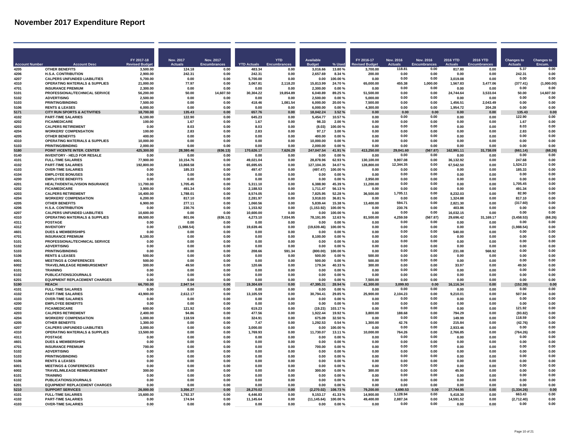|                       |                                                                   | FY 2017-18           | <b>Nov. 2017</b>  | Nov. 2017           |                       | <b>YTD</b>   | <b>Available</b>     |                     | FY 2016-17         | <b>Nov. 2016</b> | Nov. 2016    | 2016 YTD            | 2016 YTD     | <b>Changes to</b>  | <b>Changes to</b>      |
|-----------------------|-------------------------------------------------------------------|----------------------|-------------------|---------------------|-----------------------|--------------|----------------------|---------------------|--------------------|------------------|--------------|---------------------|--------------|--------------------|------------------------|
| <b>Account Number</b> | <b>Account Desc</b>                                               | <b>Revised Budd</b>  | <b>Actuals</b>    | <b>Encumbrances</b> | <b>YTD Actuals</b>    |              |                      | % Used              | <b>Budge</b>       | <b>Actuals</b>   | Encumbrances |                     |              | <b>Actuals</b>     | Encum.                 |
| 4205                  | <b>OTHER BENEFITS</b>                                             | 3,500.00             | 124.18            | 0.00                | 483.34                | 0.00         | 3.016.66             | 13.80%              | 3.700.00           | 118.81<br>0.00   | 0.00<br>0.00 | 817.80              | 0.00         | 5.37<br>242.31     | 0.00<br>0.00           |
| 4206<br>4207          | H.S.A. CONTRIBUTION<br><b>CALPERS UNFUNDED LIABILITIES</b>        | 2,900.00<br>5,700.00 | 242.31<br>0.00    | 0.00<br>0.00        | 242.31<br>5,700.00    | 0.00<br>0.00 | 2,657.69<br>0.00     | 8.34%<br>100.00%    | 200.00<br>0.00     | 0.00             | 0.00         | 0.00<br>3,019.08    | 0.00<br>0.00 | 0.00               | 0.00                   |
| 4310                  | <b>OPERATING MATERIALS &amp; SUPPLIES</b>                         | 21.000.00            | 77.97             | 0.00                | 3,067.81              | 2,118.20     | 15,813.99            | 24.70%              | 65.000.00          | 455.38           | 1.000.00     | 1,567.83            | 3,477.06     | (377.41)           | (1,000.00)             |
| 4701                  | <b>INSURANCE PREMIUM</b>                                          | 2.300.00             | 0.00              | 0.00                | 0.00                  | 0.00         | 2.300.00             | 0.00 %              | 0.00               | 0.00             | 0.00         | 0.00                | 0.00         | 0.00               | 0.00                   |
| 5101                  | PROFESSIONAL/TECHNICAL SERVICE                                    | 56.200.00            | 50.00             | 14 607 50           | 30.304.22             | 19.854.89    | 6.040.89             | 89 25 %             | 51.500.00          | 0.00             | 0.00         | 24.744.64           | 3,533.04     | 50.00              | 14,607.50              |
| 5102                  | <b>ADVERTISING</b>                                                | 2.500.00             | 0.00              | 0.00                | 0.00                  | 0.00         | 2,500.00             | 0.00%               | 5.000.00           | 0.00             | 0.00         | 0.00                | 0.00         | 0.00               | 0.00                   |
| 5103                  | PRINTING/BINDING                                                  | 7.500.00             | 0.00              | 0.00                | 418.46                | 1,081.54     | 6,000.00             | 20.00%              | 7,500.00           | 0.00             | 0.00         | 1,456.51            | 2,043.49     | 0.00               | 0.00                   |
| 5106                  | <b>RENTS &amp; LEASES</b>                                         | 6.000.00             | 0.00              | 0.00                | 0.00                  | 0.00         | 6,000.00             | 0.00%               | 4.300.00           | 0.00             | 0.00         | 1.954.72            | 204.28       | 0.00               | 0.00                   |
| 5171                  | <b>CITY RUN SPORTS &amp; ACTIVITIES</b>                           | 18.700.00            | 135.43            | 0.00                | 657.76                | 0.00         | 18,042.24            | 3.52%               | 0.00               | 0.00<br>0.00     | 0.00<br>0.00 | 0.00                | 0.00         | 135.43             | 0.00<br>0.00           |
| 4102<br>4202          | <b>PART-TIME SALARIES</b><br><b>FICA/MEDICARE</b>                 | 6.100.00<br>100.00   | 122.90<br>1.67    | 0.00<br>0.00        | 645.23<br>1.67        | 0.00<br>0.00 | 5,454.77<br>98.33    | 10.57%<br>2.00%     | 0.00<br>0.00       | 0.00             | 0.00         | 0.00<br>0.00        | 0.00<br>0.00 | 122.90<br>1.67     | 0.00                   |
| 4203                  | <b>CALPERS RETIREMENT</b>                                         | 0.00                 | 8.03              | 0.00                | 8.03                  | 0.00         | (8.03)               | 100.00%             | 0.00               | 0.00             | 0.00         | 0.00                | 0.00         | 8.03               | 0.00                   |
| 4204                  | <b>WORKERS' COMPENSATION</b>                                      | 100.00               | 2.83              | 0.00                | 2.83                  | 0.00         | 97.17                | 3.00%               | 0.00               | 0.00             | 0.00         | 0.00                | 0.00         | 2.83               | 0.00                   |
| 4205                  | <b>OTHER BENEFITS</b>                                             | 400.00               | 0.00              | 0.00                | 0.00                  | 0.00         | 400.00               | 0.00%               | 0.00               | 0.00             | 0.00         | 0.00                | 0.00         | 0.00               | 0.00                   |
| 4310                  | <b>OPERATING MATERIALS &amp; SUPPLIES</b>                         | 10.000.00            | 0.00              | 0.00                | 0.00                  | 0.00         | 10.000.00            | 0.00%               | 0.00               | 0.00             | 0.00         | 0.00                | 0.00         | 0.00               | 0.00                   |
| 5103                  | <b>PRINTING/BINDING</b>                                           | 2,000.00             | 0.00              | 0.00                | 0.00                  | 0.00         | 2,000.00             | 0.00%               | 0.00               | 0.00             | 0.00         | 0.00                | 0.00         | 0.00               | 0.00                   |
| 5180                  | POINT VICENTE INTER. CENTER                                       | 425,300.00           | 28,380.46         | (636.13)            | 170,626.17            | 7,626.29     | 247,047.54           | 41.91%              | 413.250.00         | 29,041.60        | (567.87)     | 162,991.11          | 31,738.09    | (661.14)           | (68.26)                |
| 0140<br>4101          | <b>INVENTORY - HELD FOR RESALE</b><br><b>FULL-TIME SALARIES</b>   | 0.00<br>77,900.00    | 0.00<br>10,154.76 | 0.00<br>0.00        | 0.00<br>49,021.04     | 0.00<br>0.00 | 0.00<br>28,878.96    | $0.00 \%$<br>62.93% | 0.00<br>130,100.00 | 0.00<br>9.907.08 | 0.00<br>0.00 | 0.00<br>36,132.92   | 0.00<br>0.00 | 0.00<br>247.68     | 0.00<br>0.00           |
| 4102                  | <b>PART-TIME SALARIES</b>                                         | 192,800.00           | 13,868.58         | 0.00                | 65,695.65             | 0.00         | 127,104.35           | 34.07%              | 128,800.00         | 12.344.35        | 0.00         | 67,542.50           | 0.00         | 1.524.23           | 0.00                   |
| 4103                  | <b>OVER-TIME SALARIES</b>                                         | 0.00                 | 185.33            | 0.00                | 497.47                | 0.00         | (497.47)             | 100.00%             | 0.00               | 0.00             | 0.00         | 0.00                | 0.00         | 185.33             | 0.00                   |
| 4104                  | <b>EMPLOYEE BONUSES</b>                                           | n nn                 | <b>0.00</b>       | 0.00                | . በ በበ                | <b>በ በበ</b>  | n nn                 | 0.00%               | . በ በበ             | 0.00             | 0.00         | 0.00                | 0.00         | 0.00               | 0.00                   |
| 4200                  | <b>EMPLOYEE BENEFITS</b>                                          | 0.00                 | 0.00              | 0.00                | 0.00                  | 0.00         | 0.00                 | 0.00%               | 2,950.00           | 0.00             | 0.00         | 0.00                | 0.00         | 0.00               | 0.00                   |
| 4201                  | HEALTH/DENTAL/VISION INSURANCE                                    | 11,700.00            | 1,705.45          | 0.00                | 5.311.10              | 0.00         | 6,388.90             | 45.39%              | 11,200.00          | 0.00             | 0.00         | 0.00                | 0.00         | 1.705.45           | 0.00                   |
| 4202                  | <b>FICA/MEDICARE</b>                                              | 3,900.00             | 491.34            | 0.00                | 2,188.53              | 0.00         | 1,711.47             | 56.13%              | 0.00               | 0.00             | 0.00         | 0.00                | 0.00         | 491.34             | 0.00                   |
| 4203                  | <b>CALPERS RETIREMENT</b>                                         | 16.400.00            | 1.788.01          | 0.00                | 8.574.05              | 0.00         | 7.825.95             | 52.28%              | 36.500.00          | 1.705.11         | 0.00         | 8.232.03            | 0.00         | 82.90              | 0.00                   |
| 4204                  | <b>WORKERS' COMPENSATION</b>                                      | 6.200.00             | 817.10            | 0.00                | 2,281.97              | 0.00         | 3,918.03             | 36.81%              | 0.00               | 0.00             | 0.00         | 1,324.88            | 0.00         | 817.10             | 0.00                   |
| 4205                  | <b>OTHER BENEFITS</b>                                             | 6.900.00             | 277.11            | 0.00                | 1.060.56              | 0.00         | 5.839.44             | 15.38%              | 13,400.00          | 594.71<br>230.76 | 0.00<br>0.00 | 2.821.30            | 0.00         | (317.60)<br>0.00   | 0.00<br>0.00           |
| 4206<br>4207          | <b>H.S.A. CONTRIBUTION</b><br><b>CALPERS UNFUNDED LIABILITIES</b> | 0.00<br>10.600.00    | 230.76<br>0.00    | 0.00<br>0.00        | 1.153.92<br>10.600.00 | 0.00<br>0.00 | (1, 153.92)<br>0.00  | 100.00%<br>100.00%  | 0.00<br>0.00       | 0.00             | 0.00         | 403.86<br>16.032.15 | 0.00<br>0.00 | 0.00               | 0.00                   |
| 4310                  | <b>OPERATING MATERIALS &amp; SUPPLIES</b>                         | 89.500.00            | 801.06            | (636.13)            | 4.273.10              | 7.034.95     | 78.191.95            | 12.63%              | 81.500.00          | 4,259.59         | (567.87)     | 29.696.42           | 31.169.17    | (3,458.53)         | (68.26)                |
| 4311                  | <b>POSTAGE</b>                                                    | 0.00                 | 0.00              | 0.00                | 0.00                  | 0.00         | 0.00                 | 0.00%               | 0.00               | 0.00             | 0.00         | 0.00                | 0.00         | 0.00               | 0.00                   |
| 4312                  | <b>INVENTORY</b>                                                  | 0.00                 | (1,988.54)        | 0.00                | 19,639.46             | 0.00         | (19, 639.46)         | 100.00%             | 0.00               | 0.00             | 0.00         | 0.00                | 0.00         | (1,988.54)         | 0.00                   |
| 4601                  | <b>DUES &amp; MEMBERSHIPS</b>                                     | 0.00                 | 0.00              | 0.00                | 0.00                  | 0.00         | 0.00                 | 0.00%               | 0.00               | 0.00             | 0.00         | 540.00              | 0.00         | 0.00               | 0.00                   |
| 4701                  | <b>INSURANCE PREMIUM</b>                                          | 8,100.00             | 0.00              | 0.00                | 0.00                  | 0.00         | 8,100.00             | 0.00%               | 0.00               | 0.00             | 0.00         | 0.00                | 0.00         | 0.00               | 0.00                   |
| 5101                  | PROFESSIONAL/TECHNICAL SERVICE                                    | 0.00                 | 0.00              | 0.00                | 0.00                  | 0.00         | 0.00                 | 0.00%               | 0.00               | 0.00             | 0.00         | 0.00                | 0.00         | 0.00               | 0.00                   |
| 5102                  | <b>ADVERTISING</b>                                                | 0.00                 | 0.00              | 0.00                | 0.00                  | 0.00         | 0.00                 | $0.00 \%$           | 0.00               | 0.00             | 0.00         | 0.00                | 0.00         | 0.00               | 0.00                   |
| 5103<br>5106          | PRINTING/BINDING                                                  | 0.00<br>500.00       | 0.00<br>0.00      | 0.00                | 208.66                | 591.34       | (800.00)<br>500.00   | 100.00%             | 0.00<br>500.00     | 0.00<br>0.00     | 0.00<br>0.00 | 231.08              | 568.92       | 0.00<br>0.00       | 0 <sub>0</sub><br>0.00 |
| 6001                  | <b>RENTS &amp; LEASES</b><br><b>MEETINGS &amp; CONFERENCES</b>    | 500.00               | 0.00              | n nn<br>0.00        | . በ በበ<br>0.00        | n nn<br>0.00 | 500.00               | .ስ ሰበ %<br>0.00%    | 500.00             | 0.00             | 0.00         | 0.OO<br>0.00        | n nn<br>0.00 | 0.00               | 0.00                   |
| 6002                  | TRAVEL/MILEAGE REIMBURSEMENT                                      | 300.00               | 49.50             | 0.00                | 120.66                | 0.00         | 179.34               | 40.33%              | 300.00             | 0.00             | 0.00         | 33.97               | 0.00         | 49.50              | 0.00                   |
| 6101                  | <b>TRAINING</b>                                                   | 0.00                 | 0.00              | 0.00                | 0.00                  | 0.00         | 0.00                 | 0.00%               | 0.00               | 0.00             | 0.00         | 0.00                | 0.00         | 0.00               | 0.00                   |
| 6102                  | PUBLICATIONS/JOURNALS                                             | 0.00                 | 0.00              | 0.00                | 0.00                  | 0.00         | 0.00                 | 0.00%               | 0.00               | 0.00             | 0.00         | 0.00                | 0.00         | 0.00               | 0.00                   |
| 6201                  | <b>EQUIPMENT REPLACEMENT CHARGES</b>                              | 0.00                 | 0.00              | 0.00                | 0.00                  | 0.00         | 0.00                 | 0.00%               | 7,500.00           | 0.00             | 0.00         | 0.00                | 0.00         | 0.00               | 0.00                   |
| 5190                  | <b>REACH</b>                                                      | 66,700.00            | 2,947.54          | 0.00                | 19,304.69             | 0.00         | 47,395.31            | 28.94 %             | 41,300.00          | 3,099.93         | 0.00         | 16,116.34           | 0.00         | (152.39)           | 0.00                   |
| 4101                  | <b>FULL-TIME SALARIES</b>                                         | 0.00                 | 0.00              | 0.00                | 0.00                  | 0.00         | 0.00                 | 0.00%               | 0.00               | 0.00             | 0.00         | 0.00                | 0.00         | 0.00               | 0.00                   |
| 4102                  | <b>PART-TIME SALARIES</b>                                         | 43.900.00            | 2,612.17          | 0.00                | 13,105.59             | 0.00         | 30,794.41            | 29.85%              | 25.900.00          | 2.104.23         | 0.00         | 9.210.01            | 0.00         | 507.94             | 0.00                   |
| 4103<br>4200          | <b>OVER-TIME SALARIES</b><br><b>EMPLOYEE BENEFITS</b>             | 0.00<br>0.00         | 0.00<br>0.00      | 0.00<br>0.00        | 0.00<br>0.00          | 0.00<br>0.00 | 0.00<br>0.00         | 0.00%<br>0.00%      | 0.00<br>0.00       | 0.00<br>0.00     | 0.00<br>0.00 | 0.00<br>0.00        | 0.00<br>0.00 | 0.00<br>0.00       | 0.00<br>0.00           |
| 4202                  | <b>FICA/MEDICARE</b>                                              | 600.00               | 121.92            | 0.00                | 619.23                | 0.00         | (19.23)              | 103.17%             | 0.00               | 0.00             | 0.00         | 0.00                | 0.00         | 121.92             | 0.00                   |
| 4203                  | <b>CALPERS RETIREMENT</b>                                         | 2.400.00             | 94.86             | 0.00                | 477.56                | 0.00         | 1,922.44             | 19.92%              | 3,800.00           | 188.68           | 0.00         | 794.29              | 0.00         | (93.82)            | 0.00                   |
| 4204                  | <b>WORKERS' COMPENSATION</b>                                      | 1.000.00             | 118.59            | 0.00                | 324.91                | 0.00         | 675.09               | 32.50%              | 0.00               | 0.00             | 0.00         | 149.99              | 0.00         | 118.59             | 0.00                   |
| 4205                  | <b>OTHER BENEFITS</b>                                             | 1.300.00             | 0.00              | 0.00                | 7.47                  | 0.00         | 1,292.53             | 0.54%               | 1,300.00           | 42.76            | 0.00         | 215.84              | 0.00         | (42.76)            | 0.00                   |
| 4207                  | <b>CALPERS UNFUNDED LIABILITIES</b>                               | 3,000.00             | 0.00              | 0.00                | 3,000.00              | 0.00         | 0.00                 | 100.00%             | 0.00               | 0.00             | 0.00         | 2,933.46            | 0.00         | 0.00               | 0.00                   |
| 4310                  | <b>OPERATING MATERIALS &amp; SUPPLIES</b>                         | 13,500.00            | 0.00              | 0.00                | 1,769.93              | 0.00         | 11,730.07            | 13.11%              | 10,000.00          | 764.26           | 0.00         | 2,766.85            | 0.00         | (764.26)           | 0.00                   |
| 4311                  | POSTAGE                                                           | 0.00                 | 0.00              | 0.00                | 0.00                  | 0.00         | 0.00                 | 0.00 %              | 0.00               | 0.00             | 0.00         | 0.00                | 0.00         | 0.00               | 0.00                   |
| 4601                  | <b>DUES &amp; MEMBERSHIPS</b>                                     | 0.00                 | 0.00              | 0.00                | 0.00                  | 0.00         | 0.00                 | 0.00%               | 0.00               | 0.00             | 0.00         | 0.00                | 0.00         | 0.00               | 0.00                   |
| 4701                  | <b>INSURANCE PREMIUM</b>                                          | 700.00               | 0.00              | 0.00                | 0.00                  | 0.00         | 700.00               | 0.00%               | 0.00               | 0.00<br>0.00     | 0.00<br>0.00 | 0.00                | 0.00         | 0.00<br>0.00       | 0.00<br>0.00           |
| 5102<br>5103          | <b>ADVERTISING</b><br><b>PRINTING/BINDING</b>                     | 0.00<br>0.00         | 0.00<br>0.00      | 0.00<br>0.00        | 0.00<br>0.00          | 0.00<br>0.00 | 0.00<br>0.00         | 0.00%<br>0.00%      | 0.00<br>0.00       | 0.00             | 0.00         | 0.00<br>0.00        | 0.00<br>0.00 | 0.00               | 0.00                   |
| 5106                  | <b>RENTS &amp; LEASES</b>                                         | 0.00                 | 0.00              | 0.00                | 0.00                  | 0.00         | 0.00                 | 0.00%               | 0.00               | 0.00             | 0.00         | 0.00                | 0.00         | 0.00               | 0.00                   |
| 6001                  | <b>MEETINGS &amp; CONFERENCES</b>                                 | 0.00                 | 0.00              | 0.00                | 0.00                  | 0.00         | 0.00                 | 0.00%               | 0.00               | 0.00             | 0.00         | 0.00                | 0.00         | 0.00               | 0.00                   |
| 6002                  | TRAVEL/MILEAGE REIMBURSEMENT                                      | 300.00               | 0.00              | 0.00                | 0.00                  | 0.00         | 300.00               | 0.00%               | 300.00             | 0.00             | 0.00         | 45.90               | 0.00         | 0.00               | 0.00                   |
| 6101                  | <b>TRAINING</b>                                                   | 0.00                 | 0.00              | 0.00                | 0.00                  | 0.00         | 0.00                 | 0.00%               | 0.00               | 0.00             | 0.00         | 0.00                | 0.00         | 0.00               | 0.00                   |
| 6102                  | <b>PUBLICATIONS/JOURNALS</b>                                      | 0.00                 | 0.00              | 0.00                | 0.00                  | 0.00         | 0.00                 | 0.00%               | 0.00               | 0.00             | 0.00         | 0.00                | 0.00         | 0.00               | 0.00                   |
| 6201                  | <b>EQUIPMENT REPLACEMENT CHARGES</b>                              | 0.00                 | 0.00              | 0.00                | 0.00                  | 0.00         | 0.00                 | 0.00%               | 0.00               | 0.00             | 0.00         | 0.00                | 0.00         | 0.00               | 0.00                   |
| 5210                  | <b>SUPPORT SERVICES</b>                                           | 26.000.00            | 3.356.27          | 0.00                | 28.270.02             | 0.00         | (2.270.02)           | 108.73%             | 79,200.00          | 4.690.53         | 0.00         | 27.744.95           | 0.00         | (1.334.26)         | 0.00                   |
| 4101                  | <b>FULL-TIME SALARIES</b>                                         | 15,600.00            | 1,792.37          | 0.00                | 6,446.83              | 0.00         | 9,153.17             | 41.33%              | 14,900.00          | 1,128.94         | 0.00         | 5,418.30            | 0.00         | 663.43             | 0.00                   |
| 4102<br>4103          | <b>PART-TIME SALARIES</b>                                         | 0.00<br>0.00         | 174.94<br>0.00    | 0.00<br>0.00        | 11,145.64<br>0.00     | 0.00<br>0.00 | (11, 145.64)<br>0.00 | 100.00%             | 49.400.00<br>0.00  | 2,887.34<br>0.00 | 0.00         | 14,591.52<br>0.00   | 0.00<br>0.00 | (2,712.40)<br>0.00 | 0.00                   |
|                       | <b>OVER-TIME SALARIES</b>                                         |                      |                   |                     |                       |              |                      | $0.00 \%$           |                    |                  | 0.00         |                     |              |                    | 0.00                   |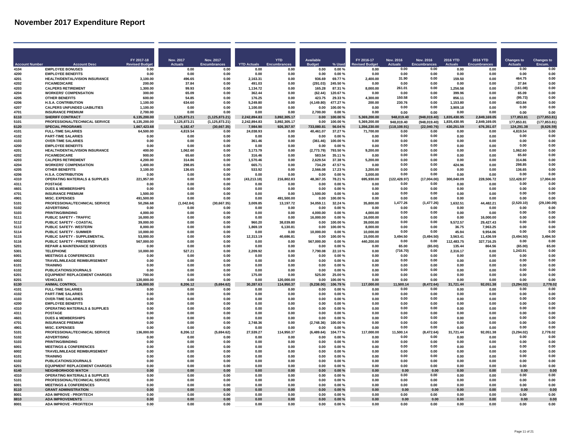|                      |                                                                   | FY 2017-18            | Nov. 2017      | Nov. 2017           |                      | <b>YTD</b>         | <b>Available</b>      |                      | FY 2016-17            | <b>Nov. 2016</b>      | Nov. 2016           | 2016 YTD             | 2016 YTD            | <b>Changes to</b>  | <b>Changes to</b>       |
|----------------------|-------------------------------------------------------------------|-----------------------|----------------|---------------------|----------------------|--------------------|-----------------------|----------------------|-----------------------|-----------------------|---------------------|----------------------|---------------------|--------------------|-------------------------|
| <b>Account Numbe</b> | <b>Account Desc</b>                                               | <b>Revised Budg</b>   | <b>Actuals</b> | <b>Encumbrances</b> | <b>YTD Actuals</b>   |                    |                       | % Used               | vised Budge           | <b>Actuals</b>        | <b>Encumbrances</b> |                      |                     | <b>Actuals</b>     | Encum                   |
| 4104<br>4200         | <b>EMPLOYEE BONUSES</b><br><b>EMPLOYEE BENEFITS</b>               | 0.00<br>0.00          | 0.00<br>0.00   | 0.00<br>0.00        | 0.00<br>0.00         | 0.00<br>0.00       | 0.00<br>0.00          | 0.00%<br>$0.00 \%$   | 0.00<br>0.00          | 0.00<br>0.00          | 0.00<br>0.00        | 0.00<br>0.00         | 0.00<br>0.00        | 0.00<br>0.00       | 0.00<br>0.00            |
| 4201                 | HEALTH/DENTAL/VISION INSURANCE                                    | 3,100.00              | 496.65         | 0.00                | 2,163.31             | 0.00               | 936.69                | 69.77%               | 2,400.00              | 31.90                 | 0.00                | 159.50               | 0.00                | 464.75             | 0.00                    |
| 4202                 | <b>FICA/MEDICARE</b>                                              | 200.00                | 37.84          | 0.00                | 491.03               | 0.00               | (291.03)              | 245.50%              | 0.00                  | 0.00                  | 0.00                | 0.00                 | 0.00                | 3784               | 0.00                    |
| 4203                 | <b>CALPERS RETIREMENT</b>                                         | 1.300.00              | 99.93          | 0.00                | 1.134.72             | 0.00               | 165 28                | 87 31 %              | 8.000.00              | 261.01                | 0.00                | 1.256.58             | 0.00                | (161.08)           | 0.00                    |
| 4204                 | <b>WORKERS' COMPENSATION</b>                                      | 300.00                | 65.09          | 0.00                | 362.44               | 0.00               | (62, 44)              | 120 67 %             | n nn                  | 0.00                  | 0.00                | 399.96               | n nn                | 65.09              | 0.00                    |
| 4205                 | <b>OTHER BENEFITS</b>                                             | 600.00                | 54.85          | 0.00                | 176.25               | 0.00               | 423.75                | 29.33%               | 4,300.00              | 150.58                | 0.00                | 856.1                | 0.00                | (95.73)            | 0.00                    |
| 4206<br>4207         | <b>H.S.A. CONTRIBUTION</b><br><b>CALPERS UNFUNDED LIABILITIES</b> | 1.100.00<br>1.100.00  | 634.60<br>0.00 | 0.00<br>0.00        | 5,249.80<br>1.100.00 | 0.00<br>0.00       | (4, 149.80)<br>0.00   | 477.27%<br>100.00%   | 200.00<br>0.00        | 230.76<br>0.00        | 0.00<br>0.00        | 1,153.80<br>3,909.18 | 0.00<br>0.00        | 403.84<br>0.00     | 0.00<br>0.00            |
| 4701                 | <b>INSURANCE PREMIUM</b>                                          | 2,700.00              | 0.00           | 0.00                | 0.00                 | 0.00               | 2.700.00              | 0.00%                | 0.00                  | 0.00                  | 0.00                | 0.00                 | 0.00                | 0.00               | 0.00                    |
| 6110                 | <b>SHERIFF CONTRACT</b>                                           | 6,135,200.00          | 1,125,873.21   | (1, 125, 873.21)    | 2,242,894.83         | 3,892,305.17       | 0.00                  | 100.00%              | 5,369,200.00          | 948.019.40            | (948.019.40)        | 1,835,430.95         | 2,849,169.05        | 177,853.81         | (177, 853.81)           |
| 5101                 | PROFESSIONAL/TECHNICAL SERVICE                                    | 6,135,200.00          | 1,125,873.21   | (1, 125, 873.21)    | 2.242.894.83         | 3.892.305.17       | 0.00                  | 100.00%              | 5.369.200.00          | 948,019.40            | (948, 019.40)       | 1.835.430.95         | 2.849.169.05        | 177,853.81         | (177,853.81             |
| 6120                 | <b>SPECIAL PROGRAMS</b>                                           | 1.667.423.68          | 6.182.47       | (30,667.35)         | 7.984.90             | 926,357.97         | 733.080.81            | 56.04 %              | 1.356,230.00          | (118, 108.91)         | (22,040.76)         | 430,251.59           | 676,351.07          | 124.291.38         | (8,626.59)              |
| 4101                 | <b>FULL-TIME SALARIES</b>                                         | 64.500.00             | 4.819.54       | 0.00                | 24.038.93            | 0.00               | 40,461.07             | 37.27%               | 71,700.00             | 0.00                  | 0.00                | 0.00                 | 0.00                | 4.819.54           | 0.00                    |
| 4102                 | <b>PART-TIME SALARIES</b>                                         | 0.00                  | 0.00           | 0.00                | 0.00                 | 0.00               | 0.00                  | 0.00%                | 0.00                  | 0.00                  | 0.00                | 0.00                 | 0.00                | 0.00               | 0.00                    |
| 4103<br>4200         | <b>OVER-TIME SALARIES</b><br><b>EMPLOYEE BENEFITS</b>             | 0.00<br>0.00          | 0.00<br>0.00   | 0.00<br>0.00        | 361.46<br>0.00       | 0.00<br>0.00       | (361.46)<br>0.00      | 100.00%<br>0.00%     | 0.00<br>0.00          | 0.00<br>0.00          | 0.00<br>0.00        | 0.00<br>0.00         | 0.00<br>0.00        | 0.00<br>0.00       | 0.00<br>0.00            |
| 4201                 | HEALTH/DENTAL/VISION INSURANCE                                    | 400.00                | 1,062.60       | 0.00                | 3,173.79             | 0.00               | (2,773.79)            | 793.50%              | 9,200.00              | 0.00                  | 0.00                | 0.00                 | 0.00                | 1,062.60           | 0.00                    |
| 4202                 | <b>FICA/MEDICARE</b>                                              | 900.00                | 65.60          | 0.00                | 316.46               | 0.00               | 583.54                | 35.11 %              | 0.00                  | 0.00                  | 0.00                | 0.00                 | 0.00                | 65.60              | 0.00                    |
| 4203                 | <b>CALPERS RETIREMENT</b>                                         | 4,200.00              | 314.86         | 0.00                | 1,570.46             | 0.00               | 2,629.54              | 37.38%               | 5,200.00              | 0.00                  | 0.00                | 0.00                 | 0.00                | 31486              | 0.00                    |
| 4204                 | <b>WORKERS' COMPENSATION</b>                                      | 1,400.00              | 298.85         | 0.00                | 665.71               | 0.00               | 734.29                | 47.57%               | 0.00                  | 0.00                  | 0.00                | 424.96               | 0.00                | 298.85             | 0.00                    |
| 4205                 | <b>OTHER BENEFITS</b>                                             | 3,100.00              | 136.65         | 0.00                | 533.92               | 0.00               | 2,566.08              | 17.23%               | 3.200.00              | 0.00                  | 0.00                | 0.00                 | 0.00                | 136.65             | 0.00                    |
| 4206                 | <b>H.S.A. CONTRIBUTION</b>                                        | n na                  | <b>0.00</b>    | 0.00                | <b>0.00</b>          | 0.00               | 0.00                  | 0.00 %               | 3,000,00              | 0.00                  | 0.00                | 0.00                 | <b>በ በበ</b>         | 0.00               | 0.00                    |
| 4310<br>4311         | <b>OPERATING MATERIALS &amp; SUPPLIES</b><br><b>POSTAGE</b>       | 221,957.00<br>0.00    | 0.00<br>0.00   | 0.00<br>0.00        | (43.213.18)<br>0.00  | 216,802.83<br>0.00 | 48,367.35<br>0.00     | 78.21%<br>0.00%      | 695,930.00<br>0.00    | (122, 428.97)<br>0.00 | (17.004.00)<br>0.00 | 300,040.09<br>0.00   | 228,506.72<br>0.00  | 122,428.97<br>0.00 | 17,004.00<br>0.00       |
| 4601                 | <b>DUES &amp; MEMBERSHIPS</b>                                     | 0.00                  | 0.00           | 0.00                | 0.00                 | 0.00               | 0.00                  | 0.00%                | 0.00                  | 0.00                  | 0.00                | 0.00                 | 0.00                | 0.00               | 0.00                    |
| 4701                 | <b>INSURANCE PREMIUM</b>                                          | 1.500.00              | 0.00           | 0.00                | 0.00                 | 0.00               | 1.500.00              | 0.00%                | 0.00                  | 0.00                  | 0.00                | 0.00                 | 0.00                | 0.00               | 0.00                    |
| 4901                 | <b>MISC. EXPENSES</b>                                             | 491,500.00            | 0.00           | 0.00                | 0.00                 | 491,500.00         | 0.00                  | 100.00%              | 0.00                  | 0.00                  | 0.00                | 0.00                 | 0.00                | 0.00               | 0.00                    |
| 5101                 | PROFESSIONAL/TECHNICAL SERVICE                                    | 50.266.68             | (1,042.84)     | (30.667.35)         | 3.009.85             | 13.197.72          | 34.059.11             | 32.24 %              | 35,800.00             | 1.477.26              | (1, 477.26)         | 1.632.51             | 44.482.21           | (2.520.10)         | (29, 190.09)            |
| 5102                 | <b>ADVERTISING</b>                                                | 0.00                  | 0.00           | 0.00                | 0.00                 | 0.00               | 0.00                  | 0.00%                | 0.00                  | 0.00                  | 0.00                | 0.00                 | 0.00                | 0.00               | 0.00                    |
| 5103<br>5111         | <b>PRINTING/BINDING</b><br>PUBLIC SAFETY - TRAFFIC                | 4.000.00<br>16,000.00 | 0.00<br>0.00   | 0.00<br>0.00        | 0.00<br>0.00         | 0.00<br>0.00       | 4.000.00<br>16.000.00 | 0.00%<br>0.00%       | 4.000.00<br>16.000.00 | 0.00<br>0.00          | 0.00<br>0.00        | 0.00<br>0.00         | 0.00<br>16.000.00   | 0.00<br>0.00       | 0.00<br>0.00            |
| 5112                 | <b>PUBLIC SAFETY - COASTAL</b>                                    | 39,000.00             | 0.00           | 0.00                | 960.20               | 38.039.80          | 0.00                  | 100.00%              | 39,000.00             | 0.00                  | 0.00                | 9.572.57             | 29.427.43           | 0.00               | 0.00                    |
| 5113                 | PUBLIC SAFETY- WESTERN                                            | 8,000.00              | 0.00           | 0.00                | 1,869.19             | 6,130.81           | 0.00                  | 100.00%              | 8,000.00              | 0.00                  | 0.00                | 36.75                | 7,963.25            | 0.00               | 0.00                    |
| 5114                 | <b>PUBLIC SAFETY - SUMMER</b>                                     | 10,000.00             | 0.00           | 0.00                | 0.00                 | 0.00               | 10,000.00             | $0.00 \%$            | 10,000.00             | 0.00                  | 0.00                | 45.94                | 9,954.06            | 0.00               | 0.00                    |
| 5115                 | PUBLIC SAFETY - SUPPLEMENTAL                                      | 53.000.00             | 0.00           | 0.00                | 12,313.19            | 40.686.81          | 0.00                  | 100.00%              | 15.000.00             | 3,494.50              | (3,494.50)          | 3,563.41             | 11,436.59           | (3,494.50)         | 3,494.50                |
| 5116                 | PUBLIC SAFETY - PRESERVE                                          | 567,000.00            | 0.00           | 0.00                | 0.00                 | 0.00               | 567,000.00            | 0.00%                | 440,200.00            | 0.00                  | 0.00                | 112,483.75           | 327,716.25          | 0.00               | 0.00                    |
| 5201<br>5301         | <b>REPAIR &amp; MAINTENANCE SERVICES</b>                          | 0.00                  | 0.00           | 0.00                | 0.00                 | 0.00               | 0.00                  | 0.00%                | 0.00                  | 65.00                 | (65.00)             | 135.44               | 864.56              | (65.00)            | 65.00<br>0 <sub>0</sub> |
| 6001                 | TEI EPHONE<br><b>MEETINGS &amp; CONFERENCES</b>                   | 10.000.00<br>n no     | 527.21<br>n nn | 0.00<br>0.00        | 2.209.92<br>0.00     | 0.00<br>n nn       | 7,790.08<br>0.00      | 22 10 %<br>0.00 %    | 0.00<br>n nn          | (716.70)<br>0.00      | 0.00<br>0.00        | 2.316.17<br>n nn     | 0.00<br><b>በ በበ</b> | 1.243.91<br>0.00   | 0.00                    |
| 6002                 | <b>TRAVEL/MILEAGE REIMBURSEMENT</b>                               | 0.00                  | 0.00           | 0.00                | 0.00                 | 0.00               | 0.00                  | 0.00%                | 0.00                  | 0.00                  | 0.00                | 0.00                 | 0.00                | 0.00               | 0.00                    |
| 6101                 | <b>TRAINING</b>                                                   | 0.00                  | 0.00           | 0.00                | 0.00                 | 0.00               | 0.00                  | 0.00%                | 0.00                  | 0.00                  | 0.00                | 0.00                 | 0.00                | 0.00               | 0.00                    |
| 6102                 | PUBLICATIONS/JOURNALS                                             | 0.00                  | 0.00           | 0.00                | 0.00                 | 0.00               | 0.00                  | 0.00%                | 0.00                  | 0.00                  | 0.00                | 0.00                 | 0.00                | 0.00               | 0.00                    |
| 6201                 | <b>EQUIPMENT REPLACEMENT CHARGES</b>                              | 700.00                | 0.00           | 0.00                | 175.00               | 0.00               | 525.00                | 25.00%               | 0.00                  | 0.00                  | 0.00                | 0.00                 | 0.00                | 0.00               | 0.00                    |
| 8201                 | <b>VEHICLES</b>                                                   | 120,000.00            | 0.00           | 0.00                | 0.00                 | 120,000.00         | 0.00                  | 100.00%              | 0.00                  | 0.00                  | 0.00                | 0.00                 | 0.00                | 0.00               | 0.00                    |
| 6130<br>4101         | <b>ANIMAL CONTROL</b>                                             | 136,000.00            | 8,206.12       | (5,694.62)          | 30,287.63            | 114,950.37         | (9,238.00)            | 06.79%               | 117,000.00<br>0.00    | 11,500.14<br>0.00     | (8,472.64)<br>0.00  | 31,721.44            | 92,051.38           | (3,294.02)<br>0.00 | 2,778.02<br>0.00        |
| 4102                 | <b>FULL-TIME SALARIES</b><br><b>PART-TIME SALARIES</b>            | 0.00<br>0.00          | 0.00<br>0.00   | 0.00<br>0.00        | 0.00<br>0.00         | 0.00<br>0.00       | 0.00<br>0.00          | 0.00%<br>0.00%       | 0.00                  | 0.00                  | 0.00                | 0.00<br>0.00         | 0.00<br>0.00        | 0.00               | 0.00                    |
| 4103                 | <b>OVER-TIME SALARIES</b>                                         | 0.00                  | 0.00           | 0.00                | 0.00                 | 0.00               | 0.00                  | 0.00%                | 0.00                  | 0.00                  | 0.00                | 0.00                 | 0.00                | 0.00               | 0.00                    |
| 4200                 | <b>EMPLOYEE BENEFITS</b>                                          | 0.00                  | 0.00           | 0.00                | 0.00                 | 0.00               | 0.00                  | 0.00%                | 0.00                  | 0.00                  | 0.00                | 0.00                 | 0.00                | 0.00               | 0.00                    |
| 4310                 | <b>OPERATING MATERIALS &amp; SUPPLIES</b>                         | 0.00                  | 0.00           | 0.00                | 0.00                 | 0.00               | 0.00                  | 0.00%                | 0.00                  | 0.00                  | 0.00                | 0.00                 | 0.00                | 0.00               | 0.00                    |
| 4311                 | <b>POSTAGE</b>                                                    | 0.00                  | 0.00           | 0.00                | 0.00                 | 0.00               | 0.00                  | 0.00%                | 0.00                  | 0.00                  | 0.00                | 0.00                 | 0.00                | 0.00               | 0.00                    |
| 4601                 | <b>DUES &amp; MEMBERSHIPS</b>                                     | 0.00                  | 0.00           | 0.00                | 0.00                 | 0.00               | 0.00                  | 0.00%                | 0.00                  | 0.00                  | 0.00                | 0.00                 | 0.00                | 0.00               | 0.00                    |
| 4701<br>4901         | <b>INSURANCE PREMIUM</b><br><b>MISC. EXPENSES</b>                 | 0.00<br>0.00          | 0.00<br>0.00   | 0.00<br>0.00        | 2,748.36<br>0.00     | 0.00<br>0.00       | (2,748.36)<br>0.00    | 100.00%<br>$0.00 \%$ | 0.00<br>0.00          | 0.00<br>0.00          | 0.00<br>0.00        | 0.00<br>0.00         | 0.00<br>0.00        | 0.00<br>0.00       | 0.00<br>0.00            |
| 5101                 | PROFESSIONAL/TECHNICAL SERVICE                                    | 136,000.00            | 8,206.12       | (5,694.62)          | 27,539.27            | 114,950.37         | (6,489.64)            | 104.77%              | 117,000.00            | 11,500.14             | (8,472.64)          | 31,721.44            | 92,051.38           | (3,294.02)         | 2,778.02                |
| 5102                 | <b>ADVERTISING</b>                                                | 0.00                  | 0.00           | <b>0.00</b>         | 0.00                 | 0.00               | 0.00                  | 0.00%                | 0.00                  | 0.00                  | 0.00                | 0.00                 | 0.00                | 0.00               | 0.00                    |
| 5103                 | PRINTING/BINDING                                                  | 0.00                  | 0.00           | 0.00                | 0.00                 | 0.00               | 0.00                  | 0.00%                | 0.00                  | 0.00                  | 0.00                | 0.00                 | 0.00                | 0.00               | 0.00                    |
| 6001                 | <b>MEETINGS &amp; CONFERENCES</b>                                 | 0.00                  | 0.00           | 0.00                | 0.00                 | 0.00               | 0.00                  | 0.00%                | 0.00                  | 0.00                  | 0.00                | 0.00                 | 0.00                | 0.00               | 0.00                    |
| 6002                 | TRAVEL/MILEAGE REIMBURSEMENT                                      | 0.00                  | 0.00           | 0.00                | 0.00                 | 0.00               | 0.00                  | 0.00%                | 0.00                  | 0.00                  | 0.00                | 0.00                 | 0.00                | 0.00               | 0.00                    |
| 6101                 | <b>TRAINING</b>                                                   | 0.00                  | 0.00           | 0.00                | 0.00                 | 0.00               | 0.00                  | 0.00%                | 0.00                  | 0.00                  | 0.00                | 0.00                 | 0.00                | 0.00               | 0.00                    |
| 6102<br>6201         | PUBLICATIONS/JOURNALS<br><b>EQUIPMENT REPLACEMENT CHARGES</b>     | 0.00<br>0.00          | 0.00<br>0.00   | 0.00<br>0.00        | 0.00<br>0.00         | 0.00<br>0.00       | 0.00<br>0.00          | 0.00%<br>0.00%       | 0.00<br>0.00          | 0.00<br>0.00          | 0.00<br>0.00        | 0.00<br>0.00         | 0.00<br>0.00        | 0.00<br>0.00       | 0.00<br>0.00            |
| 6140                 | <b>NEIGHBORHOOD WATCH</b>                                         | 0.00                  | 0.00           | 0.00                | 0.00                 | 0.00               | 0.00                  | 0.00%                | 0.00                  | 0.00                  | 0.00                | 0.00                 | 0.00                | 0.00               | 0.00                    |
| 4310                 | <b>OPERATING MATERIALS &amp; SUPPLIES</b>                         | 0.00                  | 0.00           | 0.00                | 0.00                 | 0.00               | 0.00                  | 0.00%                | 0.00                  | 0.00                  | 0.00                | 0.00                 | 0.00                | 0.00               | 0.00                    |
| 5101                 | PROFESSIONAL/TECHNICAL SERVICE                                    | 0.00                  | 0.00           | 0.00                | 0.00                 | 0.00               | 0.00                  | 0.00%                | 0.00                  | 0.00                  | 0.00                | 0.00                 | 0.00                | 0.00               | 0.00                    |
| 6001                 | <b>MEETINGS &amp; CONFERENCES</b>                                 | 0.00                  | 0.00           | 0.00                | 0.00                 | 0.00               | 0.00                  | 0.00%                | 0.00                  | 0.00                  | 0.00                | 0.00                 | 0.00                | 0.00               | 0.00                    |
| 8110                 | <b>GRANT ADMINISTRATION</b>                                       | 0.00                  | 0.00           | 0.00                | 0.00                 | 0.00               | 0.00                  | 0.00%                | 0.00                  | 0.00                  | 0.00                | 0.00                 | 0.00                | 0.00               | 0.00                    |
| 8001                 | ADA IMPROVE - PROF/TECH                                           | 0.00                  | 0.00           | 0.00                | 0.00                 | 0.00               | 0.00                  | 0.00%                | 0.00                  | 0.00                  | 0.00                | 0.00                 | 0.00                | 0.00               | 0.00                    |
| 8810                 | <b>ADA IMPROVEMENTS</b>                                           | 0.00                  | 0.00           | 0.00                | 0.00                 | $\bf 0.00$         | 0.00                  | 0.00%                | 0.00                  | 0.00                  | 0.00                | 0.00                 | 0.00                | 0.00               | 0.00                    |
| 8001                 | ADA IMPROVE - PROF/TECH                                           | 0.00                  | 0.00           | 0.00                | 0.00                 | 0.00               | 0.00                  | 0.00%                | 0.00                  | 0.00                  | 0.00                | 0.00                 | 0.00                | 0.00               | 0.00                    |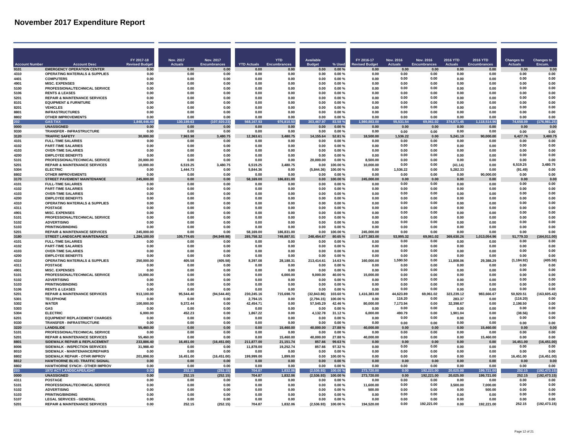|                       |                                                                             | FY 2017-18           | Nov. 2017      | Nov. 2017           |                    | <b>YTD</b>   | <b>Available</b> |                    | FY 2016-17            | <b>Nov. 2016</b> | <b>Nov. 2016</b>    | 2016 YTD         | 2016 YTD            | <b>Changes to</b> | <b>Changes to</b> |
|-----------------------|-----------------------------------------------------------------------------|----------------------|----------------|---------------------|--------------------|--------------|------------------|--------------------|-----------------------|------------------|---------------------|------------------|---------------------|-------------------|-------------------|
| <b>Account Number</b> | <b>Account Desc</b>                                                         | <b>Revised Budge</b> | <b>Actuals</b> | <b>Encumbrances</b> | <b>YTD Actuals</b> | Encumbrano   | <b>Budget</b>    | % Used             | <b>Revised Budget</b> | <b>Actuals</b>   | <b>Encumbrances</b> | <b>Actuals</b>   | <b>Encumbrances</b> | <b>Actuals</b>    | Encum.            |
| 9101                  | <b>EMERGENCY OPERATION CENTER</b>                                           | 0.00                 | 0.00           | 0.00                | 0.00               | 0.00         | 0.00             | 0.00%              | 0.00                  | 0.00             | 0.00                | 0.00             | 0.00                | 0.00              | 0.00              |
| 4310                  | <b>OPERATING MATERIALS &amp; SUPPLIES</b>                                   | 0.00                 | 0.00           | 0.00                | 0.00               | 0.00         | 0.00             | 0.00%              | 0.00                  | 0.00             | 0.00                | 0.00             | 0.00                | 0.00              | 0.00              |
| 4401                  | <b>COMPUTERS</b>                                                            | 0.00                 | 0.00           | 0.00                | 0.00               | 0.00         | 0.00             | 0.00%              | 0.00                  | 0.00             | 0.00                | 0.00             | 0.00                | 0.00              | 0.00              |
| 4901                  | <b>MISC. EXPENSES</b>                                                       | 0.00                 | 0.00           | 0.00                | 0.00               | 0.00         | 0.00             | 0.00%              | 0.00                  | 0.00             | 0.00                | 0.00             | 0.00                | 0.00              | 0.00              |
| 5100                  | PROFESSIONAL/TECHNICAL SERVICE                                              | 0.00                 | 0.00           | 0.00                | 0.00               | 0.00         | 0.00             | 0.00%              | 0.00                  | 0.00             | 0.00                | 0.00             | 0.00                | 0.00              | 0.00              |
| 5106                  | <b>RENTS &amp; LEASES</b>                                                   | 0.00                 | 0.00           | 0.00                | 0.00               | 0.00         | 0.00             | 0.00%              | 0.00                  | 0.00             | 0.00                | 0.00             | 0.00                | 0.00              | 0.00              |
| 5201                  | <b>REPAIR &amp; MAINTENANCE SERVICES</b>                                    | 0.00                 | 0.00           | 0.00                | 0.00               | 0.00         | 0.00             | 0.00%              | 0.00                  | 0.00             | 0.00                | 0.00             | 0.00                | 0.00              | 0.00              |
| 8101                  | <b>EQUIPMENT &amp; FURNITURE</b>                                            | 0.00                 | 0.00           | 0.00                | 0.00               | 0.00         | 0.00             | 0.00%              | 0.00                  | 0.00             | 0.00                | 0.00             | 0.00                | 0.00              | 0.00              |
| 8201                  | <b>VEHICLES</b>                                                             | 0.00                 | 0.00           | 0.00                | 0.00               | 0.00         | 0.00             | 0.00%              | 0.00                  | 0.00             | 0.00                | 0.00             | 0.00                | 0.00              | 0.00              |
| 8801                  | <b>INFRASTRUCTURES</b>                                                      | 0.00                 | 0.00           | 0.00                | 0.00               | 0.00         | 0.00             | 0.00%              | 0.00                  | 0.00             | 0.00                | 0.00             | 0.00                | 0.00              | 0.00              |
| 8802                  | <b>OTHER IMPROVEMENTS</b>                                                   | 0.00                 | 0.00           | 0.00                | 0.00               | 0.00         | 0.00             | 0.00%              | 0.00                  | 0.00             | 0.00                | 0.00             | 0.00                | 0.00              | 0.00              |
| 202                   | <b>GAS TAX</b>                                                              | 1.848.446.40         | 130.189.63     | (107, 920.23)       | 568.167.93         | 976,810.50   | 303.467.97       | 83.58%             | 1,980,883.00          | 55.531.54        | .061.02             | 374.871.45       | 1,118,514.96        | 74.658.09         | (176, 981, 25)    |
| 0000                  | <b>UNASSIGNED</b>                                                           | 0.00                 | 0.00           | 0.00                | 0.00               | 0.00         | 0.00             | 0.00%              | 0.00                  | 0.00             | 0.00                | 0.00             | 0.00                | 0.00              | 0.00              |
| 9330                  | TRANSFER - INFRASTRUCTURE                                                   | 0.00                 | 0.00           | 0.00                | 0.00               | 0.00         | 0.00             | 0.00%              | 0.00                  | 0.00             | 0.00                | 0.00             | 0.00                | 0.00              | 0.00              |
| 3120                  | <b>TRAFFIC SAFETY</b>                                                       | 30,000.00            | 7,963.98       | 3,480.75            | 12,363.61          | 3,480.75     | 14,155.64        | 52.81 %            | 18,500.00             | 1,536.22         | 0.00                | 5,241.19         | 90,000.00           | 6,427.76          | 3.480.75          |
| 4101                  | <b>FULL-TIME SALARIES</b>                                                   | 0.00                 | 0.00           | 0.00                | 0.00               | 0.00         | 0.00             | 0.00%              | 0.00                  | 0.00             | 0.00                | 0.00             | 0.00                | 0.00              | 0.00              |
| 4102                  | <b>PART-TIME SALARIES</b>                                                   | 0.00                 | 0.00           | 0.00                | 0.00               | 0.00         | 0.00             | 0.00%              | 0.00                  | 0.00             | 0.00                | 0.00             | 0.00                | 0.00              | 0.00              |
| 4103                  | <b>OVER-TIME SALARIES</b>                                                   | 0.00                 | 0.00           | 0.00                | 0.00               | 0.00         | 0.00             | 0.00%              | 0.00                  | 0.00             | 0.00                | 0.00             | 0.00                | 0.00              | 0.00              |
| 4200                  | <b>EMPLOYEE BENEFITS</b>                                                    | 0.00                 | 0.00           | 0.00                | 0.00               | 0.00         | 0.00             | 0.00%              | 0.00                  | 0.00             | 0.00                | 0.00             | 0.00                | 0.00              | 0.00              |
| 5101                  | PROFESSIONAL/TECHNICAL SERVICE                                              | 20.000.00            | 0.00           | 0.00                | n nn               | <b>0.00</b>  | 20,000.00        | 0.00%              | 8.500.00              | 0.00             | 0.00                | 0.00             | 0.00                | 0.00              | 0.00              |
| 5201                  | <b>REPAIR &amp; MAINTENANCE SERVICES</b>                                    | 10.000.00            | 6.519.25       | 3.480.75            | 6.519.25           | 3.480.75     | 0.00             | 100.00%            | 10.000.00             | 0.00             | 0.00                | (41.14)          | 0.00                | 6,519.25          | 3,480.75          |
| 5304                  | <b>ELECTRIC</b>                                                             | 0.00                 | 1,444.73       | 0.00                | 5.844.36           | 0.00         | (5,844.36)       | 100.00%            | 0.00                  | 1,536.22         | 0.00                | 5,282.33         | 0.00                | (91.49)           | 0.00              |
| 8802                  | <b>OTHER IMPROVEMENTS</b>                                                   | 0.00                 | 0.00           | 0.00                | 0.00               | 0.00         | 0.00             | 0.00%              | 0.00                  | 0.00             | 0.00                | 0.00             | 90,000.00           | 0.00              | 0.00              |
| 3170                  | <b>STREET PAVEMENT MAINTENANCE</b>                                          | 245.000.00           | 0.00           | 0.00                | 58.169.00          | 186.831.00   | 0.00             | 00.00%             | 245.000.00            | 0.00             | 0.00                | 0.00             | 0.00                | 0.00              | 0.00              |
| 4101                  | <b>FULL-TIME SALARIES</b>                                                   | 0.00                 | 0.00           | 0.00                | 0.00               | 0.00         | 0.00             | 0.00%              | 0.00                  | 0.00             | 0.00                | 0.00             | 0.00                | 0.00              | 0.00              |
| 4102                  | <b>PART-TIME SALARIES</b>                                                   | 0.00                 | 0.00           | 0.00                | 0.00               | 0.00         | 0.00             | 0.00%              | 0.00                  | 0.00             | 0.00                | 0.00             | 0.00                | 0.00              | 0.00              |
| 4103                  | <b>OVER-TIME SALARIES</b>                                                   | 0.00                 | 0.00           | 0.00                | 0.00               | 0.00         | 0.00             | 0.00%              | 0.00                  | 0.00             | 0.00                | 0.00             | 0.00                | 0.00              | 0.00              |
| 4200                  | <b>EMPLOYEE BENEFITS</b>                                                    | 0.00                 | 0.00           | 0.00                | 0.00               | 0.00         | 0.00             | 0.00%              | 0.00                  | 0.00             | 0.00                | 0.00             | 0.00                | 0.00              | 0.00              |
| 4310                  | <b>OPERATING MATERIALS &amp; SUPPLIES</b>                                   | 0.00                 | 0.00           | 0.00                | 0.00               | 0.00         | 0.00             | 0.00%              | 0.00                  | 0.00             | 0.00                | 0.00             | 0.00                | 0.00              | 0.00              |
| 4311                  | <b>POSTAGE</b>                                                              | 0.00                 | 0.00           | 0.00                | 0.00               | 0.00         | 0.00             | 0.00%              | 0.00                  | 0.00             | 0.00                | 0.00             | 0.00                | 0.00              | 0.00              |
| 4901                  | <b>MISC. EXPENSES</b>                                                       | 0.00                 | 0.00           | 0.00                | 0.00               | 0.00         | 0.00             | 0.00%              | 0.00                  | 0.00             | 0.00                | 0.00             | 0.00                | 0.00              | 0.00              |
| 5101                  | PROFESSIONAL/TECHNICAL SERVICE                                              | 0.00                 | 0.00           | 0.00                | 0.00               | 0.00         | 0.00             | 0.00%              | 0.00                  | 0.00             | 0.00                | 0.00             | 0.00                | 0.00              | 0.00              |
| 5102                  | <b>ADVERTISING</b>                                                          | 0.00                 | 0.00           | 0.00                | 0.00               | 0.00         | 0.00             | 0.00%              | 0.00                  | 0.00             | 0.00                | 0.00             | 0.00                | 0.00              | 0.00              |
| 5103                  | <b>PRINTING/BINDING</b>                                                     | 0.00                 | 0.00           | 0.00                | 0.00               | 0.00         | 0.00             | 0.00%              | 0.00                  | 0.00             | 0.00                | 0.00             | 0.00                | 0.00              | 0.00              |
| 5201                  | <b>REPAIR &amp; MAINTENANCE SERVICES</b>                                    | 245,000.00           | 0.00           | 0.00                | 58,169.00          | 186,831.00   | 0.00             | 100.00%            | 245,000.00            | 0.00             | 0.00                | 0.00             | 0.00                | 0.00              | 0.00              |
| 3180                  | STREET LANDSCAPE MAINTENANCE                                                | 1.284.100.00         | 105,774.65     | (94, 949.98)        | 285,758.32         | 749,887.01   | 248,454.67       | 80.65%             | 1,677,383.00          | 53,995.32        | 69,061.02           | 369,630.26       | 1,013,054.96        | 51,779.33         | (164,011.00       |
| 4101                  | <b>FULL-TIME SALARIES</b>                                                   | 0.00                 | 0.00           | 0.00                | 0.00               | 0.00         | 0.00             | 0.00%              | 0.00                  | 0.00             | 0.00                | 0.00             | 0.00                | 0.00              | 0.00              |
| 4102                  | <b>PART-TIME SALARIES</b>                                                   | 0.00                 | 0.00           | 0.00                | 0.00               | 0.00         | 0.00             | 0.00%              | 0.00                  | 0.00             | 0.00                | 0.00             | 0.00                | 0.00              | 0.00              |
| 4103                  | <b>OVER-TIME SALARIES</b>                                                   | 0.00                 | 0.00           | 0.00                | 0.00               | 0.00         | 0.00             | 0.00%              | 0.00                  | 0.00             | 0.00                | 0.00             | 0.00                | 0.00              | 0.00              |
| 4200                  | <b>EMPLOYEE BENEFITS</b>                                                    | 0.00                 | 0.00           | 0.00                | 0.00               | 0.00         | 0.00             | 0.00%              | 0.00                  | 0.00             | 0.00                | 0.00             | 0.00                | 0.00              | 0.00              |
| 4310                  | <b>OPERATING MATERIALS &amp; SUPPLIES</b>                                   | 250.000.00           | 405.58         | (405.58)            | 8.397.08           | 28.188.31    | 213,414.61       | 14.63%             | 160,000.00            | 1,590.50         | 0.00                | 11.808.06        | 29.388.29           | (1, 184.92)       | (405.58)          |
| 4311                  | <b>POSTAGE</b>                                                              | 0.00                 | 0.00           | 0.00                | 0.00               | 0.00         | 0.00             | 0.00%              | 0.00                  | 0.00             | 0.00                | 0.00             | 0.00                | 0.00              | 0.00              |
| 4901                  | <b>MISC. EXPENSES</b>                                                       | 0.00                 | 0.00           | 0.00                | 0.00               | 0.00         | 0.00             | 0.00%              | 0.00                  | 0.00             | 0.00                | 0.00             | 0.00                | 0.00              | 0.00              |
| 5101                  | PROFESSIONAL/TECHNICAL SERVICE                                              | 15,000.00            | 0.00           | 0.00                | 0.00               | 6,000.00     | 9,000.00         | 40.00%             | 15,000.00             | 0.00             | 0.00                | 0.00             | 0.00                | 0.00              | 0.00              |
| 5102                  | <b>ADVERTISING</b>                                                          | 0.00                 | 0.00           | 0.00                | 0.00               | 0.00         | 0.00             | 0.00%              | 0.00                  | 0.00             | 0.00                | 0.00             | 0.00                | 0.00              | 0.00              |
| 5103                  | PRINTING/BINDING                                                            | 0.00                 | 0.00           | 0.00                | 0.00               | 0.00         | 0.00             | 0.00%              | 0.00                  | 0.00             | 0.00                | 0.00             | 0.00                | 0.00              | 0.00              |
| 5106                  | <b>RENTS &amp; LEASES</b>                                                   | 0.00                 | 0.00           | 0.00                | 0.00               | 0.00         | 0.00             | 0.00%              | 0.00                  | 0.00             | 0.00                | 0.00             | 0.00                | 0.00              | 0.00              |
| 5201                  | <b>REPAIR &amp; MAINTENANCE SERVICES</b>                                    | 913.100.00           | 95,544.40      | (94.544.40)         | 230.245.16         | 715,698.70   | (32, 843.86)     | 103.60%            | 1,416,383.00          | 44,623.89        | 69,061.02           | 323,239.12       | 983.666.67          | 50,920.51         | (163, 605.42)     |
| 5301                  | <b>TELEPHONE</b>                                                            | 0.00                 | 0.00           | 0.00                | 2,794.15           | 0.00         | (2,794.15)       | 100.00%            | 0.00                  | 116.20           | 0.00                | 283.37           | 0.00                | (116.20)          | 0.00              |
| 5302                  | <b>WATER</b>                                                                | 100.000.00           | 9,372.44       | 0.00                | 42,454.71          | 0.00         | 57,545.29        | 42.46%             | 80,000.00             | 7,173.94         | 0.00                | 32,398.67        | 0.00                | 2,198.50          | 0.00              |
| 5303                  | GAS                                                                         | 0.00                 | 0.00           | 0.00                | 0.00               | 0.00         | 0.00             | 0.00%              | 0.00                  | 0.00             | 0.00                | 0.00             | 0.00                | 0.00              | 0.00              |
| 5304                  | <b>ELECTRIC</b>                                                             | 6.000.00             | 452.23         | 0.00                | 1,867.22           | 0.00         | 4,132.78         | 31.12%             | 6.000.00              | 490.79           | 0.00                | 1,901.04         | 0.00                | (38.56)           | 0.00              |
| 6201                  | <b>EQUIPMENT REPLACEMENT CHARGES</b>                                        | 0.00                 | 0.00           | 0.00                | 0.00               | 0.00         | 0.00             | 0.00%              | 0.00                  | 0.00             | 0.00                | 0.00             | 0.00                | 0.00              | 0.00              |
| 9330                  | TRANSFER - INFRASTRUCTURE                                                   | 0.00                 | 0.00           | 0.00                | 0.00               | 0.00         | 0.00             | 0.00%              | 0.00                  | 0.00             | 0.00                | 0.00             | 0.00                | 0.00              | 0.00              |
| 3220                  | <b>LANDSLIDE</b>                                                            | 55,460.00            | 0.00           | 0.00                | 0.00               | 15,460.00    | 40,000.00        | 27.88%             | 40,000.00             | 0.00             | 0.00                | 0.00             | 15,460.00           | 0.00              | 0.00              |
| 5101                  | PROFESSIONAL/TECHNICAL SERVICE                                              | 0.00                 | 0.00           | 0.00                | 0.00               | 0.00         | 0.00             | 0.00%              | 0.00                  | 0.00             | 0.00                | 0.00             | 0.00                | 0.00              | 0.00              |
| 5201                  | <b>REPAIR &amp; MAINTENANCE SERVICES</b>                                    | 55,460.00            | 0.00           | 0.00                | 0.00               | 15.460.00    | 40.000.00        | 27.88%             | 40.000.00             | 0.00             | 0.00                | 0.00             | 15.460.00           | 0.00              | 0.00              |
| 8801                  | SIDEWALK REPAIR & REPLACEMENT                                               | 233.886.40           | 16.451.00      | (16.451.00)         | 211.877.00         | 21.151.74    | 857.66           | 99.63%             | 0.00                  | 0.00             | 0.00                | 0.00             | 0.00                | 16.451.00         | (16, 451.00)      |
| 8006                  | SIDEWALK - INSPECTION SERVICES                                              | 31,988.40            | 0.00           | 0.00                | 11,878.00          | 19,252.74    | 857.66           | 97.32%             | 0.00                  | 0.00             | 0.00                | 0.00             | 0.00                | 0.00              | 0.00              |
| 8010                  | SIDEWALK - MAINTENANCE/REPAIRS                                              | 0.00                 | 0.00           | 0.00                | 0.00               | 0.00         | 0.00             | 0.00%              | 0.00                  | 0.00             | 0.00                | 0.00             | 0.00                | 0.00              | 0.00              |
| 8802                  | SIDEWALK REPAIR - OTHR IMPROV                                               | 201,898.00           | 16,451.00      | (16, 451.00)        | 199,999.00         | 1,899.00     | 0.00             | 100.00%            | 0.00                  | 0.00             | 0.00                | 0.00             | 0.00                | 16,451.00         | (16, 451.00)      |
| 8812                  | HAWTHORNE BLVD. TRAFFIC SIGNAL                                              | 0.00                 | 0.00           | 0.00                | 0.00               | 0.00         | 0.00             | 0.00%              | 0.00                  | 0.00             | 0.00                | 0.00             | 0.00                | 0.00              | 0.00              |
| 8802                  | <b>HAWTHORNE SYNCH - OTHER IMPROV</b>                                       | 0.00                 | 0.00           | 0.00                | 0.00               | 0.00         | 0.00             | 0.00%              | 0.00                  | 0.00             | 0.00                | 0.00             | 0.00                | 0.00              | 0.00              |
| 203                   | <b>1972 ACT LANDSCAPE/LIGHT</b>                                             | 0.00                 | 252.15         | (252.15)            | 704.87             | 1.832.06     | (2.536.93)       | 00.00 %            | 273.720.00            | 0.00             | 192.221.00          | 20.025.00        | 199,721.00          | 252.15            | (192.473.15)      |
| 0000                  | <b>UNASSIGNED</b>                                                           | 0.00                 | 252.15         | (252.15)            | 704.87             | 1.832.06     | (2,536.93)       | 100.00%            | 273,720.00            | 0.00             | 192.221.00          | 20,025.00        | 199,721.00          | 252.15            | (192, 473.15)     |
| 4311                  | <b>POSTAGE</b>                                                              | 0.00                 | 0.00           | 0.00                | 0.00               | 0.00         | 0.00             | 0.00%<br>0.00%     | 0.00                  | 0.00<br>0.00     | 0.00<br>0.00        | 0.00<br>3.500.00 | 0.00<br>7.000.00    | 0.00<br>0.00      | 0.00<br>0.00      |
| 5101                  | PROFESSIONAL/TECHNICAL SERVICE                                              | 0.00                 | 0.00           | 0.00                | 0.00               | 0.00         | 0.00             |                    | 11,600.00             |                  |                     |                  |                     |                   |                   |
| 5102<br>5103          | <b>ADVERTISING</b><br><b>PRINTING/BINDING</b>                               | 0.00                 | 0.00           | 0.00<br>0.00        | 0.00<br>0.00       | 0.00<br>0.00 | 0.00             | 0.00%              | 500.00<br>0.00        | 0.00<br>0.00     | 0.00<br>0.00        | 0.00             | 500.00<br>0.00      | 0.00<br>0.00      | 0.00<br>0.00      |
| 5107                  |                                                                             | 0.00<br>0.00         | 0.00<br>0.00   | 0.00                | 0.00               | 0.00         | 0.00             | $0.00 \%$<br>0.00% | 0.00                  | 0.00             | 0.00                | 0.00<br>0.00     | 0.00                | 0.00              | 0.00              |
|                       | <b>LEGAL SERVICES - GENERAL</b><br><b>REPAIR &amp; MAINTENANCE SERVICES</b> | 0.00                 | 252.15         |                     | 704.87             | 1.832.06     | 0.00             | 100.00%            |                       | 0.00             | 192,221.00          | 0.00             |                     | 252.15            | (192, 473.15)     |
| 5201                  |                                                                             |                      |                | (252.15)            |                    |              | (2,536.93)       |                    | 194,520.00            |                  |                     |                  | 192,221.00          |                   |                   |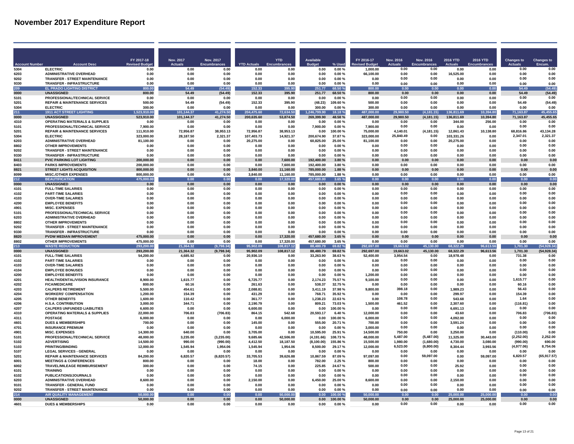|                      |                                                                               | FY 2017-18               | <b>Nov. 2017</b>   | Nov. 2017           |                    | <b>YTD</b>             | <b>Available</b>         |                  | FY 2016-17            | <b>Nov. 2016</b>  | Nov. 2016           | 2016 YTD             | 2016 YTD            | <b>Changes to</b> | <b>Changes to</b>  |
|----------------------|-------------------------------------------------------------------------------|--------------------------|--------------------|---------------------|--------------------|------------------------|--------------------------|------------------|-----------------------|-------------------|---------------------|----------------------|---------------------|-------------------|--------------------|
| <b>Account Numbe</b> | <b>Account Desc</b>                                                           | <b>Revised Budge</b>     | <b>Actuals</b>     | <b>Encumbrances</b> | <b>YTD Actuals</b> |                        |                          | % Used           | evised Budget         | <b>Actuals</b>    | <b>Encumbrances</b> |                      | Encumbranc          | <b>Actuals</b>    | Encum.             |
| 5304                 | <b>ELECTRIC</b>                                                               | 0.00                     | 0.00               | 0.00                | 0.00               | 0.00                   | 0.00                     | 0.00%            | 1,000.00              | 0.00<br>0.00      | 0.00<br>0.00        | 0.00                 | 0.00                | 0.00<br>0.00      | 0.00<br>0.00       |
| 6203<br>9202         | <b>ADMINISTRATIVE OVERHEAD</b><br><b>TRANSFER - STREET MAINTENANCE</b>        | 0.00<br>0.00             | 0.00<br>0.00       | 0.00<br>0.00        | 0.00<br>0.00       | 0.00<br>0.00           | 0.00<br>0.00             | 0.00%<br>0.00%   | 66,100.00<br>0.00     | 0.00              | 0.00                | 16,525.00<br>0.00    | 0.00<br>0.00        | 0.00              | 0.00               |
| 9330                 | <b>TRANSFER - INFRASTRUCTURE</b>                                              | 0.00                     | 0.00               | 0.00                | 0.00               | 0.00                   | 0.00                     | 0.00%            | 0.00                  | 0.00              | 0.00                | 0.00                 | 0.OC                | 0.00              | 0.00               |
| 209                  | EL PRADO LIGHTING DISTRICT                                                    | 800.00                   | 54.49              | (54.49)             | 152.33             | 395.90                 | 251.77                   | 68.50%           | 800.00                | 0.00              | 0.00                | 0.00                 | 0.00                | 54.49             | (54.49)            |
| 0000                 | <b>IINASSIGNED</b>                                                            | 800.00                   | 54 49              | (54.49)             | 15233              | 395.90                 | 251.77                   | 68.50%           | 800.00                | 0.00              | 0.00                | 0.00                 | 0.00                | 54 49             | (54.49)            |
| 5101                 | PROFESSIONAL/TECHNICAL SERVICE                                                | 0.00                     | 0.00               | 0.00                | 0.00               | 0.00                   | 0.00                     | 0.00%            | 0.00                  | 0.00              | 0.00                | 0.00                 | 0.00                | 0.00              | 0.00               |
| 5201                 | <b>REPAIR &amp; MAINTENANCE SERVICES</b>                                      | 500.00                   | 54.49              | (54.49)             | 152.33             | 395.90                 | (48.23)                  | 109.60%          | 500.00                | 0.00              | 0.00                | 0.00                 | 0.00                | 54.49             | (54.49)            |
| 5304                 | <b>ELECTRIC</b>                                                               | 300.00                   | 0.00               | 0.00                | 0.00               | 0.00                   | 300.00                   | 0.00%            | 300.00                | 0.00              | 0.00                | 0.00                 | 0.00                | 0.00              | 0.00               |
| 211                  | <b>1911 ACT STREET LIGHTING</b>                                               | ,523,910.00              | 101,144.37         | 41,274.50           | 204,475.60         | 72,634.50              | 1.246.799.90             | 18.18%           | 487,000.00            | 29,980.50         | 4, 181.15           | 811.69               | 10,394.80           | 71,163.87         | 45,455.65          |
| 0000<br>4310         | <b>UNASSIGNED</b><br><b>OPERATING MATERIALS &amp; SUPPLIES</b>                | 523,910.00<br>0.00       | 101,144.37<br>0.00 | 41,274.50<br>0.00   | 200,635.60<br>0.00 | 53,874.50<br>0.00      | 269,399.90<br>0.00       | 48.58%<br>0.00%  | 487,000.00<br>0.00    | 29,980.50<br>0.00 | (4, 181.15)<br>0.00 | 136,811.69<br>344.00 | 10,394.80<br>256.00 | 71,163.87<br>0.00 | 45,455.65<br>0.00  |
| 5101                 | PROFESSIONAL/TECHNICAL SERVICE                                                | 7.900.00                 | 0.00               | 0.00                | 0.00               | 0.00                   | 7,900.00                 | 0.00%            | 7,900.00              | 0.00              | 0.00                | 0.00                 | 0.00                | 0.00              | 0.00               |
| 5201                 | <b>REPAIR &amp; MAINTENANCE SERVICES</b>                                      | 111.910.00               | 72.956.87          | 38.953.13           | 72.956.87          | 38.953.13              | 0.00                     | 100.00%          | 75.000.00             | 4.140.01          | (4, 181.15)         | 12.861.43            | 10.138.80           | 68.816.86         | 43.134.28          |
| 5304                 | <b>ELECTRIC</b>                                                               | 323.000.00               | 28.187.50          | 2.321.37            | 107.403.73         | 14.921.37              | 200.674.90               | 37.87%           | 323,000.00            | 25,840.49         | 0.00                | 103.331.26           | 0.00                | 2,347.01          | 2,321.37           |
| 6203                 | <b>ADMINISTRATIVE OVERHEAD</b>                                                | 81.100.00                | 0.00               | 0.00                | 20.275.00          | 0.00                   | 60.825.00                | 25.00%           | 81.100.00             | 0.00              | 0.00                | 20.275.00            | 0.00                | 0.00              | 0.00               |
| 8802                 | <b>OTHER IMPROVEMENTS</b>                                                     | 0.00                     | 0.00               | 0.00                | 0.00               | 0.00                   | 0.00                     | 0.00%            | 0.00                  | 0.00              | 0.00                | 0.00                 | 0.00                | 0.00              | 0.00               |
| 9202                 | <b>TRANSFER - STREET MAINTENANCE</b>                                          | 0.00                     | 0.00               | 0.00                | 0.00               | 0.00                   | 0.00                     | 0.00%            | 0.00                  | 0.00<br>0.00      | 0.00<br>0.00        | 0.00                 | 0.00                | 0.00<br>0.00      | 0.00<br>0.00       |
| 9330<br>8411         | TRANSFER - INFRASTRUCTURE<br>PVIC PARKING LOT LIGHTING                        | 0.00<br>200,000.00       | 0.00<br>0.00       | 0.00<br>0.00        | 0.00<br>0.00       | 0.00<br>7,600.00       | 0.00<br>192,400.00       | 0.00%<br>3.80%   | 0.00<br>0.00          | 0.00              | 0.00                | 0.00<br>0.00         | 0.00<br>0.00        | 0.00              | 0.00               |
| 8403                 | <b>PARKS IMPROVEMENTS</b>                                                     | 200,000.00               | 0.00               | 0.00                | 0.00               | 7,600.00               | 192,400.00               | 3.80%            | 0.00                  | 0.00              | 0.00                | 0.00                 | 0.00                | 0.00              | 0.00               |
| 8821                 | <b>STREET LIGHTS ACQUISITION</b>                                              | 800,000.00               | 0.00               | 0.00                | 3.840.00           | 11,160.00              | 785,000.00               | 1.88%            | 0.00                  | 0.00              | 0.00                | 0.00                 | 0.00                | 0.00              | 0.00               |
| 8099                 | MISC /OTHER EXPENSES                                                          | 800.000.00               | 0.00               | 0.00                | 3,840.00           | 11.160.00              | 785,000.00               | 1.88%            | 0.00                  | 0.00              | 0.00                | 0.00                 | 0.00                | 0.00              | 0.00               |
| $\overline{212}$     | <b>BEAUTIFICATION</b>                                                         | 475,000.00               | 0.00               | 0.00                | 0.00               | 17,320.00              | 457,680.00               | 3.65%            | 0.00                  | 0.00              | 0.00                | 0.00                 | 0.00                | 0.00              | 0.00               |
| 0000                 | <b>UNASSIGNED</b>                                                             | 0.00                     | 0.00               | 0.00                | 0.00               | 0.00                   | 0.00                     | 0.00%            | 0.00                  | 0.00              | 0.00                | 0.00                 | 0.00                | 0.00              | 0.00               |
| 4101                 | <b>FULL-TIME SALARIES</b>                                                     | 0.00                     | 0.00               | 0.00                | 0.00               | 0.00                   | 0.00                     | 0.00%            | 0.00                  | 0.00<br>0.00      | 0.00                | 0.00                 | 0.00                | 0.00              | 0.00<br>0.00       |
| 4102<br>4103         | <b>PART-TIME SALARIES</b><br><b>OVER-TIME SALARIES</b>                        | 0.00<br>0.00             | 0.00<br>0.00       | 0.00<br>0.00        | 0.00<br>0.00       | 0.00<br>0.00           | 0.00<br>0.00             | 0.00%<br>0.00%   | 0.00<br>0.00          | 0.00              | 0.00<br>0.00        | 0.00<br>0.00         | 0.00<br>0.00        | 0.00<br>0.00      | 0.00               |
| 4200                 | <b>EMPLOYEE BENEFITS</b>                                                      | 0.00                     | 0.00               | 0.00                | 0.00               | 0.00                   | 0.00                     | $0.00 \%$        | 0.00                  | 0.00              | 0.00                | 0.00                 | 0.00                | 0.00              | 0.00               |
| 4901                 | <b>MISC. EXPENSES</b>                                                         | 0.00                     | 0.00               | 0.00                | 0.00               | 0.00                   | 0.00                     | 0.00%            | 0.00                  | 0.00              | 0.00                | 0.00                 | 0.00                | 0.00              | 0.00               |
| 5101                 | PROFESSIONAL/TECHNICAL SERVICE                                                | 0.00                     | 0.00               | 0.00                | 0.00               | 0.00                   | 0.00                     | 0.00%            | 0.00                  | 0.00              | 0.00                | 0.00                 | 0.00                | 0.00              | 0.00               |
| 6203                 | <b>ADMINISTRATIVE OVERHEAD</b>                                                | 0.00                     | 0.00               | 0.00                | 0.00               | 0.00                   | 0.00                     | 0.00%            | 0.00                  | 0.00              | 0.00                | 0.00                 | 0.00                | 0.00              | 0.00               |
| 8802                 | <b>OTHER IMPROVEMENTS</b>                                                     | 0.00                     | 0.00               | 0.00                | 0.00               | 0.00                   | 0.00                     | 0.00%            | 0.00                  | 0.00              | 0.00                | 0.00                 | 0.00                | 0.00              | 0.00               |
| 9202                 | <b>TRANSFER - STREET MAINTENANCE</b>                                          | 0.00                     | 0.00               | 0.00                | 0.00               | 0.00                   | 0.00                     | 0.00%            | 0.00                  | 0.00              | 0.00                | 0.00                 | 0.00                | 0.00              | 0.00               |
| 9330                 | <b>TRANSFER - INFRASTRUCTURE</b>                                              | 0.00                     | 0.00               | 0.00                | 0.00               | 0.00                   | 0.00                     | 0.00%            | 0.00                  | 0.00              | 0.00                | 0.00                 | 0.00                | 0.00              | 0.00               |
| 8820<br>8802         | <b>PVDW MEDIAN IMPROVEMENT</b><br><b>OTHER IMPROVEMENTS</b>                   | 475,000.00<br>475,000.00 | 0.00<br>0.00       | 0.00<br>0.00        | 0.00<br>0.00       | 17,320.00<br>17,320.00 | 457,680.00<br>457,680.00 | 3.65%<br>3.65%   | 0.00<br>0.00          | 0.00<br>0.00      | 0.00<br>0.00        | 0.00<br>0.00         | 0.00<br>0.00        | 0.00<br>0.00      | 0.00<br>0.00       |
| 213                  | <b>WASTE REDUCTION</b>                                                        | 293.200.00               | 21,364.32          | (9,798.34)          | 95.902.09          | 108,817.12             | 88,480.79                | 69.82%           | 292.697.00            | 19.663.02         | 45.130.00           | 68.322.29            | 96,613.56           | 1,701.30          | (54, 928.34)       |
| 0000                 | <b>UNASSIGNED</b>                                                             | 293,200.00               | 21,364.32          | (9,798.34)          | 95,902.09          | 108,817.12             | 88,480.79                | 69.82%           | 292,697.00            | 19.663.02         | 45,130.00           | 68,322.29            | 96,613.56           | 1.701.30          | (54, 928.34)       |
| 4101                 | <b>FULL-TIME SALARIES</b>                                                     | 54,200.00                | 4,685.92           | 0.00                | 20.936.10          | <b>በ በበ</b>            | 33.263.90                | 3863%            | 52,400.00             | 3.954.54          | 0.00                | 18.978.48            | n na                | 731.38            | 0.00               |
| 4102                 | <b>PART-TIME SALARIES</b>                                                     | 0.00                     | 0.00               | 0.00                | 0.00               | 0.00                   | 0.00                     | 0.00%            | 0.00                  | 0.00              | 0.00                | 0.00                 | 0.00                | 0.00              | 0.00               |
| 4103                 | <b>OVER-TIME SALARIES</b>                                                     | 0.00                     | 0.00               | 0.00                | 0.00               | 0.00                   | 0.00                     | 0.00%            | 0.00                  | 0.00              | 0.00                | 0.00                 | 0.00                | 0.00              | 0.00               |
| 4104                 | <b>EMPLOYEE BONUSES</b>                                                       | 0.00                     | 0.00               | 0.00                | 0.00               | 0.00                   | 0.00                     | 0.00%            | 0.00                  | 0.00              | 0.00                | 0.00                 | 0.00                | 0.00              | 0.00               |
| 4200<br>4201         | <b>EMPLOYEE BENEFITS</b><br>HEALTH/DENTAL/VISION INSURANCE                    | 0.00<br>8.900.00         | 0.00<br>1,615.77   | 0.00<br>0.00        | 0.00<br>6,725.77   | 0.00<br>0.00           | 0.00<br>2,174.23         | 0.00%<br>75.57%  | 1.200.00<br>9.100.00  | 0.00<br>0.00      | 0.00<br>0.00        | 0.00<br>0.00         | 0.00<br>0.00        | 0.00<br>1,615.77  | 0.00<br>0.00       |
| 4202                 | <b>FICA/MEDICARE</b>                                                          | 800.00                   | 60.16              | 0.00                | 261.63             | 0.00                   | 538.37                   | 32.75%           | 0.00                  | 0.00              | 0.00                | 0.00                 | 0.00                | 60.16             | 0.00               |
| 4203                 | <b>CALPERS RETIREMENT</b>                                                     | 5.500.00                 | 454.61             | 0.00                | 2.088.81           | 0.00                   | 3,411.19                 | 37.98%           | 9.800.00              | 398.18            | 0.00                | 1.989.23             | 0.00                | 56.43             | 0.00               |
| 4204                 | <b>WORKERS' COMPENSATION</b>                                                  | 1.200.00                 | 154.39             | 0.00                | 431.29             | 0.00                   | 768.71                   | 35.92%           | 0.00                  | 0.00              | 0.00                | 299.97               | 0.00                | 154.39            | 0.00               |
| 4205                 | <b>OTHER BENEFITS</b>                                                         | 1.600.00                 | 110.42             | 0.00                | 361.77             | 0.00                   | 1.238.23                 | 22.63%           | 0.00                  | 108.78            | 0.00                | 543.68               | 0.00                | 1.64              | 0.00               |
| 4206                 | <b>H.S.A. CONTRIBUTION</b>                                                    | 3.000.00                 | 344.71             | 0.00                | 2.190.79           | 0.00                   | 809.21                   | 73.03%           | 1.500.00              | 461.52            | 0.00                | 2.307.60             | 0.00                | (116.81)          | 0.00               |
| 4207                 | <b>CALPERS UNFUNDED LIABILITIES</b>                                           | 6.600.00                 | 0.00               | 0.00                | 6.600.00           | 0.00                   | 0.00                     | 100.00%          | 0.00                  | 0.00              | 0.00                | 6.691.13             | 0.00                | 0.00              | 0.00               |
| 4310<br>4311         | <b>OPERATING MATERIALS &amp; SUPPLIES</b><br>POSTAGE                          | 22,000.00<br>6.000.00    | 706.83             | (706.83)<br>0.00    | 864.15<br>0.00     | 542.68                 | 20,593.17                | 6.40%<br>100.00% | 12,000.00<br>6.000.00 | 0.00<br>0.00      | 0.00<br>0.00        | 43.60<br>4.092.00    | 0.00<br>0.00        | 706.83<br>0.00    | (706.83<br>0.00    |
| 4601                 | <b>DUES &amp; MEMBERSHIPS</b>                                                 | 700.00                   | 0.00<br>0.00       | 0.00                | 145.00             | 6,000.00<br>0.00       | 0.00<br>555.00           | 20.71%           | 700.00                | 0.00              | 0.00                | 3,591.24             | 0.00                | 0.00              | 0.00               |
| 4701                 | <b>INSURANCE PREMIUM</b>                                                      | 0.00                     | 0.00               | 0.00                | 0.00               | 0.00                   | 0.00                     | 0.00%            | 3,000.00              | 0.00              | 0.00                | 0.00                 | 0.00                | 0.00              | 0.00               |
| 4901                 | <b>MISC. EXPENSES</b>                                                         | 14,300.00                | 640.00             | 0.00                | 3,705.00           | 0.00                   | 10,595.00                | 25.91%           | 14,500.00             | 750.00            | 0.00                | 3,250.00             | 0.00                | (110.00)          | 0 <sub>0</sub>     |
| 5101                 | PROFESSIONAL/TECHNICAL SERVICE                                                | 48.000.00                | 3.235.00           | (3, 235.00)         | 9.685.66           | 42.506.00              | (4, 191.66)              | 108.73%          | 48.000.00             | 5,487.00          | (5.487.00)          | 11.325.00            | 30.443.00           | (2, 252.00)       | 2,252.00           |
| 5102                 | <b>ADVERTISING</b>                                                            | 14.500.00                | 990.00             | (990.00)            | 4.412.50           | 18.187.50              | (8.100.00)               | 155.86%          | 15.500.00             | 1,980.00          | (1,680.00)          | 4.730.00             | 3.080.00            | (990.00)          | 690.00             |
| 5103                 | PRINTING/BINDING                                                              | 12.000.00                | 1,545.94           | 1.954.06            | 1,545.94           | 1.954.06               | 8,500.00                 | 29.17%           | 12,000.00             | 6,523.00          | (6,800.00)          | 8,304.44             | 3,993.56            | (4,977.06)        | 8,754.06           |
| 5107                 | <b>LEGAL SERVICES - GENERAL</b>                                               | 0.00                     | 0.00               | 0.00                | 0.00               | 0.00                   | 0.00                     | 0.00%            | 0.00                  | 0.00              | 0.00                | 0.00                 | 0.00                | 0.00              | 0.00               |
| 5201<br>6001         | <b>REPAIR &amp; MAINTENANCE SERVICES</b><br><b>MEETINGS &amp; CONFERENCES</b> | 84,200.00<br>800.00      | 6,820.57<br>0.00   | (6,820.57)<br>0.00  | 33,705.53<br>18.00 | 39,626.88<br>0.00      | 10,867.59<br>782.00      | 87.09%<br>2.25%  | 97,097.00<br>800.00   | 0.00<br>0.00      | 59.097.00<br>0.00   | 0.00<br>0.00         | 59,097.00<br>0.00   | 6,820.57<br>0.00  | (65,917.57<br>0.00 |
| 6002                 | TRAVEL/MILEAGE REIMBURSEMENT                                                  | 300.00                   | 0.00               | 0.00                | 74.15              | 0.00                   | 225.85                   | 24.67%           | 500.00                | 0.00              | 0.00                | 25.92                | 0.00                | 0.00              | 0.00               |
| 6101                 | <b>TRAINING</b>                                                               | 0.00                     | 0.00               | 0.00                | 0.00               | 0.00                   | 0.00                     | $0.00 \%$        | 0.00                  | 0.00              | 0.00                | 0.00                 | 0.00                | 0.00              | 0.00               |
| 6102                 | <b>PUBLICATIONS/JOURNALS</b>                                                  | 0.00                     | 0.00               | 0.00                | 0.00               | 0.00                   | 0.00                     | $0.00 \%$        | 0.00                  | 0.00              | 0.00                | 0.00                 | 0.00                | 0.00              | 0.00               |
| 6203                 | <b>ADMINISTRATIVE OVERHEAD</b>                                                | 8.600.00                 | 0.00               | 0.00                | 2.150.00           | 0.00                   | 6.450.00                 | 25.00%           | 8.600.00              | 0.00              | 0.00                | 2,150.00             | 0.00                | 0.00              | 0.00               |
| 9101                 | <b>TRANSFER - GENERAL FUND</b>                                                | 0.00                     | 0.00               | 0.00                | 0.00               | 0.00                   | 0.00                     | $0.00 \%$        | 0.00                  | 0.00              | 0.00                | 0.00                 | 0.00                | 0.00              | 0.00               |
| 9202                 | <b>TRANSFER - STREET MAINTENANCE</b>                                          | 0.00                     | 0.00               | 0.00                | 0.00               | 0.00                   | 0.00                     | 0.00%            | 0.00                  | 0.00              | 0.00                | 0.00                 | 0.00                | 0.00              | 0.00               |
| 214                  | <b>AIR QUALITY MANAGEMEN</b>                                                  | 50.000.00                | 0.00               | 0.00                | 0.00               | 50.000.00              | 0.00                     | 00.00 %          | 50.000.0              | 0.0               | 0.00                | 25,000.00            | 25,000.00           | 0.00              | 0.00               |
| 0000                 | <b>UNASSIGNED</b>                                                             | 50.000.00                | 0.00               | 0.00                | 0.00               | 50.000.00              | 0.00                     | 100.00%          | 50.000.00             | 0.00<br>0.00      | 0.00                | 25.000.00            | 25.000.00           | 0.00              | 0.00               |
| 4601                 | <b>DUES &amp; MEMBERSHIPS</b>                                                 | 0.00                     | 0.00               | 0.00                | 0.00               | 0.00                   | 0.00                     | 0.00%            | 0.00                  |                   | 0.00                | 0.00                 | 0.00                | 0.00              | 0.00               |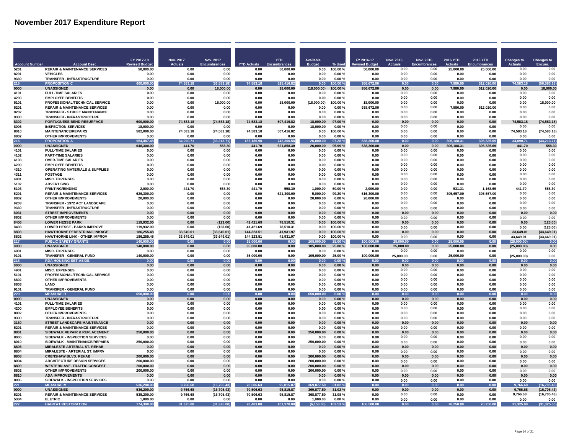|                              |                                                                          | FY 2017-18<br><b>Revised Budge</b> | Nov. 2017<br><b>Actuals</b> | Nov. 2017<br><b>Encumbrances</b> | <b>YTD Actuals</b>      | <b>YTD</b>             | <b>Available</b>         | % Used                 | FY 2016-17                | <b>Nov. 2016</b><br><b>Actuals</b> | Nov. 2016<br>Encumbrances | <b>2016 YTD</b>    | 2016 YTD            | <b>Changes</b> to<br><b>Actuals</b> | <b>Changes to</b><br>Encum  |
|------------------------------|--------------------------------------------------------------------------|------------------------------------|-----------------------------|----------------------------------|-------------------------|------------------------|--------------------------|------------------------|---------------------------|------------------------------------|---------------------------|--------------------|---------------------|-------------------------------------|-----------------------------|
| <b>Account Numbe</b><br>5201 | <b>Account Desc</b><br><b>REPAIR &amp; MAINTENANCE SERVICES</b>          | 50,000.00                          | 0.00                        | 0.00                             | 0.00                    | 50,000.00              | 0.00                     | 100.00%                | <b>Budge</b><br>50,000.00 | 0.00                               | 0.00                      | 25,000.00          | 25,000.00           | 0.00                                | 0.00                        |
| 8201                         | <b>VEHICLES</b>                                                          | 0.00                               | 0.00                        | 0.00                             | 0.00                    | 0.00                   | 0.00                     | 0.00%                  | 0.00                      | 0.00                               | 0.00                      | 0.00               | 0.00                | 0.00                                | 0.00                        |
| 9330                         | TRANSFER - INFRASTRUCTURE                                                | 0.00                               | 0.00                        | 0.00                             | 0.00                    | 0.00                   | 0.00                     | 0.00%                  | 0.00                      | 0.00                               | 0.00                      | 0.00               | 0.00                | 0.00                                | 0.00                        |
| 215                          | <b>PROPOSITION C</b>                                                     | 600.000.00                         | 74 583 18                   | 56,583.18)                       | 74 583 18               | 525,416.82             | 0.00                     | 100.00 %               | 956.672.0                 | 0.00                               | 0.00                      | <b>980 O</b>       | 512.020.00          | 74 583 18                           | 56.583.18                   |
| 0000                         | <b>UNASSIGNED</b>                                                        | 0.00                               | 0.00                        | 18,000.00                        | 0.00                    | 18,000.00              | (18,000.00)              | 100.00%                | 956,672.00                | 0.00                               | 0.00                      | 7,980.00           | 512,020.00          | 0.00                                | 18,000.00                   |
| 4101<br>4200                 | <b>FULL-TIME SALARIES</b><br><b>EMPLOYEE BENEFITS</b>                    | 0.00<br>0.00                       | 0.00<br>0.00                | 0.00<br>0.00                     | 0.00<br>0.00            | n nn<br>0.00           | 0.00<br>0.00             | 0.00%<br>0.00%         | 0.00<br>0.00              | 0.00<br>0.00                       | 0.00<br>0.00              | 0.00<br>0.00       | <b>በ በበ</b><br>0.00 | 0.00<br>0.00                        | 0.00<br>0.00                |
| 5101                         | PROFESSIONAL/TECHNICAL SERVICE                                           | 0.00                               | 0.00                        | 18,000.00                        | 0.00                    | 18.000.00              | (18,000.00)              | 100.00%                | 18,000.00                 | 0.00                               | 0.00                      | 0.00               | 0.00                | 0.00                                | 18,000.00                   |
| 5201                         | <b>REPAIR &amp; MAINTENANCE SERVICES</b>                                 | 0.00                               | 0.00                        | 0.00                             | 0.00                    | 0.00                   | 0.00                     | 0.00%                  | 938.672.00                | 0.00                               | 0.00                      | 7.980.00           | 512,020.00          | 0.00                                | 0.00                        |
| 9202                         | TRANSFER - STREET MAINTENANCE                                            | 0.00                               | 0.00                        | 0.00                             | 0.00                    | 0.00                   | 0.00                     | 0.00%                  | 0.00                      | 0.00                               | 0.00                      | 0.00               | 0.00                | 0.00                                | 0.00                        |
| 9330                         | <b>TRANSFER - INFRASTRUCTURE</b>                                         | 0.00                               | 0.00                        | 0.00                             | 0.00                    | 0.00                   | 0.00                     | 0.00%                  | 0.00                      | 0.00                               | 0.00                      | 0.00               | 0.00                | 0.00                                | 0.00                        |
| 8302                         | <b>PORTUGUESE BEND RESURFACE</b>                                         | 600,000.00                         | 74,583.18                   | (74, 583.18)                     | 74.583.18               | 507,416.82             | 18.000.00                | 97.00%                 | 0.00                      | 0.00                               | 0.00                      | 0.00               | 0.00                | 74.583.18                           | (74, 583.18)                |
| 8006<br>8010                 | <b>INSPECTION SERVICES</b><br><b>MAINTENANCE/REPAIRS</b>                 | 18.000.00<br>582,000.00            | 0.00<br>74,583.18           | 0.00<br>(74, 583.18)             | 0.00<br>74,583.18       | 0.00<br>507,416.82     | 18.000.00<br>0.00        | 0.00%<br>100.00%       | 0.00<br>0.00              | 0.00<br>0.00                       | 0.00<br>0.00              | 0.00<br>0.00       | 0.00<br>0.00        | 0.00<br>74.583.18                   | 0.00<br>(74, 583.18)        |
| 8802                         | <b>OTHER IMPROVEMENTS</b>                                                | 0.00                               | 0.00                        | 0.00                             | 0.00                    | 0.00                   | 0.00                     | 0.00%                  | 0.00                      | 0.00                               | 0.00                      | 0.00               | 0.00                | 0.00                                | 0.00                        |
| 216                          | <b>PROPOSITION</b>                                                       | 954.487.48                         | 34.090.71                   | (33, 213.71)                     | 186,186,90              | 742.300.58             | 26,000.00                | 97.28%                 | 638,300.00                | 0.00                               | 0.00                      | 306.188.31         | 306.825.69          | 34.090.71                           | (33.213.71)                 |
| 0000                         | <b>UNASSIGNED</b>                                                        | 648,300.00                         | 441.70                      | 558.30                           | 441.70                  | 621,858.30             | 26,000.00                | 95.99%                 | 638,300.00                | 0.00                               | 0.00                      | 306,188.31         | 306.825.69          | 441.70                              | 558.30                      |
| 4101                         | <b>FULL-TIME SALARIES</b>                                                | 0.00                               | 0.00                        | 0.00                             | 0.00                    | 0.00                   | 0.00                     | 0.00%                  | 0.00                      | 0.00                               | 0.00                      | 0.00               | 0.00                | 0.00                                | 0.00                        |
| 4102                         | <b>PART-TIME SALARIES</b>                                                | 0.00                               | 0.00                        | 0.00                             | 0.00                    | 0.00                   | 0.00                     | 0.00%                  | 0.00                      | 0.00<br>0.00                       | 0.00<br>0.00              | 0.00               | 0.00                | 0.00<br>0.00                        | 0.00<br>0.00                |
| 4103<br>4200                 | <b>OVER-TIME SALARIES</b><br><b>EMPLOYEE BENEFITS</b>                    | 0.00<br>0.00                       | 0.00<br>0.00                | 0.00<br>0.00                     | 0.00<br>0.00            | 0.00<br>0.00           | 0.00<br>0.00             | $0.00 \%$<br>$0.00 \%$ | 0.00<br>0.00              | 0.00                               | 0.00                      | 0.00<br>0.00       | 0.00<br>0.00        | 0.00                                | 0.00                        |
| 4310                         | <b>OPERATING MATERIALS &amp; SUPPLIES</b>                                | 0.00                               | 0.00                        | 0.00                             | 0.00                    | 0.00                   | 0.00                     | 0.00%                  | 0.00                      | 0.00                               | 0.00                      | 0.00               | 0.00                | 0.00                                | 0.00                        |
| 4311                         | <b>POSTAGE</b>                                                           | 0.00                               | n nn                        | 0.00                             | 0.00                    | n nn                   | 0.00                     | 0.00%                  | 0.00                      | 0.00                               | 0.00                      | 0.00               | n nn                | 0.00                                | 0.00                        |
| 4901                         | <b>MISC. EXPENSES</b>                                                    | 0.00                               | 0.00                        | 0.00                             | 0.00                    | 0.00                   | 0.00                     | 0.00%                  | 0.00                      | 0.00                               | 0.00                      | 0.00               | 0.00                | 0.00                                | 0.00                        |
| 5102                         | <b>ADVERTISING</b>                                                       | 0.00                               | 0.00                        | 0.00                             | 0.00                    | 0.00                   | 0.00                     | 0.00%                  | 0.00                      | 0.00                               | 0.00                      | 0.00               | 0.00                | 0.00                                | 0.00                        |
| 5103                         | PRINTING/BINDING                                                         | 2.000.00                           | 441.70                      | 558.30                           | 441.70                  | 558.30                 | 1,000.00                 | 50.00%                 | 2,000.00                  | 0.00<br>0.00                       | 0.00                      | 531.31             | 1,168.69            | 441.70                              | 558.30                      |
| 5201<br>8802                 | <b>REPAIR &amp; MAINTENANCE SERVICES</b><br><b>OTHER IMPROVEMENTS</b>    | 626.300.00<br>20.000.00            | 0.00<br>0.00                | 0.00<br>0.00                     | 0.00<br>0.00            | 621.300.00<br>0.00     | 5.000.00<br>20.000.00    | 99.20%<br>0.00%        | 616,300.00<br>20,000.00   | 0.00                               | 0.00<br>0.00              | 305,657.00<br>0.00 | 305,657.00<br>0.00  | 0.00<br>0.00                        | 0.00<br>0.00                |
| 9203                         | <b>TRANSFER - 1972 ACT LANDSCAPE</b>                                     | 0.00                               | 0.00                        | 0.00                             | 0.00                    | 0.00                   | 0.00                     | 0.00%                  | 0.00                      | 0.00                               | 0.00                      | 0.00               | 0.00                | 0.00                                | 0.00                        |
| 9330                         | <b>TRANSFER - INFRASTRUCTURE</b>                                         | 0.00                               | 0.00                        | 0.00                             | 0.00                    | 0.00                   | 0.00                     | 0.00%                  | 0.00                      | 0.00                               | 0.00                      | 0.00               | 0.00                | 0.00                                | 0.00                        |
| 8031                         | <b>STREET IMPROVEMENTS</b>                                               | 0.00                               | 0.00                        | 0.00                             | 0.00                    | 0.00                   | 0.00                     | 0.00%                  | 0.00                      | 0.00                               | 0.00                      | 0.00               | 0.00                | 0.00                                | 0.00                        |
| 8802                         | <b>OTHER IMPROVEMENTS</b>                                                | 0.00                               | 0.00                        | 0.00                             | 0.00                    | 0.00                   | 0.00                     | 0.00%                  | 0.00                      | 0.00                               | 0.00                      | 0.00               | 0.00                | 0.00                                | 0.00                        |
| 8406                         | <b>LOWER HESSE PARK</b>                                                  | 119.932.00                         | 0.00                        | (123.00)                         | 41.421.69               | 78,510.31              | 0.00                     | 100.00%                | 0.00<br>0.00              | 0.00                               | 0.00                      | 0.00               | 0.00                | 0.00                                | (123.00)                    |
| 8403<br>8803                 | <b>LOWER HESSE - PARKS IMPROVE</b><br>HAWTHORNE PEDESTRIAN LINKAGE       | 119,932.00<br>186,255.48           | 0.00<br>33,649.01           | (123.00)<br>(33, 649.01)         | 41,421.69<br>144.323.51 | 78,510.31<br>41,931.97 | 0.00<br>0.00             | 100.00%<br>100.00%     | 0.00                      | 0.00<br>0.00                       | 0.00<br>0.00              | 0.00<br>0.00       | 0.00<br>$0.00\,$    | 0.00<br>33,649.01                   | (123.00)<br>(33, 649.01)    |
| 8802                         | HAWTHORNE LINK - OTHER IMPROV                                            | 186,255.48                         | 33,649.01                   | (33, 649.01)                     | 144,323.51              | 41,931.97              | 0.00                     | 100.00%                | 0.00                      | 0.00                               | 0.00                      | 0.00               | 0.00                | 33,649.01                           | (33, 649.01)                |
| 217                          | <b>PUBLIC SAFETY GRANTS</b>                                              | 140,000.00                         | 0.00                        | 0.00                             | 35,000.00               | 0.00                   | 105,000.00               | 25.00 %                | 100,000.00                | 25,000.00                          | 0.00                      | 25,000.00          | 0.00                | (25,000.00)                         | 0.00                        |
| 0000                         | <b>UNASSIGNED</b>                                                        | 140,000.00                         | 0.00                        | 0.00                             | 35,000.00               | 0.00                   | 105,000.00               | 25.00 %                | 100,000.00                | 25,000.00                          | 0.00                      | 25,000.00          | 0.00                | (25,000.00)                         | 0.00                        |
| 4901                         | <b>MISC. EXPENSES</b>                                                    | 0.00                               | 0.00                        | 0.00                             | 0.00                    | 0.00                   | 0.00                     | 0.00%                  | 0.00                      | 0.00                               | 0.00                      | 0.00               | 0.00                | 0.00                                | 0.00                        |
| 9101<br>218                  | <b>TRANSFER - GENERAL FUND</b><br><b>RDA HOUSING SET-ASID</b>            | 140,000.00                         | 0.00<br>0.00                | 0.00<br>0.00                     | 35,000.00<br>0.00       | 0.00<br>0.00           | 105,000.00<br>0.00       | 25.00%<br>0.00%        | 100,000.00<br>0.00        | 25,000.00<br>0.00                  | 0.00<br>0.00              | 25,000.00<br>0.00  | 0.00<br>0.00        | (25,000.00)<br>0.00                 | 0.00<br>0.00                |
| 0000                         | <b>UNASSIGNED</b>                                                        | 0.00<br>0.00                       | 0.00                        | 0.00                             | 0.00                    | 0.00                   | 0.00                     | 0.00%                  | 0.00                      | 0.00                               | 0.00                      | 0.00               | 0.00                | 0.00                                | 0.00                        |
| 4901                         | <b>MISC. EXPENSES</b>                                                    | 0.00                               | 0.00                        | 0.00                             | 0.00                    | 0.00                   | 0.00                     | 0.00%                  | 0.00                      | 0.00                               | 0.00                      | 0.00               | 0.00                | 0.00                                | 0.00                        |
| 5101                         | PROFESSIONAL/TECHNICAL SERVICE                                           | 0.00                               | 0.00                        | 0.00                             | 0.00                    | 0.00                   | 0.00                     | 0.00%                  | 0.00                      | 0.00                               | 0.00                      | 0.00               | 0.00                | 0.00                                | 0.00                        |
| 8802                         | <b>OTHER IMPROVEMENTS</b>                                                | 0.00                               | 0.00                        | 0.00                             | 0.00                    | 0.00                   | 0.00                     | 0.00%                  | 0.00                      | 0.00                               | 0.00                      | 0.00               | 0.00                | 0.00                                | 0.00                        |
| 8803                         | LAND                                                                     | 0.00                               | 0.00                        | 0.00                             | 0.00                    | 0.00                   | 0.00                     | 0.00%                  | 0.00                      | 0.00                               | 0.00                      | 0.00               | 0.00                | 0.00                                | 0.00                        |
| 9101<br>220                  | TRANSFER - GENERAL FUND<br><b>MEASURE R</b>                              | 0.00<br>00.00                      | 0.00<br>0.00                | 0.00<br>0.00                     | 0.00<br>0.00            | 0.00<br>0.00           | 0.00<br>650<br>000.00    | $0.00 \%$<br>0.00%     | 0.00<br>0.00              | 0.00<br>0.00                       | 0.00<br>0.00              | 0.00<br>0.00       | 0.00<br>0.00        | 0.00<br>0.00                        | 0.00<br>0.00                |
| 0000                         | <b>UNASSIGNED</b>                                                        | 0.00                               | 0.00                        | 0.00                             | 0.00                    | 0.00                   | 0.00                     | 0.00%                  | 0.00                      | 0.00                               | 0.00                      | 0.00               | 0.00                | 0.00                                | 0.00                        |
| 4101                         | <b>FULL-TIME SALARIES</b>                                                | 0.00                               | 0.00                        | 0.00                             | 0.00                    | 0.00                   | 0.00                     | 0.00%                  | 0.00                      | 0.00                               | 0.00                      | 0.00               | 0.00                | 0.00                                | 0.00                        |
| 4200                         | <b>EMPLOYEE BENEFITS</b>                                                 | 0.00                               | 0.00                        | 0.00                             | 0.00                    | 0.00                   | 0.00                     | 0.00%                  | 0.00                      | 0.00                               | 0.00                      | 0.00               | 0.00                | 0.00                                | 0.00                        |
| 8802                         | <b>OTHER IMPROVEMENTS</b>                                                | 0.00                               | 0.00                        | 0.00                             | 0.00                    | 0.00                   | 0.00                     | 0.00%                  | 0.00                      | 0.00                               | 0.00                      | 0.00               | 0.00                | 0.00                                | 0.00                        |
| 9330                         | TRANSFER - INFRASTRUCTURE                                                | 0.00                               | 0.00                        | 0.00                             | 0.00                    | 0.00                   | 0.00                     | 0.00%                  | 0.00                      | 0.00                               | 0.00                      | 0.00               | 0.00                | 0.00                                | 0.00                        |
| 3180<br>5201                 | STREET LANDSCAPE MAINTENANCE<br><b>REPAIR &amp; MAINTENANCE SERVICES</b> | 0.00<br>0.00                       | 0.00<br>0.00                | 0.00<br>0.00                     | 0.00<br>0.00            | 0.00<br>0.00           | 0.00<br>0.00             | $0.00 \%$<br>0.00%     | 0.00<br>0.00              | 0.00<br>0.00                       | 0.00<br>0.00              | 0.00<br>0.00       | 0.00<br>0.00        | 0.00<br>0.00                        | 0.00<br>0.00                |
| 8801                         | SIDEWALK REPAIR & REPLACEMENT                                            | 250,000.00                         | 0.00                        | 0.00                             | 0.00                    | 0.00                   | 250,000.00               | $0.00 \%$              | 0.00                      | 0.00                               | 0.00                      | 0.00               | 0.00                | 0.00                                | 0.00                        |
| 8006                         | SIDEWALK - INSPECTION SERVICES                                           | 0.00                               | 0.00                        | 0.00                             | 0.00                    | 0.00                   | 0.00                     | 0.00%                  | 0.00                      | 0.00                               | 0.00                      | 0.00               | 0.00                | 0.00                                | 0.00                        |
| 8010                         | SIDEWALK - MAINTENANCE/REPAIRS                                           | 250,000.00                         | 0.00                        | 0.00                             | 0.00                    | 0.00                   | 250.000.00               | 0.00%                  | 0.00                      | 0.00                               | 0.00                      | 0.00               | 0.00                | 0.00                                | 0.00                        |
| 8805                         | <b>MIRALESTE ARTERIAL ST. REHAB</b>                                      | 0.00                               | 0.00                        | 0.00                             | 0.00                    | 0.00                   | 0.00                     | 0.00%                  | 0.00                      | 0.00                               | 0.00                      | 0.00               | 0.00                | 0.00                                | 0.00                        |
| 8804<br>8808                 | MIRALESTE - ARTERIAL ST. IMPRV<br><b>CRENSHAW BLVD. REHAB</b>            | 0.00<br>200,000.00                 | 0.00<br>0.00                | 0.00<br>0.00                     | 0.00<br>0.00            | 0.00<br>0.00           | 0.00<br>200,000.00       | 0.00%<br>0.00%         | 0.00<br>0.00              | 0.00<br>0.00                       | 0.00<br>0.00              | 0.00<br>0.00       | 0.00<br>0.00        | 0.00<br>0.00                        | 0.00<br>0.00                |
| 8004                         | ARCHITECTURE DESIGN SERVICES                                             | 200.000.00                         | 0.00                        | 0.00                             | 0.00                    | 0.00                   | 200.000.00               | 0.00%                  | 0.00                      | 0.00                               | 0.00                      | 0.00               | 0.00                | 0.00                                | 0.00                        |
| 8809                         | <b>WESTERN AVE. TRAFFIC CONGEST</b>                                      | 200,000.00                         | 0.00                        | 0.00                             | 0.00                    | 0.00                   | 200.000.00               | 0.00%                  | 0.00                      | 0.00                               | 0.00                      | 0.00               | 0.00                | 0.00                                | 0.00                        |
| 8802                         | <b>OTHER IMPROVEMENTS</b>                                                | 200,000.00                         | 0.00                        | 0.00                             | 0.00                    | 0.00                   | 200,000.00               | 0.00%                  | 0.00                      | 0.00                               | 0.00                      | 0.00               | 0.00                | 0.00                                | 0.00                        |
| 8810                         | <b>ADA IMPROVEMENTS</b>                                                  | 0.00                               | 0.00                        | 0.00                             | 0.00                    | 0.00                   | 0.00                     | 0.00%                  | 0.00                      | 0.00                               | 0.00                      | 0.00               | 0.00                | 0.00                                | 0.00                        |
| 8006                         | SIDEWALK - INSPECTION SERVICES                                           | 0.00                               | 0.00                        | 0.00                             | 0.00                    | 0.00                   | 0.00                     | 0.00%                  | 0.00                      | 0.00                               | 0.00                      | 0.00               | 0.00                | 0.00                                | 0.00                        |
| 221<br>0000                  | <b>MEASURE</b><br><b>UNASSIGNED</b>                                      | 536.200.00<br>536.200.00           | 9.766.68<br>9.766.68        | (16.705.43)<br>(16, 705.43)      | 70.506.63<br>70.506.63  | 95.815.87<br>95.815.87 | 369.877.50<br>369.877.50 | 31.02%<br>31.02%       | 0.00<br>0.00              | 0.00<br>0.00                       | 0.00<br>0.00              | 0.00<br>0.00       | 0.00<br>0.00        | 9.766.68<br>9.766.68                | (16.705.43)<br>(16, 705.43) |
| 5201                         | <b>REPAIR &amp; MAINTENANCE SERVICES</b>                                 | 535,200.00                         | 9,766.68                    | (16, 705.43)                     | 70,506.63               | 95,815.87              | 368,877.50               | 31.08%                 | 0.00                      | 0.00                               | 0.00                      | 0.00               | 0.00                | 9,766.68                            | (16, 705.43)                |
| 5304                         | <b>ELETRIC</b>                                                           | 1,000.00                           | 0.00                        | 0.00                             | 0.00                    | 0.00                   | 1.000.00                 | 0.00%                  | 0.00                      | 0.00                               | 0.00                      | 0.00               | 0.00                | 0.00                                | 0.00                        |
| 222                          | <b>HABITAT RESTORATION</b>                                               | 174.300.00                         | 31,325.00                   | (31, 325.00)                     | 78,483.00               | 101,970.00             | (6.153.00)               | 103.53%                | 166,500.00                | 0.00                               | 0.00                      | 70,250.00          | 70,250.00           | 31,325.00                           | (31, 325.00)                |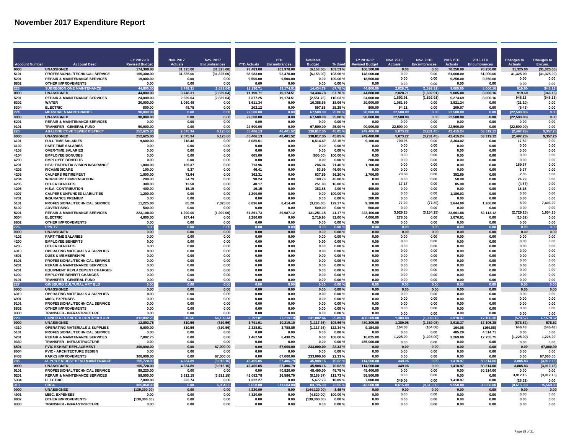| <b>Account Number</b> | <b>Account Desc</b>                                                          | FY 2017-18<br><b>Revised Budge</b> | Nov. 2017<br><b>Actuals</b> | Nov. 2017<br><b>Encumbrances</b> | <b>YTD Actuals</b>    | <b>YTD</b>             | <b>Available</b><br><b>Budget</b> | % Used              | FY 2016-17<br><b>Revised Budget</b> | <b>Nov. 2016</b><br><b>Actuals</b> | Nov. 2016<br><b>Encumbrances</b> | 2016 YTD<br><b>Actuals</b> | 2016 YTD<br><b>Encumbrances</b> | <b>Changes to</b><br><b>Actuals</b> | <b>Changes to</b><br>Encum. |
|-----------------------|------------------------------------------------------------------------------|------------------------------------|-----------------------------|----------------------------------|-----------------------|------------------------|-----------------------------------|---------------------|-------------------------------------|------------------------------------|----------------------------------|----------------------------|---------------------------------|-------------------------------------|-----------------------------|
| 0000                  | <b>UNASSIGNED</b>                                                            | 174,300.00                         | 31,325.00                   | (31, 325.00)                     | 78,483.00             | Enc<br>101,970.00      | (6, 153.00)                       | 103.53%             | 166,500.00                          | 0.00                               | 0.00                             | 70,250.00                  | 70,250.00                       | 31,325.00                           | (31, 325.00)                |
| 5101                  | PROFESSIONAL/TECHNICAL SERVICE                                               | 155,300.00                         | 31,325.00                   | (31, 325.00)                     | 68,983.00             | 92,470.00              | (6, 153.00)                       | 103.96%             | 148,000.00                          | 0.00                               | <b>በ በበ</b>                      | 61,000.00                  | 61,000.00                       | 31.325.00                           | (31, 325.00)                |
| 5201                  | <b>REPAIR &amp; MAINTENANCE SERVICES</b>                                     | 19,000.00                          | 0.00                        | 0.00                             | 9.500.00              | 9,500.00               | 0.00                              | 100.00%             | 18,500.00                           | 0.00                               | 0.00                             | 9.250.00                   | 9,250.00                        | 0.00                                | 0.00                        |
| 8802                  | <b>OTHER IMPROVEMENTS</b>                                                    | 0.00                               | 0.00                        | 0.00                             | 0.00                  | 0.00                   | 0.00                              | 0.00%               | 0.00                                | 0.00                               | 0.00                             | 0.00                       | 0.00                            | 0.00                                | 0.00                        |
| 223                   | <b>SUBREGION ONE MAINTENANCE</b>                                             | 44.800.00                          | 3.748.31                    | (2.639.04)                       | 11.190.71             | 19.174.51              | 14.434.78                         | 67.78%              | 44.800.00                           | 2.828.7                            | 1.692.91                         | 9.005.00                   | 8.000.16                        | 919.60                              | 946.13                      |
| 0000<br>5201          | <b>UNASSIGNED</b><br><b>REPAIR &amp; MAINTENANCE SERVICES</b>                | 44.800.00<br>24,000.00             | 3.748.31<br>2.639.04        | (2.639.04)<br>(2,639.04)         | 11.190.71<br>7,377.25 | 19.174.51<br>19,174.51 | 14.434.78<br>(2,551.76)           | 67.78%<br>110.63%   | 44.800.00<br>24.000.00              | 2.828.71<br>1.692.91               | (1.692.91)<br>(1,692.91)         | 9.005.00<br>5.274.69       | 8.000.16<br>8,000.16            | 919.60<br>946.13                    | (946.13)<br>(946.13)        |
| 5302                  | <b>WATER</b>                                                                 | 20.000.00                          | 1.060.49                    | 0.00                             | 3.611.34              | 0.00                   | 16,388.66                         | 18.06%              | 20.000.00                           | 1,081.59                           | 0.00                             | 3.521.24                   | 0.00                            | (21.10)                             | 0.00                        |
| 5304                  | <b>ELECTRIC</b>                                                              | 800.00                             | 48.78                       | 0.00                             | 202.12                | 0.00                   | 597.88                            | 25.25 %             | 800.00                              | 54.21                              | 0.00                             | 209.07                     | 0.00                            | (5.43)                              | 0.00                        |
| 224                   | <b>MEASURE A MAINTENANCE</b>                                                 | 90.000.00                          | 0.00                        | 0.00                             | 22.500.00             | 0.00                   | 67,500.00                         | 25.00 %             | 90.000.00                           | 22.500.00                          | 0.00                             | 22.500.00                  | 0.00                            | (22.500.00)                         | 0.00                        |
| 0000                  | <b>UNASSIGNED</b>                                                            | 90,000.00                          | 0.00                        | 0.00                             | 22,500.00             | 0.00                   | 67,500.00                         | 25.00 %             | 90,000.00                           | 22,500.00                          | 0.00                             | 22,500.00                  | 0.00                            | (22, 500.00)                        | 0.00                        |
| 5201<br>9101          | <b>REPAIR &amp; MAINTENANCE SERVICES</b><br><b>TRANSFER - GENERAL FUND</b>   | 0.00<br>90.000.00                  | 0.00<br>0.00                | 0.00<br>0.00                     | 0.00<br>22.500.00     | 0.00<br>0.00           | 0.00<br>67.500.00                 | $0.00 \%$<br>25.00% | 0.00<br>90.000.00                   | 0.00<br>22.500.00                  | 0.00<br>0.00                     | 0.00<br>22.500.00          | 0.00<br>0.00                    | 0.00<br>(22.500.00)                 | 0.00<br>0.00                |
| 225                   | <b>ABALONE COVE SEWER DISTRICT</b>                                           | 252.625.00                         | 2,575.94                    | 6,125.80                         | 65.406.13             | 48,401.52              | 138,817.35                        | 45.05%              | 249,400.00                          | 5,073.22                           | (3.231.45                        | 42,415.24                  | 53.319.12                       | (2, 497.28)                         | 9.357.2                     |
| 0000                  | <b>UNASSIGNED</b>                                                            | 252.625.00                         | 2.575.94                    | 6,125.80                         | 65,406.13             | 48,401.52              | 138,817.35                        | 45.05%              | 249.400.00                          | 5,073.22                           | (3,231.45)                       | 42,415.24                  | 53,319.12                       | (2, 497.28)                         | 9,357.25                    |
| 4101                  | <b>FULL-TIME SALARIES</b>                                                    | 9.600.00                           | 718.48                      | 0.00                             | 3.085.51              | 0.00                   | 6,514.49                          | 32.15%              | 9,100.00                            | 700.96                             | 0.00                             | 3.364.02                   | 0.00                            | 17.52                               | 0.00                        |
| 4102                  | <b>PART-TIME SALARIES</b>                                                    | 0.00                               | 0.00                        | 0.00                             | 0.00                  | 0.00                   | 0.00                              | 0.00%               | 0.00                                | 0.00                               | 0.00                             | 0.00                       | 0.00                            | 0.00                                | 0.00                        |
| 4103                  | <b>OVER-TIME SALARIES</b>                                                    | 0.00                               | 0.00                        | 0.00                             | 0.00                  | 0.00                   | 0.00                              | 0.00%               | 0.00                                | 0.00                               | 0.00                             | 0.00                       | 0.00                            | 0.00                                | 0.00                        |
| 4104<br>4200          | <b>EMPLOYEE BONUSES</b><br><b>EMPLOYEE BENEFITS</b>                          | 0.00<br>0.00                       | 0.00<br>0.00                | 0.00<br>0.00                     | 605.00<br>0.00        | 0.00<br>0.00           | (605.00)<br>0.00                  | 100.00%<br>0.00%    | 0.00<br>200.00                      | 0.00<br>0.00                       | 0.00<br>0.00                     | 0.00<br>0.00               | 0.00<br>0.00                    | 0.00<br>0.00                        | 0.00<br>0.00                |
| 4201                  | <b>HEALTH/DENTAL/VISION INSURANCE</b>                                        | 1.000.00                           | 169.37                      | 0.00                             | 713.96                | 0.00                   | 286.04                            | 71.40%              | 1.100.00                            | 0.00                               | 0.00                             | 0.00                       | 0.00                            | 169.37                              | 0.00                        |
| 4202                  | <b>FICA/MEDICARE</b>                                                         | 100.00                             | 9.37                        | 0.00                             | 46.41                 | 0.00                   | 53.59                             | 46.00%              | 0.00                                | 0.00                               | 0.00                             | 0.00                       | 0.00                            | 9.37                                | 0.00                        |
| 4203                  | <b>CALPERS RETIREMENT</b>                                                    | 1.000.00                           | 72.64                       | 0.00                             | 362.31                | 0.00                   | 637.69                            | 36.20%              | 1,700.00                            | 70.58                              | 0.00                             | 352.60                     | 0.00                            | 2.06                                | 0.00                        |
| 4204                  | <b>WORKERS' COMPENSATION</b>                                                 | 200.00                             | 24.79                       | 0.00                             | 90.24                 | 0.00                   | 109.76                            | 45.00%              | 0.00                                | 0.00                               | 0.00                             | 50.00                      | 0.00                            | 24.79                               | 0.00                        |
| 4205                  | <b>OTHER BENEFITS</b>                                                        | 300.00                             | 12.50                       | 0.00                             | 48.17                 | 0.00                   | 251.83                            | 16.00%              | 0.00                                | 17.17                              | 0.00                             | 85.80                      | 0.00                            | (4.67)                              | 0.00<br>0.00                |
| 4206<br>4207          | <b>H.S.A. CONTRIBUTION</b><br><b>CALPERS UNFUNDED LIABILITIES</b>            | 400.00<br>1.200.00                 | 16.15<br>0.00               | 0.00<br>0.00                     | 16.15<br>1.200.00     | 0.00<br>0.00           | 383.85<br>0.00                    | 4.00%<br>100.00%    | 400.00<br>0.00                      | 0.00<br>0.00                       | 0.00<br>0.00                     | 0.00<br>1.186.03           | 0.00<br>0.00                    | 16.15<br>0.00                       | 0.00                        |
| 4701                  | <b>INSURANCE PREMIUM</b>                                                     | 0.00                               | 0.00                        | 0.00                             | 0.00                  | 0.00                   | 0.00                              | 0.00%               | 200.00                              | 0.00                               | 0.00                             | 0.00                       | 0.00                            | 0.00                                | 0.00                        |
| 5101                  | PROFESSIONAL/TECHNICAL SERVICE                                               | 11,225.00                          | 85.20                       | 7,325.80                         | 6,096.60              | 8,414.40               | (3,286.00)                        | 129.27%             | 9,100.00                            | 77.20                              | (77.20)                          | 2,644.00                   | 1,206.00                        | 8.00                                | 7,403.00                    |
| 5102                  | <b>ADVERTISING</b>                                                           | 500.00                             | 0.00                        | 0.00                             | 0.00                  | 0.00                   | 500.00                            | 0.00%               | 500.00                              | 0.00                               | 0.00                             | 0.00                       | 0.00                            | 0.00                                | 0.00                        |
| 5201                  | <b>REPAIR &amp; MAINTENANCE SERVICES</b>                                     | 223,100.00                         | 1,200.00                    | (1, 200.00)                      | 51,861.73             | 39,987.12              | 131,251.15                        | 41.17%              | 223,100.00                          | 3,929.25                           | (3, 154.25)                      | 33,661.88                  | 52,113.12                       | (2,729.25)                          | 1,954.25                    |
| 5304                  | <b>ELECTRIC</b>                                                              | 4.000.00                           | 267.44                      | 0.00                             | 1,280.05              | 0.00                   | 2,719.95                          | 32.00%              | 4,000.00                            | 278.06                             | 0.00                             | 1,070.91                   | 0.00                            | (10.62)                             | 0.00                        |
| 8802<br>226           | <b>OTHER IMPROVEMENTS</b><br><b>RPV TV</b>                                   | 0.00<br>0.00                       | 0.00<br>0.00                | 0.00<br>0.00                     | 0.00<br>0.00          | 0.00<br>0.00           | 0.00<br>0.00                      | 0.00%<br>0.00%      | 0.00<br>0.00                        | 0.00<br>0.00                       | 0.00<br>0.00                     | 0.00<br>0.00               | 0.00<br>0.00                    | 0.00<br>0.00                        | 0.00<br>0.00                |
| 0000                  | <b>UNASSIGNED</b>                                                            | 0.00                               | 0.00                        | 0.00                             | 0.00                  | 0.00                   | 0.00                              | 0.00%               | 0.00                                | 0.00                               | 0.00                             | 0.00                       | 0.00                            | 0.00                                | 0.00                        |
| 4102                  | <b>PART-TIME SALARIES</b>                                                    | 0.00                               | 0.00                        | 0.00                             | 0.00                  | 0.00                   | 0.00                              | 0.00%               | 0.00                                | 0.00                               | 0.00                             | 0.00                       | 0.00                            | 0.00                                | 0.00                        |
| 4200                  | <b>EMPLOYEE BENEFITS</b>                                                     | 0.00                               | 0.00                        | 0.00                             | 0.00                  | 0.00                   | 0.00                              | 0.00%               | 0.00                                | 0.00                               | 0.00                             | 0.00                       | 0.00                            | 0.00                                | 0.00                        |
| 4205<br>4310          | <b>OTHER BENEFITS</b><br><b>OPERATING MATERIALS &amp; SUPPLIES</b>           | 0.00<br>0.00                       | 0.00<br>0.00                | 0.00<br>0.00                     | 0.00<br>0.00          | 0.00<br>0.00           | 0.00<br>0.00                      | 0.00%<br>0.00%      | 0.00<br>0.00                        | 0.00<br>0.00                       | 0.00<br>0.00                     | 0.00<br>0.00               | 0.00<br>0.00                    | 0.00<br>0.00                        | 0.00<br>0.00                |
| 4601                  | <b>DUES &amp; MEMBERSHIPS</b>                                                | 0.00                               | 0.00                        | 0.00                             | 0.00                  | 0.00                   | 0.00                              | 0.00%               | 0.00                                | 0.00                               | 0.00                             | 0.00                       | 0.00                            | 0.00                                | 0.00                        |
| 5101                  | PROFESSIONAL/TECHNICAL SERVICE                                               | 0.00                               | 0.00                        | 0.00                             | 0.00                  | 0.00                   | 0.00                              | $0.00 \%$           | 0.00                                | 0.00                               | 0.00                             | 0.00                       | 0.00                            | 0.00                                | 0.00                        |
| 5201                  | <b>REPAIR &amp; MAINTENANCE SERVICES</b>                                     | 0.00                               | 0.00                        | 0.00                             | 0.00                  | 0.00                   | 0.00                              | 0.00%               | 0.00                                | 0.00                               | 0.00                             | 0.00                       | 0.00                            | 0.00                                | 0.00                        |
| 6201                  | <b>EQUIPMENT REPLACEMENT CHARGES</b>                                         | 0.00                               | 0.00                        | 0.00                             | 0.00                  | 0.00                   | 0.00                              | 0.00%               | 0.00                                | 0.00                               | 0.00                             | 0.00                       | 0.00                            | 0.00                                | 0.00                        |
| 6202                  | <b>EMPLOYEE BENEFIT CHARGES</b>                                              | 0.00                               | 0.00                        | 0.00                             | 0.00                  | 0.00                   | 0.00                              | 0.00%               | 0.00                                | 0.00                               | 0.00                             | 0.00                       | 0.00                            | 0.00                                | 0.00                        |
| 9101<br>227           | TRANSFER - GENERAL FUND<br><b>GINSBURG CULTURAL ART BLD</b>                  | 0.00<br>0.00                       | 0.00<br>0.00                | 0.00<br>0.00                     | 0.00<br>0.00          | 0.00<br>0.00           | 0.00<br>0.00                      | 0.00%<br>0.00%      | 0.00<br>0.00                        | 0.00<br>0.00                       | 0.00<br>0.00                     | 0.00<br>0.00               | 0.00<br>0.00                    | 0.00<br>0.00                        | 0.00<br>0.00                |
| 0000                  | <b>UNASSIGNED</b>                                                            | 0.00                               | 0.00                        | 0.00                             | 0.00                  | 0.00                   | 0.00                              | 0.00%               | 0.00                                | 0.00                               | 0.00                             | 0.00                       | 0.00                            | 0.00                                | 0.00                        |
| 4310                  | <b>OPERATING MATERIALS &amp; SUPPLIES</b>                                    | 0.00                               | 0.00                        | 0.00                             | 0.00                  | 0.00                   | 0.00                              | 0.00%               | 0.00                                | 0.00                               | 0.00                             | 0.00                       | 0.00                            | 0.00                                | 0.00                        |
| 4901                  | <b>MISC. EXPENSES</b>                                                        | 0.00                               | 0.00                        | 0.00                             | 0.00                  | 0.00                   | 0.00                              | 0.00%               | 0.00                                | 0.00                               | 0.00                             | 0.00                       | 0.00                            | 0.00                                | 0.00                        |
| 5101                  | PROFESSIONAL/TECHNICAL SERVICE                                               | 0.00                               | 0.00                        | 0.00                             | 0.00                  | 0.00                   | 0.00                              | 0.00%               | <b>0.00</b>                         | 0.00                               | 0.00                             | 0.00                       | 0.00                            | 0.00                                | 0.00                        |
| 8802<br>9330          | OTHER IMPROVEMENTS<br>TRANSFER - INFRASTRUCTURE                              | 0.00<br>0.00                       | 0.00<br>0.00                | 0.00<br>0.00                     | 0.00<br>0.00          | 0.00<br>0.00           | 0.00<br>0.00                      | 0.00%<br>0.00%      | 0.00<br>0.00                        | 0.00<br>0.00                       | 0.00<br>0.00                     | 0.00<br>0.00               | 0.00<br>0.00                    | 0.00<br>0.00                        | 0.00<br>0.00                |
| 228                   | <b>DONOR RESTRICTED CONTRIBUTION</b>                                         | 312,892.75                         | 810.56                      | 6,189.44                         | 3,791.01              | 77,219.10              | 231,882.64                        | 25.89%              | 480.209.00                          | 1,389.08                           | 389.08                           | 3,918.37                   | 17,106.38                       | (578.52)                            | 67,578.52                   |
| 0000                  | <b>UNASSIGNED</b>                                                            | 12.892.75                          | 810.56                      | (810.56)                         | 3.791.01              | 10.219.10              | (1, 117.36)                       | 108.66%             | 480.209.00                          | 1,389.08                           | (1.389.08)                       | 3,918.37                   | 17.106.38                       | (578.52)                            | 578.52                      |
| 4310                  | <b>OPERATING MATERIALS &amp; SUPPLIES</b>                                    | 5.000.00                           | 810.56                      | (810.56)                         | 2.328.51              | 3.788.85               | (1, 117.36)                       | 122.34 %            | 9.184.00                            | 164.08                             | (164.08)                         | 164.08                     | (164.08)                        | 646.48                              | (646.48)                    |
| 5101                  | PROFESSIONAL/TECHNICAL SERVICE                                               | 0.00                               | 0.00                        | 0.00                             | 0.00                  | 0.00                   | 0.00                              | 0.00%               | 0.00                                | 0.00                               | 0.00                             | 485.29                     | 4,514.71                        | 0.00                                | 0.00                        |
| 5201<br>9330          | <b>REPAIR &amp; MAINTENANCE SERVICES</b><br><b>TRANSFER - INFRASTRUCTURE</b> | 7.892.75                           | 0.00<br>0.00                | 0.00<br>0.00                     | 1.462.50<br>0.00      | 6.430.25<br>0.00       | 0.00<br>0.00                      | 100.00%<br>0.00%    | 16.025.00<br>455.000.00             | 1.225.00<br>0.00                   | (1,225.00)<br>0.00               | 3.269.00<br>0.00           | 12,755.75<br>0.00               | (1.225.00)<br>0.00                  | 1.225.00<br>0.00            |
| 8501                  | <b>PVIC EXHIBIT REPLACEMENT</b>                                              | 0.00<br>300.000.00                 | 0.00                        | 67.000.00                        | 0.00                  | 67.000.00              | 233.000.00                        | 22.33%              | 0.00                                | 0.00                               | 0.00                             | 0.00                       | 0.00                            | 0.00                                | 67.000.00                   |
| 8004                  | <b>PVIC - ARCHITECTURE DESIGN</b>                                            | 0.00                               | 0.00                        | 0.00                             | 0.00                  | 0.00                   | 0.00                              | 0.00%               | 0.00                                | 0.00                               | 0.00                             | 0.00                       | 0.00                            | 0.00                                | 0.00                        |
| 8403                  | <b>PARKS IMPROVEMENTS</b>                                                    | 300,000.00                         | 0.00                        | 67,000.00                        | 0.00                  | 67,000.00              | 233,000.00                        | 22.33%              | 0.00                                | 0.00                               | 0.00                             | 0.00                       | 0.00                            | 0.00                                | 67,000.00                   |
|                       | <b>IA PORTUGUESE BEND MAINTENANCE</b>                                        | 155.720.00                         | 4,234.89                    | (3.912.15)                       | 42,405.05             | 67.406.79              | 45,908.16                         | 70.52%              | 114.900.00                          | 349.0                              | 0.00                             | 1,418.97                   | 80,314.00                       | 3,885.83                            | (3.912.15                   |
| 0000                  | <b>UNASSIGNED</b>                                                            | 155.720.00                         | 4,234.89                    | (3,912.15)                       | 42,405.05             | 67,406.79              | 45,908.16                         | 70.52%              | 114,900.00                          | 349.06                             | 0.00                             | 1,418.97                   | 80,314.00                       | 3,885.83                            | (3,912.15)                  |
| 5101<br>5201          | PROFESSIONAL/TECHNICAL SERVICE<br><b>REPAIR &amp; MAINTENANCE SERVICES</b>   | 89,220.00<br>59.500.00             | 0.00                        | 0.00                             | 0.00<br>41,082.78     | 40,820.00<br>26,586.79 | 48,400.00<br>(8, 169.57)          | 45.75%<br>113.73%   | 48,400.00<br>59,500.00              | 0.00<br>0.00                       | 0.00<br>0.00                     | 0.00<br>0.00               | 80,314.00<br>0.00               | 0.00<br>3.912.15                    | 0.00<br>(3,912.15)          |
| 5304                  | <b>ELECTRIC</b>                                                              | 7.000.00                           | 3,912.15<br>322.74          | (3,912.15)<br>0.00               | 1,322.27              | 0.00                   | 5,677.73                          | 18.89%              | 7,000.00                            | 349.06                             | 0.00                             | 1,418.97                   | 0.00                            | (26.32)                             | 0.00                        |
| 310                   | <b>CDBG</b>                                                                  | 305.060.00                         | 0.00                        | 6.954.00                         | 9.650.00              | 211.684.00             | 83.726.00                         | 72.55 %             | 343.000.00                          | 8.615.00                           | (8.615.00)                       | 9.550.00                   | 30.060.00                       | (8.615.00)                          | 15.569.00                   |
| 0000                  | <b>UNASSIGNED</b>                                                            | (139.300.00)                       | 0.00                        | 0.00                             | 4.820.00              | 0.00                   | (144, 120.00)                     | $-3.46%$            | 0.00                                | 0.00                               | 0.00                             | 0.00                       | 0.00                            | 0.00                                | 0.00                        |
| 4901                  | <b>MISC. EXPENSES</b>                                                        | 0.00                               | 0.00                        | 0.00                             | 4.820.00              | 0.00                   | (4.820.00)                        | 100.00%             | 0.00                                | 0.00                               | 0.00                             | 0.00                       | 0.00                            | 0.00                                | 0.00                        |
| 8802                  | <b>OTHER IMPROVEMENTS</b>                                                    | (139.300.00)                       | 0.00                        | 0.00                             | 0.00                  | 0.00                   | (139.300.00)                      | 0.00%               | 0.00                                | 0.00                               | 0.00                             | 0.00                       | 0.00                            | 0.00                                | 0.00                        |
| 9330                  | TRANSFER - INFRASTRUCTURE                                                    | 0.00                               | 0.00                        | 0.00                             | 0.00                  | 0.00                   | 0.00                              | 0.00%               | 0.00                                | 0.00                               | 0.00                             | 0.00                       | 0.00                            | 0.00                                | 0.00                        |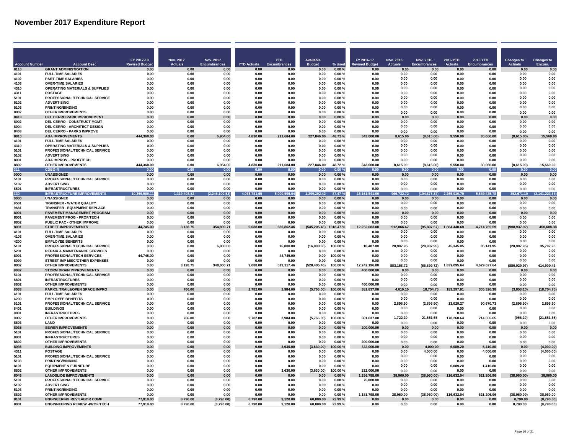**Contract Contract** 

المستور المستنبذ

|                       |                                                                               | FY 2017-18           | Nov. 2017           | Nov. 2017           |                      | <b>YTD</b>         | <b>Available</b>      |                  | FY 2016-17                | <b>Nov. 2016</b>   | Nov. 2016            | <b>2016 YTD</b>    | 2016 YTD             | Changes to            | Changes to         |
|-----------------------|-------------------------------------------------------------------------------|----------------------|---------------------|---------------------|----------------------|--------------------|-----------------------|------------------|---------------------------|--------------------|----------------------|--------------------|----------------------|-----------------------|--------------------|
| <b>Account Number</b> | <b>Account Desc</b>                                                           | <b>Revised Budge</b> | <b>Actuals</b>      | <b>Encumbrances</b> | <b>YTD Actuals</b>   |                    | <b>Budget</b>         | % Used           | <b>Revised Budget</b>     | <b>Actuals</b>     | <b>Encumbrances</b>  | <b>Actuals</b>     | <b>Encumbrances</b>  | <b>Actuals</b>        | Encum.             |
| 8110<br>4101          | <b>GRANT ADMINISTRATION</b><br><b>FULL-TIME SALARIES</b>                      | 0.00<br>0.00         | 0.00<br>0.00        | 0.00<br>0.00        | 0.00<br>0.00         | 0.00<br>0.00       | 0.00<br>0.00          | 0.00%<br>0.00%   | 0.00<br>0.00              | 0.00<br>0.00       | 0.00<br>0.00         | 0.00<br>0.00       | 0.00<br>0.00         | 0.00<br>0.00          | 0.00<br>0.00       |
| 4102                  | <b>PART-TIME SALARIES</b>                                                     | 0.00                 | 0.00                | 0.00                | 0.00                 | 0.00               | 0.00                  | 0.00%            | 0.00                      | 0.00               | 0.00                 | 0.00               | 0.00                 | 0.00                  | 0.00               |
| 4103                  | <b>OVER-TIME SALARIES</b>                                                     | 0.00                 | 0.00                | 0.00                | 0.00                 | 0.00               | 0.00                  | 0.00%            | 0.00                      | 0.00               | 0.00                 | 0.00               | 0.00                 | 0.00                  | 0.00               |
| 4310                  | <b>OPERATING MATERIALS &amp; SUPPLIES</b>                                     | 0.00                 | 0.00                | 0.00                | 0.00                 | 0.00               | 0.00                  | 0.00%            | 0.00                      | 0.00               | 0.00                 | 0.00               | 0.00                 | 0.00                  | 0.00               |
| 4311                  | <b>POSTAGE</b>                                                                | 0.00                 | 0.00                | 0.00                | 0.00                 | 0.00               | 0.00                  | 0.00%            | 0.00                      | 0.00<br>0.00       | 0.00                 | 0.00               | 0.00                 | 0.00<br>0.00          | 0.00<br>0.01       |
| 5101<br>5102          | PROFESSIONAL/TECHNICAL SERVICE<br><b>ADVERTISING</b>                          | 0.00<br>0.00         | 0.00<br>0.00        | 0.00<br>0.00        | 0.00<br>0.00         | 0.00<br>0.00       | 0.00<br>0.00          | 0.00%<br>0.00%   | 0.00<br>0.00              | 0.00               | 0.00<br>0.00         | 0.00<br>0.00       | 0.00<br>0.00         | 0.00                  | 0.01               |
| 5103                  | <b>PRINTING/BINDING</b>                                                       | 0.00                 | 0.00                | 0.00                | 0.00                 | 0.00               | 0.00                  | 0.00%            | 0.00                      | 0.00               | 0.00                 | 0.00               | 0.00                 | 0.00                  | 0.01               |
| 8802                  | <b>OTHER IMPROVEMENTS</b>                                                     | 0.00                 | 0.00                | 0.00                | 0.00                 | 0.00               | 0.00                  | 0.00%            | 0.00                      | 0.00               | 0.00                 | 0.00               | 0.00                 | 0.00                  | 0.00               |
| 8413                  | <b>DEL CERRO PARK IMPROVEMENT</b>                                             | 0.00                 | 0.00                | 0.00                | n nn                 | 0.00               | 0.00                  | 0.00 %           | n nn                      | n nn               | n nn                 | n nn               | n nn                 | n nn                  | 0.00               |
| 8002<br>8004          | DEL CERRO - CONSTRUCT MGMT<br><b>DEL CERRO - ARCHITECT DESIGN</b>             | 0.00<br>0.00         | 0.00<br>0.00        | 0.00<br>0.00        | 0.00<br>0.00         | 0.00<br>0.00       | 0.00<br>0.00          | 0.00%<br>0.00%   | 0.00<br>0.00              | 0.00<br>0.00       | 0.00<br>0.00         | 0.00<br>0.00       | 0.00<br>0.00         | 0.00<br>0.00          | 0.00<br>0.00       |
| 8403                  | <b>DEL CERRO - PARKS IMPROVE</b>                                              | 0.00                 | 0.00                | 0.00                | 0.00                 | 0.00               | 0.00                  | 0.00%            | 0.00                      | 0.00               | 0.00                 | 0.00               | 0.00                 | 0.00                  | 0.00               |
| 8810                  | <b>ADA IMPROVEMENTS</b>                                                       | 444<br>360.00        | 0.00                | ,954.00             | 4.830.00             | 211,684.00         | 227,846.00            | 48.72%           | 343,000.00                | 615.00             | (8,615.00)           | 550.00             | 30,060.00            | (8,615.00)            | 15.569.0           |
| 4101                  | <b>FULL-TIME SALARIES</b>                                                     | 0.00                 | 0.00                | 0.00                | 0.00                 | 0.00               | 0.00                  | 0.00%            | 0.00                      | 0.00               | 0.00                 | 0.00               | 0.00                 | 0.00                  | 0.00               |
| 4310                  | <b>OPERATING MATERIALS &amp; SUPPLIES</b><br>PROFESSIONAL/TECHNICAL SERVICE   | 0.00                 | 0.00<br>0.00        | 0.00                | 0.00                 | 0.00               | 0.00                  | 0.00%            | 0.00                      | 0.00<br>0.00       | 0.00<br>0.00         | 0.00               | 0.00                 | 0.00<br>0.00          | 0.00<br>0.00       |
| 5101<br>5102          | <b>ADVERTISING</b>                                                            | 0.00<br>0.00         | 0.00                | 0.00<br>0.00        | 0.00<br>0.00         | 0.00<br>0.00       | 0.00<br>0.00          | 0.00%<br>0.00%   | 0.00<br>0.00              | 0.00               | 0.00                 | 0.00<br>0.00       | 0.00<br>0.00         | 0.00                  | 0.00               |
| 8001                  | ADA IMPROV - PROF/TECH                                                        | 0.00                 | 0.00                | 0.00                | 0.00                 | 0.00               | 0.00                  | 0.00%            | 0.00                      | 0.00               | 0.00                 | 0.00               | 0.00                 | 0.00                  | 0.00               |
| 8802                  | <b>OTHER IMPROVEMENTS</b>                                                     | 444,360.00           | 0.00                | 6,954.00            | 4,830.00             | 211,684.00         | 227,846.00            | 48.72%           | 343,000.00                | 8,615.00           | (8,615.00)           | 9,550.00           | 30,060.00            | (8,615.00)            | 15,569.00          |
| 311                   | CDBG-R                                                                        | 0.00                 | 0.00                | 0.00                | 0.00                 | 0.00               | 0.00                  | 0.00%            | 0.00                      | 0.00               | 0.00                 | 0.00               | 0.00                 | 0.00                  | 0.0                |
| 0000<br>5101          | <b>UNASSIGNED</b><br>PROFESSIONAL/TECHNICAL SERVICE                           | 0.00<br>0.00         | 0.00<br>0.00        | 0.00<br>0.00        | 0.00<br>0.00         | 0.00<br>0.00       | 0.00<br>0.00          | 0.00%<br>0.00%   | 0.00<br>0.00              | 0.00<br>0.00       | 0.00<br>0.00         | 0.00<br>0.00       | 0.00<br>0.00         | 0.00<br>0.00          | 0.00<br>0.00       |
| 5102                  | <b>ADVERTISING</b>                                                            | 0.00                 | 0.00                | 0.00                | 0.00                 | 0.00               | 0.00                  | 0.00%            | 0.00                      | 0.00               | 0.00                 | 0.00               | 0.00                 | 0.00                  | 0.00               |
| 8801                  | <b>INFRASTRUCTURES</b>                                                        | 0.00                 | 0.00                | 0.00                | 0.00                 | <b>0.00</b>        | 0.00                  | 0.00%            | 0.00                      | 0.00               | 0.00                 | 0.00               | 0.00                 | 0.00                  | 0.00               |
| 330                   | <b>INFRASTRUCTURE IMPROVEMENTS</b>                                            | 10.366.580.11        | 403.82<br>1.319     | (2.246)<br>100.53   | 4.066.781.65         | 5,000,596.04       | 1.299.202.42          | 87.47%           | 15,161,541.00             | 966.732.72         | (104.876.87)         | 910.79             | 485.78<br>5.689      | 352.671.10            | (2, 141, 223.66)   |
| 0000<br>9501          | <b>UNASSIGNED</b><br>TRANSFER - WATER QUALITY                                 | 0.00<br>0.00         | 0.00<br>0.00        | 0.00<br>0.00        | 0.00<br>0.00         | 0.00<br>0.00       | 0.00<br>0.00          | 0.00%<br>0.00%   | 0.00<br>0.00              | 0.00<br>0.00       | 0.00<br>0.00         | 0.00<br>0.00       | 0.00<br>0.00         | 0.00<br>0.00          | 0.00<br>0.00       |
| 9681                  | TRANSFER - EQUIPMENT REPLACE                                                  | 0.00                 | 0.00                | 0.00                | 0.00                 | 0.00               | 0.00                  | 0.00%            | 0.00                      | 0.00               | 0.00                 | 0.00               | 0.00                 | 0.00                  | 0.00               |
| 8001                  | PAVEMENT MANAGEMENT PROGRAM                                                   | 0.00                 | 0.00                | 0.00                | 0.00                 | 0.00               | 0.00                  | 0.00%            | 0.00                      | 0.00               | 0.00                 | 0.00               | 0.00                 | 0.00                  | 0.00               |
| 8001                  | PAVEMENT PROG - PROF/TECH                                                     | 0.00                 | 0.00                | 0.00                | 0.00                 | 0.00               | 0.00                  | $0.00 \%$        | 0.00                      | 0.00               | 0.00                 | 0.00               | 0.00                 | 0.00                  | 0.00               |
| 8802                  | PUBLIC FAC - OTHER IMPROVE                                                    | 0.00                 | 0.00                | 0.00                | 0.00                 | 0.00               | 0.00                  | 0.00%            | 0.00                      | 0.00               | 0.00                 | 0.00               | 0.00                 | 0.00                  | 0.00               |
| 8031<br>4101          | <b>STREET IMPROVEMENTS</b><br><b>FULL-TIME SALARIES</b>                       | 44,745.00<br>0.00    | 3,128.75<br>0.00    | 354,800.71<br>0.00  | 9,088.00<br>0.00     | 580,862.46<br>0.00 | (545, 205.46)<br>0.00 | 318.47%<br>0.00% | 12,252,683.00<br>0.00     | 912,066.67<br>0.00 | (95, 807.67)<br>0.00 | ,440.69<br>0.00    | 4,714,769.59<br>0.00 | (908, 937.92)<br>0.00 | 450,608.38<br>0.00 |
| 4103                  | <b>OVER-TIME SALARIES</b>                                                     | 0.00                 | 0.00                | 0.00                | 0.00                 | 0.00               | 0.00                  | 0.00%            | 0.00                      | 0.00               | 0.00                 | 0.00               | 0.00                 | 0.00                  | 0.00               |
| 4200                  | <b>EMPLOYEE BENEFITS</b>                                                      | 0.00                 | 0.00                | 0.00                | 0.00                 | 0.00               | 0.00                  | $0.00 \%$        | 0.00                      | 0.00               | 0.00                 | 0.00               | 0.00                 | 0.00                  | 0.01               |
| 5101                  | PROFESSIONAL/TECHNICAL SERVICE                                                | 0.00                 | 0.00                | 6.800.00            | 0.00                 | 16,800.00          | (16,800.00)           | 100.00%          | 10,487.00                 | 28.907.95          | (28.907.95)          | 45,345.05          | 85,141.95            | (28.907.95)           | 35.707.95          |
| 5201<br>8001          | <b>REPAIR &amp; MAINTENANCE SERVICES</b><br><b>PROFESSIONAL/TECH SERVICES</b> | 0.00<br>44.745.00    | 0.00<br>0.00        | 0.00<br>0.00        | 0.00<br>0.00         | 0.00<br>44,745.00  | 0.00<br>0.00          | 0.00%<br>100.00% | 0.00<br>. ი ი             | 0.00<br>0.00       | 0.00<br>0.00         | 0.00<br>0.00       | 0.00<br>n nn         | 0.00<br>0.00          | 0.00<br>0.00       |
| 8099                  | STREET IMP MISC/OTHER EXPENSES                                                | n nn                 | 0.00                | 0.00                | n nn                 | <b>0.00</b>        | 0.00                  | .ስ ሰበ %          | . ი ი                     | 0.00               | 0.00                 | n nn               | n nn                 | 0.00                  | 0.01               |
| 8802                  | <b>OTHER IMPROVEMENTS</b>                                                     | 0.00                 | 3.128.75            | 348.000.71          | 9.088.00             | 519.317.46         | (528.405.46)          | 100.00%          | 12.242.196.00             | 883.158.72         | (66, 899.72)         | 1.839.095.64       | 4.629.627.64         | (880.029.97)          | 414.900.43         |
| 8032                  | <b>STORM DRAIN IMPROVEMENTS</b>                                               | 0.00                 | 0.00                | 0.00                | 0.00                 | 0.00               | 0.00                  | 0.00%            | 460,000.00                | 0.00               | 0.00                 | 0.00               | 0.00                 | 0.00                  | 0.00               |
| 5101<br>8801          | PROFESSIONAL/TECHNICAL SERVICE<br><b>INFRASTRUCTURES</b>                      | 0.00<br>0.00         | 0.00<br>0.00        | 0.00<br>0.00        | 0.00<br>0.00         | 0.00<br>0.00       | 0.00<br>0.00          | 0.00%<br>0.00%   | 0.00<br>0.00              | 0.00<br>0.00       | 0.00<br>0.00         | 0.00<br>0.00       | 0.00<br>0.00         | 0.00<br>0.00          | 0.00<br>0.00       |
| 8802                  | <b>OTHER IMPROVEMENTS</b>                                                     | 0.00                 | 0.00                | 0.00                | 0.00                 | 0.00               | 0.00                  | 0.00%            | 460,000.00                | 0.00               | 0.00                 | 0.00               | 0.00                 | 0.00                  | 0.00               |
| 8033                  | PARKS, TRAIL&OPEN SPACE IMPRO                                                 | 0.00                 | 766.00              | 0.00                | 2.782.00             | 2.984.00           | (5,766.00)            | 00.00%           | 381.837.00                | 4.619.10           | 18.754.75            | 183.297.91         | 305,326.38           | 3.853.10)             | (18, 754.75)       |
| 4101                  | <b>FULL-TIME SALARIES</b>                                                     | 0.00                 | 0.00                | 0.00                | 0.00                 | 0.00               | 0.00                  | 0.00%            | 0.00                      | 0.00               | 0.00                 | 0.00               | 0.00                 | 0.00                  | 0.00               |
| 4200<br>5101          | <b>EMPLOYEE BENEFITS</b><br>PROFESSIONAL/TECHNICAL SERVICE                    | 0.00<br>0.00         | 0.00<br>0.00        | 0.00<br>0.00        | 0.00<br>0.00         | 0.00<br>0.00       | 0.00<br>0.00          | 0.00%<br>0.00%   | 0.00<br>0.00              | 0.00<br>2.896.90   | 0.00<br>(2.896.90)   | 0.00<br>13,029.27  | 0.00<br>90,670.73    | 0.00<br>(2.896.90)    | 0.00<br>2.896.90   |
| 8401                  | <b>BUILDINGS</b>                                                              | 0.00                 | 0.00                | 0.00                | 0.00                 | 0.00               | 0.00                  | 0.00%            | 0.00                      | 0.00               | 0.00                 | 0.00               | 0.00                 | 0.00                  | 0.00               |
| 8801                  | <b>INFRASTRUCTURES</b>                                                        | 0.00                 | 0.00                | 0.00                | 0.00                 | 0.00               | 0.00                  | 0.00%            | 0.00                      | 0.00               | 0.00                 | 0.00               | 0.00                 | 0.00                  | 0.00               |
| 8802                  | <b>OTHER IMPROVEMENTS</b>                                                     | 0.00                 | 766.00              | 0.00                | 2.782.00             | 2.984.00           | (5,766.00)            | 100.00%          | 381.837.00                | 1.722.20           | 21.651.65            | 170.268.64         | 214.655.65           | (956.20)              | (21.651.65)        |
| 8803<br>8035          | <b>I AND</b><br><b>SEWER IMPROVEMENTS</b>                                     | 0.00<br>0.00         | <b>0.00</b><br>0.00 | 0.00<br>0.00        | n nn                 | <b>0.00</b>        | 0.00                  | 0.00%            | . ი ი                     | 0.00               | 0.00                 | 0.OO               | 0.00                 | 0.00                  | 0.00<br>0.00       |
| 5101                  | PROFESSIONAL/TECHNICAL SERVICE                                                | 0.00                 | 0.00                | 0.00                | n nn<br>0.00         | n nn<br>0.00       | 0.00<br>0.00          | 0.00%<br>0.00%   | 200,000.00<br>0.00        | n nn<br>0.00       | n nr<br>0.00         | n nn<br>0.00       | 0.00<br>0.00         | n nn<br>0.00          | 0.00               |
| 8801                  | <b>INFRASTRUCTURES</b>                                                        | 0.00                 | 0.00                | 0.00                | 0.00                 | 0.00               | 0.00                  | 0.00%            | 0.00                      | 0.00               | 0.00                 | 0.00               | 0.00                 | 0.00                  | 0.00               |
| 8802                  | <b>OTHER IMPROVEMENTS</b>                                                     | 0.00                 | 0.00                | 0.00                | 0.00                 | 0.00               | 0.00                  | 0.00%            | 200,000.00                | 0.00               | 0.00                 | 0.00               | 0.00                 | 0.00                  | 0.00               |
| 8036                  | <b>BUILDING IMPROVEMENTS</b>                                                  | 0.00                 | 0.00                | 0.00                | 0.00                 | 3,630.00           | (3,630.00)            | 00.00 %          | 322,000.00                | 0.00               | 4,000.00             | 6,089.20           | 5,410.80             | 0.00                  | (4,000.00)         |
| 4311<br>5101          | <b>POSTAGE</b><br>PROFESSIONAL/TECHNICAL SERVICE                              | 0.00<br>0.00         | 0.00<br>0.00        | 0.00<br>0.00        | 0.00<br>0.00         | 0.00<br>0.00       | 0.00<br>0.00          | 0.00%<br>0.00%   | 0.00<br>0.00              | 0.00<br>0.00       | 4.000.00<br>0.00     | 0.00<br>0.00       | 4,000.00<br>0.00     | 0.00<br>0.00          | (4.000.00)<br>0.00 |
| 5103                  | <b>PRINTING/BINDING</b>                                                       | 0.00                 | 0.00                | 0.00                | 0.00                 | 0.00               | 0.00                  | 0.00%            | 0.00                      | 0.00               | 0.00                 | 0.00               | 0.00                 | 0.00                  | 0.00               |
| 8101                  | <b>EQUIPMENT &amp; FURNITURE</b>                                              | 0.00                 | 0.00                | 0.00                | 0.00                 | 0.00               | 0.00                  | 0.00%            | 0.00                      | 0.00               | 0.00                 | 6,089.20           | 1,410.80             | 0.00                  | 0.00               |
| 8802                  | <b>OTHER IMPROVEMENTS</b>                                                     | 0.00                 | 0.00                | 0.00                | 0.00                 | 3,630.00           | (3,630.00)            | 100.00%          | 322,000.00                | 0.00               | 0.00                 | 0.00               | 0.00                 | 0.00                  | 0.00               |
| 8043<br>5101          | <b>LANDSLIDE IMPROVEMENTS</b><br>PROFESSIONAL/TECHNICAL SERVICE               | 0.00<br>0.00         | 0.00<br>0.00        | 0.00<br>0.00        | 0.00<br>0.00         | 0.00<br>0.00       | 0.00<br>0.00          | 0.00%<br>0.00%   | 1,256,798.00<br>75,000.00 | 38,960.00<br>0.00  | (38,960.00)<br>0.00  | 116,632.04<br>0.00 | 621,206.96<br>0.00   | (38,960.00)<br>0.00   | 38,960.00<br>0.00  |
| 5102                  | <b>ADVERTISING</b>                                                            | 0.00                 | 0.00                | 0.00                | 0.00                 | 0.00               | 0.00                  | 0.00%            | 0.00                      | 0.00               | 0.00                 | 0.00               | 0.00                 | 0.00                  | 0.00               |
| 5103                  | <b>PRINTING/BINDING</b>                                                       | 0.00                 | 0.00                | 0.00                | 0.00                 | 0.00               | 0.00                  | 0.00%            | 0.00                      | 0.00               | 0.00                 | 0.00               | 0.00                 | 0.00                  | 0.00               |
| 8802                  | <b>OTHER IMPROVEMENTS</b>                                                     | n nn                 | 0.00                | 0.00                | n nn                 | <b>0.00</b>        | 0.00                  | 0.00%            | 1.181.798.00              | 38,960.00          | (38,960.00)          | 116,632.04         | 621.206.96           | (38,960.00)           | 38,960.00          |
| 8101<br>8001          | <b>ENGINEERING REV/LABOR COMP</b>                                             | 77.910.00            | 8.790.00            | (8,790.00)          | 8.790.00<br>8.790.00 | 9.120.00           | 60,000.00             | 22.99%           | 0.00                      | 0.OC               | 0.00                 | 0 <sub>0</sub>     | 0.00                 | 8.790.00              | (8,790.00)         |
|                       | <b>ENGINNEERING REVIEW -PROF/TECH</b>                                         | 77.910.00            | 8.790.00            | (8.790.00)          |                      | 9.120.00           | 60.000.00             | 22.99%           | 0.00                      | 0.00               | 0.00                 | 0.00               | 0.00                 | 8.790.00              | (8,790.00)         |

a sa

and the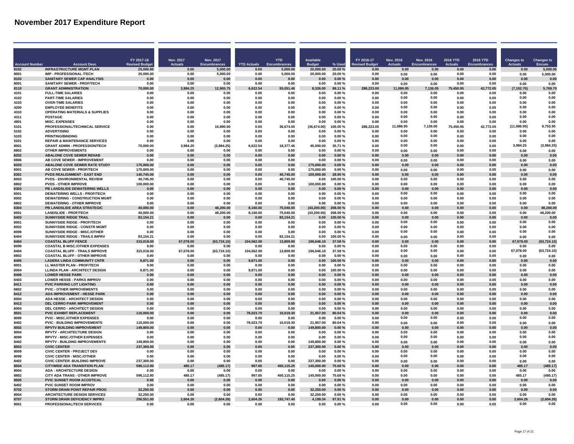|                       |                                                                            | FY 2017-18             | <b>Nov. 2017</b> | Nov. 2017            |                    | <b>YTD</b>           | <b>Available</b>       |                    | FY 2016-17            | Nov. 2016      | Nov. 2016           | 2016 YTD       | 2016 YTD     | <b>Changes to</b> | <b>Changes to</b>    |
|-----------------------|----------------------------------------------------------------------------|------------------------|------------------|----------------------|--------------------|----------------------|------------------------|--------------------|-----------------------|----------------|---------------------|----------------|--------------|-------------------|----------------------|
| <b>Account Number</b> | <b>Account Desc</b>                                                        | <b>Revised Budge</b>   | <b>Actuals</b>   | <b>Encumbrances</b>  | <b>YTD Actuals</b> |                      | <b>Budget</b>          | % Used             | <b>Revised Budget</b> | <b>Actuals</b> | <b>Encumbrances</b> | <b>Actuals</b> | Encumbrances | <b>Actuals</b>    | Encum.               |
| 8102<br>8001          | <b>INFRASTRUCTURE MGMT.PLAN</b><br><b>IMP - PROFESSIONAL /TECH</b>         | 25,000.00<br>25,000.00 | 0.00<br>0.00     | 5,000.00<br>5.000.00 | 0.00<br>0.00       | 5.000.00<br>5.000.00 | 20.000.00<br>20.000.00 | 20.00%<br>20.00%   | 0.00<br>0.00          | 0.00<br>0.00   | 0.00<br>0.00        | 0.00<br>0.00   | 0.00<br>0.00 | 0.00<br>0.00      | 5,000.00<br>5.000.00 |
| 8103                  | <b>SANITARY SEWER CAP ANALYSIS</b>                                         | 0.00                   | 0.00             | 0.00                 | 0.00               | 0.00                 | 0.00                   | 0.00%              | 0.00                  | 0.00           | 0.00                | 0.00           | 0.00         | 0.00              | 0.00                 |
| 8001                  | SANITARY SEWER - PROF/TECH                                                 | 0.00                   | 0.00             | 0.00                 | 0.00               | 0.00                 | 0.00                   | 0.00%              | 0.00                  | 0.00           | 0.00                | 0.00           | 0.00         | 0.00              | 0.00                 |
| 8110                  | <b>GRANT ADMINISTRATION</b>                                                | 70,000.00              | 3.984.25         | 12,905.75            | 622.54             | 55,051.46            | 8.326.00               | 88.11%             | 288,223,00            | 11.086.95      | 7,136.05            | 75.450.95      | 42,772.05    | (7, 102.70)       | 5,769.70             |
| 4101                  | <b>FULL-TIME SALARIES</b>                                                  | 0.00                   | 0.00             | 0.00                 | 0.00               | 0.00                 | 0.00                   | 0.00%              | 0.00                  | 0.00           | 0.00                | 0.00           | 0.00         | 0.00              | 0.00                 |
| 4102                  | <b>PART-TIME SALARIES</b>                                                  | 0.00                   | 0.00             | 0.00                 | 0.00               | 0.00                 | 0.00                   | 0.00%              | 0.00                  | 0.00           | 0.00                | 0.00           | 0.00         | 0.00              | 0.00                 |
| 4103                  | <b>OVER-TIME SALARIES</b>                                                  | 0.00                   | 0.00             | 0.00                 | 0.00               | 0.00                 | 0.00                   | $0.00 \%$          | 0.00                  | 0.00           | 0.00                | 0.00<br>0.00   | 0.00         | 0.00              | 0.00                 |
| 4200<br>4310          | <b>EMPLOYEE BENEFITS</b><br><b>OPERATING MATERIALS &amp; SUPPLIES</b>      | 0.00<br>0.00           | 0.00<br>0.00     | 0.00<br>0.00         | 0.00<br>0.00       | 0.00<br>0.00         | 0.00<br>0.00           | 0.00%<br>0.00%     | 0.00<br>0.00          | 0.00<br>0.00   | 0.00<br>0.00        | 0.00           | 0.00<br>0.00 | 0.00<br>0.00      | 0.00<br>0.00         |
| 4311                  | <b>POSTAGE</b>                                                             | 0.00                   | 0.00             | 0.00                 | 0.00               | 0.00                 | 0.00                   | 0.00%              | 0.00                  | 0.00           | 0.00                | 0.00           | 0.00         | 0.00              | 0.00                 |
| 4901                  | <b>MISC. EXPENSES</b>                                                      | 0.00                   | 0.00             | 0.00                 | 0.00               | 0.00                 | 0.00                   | 0.00%              | 0.00                  | 0.00           | 0.00                | 0.00           | 0.00         | 0.00              | 0.00                 |
| 5101                  | PROFESSIONAL/TECHNICAL SERVICE                                             | 0.00                   | 0.00             | 16,890.00            | 0.00               | 36,674.00            | (36, 674.00)           | 100.00%            | 288,223.00            | 11,086.95      | 7,136.05            | 75,450.95      | 42,772.05    | (11,086.95)       | 9,753.95             |
| 5102                  | <b>ADVERTISING</b>                                                         | 0.00                   | 0.00             | 0.00                 | 0.00               | 0.00                 | 0.00                   | 0.00%              | 0.00                  | 0.00           | 0.00                | 0.00           | 0.00         | 0.00              | 0.00                 |
| 5103                  | <b>PRINTING/BINDING</b>                                                    | 0.00                   | 0.00             | 0.00                 | 0.00               | 0.00                 | 0.00                   | 0.00%              | 0.00                  | 0.00           | 0.00                | 0.00           | 0.00         | 0.00              | 0.00                 |
| 5201                  | <b>REPAIR &amp; MAINTENANCE SERVICES</b>                                   | 0.00                   | 0.00             | 0.00                 | 0.00               | 0.00                 | 0.00                   | 0.00%              | 0.00                  | 0.00           | 0.00                | 0.00           | 0.00         | 0.00              | 0.00                 |
| 8001                  | <b>GRANT ADMIN - PROFESSION/TECH</b>                                       | 70.000.00              | 3.984.25         | (3,984.25)           | 6.622.54           | 18,377.46            | 45,000.00              | 35.71 %            | 0.00                  | 0.00           | 0.00                | 0.00           | 0.00         | 3.984.25          | (3,984.25)           |
| 8802<br>8202          | <b>OTHER IMPROVEMENTS</b><br><b>ABALONE COVE SEWER REHAB</b>               | 0.00<br>0.00           | 0.00<br>0.00     | 0.00<br>0.00         | 0.00<br>0.00       | 0.00<br>0.00         | 0.00<br>0.00           | 0.00%<br>0.00%     | 0.00<br>0.00          | 0.00<br>0.00   | 0.00<br>0.00        | 0.00<br>0.00   | 0.00<br>0.00 | 0.00<br>0.00      | 0.00<br>0.00         |
| 8806                  | AB COVE SEWER - IMPROVEMENT                                                | 0.00                   | 0.00             | 0.00                 | 0.00               | 0.00                 | 0.00                   | 0.00%              | 0.00                  | 0.00           | 0.00                | 0.00           | 0.00         | 0.00              | 0.00                 |
| 8203                  | <b>ABALONE COVE SEWER RATE STUDY</b>                                       | 175.000.00             | 0.00             | 0.00                 | 0.00               | 0.00                 | 175.000.00             | 0.00%              | 0.00                  | 0.00           | 0.00                | 0.00           | 0.00         | 0.00              | 0.00                 |
| 8001                  | AB COVE SEWER - PROF/TECH                                                  | 175,000.00             | 0.00             | 0.00                 | 0.00               | 0.00                 | 175,000.00             | 0.00%              | 0.00                  | 0.00           | 0.00                | 0.00           | 0.00         | 0.00              | 0.00                 |
| 8301                  | <b>PVDS REALIGNMENT - EAST END</b>                                         | 140,745.00             | 0.00             | 0.00                 | 0.00               | 40,745.00            | 100,000.00             | 28.95%             | 0.00                  | 0.00           | 0.00                | 0.00           | $0.00\,$     | 0.00              | 0.00                 |
| 8003                  | <b>PVDS - ENVIRONMENTAL REVIEW</b>                                         | 40,745.00              | 0.00             | 0.00                 | 0.00               | 40,745.00            | 0.00                   | 100.00%            | 0.00                  | 0.00           | 0.00                | 0.00           | 0.00         | 0.00              | 0.00                 |
| 8802                  | <b>PVDS - OTHER IMPROVE</b>                                                | 100,000.00             | 0.00             | 0.00                 | 0.00               | 0.00                 | 100,000.00             | 0.00%              | 0.00                  | 0.00           | 0.00                | 0.00           | 0.00         | 0.00              | 0.00                 |
| 8303<br>8001          | PB LANDSLIDE DEWATERING WELLS<br><b>DEWATERING WELLS - PROF/TECH</b>       | 0.00<br>0.00           | 0.00<br>0.00     | 0.00<br>0.00         | 0.00<br>0.00       | 0.00<br>0.00         | 0.00<br>0.00           | $0.00 \%$<br>0.00% | 0.00<br>0.00          | 0.00<br>0.00   | 0.00<br>0.00        | 0.00<br>0.00   | 0.00<br>0.00 | 0.00<br>0.00      | 0.00<br>0.00         |
| 8002                  | <b>DEWATERING - CONSTRUCTION MGMT</b>                                      | 0.00                   | 0.00             | 0.00                 | 0.00               | 0.00                 | 0.00                   | 0.00%              | 0.00                  | 0.00           | 0.00                | 0.00           | 0.00         | 0.00              | 0.00                 |
| 8802                  | <b>DEWATERING - OTHER IMPROVE</b>                                          | 0.00                   | 0.00             | 0.00                 | 0.00               | 0.00                 | 0.00                   | 0.00%              | 0.00                  | 0.00           | 0.00                | 0.00           | 0.00         | 0.00              | 0.00                 |
| 8304                  | PB LANDSLIDE AREA STRATEGIC                                                | 40.000.00              | 0.00             | 48,200.00            | 8,160.00           | 75,040.00            | (43, 200.00)           | 208.00%            | 0.00                  | 0.00           | 0.00                | 0.00           | 0.00         | 0.00              | 48,200.00            |
| 8001                  | <b>LANDSLIDE - PROF/TECH</b>                                               | 40,000.00              | 0.00             | 48,200.00            | 8,160.00           | 75,040.00            | (43, 200.00)           | 208.00%            | 0.00                  | 0.00           | 0.00                | 0.00           | 0.00         | 0.00              | 48,200.00            |
| 8403                  | <b>SUNNYSIDE RIDGE TRAIL</b>                                               | 83,154.21              | 0.00             | 0.00                 | 0.00               | 83,154.21            | 0.00                   | 100.00%            | 0.00                  | 0.00           | 0.00                | 0.00           | 0.00         | 0.00              | 0.00                 |
| 8001                  | SUNNYSIDE RIDGE - PROF/TECH                                                | 0.00                   | 0.00             | 0.00                 | 0.00               | 0.00                 | 0.00                   | 0.00%              | 0.00                  | 0.00           | 0.00                | 0.00           | 0.00         | 0.00              | 0.00                 |
| 8002<br>8099          | SUNNYSIDE RIDGE - CONSTR MGMT                                              | 0.00                   | 0.00             | 0.00<br>0.00         | 0.00<br>0.00       | 0.00                 | 0.00                   | 0.00%              | 0.00<br>0.00          | 0.00<br>0.00   | 0.00<br>0.00        | 0.00           | 0.00         | 0.00<br>0.00      | 0.00<br>0.00         |
| 8404                  | <b>SUNNYSIDE RIDGE - MISC./OTHER</b><br>SUNNYSIDE RIDGE - TRAILS IMPRV     | 0.00<br>83.154.21      | 0.00<br>0.00     | 0.00                 | 0.00               | 0.00<br>83.154.21    | 0.00<br>0.00           | 0.00%<br>100.00%   | 0.00                  | 0.00           | 0.00                | 0.00<br>0.00   | 0.00<br>0.00 | 0.00              | 0.00                 |
| 8404                  | <b>COASTAL BLUFF FENCE</b>                                                 | 315.018.00             | 67.078.00        | (63, 724.10)         | 104,562.00         | 13.809.90            | 196,646.10             | 37.58%             | 0.00                  | 0.00           | 0.00                | 0.00           | 0.00         | 67.078.00         | (63, 724.10)         |
| 8099                  | <b>COASTAL B MISC./OTHER EXPENSES</b>                                      | 0.00                   | 0.00             | 0.00                 | 0.00               | 0.00                 | 0.00                   | 0.00%              | 0.00                  | 0.00           | 0.00                | 0.00           | 0.00         | 0.00              | 0.00                 |
| 8404                  | <b>COASTAL BLUFF - TRAILS IMPROVE</b>                                      | 315,018.00             | 67,078.00        | (63, 724.10)         | 104,562.00         | 13,809.90            | 196,646.10             | 37.58%             | 0.00                  | 0.00           | 0.00                | 0.00           | 0.00         | 67,078.00         | (63, 724.10)         |
| 8802                  | <b>COASTAL BLUFF - OTHER IMPROVE</b>                                       | 0.00                   | 0.00             | 0.00                 | 0.00               | 0.00                 | 0.00                   | 0.00%              | 0.00                  | 0.00           | 0.00                | 0.00           | 0.00         | 0.00              | 0.00                 |
| 8405                  | <b>LADERA LINDA COMMUNITY CNTR</b>                                         | 9,871.00               | 0.00             | 0.00                 | 9,871.00           | 0.00                 | 0.00                   | 100.00%            | 0.00                  | 0.00           | 0.00                | 0.00           | 0.00         | 0.00              | 0.00                 |
| 8001                  | LL MASTER PLAN - PROF/TECH                                                 | 0.00                   | 0.00             | 0.00                 | 0.00               | 0.00                 | 0.00                   | 0.00%              | 0.00                  | 0.00           | 0.00                | 0.00           | 0.00         | 0.00              | 0.00                 |
| 8004<br>8406          | <b>LLINDA PLAN - ARCHITECT DESIGN</b><br><b>LOWER HESSE PARK</b>           | 9,871.00<br>0.00       | 0.00<br>0.00     | 0.00<br>0.00         | 9,871.00<br>0.00   | 0.00<br>0.00         | 0.00<br>0.00           | 100.00%<br>0.00%   | 0.00<br>0.00          | 0.00<br>0.00   | 0.00<br>0.00        | 0.00<br>0.00   | 0.00<br>0.00 | 0.00<br>0.00      | 0.00<br>0.00         |
| 8403                  | <b>LOWER HESSE - PARKS IMPROV</b>                                          | 0.00                   | 0.00             | 0.00                 | 0.00               | 0.00                 | 0.00                   | 0.00%              | 0.00                  | 0.00           | 0.00                | 0.00           | 0.00         | 0.00              | 0.00                 |
| 8411                  | <b>PVIC PARKING LOT LIGHTING</b>                                           | 0.00                   | 0.00             | 0.00                 | 0.00               | 0.00                 | 0.00                   | 0.00%              | 0.00                  | 0.00           | 0.00                | 0.00           | 0.00         | 0.00              | 0.00                 |
| 8802                  | <b>PVIC - OTHER IMPROVEMENTS</b>                                           | 0.00                   | 0.00             | 0.00                 | 0.00               | 0.00                 | 0.00                   | 0.00%              | 0.00                  | 0.00           | 0.00                | 0.00           | 0.00         | 0.00              | 0.00                 |
| 8412                  | ADA IMPROVEMENT - HESSE PARK                                               | 0.00                   | 0.00             | 0.00                 | 0.00               | 0.00                 | 0.00                   | 0.00%              | 0.00                  | 0.00           | 0.00                | 0.00           | 0.00         | 0.00              | 0.00                 |
| 8004                  | ADA HESSE - ARCHITECT DESIGN                                               | 0.00                   | 0.00             | 0.00                 | 0.00               | 0.00                 | 0.00                   | 0.00%              | 0.00                  | 0.00           | 0.00                | 0.00           | 0.00         | 0.00              | 0.00                 |
| 8413                  | <b>DEL CERRO PARK IMPROVEMENT</b>                                          | 0.00                   | 0.00             | 0.00                 | 0.00               | 0.00                 | 0.00                   | 0.00%              | 0.00                  | 0.00           | 0.00                | 0.00           | 0.00         | 0.00              | 0.00                 |
| 8004                  | DEL CERRO - ARCHITECT DESIGN                                               | 0.00                   | 0.00             | 0.00                 | 0.00               | 0.00                 | 0.00                   | 0.00%              | 0.00                  | 0.00           | 0.00                | 0.00           | 0.00         | 0.00              | 0.00                 |
| 8501<br>8099          | PVIC EXHIBIT REPLACEMENT<br><b>PVIC - MISC./OTHER EXPENSES</b>             | 110,000.00<br>0.00     | 0.00<br>0.00     | 0.00<br>0.00         | 78,023.70<br>0.00  | 10,019.30<br>0.00    | 21,957.00<br>0.00      | 80.04 %<br>0.00%   | 0.00<br>0.00          | 0.00<br>0.00   | 0.00<br>0.00        | 0.00<br>0.00   | 0.00<br>0.00 | 0.00<br>0.00      | 0.00<br>0.00         |
| 8402                  | <b>PVIC - BUILDING IMPROVEMENTS</b>                                        | 110.000.00             | 0.00             | 0.00                 | 78,023.70          | 10,019.30            | 21.957.00              | 80.04%             | 0.00                  | 0.00           | 0.00                | 0.00           | 0.00         | 0.00              | 0.00                 |
| 8502                  | <b>RPVTV BUILDING IMPROVEMENT</b>                                          | 149.800.00             | 0.00             | 0.00                 | 0.00               | 0.00                 | 149,800.00             | 0.00%              | 0.00                  | 0.00           | 0.00                | 0.00           | 0.00         | 0.00              | 0.00                 |
| 8004                  | <b>RPVTV - ARCHITECTURE DESIGN</b>                                         | 0.00                   | 0.00             | 0.00                 | 0.00               | 0.00                 | 0.00                   | 0.00%              | 0.00                  | 0.00           | 0.00                | 0.00           | 0.00         | 0.00              | 0.00                 |
| 8099                  | RPVTV - MISC./OTHER EXPENSES                                               | 0.00                   | 0.00             | 0.00                 | 0.00               | 0.00                 | 0.00                   | 0.00%              | 0.00                  | 0.00           | 0.00                | 0.00           | 0.00         | 0.00              | 0.00                 |
| 8402                  | <b>RPVTV - BUILDING IMPROVEMENTS</b>                                       | 149.800.00             | 0.00             | 0.00                 | 0.00               | 0.00                 | 149.800.00             | 0.00%              | 0.00                  | 0.00           | 0.00                | 0.00           | 0.00         | 0.00              | 0.00                 |
| 8503                  | <b>CIVIC CENTER</b>                                                        | 237,300.00             | 0.00             | 0.00                 | 0.00               | 0.00                 | 237,300.00             | $0.00 \%$          | 0.00                  | 0.00           | 0.00                | 0.00           | 0.00         | 0.00              | 0.00                 |
| 8009                  | <b>CIVIC CENTER - PROJECT DEV</b>                                          | 0.00                   | 0.00             | 0.00                 | 0.00               | 0.00                 | 0.00                   | 0.00%              | 0.00                  | 0.00<br>0.00   | 0.00<br>0.00        | 0.00           | 0.00         | 0.00<br>0.00      | 0.00<br>0.00         |
| 8099<br>8402          | <b>CIVIC CENTER - MISCJOTHER</b><br><b>CIVIC CENTER - BUILDING IMPROVE</b> | 0.00<br>237,300.00     | 0.00<br>0.00     | 0.00<br>0.00         | 0.00<br>0.00       | 0.00<br>0.00         | 0.00<br>237,300.00     | $0.00 \%$<br>0.00% | 0.00<br>n nn          | 0.00           | 0.00                | 0.00<br>0.00   | 0.00<br>0.00 | 0.00              | 0.00                 |
| 8504                  | <b>CITYWIDE ADA TRANSITION PLAN</b>                                        | 596.112.90             | 485.17           | (485.17)             | 997.65             | 450.115.25           | 145.000.00             | 75.68%             | 0.00                  | 0.00           | 0.00                | 0.00           | 0.00         | 485.17            | (485.17)             |
| 8004                  | <b>ADA - ARCHITECTURE DESIGN</b>                                           | 0.00                   | 0.00             | 0.00                 | 0.00               | 0.00                 | 0.00                   | 0.00%              | 0.00                  | 0.00           | 0.00                | 0.00           | 0.00         | 0.00              | 0.00                 |
| 8802                  | CITY ADA TRANS - OTHER IMPROVE                                             | 596,112.90             | 485.17           | (485.17)             | 997.65             | 450,115.25           | 145,000.00             | 75.68%             | 0.00                  | 0.00           | 0.00                | 0.00           | 0.00         | 485.17            | (485.17)             |
| 8505                  | PVIC SUNSET ROOM ACOSTICAL                                                 | 0.00                   | 0.00             | 0.00                 | 0.00               | 0.00                 | 0.00                   | 0.00%              | 0.00                  | 0.00           | 0.00                | 0.00           | 0.00         | 0.00              | 0.00                 |
| 8402                  | PVIC SUNSET ROOM IMPROV                                                    | 0.00                   | 0.00             | 0.00                 | 0.00               | 0.00                 | 0.00                   | 0.00%              | 0.00                  | 0.00           | 0.00                | 0.00           | 0.00         | 0.00              | 0.00                 |
| 8702                  | <b>STORM DRAIN POINT REPAIR PROG</b>                                       | 32,250.00              | 0.00             | 0.00                 | 0.00               | 0.00                 | 32,250.00              | 0.00%              | 0.00                  | 0.00           | 0.00                | 0.00           | 0.00         | 0.00              | 0.00                 |
| 8004<br>8707          | <b>ARCHITECTURE DESIGN SERVICES</b>                                        | 32.250.00              | 0.00             | 0.00                 | 0.00               | 0.00                 | 32.250.00              | 0.00%              | 0.00<br>0.00          | 0.00<br>0.00   | 0.00<br>0.00        | 0.00<br>0.00   | 0.00         | 0.00              | 0.00                 |
| 8001                  | <b>STORM DRAIN DEFICIENCY IMPRO</b><br>PROFESSIONAL/TECH SERVICES          | 200,551.00<br>0.00     | 2,604.26<br>0.00 | (2,604.26)<br>0.00   | 2.604.26<br>0.00   | 193,747.40<br>0.00   | 4,199.34<br>0.00       | 97.91 %<br>0.00%   | 0.00                  | 0.00           | 0.00                | 0.00           | 0.00<br>0.00 | 2.604.26<br>0.00  | (2,604.26)<br>0.00   |
|                       |                                                                            |                        |                  |                      |                    |                      |                        |                    |                       |                |                     |                |              |                   |                      |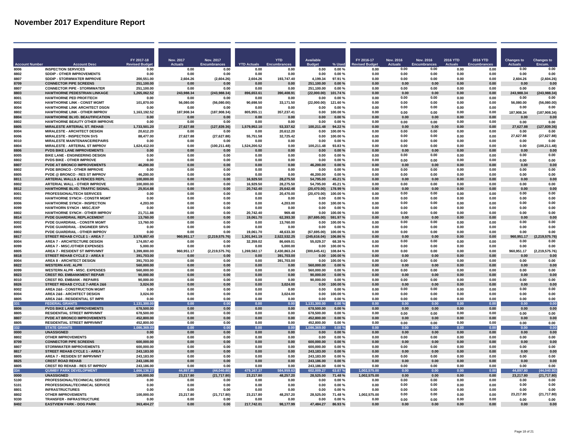|                              |                                                                              | FY 2017-18                  | <b>Nov. 2017</b>       | <b>Nov. 2017</b>            |                            | <b>YTD</b>                 | <b>Available</b>            |                    | FY 2016-17           | <b>Nov. 2016</b>       | Nov. 2016                   | <b>2016 YTD</b> | 2016 YTD     | <b>Changes to</b>      | <b>Changes to</b>      |
|------------------------------|------------------------------------------------------------------------------|-----------------------------|------------------------|-----------------------------|----------------------------|----------------------------|-----------------------------|--------------------|----------------------|------------------------|-----------------------------|-----------------|--------------|------------------------|------------------------|
| <b>Account Numbe</b><br>8006 | <b>Account Des</b><br><b>INSPECTION SERVICES</b>                             | <b>Revised Budg</b><br>0.00 | <b>Actuals</b><br>0.00 | <b>Encumbrances</b><br>0.00 | <b>YTD Actuals</b><br>0.00 | 0.00                       | 0.00                        | % Used<br>0.00%    | evised Budge<br>0.00 | <b>Actuals</b><br>0.00 | <b>Encumbrances</b><br>0.00 | 0.00            | 0.00         | <b>Actuals</b><br>0.00 | Encum.<br>0.00         |
| 8802                         | SDDIP - OTHER IMPROVEMENTS                                                   | 0.00                        | 0.00                   | 0.00                        | 0.00                       | 0.00                       | 0.00                        | 0.00%              | 0.00                 | 0.00                   | 0.00                        | 0.00            | 0.00         | 0.00                   | 0.00                   |
| 8807                         | SDDIP - STORMWATER IMPROVE                                                   | 200,551.00                  | 2,604.26               | (2,604.26)                  | 2,604.26                   | 193,747.40                 | 4,199.34                    | 97.91%             | 0.00                 | 0.00                   | 0.00                        | 0.00            | 0.00         | 2,604.26               | (2,604.26)             |
| 8709                         | <b>CONNECTOR PIPE SCREENS</b>                                                | 251,100.00                  | n nn                   | 0.00                        | 0.00                       | 0.00                       | 251.100.00                  | 0.00%              | n nn                 | 0.00                   | n nn                        | 0.00            | 0.00         | n nn                   | 0.00                   |
| 8807                         | <b>CONNECTOR PIPE - STORMWATER</b>                                           | 251.100.00                  | 0.00                   | 0.00                        | 0.00                       | 0.00                       | 251.100.00                  | $0.00 \%$          | 0.00                 | 0.00                   | 0.00                        | 0.00            | 0.00         | 0.00                   | 0.00                   |
| 8803<br>8001                 | <b>HAWTHORNE PEDESTRIAN LINKAGE</b><br><b>HAWTHORNE PED PROF/TECH</b>        | 1.265.062.52<br>0.00        | 243.988.34<br>0.00     | (243,988.34)<br>0.00        | 896.653.61<br>0.00         | 390.408.91<br>0.00         | (22,000.00)<br>0.00         | 101.74%<br>0.00%   | 0.00<br>0.00         | 0.00<br>0.00           | 0.00<br>0.00                | 0.00<br>0.00    | 0.00<br>0.00 | 243,988.34<br>0.00     | (243,988.34)<br>0.00   |
| 8002                         | <b>HAWTHORNE LINK - CONST MGMT</b>                                           | 101,870.00                  | 56,080.00              | (56,080.00)                 | 90,698.50                  | 33,171.50                  | (22,000.00)                 | 121.60%            | 0.00                 | 0.00                   | 0.00                        | 0.00            | 0.00         | 56,080.00              | (56,080.00)            |
| 8004                         | HAWTHORNE LINK ARCHITECT DSGN                                                | 0.00                        | 0.00                   | 0.00                        | 0.00                       | 0.00                       | 0.00                        | 0.00%              | 0.00                 | 0.00                   | 0.00                        | 0.00            | 0.00         | 0.00                   | 0.00                   |
| 8802                         | HAWTHORNE LINK - OTHER IMPROV                                                | 1,163,192.52                | 187,908.34             | (187, 908.34)               | 805,955.11                 | 357,237.41                 | 0.00                        | 100.00%            | 0.00                 | 0.00                   | 0.00                        | 0.00            | 0.00         | 187,908.34             | (187, 908.34)          |
| 8804                         | <b>HAWTHORNE BLVD. BEAUTIFICATION</b>                                        | 0.00                        | 0.00                   | 0.00                        | 0.00                       | 0.00                       | 0.00                        | $0.00 \%$          | 0.00                 | 0.00                   | 0.00                        | 0.00            | 0.00         | 0.00                   | 0.00                   |
| 8802<br>8805                 | <b>HAWTHORNE BEAUTY OTHER IMPROVE</b><br><b>MIRALESTE ARTERIAL ST. REHAB</b> | 0.00                        | 0.00                   | 0.00                        | 0.00<br>1.579.952.10       | 0.00                       | 0.00<br>100.211.48          | 0.00%<br>94.22%    | 0.00<br>0.00         | 0.00                   | 0.00                        | 0.00<br>0.00    | 0.00         | 0.00                   | 0.00                   |
| 8004                         | <b>MIRALESTE - ARCHITECT DESIGN</b>                                          | 1,733,501.20<br>20.612.20   | 27,627.88<br>0.00      | (127, 839.36)<br>0.00       | 0.00                       | 53,337.62<br>20,612.20     | 0.00                        | 100.00%            | 0.00                 | 0.00<br>0.00           | 0.00<br>0.00                | 0.00            | 0.00<br>0.00 | 27,627.88<br>0.00      | (127, 839.36)<br>0.00  |
| 8006                         | <b>MIRALESTE - INSPECTION SVS</b>                                            | 88,477.00                   | 27,627.88              | (27, 627.88)                | 55,751.58                  | 32,725.42                  | 0.00                        | 100.00%            | 0.00                 | 0.00                   | 0.00                        | 0.00            | 0.00         | 27,627.88              | (27, 627.88)           |
| 8010                         | <b>MIRALESTE MAINTENANCE/REPAIRS</b>                                         | 0.00                        | 0.00                   | 0.00                        | 0.00                       | 0.00                       | 0.00                        | 0.00%              | 0.00                 | 0.00                   | 0.00                        | 0.00            | 0.00         | 0.00                   | 0.00                   |
| 8804                         | <b>MIRALESTE - ARTERIAL ST IMPROV</b>                                        | 1,624,412.00                | 0.00                   | (100, 211.48)               | 1.524.200.52               | 0.00                       | 100,211.48                  | 93.83%             | 0.00                 | 0.00                   | 0.00                        | 0.00            | 0.00         | 0.00                   | (100, 211.48)          |
| 8806                         | <b>PVDS BIKE LANE IMPROVEMENTS</b>                                           | 0.00                        | 0.00                   | 0.00                        | 0.00                       | 0.00                       | 0.00                        | 0.00%              | 0.00                 | 0.00                   | 0.00                        | 0.00            | 0.00         | 0.00                   | 0.00                   |
| 8005<br>8802                 | <b>BIKE LANE - ENGINEERING DESIGN</b>                                        | 0.00                        | 0.00                   | 0.00                        | 0.00<br>0.00               | 0.00<br>0.00               | 0.00<br>0.00                | 0.00%              | 0.00<br>0.00         | 0.00<br>0.00           | 0.00                        | 0.00<br>0.00    | 0.00         | 0.00<br>0.00           | 0.00<br>0.00           |
| 8807                         | <b>PVDS BIKE - OTHER IMPROVE</b><br><b>PVDE AT BRONCO IMPROVEMENTS</b>       | 0.00<br>46.200.00           | 0.00<br>0.00           | 0.00<br>0.00                | 0.00                       | 0.00                       | 46.200.00                   | 0.00%<br>0.00%     | 0.00                 | 0.00                   | 0.00<br>0.00                | 0.00            | 0.00<br>0.00 | 0.00                   | 0.00                   |
| 8802                         | PVDE BRONCO - OTHER IMPROVE                                                  | 0.00                        | 0.00                   | 0.00                        | 0.00                       | 0.00                       | 0.00                        | 0.00%              | 0.00                 | 0.00                   | 0.00                        | 0.00            | 0.00         | 0.00                   | 0.00                   |
| 8805                         | <b>PVDE @ BRONCO - RES ST IMPROV</b>                                         | 46.200.00                   | 0.00                   | 0.00                        | 0.00                       | 0.00                       | 46.200.00                   | 0.00%              | 0.00                 | 0.00                   | 0.00                        | 0.00            | 0.00         | 0.00                   | 0.00                   |
| 8811                         | ARTERIAL WALLS & FENCES REPL                                                 | 100,000.00                  | 0.00                   | 0.00                        | 16.929.50                  | 28,275.50                  | 54,795.00                   | 45.21%             | 0.00                 | 0.00                   | 0.00                        | 0.00            | 0.00         | 0.00                   | 0.00                   |
| 8802                         | ARTERIAL WALL - OTHER IMPROVE                                                | 100,000.00                  | 0.00                   | 0.00                        | 16.929.50                  | 28.275.50                  | 54,795.00                   | 45.21%             | 0.00                 | 0.00                   | 0.00                        | 0.00            | 0.00         | 0.00                   | 0.00                   |
| 8812<br>8001                 | <b>HAWTHORNE BLVD, TRAFFIC SIGNAL</b><br>PROFESSIONAL/TECH SERVICES          | 25,914.88<br>0.00           | 0.00<br>0.00           | 0.00<br>0.00                | 20.742.40<br>0.00          | 25.642.48<br>20,470.00     | (20.470.00)<br>(20, 470.00) | 178.99%<br>100.00% | 0.00<br>0.00         | 0.00<br>0.00           | 0.00<br>0.00                | 0.00<br>0.00    | 0.00<br>0.00 | 0.00<br>0.00           | 0.00<br>0.00           |
| 8002                         | <b>HAWTHORNE SYNCH - CONSTR MGMT</b>                                         | 0.00                        | 0.00                   | 0.00                        | 0.00                       | 0.00                       | 0.00                        | 0.00%              | 0.00                 | 0.00                   | 0.00                        | 0.00            | 0.00         | 0.00                   | 0.00                   |
| 8006                         | <b>HAWTHORNE SYNCH - INSPECTION</b>                                          | 4.203.00                    | 0.00                   | 0.00                        | 0.00                       | 4.203.00                   | 0.00                        | 100.00%            | 0.00                 | 0.00                   | 0.00                        | 0.00            | 0.00         | 0.00                   | 0.00                   |
| 8099                         | <b>HAWTHORN SYNCH - MISC./EXP</b>                                            | 0.00                        | 0.00                   | 0.00                        | 0.00                       | 0.00                       | 0.00                        | 0.00%              | 0.00                 | 0.00                   | 0.00                        | 0.00            | 0.00         | 0.00                   | 0.00                   |
| 8802                         | <b>HAWTHORNE SYNCH - OTHER IMPROV</b>                                        | 21.711.88                   | 0.00                   | 0.00                        | 20.742.40                  | 969.48                     | 0.00                        | 100.00%            | 0.00                 | 0.00                   | 0.00                        | 0.00            | 0.00         | 0.00                   | 0.00                   |
| 8814                         | PVDE GUARDRAIL REPLACEMENT                                                   | 13.760.00                   | 0.00                   | 0.00                        | 19,061.70                  | 62,393.30                  | (67, 695.00)                | 591.97%            | 0.00                 | 0.00                   | 0.00                        | 0.00            | 0.00         | 0.00                   | 0.00                   |
| 8002<br>8005                 | PVDE GUARDRAIL - CONSTR MGMT<br>PVDE GUARDRAIL - ENGINEER SRVS               | 13,760.00<br>0.00           | 0.00<br>0.00           | 0.00<br>0.00                | 0.00<br>0.00               | 13,760.00<br>0.00          | 0.00<br>0.00                | 100.00%<br>0.00%   | 0.00<br>0.00         | 0.00<br>0.00           | 0.00<br>0.00                | 0.00<br>0.00    | 0.00<br>0.00 | 0.00<br>0.00           | 0.00<br>0.00           |
| 8802                         | PVDE GUARDRAIL - OTHER IMPROV                                                | 0.00                        | 0.00                   | 0.00                        | 19,061.70                  | 48,633.30                  | (67, 695.00)                | 100.00%            | 0.00                 | 0.00                   | 0.00                        | 0.00            | 0.00         | 0.00                   | 0.00                   |
| 8817                         | STREET REHAB CYCLE 1 - AREA 7                                                | 3,578,857.40                | 960,951.17             | (2,219,575.76)              | 1,301,941.19               | 2,522,532.25               | (245, 616.04)               | 106.86%            | 0.00                 | 0.00                   | 0.00                        | 0.00            | 0.00         | 960,951.17             | (2,219,575.76)         |
| 8004                         | <b>AREA 7 - ARCHITECTURE DESIGN</b>                                          | 174.057.40                  | 0.00                   | 0.00                        | 32.359.02                  | 86.669.01                  | 55.029.37                   | 68.38%             | 0.00                 | 0.00                   | 0.00                        | 0.00            | 0.00         | 0.00                   | 0.00                   |
| 8099                         | AREA 7 - MISC /OTHER EXPENSES                                                | 5.000.00                    | 0.00                   | 0.00                        | 0.00                       | 5.000.00                   | 0.00                        | 100.00%            | 0.00                 | 0.00                   | 0.00                        | 0.00            | 0.00         | 0.00                   | 0.00                   |
| 8805<br>8818                 | AREA 7 - RESIDENT ST IMPRVMNT<br>STREET REHAB CYCLE 2 - AREA 8               | 3,399,800.00<br>391.703.00  | 960,951.17<br>0.00     | (2, 219, 575.76)<br>0.00    | 1,269,582.17<br>0.00       | 2,430,863.24<br>391.703.00 | (300, 645.41)               | 108.84%<br>100.00% | 0.00<br>0.00         | 0.00<br>0.00           | 0.00<br>0.00                | 0.00<br>0.00    | 0.00<br>0.00 | 960.951.17<br>0.00     | (2,219,575.76)<br>0.00 |
| 8004                         | <b>AREA 8 - ARCHITECT DESIGN</b>                                             | 391,703.00                  | 0.00                   | 0.00                        | 0.00                       | 391,703.00                 | 0.00<br>0.00                | 100.00%            | 0.00                 | 0.00                   | 0.00                        | 0.00            | 0.00         | 0.00                   | 0.00                   |
| 8822                         | <b>WESTERN AVE. ALPR</b>                                                     | 560,000.00                  | 0.00                   | 0.00                        | 0.00                       | 0.00                       | 560.000.00                  | 0.00%              | 0.00                 | 0.00                   | 0.00                        | 0.00            | 0.00         | 0.00                   | 0.00                   |
| 8099                         | <b>WESTERN ALPR - MISC. EXPENSES</b>                                         | 560,000.00                  | 0.00                   | 0.00                        | 0.00                       | 0.00                       | 560,000.00                  | 0.00%              | 0.00                 | 0.00                   | 0.00                        | 0.00            | 0.00         | 0.00                   | 0.00                   |
| 8823                         | <b>CREST RD. EMBANKMENT REPAIR</b>                                           | 90,000.00                   | 0.00                   | 0.00                        | 0.00                       | 0.00                       | 90.000.00                   | 0.00%              | 0.00                 | 0.00                   | 0.00                        | 0.00            | 0.00         | 0.00                   | 0.00                   |
| 8010<br>8826                 | <b>CREST RD. EMBANK - REPAIRS</b><br>STREET REHAB CYCLE 7-AREA 2&6           | 90.000.00                   | 0.00                   | 0.00<br>0.00                | 0.00<br>0.00               | 0.00                       | 90.000.00<br>0.00           | 0.00%              | 0.00<br>0.00         | 0.00<br>0.00           | 0.00                        | 0.00<br>0.00    | 0.00         | 0.00                   | 0.00                   |
| 8002                         | <b>AREA 2&amp;6 - CONSTRUCTION MGMT</b>                                      | 3.024.00<br>0.00            | 0.00<br>0.00           | 0.00                        | 0.00                       | 3.024.00<br>0.00           | 0.00                        | 100.00%<br>0.00%   | 0.00                 | 0.00                   | 0.00<br>0.00                | 0.00            | 0.00<br>0.00 | 0.00<br>0.00           | 0.00<br>0.00           |
| 8004                         | <b>AREA 2&amp;6 - ARCHITECT DESIGN</b>                                       | 3.024.00                    | 0.00                   | 0.00                        | 0.00                       | 3.024.00                   | 0.00                        | 100.00%            | 0.00                 | 0.00                   | 0.00                        | 0.00            | 0.00         | 0.00                   | 0.00                   |
| 8805                         | AREA 2&6 - RESIDENTIAL ST IMPR                                               | 0.00                        | 0.00                   | 0.00                        | 0.00                       | 0.00                       | 0.00                        | 0.00%              | 0.00                 | 0.00                   | 0.00                        | 0.00            | 0.00         | 0.00                   | 0.00                   |
| 331                          | <b>FEDERAL GRANTS</b>                                                        | 1.131.300.00                | 0.00                   | 0.00                        | 0.00                       | 0.00                       | 1,131,300.00                | 0.00%              | 0.00                 | 0.00                   | 0.00                        | 0.00            | 0.00         | 0.00                   | 0.00                   |
| 8806                         | <b>PVDS BIKE LANE IMPROVEMENTS</b>                                           | 678.500.00                  | 0.00                   | 0.00                        | 0.00                       | 0.00                       | 678,500.00                  | 0.00%              | 0.00                 | 0.00                   | 0.00                        | 0.00            | 0.00         | $0.00\,$               | 0.00                   |
| 8805<br>8807                 | <b>RESIDENTIAL STREET IMPRVMNT</b><br><b>PVDE AT BRONCO IMPROVEMENTS</b>     | 678,500.00<br>452,800.00    | 0.00<br>0.00           | 0.00<br>0.00                | 0.00<br>0.00               | 0.00<br>0.00               | 678,500.00<br>452,800.00    | 0.00%<br>0.00%     | 0.00<br>0.00         | 0.00<br>0.00           | 0.00<br>0.00                | 0.00<br>0.00    | 0.00<br>0.00 | 0.00<br>0.00           | 0.00<br>0.00           |
| 8805                         | <b>RESIDENTIAL STREET IMPRVMNT</b>                                           | 452,800.00                  | 0.00                   | 0.00                        | 0.00                       | 0.00                       | 452,800.00                  | $0.00 \%$          | 0.00                 | 0.00                   | 0.00                        | 0.00            | 0.00         | 0.00                   | 0.00                   |
| 332                          | <b>STATE GRANTS</b>                                                          | 1.086.369.00                | 0.00                   | 0.00                        | 0.00                       | 0.00                       | 1.086.369.00                | 0.00%              | 0.00                 | 0.00                   | 0.00                        | 0.00            | 0.00         | 0.00                   | 0.00                   |
| 0000                         | <b>UNASSIGNED</b>                                                            | 0.00                        | 0.00                   | 0.00                        | 0.00                       | 0.00                       | 0.00                        | 0.00%              | 0.00                 | 0.00                   | 0.00                        | 0.00            | 0.00         | 0.00                   | 0.00                   |
| 8802                         | <b>OTHER IMPROVEMENTS</b>                                                    | 0.00                        | 0.00                   | 0.00                        | 0.00                       | 0.00                       | 0.00                        | 0.00%              | 0.00                 | 0.00                   | 0.00                        | 0.00            | 0.00         | 0.00                   | 0.00                   |
| 8709                         | <b>CONNECTOR PIPE SCREENS</b>                                                | 600,000.00                  | 0.00                   | 0.00                        | 0.00                       | 0.00                       | 600.000.00                  | 0.00%              | 0.00                 | 0.00                   | 0.00                        | 0.00            | 0.00         | 0.00                   | 0.00                   |
| 8807<br>8817                 | STORMWATER IMPROVEMENTS<br>STREET REHAB CYCLE 1 - AREA 7                     | 600,000.00<br>243,183.00    | 0.00<br>0.00           | 0.00<br>0.00                | 0.00<br>0.00               | 0.00<br>0.00               | 600,000.00<br>243,183.00    | 0.00%<br>0.00%     | 0.00<br>0.00         | 0.00<br>0.00           | 0.00<br>0.00                | 0.00<br>0.00    | 0.00<br>0.00 | 0.00<br>0.00           | 0.00<br>0.00           |
| 8805                         | AREA 7 - RESIDEN ST IMPRVMNT                                                 | 243,183.00                  | 0.00                   | 0.00                        | 0.00                       | 0.00                       | 243,183.00                  | 0.00%              | 0.00                 | 0.00                   | 0.00                        | 0.00            | 0.00         | 0.00                   | 0.00                   |
| 8825                         | <b>CREST ROAD REHAB</b>                                                      | 243,186.00                  | 0.00                   | 0.00                        | 0.00                       | 0.00                       | 243,186.00                  | $0.00 \%$          | 0.00                 | 0.00                   | 0.00                        | 0.00            | 0.00         | 0.00                   | 0.00                   |
| 8805                         | CREST RD REHAR - RES ST IMPROV                                               | 243.186.00                  | 0.00                   | 0.00                        | 0.00                       | 0.00                       | 243,186.00                  | 0.00%              | 0.00                 | 0.00                   | 0.00                        | 0.00            | 0.00         | 0.00                   | 0.00                   |
| 334                          | <b>QUIMBY PARK DEVELOPMENT</b>                                               | 1,666,136.27                | 44,897.80              | (44,040.80)                 | 479,167.37                 | 584,959.63                 | 602,009.27                  | 63.87%             | 1,002,575.00         | 0 <sub>0</sub>         | 0.00                        | 0.00            | 0.00         | 44,897.80              | (44, 040.80)           |
| 0000<br>5100                 | <b>UNASSIGNED</b><br>PROFESSIONAL/TECHNICAL SERVICE                          | 100,000.00<br>0.00          | 23,217.80              | (21, 717.80)<br>0.00        | 23,217.80                  | 48,257.20<br>0.00          | 28,525.00                   | 71.48%<br>0.00%    | 1,002,575.00         | 0.00<br>0.00           | 0.00<br>0.00                | 0.00<br>0.00    | 0.00<br>0.00 | 23,217.80<br>0.00      | (21, 717.80)<br>0.00   |
| 5101                         | PROFESSIONAL/TECHNICAL SERVICE                                               | 0.00                        | 0.00<br>0.00           | 0.00                        | 0.00<br>0.00               | 0.00                       | 0.00<br>0.00                | 0.00%              | 0.00<br>0.00         | 0.00                   | 0.00                        | 0.00            | 0.00         | 0.00                   | 0.00                   |
| 8801                         | <b>INFRASTRUCTURES</b>                                                       | 0.00                        | 0.00                   | 0.00                        | 0.00                       | 0.00                       | 0.00                        | 0.00%              | 0.00                 | 0.00                   | 0.00                        | 0.00            | 0.00         | 0.00                   | 0.00                   |
| 8802                         | <b>OTHER IMPROVEMENTS</b>                                                    | 100.000.00                  | 23.217.80              | (21.717.80)                 | 23.217.80                  | 48.257.20                  | 28.525.00                   | 71.48%             | 1.002.575.00         | 0.00                   | 0.00                        | 0.00            | 0.00         | 23.217.80              | (21,717.80             |
| 9330                         | <b>TRANSFER - INFRASTRUCTURE</b>                                             | 0.00                        | 0.00                   | 0.00                        | 0.00                       | 0.00                       | 0.00                        | 0.00%              | 0.00                 | 0.00                   | 0.00                        | 0.00            | 0.00         | 0.00                   | 0.00                   |
| 8402                         | <b>EASTVIEW PARK - DOG PARK</b>                                              | 363.404.27                  | 0.00                   | 0.00                        | 217.742.01                 | 98,177.99                  | 47.484.27                   | 86.93%             | 0.00                 | 0.00                   | 0.00                        | 0.00            | 0.00         | 0.00                   | 0.00                   |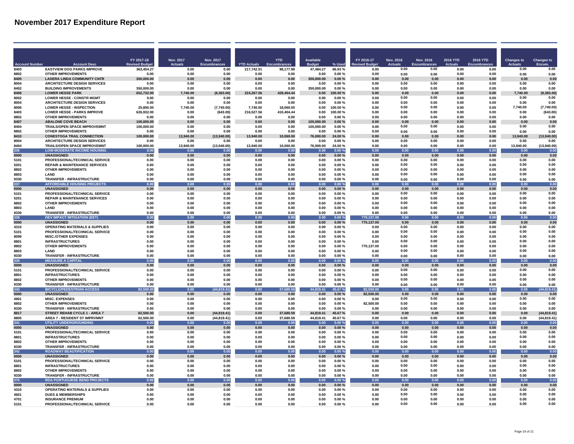|                      |                                                                            | FY 2017-18          | Nov. 2017         | <b>Nov. 2017</b>     |                    | <b>YTD</b>        | <b>Available</b>   |                        | FY 2016-17         | Nov. 2016      | Nov. 2016           | <b>2016 YTD</b> | 2016 YTD     | <b>Changes to</b> | <b>Changes to</b>    |
|----------------------|----------------------------------------------------------------------------|---------------------|-------------------|----------------------|--------------------|-------------------|--------------------|------------------------|--------------------|----------------|---------------------|-----------------|--------------|-------------------|----------------------|
| <b>Account Numbe</b> | <b>Account Desc</b>                                                        | <b>Revised Budg</b> | <b>Actuals</b>    | <b>Encumbrances</b>  | <b>YTD Actuals</b> | mbrances          | <b>Budget</b>      | % Used                 | evised Budge!      | <b>Actuals</b> | <b>Encumbrances</b> | <b>Actuals</b>  | Encumbrance  | <b>Actuals</b>    | Encum.               |
| 8403                 | <b>EASTVIEW DOG PARKS IMPROVE</b>                                          | 363.404.27          | 0.00              | 0.00                 | 217,742.01         | 98.177.99         | 47,484.27          | 86.93%                 | 0.00               | 0.00           | 0.00                | 0.00            | 0.00         | 0.00              | 0.00                 |
| 8802                 | <b>OTHER IMPROVEMENTS</b>                                                  | 0.00                | 0.00              | 0.00                 | 0.00               | 0.00              | 0.00               | 0.00%                  | 0.00               | 0.00           | 0.00                | 0.00            | 0.00         | 0.00              | 0.00                 |
| 8405                 | <b>LADERA LINDA COMMUNITY CNTR</b>                                         | 350.000.00          | 0.00              | 0.00                 | 0.00               | 0.00              | 350.000.00         | 0.00%                  | 0.00               | 0.00           | 0.00                | 0.00            | 0.00         | 0.00              | 0.00                 |
| 8004<br>8402         | <b>ARCHITECTURE DESIGN SERVICES</b><br><b>BUILDING IMPROVEMENTS</b>        | 0.00<br>350.000.00  | 0.00              | 0.00<br>0.00         | 0.00<br>0.00       | 0.00<br>0.00      | 0.00<br>350,000.00 | $0.00 \%$<br>0.00%     | 0.00<br>0.00       | 0.00<br>0.00   | 0.00<br>0.00        | 0.00<br>0.00    | 0.00<br>0.00 | 0.00<br>0.00      | 0.00<br>0.00         |
| 8406                 | <b>LOWER HESSE PARK</b>                                                    | 652,732.00          | 0.00<br>7,740.00  | (8,383.00)           | 224,267.56         | 428,464.44        | 0.00               | 100.00%                | 0.00               | 0.00           | 0.00                | 0.00            | 0.00         | 7,740.00          | (8, 383.00)          |
| 8002                 | <b>LOWER HESSE - CONSTR MGMT</b>                                           | 0.00                | 0.00              | 0.00                 | 0.00               | 0.00              | 0.00               | 0.00%                  | 0.00               | 0.00           | 0.00                | 0.00            | 0.00         | 0.00              | 0.00                 |
| 8004                 | <b>ARCHITECTURE DESIGN SERVICES</b>                                        | 0.00                | 0.00              | 0.00                 | 0.00               | 0.00              | 0.00               | 0.00%                  | 0.00               | 0.00           | 0.00                | 0.00            | 0.00         | 0.00              | 0.00                 |
| 8006                 | <b>LOWER HESSE - INSPECTION</b>                                            | 25,800.00           | 7,740.00          | (7,740.00)           | 7.740.00           | 18.060.00         | 0.00               | 100.00%                | 0.00               | 0.00           | 0.00                | 0.00            | 0.00         | 7,740.00          | (7,740.00)           |
| 8403                 | <b>LOWER HESSE - PARKS IMPROVE</b>                                         | 626.932.00          | 0.00              | (643.00)             | 216,527.56         | 410,404.44        | 0.00               | 100.00%                | 0.00               | 0.00           | 0.00                | 0.00            | 0.00         | 0.00              | (643.00)             |
| 8802                 | <b>OTHER IMPROVEMENTS</b>                                                  | 0.00                | 0.00              | 0.00                 | 0.00               | 0.00              | 0.00               | 0.00%                  | 0.00               | 0.00           | 0.00                | 0.00            | 0.00         | 0.00              | 0.00                 |
| 8407                 | <b>ABALONE COVE BEACH</b>                                                  | 100,000.00          | 0.00              | 0.00                 | 0.00               | 0.00              | 100,000.00         | 0.00%                  | 0.00               | 0.00           | 0.00                | 0.00            | 0.00         | 0.00              | 0.00                 |
| 8404                 | TRAILS/OPEN SPACE IMPROVEMNT                                               | 100,000.00          | 0.00              | 0.00                 | 0.00               | 0.00              | 100,000.00         | 0.00%                  | 0.00               | 0.00           | 0.00                | 0.00            | 0.00         | 0.00              | 0.00                 |
| 8802                 | <b>OTHER IMPROVEMENTS</b>                                                  | 0.00                | 0.00              | 0.00                 | 0.00               | 0.00              | 0.00               | 0.00%                  | 0.00               | 0.00           | 0.00                | 0.00            | 0.00         | 0.00              | 0.00                 |
| 8410<br>8004         | <b>CONESTOGA TRAIL CONNECTION</b><br><b>ARCHITECTURE DESIGN SERVICES</b>   | 100,000.00<br>0.00  | 13,940.00<br>0.00 | (13,940.00)<br>0.00  | 13,940.00<br>0.00  | 10,060.00<br>0.00 | 76,000.00<br>0.00  | 24.00%<br>0.00%        | 0.00<br>0.00       | 0.00<br>0.00   | 0.00<br>0.00        | 0.00<br>0.00    | 0.00<br>0.00 | 13,940.00<br>0.00 | (13,940.00)<br>0.00  |
| 8404                 | <b>TRAILS/OPEN SPACE IMPROVEMNT</b>                                        | 100,000.00          | 13,940.00         | (13,940.00)          | 13,940.00          | 10,060.00         | 76,000.00          | 24.00%                 | 0.00               | 0.00           | 0.00                | 0.00            | 0.00         | 13,940.00         | (13,940.00)          |
| 336                  | <b>LOW-MODERATE INCOME HOUSING</b>                                         | 0.00                | 0.00              | 0.00                 | 0.00               | 0.00              | 0.00               | 0.00%                  | 0.00               | 0.00           | 0.00                | 0.00            | 0.00         | 0.00              | 0.00                 |
| 0000                 | <b>UNASSIGNED</b>                                                          | 0.00                | 0.00              | 0.00                 | 0.00               | 0.00              | 0.00               | 0.00%                  | 0.00               | 0.00           | 0.00                | 0.00            | 0.00         | 0.00              | 0.00                 |
| 5101                 | PROFESSIONAL/TECHNICAL SERVICE                                             | 0.00                | 0.00              | 0.00                 | 0.00               | 0.00              | 0.00               | 0.00%                  | 0.00               | 0.00           | 0.00                | 0.00            | 0.00         | 0.00              | 0.00                 |
| 5201                 | <b>REPAIR &amp; MAINTENANCE SERVICES</b>                                   | 0.00                | 0.00              | 0.00                 | 0.00               | 0.00              | 0.00               | 0.00%                  | 0.00               | 0.00           | 0.00                | 0.00            | 0.00         | 0.00              | 0.00                 |
| 8802                 | <b>OTHER IMPROVEMENTS</b>                                                  | 0.00                | 0.00              | 0.00                 | 0.00               | 0.00              | 0.00               | 0.00%                  | 0.00               | 0.00           | 0.00                | 0.00            | 0.00         | 0.00              | 0.00                 |
| 8803                 | LAND                                                                       | 0.00                | 0.00              | 0.00                 | 0.00               | 0.00              | 0.00               | 0.00%                  | 0.00               | 0.00           | 0.00                | 0.00            | 0.00         | 0.00              | 0.00                 |
| 9330                 | <b>TRANSFER - INFRASTRUCTURE</b>                                           | 0.00                | 0.00              | 0.00                 | 0.00               | 0.00              | 0.00               | 0.00%                  | 0.00               | 0.00           | 0.00                | 0.00            | 0.00         | 0.00              | 0.00                 |
| 337                  | <b>AFFORDABLE HOUSING PROJECTS</b>                                         | 0.00                | 0.00              | 0.00                 | 0.00               | 0.00              | 0.00               | 0.00%                  | 0.00               | 0.00           | 0.00                | 0.00            | 0.00         | 0.00              | 0.00                 |
| 0000<br>5101         | <b>UNASSIGNED</b><br>PROFESSIONAL/TECHNICAL SERVICE                        | 0.00<br>0.00        | 0.00<br>0.00      | 0.00<br>0.00         | 0.00<br>0.00       | 0.00<br>0.00      | 0.00<br>0.00       | $0.00 \%$<br>$0.00 \%$ | 0.00<br>0.00       | 0.00<br>0.00   | 0.00<br>0.00        | 0.00<br>0.00    | 0.00<br>0.00 | 0.00<br>0.00      | 0.00<br>0.00         |
| 5201                 | <b>REPAIR &amp; MAINTENANCE SERVICES</b>                                   | 0.00                | 0.00              | 0.00                 | 0.00               | 0.00              | 0.00               | 0.00%                  | 0.00               | 0.00           | 0.00                | 0.00            | 0.00         | 0.00              | 0.00                 |
| 8802                 | <b>OTHER IMPROVEMENTS</b>                                                  | 0.00                | 0.00              | 0.00                 | 0.00               | 0.00              | 0.00               | 0.00%                  | 0.00               | 0.00           | 0.00                | 0.00            | 0.00         | 0.00              | 0.00                 |
| 8803                 | LAND                                                                       | 0.00                | 0.00              | 0.00                 | 0.00               | 0.00              | 0.00               | 0.00%                  | 0.00               | 0.00           | 0.00                | 0.00            | 0.00         | 0.00              | 0.00                 |
| 9330                 | TRANSFER - INFRASTRUCTURE                                                  | 0.00                | 0.00              | 0.00                 | 0.00               | 0.00              | 0.00               | $0.00 \%$              | 0.00               | 0.00           | 0.00                | 0.00            | 0.00         | 0.00              | 0.00                 |
| 338                  | <b>DEV IMPACT MITIGATION (EET)</b>                                         | 0.00                | 0.00              | 0.00                 | 0.00               | 0.00              | 0.00               | 0.00%                  | 770,137.00         | 0.00           | 0.00                | 0.00            | 0.00         | 0.00              | 0.00                 |
| 0000                 | <b>UNASSIGNED</b>                                                          | 0.00                | 0.00              | 0.00                 | 0.00               | 0.00              | 0.00               | 0.00%                  | 770,137.00         | 0.00           | 0.00                | $0.00\,$        | 0.00         | 0.00              | 0.00                 |
| 4310                 | <b>OPERATING MATERIALS &amp; SUPPLIES</b>                                  | 0.00                | 0.00              | 0.00                 | 0.00               | 0.00              | 0.00               | 0.00%                  | 0.00               | 0.00           | 0.00                | 0.00            | 0.00         | 0.00              | 0.00                 |
| 5101                 | PROFESSIONAL/TECHNICAL SERVICE                                             | 0.00                | 0.00              | 0.00                 | 0.00               | 0.00              | 0.00               | 0.00%                  | 0.00               | 0.00           | 0.00                | 0.00            | 0.00         | 0.00              | 0.00                 |
| 8099                 | <b>MISC/OTHER EXPENSES</b>                                                 | 0.00                | 0.00              | 0.00                 | 0.00               | 0.00              | 0.00               | 0.00%                  | 0.00               | 0.00<br>0.00   | 0.00<br>0.00        | 0.00            | 0.00         | 0.00<br>0.00      | 0.00<br>0.00         |
| 8801<br>8802         | <b>INFRASTRUCTURES</b><br><b>OTHER IMPROVEMENTS</b>                        | 0.00<br>0.00        | 0.00<br>0.00      | 0.00<br>0.00         | 0.00<br>0.00       | 0.00<br>0.00      | 0.00<br>0.00       | 0.00%<br>0.00%         | 0.00<br>770,137.00 | 0.00           | 0.00                | 0.00<br>0.00    | 0.00<br>0.00 | 0.00              | 0.00                 |
| 8803                 | LAND                                                                       | 0.00                | 0.00              | 0.00                 | 0.00               | 0.00              | 0.00               | 0.00%                  | 0.00               | 0.00           | 0.00                | 0.00            | 0.00         | 0.00              | 0.00                 |
| 9330                 | TRANSFER - INFRASTRUCTURE                                                  | 0.00                | 0.00              | 0.00                 | 0.00               | 0.00              | 0.00               | 0.00%                  | 0.00               | 0.00           | 0.00                | 0.00            | 0.00         | 0.00              | 0.00                 |
| 339                  | <b>MEASURE A CAPITAL</b>                                                   | 0.00                | 0.00              | 0.00                 | 0.00               | 0.00              | 0.00               | 0.00%                  | 0.00               | 0.00           | 0.00                | 0.00            | 0.00         | 0.00              | 0.00                 |
| 0000                 | <b>UNASSIGNED</b>                                                          | 0.00                | 0.00              | 0.00                 | 0.00               | 0.00              | 0.00               | 0.00%                  | 0.00               | 0.00           | 0.00                | 0.00            | 0.00         | 0.00              | 0.00                 |
| 5101                 | PROFESSIONAL/TECHNICAL SERVICE                                             | 0.00                | 0.00              | 0.00                 | 0.00               | 0.00              | 0.00               | 0.00%                  | 0.00               | 0.00           | 0.00                | 0.00            | 0.00         | 0.00              | 0.00                 |
| 8801                 | <b>INFRASTRUCTURES</b>                                                     | 0.00                | 0.00              | 0.00                 | 0.00               | 0.00              | 0.00               | 0.00%                  | 0.00               | 0.00           | 0.00                | 0.00            | 0.00         | 0.00              | 0.00                 |
| 8802                 | <b>OTHER IMPROVEMENTS</b>                                                  | 0.00                | 0.00              | 0.00                 | 0.00               | 0.00              | 0.00               | 0.00%                  | 0.00               | 0.00           | 0.00                | 0.00            | 0.00         | 0.00              | 0.00                 |
| 9330                 | <b>TRANSFER - INFRASTRUCTURE</b><br><b>BICYCLE/PEDESTRIAN ACCESS</b>       | 0.00<br>82,500.00   | 0.00<br>0.00      | 0.00                 | 0.00<br>0.00       | 0.00<br>37.680.59 | 0.00<br>44.819.41  | 0.00%<br>45.67%        | 0.00<br>82.500.00  | 0.00<br>0.00   | 0.00<br>0.00        | 0.00<br>0.00    | 0.00<br>0.00 | 0.00<br>0.00      | 0.00                 |
| 340<br>0000          | <b>UNASSIGNED</b>                                                          | 0.00                | 0.00              | (44, 819.41)<br>0.00 | 0.00               | 0.00              | $0.00\,$           | 0.00%                  | 82,500.00          | 0.00           | $0.00\,$            | 0.00            | 0.00         | 0.00              | (44, 819.41)<br>0.00 |
| 4901                 | <b>MISC. EXPENSES</b>                                                      | 0.00                | 0.00              | 0.00                 | 0.00               | 0.00              | 0.00               | 0.00%                  | 0.00               | 0.00           | 0.00                | 0.00            | 0.00         | 0.00              | 0.00                 |
| 8802                 | <b>OTHER IMPROVEMENTS</b>                                                  | 0.00                | 0.00              | 0.00                 | 0.00               | 0.00              | 0.00               | 0.00%                  | 82,500.00          | 0.00           | 0.00                | 0.00            | 0.00         | 0.00              | 0.00                 |
| 9330                 | TRANSFER - INFRASTRUCTURE                                                  | 0.00                | 0.00              | 0.00                 | 0.00               | 0.00              | 0.00               | 0.00%                  | 0.00               | 0.00           | 0.00                | 0.00            | 0.00         | 0.00              | 0.00                 |
| 8817                 | <b>STREET REHAB CYCLE 1 - AREA 7</b>                                       | 82.500.00           | 0.00              | (44, 819.41)         | 0.00               | 37,680.59         | 44,819.41          | 45.67%                 | 0.00               | 0.00           | 0.00                | 0.00            | 0.00         | 0.00              | (44, 819.41)         |
| 8805                 | <b>AREA 7 - RESIDENT ST IMPRVMNT</b>                                       | 82,500.00           | 0.00              | (44, 819.41)         | 0.00               | 37,680.59         | 44,819.41          | 45.67%                 | 0.00               | 0.00           | 0.00                | 0.00            | 0.00         | 0.00              | (44, 819.41)         |
| 341                  | <b>UTILITY UNDERGROUNDING</b>                                              | 0.00                | 0.00              | 0.00                 | 0.00               | 0.00              | 0.00               | 0.00%                  | 0.00               | 0.00           | 0.00                | 0.00            | 0.00         | 0.00              | 0.00                 |
| 0000                 | <b>UNASSIGNED</b>                                                          | 0.00                | 0.00              | 0.00                 | 0.00               | 0.00              | 0.00               | 0.00%                  | 0.00               | 0.00           | 0.00                | 0.00            | 0.00         | 0.00              | 0.00                 |
| 5101                 | PROFESSIONAL/TECHNICAL SERVICE                                             | 0.00                | 0.00              | 0.00                 | 0.00               | 0.00              | 0.00               | 0.00%                  | 0.00               | 0.00<br>0.00   | 0.00<br>0.00        | 0.00            | 0.00         | 0.00<br>0.00      | 0.00<br>0.00         |
| 8801<br>8802         | <b>INFRASTRUCTURES</b><br><b>OTHER IMPROVEMENTS</b>                        | 0.00<br>0.00        | 0.00<br>0.00      | 0.00<br>0.00         | 0.00<br>0.00       | 0.00<br>0.00      | 0.00<br>0.00       | 0.00%<br>0.00%         | 0.00<br>0.00       | 0.00           | 0.00                | 0.00<br>0.00    | 0.00<br>0.00 | 0.00              | 0.00                 |
| 9330                 | <b>TRANSFER - INFRASTRUCTURE</b>                                           | 0.00                | 0.00              | 0.00                 | 0.00               | 0.00              | 0.00               | 0.00%                  | 0.00               | 0.00           | 0.00                | 0.00            | 0.00         | 0.00              | 0.00                 |
| 342                  | <b>ROADWAY BEAUTIFICATION</b>                                              | 0.00                | 0.00              | 0.00                 | 0.00               | 0.00              | 0.00               | 0.00%                  | 0.00               | 0.00           | 0.00                | 0.00            | 0.00         | 0.00              | 0.00                 |
| 0000                 | <b>UNASSIGNED</b>                                                          | 0.00                | 0.00              | 0.00                 | 0.00               | 0.00              | 0.00               | 0.00%                  | 0.00               | 0.00           | 0.00                | 0.00            | 0.00         | 0.00              | 0.00                 |
| 5101                 | PROFESSIONAL/TECHNICAL SERVICE                                             | 0.00                | 0.00              | 0.00                 | 0.00               | 0.00              | 0.00               | 0.00%                  | 0.00               | 0.00           | 0.00                | 0.00            | 0.00         | 0.00              | 0.00                 |
| 8801                 | <b>INFRASTRUCTURES</b>                                                     | 0.00                | 0.00              | 0.00                 | 0.00               | 0.00              | 0.00               | 0.00%                  | 0.00               | 0.00           | 0.00                | 0.00            | 0.00         | 0.00              | 0.00                 |
| 8802                 | <b>OTHER IMPROVEMENTS</b>                                                  | 0.00                | 0.00              | 0.00                 | 0.00               | 0.00              | 0.00               | 0.00%                  | 0.00               | 0.00           | 0.00                | 0.00            | 0.00         | 0.00              | 0.00                 |
| 9330                 | TRANSFER - INFRASTRUCTURE                                                  | 0.00                | 0.00              | 0.00                 | 0.00               | 0.00              | 0.00               | 0.00%                  | 0.00               | 0.00           | 0.00                | 0.00            | 0.00         | 0.00              | 0.00                 |
| 375                  | <b>RDA PORTUGUESE BEND PROJECTS</b>                                        | 0.00                | 0.00              | 0.00                 | 0.00               | 0.00              | 0.00               | 0.00%                  | 0.00               | 0.00           | 0.00                | 0.00            | 0.00         | 0.00              | 0.00                 |
| 0000                 | <b>UNASSIGNED</b>                                                          | 0.00                | 0.00              | 0.00                 | 0.00               | 0.00              | 0.00               | 0.00%                  | 0.00               | 0.00           | 0.00                | 0.00            | 0.00         | 0.00              | 0.00                 |
| 4310<br>4601         | <b>OPERATING MATERIALS &amp; SUPPLIES</b><br><b>DUES &amp; MEMBERSHIPS</b> | 0.00<br>0.00        | 0.00<br>0.00      | 0.00<br>0.00         | 0.00<br>0.00       | 0.00<br>0.00      | 0.00<br>0.00       | 0.00%<br>0.00%         | 0.00<br>0.00       | 0.00<br>0.00   | 0.00<br>0.00        | 0.00<br>0.00    | 0.00<br>0.00 | 0.00<br>0.00      | 0.00<br>0.00         |
| 4701                 | <b>INSURANCE PREMIUM</b>                                                   | 0.00                | 0.00              | 0.00                 | 0.00               | 0.00              | 0.00               | 0.00%                  | 0.00               | 0.00           | 0.00                | 0.00            | 0.00         | 0.00              | 0.00                 |
| 5101                 | PROFESSIONAL/TECHNICAL SERVICE                                             | 0.00                | 0.00              | 0.00                 | 0.00               | 0.00              | 0.00               | 0.00%                  | 0.00               | 0.00           | 0.00                | 0.00            | 0.00         | 0.00              | 0.00                 |
|                      |                                                                            |                     |                   |                      |                    |                   |                    |                        |                    |                |                     |                 |              |                   |                      |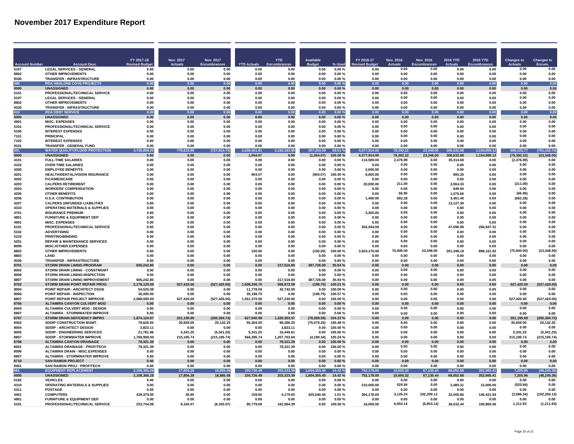|                      |                                                                       | FY 2017-18                | Nov. 2017              | Nov. 2017             |                        | <b>YTD</b>                | <b>Available</b>    |                     | FY 2016-17           | <b>Nov. 2016</b>  | <b>Nov. 2016</b>    | <b>2016 YTD</b>    | 2016 YTD           | <b>Changes to</b>    | <b>Changes to</b>     |
|----------------------|-----------------------------------------------------------------------|---------------------------|------------------------|-----------------------|------------------------|---------------------------|---------------------|---------------------|----------------------|-------------------|---------------------|--------------------|--------------------|----------------------|-----------------------|
| <b>Account Numbe</b> | <b>Account Dese</b>                                                   | <b>Revised Budge</b>      | <b>Actuals</b>         | <b>Encumbrances</b>   | <b>YTD Actuals</b>     | Encumbrance               | <b>Budget</b>       | % Used              | <b>evised Budge</b>  | Actuals           | <b>Encumbrances</b> | Actual             | <b>Encumbrance</b> | <b>Actuals</b>       | Encum.                |
| 5107                 | <b>LEGAL SERVICES - GENERAL</b>                                       | 0.00                      | 0.00                   | 0.00                  | 0.00                   | 0.00                      | 0.00                | $0.00 \%$           | 0.00                 | 0.00              | 0.00                | 0.00               | 0.00               | 0.00                 | 0.00                  |
| 8802                 | <b>OTHER IMPROVEMENTS</b>                                             | 0.00                      | 0.00                   | 0.00                  | 0.00                   | 0.00                      | 0.00                | $0.00 \%$           | 0.00                 | 0.00              | 0.00                | 0.00               | 0.00               | 0.00                 | 0.00                  |
| 9330<br>380          | TRANSFER - INFRASTRUCTURE<br><b>RDA ABALONE COVE PROJECTS</b>         | 0.00<br>0.00              | 0.00<br>0.00           | 0.00<br>0.00          | 0.00<br>0.00           | 0.00<br>0.00              | 0.00<br>0.00        | 0.00%<br>0.00%      | 0.00<br>0.00         | 0.00<br>0.00      | 0.00<br>0.00        | 0.00<br>0.00       | 0.00<br>0.00       | 0.00<br>0.00         | 0.00<br>0.00          |
| 0000                 | <b>UNASSIGNED</b>                                                     | 0.00                      | 0.00                   | 0.00                  | 0.00                   | 0.00                      | 0.00                | 0.00%               | 0.00                 | 0.00              | 0.00                | 0.00               | 0.00               | 0.00                 | 0.00                  |
| 5101                 | PROFESSIONAL/TECHNICAL SERVICE                                        | 0.00                      | 0.00                   | 0.00                  | 0.00                   | 0.00                      | 0.00                | 0.00%               | 0.00                 | 0.00              | 0.00                | 0.00               | 0.00               | 0.00                 | 0.00                  |
| 5107                 | <b>LEGAL SERVICES - GENERAL</b>                                       | 0.00                      | 0.00                   | 0.00                  | 0.00                   | 0.00                      | 0.00                | 0.00%               | 0.00                 | 0.00              | 0.00                | 0.00               | 0.00               | 0.00                 | 0.00                  |
| 8802                 | <b>OTHER IMPROVEMENTS</b>                                             | 0.00                      | 0.00                   | 0.00                  | 0.00                   | 0.00                      | 0.00                | 0.00%               | 0.00                 | 0.00              | 0.00                | 0.00               | 0.00               | 0.00                 | 0.00                  |
| 9330                 | <b>TRANSFER - INFRASTRUCTURE</b>                                      | 0.00                      | 0.00                   | 0.00                  | 0.00                   | 0.00                      | 0.00                | 0.00%               | 0.00                 | 0.00              | 0.00                | 0.00               | 0.00               | 0.00                 | 0.00                  |
| 410                  | <b>RDA DEBT SERVICE</b>                                               | 0.00                      | 0.00                   | 0.00                  | 0.00                   | 0.00                      | 0.00                | 0.00%               | 0.00                 | 0.00              | 0.00                | 0.00               | 0.00               | 0.00                 | 0.00                  |
| 0000                 | <b>UNASSIGNED</b>                                                     | 0.00                      | 0.00                   | 0.00                  | 0.00                   | 0.00                      | 0.00                | 0.00%               | 0.00                 | 0.00              | 0.00                | 0.00               | 0.00               | 0.00                 | 0.00                  |
| 4901<br>5101         | <b>MISC. EXPENSES</b><br>PROFESSIONAL/TECHNICAL SERVICE               | 0.00<br>0.00              | 0.00<br>0.00           | 0.00<br>0.00          | 0.00<br>0.00           | 0.00<br>0.00              | 0.00<br>0.00        | 0.00%<br>0.00%      | 0.00<br>0.00         | 0.00<br>0.00      | 0.00<br>0.00        | 0.00<br>0.00       | 0.00<br>0.00       | 0.00<br>0.00         | 0.00<br>0.00          |
| 5105                 | <b>INTEREST EXPENSES</b>                                              | 0.00                      | 0.00                   | 0.00                  | 0.00                   | 0.00                      | 0.00                | 0.00%               | 0.00                 | 0.00              | 0.00                | 0.00               | 0.00               | 0.00                 | 0.00                  |
| 7101                 | <b>PRINCIPAL</b>                                                      | 0.00                      | 0.00                   | 0.00                  | 0.00                   | 0.00                      | 0.00                | 0.00%               | 0.00                 | 0.00              | 0.00                | 0.00               | 0.00               | 0.00                 | 0.00                  |
| 7102                 | <b>INTEREST EXPENSES</b>                                              | 0.00                      | 0.00                   | 0.00                  | 0.00                   | 0.00                      | 0.00                | 0.00%               | 0.00                 | 0.00              | 0.00                | 0.00               | 0.00               | 0.00                 | 0.00                  |
| 9101                 | <b>TRANSFER - GENERAL FUND</b>                                        | 0.00                      | 0.00                   | 0.00                  | 0.00                   | 0.00                      | 0.00                | 0.00%               | 0.00                 | 0.00              | 0.00                | 0.00               | 0.00               | 0.00                 | 0.00                  |
| 501                  | <b>WATER QUALITY/FLOOD PROTECTION</b>                                 | 4,735,8<br>09.25          | 778,615.99             | 14.74)<br>(727)       | 6,441.81               | 163.85<br>2.192           | 307,203.59          | 93.51 %             | 4,377,914.00         | 79,392.22         | 23.348.00           | 06,532.68          | 1,154,999.13       | 699,223.77           | 751,162.74            |
| 0000                 | <b>UNASSIGNED</b>                                                     | 0.00                      | 0.00                   | 0.00                  | 1,054.07               | 0.00                      | (1,054.07)          | 100.00%             | 4.377.914.00         | 79,392.22         | 23,348.00           | 306,532.68         | 1,154,999.13       | (79, 392.22)         | (23, 348.00)          |
| 4101                 | <b>FULL-TIME SALARIES</b>                                             | 0.00                      | 0.00                   | 0.00                  | 0.00                   | 0.00                      | 0.00                | 0.00%               | 114,500.00           | 2.476.99<br>0.00  | 0.00<br>0.00        | 35.314.68          | 0.00               | (2,476.99)           | 0.00<br>0.00          |
| 4103<br>4200         | <b>OVER-TIME SALARIES</b><br><b>EMPLOYEE BENEFITS</b>                 | 0.00<br>0.00              | 0.00<br>0.00           | 0.00<br>0.00          | 0.00<br>0.00           | 0.00<br>0.00              | 0.00<br>0.00        | 0.00%<br>0.00%      | 0.00<br>2.600.00     | 0.00              | 0.00                | 0.00<br>0.00       | 0.00<br>0.00       | 0.00<br>0.00         | 0.00                  |
| 4201                 | <b>HEALTH/DENTAL/VISION INSURANCE</b>                                 | 0.00                      | 0.00                   | 0.00                  | 904.07                 | 0.00                      | (904.07)            | 100.00%             | 8.000.00             | 0.00              | 0.00                | 893.20             | 0.00               | 0.00                 | 0.00                  |
| 4202                 | <b>FICA/MEDICARE</b>                                                  | 0.00                      | 0.00                   | 0.00                  | 0.00                   | 0.00                      | 0.00                | $0.00 \%$           | 0.00                 | 0.00              | 0.00                | 0.00               | 0.00               | 0.00                 | 0.00                  |
| 4203                 | <b>CALPERS RETIREMENT</b>                                             | 0.00                      | 0.00                   | 0.00                  | 0.00                   | 0.00                      | 0.00                | 0.00%               | 20.000.00            | 211.00            | 0.00                | 3.564.33           | 0.00               | (211.00)             | 0.00                  |
| 4204                 | <b>WORKERS' COMPENSATION</b>                                          | 0.00                      | 0.00                   | 0.00                  | 0.00                   | 0.00                      | 0.00                | 0.00%               | 0.00                 | 0.00              | 0.00                | 649.94             | 0.00               | 0.00                 | 0.00                  |
| 4205                 | <b>OTHER BENEFITS</b>                                                 | 0.00                      | 0.00                   | 0.00                  | 0.00                   | 0.00                      | 0.00                | $0.00 \%$           | 0.00                 | 66.95             | 0.00                | 1,076.66           | 0.00               | (66.95)              | 0.00                  |
| 4206                 | <b>H.S.A. CONTRIBUTION</b>                                            | 0.00                      | 0.00                   | 0.00                  | 0.00                   | 0.00                      | 0.00                | $0.00 \%$           | 1,400.00             | 692.28            | 0.00                | 3,461.40           | 0.00               | (692.28)             | 0.00                  |
| 4207                 | <b>CALPERS UNFUNDED LIABILITIES</b>                                   | 0.00                      | 0.00                   | 0.00                  | 0.00                   | 0.00<br>n nn              | 0.00                | 0.00%               | 0.00                 | 0.00<br>0.00      | 0.00<br>0.00        | 13.127.30<br>0.00  | 0.00               | 0.00<br>0.00         | 0.00<br>0.00          |
| 4310<br>4701         | <b>OPERATING MATERIALS &amp; SUPPLIES</b><br><b>INSURANCE PREMIUM</b> | 0.00<br>0.00              | 0.00<br>0.00           | 0.00<br>n nn          | 0.00<br>0.00           | n nn                      | 0.00<br>0.00        | 0.00%<br>0.00%      | 0.00<br>3.300.00     | 0.00              | 0.00                | 0.00               | 0.00<br>0.00       | 0.00                 | 0.00                  |
| 4801                 | <b>FURNITURE &amp; EQUIPMENT DEP</b>                                  | 0.00                      | 0.00                   | 0.00                  | 0.00                   | 0.00                      | 0.00                | 0.00%               | 0.00                 | 0.00              | 0.00                | 0.00               | 0.00               | 0.00                 | 0.00                  |
| 4901                 | <b>MISC. EXPENSES</b>                                                 | 0.00                      | 0.00                   | 0.00                  | 0.00                   | 0.00                      | 0.00                | 0.00%               | 0.00                 | 0.00              | 0.00                | 0.00               | 0.00               | 0.00                 | 0.00                  |
| 5101                 | PROFESSIONAL/TECHNICAL SERVICE                                        | 0.00                      | 0.00                   | 0.00                  | 0.00                   | 0.00                      | 0.00                | 0.00%               | 303.944.00           | 0.00              | 0.00                | 47,096.99          | 256,847.31         | 0.00                 | 0.00                  |
| 5102                 | <b>ADVERTISING</b>                                                    | 0.00                      | 0.00                   | 0.00                  | 0.00                   | 0.00                      | 0.00                | 0.00%               | 0.00                 | 0.00              | 0.00                | 0.00               | 0.00               | 0.00                 | 0.00                  |
| 5103                 | <b>PRINTING/BINDING</b>                                               | 0.00                      | 0.00                   | 0.00                  | 0.00                   | 0.00                      | 0.00                | 0.00%               | 0.00                 | 0.00              | 0.00                | 0.00               | 0.00               | 0.00                 | 0.00                  |
| 5201                 | <b>REPAIR &amp; MAINTENANCE SERVICES</b>                              | 0.00                      | 0.00                   | 0.00                  | 0.00                   | 0.00                      | 0.00                | 0.00%               | 0.00                 | 0.00              | . በ በበ              | 0.00               | 0.00               | <b>0.00</b>          | 0.00                  |
| 8099<br>8802         | <b>MISC./OTHER EXPENSES</b><br><b>OTHER IMPROVEMENTS</b>              | 0.00<br>0.00              | 0.00                   | 0.00<br>0.00          | 0.00                   | 0.00<br>0.00              | 0.00                | 0.00%               | 0.00<br>3.924.170.00 | 0.00              | 0.00<br>23.348.00   | 0.00<br>201,348.18 | 0.00<br>898.151.82 | 0.00                 | 0.00<br>(23,348.00    |
| 8803                 | LAND                                                                  | 0.00                      | 0.00<br>0.00           | 0.00                  | 150.00<br>0.00         | 0.00                      | (150.00)<br>0.00    | 100.00%<br>0.00%    | 0.00                 | 75,945.00<br>0.00 | 0.00                | 0.00               | 0.00               | (75, 945.00)<br>0.00 | 0.00                  |
| 9330                 | <b>TRANSFER - INFRASTRUCTURE</b>                                      | 0.00                      | 0.00                   | 0.00                  | 0.00                   | 0.00                      | 0.00                | 0.00%               | 0.00                 | 0.00              | 0.00                | 0.00               | 0.00               | 0.00                 | 0.00                  |
| 8701                 | <b>STORM DRAIN LINING PROGRAM</b>                                     | 605,242.80                | 0.00                   | 0.00                  | 0.00                   | 217,516.80                | 387,726.00          | 35.94 %             | 0.00                 | 0.00              | 0.00                | 0.00               | 0.00               | 0.00                 | 0.00                  |
| 8002                 | STORM DRAIN LINING - CONSTMGMT                                        | 0.00                      | 0.00                   | 0.00                  | 0.00                   | 0.00                      | 0.00                | 0.00%               | 0.00                 | 0.00              | 0.00                | 0.00               | 0.00               | 0.00                 | 0.00                  |
| 8006                 | STORM DRAIN LINING-INSPECTION                                         | 0.00                      | 0.00                   | 0.00                  | 0.00                   | 0.00                      | 0.00                | 0.00%               | 0.00                 | 0.00              | 0.00                | 0.00               | 0.00               | 0.00                 | 0.00                  |
| 8807                 | STORM DRAIN LINING IMPROVEMENT                                        | 605,242.80                | 0.00                   | 0.00                  | 0.00                   | 217,516.80                | 387,726.00          | 35.94 %             | 0.00                 | 0.00              | 0.00                | 0.00               | 0.00               | 0.00                 | 0.00                  |
| 8702                 | STORM DRAIN POINT REPAIR PROG                                         | 2.178.120.09              | 527,420.00             | (527, 420.00)         | 1,608,346.75           | 569,972.09                | (198.75)            | 100.01%             | 0.00                 | 0.00              | 0.00                | 0.00               | 0.00               | 527,420.00           | (527, 420.00)         |
| 8004<br>8006         | POINT REPAIR - ARCHITECT DSGN<br>POINT REPAIR - INSPECTION            | 54.520.09<br>35.000.00    | 0.00                   | 0.00<br>0.00          | 11.778.00<br>35,198.75 | 42,742.09<br>0.00         | 0.00                | 100.00%<br>100.57%  | 0.00<br>0.00         | 0.00<br>0.00      | 0.00<br>0.00        | 0.00<br>0.00       | 0.00<br>0.00       | 0.00<br>0.00         | 0.00<br>0.00          |
| 8807                 | POINT REPAIR PROJECT IMPROVE                                          | 2.088.600.00              | 0.00<br>527,420.00     | (527, 420.00)         | 1,561,370.00           | 527,230.00                | (198.75)<br>0.00    | 100.00%             | 0.00                 | 0.00              | 0.00                | 0.00               | 0.00               | 527,420.00           | (527, 420.00)         |
| 8706                 | <b>ALTAMIRA CANYON CULVERT MOD</b>                                    | 0.00                      | 0.00                   | 0.00                  | 0.00                   | 0.00                      | 0.00                | 0.00%               | 0.00                 | 0.00              | 0.00                | 0.00               | 0.00               | 0.00                 | 0.00                  |
| 8004                 | <b>ALTAMIRA CULVERT MOD - DESIGN</b>                                  | 0.00                      | 0.00                   | 0.00                  | 0.00                   | 0.00                      | 0.00                | 0.00%               | 0.00                 | 0.00              | 0.00                | 0.00               | 0.00               | 0.00                 | 0.00                  |
| 8807                 | <b>ALTAMIRA - STORMWATER IMPROVE</b>                                  | 0.00                      | 0.00                   | 0.00                  | 0.00                   | 0.00                      | 0.00                | 0.00%               | 0.00                 | 0.00              | 0.00                | 0.00               | 0.00               | 0.00                 | 0.00                  |
| 8707                 | STORM DRAIN DEFICIENCY IMPRO                                          | 1,874,124.97              | 251,195.99             | (200, 394.74)         | 627,040.99             | 1,326,353.57              | (79, 269.59)        | 104.23%             | 0.00                 | 0.00              | 0.00                | 0.00               | 0.00               | 251,195.99           | (200, 394.74)         |
| 8002                 | SDDIP CONSTRUCTION MGMT.                                              | 78.620.00                 | 30,659.00              | 20,142.25             | 55,304.00              | 98,386.25                 | (75,070.25)         | 195.48%             | 0.00                 | 0.00              | 0.00                | 0.00               | 0.00               | 30,659.00            | 20,142.25             |
| 8004                 | SDDIP - ARCHITECT DESIGN                                              | 3,823.11                  | 0.00                   | 0.00                  | 0.00                   | 3,823.11                  | 0.00                | 100.00%             | 0.00                 | 0.00              | 0.00                | 0.00               | 0.00               | 0.00                 | 0.00                  |
| 8005<br>8807         | SDDIP - ENGINEERING SERVICES<br><b>SDDIP - STORMWATER IMPROVE</b>     | 21,781.86<br>1.769.900.00 | 5,341.25<br>215.195.74 | (5,341.25)            | 5,341.25<br>566.395.74 | 16,440.61<br>1.207.703.60 | 0.00                | 100.00%<br>100.24 % | 0.00<br>0.00         | 0.00              | 0.00                | 0.00<br>0.00       | 0.00<br>0.00       | 5.341.25             | (5, 341.25)           |
| 8708                 | <b>ALTAMIRA CANYON DRAINAGE</b>                                       | 78.321.39                 | 0.00                   | (215, 195.74)<br>0.00 | 0.00                   | 78.321.39                 | (4, 199.34)<br>0.00 | 100.00%             | 0.00                 | 0.00<br>0.00      | 0.00<br>0.00        | 0.00               | 0.00               | 215,195.74<br>0.00   | (215, 195.74)<br>0.00 |
| 8001                 | <b>ALTAMIRA DRAINAGE - PROF/TECH</b>                                  | 78,321.39                 | 0.00                   | 0.00                  | 0.00                   | 78.321.39                 | 0.00                | 100.00%             | 0.00                 | 0.00              | 0.00                | 0.00               | 0.00               | 0.00                 | 0.00                  |
| 8099                 | <b>ALTAMIRA DRAIN - MISC.EXPENSES</b>                                 | 0.00                      | 0.00                   | 0.00                  | 0.00                   | 0.00                      | 0.00                | 0.00%               | 0.00                 | 0.00              | 0.00                | 0.00               | 0.00               | 0.00                 | 0.00                  |
| 8807                 | <b>ALTAMIRA - STORMWATER IMPROVE</b>                                  | 0.00                      | 0.00                   | 0.00                  | 0.00                   | 0.00                      | 0.00                | 0.00%               | 0.00                 | 0.00              | 0.00                | 0.00               | 0.00               | 0.00                 | 0.00                  |
| 8710                 | <b>SAN RAMON PROJECT</b>                                              | 0.00                      | 0.00                   | 0.00                  | 0.00                   | 0.00                      | 0.00                | $0.00 \%$           | 0.00                 | 0.00              | 0.00                | 0.00               | 0.00               | 0.00                 | 0.00                  |
| 8001                 | SAN RAMON PROJ - PROF/TECH                                            | 0.00                      | 0.00                   | 0.00                  | 0.00                   | 0.00                      | 0.00                | 0.00%               | 0.00                 | 0.00              | 0.00                | 0.00               | 0.00               | 0.00                 | 0.00                  |
| 681                  | <b>EQUIPMENT REPLACEMENT</b><br><b>UNASSIGNED</b>                     | 2,108,365.28              | 17,806.28              | 18,885.08             | 100,726.49             | 203,333.39                | 1,804,305.40        | 4.42%               | 752,178.00           | 10,600.32         | 67,130.44           | 68.052.68          | 352,965.41         | 7,205.96             | (48.245.36)           |
| 0000                 | <b>VEHICLES</b>                                                       | 2,108,365.28              | 17,806.28              | 18,885.08             | 100,726.49             | 203,333.39                | 1,804,305.40        | 14.42%              | 752,178.00<br>0.00   | 10.600.32<br>0.00 | 67,130.44<br>0.00   | 68.052.68          | 352.965.41         | 7,205.96<br>0.00     | (48, 245.36)<br>0.00  |
| 0182<br>4310         | <b>OPERATING MATERIALS &amp; SUPPLIES</b>                             | 0.00<br>0.00              | 0.00<br>0.00           | 0.00<br>0.00          | 0.00<br>0.00           | 0.00<br>0.00              | 0.00<br>0.00        | $0.00 \%$<br>0.00%  | 210.000.00           | 520.94            | 0.00                | 0.00<br>2,480.31   | 0.00<br>15,000.00  | (520.94)             | 0.00                  |
| 4311                 | POSTAGE                                                               | 0.00                      | 0.00                   | n nn                  | 0.00                   | 0.00                      | 0.00                | 0.00%               | 0.00                 | 0.00              | 0.00                | 0.00               | 0.00               | 0.00                 | 0.00                  |
| 4401                 | <b>COMPUTERS</b>                                                      | 429.379.00                | 39.90                  | 0.00                  | 159.60                 | 4.179.00                  | 425,040.40          | 1.01%               | 364,178.00           | 3,126.24          | 102,200.13          | 22,005.85          | 146,421.93         | (3,086.34)           | (102, 200.13)         |
| 4801                 | <b>FURNITURE &amp; EQUIPMENT DEP</b>                                  | 0.00                      | 0.00                   | 0.00                  | 0.00                   | 0.00                      | 0.00                | 0.00%               | 0.00                 | 0.00              | 0.00                | 0.00               | 0.00               | 0.00                 | 0.00                  |
| 5101                 | PROFESSIONAL/TECHNICAL SERVICE                                        | 253,744.08                | 8.165.07               | (8.165.07)            | 90.779.69              | 162,964.39                | 0.00                | 100.00%             | 16,000.00            | 6,953.14          | (6,953.14)          | 36,032.44          | 190,800.56         | 1,211.93             | (1, 211.93)           |